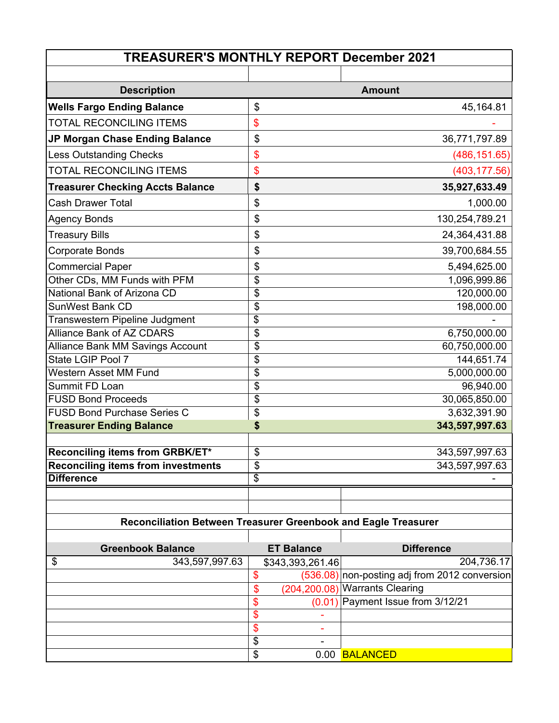| <b>TREASURER'S MONTHLY REPORT December 2021</b>                |                                      |                   |                                               |  |  |
|----------------------------------------------------------------|--------------------------------------|-------------------|-----------------------------------------------|--|--|
|                                                                |                                      |                   |                                               |  |  |
| <b>Description</b>                                             |                                      |                   | <b>Amount</b>                                 |  |  |
| <b>Wells Fargo Ending Balance</b>                              | \$                                   |                   | 45,164.81                                     |  |  |
| <b>TOTAL RECONCILING ITEMS</b>                                 | \$                                   |                   |                                               |  |  |
| JP Morgan Chase Ending Balance                                 | \$                                   |                   | 36,771,797.89                                 |  |  |
| <b>Less Outstanding Checks</b>                                 | $\frac{1}{2}$                        |                   | (486, 151.65)                                 |  |  |
| <b>TOTAL RECONCILING ITEMS</b>                                 | \$                                   |                   | (403, 177.56)                                 |  |  |
| <b>Treasurer Checking Accts Balance</b>                        | \$                                   |                   | 35,927,633.49                                 |  |  |
| <b>Cash Drawer Total</b>                                       | \$                                   |                   | 1,000.00                                      |  |  |
| <b>Agency Bonds</b>                                            | $\frac{1}{2}$                        |                   | 130,254,789.21                                |  |  |
| <b>Treasury Bills</b>                                          | \$                                   |                   | 24,364,431.88                                 |  |  |
| <b>Corporate Bonds</b>                                         | \$                                   |                   | 39,700,684.55                                 |  |  |
| <b>Commercial Paper</b>                                        | \$                                   |                   | 5,494,625.00                                  |  |  |
| Other CDs, MM Funds with PFM                                   | \$                                   |                   | 1,096,999.86                                  |  |  |
| National Bank of Arizona CD                                    | \$                                   |                   | 120,000.00                                    |  |  |
| <b>SunWest Bank CD</b>                                         | \$                                   |                   | 198,000.00                                    |  |  |
| Transwestern Pipeline Judgment                                 | \$                                   |                   |                                               |  |  |
| <b>Alliance Bank of AZ CDARS</b>                               | $\overline{\boldsymbol{\mathsf{S}}}$ |                   | 6,750,000.00                                  |  |  |
| <b>Alliance Bank MM Savings Account</b>                        | \$                                   |                   | 60,750,000.00                                 |  |  |
| State LGIP Pool 7                                              | \$                                   |                   | 144,651.74                                    |  |  |
| Western Asset MM Fund                                          | \$                                   |                   | 5,000,000.00                                  |  |  |
| Summit FD Loan                                                 | \$                                   |                   | 96,940.00                                     |  |  |
| <b>FUSD Bond Proceeds</b>                                      | \$                                   |                   | 30,065,850.00                                 |  |  |
| <b>FUSD Bond Purchase Series C</b>                             | \$                                   |                   | 3,632,391.90                                  |  |  |
| <b>Treasurer Ending Balance</b>                                | \$                                   |                   | 343,597,997.63                                |  |  |
| Reconciling items from GRBK/ET*                                | \$                                   |                   | 343,597,997.63                                |  |  |
| <b>Reconciling items from investments</b>                      | \$                                   |                   | 343,597,997.63                                |  |  |
| <b>Difference</b>                                              | \$                                   |                   |                                               |  |  |
|                                                                |                                      |                   |                                               |  |  |
|                                                                |                                      |                   |                                               |  |  |
| Reconciliation Between Treasurer Greenbook and Eagle Treasurer |                                      |                   |                                               |  |  |
| <b>Greenbook Balance</b>                                       |                                      | <b>ET Balance</b> | <b>Difference</b>                             |  |  |
| 343,597,997.63<br>\$                                           |                                      | \$343,393,261.46  | 204,736.17                                    |  |  |
|                                                                | \$                                   |                   | (536.08) non-posting adj from 2012 conversion |  |  |
|                                                                | \$                                   |                   | (204,200.08) Warrants Clearing                |  |  |
|                                                                | \$                                   | (0.01)            | Payment Issue from 3/12/21                    |  |  |
|                                                                | \$                                   |                   |                                               |  |  |
|                                                                | \$                                   |                   |                                               |  |  |
|                                                                | \$                                   |                   |                                               |  |  |
|                                                                | \$                                   |                   | 0.00 BALANCED                                 |  |  |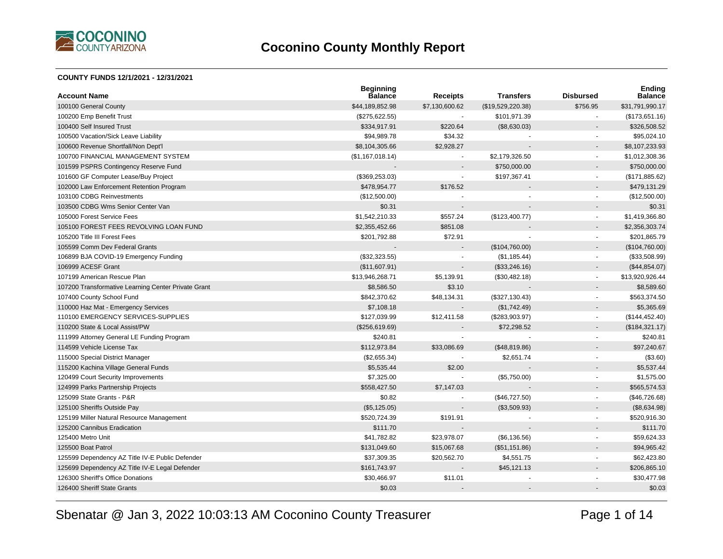

#### **COUNTY FUNDS 12/1/2021 - 12/31/2021**

| <b>Account Name</b>                                 | <b>Beginning</b><br><b>Balance</b> | <b>Receipts</b>          | <b>Transfers</b>  | <b>Disbursed</b>         | <b>Ending</b><br><b>Balance</b> |
|-----------------------------------------------------|------------------------------------|--------------------------|-------------------|--------------------------|---------------------------------|
| 100100 General County                               | \$44,189,852.98                    | \$7,130,600.62           | (\$19,529,220.38) | \$756.95                 | \$31,791,990.17                 |
| 100200 Emp Benefit Trust                            | (\$275,622.55)                     |                          | \$101,971.39      |                          | (\$173,651.16)                  |
| 100400 Self Insured Trust                           | \$334,917.91                       | \$220.64                 | (\$8,630.03)      |                          | \$326,508.52                    |
| 100500 Vacation/Sick Leave Liability                | \$94,989.78                        | \$34.32                  |                   |                          | \$95,024.10                     |
| 100600 Revenue Shortfall/Non Dept'l                 | \$8,104,305.66                     | \$2,928.27               |                   |                          | \$8,107,233.93                  |
| 100700 FINANCIAL MANAGEMENT SYSTEM                  | (\$1,167,018.14)                   | $\overline{a}$           | \$2,179,326.50    | ÷                        | \$1,012,308.36                  |
| 101599 PSPRS Contingency Reserve Fund               |                                    | $\blacksquare$           | \$750,000.00      |                          | \$750,000.00                    |
| 101600 GF Computer Lease/Buy Project                | (\$369,253.03)                     | $\sim$                   | \$197,367.41      | $\blacksquare$           | (\$171,885.62)                  |
| 102000 Law Enforcement Retention Program            | \$478,954.77                       | \$176.52                 |                   |                          | \$479,131.29                    |
| 103100 CDBG Reinvestments                           | (\$12,500.00)                      |                          |                   |                          | (\$12,500.00)                   |
| 103500 CDBG Wms Senior Center Van                   | \$0.31                             |                          |                   |                          | \$0.31                          |
| 105000 Forest Service Fees                          | \$1,542,210.33                     | \$557.24                 | (\$123,400.77)    | $\blacksquare$           | \$1,419,366.80                  |
| 105100 FOREST FEES REVOLVING LOAN FUND              | \$2,355,452.66                     | \$851.08                 |                   | $\overline{a}$           | \$2,356,303.74                  |
| 105200 Title III Forest Fees                        | \$201,792.88                       | \$72.91                  |                   | $\blacksquare$           | \$201,865.79                    |
| 105599 Comm Dev Federal Grants                      |                                    |                          | (\$104,760.00)    |                          | (\$104,760.00)                  |
| 106899 BJA COVID-19 Emergency Funding               | (\$32,323.55)                      |                          | (\$1,185.44)      | $\sim$                   | (\$33,508.99)                   |
| 106999 ACESF Grant                                  | (\$11,607.91)                      |                          | (\$33,246.16)     |                          | (\$44,854.07)                   |
| 107199 American Rescue Plan                         | \$13,946,268.71                    | \$5,139.91               | (\$30,482.18)     | $\blacksquare$           | \$13,920,926.44                 |
| 107200 Transformative Learning Center Private Grant | \$8,586.50                         | \$3.10                   |                   |                          | \$8,589.60                      |
| 107400 County School Fund                           | \$842,370.62                       | \$48,134.31              | (\$327,130.43)    | $\sim$                   | \$563,374.50                    |
| 110000 Haz Mat - Emergency Services                 | \$7,108.18                         |                          | (\$1,742.49)      |                          | \$5,365.69                      |
| 110100 EMERGENCY SERVICES-SUPPLIES                  | \$127,039.99                       | \$12,411.58              | (\$283,903.97)    | $\blacksquare$           | (\$144, 452.40)                 |
| 110200 State & Local Assist/PW                      | (\$256,619.69)                     |                          | \$72,298.52       |                          | (\$184,321.17)                  |
| 111999 Attorney General LE Funding Program          | \$240.81                           |                          |                   | $\blacksquare$           | \$240.81                        |
| 114599 Vehicle License Tax                          | \$112,973.84                       | \$33,086.69              | (\$48,819.86)     |                          | \$97,240.67                     |
| 115000 Special District Manager                     | (\$2,655.34)                       | $\sim$                   | \$2,651.74        | $\sim$                   | (\$3.60)                        |
| 115200 Kachina Village General Funds                | \$5,535.44                         | \$2.00                   |                   |                          | \$5,537.44                      |
| 120499 Court Security Improvements                  | \$7,325.00                         |                          | (\$5,750.00)      |                          | \$1,575.00                      |
| 124999 Parks Partnership Projects                   | \$558,427.50                       | \$7,147.03               |                   |                          | \$565,574.53                    |
| 125099 State Grants - P&R                           | \$0.82                             | $\sim$                   | (\$46,727.50)     | $\blacksquare$           | (\$46,726.68)                   |
| 125100 Sheriffs Outside Pay                         | (\$5,125.05)                       | $\overline{\phantom{a}}$ | (\$3,509.93)      |                          | (\$8,634.98)                    |
| 125199 Miller Natural Resource Management           | \$520,724.39                       | \$191.91                 |                   | $\overline{\phantom{a}}$ | \$520,916.30                    |
| 125200 Cannibus Eradication                         | \$111.70                           |                          |                   |                          | \$111.70                        |
| 125400 Metro Unit                                   | \$41,782.82                        | \$23,978.07              | (\$6,136.56)      | $\blacksquare$           | \$59,624.33                     |
| 125500 Boat Patrol                                  | \$131,049.60                       | \$15,067.68              | (\$51,151.86)     |                          | \$94,965.42                     |
| 125599 Dependency AZ Title IV-E Public Defender     | \$37,309.35                        | \$20,562.70              | \$4,551.75        | $\blacksquare$           | \$62,423.80                     |
| 125699 Dependency AZ Title IV-E Legal Defender      | \$161,743.97                       |                          | \$45,121.13       |                          | \$206,865.10                    |
| 126300 Sheriff's Office Donations                   | \$30,466.97                        | \$11.01                  |                   |                          | \$30,477.98                     |
| 126400 Sheriff State Grants                         | \$0.03                             |                          |                   |                          | \$0.03                          |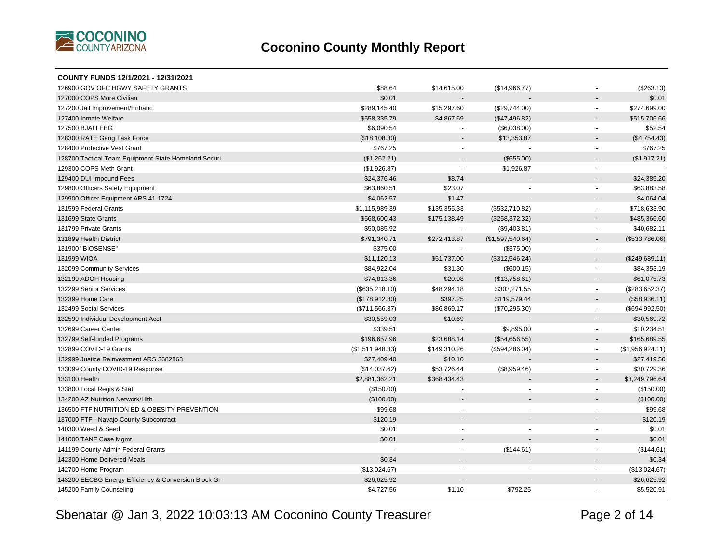

| COUNTY FUNDS 12/1/2021 - 12/31/2021                  |                  |                          |                  |                          |                  |
|------------------------------------------------------|------------------|--------------------------|------------------|--------------------------|------------------|
| 126900 GOV OFC HGWY SAFETY GRANTS                    | \$88.64          | \$14,615.00              | (\$14,966.77)    |                          | (\$263.13)       |
| 127000 COPS More Civilian                            | \$0.01           |                          |                  |                          | \$0.01           |
| 127200 Jail Improvement/Enhanc                       | \$289,145.40     | \$15,297.60              | (\$29,744.00)    | $\blacksquare$           | \$274,699.00     |
| 127400 Inmate Welfare                                | \$558,335.79     | \$4,867.69               | (\$47,496.82)    |                          | \$515,706.66     |
| 127500 BJALLEBG                                      | \$6,090.54       |                          | (\$6,038.00)     | $\blacksquare$           | \$52.54          |
| 128300 RATE Gang Task Force                          | (\$18,108.30)    |                          | \$13,353.87      |                          | (\$4,754.43)     |
| 128400 Protective Vest Grant                         | \$767.25         |                          |                  | $\blacksquare$           | \$767.25         |
| 128700 Tactical Team Equipment-State Homeland Securi | (\$1,262.21)     |                          | (\$655.00)       |                          | (\$1,917.21)     |
| 129300 COPS Meth Grant                               | (\$1,926.87)     |                          | \$1,926.87       |                          |                  |
| 129400 DUI Impound Fees                              | \$24,376.46      | \$8.74                   |                  |                          | \$24,385.20      |
| 129800 Officers Safety Equipment                     | \$63,860.51      | \$23.07                  |                  | ÷.                       | \$63,883.58      |
| 129900 Officer Equipment ARS 41-1724                 | \$4,062.57       | \$1.47                   |                  |                          | \$4,064.04       |
| 131599 Federal Grants                                | \$1,115,989.39   | \$135,355.33             | (\$532,710.82)   |                          | \$718,633.90     |
| 131699 State Grants                                  | \$568,600.43     | \$175,138.49             | (\$258,372.32)   |                          | \$485,366.60     |
| 131799 Private Grants                                | \$50,085.92      | $\overline{\phantom{a}}$ | (\$9,403.81)     | $\sim$                   | \$40,682.11      |
| 131899 Health District                               | \$791,340.71     | \$272,413.87             | (\$1,597,540.64) |                          | (\$533,786.06)   |
| 131900 "BIOSENSE"                                    | \$375.00         | $\blacksquare$           | (\$375.00)       | $\blacksquare$           |                  |
| 131999 WIOA                                          | \$11,120.13      | \$51,737.00              | (\$312,546.24)   | $\blacksquare$           | (\$249,689.11)   |
| 132099 Community Services                            | \$84,922.04      | \$31.30                  | (\$600.15)       | $\overline{\phantom{a}}$ | \$84,353.19      |
| 132199 ADOH Housing                                  | \$74,813.36      | \$20.98                  | (\$13,758.61)    | $\overline{\phantom{a}}$ | \$61,075.73      |
| 132299 Senior Services                               | (\$635,218.10)   | \$48,294.18              | \$303,271.55     | $\blacksquare$           | (\$283,652.37)   |
| 132399 Home Care                                     | (\$178,912.80)   | \$397.25                 | \$119,579.44     | $\overline{\phantom{a}}$ | (\$58,936.11)    |
| 132499 Social Services                               | (\$711,566.37)   | \$86,869.17              | (\$70,295.30)    | $\blacksquare$           | (\$694,992.50)   |
| 132599 Individual Development Acct                   | \$30,559.03      | \$10.69                  |                  |                          | \$30,569.72      |
| 132699 Career Center                                 | \$339.51         | $\blacksquare$           | \$9,895.00       | $\omega$                 | \$10,234.51      |
| 132799 Self-funded Programs                          | \$196,657.96     | \$23,688.14              | (\$54,656.55)    |                          | \$165,689.55     |
| 132899 COVID-19 Grants                               | (\$1,511,948.33) | \$149,310.26             | (\$594, 286.04)  | $\omega$                 | (\$1,956,924.11) |
| 132999 Justice Reinvestment ARS 3682863              | \$27,409.40      | \$10.10                  |                  |                          | \$27,419.50      |
| 133099 County COVID-19 Response                      | (\$14,037.62)    | \$53,726.44              | (\$8,959.46)     | $\omega$                 | \$30,729.36      |
| 133100 Health                                        | \$2,881,362.21   | \$368,434.43             |                  |                          | \$3,249,796.64   |
| 133800 Local Regis & Stat                            | (\$150.00)       |                          |                  | $\sim$                   | (\$150.00)       |
| 134200 AZ Nutrition Network/Hlth                     | (\$100.00)       |                          |                  |                          | (\$100.00)       |
| 136500 FTF NUTRITION ED & OBESITY PREVENTION         | \$99.68          |                          |                  | $\blacksquare$           | \$99.68          |
| 137000 FTF - Navajo County Subcontract               | \$120.19         |                          |                  |                          | \$120.19         |
| 140300 Weed & Seed                                   | \$0.01           |                          |                  |                          | \$0.01           |
| 141000 TANF Case Mgmt                                | \$0.01           |                          |                  |                          | \$0.01           |
| 141199 County Admin Federal Grants                   |                  | $\sim$                   | (\$144.61)       | $\blacksquare$           | (\$144.61)       |
| 142300 Home Delivered Meals                          | \$0.34           |                          |                  |                          | \$0.34           |
| 142700 Home Program                                  | (\$13,024.67)    |                          |                  |                          | (\$13,024.67)    |
| 143200 EECBG Energy Efficiency & Conversion Block Gr | \$26,625.92      |                          |                  |                          | \$26,625.92      |
| 145200 Family Counseling                             | \$4,727.56       | \$1.10                   | \$792.25         |                          | \$5,520.91       |
|                                                      |                  |                          |                  |                          |                  |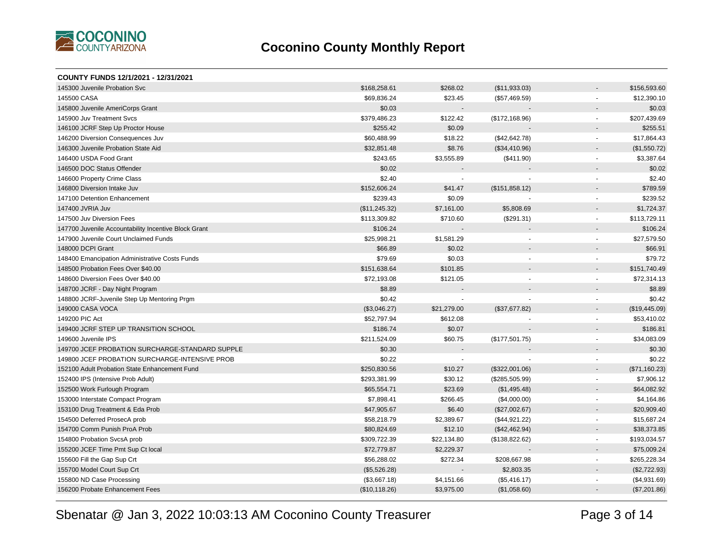

| COUNTY FUNDS 12/1/2021 - 12/31/2021                  |               |             |                 |                          |               |
|------------------------------------------------------|---------------|-------------|-----------------|--------------------------|---------------|
| 145300 Juvenile Probation Svc                        | \$168,258.61  | \$268.02    | (\$11,933.03)   | $\overline{\phantom{a}}$ | \$156,593.60  |
| 145500 CASA                                          | \$69,836.24   | \$23.45     | (\$57,469.59)   | $\blacksquare$           | \$12,390.10   |
| 145800 Juvenile AmeriCorps Grant                     | \$0.03        |             |                 |                          | \$0.03        |
| 145900 Juv Treatment Svcs                            | \$379,486.23  | \$122.42    | (\$172, 168.96) | $\blacksquare$           | \$207,439.69  |
| 146100 JCRF Step Up Proctor House                    | \$255.42      | \$0.09      |                 |                          | \$255.51      |
| 146200 Diversion Consequences Juv                    | \$60,488.99   | \$18.22     | (\$42,642.78)   | $\blacksquare$           | \$17,864.43   |
| 146300 Juvenile Probation State Aid                  | \$32,851.48   | \$8.76      | (\$34,410.96)   | $\blacksquare$           | (\$1,550.72)  |
| 146400 USDA Food Grant                               | \$243.65      | \$3,555.89  | (\$411.90)      | $\overline{\phantom{a}}$ | \$3,387.64    |
| 146500 DOC Status Offender                           | \$0.02        |             |                 |                          | \$0.02        |
| 146600 Property Crime Class                          | \$2.40        |             |                 | $\blacksquare$           | \$2.40        |
| 146800 Diversion Intake Juv                          | \$152,606.24  | \$41.47     | (\$151,858.12)  |                          | \$789.59      |
| 147100 Detention Enhancement                         | \$239.43      | \$0.09      |                 | $\overline{a}$           | \$239.52      |
| 147400 JVRIA Juv                                     | (\$11,245.32) | \$7,161.00  | \$5,808.69      | $\overline{\phantom{a}}$ | \$1,724.37    |
| 147500 Juv Diversion Fees                            | \$113,309.82  | \$710.60    | (\$291.31)      | $\blacksquare$           | \$113,729.11  |
| 147700 Juvenile Accountability Incentive Block Grant | \$106.24      |             |                 | $\overline{\phantom{a}}$ | \$106.24      |
| 147900 Juvenile Court Unclaimed Funds                | \$25,998.21   | \$1,581.29  |                 | $\blacksquare$           | \$27,579.50   |
| 148000 DCPI Grant                                    | \$66.89       | \$0.02      |                 |                          | \$66.91       |
| 148400 Emancipation Administrative Costs Funds       | \$79.69       | \$0.03      |                 | $\blacksquare$           | \$79.72       |
| 148500 Probation Fees Over \$40.00                   | \$151,638.64  | \$101.85    |                 | $\blacksquare$           | \$151,740.49  |
| 148600 Diversion Fees Over \$40.00                   | \$72,193.08   | \$121.05    |                 | $\blacksquare$           | \$72,314.13   |
| 148700 JCRF - Day Night Program                      | \$8.89        |             |                 | $\blacksquare$           | \$8.89        |
| 148800 JCRF-Juvenile Step Up Mentoring Prgm          | \$0.42        |             |                 | $\blacksquare$           | \$0.42        |
| 149000 CASA VOCA                                     | (\$3,046.27)  | \$21,279.00 | (\$37,677.82)   | $\overline{\phantom{a}}$ | (\$19,445.09) |
| 149200 PIC Act                                       | \$52,797.94   | \$612.08    |                 | $\blacksquare$           | \$53,410.02   |
| 149400 JCRF STEP UP TRANSITION SCHOOL                | \$186.74      | \$0.07      |                 |                          | \$186.81      |
| 149600 Juvenile IPS                                  | \$211,524.09  | \$60.75     | (\$177,501.75)  | $\blacksquare$           | \$34,083.09   |
| 149700 JCEF PROBATION SURCHARGE-STANDARD SUPPLE      | \$0.30        |             |                 |                          | \$0.30        |
| 149800 JCEF PROBATION SURCHARGE-INTENSIVE PROB       | \$0.22        |             |                 | $\blacksquare$           | \$0.22        |
| 152100 Adult Probation State Enhancement Fund        | \$250,830.56  | \$10.27     | (\$322,001.06)  | $\overline{\phantom{a}}$ | (\$71,160.23) |
| 152400 IPS (Intensive Prob Adult)                    | \$293,381.99  | \$30.12     | (\$285,505.99)  | $\blacksquare$           | \$7,906.12    |
| 152500 Work Furlough Program                         | \$65,554.71   | \$23.69     | (\$1,495.48)    | $\blacksquare$           | \$64,082.92   |
| 153000 Interstate Compact Program                    | \$7,898.41    | \$266.45    | (\$4,000.00)    | $\blacksquare$           | \$4,164.86    |
| 153100 Drug Treatment & Eda Prob                     | \$47,905.67   | \$6.40      | (\$27,002.67)   | $\blacksquare$           | \$20,909.40   |
| 154500 Deferred ProsecA prob                         | \$58,218.79   | \$2,389.67  | (\$44,921.22)   | $\blacksquare$           | \$15,687.24   |
| 154700 Comm Punish ProA Prob                         | \$80,824.69   | \$12.10     | (\$42,462.94)   | $\overline{a}$           | \$38,373.85   |
| 154800 Probation SvcsA prob                          | \$309,722.39  | \$22,134.80 | (\$138,822.62)  | $\overline{\phantom{a}}$ | \$193,034.57  |
| 155200 JCEF Time Pmt Sup Ct local                    | \$72,779.87   | \$2,229.37  |                 | $\overline{\phantom{a}}$ | \$75,009.24   |
| 155600 Fill the Gap Sup Crt                          | \$56,288.02   | \$272.34    | \$208,667.98    | $\blacksquare$           | \$265,228.34  |
| 155700 Model Court Sup Crt                           | (\$5,526.28)  |             | \$2,803.35      |                          | (\$2,722.93)  |
| 155800 ND Case Processing                            | (\$3,667.18)  | \$4,151.66  | (\$5,416.17)    | $\blacksquare$           | (\$4,931.69)  |
| 156200 Probate Enhancement Fees                      | (\$10,118.26) | \$3,975.00  | (\$1,058.60)    |                          | (\$7,201.86)  |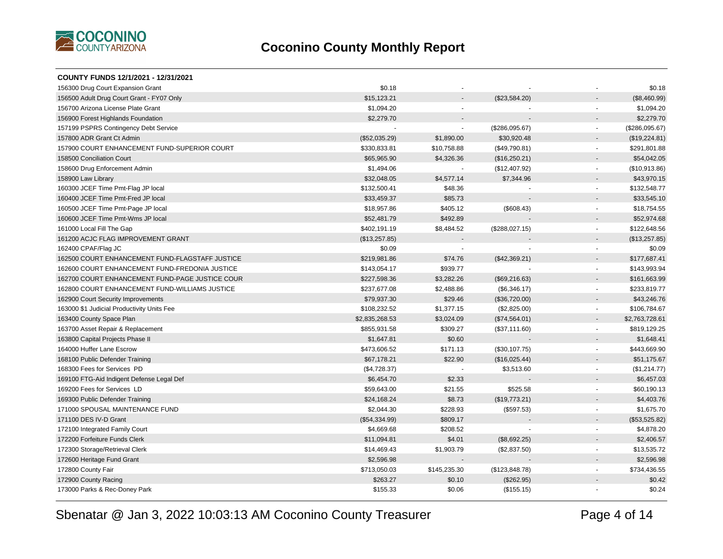

| COUNTY FUNDS 12/1/2021 - 12/31/2021             |                |                          |                |                |                |
|-------------------------------------------------|----------------|--------------------------|----------------|----------------|----------------|
| 156300 Drug Court Expansion Grant               | \$0.18         |                          |                |                | \$0.18         |
| 156500 Adult Drug Court Grant - FY07 Only       | \$15,123.21    |                          | (\$23,584.20)  |                | (\$8,460.99)   |
| 156700 Arizona License Plate Grant              | \$1,094.20     | $\blacksquare$           |                | $\blacksquare$ | \$1,094.20     |
| 156900 Forest Highlands Foundation              | \$2,279.70     |                          |                |                | \$2,279.70     |
| 157199 PSPRS Contingency Debt Service           |                | $\sim$                   | (\$286,095.67) | $\sim$         | (\$286,095.67) |
| 157800 ADR Grant Ct Admin                       | (\$52,035.29)  | \$1,890.00               | \$30,920.48    |                | (\$19,224.81)  |
| 157900 COURT ENHANCEMENT FUND-SUPERIOR COURT    | \$330,833.81   | \$10,758.88              | (\$49,790.81)  | $\sim$         | \$291,801.88   |
| 158500 Conciliation Court                       | \$65,965.90    | \$4,326.36               | (\$16,250.21)  |                | \$54,042.05    |
| 158600 Drug Enforcement Admin                   | \$1,494.06     |                          | (\$12,407.92)  | $\sim$         | (\$10,913.86)  |
| 158900 Law Library                              | \$32,048.05    | \$4,577.14               | \$7,344.96     |                | \$43,970.15    |
| 160300 JCEF Time Pmt-Flag JP local              | \$132,500.41   | \$48.36                  |                | $\omega$       | \$132,548.77   |
| 160400 JCEF Time Pmt-Fred JP local              | \$33,459.37    | \$85.73                  |                |                | \$33,545.10    |
| 160500 JCEF Time Pmt-Page JP local              | \$18,957.86    | \$405.12                 | (\$608.43)     |                | \$18,754.55    |
| 160600 JCEF Time Pmt-Wms JP local               | \$52,481.79    | \$492.89                 |                |                | \$52,974.68    |
| 161000 Local Fill The Gap                       | \$402,191.19   | \$8,484.52               | (\$288,027.15) | $\blacksquare$ | \$122,648.56   |
| 161200 ACJC FLAG IMPROVEMENT GRANT              | (\$13,257.85)  |                          |                |                | (\$13,257.85)  |
| 162400 CPAF/Flag JC                             | \$0.09         | $\overline{\phantom{a}}$ |                | $\blacksquare$ | \$0.09         |
| 162500 COURT ENHANCEMENT FUND-FLAGSTAFF JUSTICE | \$219,981.86   | \$74.76                  | (\$42,369.21)  |                | \$177,687.41   |
| 162600 COURT ENHANCEMENT FUND-FREDONIA JUSTICE  | \$143,054.17   | \$939.77                 |                | $\blacksquare$ | \$143,993.94   |
| 162700 COURT ENHANCEMENT FUND-PAGE JUSTICE COUR | \$227,598.36   | \$3,282.26               | (\$69,216.63)  | $\blacksquare$ | \$161,663.99   |
| 162800 COURT ENHANCEMENT FUND-WILLIAMS JUSTICE  | \$237,677.08   | \$2,488.86               | (\$6,346.17)   | $\blacksquare$ | \$233,819.77   |
| 162900 Court Security Improvements              | \$79,937.30    | \$29.46                  | (\$36,720.00)  | $\blacksquare$ | \$43,246.76    |
| 163000 \$1 Judicial Productivity Units Fee      | \$108,232.52   | \$1,377.15               | (\$2,825.00)   | $\sim$         | \$106,784.67   |
| 163400 County Space Plan                        | \$2,835,268.53 | \$3,024.09               | (\$74,564.01)  |                | \$2,763,728.61 |
| 163700 Asset Repair & Replacement               | \$855,931.58   | \$309.27                 | (\$37,111.60)  | $\blacksquare$ | \$819,129.25   |
| 163800 Capital Projects Phase II                | \$1,647.81     | \$0.60                   |                |                | \$1,648.41     |
| 164000 Huffer Lane Escrow                       | \$473,606.52   | \$171.13                 | (\$30,107.75)  | $\blacksquare$ | \$443,669.90   |
| 168100 Public Defender Training                 | \$67,178.21    | \$22.90                  | (\$16,025.44)  |                | \$51,175.67    |
| 168300 Fees for Services PD                     | (\$4,728.37)   |                          | \$3,513.60     | $\sim$         | (\$1,214.77)   |
| 169100 FTG-Aid Indigent Defense Legal Def       | \$6,454.70     | \$2.33                   |                |                | \$6,457.03     |
| 169200 Fees for Services LD                     | \$59,643.00    | \$21.55                  | \$525.58       |                | \$60,190.13    |
| 169300 Public Defender Training                 | \$24,168.24    | \$8.73                   | (\$19,773.21)  |                | \$4,403.76     |
| 171000 SPOUSAL MAINTENANCE FUND                 | \$2,044.30     | \$228.93                 | (\$597.53)     | $\blacksquare$ | \$1,675.70     |
| 171100 DES IV-D Grant                           | (\$54,334.99)  | \$809.17                 |                |                | (\$53,525.82)  |
| 172100 Integrated Family Court                  | \$4,669.68     | \$208.52                 |                | $\blacksquare$ | \$4,878.20     |
| 172200 Forfeiture Funds Clerk                   | \$11,094.81    | \$4.01                   | (\$8,692.25)   | $\blacksquare$ | \$2,406.57     |
| 172300 Storage/Retrieval Clerk                  | \$14,469.43    | \$1,903.79               | (\$2,837.50)   | $\blacksquare$ | \$13,535.72    |
| 172600 Heritage Fund Grant                      | \$2,596.98     |                          |                | $\sim$         | \$2,596.98     |
| 172800 County Fair                              | \$713,050.03   | \$145,235.30             | (\$123,848.78) | $\blacksquare$ | \$734,436.55   |
| 172900 County Racing                            | \$263.27       | \$0.10                   | (\$262.95)     |                | \$0.42         |
| 173000 Parks & Rec-Doney Park                   | \$155.33       | \$0.06                   | (\$155.15)     |                | \$0.24         |
|                                                 |                |                          |                |                |                |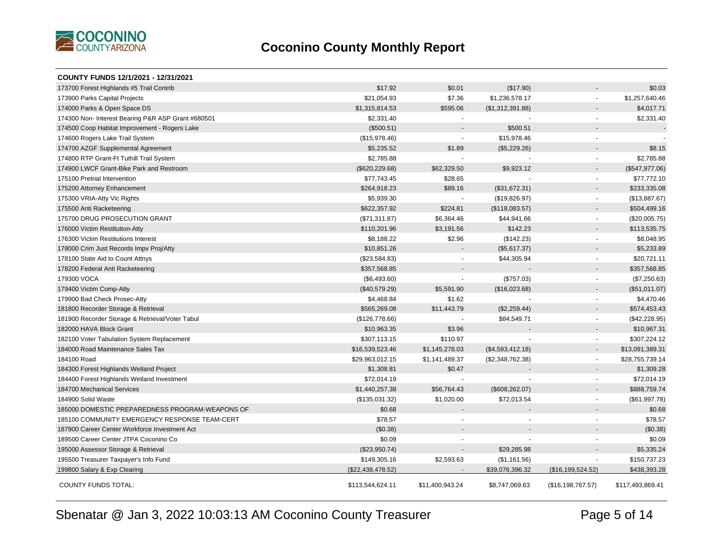

| COUNTY FUNDS 12/1/2021 - 12/31/2021                |                   |                          |                  |                          |                  |
|----------------------------------------------------|-------------------|--------------------------|------------------|--------------------------|------------------|
| 173700 Forest Highlands #5 Trail Contrib           | \$17.92           | \$0.01                   | (\$17.90)        |                          | \$0.03           |
| 173900 Parks Capital Projects                      | \$21,054.93       | \$7.36                   | \$1,236,578.17   | $\blacksquare$           | \$1,257,640.46   |
| 174000 Parks & Open Space DS                       | \$1,315,814.53    | \$595.06                 | (\$1,312,391.88) |                          | \$4,017.71       |
| 174300 Non- Interest Bearing P&R ASP Grant #680501 | \$2,331.40        | $\blacksquare$           |                  | $\sim$                   | \$2,331.40       |
| 174500 Coop Habitat Improvement - Rogers Lake      | (\$500.51)        |                          | \$500.51         |                          |                  |
| 174600 Rogers Lake Trail System                    | (\$15,978.46)     | ÷.                       | \$15,978.46      | $\sim$                   |                  |
| 174700 AZGF Supplemental Agreement                 | \$5,235.52        | \$1.89                   | (\$5,229.26)     |                          | \$8.15           |
| 174800 RTP Grant-Ft Tuthill Trail System           | \$2,785.88        | $\overline{\phantom{a}}$ |                  | $\blacksquare$           | \$2,785.88       |
| 174900 LWCF Grant-Bike Park and Restroom           | (\$620, 229.68)   | \$62,329.50              | \$9,923.12       |                          | (\$547,977.06)   |
| 175100 Pretrial Intervention                       | \$77,743.45       | \$28.65                  |                  |                          | \$77,772.10      |
| 175200 Attorney Enhancement                        | \$264,918.23      | \$89.16                  | (\$31,672.31)    | $\overline{\phantom{a}}$ | \$233,335.08     |
| 175300 VRIA-Atty Vic Rights                        | \$5,939.30        | $\overline{\phantom{a}}$ | (\$19,826.97)    | $\sim$                   | (\$13,887.67)    |
| 175500 Anti Racketeering                           | \$622,357.92      | \$224.81                 | (\$118,083.57)   |                          | \$504,499.16     |
| 175700 DRUG PROSECUTION GRANT                      | (\$71,311.87)     | \$6,364.46               | \$44,941.66      |                          | (\$20,005.75)    |
| 176000 Victim Restitution-Atty                     | \$110,201.96      | \$3,191.56               | \$142.23         |                          | \$113,535.75     |
| 176300 Victim Restitutions Interest                | \$8,188.22        | \$2.96                   | (\$142.23)       | $\sim$                   | \$8,048.95       |
| 178000 Crim Just Records Impv Proj/Atty            | \$10,851.26       |                          | (\$5,617.37)     |                          | \$5,233.89       |
| 178100 State Aid to Count Attnys                   | (\$23,584.83)     |                          | \$44,305.94      | $\blacksquare$           | \$20,721.11      |
| 178200 Federal Anti Racketeering                   | \$357,568.85      |                          |                  |                          | \$357,568.85     |
| 179300 VOCA                                        | (\$6,493.60)      |                          | (\$757.03)       |                          | (\$7,250.63)     |
| 179400 Victim Comp-Atty                            | (\$40,579.29)     | \$5,591.90               | (\$16,023.68)    |                          | (\$51,011.07)    |
| 179900 Bad Check Prosec-Atty                       | \$4,468.84        | \$1.62                   |                  | $\sim$                   | \$4,470.46       |
| 181800 Recorder Storage & Retrieval                | \$565,269.08      | \$11,443.79              | (\$2,259.44)     | $\blacksquare$           | \$574,453.43     |
| 181900 Recorder Storage & Retrieval/Voter Tabul    | (\$126,778.66)    |                          | \$84,549.71      |                          | $(\$42,228.95)$  |
| 182000 HAVA Block Grant                            | \$10,963.35       | \$3.96                   |                  |                          | \$10,967.31      |
| 182100 Voter Tabulation System Replacement         | \$307,113.15      | \$110.97                 |                  | $\sim$                   | \$307,224.12     |
| 184000 Road Maintenance Sales Tax                  | \$16,539,523.46   | \$1,145,278.03           | (\$4,593,412.18) |                          | \$13,091,389.31  |
| 184100 Road                                        | \$29,963,012.15   | \$1,141,489.37           | (\$2,348,762.38) | $\sim$                   | \$28,755,739.14  |
| 184300 Forest Highlands Wetland Project            | \$1,308.81        | \$0.47                   |                  |                          | \$1,309.28       |
| 184400 Forest Highlands Wetland Investment         | \$72,014.19       |                          |                  | $\blacksquare$           | \$72,014.19      |
| 184700 Mechanical Services                         | \$1,440,257.38    | \$56,764.43              | (\$608, 262.07)  |                          | \$888,759.74     |
| 184900 Solid Waste                                 | (\$135,031.32)    | \$1,020.00               | \$72,013.54      | $\sim$                   | (\$61,997.78)    |
| 185000 DOMESTIC PREPAREDNESS PROGRAM-WEAPONS OF    | \$0.68            |                          |                  |                          | \$0.68           |
| 185100 COMMUNITY EMERGENCY RESPONSE TEAM-CERT      | \$78.57           |                          |                  |                          | \$78.57          |
| 187900 Career Center Workforce Investment Act      | (\$0.38)          |                          |                  |                          | (\$0.38)         |
| 189500 Career Center JTPA Coconino Co              | \$0.09            | $\blacksquare$           |                  |                          | \$0.09           |
| 195000 Assessor Storage & Retrieval                | (\$23,950.74)     | $\overline{a}$           | \$29,285.98      |                          | \$5,335.24       |
| 195500 Treasurer Taxpayer's Info Fund              | \$149,305.16      | \$2,593.63               | (\$1,161.56)     |                          | \$150,737.23     |
| 199800 Salary & Exp Clearing                       | (\$22,438,478.52) |                          | \$39,076,396.32  | (\$16,199,524.52)        | \$438,393.28     |
| <b>COUNTY FUNDS TOTAL:</b>                         | \$113,544,624.11  | \$11,400,943.24          | \$8,747,069.63   | (\$16,198,767.57)        | \$117,493,869.41 |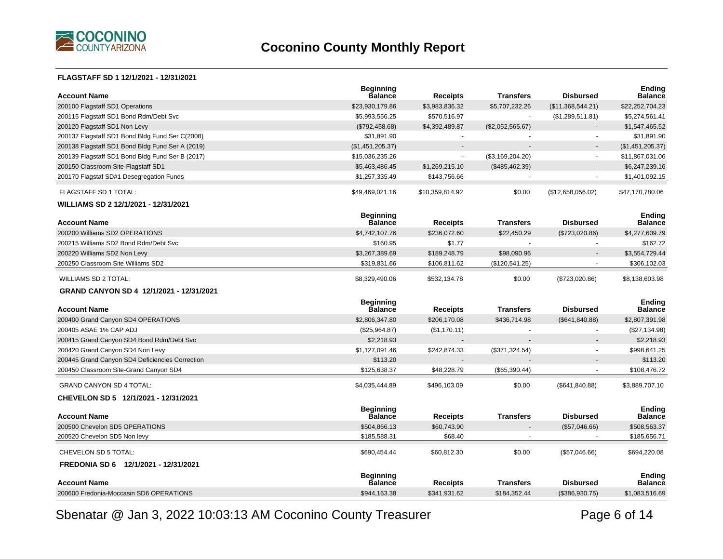

#### **FLAGSTAFF SD 1 12/1/2021 - 12/31/2021**

| <b>Account Name</b>                              | <b>Beginning</b><br><b>Balance</b> | <b>Receipts</b>       | Transfers        | <b>Disbursed</b>  | <b>Ending</b><br><b>Balance</b> |
|--------------------------------------------------|------------------------------------|-----------------------|------------------|-------------------|---------------------------------|
| 200100 Flagstaff SD1 Operations                  | \$23,930,179.86                    | \$3,983,836.32        | \$5,707,232.26   | (\$11,368,544.21) | \$22,252,704.23                 |
| 200115 Flagstaff SD1 Bond Rdm/Debt Svc           | \$5,993,556.25                     | \$570,516.97          |                  | (\$1,289,511.81)  | \$5,274,561.41                  |
| 200120 Flagstaff SD1 Non Levy                    | (\$792,458.68)                     | \$4,392,489.87        | (\$2,052,565.67) |                   | \$1,547,465.52                  |
| 200137 Flagstaff SD1 Bond Bldg Fund Ser C(2008)  | \$31,891.90                        |                       |                  |                   | \$31,891.90                     |
| 200138 Flagstaff SD1 Bond Bldg Fund Ser A (2019) | (\$1,451,205.37)                   | $\overline{a}$        |                  |                   | (\$1,451,205.37)                |
| 200139 Flagstaff SD1 Bond Bldg Fund Ser B (2017) | \$15,036,235.26                    | $\tilde{\phantom{a}}$ | (\$3,169,204.20) | $\sim$            | \$11,867,031.06                 |
| 200150 Classroom Site-Flagstaff SD1              | \$5,463,486.45                     | \$1,269,215.10        | (\$485,462.39)   |                   | \$6,247,239.16                  |
| 200170 Flagstaf SD#1 Desegregation Funds         | \$1,257,335.49                     | \$143,756.66          |                  |                   | \$1,401,092.15                  |
| FLAGSTAFF SD 1 TOTAL:                            | \$49,469,021.16                    | \$10,359,814.92       | \$0.00           | (\$12,658,056.02) | \$47,170,780.06                 |
| WILLIAMS SD 2 12/1/2021 - 12/31/2021             |                                    |                       |                  |                   |                                 |
| <b>Account Name</b>                              | <b>Beginning</b><br>Balance        | <b>Receipts</b>       | <b>Transfers</b> | <b>Disbursed</b>  | <b>Ending</b><br><b>Balance</b> |
| 200200 Williams SD2 OPERATIONS                   | \$4,742,107.76                     | \$236,072.60          | \$22,450.29      | (\$723,020.86)    | \$4,277,609.79                  |
| 200215 Williams SD2 Bond Rdm/Debt Svc            | \$160.95                           | \$1.77                | $\sim$           |                   | \$162.72                        |
| 200220 Williams SD2 Non Levy                     | \$3,267,389.69                     | \$189,248.79          | \$98.090.96      |                   | \$3,554,729.44                  |
| 200250 Classroom Site Williams SD2               | \$319,831.66                       | \$106,811.62          | (\$120,541.25)   |                   | \$306,102.03                    |
| <b>WILLIAMS SD 2 TOTAL:</b>                      | \$8,329,490.06                     | \$532,134.78          | \$0.00           | (\$723,020.86)    | \$8,138,603.98                  |
|                                                  |                                    |                       |                  |                   |                                 |
| GRAND CANYON SD 4 12/1/2021 - 12/31/2021         |                                    |                       |                  |                   |                                 |
| <b>Account Name</b>                              | <b>Beginning</b><br><b>Balance</b> | <b>Receipts</b>       | <b>Transfers</b> | <b>Disbursed</b>  | <b>Ending</b><br><b>Balance</b> |
| 200400 Grand Canyon SD4 OPERATIONS               | \$2,806,347.80                     | \$206,170.08          | \$436,714.98     | (\$641, 840.88)   | \$2,807,391.98                  |
| 200405 ASAE 1% CAP ADJ                           | (\$25,964.87)                      | (\$1,170.11)          |                  |                   | (\$27,134.98)                   |
| 200415 Grand Canyon SD4 Bond Rdm/Debt Svc        | \$2,218.93                         |                       |                  |                   | \$2,218.93                      |
| 200420 Grand Canyon SD4 Non Levy                 | \$1,127,091.46                     | \$242,874.33          | (\$371,324.54)   |                   | \$998,641.25                    |
| 200445 Grand Canyon SD4 Deficiencies Correction  | \$113.20                           |                       |                  |                   | \$113.20                        |
| 200450 Classroom Site-Grand Canyon SD4           | \$125.638.37                       | \$48,228.79           | (\$65,390.44)    |                   | \$108,476.72                    |
| <b>GRAND CANYON SD 4 TOTAL:</b>                  | \$4,035,444.89                     | \$496,103.09          | \$0.00           | (\$641, 840.88)   | \$3,889,707.10                  |
| CHEVELON SD 5 12/1/2021 - 12/31/2021             |                                    |                       |                  |                   |                                 |
| <b>Account Name</b>                              | <b>Beginning</b><br><b>Balance</b> | <b>Receipts</b>       | <b>Transfers</b> | <b>Disbursed</b>  | <b>Ending</b><br><b>Balance</b> |
| 200500 Chevelon SD5 OPERATIONS                   | \$504,866.13                       | \$60,743.90           |                  | (\$57,046.66)     | \$508,563.37                    |
| 200520 Chevelon SD5 Non levy                     | \$185,588.31                       | \$68.40               |                  |                   | \$185,656.71                    |
| CHEVELON SD 5 TOTAL:                             | \$690,454.44                       | \$60,812.30           | \$0.00           | (\$57,046.66)     | \$694,220.08                    |
| FREDONIA SD 6 12/1/2021 - 12/31/2021             |                                    |                       |                  |                   |                                 |
| <b>Account Name</b>                              | <b>Beginning</b><br><b>Balance</b> | <b>Receipts</b>       | <b>Transfers</b> | <b>Disbursed</b>  | <b>Ending</b><br><b>Balance</b> |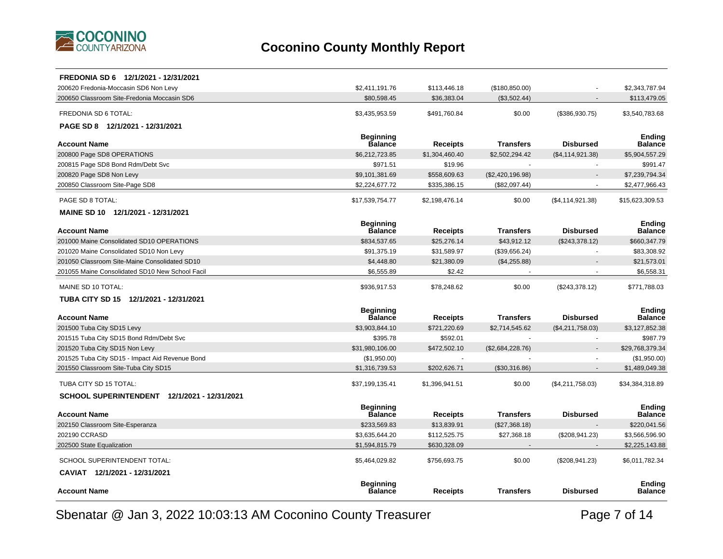

| FREDONIA SD 6 12/1/2021 - 12/31/2021            |                                    |                 |                  |                    |                          |
|-------------------------------------------------|------------------------------------|-----------------|------------------|--------------------|--------------------------|
| 200620 Fredonia-Moccasin SD6 Non Levy           | \$2,411,191.76                     | \$113,446.18    | (\$180, 850.00)  |                    | \$2.343.787.94           |
| 200650 Classroom Site-Fredonia Moccasin SD6     | \$80,598.45                        | \$36,383.04     | (\$3,502.44)     |                    | \$113,479.05             |
| FREDONIA SD 6 TOTAL:                            | \$3,435,953.59                     | \$491,760.84    | \$0.00           | (\$386,930.75)     | \$3,540,783.68           |
| PAGE SD 8 12/1/2021 - 12/31/2021                |                                    |                 |                  |                    |                          |
|                                                 | <b>Beginning</b>                   |                 |                  |                    | <b>Ending</b>            |
| <b>Account Name</b>                             | <b>Balance</b>                     | <b>Receipts</b> | <b>Transfers</b> | <b>Disbursed</b>   | Balance                  |
| 200800 Page SD8 OPERATIONS                      | \$6,212,723.85                     | \$1,304,460.40  | \$2,502,294.42   | (\$4, 114, 921.38) | \$5,904,557.29           |
| 200815 Page SD8 Bond Rdm/Debt Svc               | \$971.51                           | \$19.96         |                  |                    | \$991.47                 |
| 200820 Page SD8 Non Levy                        | \$9,101,381.69                     | \$558,609.63    | (\$2,420,196.98) |                    | \$7,239,794.34           |
| 200850 Classroom Site-Page SD8                  | \$2,224,677.72                     | \$335,386.15    | (\$82,097.44)    |                    | \$2,477,966.43           |
| PAGE SD 8 TOTAL:                                | \$17,539,754.77                    | \$2,198,476.14  | \$0.00           | (\$4, 114, 921.38) | \$15,623,309.53          |
| MAINE SD 10 12/1/2021 - 12/31/2021              |                                    |                 |                  |                    |                          |
| <b>Account Name</b>                             | <b>Beginning</b><br><b>Balance</b> | <b>Receipts</b> | <b>Transfers</b> | <b>Disbursed</b>   | <b>Ending</b><br>Balance |
| 201000 Maine Consolidated SD10 OPERATIONS       | \$834,537.65                       | \$25,276.14     | \$43,912.12      | (\$243,378.12)     | \$660,347.79             |
| 201020 Maine Consolidated SD10 Non Levy         | \$91,375.19                        | \$31,589.97     | (\$39,656.24)    |                    | \$83,308.92              |
| 201050 Classroom Site-Maine Consolidated SD10   | \$4,448.80                         | \$21,380.09     | (\$4,255.88)     |                    | \$21,573.01              |
| 201055 Maine Consolidated SD10 New School Facil | \$6,555.89                         | \$2.42          |                  |                    | \$6,558.31               |
| MAINE SD 10 TOTAL:                              | \$936,917.53                       | \$78,248.62     | \$0.00           | (\$243,378.12)     | \$771,788.03             |
| TUBA CITY SD 15 12/1/2021 - 12/31/2021          |                                    |                 |                  |                    |                          |
|                                                 | <b>Beginning</b>                   |                 |                  |                    | <b>Ending</b>            |
| <b>Account Name</b>                             | <b>Balance</b>                     | Receipts        | <b>Transfers</b> | <b>Disbursed</b>   | Balance                  |
| 201500 Tuba City SD15 Levy                      | \$3,903,844.10                     | \$721,220.69    | \$2,714,545.62   | (\$4,211,758.03)   | \$3,127,852.38           |
| 201515 Tuba City SD15 Bond Rdm/Debt Svc         | \$395.78                           | \$592.01        |                  |                    | \$987.79                 |
| 201520 Tuba City SD15 Non Levy                  | \$31,980,106.00                    | \$472,502.10    | (\$2,684,228.76) |                    | \$29,768,379.34          |
| 201525 Tuba City SD15 - Impact Aid Revenue Bond | (\$1,950.00)                       |                 |                  |                    | (\$1,950.00)             |
| 201550 Classroom Site-Tuba City SD15            | \$1,316,739.53                     | \$202,626.71    | (\$30,316.86)    |                    | \$1,489,049.38           |
| TUBA CITY SD 15 TOTAL:                          | \$37,199,135.41                    | \$1,396,941.51  | \$0.00           | (\$4,211,758.03)   | \$34,384,318.89          |
| SCHOOL SUPERINTENDENT 12/1/2021 - 12/31/2021    |                                    |                 |                  |                    |                          |
|                                                 | <b>Beginning</b>                   |                 |                  |                    | <b>Ending</b>            |
| <b>Account Name</b>                             | <b>Balance</b>                     | Receipts        | <b>Transfers</b> | <b>Disbursed</b>   | <b>Balance</b>           |
| 202150 Classroom Site-Esperanza                 | \$233,569.83                       | \$13,839.91     | (\$27,368.18)    |                    | \$220,041.56             |
| 202190 CCRASD                                   | \$3,635,644.20                     | \$112,525.75    | \$27,368.18      | (\$208, 941.23)    | \$3,566,596.90           |
| 202500 State Equalization                       | \$1,594,815.79                     | \$630,328.09    |                  |                    | \$2,225,143.88           |
| SCHOOL SUPERINTENDENT TOTAL:                    | \$5,464,029.82                     | \$756,693.75    | \$0.00           | (\$208,941.23)     | \$6,011,782.34           |
| CAVIAT 12/1/2021 - 12/31/2021                   |                                    |                 |                  |                    |                          |
| <b>Account Name</b>                             | <b>Beginning</b><br><b>Balance</b> | Receipts        | <b>Transfers</b> | <b>Disbursed</b>   | <b>Ending</b><br>Balance |
|                                                 |                                    |                 |                  |                    |                          |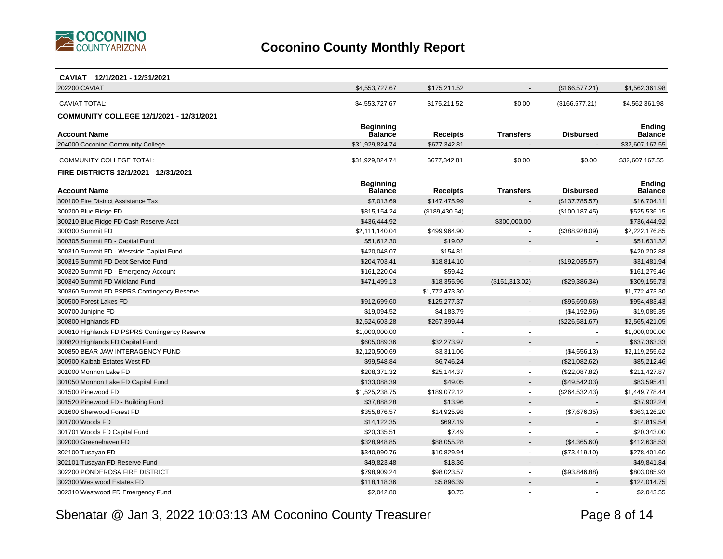

| CAVIAT 12/1/2021 - 12/31/2021                 |                                    |                 |                          |                  |                                 |
|-----------------------------------------------|------------------------------------|-----------------|--------------------------|------------------|---------------------------------|
| 202200 CAVIAT                                 | \$4,553,727.67                     | \$175,211.52    |                          | (\$166,577.21)   | \$4,562,361.98                  |
| <b>CAVIAT TOTAL:</b>                          | \$4,553,727.67                     | \$175,211.52    | \$0.00                   | (\$166,577.21)   | \$4,562,361.98                  |
|                                               |                                    |                 |                          |                  |                                 |
| COMMUNITY COLLEGE 12/1/2021 - 12/31/2021      |                                    |                 |                          |                  |                                 |
| <b>Account Name</b>                           | <b>Beginning</b><br><b>Balance</b> | <b>Receipts</b> | <b>Transfers</b>         | <b>Disbursed</b> | <b>Ending</b><br><b>Balance</b> |
| 204000 Coconino Community College             | \$31,929,824.74                    | \$677,342.81    |                          |                  | \$32,607,167.55                 |
|                                               |                                    |                 |                          |                  |                                 |
| COMMUNITY COLLEGE TOTAL:                      | \$31,929,824.74                    | \$677,342.81    | \$0.00                   | \$0.00           | \$32,607,167.55                 |
| FIRE DISTRICTS 12/1/2021 - 12/31/2021         |                                    |                 |                          |                  |                                 |
|                                               | <b>Beginning</b>                   |                 |                          |                  | Ending                          |
| <b>Account Name</b>                           | Balance                            | <b>Receipts</b> | <b>Transfers</b>         | <b>Disbursed</b> | <b>Balance</b>                  |
| 300100 Fire District Assistance Tax           | \$7,013.69                         | \$147,475.99    |                          | (\$137,785.57)   | \$16,704.11                     |
| 300200 Blue Ridge FD                          | \$815,154.24                       | (\$189,430.64)  |                          | (\$100, 187.45)  | \$525,536.15                    |
| 300210 Blue Ridge FD Cash Reserve Acct        | \$436,444.92                       |                 | \$300,000.00             |                  | \$736,444.92                    |
| 300300 Summit FD                              | \$2,111,140.04                     | \$499,964.90    |                          | (\$388,928.09)   | \$2,222,176.85                  |
| 300305 Summit FD - Capital Fund               | \$51,612.30                        | \$19.02         |                          |                  | \$51,631.32                     |
| 300310 Summit FD - Westside Capital Fund      | \$420,048.07                       | \$154.81        |                          |                  | \$420,202.88                    |
| 300315 Summit FD Debt Service Fund            | \$204,703.41                       | \$18,814.10     |                          | (\$192,035.57)   | \$31,481.94                     |
| 300320 Summit FD - Emergency Account          | \$161,220.04                       | \$59.42         |                          |                  | \$161,279.46                    |
| 300340 Summit FD Wildland Fund                | \$471,499.13                       | \$18,355.96     | (\$151,313.02)           | (\$29,386.34)    | \$309,155.73                    |
| 300360 Summit FD PSPRS Contingency Reserve    | $\sim$                             | \$1,772,473.30  |                          |                  | \$1,772,473.30                  |
| 300500 Forest Lakes FD                        | \$912,699.60                       | \$125,277.37    |                          | (\$95,690.68)    | \$954,483.43                    |
| 300700 Junipine FD                            | \$19,094.52                        | \$4,183.79      |                          | (\$4,192.96)     | \$19,085.35                     |
| 300800 Highlands FD                           | \$2,524,603.28                     | \$267,399.44    |                          | (\$226,581.67)   | \$2,565,421.05                  |
| 300810 Highlands FD PSPRS Contingency Reserve | \$1,000,000.00                     |                 |                          |                  | \$1,000,000.00                  |
| 300820 Highlands FD Capital Fund              | \$605,089.36                       | \$32,273.97     |                          |                  | \$637,363.33                    |
| 300850 BEAR JAW INTERAGENCY FUND              | \$2,120,500.69                     | \$3,311.06      | $\sim$                   | (\$4,556.13)     | \$2,119,255.62                  |
| 300900 Kaibab Estates West FD                 | \$99,548.84                        | \$6,746.24      |                          | (\$21,082.62)    | \$85,212.46                     |
| 301000 Mormon Lake FD                         | \$208,371.32                       | \$25,144.37     |                          | (\$22,087.82)    | \$211,427.87                    |
| 301050 Mormon Lake FD Capital Fund            | \$133,088.39                       | \$49.05         |                          | (\$49,542.03)    | \$83,595.41                     |
| 301500 Pinewood FD                            | \$1,525,238.75                     | \$189,072.12    | $\overline{\phantom{a}}$ | (\$264,532.43)   | \$1,449,778.44                  |
| 301520 Pinewood FD - Building Fund            | \$37,888.28                        | \$13.96         |                          |                  | \$37,902.24                     |
| 301600 Sherwood Forest FD                     | \$355.876.57                       | \$14,925.98     |                          | (\$7,676.35)     | \$363,126.20                    |
| 301700 Woods FD                               | \$14,122.35                        | \$697.19        |                          |                  | \$14,819.54                     |
| 301701 Woods FD Capital Fund                  | \$20,335.51                        | \$7.49          |                          |                  | \$20,343.00                     |
| 302000 Greenehaven FD                         | \$328,948.85                       | \$88,055.28     |                          | (\$4,365.60)     | \$412,638.53                    |
| 302100 Tusayan FD                             | \$340,990.76                       | \$10,829.94     |                          | (\$73,419.10)    | \$278,401.60                    |
| 302101 Tusayan FD Reserve Fund                | \$49,823.48                        | \$18.36         |                          |                  | \$49,841.84                     |
| 302200 PONDEROSA FIRE DISTRICT                | \$798,909.24                       | \$98,023.57     | $\overline{\phantom{a}}$ | (\$93,846.88)    | \$803,085.93                    |
| 302300 Westwood Estates FD                    | \$118,118.36                       | \$5,896.39      |                          |                  | \$124,014.75                    |
| 302310 Westwood FD Emergency Fund             | \$2,042.80                         | \$0.75          |                          |                  | \$2,043.55                      |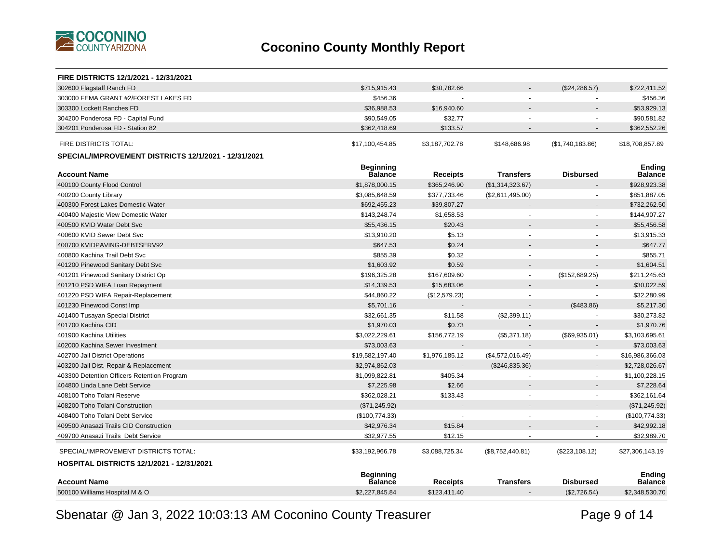

| <b>FIRE DISTRICTS 12/1/2021 - 12/31/2021</b>         |                                    |                 |                  |                       |                                 |
|------------------------------------------------------|------------------------------------|-----------------|------------------|-----------------------|---------------------------------|
| 302600 Flagstaff Ranch FD                            | \$715,915.43                       | \$30,782.66     |                  | (\$24, 286.57)        | \$722,411.52                    |
| 303000 FEMA GRANT #2/FOREST LAKES FD                 | \$456.36                           |                 |                  |                       | \$456.36                        |
| 303300 Lockett Ranches FD                            | \$36,988.53                        | \$16,940.60     |                  |                       | \$53,929.13                     |
| 304200 Ponderosa FD - Capital Fund                   | \$90,549.05                        | \$32.77         |                  |                       | \$90,581.82                     |
| 304201 Ponderosa FD - Station 82                     | \$362,418.69                       | \$133.57        |                  | $\blacksquare$        | \$362,552.26                    |
| FIRE DISTRICTS TOTAL:                                | \$17,100,454.85                    | \$3,187,702.78  | \$148,686.98     | (\$1,740,183.86)      | \$18,708,857.89                 |
| SPECIAL/IMPROVEMENT DISTRICTS 12/1/2021 - 12/31/2021 |                                    |                 |                  |                       |                                 |
| <b>Account Name</b>                                  | <b>Beginning</b><br><b>Balance</b> | <b>Receipts</b> | Transfers        | <b>Disbursed</b>      | <b>Ending</b><br><b>Balance</b> |
| 400100 County Flood Control                          | \$1,878,000.15                     | \$365,246.90    | (\$1,314,323.67) |                       | \$928,923.38                    |
| 400200 County Library                                | \$3,085,648.59                     | \$377,733.46    | (\$2,611,495.00) | $\sim$                | \$851,887.05                    |
| 400300 Forest Lakes Domestic Water                   | \$692,455.23                       | \$39,807.27     |                  |                       | \$732,262.50                    |
| 400400 Majestic View Domestic Water                  | \$143,248.74                       | \$1,658.53      |                  |                       | \$144,907.27                    |
| 400500 KVID Water Debt Svc                           | \$55,436.15                        | \$20.43         |                  |                       | \$55,456.58                     |
| 400600 KVID Sewer Debt Svc                           | \$13,910.20                        | \$5.13          | ä,               | $\tilde{\phantom{a}}$ | \$13,915.33                     |
| 400700 KVIDPAVING-DEBTSERV92                         | \$647.53                           | \$0.24          |                  |                       | \$647.77                        |
| 400800 Kachina Trail Debt Svc                        | \$855.39                           | \$0.32          |                  |                       | \$855.71                        |
| 401200 Pinewood Sanitary Debt Svc                    | \$1,603.92                         | \$0.59          |                  |                       | \$1,604.51                      |
| 401201 Pinewood Sanitary District Op                 | \$196,325.28                       | \$167,609.60    | $\blacksquare$   | (\$152,689.25)        | \$211,245.63                    |
| 401210 PSD WIFA Loan Repayment                       | \$14,339.53                        | \$15,683.06     |                  |                       | \$30,022.59                     |
| 401220 PSD WIFA Repair-Replacement                   | \$44,860.22                        | (\$12,579.23)   |                  |                       | \$32,280.99                     |
| 401230 Pinewood Const Imp                            | \$5,701.16                         |                 |                  | (\$483.86)            | \$5,217.30                      |
| 401400 Tusayan Special District                      | \$32,661.35                        | \$11.58         | (\$2,399.11)     | $\sim$                | \$30,273.82                     |
| 401700 Kachina CID                                   | \$1,970.03                         | \$0.73          |                  |                       | \$1,970.76                      |
| 401900 Kachina Utilities                             | \$3,022,229.61                     | \$156,772.19    | (\$5,371.18)     | (\$69,935.01)         | \$3,103,695.61                  |
| 402000 Kachina Sewer Investment                      | \$73,003.63                        |                 |                  | $\overline{a}$        | \$73,003.63                     |
| 402700 Jail District Operations                      | \$19,582,197.40                    | \$1,976,185.12  | (\$4,572,016.49) | $\blacksquare$        | \$16,986,366.03                 |
| 403200 Jail Dist. Repair & Replacement               | \$2,974,862.03                     |                 | (\$246, 835.36)  | $\overline{a}$        | \$2,728,026.67                  |
| 403300 Detention Officers Retention Program          | \$1,099,822.81                     | \$405.34        |                  | $\blacksquare$        | \$1,100,228.15                  |
| 404800 Linda Lane Debt Service                       | \$7,225.98                         | \$2.66          |                  | $\blacksquare$        | \$7,228.64                      |
| 408100 Toho Tolani Reserve                           | \$362,028.21                       | \$133.43        |                  | $\blacksquare$        | \$362,161.64                    |
| 408200 Toho Tolani Construction                      | (\$71,245.92)                      |                 |                  |                       | (\$71, 245.92)                  |
| 408400 Toho Tolani Debt Service                      | (\$100,774.33)                     |                 |                  | $\sim$                | (\$100,774.33)                  |
| 409500 Anasazi Trails CID Construction               | \$42,976.34                        | \$15.84         |                  |                       | \$42,992.18                     |
| 409700 Anasazi Trails Debt Service                   | \$32,977.55                        | \$12.15         |                  | $\blacksquare$        | \$32,989.70                     |
| SPECIAL/IMPROVEMENT DISTRICTS TOTAL:                 | \$33,192,966.78                    | \$3,088,725.34  | (\$8,752,440.81) | (\$223,108.12)        | \$27,306,143.19                 |
| <b>HOSPITAL DISTRICTS 12/1/2021 - 12/31/2021</b>     |                                    |                 |                  |                       |                                 |
| <b>Account Name</b>                                  | <b>Beginning</b><br><b>Balance</b> | <b>Receipts</b> | <b>Transfers</b> | <b>Disbursed</b>      | <b>Ending</b><br><b>Balance</b> |
| 500100 Williams Hospital M & O                       | \$2,227,845.84                     | \$123.411.40    |                  | (\$2,726.54)          | \$2,348,530.70                  |
|                                                      |                                    |                 |                  |                       |                                 |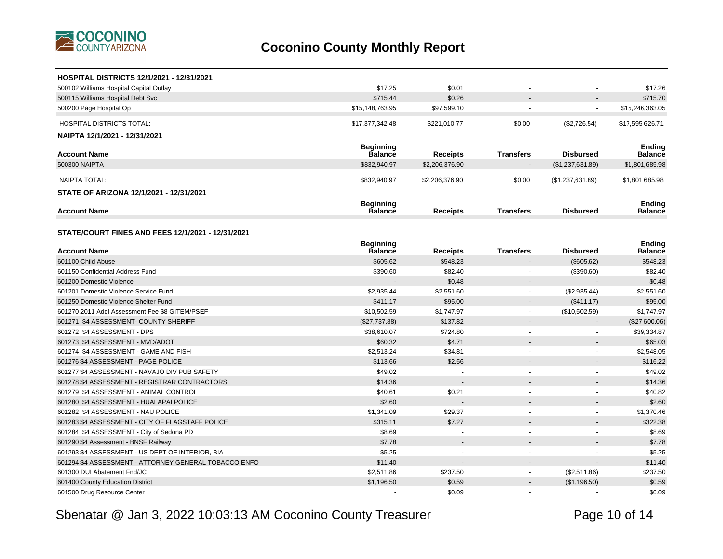

| <b>HOSPITAL DISTRICTS 12/1/2021 - 12/31/2021</b>      |                                    |                 |                          |                  |                                 |
|-------------------------------------------------------|------------------------------------|-----------------|--------------------------|------------------|---------------------------------|
| 500102 Williams Hospital Capital Outlay               | \$17.25                            | \$0.01          |                          |                  | \$17.26                         |
| 500115 Williams Hospital Debt Svc                     | \$715.44                           | \$0.26          |                          |                  | \$715.70                        |
| 500200 Page Hospital Op                               | \$15,148,763.95                    | \$97,599.10     |                          |                  | \$15,246,363.05                 |
| <b>HOSPITAL DISTRICTS TOTAL:</b>                      | \$17,377,342.48                    | \$221,010.77    | \$0.00                   | (\$2,726.54)     | \$17,595,626.71                 |
| NAIPTA 12/1/2021 - 12/31/2021                         |                                    |                 |                          |                  |                                 |
| <b>Account Name</b>                                   | <b>Beginning</b><br><b>Balance</b> | <b>Receipts</b> | <b>Transfers</b>         | <b>Disbursed</b> | <b>Ending</b><br><b>Balance</b> |
| 500300 NAIPTA                                         | \$832,940.97                       | \$2,206,376.90  |                          | (\$1,237,631.89) | \$1,801,685.98                  |
|                                                       |                                    |                 |                          |                  |                                 |
| <b>NAIPTA TOTAL:</b>                                  | \$832,940.97                       | \$2,206,376.90  | \$0.00                   | (\$1,237,631.89) | \$1,801,685.98                  |
| STATE OF ARIZONA 12/1/2021 - 12/31/2021               |                                    |                 |                          |                  |                                 |
| <b>Account Name</b>                                   | <b>Beginning</b><br>Balance        | <b>Receipts</b> | <b>Transfers</b>         | <b>Disbursed</b> | Ending<br>Balance               |
| STATE/COURT FINES AND FEES 12/1/2021 - 12/31/2021     |                                    |                 |                          |                  |                                 |
| <b>Account Name</b>                                   | <b>Beginning</b><br><b>Balance</b> | <b>Receipts</b> | <b>Transfers</b>         | <b>Disbursed</b> | <b>Ending</b><br>Balance        |
| 601100 Child Abuse                                    | \$605.62                           | \$548.23        |                          | (\$605.62)       | \$548.23                        |
| 601150 Confidential Address Fund                      | \$390.60                           | \$82.40         |                          | (\$390.60)       | \$82.40                         |
| 601200 Domestic Violence                              |                                    | \$0.48          |                          |                  | \$0.48                          |
| 601201 Domestic Violence Service Fund                 | \$2,935.44                         | \$2,551.60      |                          | (\$2,935.44)     | \$2,551.60                      |
| 601250 Domestic Violence Shelter Fund                 | \$411.17                           | \$95.00         |                          | (\$411.17)       | \$95.00                         |
| 601270 2011 Addl Assessment Fee \$8 GITEM/PSEF        | \$10,502.59                        | \$1,747.97      | $\overline{\phantom{a}}$ | (\$10,502.59)    | \$1,747.97                      |
| 601271 \$4 ASSESSMENT- COUNTY SHERIFF                 | (\$27,737.88)                      | \$137.82        |                          |                  | (\$27,600.06)                   |
| 601272 \$4 ASSESSMENT - DPS                           | \$38,610.07                        | \$724.80        | $\sim$                   | $\blacksquare$   | \$39,334.87                     |
| 601273 \$4 ASSESSMENT - MVD/ADOT                      | \$60.32                            | \$4.71          |                          |                  | \$65.03                         |
| 601274 \$4 ASSESSMENT - GAME AND FISH                 | \$2,513.24                         | \$34.81         |                          |                  | \$2,548.05                      |
| 601276 \$4 ASSESSMENT - PAGE POLICE                   | \$113.66                           | \$2.56          |                          |                  | \$116.22                        |
| 601277 \$4 ASSESSMENT - NAVAJO DIV PUB SAFETY         | \$49.02                            |                 |                          | ÷                | \$49.02                         |
| 601278 \$4 ASSESSMENT - REGISTRAR CONTRACTORS         | \$14.36                            |                 |                          |                  | \$14.36                         |
| 601279 \$4 ASSESSMENT - ANIMAL CONTROL                | \$40.61                            | \$0.21          |                          |                  | \$40.82                         |
| 601280 \$4 ASSESSMENT - HUALAPAI POLICE               | \$2.60                             |                 |                          |                  | \$2.60                          |
| 601282 \$4 ASSESSMENT - NAU POLICE                    | \$1,341.09                         | \$29.37         |                          |                  | \$1,370.46                      |
| 601283 \$4 ASSESSMENT - CITY OF FLAGSTAFF POLICE      | \$315.11                           | \$7.27          |                          |                  | \$322.38                        |
| 601284 \$4 ASSESSMENT - City of Sedona PD             | \$8.69                             |                 |                          |                  | \$8.69                          |
| 601290 \$4 Assessment - BNSF Railway                  | \$7.78                             |                 |                          |                  | \$7.78                          |
| 601293 \$4 ASSESSMENT - US DEPT OF INTERIOR, BIA      | \$5.25                             |                 |                          |                  | \$5.25                          |
| 601294 \$4 ASSESSMENT - ATTORNEY GENERAL TOBACCO ENFO | \$11.40                            |                 |                          |                  | \$11.40                         |
| 601300 DUI Abatement Fnd/JC                           | \$2,511.86                         | \$237.50        |                          | (\$2,511.86)     | \$237.50                        |
| 601400 County Education District                      | \$1,196.50                         | \$0.59          |                          | (\$1,196.50)     | \$0.59                          |
| 601500 Drug Resource Center                           |                                    | \$0.09          |                          |                  | \$0.09                          |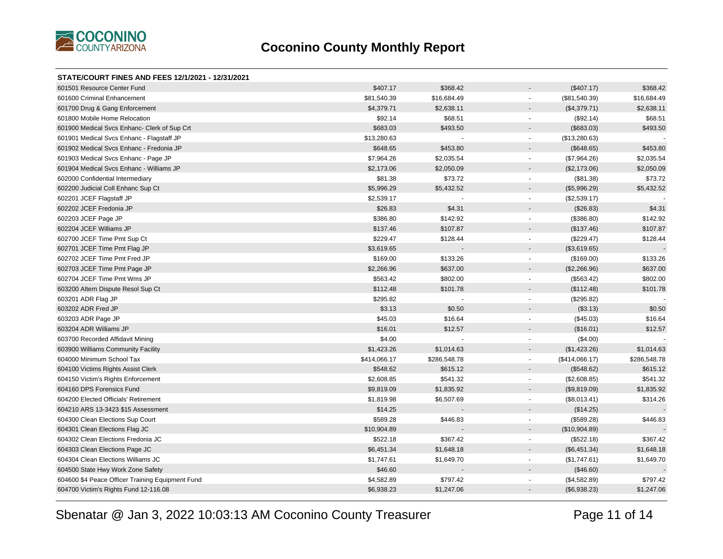

#### **STATE/COURT FINES AND FEES 12/1/2021 - 12/31/2021** 601501 Resource Center Fund \$407.17 \$368.42 - (\$407.17) \$368.42 601600 Criminal Enhancement \$81,540.39 \$16,684.49 \$16,684.49 \$16,684.49 \$16,684.49 \$16,684.49 601700 Drug & Gang Enforcement 62,638.11 \$2,638.11 \$2,638.11 \$2,638.11 \$2,638.11 \$2,638.11 \$2,638.11 601800 Mobile Home Relocation 668.51 568.51 592.14 \$68.51 592.14 \$68.51 592.14 \$68.51 592.14 601900 Medical Svcs Enhanc- Clerk of Sup Crt \$683.03 \$493.50 \$493.50 \$493.50 \$493.50 \$493.50 \$493.50 \$493.50 601901 Medical Svcs Enhanc - Flagstaff JP **601901 Medical Svcs Enhance - Flagstaff JP** 601901 Medical Svcs Enhanc - Flagstaff JP 601902 Medical Svcs Enhanc - Fredonia JP \$645.80 \$453.80 \$453.80 \$453.80 \$453.80 \$453.80 \$453.80 \$453.80 601903 Medical Svcs Enhanc - Page JP \$2,035.54 \$2,035.54 \$2,035.54 \$2,035.54 \$2,035.54 \$2,035.54 \$2,035.54 601904 Medical Svcs Enhanc - Williams JP \$2,173.06 \$2,050.09 - (\$2,173.06) \$2,050.09 602000 Confidential Intermediary \$81.38 \$73.72 - (\$81.38) \$73.72 602200 Judicial Coll Enhanc Sup Ct \$5,996.29 \$5,432.52 - (\$5,996.29) \$5,432.52 602201 JCEF Flagstaff JP \$2,539.17 - - (\$2,539.17) - 602202 JCEF Fredonia JP \$26.83 \$4.31 - (\$26.83) \$4.31 602203 JCEF Page JP \$386.80 \$142.92 - (\$386.80) \$142.92 602204 JCEF Williams JP \$137.46 \$107.87 - (\$137.46) \$107.87 602700 JCEF Time Pmt Sup Ct \$128.44 \$128.44 \$128.44 \$128.44 \$128.44 \$128.44 \$128.44 \$128.44 602701 JCEF Time Pmt Flag JP (\$3,619.65) - (\$3,619.65 - - (\$3,619.65 - - (\$3,619.65 - - (\$3,619.65) 602702 JCEF Time Pmt Fred JP \$169.00 \$133.26 - (\$169.00) \$133.26 602703 JCEF Time Pmt Page JP \$637.00 \$637.00 \$637.00 \$637.00 \$637.00 \$637.00 \$637.00 \$637.00 \$637.00 602704 JCEF Time Pmt Wms JP \$502.00 \$802.00 \$802.00 \$802.00 \$802.00 \$802.00 \$802.00 603200 Altern Dispute Resol Sup Ct \$112.48 \$101.78 - (\$112.48) \$101.78 603201 ADR Flag JP \$295.82 - - (\$295.82) - 603202 ADR Fred JP \$3.13 \$0.50 - (\$3.13) \$0.50 603203 ADR Page JP \$45.03 \$16.64 - (\$45.03) \$16.64 603204 ADR Williams JP \$16.01 \$12.57 - (\$16.01) \$12.57 603700 Recorded Affidavit Mining (\$4.00) 603700 Recorded Affidavit Mining (\$4.00) 603700 Recorded Affidavit Mining 603900 Williams Community Facility \$1,423.26 \$1,014.63 - (\$1,423.26) \$1,014.63 604000 Minimum School Tax \$414,066.17 \$286,548.78 - (\$414,066.17) \$286,548.78 604100 Victims Rights Assist Clerk \$515.12 \$615.12 \$615.12 \$615.12 \$615.12 \$615.12 604150 Victim's Rights Enforcement 6000 \$541.32 (\$2,608.85 \$541.32 (\$2,608.85 \$541.32 \$541.32 (\$2,608.85) \$541.32 604160 DPS Forensics Fund \$9,819.09 \$1,835.92 - (\$9,819.09) \$1,835.92 604200 Elected Officials' Retirement \$1,819.98 \$6,507.69 \$6,507.69 \$6,507.69 \$6,507.69 \$314.26 604210 ARS 13-3423 \$15 Assessment \$14.25 - - (\$14.25) - 604300 Clean Elections Sup Court \$589.28 \$446.83 - (\$589.28) \$446.83 604301 Clean Elections Flag JC (\$10,904.89) - (\$10,904.89 - (\$10,904.89 - (\$10,904.89 - (\$10,904.89) 604302 Clean Elections Fredonia JC \$522.18 \$367.42 - (\$522.18) \$367.42 604303 Clean Elections Page JC \$1,648.18 \$1,648.18 \$1,648.18 \$1,648.18 \$1,648.18 \$1,648.18 \$1,648.18 \$1,648.18 604304 Clean Elections Williams JC \$1,649.70 \$1,649.70 \$1,649.70 \$1,649.70 \$1,649.70 \$1,649.70 604500 State Hwy Work Zone Safety \$46.60 - - (\$46.60) -

604600 \$4 Peace Officer Training Equipment Fund \$1,582.89 \$797.42 (\$4,582.89) \$797.42 604700 Victim's Rights Fund 12-116.08 \$6,938.23 \$1,247.06 - (\$6,938.23) \$1,247.06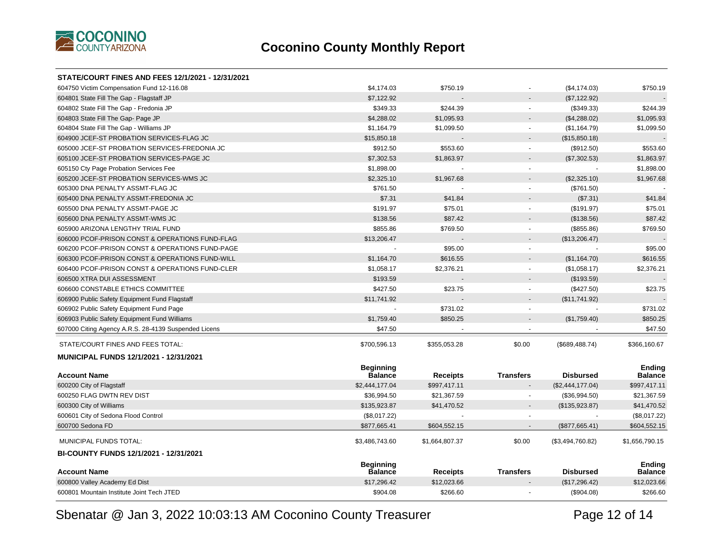

| STATE/COURT FINES AND FEES 12/1/2021 - 12/31/2021    |                                    |                 |                          |                  |                                 |
|------------------------------------------------------|------------------------------------|-----------------|--------------------------|------------------|---------------------------------|
| 604750 Victim Compensation Fund 12-116.08            | \$4,174.03                         | \$750.19        |                          | (\$4, 174.03)    | \$750.19                        |
| 604801 State Fill The Gap - Flagstaff JP             | \$7,122.92                         |                 |                          | (\$7,122.92)     |                                 |
| 604802 State Fill The Gap - Fredonia JP              | \$349.33                           | \$244.39        | $\mathbf{r}$             | (\$349.33)       | \$244.39                        |
| 604803 State Fill The Gap- Page JP                   | \$4,288.02                         | \$1,095.93      | $\overline{\phantom{0}}$ | (\$4,288.02)     | \$1,095.93                      |
| 604804 State Fill The Gap - Williams JP              | \$1,164.79                         | \$1,099.50      | $\mathbf{r}$             | (\$1,164.79)     | \$1,099.50                      |
| 604900 JCEF-ST PROBATION SERVICES-FLAG JC            | \$15,850.18                        |                 | $\overline{\phantom{0}}$ | (\$15,850.18)    |                                 |
| 605000 JCEF-ST PROBATION SERVICES-FREDONIA JC        | \$912.50                           | \$553.60        | $\blacksquare$           | (\$912.50)       | \$553.60                        |
| 605100 JCEF-ST PROBATION SERVICES-PAGE JC            | \$7,302.53                         | \$1,863.97      | $\overline{\phantom{0}}$ | (\$7,302.53)     | \$1,863.97                      |
| 605150 Cty Page Probation Services Fee               | \$1,898.00                         |                 | $\mathbf{r}$             |                  | \$1,898.00                      |
| 605200 JCEF-ST PROBATION SERVICES-WMS JC             | \$2,325.10                         | \$1,967.68      | $\overline{a}$           | (\$2,325.10)     | \$1,967.68                      |
| 605300 DNA PENALTY ASSMT-FLAG JC                     | \$761.50                           |                 | $\blacksquare$           | (\$761.50)       |                                 |
| 605400 DNA PENALTY ASSMT-FREDONIA JC                 | \$7.31                             | \$41.84         |                          | (\$7.31)         | \$41.84                         |
| 605500 DNA PENALTY ASSMT-PAGE JC                     | \$191.97                           | \$75.01         |                          | (\$191.97)       | \$75.01                         |
| 605600 DNA PENALTY ASSMT-WMS JC                      | \$138.56                           | \$87.42         |                          | (\$138.56)       | \$87.42                         |
| 605900 ARIZONA LENGTHY TRIAL FUND                    | \$855.86                           | \$769.50        | $\blacksquare$           | (\$855.86)       | \$769.50                        |
| 606000 PCOF-PRISON CONST & OPERATIONS FUND-FLAG      | \$13,206.47                        |                 |                          | (\$13,206.47)    |                                 |
| 606200 PCOF-PRISON CONST & OPERATIONS FUND-PAGE      |                                    | \$95.00         | $\blacksquare$           |                  | \$95.00                         |
| 606300 PCOF-PRISON CONST & OPERATIONS FUND-WILL      | \$1,164.70                         | \$616.55        |                          | (\$1,164.70)     | \$616.55                        |
| 606400 PCOF-PRISON CONST & OPERATIONS FUND-CLER      | \$1,058.17                         | \$2,376.21      | $\blacksquare$           | (\$1,058.17)     | \$2,376.21                      |
| 606500 XTRA DUI ASSESSMENT                           | \$193.59                           |                 |                          | (\$193.59)       |                                 |
| 606600 CONSTABLE ETHICS COMMITTEE                    | \$427.50                           | \$23.75         | $\blacksquare$           | $(\$427.50)$     | \$23.75                         |
| 606900 Public Safety Equipment Fund Flagstaff        | \$11,741.92                        |                 | $\overline{a}$           | (\$11,741.92)    |                                 |
| 606902 Public Safety Equipment Fund Page             |                                    | \$731.02        | $\blacksquare$           |                  | \$731.02                        |
| 606903 Public Safety Equipment Fund Williams         | \$1,759.40                         | \$850.25        |                          | (\$1,759.40)     | \$850.25                        |
| 607000 Citing Agency A.R.S. 28-4139 Suspended Licens | \$47.50                            |                 |                          |                  | \$47.50                         |
| STATE/COURT FINES AND FEES TOTAL:                    | \$700,596.13                       | \$355,053.28    | \$0.00                   | (\$689,488.74)   | \$366,160.67                    |
| <b>MUNICIPAL FUNDS 12/1/2021 - 12/31/2021</b>        |                                    |                 |                          |                  |                                 |
| <b>Account Name</b>                                  | <b>Beginning</b><br><b>Balance</b> | <b>Receipts</b> | <b>Transfers</b>         | <b>Disbursed</b> | <b>Ending</b><br><b>Balance</b> |
| 600200 City of Flagstaff                             | \$2,444,177.04                     | \$997,417.11    |                          | (\$2,444,177.04) | \$997,417.11                    |
| 600250 FLAG DWTN REV DIST                            | \$36,994.50                        | \$21,367.59     |                          | (\$36,994.50)    | \$21,367.59                     |
| 600300 City of Williams                              | \$135,923.87                       | \$41,470.52     |                          | (\$135,923.87)   | \$41,470.52                     |
| 600601 City of Sedona Flood Control                  | (\$8,017.22)                       |                 |                          |                  | (\$8,017.22)                    |
| 600700 Sedona FD                                     | \$877,665.41                       | \$604,552.15    |                          | (\$877,665.41)   | \$604,552.15                    |
| MUNICIPAL FUNDS TOTAL:                               | \$3,486,743.60                     | \$1,664,807.37  | \$0.00                   | (\$3,494,760.82) | \$1,656,790.15                  |
| BI-COUNTY FUNDS 12/1/2021 - 12/31/2021               |                                    |                 |                          |                  |                                 |
| <b>Account Name</b>                                  | <b>Beginning</b><br><b>Balance</b> | <b>Receipts</b> | <b>Transfers</b>         | <b>Disbursed</b> | <b>Ending</b><br><b>Balance</b> |
| 600800 Valley Academy Ed Dist                        | \$17,296.42                        | \$12,023.66     |                          | (\$17,296.42)    | \$12,023.66                     |
| 600801 Mountain Institute Joint Tech JTED            | \$904.08                           | \$266.60        |                          | (\$904.08)       | \$266.60                        |
|                                                      |                                    |                 |                          |                  |                                 |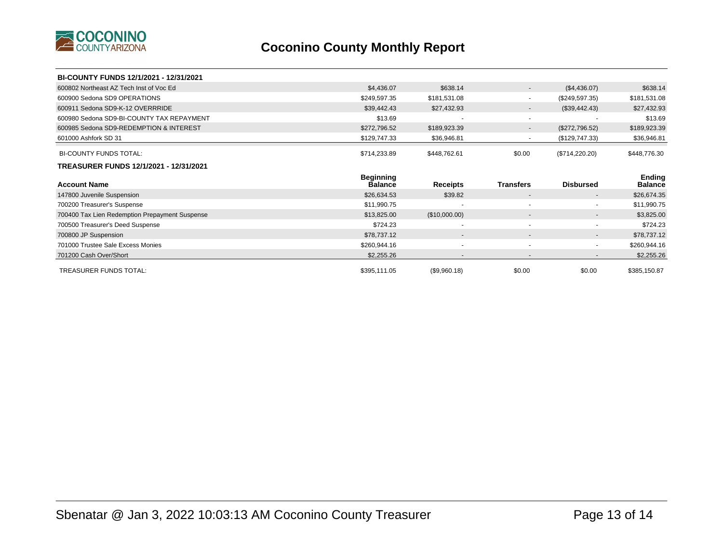

| BI-COUNTY FUNDS 12/1/2021 - 12/31/2021         |                                    |                 |                          |                          |                          |
|------------------------------------------------|------------------------------------|-----------------|--------------------------|--------------------------|--------------------------|
| 600802 Northeast AZ Tech Inst of Voc Ed        | \$4,436.07                         | \$638.14        | $\overline{\phantom{a}}$ | (\$4,436.07)             | \$638.14                 |
| 600900 Sedona SD9 OPERATIONS                   | \$249,597.35                       | \$181,531.08    | $\overline{\phantom{0}}$ | (\$249,597.35)           | \$181,531.08             |
| 600911 Sedona SD9-K-12 OVERRRIDE               | \$39,442.43                        | \$27,432.93     | $\sim$                   | (\$39,442.43)            | \$27,432.93              |
| 600980 Sedona SD9-BI-COUNTY TAX REPAYMENT      | \$13.69                            |                 | $\sim$                   |                          | \$13.69                  |
| 600985 Sedona SD9-REDEMPTION & INTEREST        | \$272,796.52                       | \$189,923.39    | $\sim$                   | (\$272,796.52)           | \$189,923.39             |
| 601000 Ashfork SD 31                           | \$129,747.33                       | \$36,946.81     | $\blacksquare$           | (\$129,747.33)           | \$36,946.81              |
| <b>BI-COUNTY FUNDS TOTAL:</b>                  | \$714,233.89                       | \$448,762.61    | \$0.00                   | (\$714,220.20)           | \$448,776.30             |
| TREASURER FUNDS 12/1/2021 - 12/31/2021         |                                    |                 |                          |                          |                          |
|                                                |                                    |                 |                          |                          |                          |
| <b>Account Name</b>                            | <b>Beginning</b><br><b>Balance</b> | <b>Receipts</b> | <b>Transfers</b>         | <b>Disbursed</b>         | Ending<br><b>Balance</b> |
| 147800 Juvenile Suspension                     | \$26,634.53                        | \$39.82         | $\overline{\phantom{a}}$ | $\overline{\phantom{a}}$ | \$26,674.35              |
| 700200 Treasurer's Suspense                    | \$11,990.75                        |                 | $\overline{\phantom{a}}$ | $\blacksquare$           | \$11,990.75              |
| 700400 Tax Lien Redemption Prepayment Suspense | \$13,825.00                        | (\$10,000.00)   | $\overline{\phantom{a}}$ | $\overline{\phantom{a}}$ | \$3,825.00               |
| 700500 Treasurer's Deed Suspense               | \$724.23                           |                 | ۰                        | $\overline{\phantom{a}}$ | \$724.23                 |
| 700800 JP Suspension                           | \$78,737.12                        | $\blacksquare$  | $\overline{\phantom{a}}$ | $\blacksquare$           | \$78,737.12              |
| 701000 Trustee Sale Excess Monies              | \$260,944.16                       | $\overline{a}$  | ٠                        | $\overline{\phantom{a}}$ | \$260,944.16             |
| 701200 Cash Over/Short                         | \$2,255.26                         |                 | $\overline{\phantom{a}}$ | $\overline{\phantom{a}}$ | \$2,255.26               |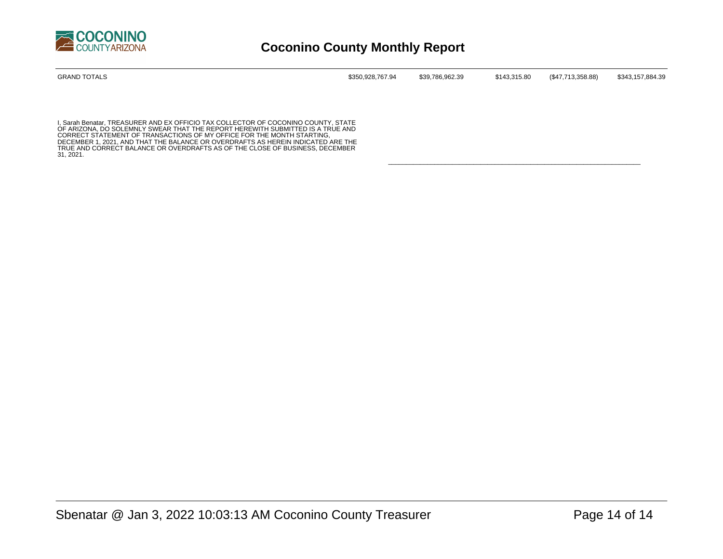

| GRAND TOTALS | \$350,928,767.94 | \$39.786.962.39 | \$143,315.80 | (\$47,713,358.88) | \$343,157,884.39 |
|--------------|------------------|-----------------|--------------|-------------------|------------------|
|              |                  |                 |              |                   |                  |

\_\_\_\_\_\_\_\_\_\_\_\_\_\_\_\_\_\_\_\_\_\_\_\_\_\_\_\_\_\_\_\_\_\_\_\_\_\_\_\_\_\_\_\_\_\_\_\_\_\_\_\_\_\_\_\_\_\_\_\_\_\_\_\_\_\_\_\_\_\_\_

I, Sarah Benatar, TREASURER AND EX OFFICIO TAX COLLECTOR OF COCONINO COUNTY, STATE<br>OF ARIZONA, DO SOLEMNLY SWEAR THAT THE REPORT HEREWITH SUBMITTED IS A TRUE AND<br>CORRECT STATEMENT OF TRANSACTIONS OF MY OFFICE FOR THE MONTH DECEMBER 1, 2021, AND THAT THE BALANCE OR OVERDRAFTS AS HEREIN INDICATED ARE THE TRUE AND CORRECT BALANCE OR OVERDRAFTS AS OF THE CLOSE OF BUSINESS, DECEMBER 31, 2021.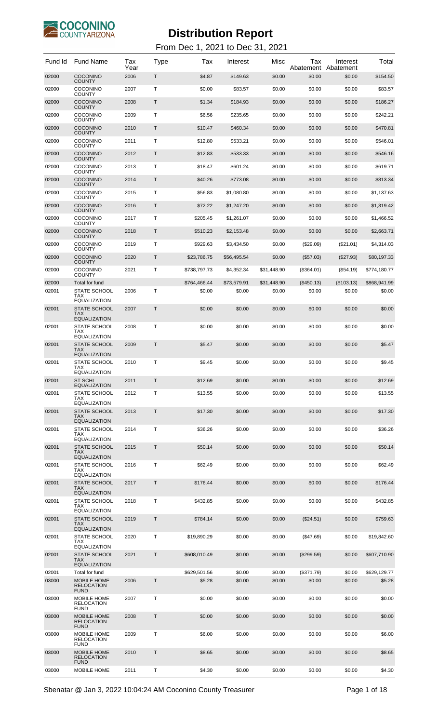

| Fund Id        | <b>Fund Name</b>                                                                | Tax<br>Year  | Type   | Тах                    | Interest         | Misc             | Tax<br>Abatement     | Interest<br>Abatement | Total                  |
|----------------|---------------------------------------------------------------------------------|--------------|--------|------------------------|------------------|------------------|----------------------|-----------------------|------------------------|
| 02000          | <b>COCONINO</b><br><b>COUNTY</b>                                                | 2006         | Т      | \$4.87                 | \$149.63         | \$0.00           | \$0.00               | \$0.00                | \$154.50               |
| 02000          | <b>COCONINO</b><br><b>COUNTY</b>                                                | 2007         | т      | \$0.00                 | \$83.57          | \$0.00           | \$0.00               | \$0.00                | \$83.57                |
| 02000          | <b>COCONINO</b><br><b>COUNTY</b>                                                | 2008         | Т      | \$1.34                 | \$184.93         | \$0.00           | \$0.00               | \$0.00                | \$186.27               |
| 02000          | <b>COCONINO</b><br><b>COUNTY</b>                                                | 2009         | т      | \$6.56                 | \$235.65         | \$0.00           | \$0.00               | \$0.00                | \$242.21               |
| 02000          | <b>COCONINO</b><br><b>COUNTY</b>                                                | 2010         | Т      | \$10.47                | \$460.34         | \$0.00           | \$0.00               | \$0.00                | \$470.81               |
| 02000          | <b>COCONINO</b><br><b>COUNTY</b>                                                | 2011         | т      | \$12.80                | \$533.21         | \$0.00           | \$0.00               | \$0.00                | \$546.01               |
| 02000          | <b>COCONINO</b><br><b>COUNTY</b>                                                | 2012         | Т      | \$12.83                | \$533.33         | \$0.00           | \$0.00               | \$0.00                | \$546.16               |
| 02000          | COCONINO<br><b>COUNTY</b>                                                       | 2013         | т      | \$18.47                | \$601.24         | \$0.00           | \$0.00               | \$0.00                | \$619.71               |
| 02000          | <b>COCONINO</b><br><b>COUNTY</b>                                                | 2014         | Т      | \$40.26                | \$773.08         | \$0.00           | \$0.00               | \$0.00                | \$813.34               |
| 02000          | COCONINO<br><b>COUNTY</b>                                                       | 2015         | т      | \$56.83                | \$1,080.80       | \$0.00           | \$0.00               | \$0.00                | \$1,137.63             |
| 02000          | <b>COCONINO</b><br><b>COUNTY</b>                                                | 2016         | Т      | \$72.22                | \$1,247.20       | \$0.00           | \$0.00               | \$0.00                | \$1,319.42             |
| 02000          | <b>COCONINO</b><br><b>COUNTY</b>                                                | 2017         | т      | \$205.45               | \$1,261.07       | \$0.00           | \$0.00               | \$0.00                | \$1,466.52             |
| 02000          | COCONINO<br><b>COUNTY</b>                                                       | 2018         | Т      | \$510.23               | \$2,153.48       | \$0.00           | \$0.00               | \$0.00                | \$2,663.71             |
| 02000          | <b>COCONINO</b><br><b>COUNTY</b>                                                | 2019         | т      | \$929.63               | \$3,434.50       | \$0.00           | $(\$29.09)$          | (\$21.01)             | \$4,314.03             |
| 02000          | <b>COCONINO</b>                                                                 | 2020         | Т      | \$23,786.75            | \$56,495.54      | \$0.00           | (\$57.03)            | $(\$27.93)$           | \$80,197.33            |
| 02000          | <b>COUNTY</b><br><b>COCONINO</b>                                                | 2021         | т      | \$738,797.73           | \$4,352.34       | \$31,448.90      | (\$364.01)           | $(\$54.19)$           | \$774,180.77           |
| 02000          | COUNTY<br>Total for fund                                                        |              |        | \$764,466.44           | \$73,579.91      | \$31,448.90      | $(\$450.13)$         | (\$103.13)            | \$868,941.99           |
| 02001          | <b>STATE SCHOOL</b><br>TAX                                                      | 2006         | т      | \$0.00                 | \$0.00           | \$0.00           | \$0.00               | \$0.00                | \$0.00                 |
| 02001          | <b>EQUALIZATION</b><br><b>STATE SCHOOL</b><br><b>TAX</b><br><b>EQUALIZATION</b> | 2007         | Т      | \$0.00                 | \$0.00           | \$0.00           | \$0.00               | \$0.00                | \$0.00                 |
| 02001          | <b>STATE SCHOOL</b><br><b>TAX</b><br><b>EQUALIZATION</b>                        | 2008         | т      | \$0.00                 | \$0.00           | \$0.00           | \$0.00               | \$0.00                | \$0.00                 |
| 02001          | <b>STATE SCHOOL</b><br>TAX<br><b>EQUALIZATION</b>                               | 2009         | Т      | \$5.47                 | \$0.00           | \$0.00           | \$0.00               | \$0.00                | \$5.47                 |
| 02001          | <b>STATE SCHOOL</b><br>TAX<br><b>EQUALIZATION</b>                               | 2010         | Т      | \$9.45                 | \$0.00           | \$0.00           | \$0.00               | \$0.00                | \$9.45                 |
| 02001          | <b>ST SCHL</b><br><b>EQUALIZATION</b>                                           | 2011         | Т      | \$12.69                | \$0.00           | \$0.00           | \$0.00               | \$0.00                | \$12.69                |
| 02001          | <b>STATE SCHOOL</b><br>TAX<br><b>EQUALIZATION</b>                               | 2012         | т      | \$13.55                | \$0.00           | \$0.00           | \$0.00               | \$0.00                | \$13.55                |
| 02001          | <b>STATE SCHOOL</b><br>TAX<br><b>EQUALIZATION</b>                               | 2013         | Т      | \$17.30                | \$0.00           | \$0.00           | \$0.00               | \$0.00                | \$17.30                |
| 02001          | STATE SCHOOL<br>TAX<br>EQUALIZATION                                             | 2014         | Т      | \$36.26                | \$0.00           | \$0.00           | \$0.00               | \$0.00                | \$36.26                |
| 02001          | <b>STATE SCHOOL</b><br><b>TAX</b><br><b>EQUALIZATION</b>                        | 2015         | Т      | \$50.14                | \$0.00           | \$0.00           | \$0.00               | \$0.00                | \$50.14                |
| 02001          | STATE SCHOOL<br>TAX<br><b>EQUALIZATION</b>                                      | 2016         | т      | \$62.49                | \$0.00           | \$0.00           | \$0.00               | \$0.00                | \$62.49                |
| 02001          | STATE SCHOOL<br><b>TAX</b><br><b>EQUALIZATION</b>                               | 2017         | Т      | \$176.44               | \$0.00           | \$0.00           | \$0.00               | \$0.00                | \$176.44               |
| 02001          | <b>STATE SCHOOL</b><br><b>TAX</b><br>EQUALIZATION                               | 2018         | Т      | \$432.85               | \$0.00           | \$0.00           | \$0.00               | \$0.00                | \$432.85               |
| 02001          | STATE SCHOOL<br>TAX<br><b>EQUALIZATION</b>                                      | 2019         | Т      | \$784.14               | \$0.00           | \$0.00           | $(\$24.51)$          | \$0.00                | \$759.63               |
| 02001          | STATE SCHOOL<br>TAX<br><b>EQUALIZATION</b>                                      | 2020         | т      | \$19,890.29            | \$0.00           | \$0.00           | (\$47.69)            | \$0.00                | \$19,842.60            |
| 02001          | <b>STATE SCHOOL</b><br><b>TAX</b><br><b>EQUALIZATION</b>                        | 2021         | Τ      | \$608,010.49           | \$0.00           | \$0.00           | $(\$299.59)$         | \$0.00                | \$607,710.90           |
| 02001<br>03000 | Total for fund<br>MOBILE HOME                                                   | 2006         | Τ      | \$629,501.56<br>\$5.28 | \$0.00<br>\$0.00 | \$0.00<br>\$0.00 | (\$371.79)<br>\$0.00 | \$0.00<br>\$0.00      | \$629,129.77<br>\$5.28 |
| 03000          | <b>RELOCATION</b><br><b>FUND</b><br>MOBILE HOME                                 | 2007         | т      | \$0.00                 | \$0.00           | \$0.00           | \$0.00               | \$0.00                | \$0.00                 |
|                | RELOCATION<br><b>FUND</b>                                                       |              |        |                        |                  |                  |                      |                       |                        |
| 03000          | MOBILE HOME<br><b>RELOCATION</b><br><b>FUND</b>                                 | 2008         | Τ      | \$0.00                 | \$0.00           | \$0.00           | \$0.00               | \$0.00                | \$0.00                 |
| 03000          | MOBILE HOME<br><b>RELOCATION</b><br><b>FUND</b>                                 | 2009         | Т      | \$6.00                 | \$0.00           | \$0.00           | \$0.00               | \$0.00                | \$6.00                 |
| 03000<br>03000 | MOBILE HOME<br><b>RELOCATION</b><br><b>FUND</b><br>MOBILE HOME                  | 2010<br>2011 | Т<br>Т | \$8.65<br>\$4.30       | \$0.00<br>\$0.00 | \$0.00<br>\$0.00 | \$0.00<br>\$0.00     | \$0.00<br>\$0.00      | \$8.65<br>\$4.30       |
|                |                                                                                 |              |        |                        |                  |                  |                      |                       |                        |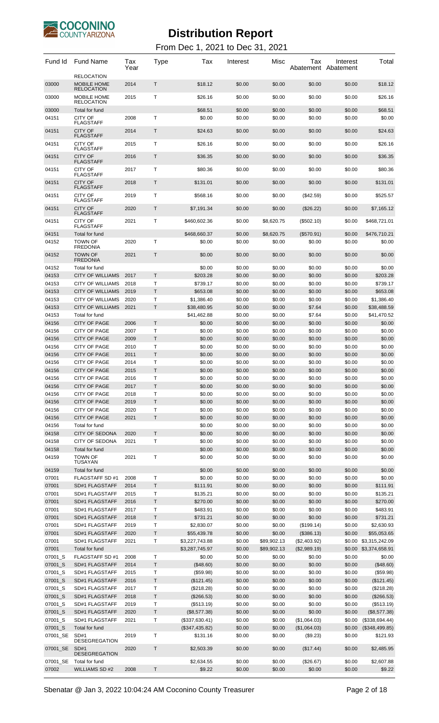

| Fund Id            | <b>Fund Name</b>                                      | Tax<br>Year  | Type              | Tax                           | Interest         | Misc                  | Тах                        | Interest<br>Abatement Abatement | Total                         |
|--------------------|-------------------------------------------------------|--------------|-------------------|-------------------------------|------------------|-----------------------|----------------------------|---------------------------------|-------------------------------|
| 03000              | <b>RELOCATION</b><br>MOBILE HOME<br><b>RELOCATION</b> | 2014         | T                 | \$18.12                       | \$0.00           | \$0.00                | \$0.00                     | \$0.00                          | \$18.12                       |
| 03000              | MOBILE HOME<br><b>RELOCATION</b>                      | 2015         | Т                 | \$26.16                       | \$0.00           | \$0.00                | \$0.00                     | \$0.00                          | \$26.16                       |
| 03000              | Total for fund                                        |              |                   | \$68.51                       | \$0.00           | \$0.00                | \$0.00                     | \$0.00                          | \$68.51                       |
| 04151              | <b>CITY OF</b><br><b>FLAGSTAFF</b>                    | 2008         | Т                 | \$0.00                        | \$0.00           | \$0.00                | \$0.00                     | \$0.00                          | \$0.00                        |
| 04151              | <b>CITY OF</b><br><b>FLAGSTAFF</b>                    | 2014         | T                 | \$24.63                       | \$0.00           | \$0.00                | \$0.00                     | \$0.00                          | \$24.63                       |
| 04151              | <b>CITY OF</b><br><b>FLAGSTAFF</b>                    | 2015         | Т                 | \$26.16                       | \$0.00           | \$0.00                | \$0.00                     | \$0.00                          | \$26.16                       |
| 04151              | <b>CITY OF</b><br><b>FLAGSTAFF</b>                    | 2016         | T                 | \$36.35                       | \$0.00           | \$0.00                | \$0.00                     | \$0.00                          | \$36.35                       |
| 04151              | <b>CITY OF</b><br><b>FLAGSTAFF</b>                    | 2017         | Т                 | \$80.36                       | \$0.00           | \$0.00                | \$0.00                     | \$0.00                          | \$80.36                       |
| 04151              | <b>CITY OF</b><br><b>FLAGSTAFF</b>                    | 2018         | T                 | \$131.01                      | \$0.00           | \$0.00                | \$0.00                     | \$0.00                          | \$131.01                      |
| 04151              | CITY OF<br><b>FLAGSTAFF</b>                           | 2019         | Т                 | \$568.16                      | \$0.00           | \$0.00                | $(\$42.59)$                | \$0.00                          | \$525.57                      |
| 04151              | <b>CITY OF</b><br><b>FLAGSTAFF</b>                    | 2020         | T                 | \$7,191.34                    | \$0.00           | \$0.00                | (\$26.22)                  | \$0.00                          | \$7,165.12                    |
| 04151              | CITY OF<br><b>FLAGSTAFF</b>                           | 2021         | Т                 | \$460,602.36                  | \$0.00           | \$8,620.75            | (\$502.10)                 | \$0.00                          | \$468,721.01                  |
| 04151              | Total for fund                                        |              |                   | \$468,660.37                  | \$0.00           | \$8,620.75            | $(\$570.91)$               | \$0.00                          | \$476,710.21                  |
| 04152              | <b>TOWN OF</b><br><b>FREDONIA</b>                     | 2020         | Т                 | \$0.00                        | \$0.00           | \$0.00                | \$0.00                     | \$0.00                          | \$0.00                        |
| 04152              | <b>TOWN OF</b><br><b>FREDONIA</b>                     | 2021         | T                 | \$0.00                        | \$0.00           | \$0.00                | \$0.00                     | \$0.00                          | \$0.00                        |
| 04152              | Total for fund                                        |              |                   | \$0.00                        | \$0.00           | \$0.00                | \$0.00                     | \$0.00                          | \$0.00                        |
| 04153              | <b>CITY OF WILLIAMS</b>                               | 2017         | T                 | \$203.28                      | \$0.00           | \$0.00                | \$0.00                     | \$0.00                          | \$203.28                      |
| 04153              | <b>CITY OF WILLIAMS</b>                               | 2018<br>2019 | т<br>$\mathsf{T}$ | \$739.17                      | \$0.00           | \$0.00                | \$0.00                     | \$0.00                          | \$739.17                      |
| 04153<br>04153     | <b>CITY OF WILLIAMS</b><br><b>CITY OF WILLIAMS</b>    | 2020         | Т                 | \$653.08<br>\$1,386.40        | \$0.00<br>\$0.00 | \$0.00<br>\$0.00      | \$0.00<br>\$0.00           | \$0.00<br>\$0.00                | \$653.08<br>\$1,386.40        |
| 04153              | <b>CITY OF WILLIAMS</b>                               | 2021         | T                 | \$38,480.95                   | \$0.00           | \$0.00                | \$7.64                     | \$0.00                          | \$38,488.59                   |
| 04153              | Total for fund                                        |              |                   | \$41,462.88                   | \$0.00           | \$0.00                | \$7.64                     | \$0.00                          | \$41,470.52                   |
| 04156              | <b>CITY OF PAGE</b>                                   | 2006         | Τ                 | \$0.00                        | \$0.00           | \$0.00                | \$0.00                     | \$0.00                          | \$0.00                        |
| 04156              | <b>CITY OF PAGE</b>                                   | 2007         | т                 | \$0.00                        | \$0.00           | \$0.00                | \$0.00                     | \$0.00                          | \$0.00                        |
| 04156              | <b>CITY OF PAGE</b>                                   | 2009         | $\mathsf T$       | \$0.00                        | \$0.00           | \$0.00                | \$0.00                     | \$0.00                          | \$0.00                        |
| 04156<br>04156     | <b>CITY OF PAGE</b><br><b>CITY OF PAGE</b>            | 2010<br>2011 | Т<br>T            | \$0.00<br>\$0.00              | \$0.00<br>\$0.00 | \$0.00<br>\$0.00      | \$0.00<br>\$0.00           | \$0.00<br>\$0.00                | \$0.00<br>\$0.00              |
| 04156              | <b>CITY OF PAGE</b>                                   | 2014         | Т                 | \$0.00                        | \$0.00           | \$0.00                | \$0.00                     | \$0.00                          | \$0.00                        |
| 04156              | <b>CITY OF PAGE</b>                                   | 2015         | Τ                 | \$0.00                        | \$0.00           | \$0.00                | \$0.00                     | \$0.00                          | \$0.00                        |
| 04156              | <b>CITY OF PAGE</b>                                   | 2016         | Т                 | \$0.00                        | \$0.00           | \$0.00                | \$0.00                     | \$0.00                          | \$0.00                        |
| 04156              | <b>CITY OF PAGE</b>                                   | 2017         | $\mathsf{T}$      | \$0.00                        | \$0.00           | \$0.00                | \$0.00                     | \$0.00                          | \$0.00                        |
| 04156<br>04156     | <b>CITY OF PAGE</b><br><b>CITY OF PAGE</b>            | 2018<br>2019 | T<br>T            | \$0.00<br>\$0.00              | \$0.00<br>\$0.00 | \$0.00<br>\$0.00      | \$0.00<br>\$0.00           | \$0.00<br>\$0.00                | \$0.00<br>\$0.00              |
| 04156              | CITY OF PAGE                                          | 2020         | Т                 | \$0.00                        | \$0.00           | \$0.00                | \$0.00                     | \$0.00                          | \$0.00                        |
| 04156              | <b>CITY OF PAGE</b>                                   | 2021         | Τ                 | \$0.00                        | \$0.00           | \$0.00                | \$0.00                     | \$0.00                          | \$0.00                        |
| 04156              | Total for fund                                        |              |                   | \$0.00                        | \$0.00           | \$0.00                | \$0.00                     | \$0.00                          | \$0.00                        |
| 04158              | <b>CITY OF SEDONA</b>                                 | 2020         | T                 | \$0.00                        | \$0.00           | \$0.00                | \$0.00                     | \$0.00                          | \$0.00                        |
| 04158              | <b>CITY OF SEDONA</b>                                 | 2021         | T                 | \$0.00                        | \$0.00           | \$0.00                | \$0.00                     | \$0.00                          | \$0.00                        |
| 04158<br>04159     | Total for fund<br><b>TOWN OF</b>                      |              |                   | \$0.00<br>\$0.00              | \$0.00<br>\$0.00 | \$0.00<br>\$0.00      | \$0.00<br>\$0.00           | \$0.00                          | \$0.00<br>\$0.00              |
|                    | <b>TUSAYAN</b>                                        | 2021         | Т                 |                               |                  |                       |                            | \$0.00                          |                               |
| 04159<br>07001     | Total for fund<br>FLAGSTAFF SD #1                     | 2008         | Т                 | \$0.00<br>\$0.00              | \$0.00<br>\$0.00 | \$0.00<br>\$0.00      | \$0.00<br>\$0.00           | \$0.00<br>\$0.00                | \$0.00<br>\$0.00              |
| 07001              | SD#1 FLAGSTAFF                                        | 2014         | T                 | \$111.91                      | \$0.00           | \$0.00                | \$0.00                     | \$0.00                          | \$111.91                      |
| 07001              | SD#1 FLAGSTAFF                                        | 2015         | Т                 | \$135.21                      | \$0.00           | \$0.00                | \$0.00                     | \$0.00                          | \$135.21                      |
| 07001              | SD#1 FLAGSTAFF                                        | 2016         | $\top$            | \$270.00                      | \$0.00           | \$0.00                | \$0.00                     | \$0.00                          | \$270.00                      |
| 07001              | SD#1 FLAGSTAFF                                        | 2017         | Т                 | \$483.91                      | \$0.00           | \$0.00                | \$0.00                     | \$0.00                          | \$483.91                      |
| 07001              | SD#1 FLAGSTAFF                                        | 2018         | Τ                 | \$731.21                      | \$0.00           | \$0.00                | \$0.00                     | \$0.00                          | \$731.21                      |
| 07001              | SD#1 FLAGSTAFF                                        | 2019         | Т<br>Τ            | \$2,830.07                    | \$0.00           | \$0.00                | (\$199.14)                 | \$0.00                          | \$2,630.93                    |
| 07001<br>07001     | SD#1 FLAGSTAFF<br>SD#1 FLAGSTAFF                      | 2020<br>2021 | Т                 | \$55,439.78<br>\$3,227,743.88 | \$0.00<br>\$0.00 | \$0.00<br>\$89,902.13 | (\$386.13)<br>(\$2,403.92) | \$0.00<br>\$0.00                | \$55,053.65<br>\$3,315,242.09 |
| 07001              | Total for fund                                        |              |                   | \$3,287,745.97                | \$0.00           | \$89,902.13           | (\$2,989.19)               |                                 | \$0.00 \$3,374,658.91         |
| 07001_S            | FLAGSTAFF SD #1                                       | 2008         | T                 | \$0.00                        | \$0.00           | \$0.00                | \$0.00                     | \$0.00                          | \$0.00                        |
| 07001_S            | SD#1 FLAGSTAFF                                        | 2014         | T                 | (\$48.60)                     | \$0.00           | \$0.00                | \$0.00                     | \$0.00                          | (\$48.60)                     |
| 07001_S            | SD#1 FLAGSTAFF                                        | 2015         | Т                 | (\$59.98)                     | \$0.00           | \$0.00                | \$0.00                     | \$0.00                          | (\$59.98)                     |
| 07001_S            | SD#1 FLAGSTAFF                                        | 2016         | T                 | (\$121.45)                    | \$0.00           | \$0.00                | \$0.00                     | \$0.00                          | (\$121.45)                    |
| 07001_S<br>07001_S | SD#1 FLAGSTAFF<br>SD#1 FLAGSTAFF                      | 2017<br>2018 | Т<br>$\mathsf T$  | (\$218.28)<br>(\$266.53)      | \$0.00<br>\$0.00 | \$0.00<br>\$0.00      | \$0.00<br>\$0.00           | \$0.00<br>\$0.00                | (\$218.28)<br>(\$266.53)      |
| 07001_S            | SD#1 FLAGSTAFF                                        | 2019         | Т                 | (\$513.19)                    | \$0.00           | \$0.00                | \$0.00                     | \$0.00                          | (\$513.19)                    |
| 07001_S            | SD#1 FLAGSTAFF                                        | 2020         | T                 | (\$8,577.38)                  | \$0.00           | \$0.00                | \$0.00                     | \$0.00                          | (\$8,577.38)                  |
| 07001_S            | SD#1 FLAGSTAFF                                        | 2021         | Т                 | (\$337,630.41)                | \$0.00           | \$0.00                | (\$1,064.03)               | \$0.00                          | (\$338,694.44)                |
| 07001_S            | Total for fund                                        |              |                   | (\$347,435.82)                | \$0.00           | \$0.00                | (\$1,064.03)               | \$0.00                          | (\$348,499.85)                |
| 07001_SE           | SD#1<br><b>DESEGREGATION</b>                          | 2019         | Т                 | \$131.16                      | \$0.00           | \$0.00                | (\$9.23)                   | \$0.00                          | \$121.93                      |
| 07001_SE           | SD#1<br><b>DESEGREGATION</b>                          | 2020         | T                 | \$2,503.39                    | \$0.00           | \$0.00                | (\$17.44)                  | \$0.00                          | \$2,485.95                    |
| 07001_SE           | Total for fund                                        |              |                   | \$2,634.55                    | \$0.00           | \$0.00                | (\$26.67)                  | \$0.00                          | \$2,607.88                    |
| 07002              | <b>WILLIAMS SD#2</b>                                  | 2008         | T                 | \$9.22                        | \$0.00           | \$0.00                | \$0.00                     | \$0.00                          | \$9.22                        |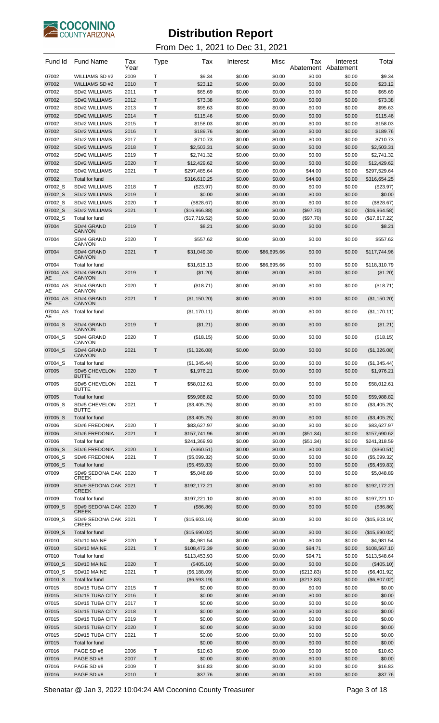

| Fund Id        | <b>Fund Name</b>                             | Tax<br>Year  | Type   | Tax                         | Interest         | Misc             | Tax<br>Abatement  | Interest<br>Abatement | Total                       |
|----------------|----------------------------------------------|--------------|--------|-----------------------------|------------------|------------------|-------------------|-----------------------|-----------------------------|
| 07002          | <b>WILLIAMS SD#2</b>                         | 2009         | т      | \$9.34                      | \$0.00           | \$0.00           | \$0.00            | \$0.00                | \$9.34                      |
| 07002          | <b>WILLIAMS SD #2</b>                        | 2010         | T<br>Τ | \$23.12                     | \$0.00           | \$0.00           | \$0.00            | \$0.00                | \$23.12<br>\$65.69          |
| 07002<br>07002 | <b>SD#2 WILLIAMS</b><br><b>SD#2 WILLIAMS</b> | 2011<br>2012 | Τ      | \$65.69<br>\$73.38          | \$0.00<br>\$0.00 | \$0.00<br>\$0.00 | \$0.00<br>\$0.00  | \$0.00<br>\$0.00      | \$73.38                     |
| 07002          | <b>SD#2 WILLIAMS</b>                         | 2013         | T      | \$95.63                     | \$0.00           | \$0.00           | \$0.00            | \$0.00                | \$95.63                     |
| 07002          | <b>SD#2 WILLIAMS</b>                         | 2014         | T      | \$115.46                    | \$0.00           | \$0.00           | \$0.00            | \$0.00                | \$115.46                    |
| 07002          | <b>SD#2 WILLIAMS</b>                         | 2015         | Τ      | \$158.03                    | \$0.00           | \$0.00           | \$0.00            | \$0.00                | \$158.03                    |
| 07002          | <b>SD#2 WILLIAMS</b>                         | 2016         | T      | \$189.76                    | \$0.00           | \$0.00           | \$0.00            | \$0.00                | \$189.76                    |
| 07002          | <b>SD#2 WILLIAMS</b>                         | 2017         | Τ      | \$710.73                    | \$0.00           | \$0.00           | \$0.00            | \$0.00                | \$710.73                    |
| 07002          | <b>SD#2 WILLIAMS</b>                         | 2018         | Τ      | \$2,503.31                  | \$0.00           | \$0.00           | \$0.00            | \$0.00                | \$2,503.31                  |
| 07002          | <b>SD#2 WILLIAMS</b>                         | 2019         | T      | \$2,741.32                  | \$0.00           | \$0.00           | \$0.00            | \$0.00                | \$2,741.32                  |
| 07002<br>07002 | <b>SD#2 WILLIAMS</b><br><b>SD#2 WILLIAMS</b> | 2020<br>2021 | Τ<br>Τ | \$12,429.62<br>\$297,485.64 | \$0.00<br>\$0.00 | \$0.00<br>\$0.00 | \$0.00<br>\$44.00 | \$0.00<br>\$0.00      | \$12,429.62<br>\$297,529.64 |
| 07002          | Total for fund                               |              |        | \$316,610.25                | \$0.00           | \$0.00           | \$44.00           | \$0.00                | \$316,654.25                |
| 07002_S        | <b>SD#2 WILLIAMS</b>                         | 2018         | Τ      | $(\$23.97)$                 | \$0.00           | \$0.00           | \$0.00            | \$0.00                | (\$23.97)                   |
| 07002 S        | <b>SD#2 WILLIAMS</b>                         | 2019         | Τ      | \$0.00                      | \$0.00           | \$0.00           | \$0.00            | \$0.00                | \$0.00                      |
| 07002 S        | SD#2 WILLIAMS                                | 2020         | Τ      | (\$828.67)                  | \$0.00           | \$0.00           | \$0.00            | \$0.00                | (\$828.67)                  |
| 07002_S        | <b>SD#2 WILLIAMS</b>                         | 2021         | Τ      | (\$16,866.88)               | \$0.00           | \$0.00           | (\$97.70)         | \$0.00                | (\$16,964.58)               |
| 07002_S        | Total for fund                               |              |        | (\$17,719.52)               | \$0.00           | \$0.00           | (\$97.70)         | \$0.00                | (\$17,817.22)               |
| 07004          | SD#4 GRAND<br><b>CANYON</b>                  | 2019         | Τ      | \$8.21                      | \$0.00           | \$0.00           | \$0.00            | \$0.00                | \$8.21                      |
| 07004          | SD#4 GRAND<br>CANYON                         | 2020         | Τ      | \$557.62                    | \$0.00           | \$0.00           | \$0.00            | \$0.00                | \$557.62                    |
| 07004          | SD#4 GRAND<br>CANYON                         | 2021         | Τ      | \$31,049.30                 | \$0.00           | \$86,695.66      | \$0.00            | \$0.00                | \$117,744.96                |
| 07004          | Total for fund                               |              |        | \$31,615.13                 | \$0.00           | \$86,695.66      | \$0.00            | \$0.00                | \$118,310.79                |
| 07004 AS<br>AE | SD#4 GRAND<br><b>CANYON</b>                  | 2019         | Τ      | (\$1.20)                    | \$0.00           | \$0.00           | \$0.00            | \$0.00                | (\$1.20)                    |
| 07004 AS<br>AE | SD#4 GRAND<br>CANYON                         | 2020         | Т      | (\$18.71)                   | \$0.00           | \$0.00           | \$0.00            | \$0.00                | (\$18.71)                   |
| 07004 AS<br>AE | SD#4 GRAND<br>CANYON                         | 2021         | Τ      | (\$1,150.20)                | \$0.00           | \$0.00           | \$0.00            | \$0.00                | (\$1,150.20)                |
| 07004 AS<br>AE | Total for fund                               |              |        | (\$1,170.11)                | \$0.00           | \$0.00           | \$0.00            | \$0.00                | (\$1,170.11)                |
| 07004_S        | SD#4 GRAND                                   | 2019         | Τ      | (\$1.21)                    | \$0.00           | \$0.00           | \$0.00            | \$0.00                | (\$1.21)                    |
| 07004_S        | CANYON<br>SD#4 GRAND                         | 2020         | Τ      | (\$18.15)                   | \$0.00           | \$0.00           | \$0.00            | \$0.00                | (\$18.15)                   |
| 07004_S        | CANYON<br>SD#4 GRAND                         | 2021         | Τ      | (\$1,326.08)                | \$0.00           | \$0.00           | \$0.00            | \$0.00                | (\$1,326.08)                |
| 07004_S        | <b>CANYON</b><br>Total for fund              |              |        | (\$1,345.44)                | \$0.00           | \$0.00           | \$0.00            | \$0.00                | (\$1,345.44)                |
| 07005          | <b>SD#5 CHEVELON</b>                         | 2020         | Т      | \$1,976.21                  | \$0.00           | \$0.00           | \$0.00            | \$0.00                | \$1,976.21                  |
| 07005          | <b>SD#5 CHEVELON</b><br>BUTTE                | 2021         | т      | \$58,012.61                 | \$0.00           | \$0.00           | \$0.00            | \$0.00                | \$58,012.61                 |
| 07005          | Total for fund                               |              |        | \$59.988.82                 | \$0.00           | \$0.00           | \$0.00            | \$0.00                | \$59,988.82                 |
| 07005 S        | SD#5 CHEVELON<br><b>BUTTE</b>                | 2021         | T      | (\$3,405.25)                | \$0.00           | \$0.00           | \$0.00            | \$0.00                | (\$3,405.25)                |
| 07005 S        | Total for fund                               |              |        | (\$3,405.25)                | \$0.00           | \$0.00           | \$0.00            | \$0.00                | (\$3,405.25)                |
| 07006          | SD#6 FREDONIA                                | 2020         | Т      | \$83,627.97                 | \$0.00           | \$0.00           | \$0.00            | \$0.00                | \$83,627.97                 |
| 07006          | <b>SD#6 FREDONIA</b>                         | 2021         | T      | \$157,741.96                | \$0.00           | \$0.00           | (\$51.34)         | \$0.00                | \$157,690.62                |
| 07006          | Total for fund                               |              |        | \$241,369.93                | \$0.00           | \$0.00           | (\$51.34)         | \$0.00                | \$241,318.59                |
| 07006 S        | <b>SD#6 FREDONIA</b>                         | 2020         | Τ      | (\$360.51)                  | \$0.00           | \$0.00           | \$0.00            | \$0.00                | (\$360.51)                  |
| 07006_S        | <b>SD#6 FREDONIA</b>                         | 2021         | T      | (\$5,099.32)                | \$0.00           | \$0.00           | \$0.00            | \$0.00                | (\$5,099.32)                |
| 07006 S        | <b>Total for fund</b>                        |              |        | (\$5,459.83)                | \$0.00           | \$0.00           | \$0.00            | \$0.00                | (\$5,459.83)                |
| 07009          | SD#9 SEDONA OAK 2020<br><b>CREEK</b>         |              | Τ      | \$5,048.89                  | \$0.00           | \$0.00           | \$0.00            | \$0.00                | \$5,048.89                  |
| 07009          | SD#9 SEDONA OAK 2021<br><b>CREEK</b>         |              | Τ      | \$192,172.21                | \$0.00           | \$0.00           | \$0.00            | \$0.00                | \$192,172.21                |
| 07009          | Total for fund                               |              |        | \$197,221.10                | \$0.00           | \$0.00           | \$0.00            | \$0.00                | \$197,221.10                |
| 07009 S        | SD#9 SEDONA OAK 2020<br><b>CREEK</b>         |              | Т      | (\$86.86)                   | \$0.00           | \$0.00           | \$0.00            | \$0.00                | (\$86.86)                   |
| 07009_S        | SD#9 SEDONA OAK 2021<br><b>CREEK</b>         |              | т      | (\$15,603.16)               | \$0.00           | \$0.00           | \$0.00            | \$0.00                | (\$15,603.16)               |
| 07009 S        | Total for fund                               |              |        | (\$15,690.02)               | \$0.00           | \$0.00           | \$0.00            | \$0.00                | (\$15,690.02)               |
| 07010          | SD#10 MAINE                                  | 2020         | Т      | \$4,981.54                  | \$0.00           | \$0.00           | \$0.00            | \$0.00                | \$4,981.54                  |
| 07010          | SD#10 MAINE                                  | 2021         | T      | \$108,472.39                | \$0.00           | \$0.00           | \$94.71           | \$0.00                | \$108,567.10                |
| 07010          | Total for fund                               |              |        | \$113,453.93                | \$0.00           | \$0.00           | \$94.71           | \$0.00                | \$113,548.64                |
| 07010 S        | SD#10 MAINE                                  | 2020         | T      | (\$405.10)                  | \$0.00           | \$0.00           | \$0.00            | \$0.00                | (\$405.10)                  |
| 07010_S        | SD#10 MAINE                                  | 2021         | Т      | (\$6,188.09)                | \$0.00           | \$0.00           | (\$213.83)        | \$0.00                | (\$6,401.92)                |
| 07010 S        | Total for fund                               |              |        | (\$6,593.19)                | \$0.00           | \$0.00           | (\$213.83)        | \$0.00                | (\$6,807.02)                |
| 07015<br>07015 | SD#15 TUBA CITY<br>SD#15 TUBA CITY           | 2015<br>2016 | Τ<br>Τ | \$0.00<br>\$0.00            | \$0.00<br>\$0.00 | \$0.00<br>\$0.00 | \$0.00<br>\$0.00  | \$0.00<br>\$0.00      | \$0.00<br>\$0.00            |
| 07015          | SD#15 TUBA CITY                              | 2017         | Τ      | \$0.00                      | \$0.00           | \$0.00           | \$0.00            | \$0.00                | \$0.00                      |
| 07015          | SD#15 TUBA CITY                              | 2018         | T      | \$0.00                      | \$0.00           | \$0.00           | \$0.00            | \$0.00                | \$0.00                      |
| 07015          | SD#15 TUBA CITY                              | 2019         | Τ      | \$0.00                      | \$0.00           | \$0.00           | \$0.00            | \$0.00                | \$0.00                      |
| 07015          | SD#15 TUBA CITY                              | 2020         | Τ      | \$0.00                      | \$0.00           | \$0.00           | \$0.00            | \$0.00                | \$0.00                      |
| 07015          | SD#15 TUBA CITY                              | 2021         | Т      | \$0.00                      | \$0.00           | \$0.00           | \$0.00            | \$0.00                | \$0.00                      |
| 07015          | Total for fund                               |              |        | \$0.00                      | \$0.00           | \$0.00           | \$0.00            | \$0.00                | \$0.00                      |
| 07016<br>07016 | PAGE SD #8<br>PAGE SD #8                     | 2006<br>2007 | T<br>T | \$10.63<br>\$0.00           | \$0.00<br>\$0.00 | \$0.00<br>\$0.00 | \$0.00<br>\$0.00  | \$0.00                | \$10.63<br>\$0.00           |
| 07016          | PAGE SD #8                                   | 2009         | Τ      | \$16.83                     | \$0.00           | \$0.00           | \$0.00            | \$0.00<br>\$0.00      | \$16.83                     |
| 07016          | PAGE SD #8                                   | 2010         | Т      | \$37.76                     | \$0.00           | \$0.00           | \$0.00            | \$0.00                | \$37.76                     |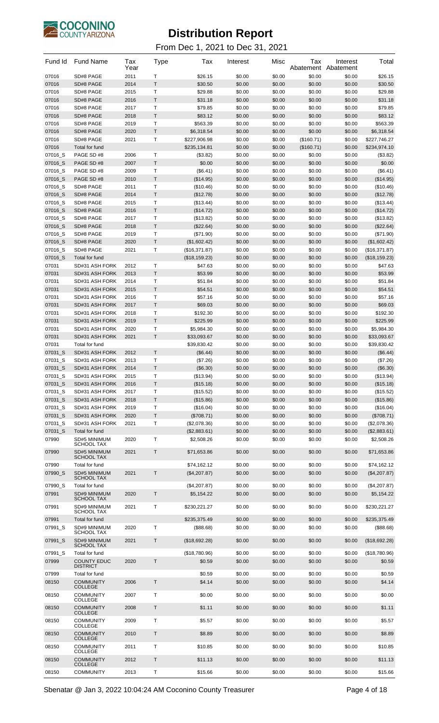

| Fund Id | <b>Fund Name</b>                   | Tax<br>Year | <b>Type</b>  | Tax            | Interest | Misc   | Tax<br>Abatement | Interest<br>Abatement | Total         |
|---------|------------------------------------|-------------|--------------|----------------|----------|--------|------------------|-----------------------|---------------|
| 07016   | SD#8 PAGE                          | 2011        | Т            | \$26.15        | \$0.00   | \$0.00 | \$0.00           | \$0.00                | \$26.15       |
| 07016   | SD#8 PAGE                          | 2014        | T            | \$30.50        | \$0.00   | \$0.00 | \$0.00           | \$0.00                | \$30.50       |
| 07016   | SD#8 PAGE                          | 2015        | T            | \$29.88        | \$0.00   | \$0.00 | \$0.00           | \$0.00                | \$29.88       |
| 07016   | SD#8 PAGE                          | 2016        | T            | \$31.18        | \$0.00   | \$0.00 | \$0.00           | \$0.00                | \$31.18       |
| 07016   | SD#8 PAGE                          | 2017        | Т            | \$79.85        | \$0.00   | \$0.00 | \$0.00           | \$0.00                | \$79.85       |
| 07016   | SD#8 PAGE                          | 2018        | T            | \$83.12        | \$0.00   | \$0.00 | \$0.00           | \$0.00                | \$83.12       |
| 07016   | SD#8 PAGE                          | 2019        | Т            | \$563.39       | \$0.00   | \$0.00 | \$0.00           | \$0.00                | \$563.39      |
| 07016   | SD#8 PAGE                          | 2020        | T            | \$6,318.54     | \$0.00   | \$0.00 | \$0.00           | \$0.00                | \$6,318.54    |
| 07016   | SD#8 PAGE                          | 2021        | T            | \$227,906.98   | \$0.00   | \$0.00 | (\$160.71)       | \$0.00                | \$227,746.27  |
| 07016   | Total for fund                     |             |              | \$235,134.81   | \$0.00   | \$0.00 | (\$160.71)       | \$0.00                | \$234,974.10  |
| 07016_S | PAGE SD #8                         | 2006        | Т            | (\$3.82)       | \$0.00   | \$0.00 | \$0.00           | \$0.00                | (\$3.82)      |
| 07016_S | PAGE SD #8                         | 2007        | T            | \$0.00         | \$0.00   | \$0.00 | \$0.00           | \$0.00                | \$0.00        |
| 07016_S | PAGE SD #8                         | 2009        | Т            | (\$6.41)       | \$0.00   | \$0.00 | \$0.00           | \$0.00                | (\$6.41)      |
| 07016_S | PAGE SD #8                         | 2010        | T            | (\$14.95)      | \$0.00   | \$0.00 | \$0.00           | \$0.00                | (\$14.95)     |
| 07016_S | SD#8 PAGE                          | 2011        | T            | (\$10.46)      | \$0.00   | \$0.00 | \$0.00           | \$0.00                | (\$10.46)     |
| 07016_S | SD#8 PAGE                          | 2014        | T            | (\$12.78)      | \$0.00   | \$0.00 | \$0.00           | \$0.00                | (\$12.78)     |
| 07016_S | SD#8 PAGE                          | 2015        | Т            | (\$13.44)      | \$0.00   | \$0.00 | \$0.00           | \$0.00                | (\$13.44)     |
| 07016_S | SD#8 PAGE                          | 2016        | T            | (\$14.72)      | \$0.00   | \$0.00 | \$0.00           | \$0.00                | (\$14.72)     |
| 07016 S | SD#8 PAGE                          | 2017        | т            | (\$13.82)      | \$0.00   | \$0.00 | \$0.00           | \$0.00                | (\$13.82)     |
| 07016_S | SD#8 PAGE                          | 2018        | T            | (\$22.64)      | \$0.00   | \$0.00 | \$0.00           | \$0.00                | (\$22.64)     |
| 07016_S | SD#8 PAGE                          | 2019        | T            | (\$71.90)      | \$0.00   | \$0.00 | \$0.00           | \$0.00                | (\$71.90)     |
| 07016_S | SD#8 PAGE                          | 2020        | T            | (\$1,602.42)   | \$0.00   | \$0.00 | \$0.00           | \$0.00                | (\$1,602.42)  |
| 07016_S | SD#8 PAGE                          | 2021        | Т            | (\$16,371.87)  | \$0.00   | \$0.00 | \$0.00           | \$0.00                | (\$16,371.87) |
| 07016 S | Total for fund                     |             |              | (\$18, 159.23) | \$0.00   | \$0.00 | \$0.00           | \$0.00                | (\$18,159.23) |
| 07031   | SD#31 ASH FORK                     | 2012        | Т            | \$47.63        | \$0.00   | \$0.00 | \$0.00           | \$0.00                | \$47.63       |
| 07031   | SD#31 ASH FORK                     | 2013        | T            | \$53.99        | \$0.00   | \$0.00 | \$0.00           | \$0.00                | \$53.99       |
| 07031   | SD#31 ASH FORK                     | 2014        | T            | \$51.84        | \$0.00   | \$0.00 | \$0.00           | \$0.00                | \$51.84       |
|         | SD#31 ASH FORK                     |             | T            | \$54.51        | \$0.00   | \$0.00 | \$0.00           | \$0.00                | \$54.51       |
| 07031   |                                    | 2015        |              |                |          |        |                  |                       |               |
| 07031   | SD#31 ASH FORK                     | 2016        | Т            | \$57.16        | \$0.00   | \$0.00 | \$0.00           | \$0.00                | \$57.16       |
| 07031   | SD#31 ASH FORK                     | 2017        | T            | \$69.03        | \$0.00   | \$0.00 | \$0.00           | \$0.00                | \$69.03       |
| 07031   | SD#31 ASH FORK                     | 2018        | Т            | \$192.30       | \$0.00   | \$0.00 | \$0.00           | \$0.00                | \$192.30      |
| 07031   | SD#31 ASH FORK                     | 2019        | T            | \$225.99       | \$0.00   | \$0.00 | \$0.00           | \$0.00                | \$225.99      |
| 07031   | SD#31 ASH FORK                     | 2020        | Τ            | \$5,984.30     | \$0.00   | \$0.00 | \$0.00           | \$0.00                | \$5,984.30    |
| 07031   | SD#31 ASH FORK                     | 2021        | T            | \$33,093.67    | \$0.00   | \$0.00 | \$0.00           | \$0.00                | \$33,093.67   |
| 07031   | Total for fund                     |             |              | \$39,830.42    | \$0.00   | \$0.00 | \$0.00           | \$0.00                | \$39,830.42   |
| 07031_S | SD#31 ASH FORK                     | 2012        | T            | (\$6.44)       | \$0.00   | \$0.00 | \$0.00           | \$0.00                | (\$6.44)      |
| 07031_S | SD#31 ASH FORK                     | 2013        | Т            | (\$7.26)       | \$0.00   | \$0.00 | \$0.00           | \$0.00                | (\$7.26)      |
| 07031_S | SD#31 ASH FORK                     | 2014        | T            | (\$6.30)       | \$0.00   | \$0.00 | \$0.00           | \$0.00                | (\$6.30)      |
| 07031_S | SD#31 ASH FORK                     | 2015        | T            | (\$13.94)      | \$0.00   | \$0.00 | \$0.00           | \$0.00                | (\$13.94)     |
| 07031 S | SD#31 ASH FORK                     | 2016        | Τ            | (\$15.18)      | \$0.00   | \$0.00 | \$0.00           | \$0.00                | (\$15.18)     |
| 07031_S | SD#31 ASH FORK                     | 2017        | T            | (\$15.52)      | \$0.00   | \$0.00 | \$0.00           | \$0.00                | (\$15.52)     |
| 07031_S | SD#31 ASH FORK                     | 2018        | Τ            | (\$15.86)      | \$0.00   | \$0.00 | \$0.00           | \$0.00                | (\$15.86)     |
| 07031_S | SD#31 ASH FORK                     | 2019        | Т            | (\$16.04)      | \$0.00   | \$0.00 | \$0.00           | \$0.00                | (\$16.04)     |
| 07031_S | SD#31 ASH FORK                     | 2020        | T            | (\$708.71)     | \$0.00   | \$0.00 | \$0.00           | \$0.00                | (\$708.71)    |
| 07031_S | SD#31 ASH FORK                     | 2021        | Τ            | (\$2,078.36)   | \$0.00   | \$0.00 | \$0.00           | \$0.00                | (\$2,078.36)  |
| 07031_S | Total for fund                     |             |              | (\$2,883.61)   | \$0.00   | \$0.00 | \$0.00           | \$0.00                | (\$2,883.61)  |
| 07990   | SD#5 MINIMUM                       | 2020        | Τ            | \$2,508.26     | \$0.00   | \$0.00 | \$0.00           | \$0.00                | \$2,508.26    |
|         | <b>SCHOOL TAX</b>                  |             |              |                |          |        |                  |                       |               |
| 07990   | SD#5 MINIMUM<br><b>SCHOOL TAX</b>  | 2021        | T            | \$71,653.86    | \$0.00   | \$0.00 | \$0.00           | \$0.00                | \$71,653.86   |
| 07990   | Total for fund                     |             |              |                |          |        |                  |                       |               |
|         |                                    |             |              | \$74,162.12    | \$0.00   | \$0.00 | \$0.00           | \$0.00                | \$74,162.12   |
| 07990 S | SD#5 MINIMUM<br><b>SCHOOL TAX</b>  | 2021        | T            | (\$4,207.87)   | \$0.00   | \$0.00 | \$0.00           | \$0.00                | (\$4,207.87)  |
| 07990_S | Total for fund                     |             |              | (\$4,207.87)   | \$0.00   | \$0.00 | \$0.00           | \$0.00                | (\$4,207.87)  |
| 07991   | <b>SD#9 MINIMUM</b>                | 2020        | T            | \$5,154.22     | \$0.00   | \$0.00 | \$0.00           | \$0.00                | \$5,154.22    |
|         | <b>SCHOOL TAX</b>                  |             |              |                |          |        |                  |                       |               |
| 07991   | SD#9 MINIMUM                       | 2021        | т            | \$230,221.27   | \$0.00   | \$0.00 | \$0.00           | \$0.00                | \$230,221.27  |
|         | <b>SCHOOL TAX</b>                  |             |              |                |          |        |                  |                       |               |
| 07991   | Total for fund                     |             |              | \$235,375.49   | \$0.00   | \$0.00 | \$0.00           | \$0.00                | \$235,375.49  |
| 07991_S | SD#9 MINIMUM<br><b>SCHOOL TAX</b>  | 2020        | т            | (\$88.68)      | \$0.00   | \$0.00 | \$0.00           | \$0.00                | (\$88.68)     |
| 07991_S | SD#9 MINIMUM                       | 2021        | $\mathsf{T}$ | (\$18,692.28)  | \$0.00   | \$0.00 | \$0.00           | \$0.00                | (\$18,692.28) |
|         | <b>SCHOOL TAX</b>                  |             |              |                |          |        |                  |                       |               |
| 07991_S | Total for fund                     |             |              | (\$18,780.96)  | \$0.00   | \$0.00 | \$0.00           | \$0.00                | (\$18,780.96) |
| 07999   | <b>COUNTY EDUC</b>                 | 2020        | T            | \$0.59         | \$0.00   | \$0.00 | \$0.00           | \$0.00                | \$0.59        |
|         | <b>DISTRICT</b>                    |             |              |                |          |        |                  |                       |               |
| 07999   | Total for fund                     |             |              | \$0.59         | \$0.00   | \$0.00 | \$0.00           | \$0.00                | \$0.59        |
| 08150   | <b>COMMUNITY</b>                   | 2006        | T            | \$4.14         | \$0.00   | \$0.00 | \$0.00           | \$0.00                | \$4.14        |
|         | <b>COLLEGE</b>                     |             |              |                |          |        |                  |                       |               |
| 08150   | <b>COMMUNITY</b><br>COLLEGE        | 2007        | Т            | \$0.00         | \$0.00   | \$0.00 | \$0.00           | \$0.00                | \$0.00        |
| 08150   | <b>COMMUNITY</b>                   | 2008        | T.           | \$1.11         | \$0.00   | \$0.00 | \$0.00           | \$0.00                | \$1.11        |
|         | <b>COLLEGE</b>                     |             |              |                |          |        |                  |                       |               |
| 08150   | <b>COMMUNITY</b>                   | 2009        | Т            | \$5.57         | \$0.00   | \$0.00 | \$0.00           | \$0.00                | \$5.57        |
|         | COLLEGE                            |             |              |                |          |        |                  |                       |               |
| 08150   | <b>COMMUNITY</b><br><b>COLLEGE</b> | 2010        | T            | \$8.89         | \$0.00   | \$0.00 | \$0.00           | \$0.00                | \$8.89        |
| 08150   | <b>COMMUNITY</b>                   | 2011        | Т            | \$10.85        | \$0.00   | \$0.00 | \$0.00           | \$0.00                | \$10.85       |
|         | COLLEGE                            |             |              |                |          |        |                  |                       |               |
| 08150   | <b>COMMUNITY</b><br>COLLEGE        | 2012        | T            | \$11.13        | \$0.00   | \$0.00 | \$0.00           | \$0.00                | \$11.13       |
| 08150   | <b>COMMUNITY</b>                   | 2013        | т            | \$15.66        | \$0.00   | \$0.00 | \$0.00           | \$0.00                | \$15.66       |
|         |                                    |             |              |                |          |        |                  |                       |               |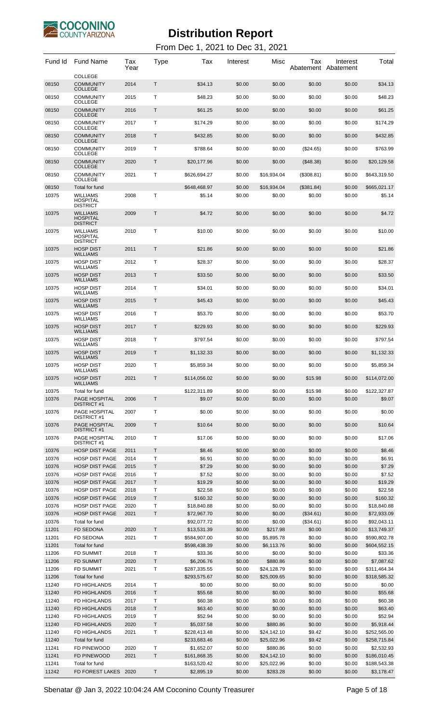

#### From Dec 1, 2021 to Dec 31, 2021

| Fund Id        | <b>Fund Name</b>                                      | Tax<br>Year  | Type             | Tax                | Interest         | Misc             | Тах              | Interest<br>Abatement Abatement | Total              |
|----------------|-------------------------------------------------------|--------------|------------------|--------------------|------------------|------------------|------------------|---------------------------------|--------------------|
| 08150          | <b>COLLEGE</b><br><b>COMMUNITY</b><br><b>COLLEGE</b>  | 2014         | $\mathsf{T}$     | \$34.13            | \$0.00           | \$0.00           | \$0.00           | \$0.00                          | \$34.13            |
| 08150          | <b>COMMUNITY</b><br><b>COLLEGE</b>                    | 2015         | $\mathsf{T}$     | \$48.23            | \$0.00           | \$0.00           | \$0.00           | \$0.00                          | \$48.23            |
| 08150          | <b>COMMUNITY</b><br><b>COLLEGE</b>                    | 2016         | Τ                | \$61.25            | \$0.00           | \$0.00           | \$0.00           | \$0.00                          | \$61.25            |
| 08150          | <b>COMMUNITY</b><br><b>COLLEGE</b>                    | 2017         | Т                | \$174.29           | \$0.00           | \$0.00           | \$0.00           | \$0.00                          | \$174.29           |
| 08150          | <b>COMMUNITY</b><br><b>COLLEGE</b>                    | 2018         | Τ                | \$432.85           | \$0.00           | \$0.00           | \$0.00           | \$0.00                          | \$432.85           |
| 08150          | <b>COMMUNITY</b><br><b>COLLEGE</b>                    | 2019         | $\mathsf{T}$     | \$788.64           | \$0.00           | \$0.00           | $(\$24.65)$      | \$0.00                          | \$763.99           |
| 08150          | <b>COMMUNITY</b><br><b>COLLEGE</b>                    | 2020         | Τ                | \$20,177.96        | \$0.00           | \$0.00           | (\$48.38)        | \$0.00                          | \$20,129.58        |
| 08150          | <b>COMMUNITY</b><br>COLLEGE                           | 2021         | Т                | \$626,694.27       | \$0.00           | \$16,934.04      | (\$308.81)       | \$0.00                          | \$643,319.50       |
| 08150          | Total for fund                                        |              |                  | \$648,468.97       | \$0.00           | \$16,934.04      | (\$381.84)       | \$0.00                          | \$665,021.17       |
| 10375          | <b>WILLIAMS</b><br><b>HOSPITAL</b><br><b>DISTRICT</b> | 2008         | Τ                | \$5.14             | \$0.00           | \$0.00           | \$0.00           | \$0.00                          | \$5.14             |
| 10375          | <b>WILLIAMS</b><br><b>HOSPITAL</b><br><b>DISTRICT</b> | 2009         | Τ                | \$4.72             | \$0.00           | \$0.00           | \$0.00           | \$0.00                          | \$4.72             |
| 10375          | <b>WILLIAMS</b><br><b>HOSPITAL</b><br><b>DISTRICT</b> | 2010         | Т                | \$10.00            | \$0.00           | \$0.00           | \$0.00           | \$0.00                          | \$10.00            |
| 10375          | <b>HOSP DIST</b><br><b>WILLIAMS</b>                   | 2011         | Τ                | \$21.86            | \$0.00           | \$0.00           | \$0.00           | \$0.00                          | \$21.86            |
| 10375          | <b>HOSP DIST</b><br><b>WILLIAMS</b>                   | 2012         | Т                | \$28.37            | \$0.00           | \$0.00           | \$0.00           | \$0.00                          | \$28.37            |
| 10375          | <b>HOSP DIST</b><br><b>WILLIAMS</b>                   | 2013         | Τ                | \$33.50            | \$0.00           | \$0.00           | \$0.00           | \$0.00                          | \$33.50            |
| 10375          | <b>HOSP DIST</b><br><b>WILLIAMS</b>                   | 2014         | Т                | \$34.01            | \$0.00           | \$0.00           | \$0.00           | \$0.00                          | \$34.01            |
| 10375          | <b>HOSP DIST</b><br><b>WILLIAMS</b>                   | 2015         | Τ                | \$45.43            | \$0.00           | \$0.00           | \$0.00           | \$0.00                          | \$45.43            |
| 10375          | <b>HOSP DIST</b><br><b>WILLIAMS</b>                   | 2016         | Т                | \$53.70            | \$0.00           | \$0.00           | \$0.00           | \$0.00                          | \$53.70            |
| 10375          | <b>HOSP DIST</b><br><b>WILLIAMS</b>                   | 2017         | Τ                | \$229.93           | \$0.00           | \$0.00           | \$0.00           | \$0.00                          | \$229.93           |
| 10375          | <b>HOSP DIST</b><br><b>WILLIAMS</b>                   | 2018         | Т                | \$797.54           | \$0.00           | \$0.00           | \$0.00           | \$0.00                          | \$797.54           |
| 10375          | <b>HOSP DIST</b><br><b>WILLIAMS</b>                   | 2019         | Τ                | \$1,132.33         | \$0.00           | \$0.00           | \$0.00           | \$0.00                          | \$1,132.33         |
| 10375          | <b>HOSP DIST</b>                                      | 2020         | Т                | \$5,859.34         | \$0.00           | \$0.00           | \$0.00           | \$0.00                          | \$5.859.34         |
| 10375          | <b>WILLIAMS</b><br><b>HOSP DIST</b>                   | 2021         | Т                | \$114,056.02       | \$0.00           | \$0.00           | \$15.98          | \$0.00                          | \$114,072.00       |
| 10375          | <b>WILLIAMS</b><br>Total for fund                     |              |                  | \$122,311.89       | \$0.00           | \$0.00           | \$15.98          | \$0.00                          | \$122,327.87       |
| 10376          | PAGE HOSPITAL<br><b>DISTRICT #1</b>                   | 2006         | $\mathsf{T}$     | \$9.07             | \$0.00           | \$0.00           | \$0.00           | \$0.00                          | \$9.07             |
| 10376          | PAGE HOSPITAL<br><b>DISTRICT #1</b>                   | 2007         | Т                | \$0.00             | \$0.00           | \$0.00           | \$0.00           | \$0.00                          | \$0.00             |
| 10376          | PAGE HOSPITAL<br><b>DISTRICT #1</b>                   | 2009         | Τ                | \$10.64            | \$0.00           | \$0.00           | \$0.00           | \$0.00                          | \$10.64            |
| 10376          | PAGE HOSPITAL<br><b>DISTRICT#1</b>                    | 2010         | Т                | \$17.06            | \$0.00           | \$0.00           | \$0.00           | \$0.00                          | \$17.06            |
| 10376          | <b>HOSP DIST PAGE</b>                                 | 2011         | $\mathsf{T}$     | \$8.46             | \$0.00           | \$0.00           | \$0.00           | \$0.00                          | \$8.46             |
| 10376          | <b>HOSP DIST PAGE</b>                                 | 2014         | $\top$           | \$6.91             | \$0.00           | \$0.00           | \$0.00           | \$0.00                          | \$6.91             |
| 10376          | <b>HOSP DIST PAGE</b>                                 | 2015         | $\mathsf T$      | \$7.29             | \$0.00           | \$0.00           | \$0.00           | \$0.00                          | \$7.29             |
| 10376          | <b>HOSP DIST PAGE</b><br><b>HOSP DIST PAGE</b>        | 2016         | Т<br>T           | \$7.52             | \$0.00           | \$0.00<br>\$0.00 | \$0.00<br>\$0.00 | \$0.00                          | \$7.52<br>\$19.29  |
| 10376<br>10376 | <b>HOSP DIST PAGE</b>                                 | 2017<br>2018 | Т                | \$19.29<br>\$22.58 | \$0.00<br>\$0.00 | \$0.00           | \$0.00           | \$0.00<br>\$0.00                | \$22.58            |
| 10376          | <b>HOSP DIST PAGE</b>                                 | 2019         | T                | \$160.32           | \$0.00           | \$0.00           | \$0.00           | \$0.00                          | \$160.32           |
| 10376          | <b>HOSP DIST PAGE</b>                                 | 2020         | T                | \$18,840.88        | \$0.00           | \$0.00           | \$0.00           | \$0.00                          | \$18,840.88        |
| 10376          | <b>HOSP DIST PAGE</b>                                 | 2021         | $\mathsf T$      | \$72,967.70        | \$0.00           | \$0.00           | (\$34.61)        | \$0.00                          | \$72,933.09        |
| 10376          | Total for fund                                        |              |                  | \$92,077.72        | \$0.00           | \$0.00           | (\$34.61)        | \$0.00                          | \$92,043.11        |
| 11201          | <b>FD SEDONA</b>                                      | 2020         | $\mathsf{T}$     | \$13,531.39        | \$0.00           | \$217.98         | \$0.00           | \$0.00                          | \$13,749.37        |
| 11201          | <b>FD SEDONA</b>                                      | 2021         | Τ                | \$584,907.00       | \$0.00           | \$5,895.78       | \$0.00           | \$0.00                          | \$590,802.78       |
| 11201          | Total for fund                                        |              |                  | \$598,438.39       | \$0.00           | \$6,113.76       | \$0.00           | \$0.00                          | \$604,552.15       |
| 11206          | <b>FD SUMMIT</b>                                      | 2018         | T                | \$33.36            | \$0.00           | \$0.00           | \$0.00           | \$0.00                          | \$33.36            |
| 11206          | <b>FD SUMMIT</b>                                      | 2020         | T                | \$6,206.76         | \$0.00           | \$880.86         | \$0.00           | \$0.00                          | \$7,087.62         |
| 11206          | <b>FD SUMMIT</b>                                      | 2021         | Τ                | \$287,335.55       | \$0.00           | \$24,128.79      | \$0.00           | \$0.00                          | \$311,464.34       |
| 11206          | Total for fund                                        |              |                  | \$293,575.67       | \$0.00           | \$25,009.65      | \$0.00           | \$0.00                          | \$318,585.32       |
| 11240          | FD HIGHLANDS                                          | 2014         | Τ                | \$0.00             | \$0.00           | \$0.00           | \$0.00           | \$0.00                          | \$0.00             |
| 11240<br>11240 | FD HIGHLANDS<br>FD HIGHLANDS                          | 2016<br>2017 | $\mathsf T$<br>T | \$55.68<br>\$60.38 | \$0.00<br>\$0.00 | \$0.00<br>\$0.00 | \$0.00<br>\$0.00 | \$0.00<br>\$0.00                | \$55.68<br>\$60.38 |
| 11240          | <b>FD HIGHLANDS</b>                                   | 2018         | $\mathsf T$      | \$63.40            | \$0.00           | \$0.00           | \$0.00           | \$0.00                          | \$63.40            |
| 11240          | FD HIGHLANDS                                          | 2019         | Т                | \$52.94            | \$0.00           | \$0.00           | \$0.00           | \$0.00                          | \$52.94            |
| 11240          | FD HIGHLANDS                                          | 2020         | $\mathsf{T}$     | \$5.037.58         | \$0.00           | \$880.86         | \$0.00           | \$0.00                          | \$5,918.44         |
| 11240          | FD HIGHLANDS                                          | 2021         | Τ                | \$228,413.48       | \$0.00           | \$24,142.10      | \$9.42           | \$0.00                          | \$252,565.00       |
| 11240          | Total for fund                                        |              |                  | \$233,683.46       | \$0.00           | \$25,022.96      | \$9.42           | \$0.00                          | \$258,715.84       |
| 11241          | FD PINEWOOD                                           | 2020         | T                | \$1,652.07         | \$0.00           | \$880.86         | \$0.00           | \$0.00                          | \$2,532.93         |
| 11241          | <b>FD PINEWOOD</b>                                    | 2021         | $\mathsf{T}$     | \$161,868.35       | \$0.00           | \$24,142.10      | \$0.00           | \$0.00                          | \$186,010.45       |
| 11241          | Total for fund                                        |              |                  | \$163,520.42       | \$0.00           | \$25,022.96      | \$0.00           | \$0.00                          | \$188,543.38       |
| 11242          | FD FOREST LAKES                                       | 2020         | Т                | \$2,895.19         | \$0.00           | \$283.28         | \$0.00           | \$0.00                          | \$3,178.47         |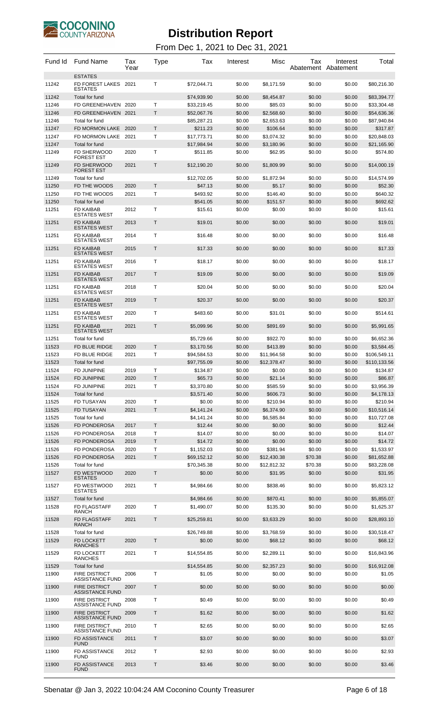

| Fund Id        | <b>Fund Name</b>                                               | Tax<br>Year  | Type | Tax                       | Interest         | Misc                    | Tax              | Interest<br>Abatement Abatement | Total                      |
|----------------|----------------------------------------------------------------|--------------|------|---------------------------|------------------|-------------------------|------------------|---------------------------------|----------------------------|
| 11242          | <b>ESTATES</b><br>FD FOREST LAKES<br>ESTATES                   | 2021         | т    | \$72,044.71               | \$0.00           | \$8,171.59              | \$0.00           | \$0.00                          | \$80,216.30                |
| 11242          | Total for fund                                                 |              |      | \$74.939.90               | \$0.00           | \$8,454.87              | \$0.00           | \$0.00                          | \$83,394.77                |
| 11246          | FD GREENEHAVEN 2020                                            |              | T    | \$33,219.45               | \$0.00           | \$85.03                 | \$0.00           | \$0.00                          | \$33,304.48                |
| 11246          | FD GREENEHAVEN 2021                                            |              | Τ    | \$52,067.76               | \$0.00           | \$2,568.60              | \$0.00           | \$0.00                          | \$54,636.36                |
| 11246          | Total for fund                                                 |              |      | \$85,287.21               | \$0.00           | \$2,653.63              | \$0.00           | \$0.00                          | \$87,940.84                |
| 11247          | FD MORMON LAKE                                                 | 2020         | T    | \$211.23                  | \$0.00           | \$106.64                | \$0.00           | \$0.00                          | \$317.87                   |
| 11247          | FD MORMON LAKE                                                 | 2021         | Т    | \$17,773.71               | \$0.00           | \$3,074.32              | \$0.00           | \$0.00                          | \$20,848.03                |
| 11247          | Total for fund                                                 |              |      | \$17,984.94               | \$0.00           | \$3,180.96              | \$0.00           | \$0.00                          | \$21,165.90                |
| 11249          | FD SHERWOOD                                                    | 2020         | T    | \$511.85                  | \$0.00           | \$62.95                 | \$0.00           | \$0.00                          | \$574.80                   |
| 11249          | FOREST EST<br><b>FD SHERWOOD</b><br>FOREST EST                 | 2021         | T    | \$12,190.20               | \$0.00           | \$1,809.99              | \$0.00           | \$0.00                          | \$14,000.19                |
| 11249          | Total for fund                                                 |              |      | \$12,702.05               | \$0.00           | \$1,872.94              | \$0.00           | \$0.00                          | \$14,574.99                |
| 11250          | FD THE WOODS                                                   | 2020         | Τ    | \$47.13                   | \$0.00           | \$5.17                  | \$0.00           | \$0.00                          | \$52.30                    |
| 11250          | FD THE WOODS                                                   | 2021         | т    | \$493.92                  | \$0.00           | \$146.40                | \$0.00           | \$0.00                          | \$640.32                   |
| 11250          | Total for fund                                                 |              |      | \$541.05                  | \$0.00           | \$151.57                | \$0.00           | \$0.00                          | \$692.62                   |
| 11251          | FD KAIBAB                                                      | 2012         | Т    | \$15.61                   | \$0.00           | \$0.00                  | \$0.00           | \$0.00                          | \$15.61                    |
| 11251          | <b>ESTATES WEST</b><br><b>FD KAIBAB</b><br><b>ESTATES WEST</b> | 2013         | Т    | \$19.01                   | \$0.00           | \$0.00                  | \$0.00           | \$0.00                          | \$19.01                    |
| 11251          | FD KAIBAB                                                      | 2014         | т    | \$16.48                   | \$0.00           | \$0.00                  | \$0.00           | \$0.00                          | \$16.48                    |
| 11251          | ESTATES WEST<br><b>FD KAIBAB</b>                               | 2015         | Т    | \$17.33                   | \$0.00           | \$0.00                  | \$0.00           | \$0.00                          | \$17.33                    |
| 11251          | <b>ESTATES WEST</b><br>FD KAIBAB                               |              | т    | \$18.17                   |                  |                         |                  |                                 |                            |
|                | <b>ESTATES WEST</b>                                            | 2016         |      |                           | \$0.00           | \$0.00                  | \$0.00           | \$0.00                          | \$18.17                    |
| 11251          | <b>FD KAIBAB</b><br><b>ESTATES WEST</b>                        | 2017         | Т    | \$19.09                   | \$0.00           | \$0.00                  | \$0.00           | \$0.00                          | \$19.09                    |
| 11251          | FD KAIBAB<br><b>ESTATES WEST</b>                               | 2018         | т    | \$20.04                   | \$0.00           | \$0.00                  | \$0.00           | \$0.00                          | \$20.04                    |
| 11251          | <b>FD KAIBAB</b><br><b>ESTATES WEST</b>                        | 2019         | Т    | \$20.37                   | \$0.00           | \$0.00                  | \$0.00           | \$0.00                          | \$20.37                    |
| 11251          | FD KAIBAB<br>ESTATES WEST                                      | 2020         | т    | \$483.60                  | \$0.00           | \$31.01                 | \$0.00           | \$0.00                          | \$514.61                   |
| 11251          | <b>FD KAIBAB</b><br><b>ESTATES WEST</b>                        | 2021         | Т    | \$5,099.96                | \$0.00           | \$891.69                | \$0.00           | \$0.00                          | \$5,991.65                 |
|                | Total for fund                                                 |              |      |                           |                  |                         |                  |                                 |                            |
| 11251          |                                                                |              | т    | \$5,729.66                | \$0.00           | \$922.70                | \$0.00           | \$0.00                          | \$6,652.36                 |
| 11523<br>11523 | FD BLUE RIDGE<br>FD BLUE RIDGE                                 | 2020<br>2021 | T    | \$3,170.56<br>\$94,584.53 | \$0.00<br>\$0.00 | \$413.89<br>\$11,964.58 | \$0.00<br>\$0.00 | \$0.00<br>\$0.00                | \$3,584.45<br>\$106,549.11 |
| 11523          | Total for fund                                                 |              |      | \$97,755.09               | \$0.00           | \$12,378.47             | \$0.00           | \$0.00                          | \$110,133.56               |
| 11524          | FD JUNIPINE                                                    | 2019         | т    | \$134.87                  | \$0.00           | \$0.00                  | \$0.00           | \$0.00                          | \$134.87                   |
| 11524          | FD JUNIPINE                                                    | 2020         | Т    | \$65.73                   | \$0.00           | \$21.14                 | \$0.00           | \$0.00                          | \$86.87                    |
| 11524          | FD JUNIPINE                                                    | 2021         | Т    | \$3,370.80                | \$0.00           | \$585.59                | \$0.00           | \$0.00                          | \$3,956.39                 |
| 11524          | Total for fund                                                 |              |      | \$3.571.40                | \$0.00           | \$606.73                | \$0.00           | \$0.00                          | \$4,178.13                 |
| 11525          | FD TUSAYAN                                                     | 2020         | T    | \$0.00                    | \$0.00           | \$210.94                | \$0.00           | \$0.00                          | \$210.94                   |
| 11525          | <b>FD TUSAYAN</b>                                              | 2021         | T    | \$4,141.24                | \$0.00           | \$6,374.90              | \$0.00           | \$0.00                          | \$10,516.14                |
| 11525          | Total for fund                                                 |              |      | \$4,141.24                | \$0.00           | \$6,585.84              | \$0.00           | \$0.00                          | \$10,727.08                |
| 11526          | FD PONDEROSA                                                   | 2017         | Т    | \$12.44                   | \$0.00           | \$0.00                  | \$0.00           | \$0.00                          | \$12.44                    |
| 11526          | FD PONDEROSA                                                   | 2018         | T    | \$14.07                   | \$0.00           | \$0.00                  | \$0.00           | \$0.00                          | \$14.07                    |
| 11526          | <b>FD PONDEROSA</b>                                            | 2019         | T    | \$14.72                   | \$0.00           | \$0.00                  | \$0.00           | \$0.00                          | \$14.72                    |
| 11526          | FD PONDEROSA                                                   | 2020         | Τ    | \$1,152.03                | \$0.00           | \$381.94                | \$0.00           | \$0.00                          | \$1,533.97                 |
| 11526          | FD PONDEROSA                                                   | 2021         | T    | \$69,152.12               | \$0.00           | \$12,430.38             | \$70.38          | \$0.00                          | \$81,652.88                |
| 11526          | Total for fund                                                 |              |      | \$70,345.38               | \$0.00           | \$12,812.32             | \$70.38          | \$0.00                          | \$83,228.08                |
| 11527          | FD WESTWOOD<br><b>ESTATES</b>                                  | 2020         | T    | \$0.00                    | \$0.00           | \$31.95                 | \$0.00           | \$0.00                          | \$31.95                    |
| 11527          | FD WESTWOOD<br><b>ESTATES</b>                                  | 2021         | T    | \$4,984.66                | \$0.00           | \$838.46                | \$0.00           | \$0.00                          | \$5,823.12                 |
| 11527          | Total for fund                                                 |              |      | \$4,984.66                | \$0.00           | \$870.41                | \$0.00           | \$0.00                          | \$5,855.07                 |
| 11528          | FD FLAGSTAFF<br><b>RANCH</b>                                   | 2020         | Τ    | \$1,490.07                | \$0.00           | \$135.30                | \$0.00           | \$0.00                          | \$1,625.37                 |
| 11528          | FD FLAGSTAFF<br><b>RANCH</b>                                   | 2021         | Τ    | \$25,259.81               | \$0.00           | \$3,633.29              | \$0.00           | \$0.00                          | \$28,893.10                |
| 11528          | Total for fund                                                 |              |      | \$26,749.88               | \$0.00           | \$3,768.59              | \$0.00           | \$0.00                          | \$30,518.47                |
| 11529          | FD LOCKETT                                                     | 2020         | Τ    | \$0.00                    | \$0.00           | \$68.12                 | \$0.00           | \$0.00                          | \$68.12                    |
| 11529          | <b>RANCHES</b><br>FD LOCKETT                                   | 2021         | Τ    | \$14,554.85               | \$0.00           | \$2,289.11              | \$0.00           | \$0.00                          | \$16,843.96                |
|                | RANCHES                                                        |              |      |                           |                  |                         |                  |                                 |                            |
| 11529<br>11900 | Total for fund<br><b>FIRE DISTRICT</b>                         | 2006         | T    | \$14,554.85<br>\$1.05     | \$0.00<br>\$0.00 | \$2,357.23<br>\$0.00    | \$0.00<br>\$0.00 | \$0.00<br>\$0.00                | \$16,912.08<br>\$1.05      |
|                | <b>ASSISTANCE FUND</b>                                         |              |      |                           |                  |                         |                  |                                 |                            |
| 11900          | <b>FIRE DISTRICT</b><br>ASSISTANCE FUND                        | 2007         | Τ    | \$0.00                    | \$0.00           | \$0.00                  | \$0.00           | \$0.00                          | \$0.00                     |
| 11900          | <b>FIRE DISTRICT</b><br><b>ASSISTANCE FUND</b>                 | 2008         | T    | \$0.49                    | \$0.00           | \$0.00                  | \$0.00           | \$0.00                          | \$0.49                     |
| 11900          | <b>FIRE DISTRICT</b><br><b>ASSISTANCE FUND</b>                 | 2009         | Τ    | \$1.62                    | \$0.00           | \$0.00                  | \$0.00           | \$0.00                          | \$1.62                     |
| 11900          | <b>FIRE DISTRICT</b><br><b>ASSISTANCE FUND</b>                 | 2010         | T    | \$2.65                    | \$0.00           | \$0.00                  | \$0.00           | \$0.00                          | \$2.65                     |
| 11900          | FD ASSISTANCE<br><b>FUND</b>                                   | 2011         | Τ    | \$3.07                    | \$0.00           | \$0.00                  | \$0.00           | \$0.00                          | \$3.07                     |
| 11900          | <b>FD ASSISTANCE</b><br>FUND                                   | 2012         | Т    | \$2.93                    | \$0.00           | \$0.00                  | \$0.00           | \$0.00                          | \$2.93                     |
| 11900          | FD ASSISTANCE<br><b>FUND</b>                                   | 2013         | Τ    | \$3.46                    | \$0.00           | \$0.00                  | \$0.00           | \$0.00                          | \$3.46                     |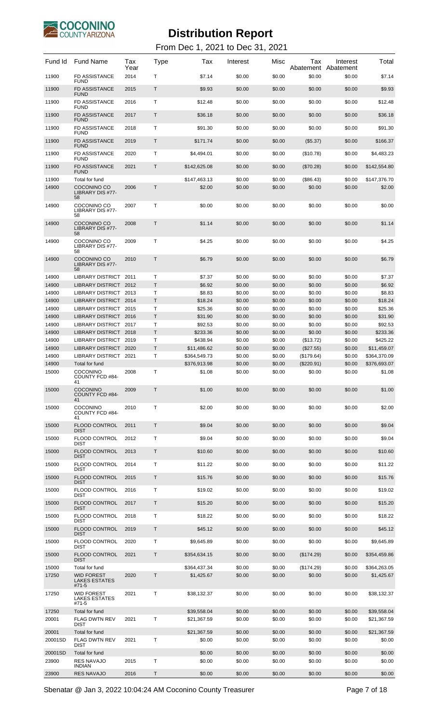

From Dec 1, 2021 to Dec 31, 2021

| Fund Id        | <b>Fund Name</b>                                        | Tax<br>Year | Type              | Тах                        | Interest         | Misc             | Tax<br>Abatement       | Interest<br>Abatement | Total                      |
|----------------|---------------------------------------------------------|-------------|-------------------|----------------------------|------------------|------------------|------------------------|-----------------------|----------------------------|
| 11900          | FD ASSISTANCE<br><b>FUND</b>                            | 2014        | Т                 | \$7.14                     | \$0.00           | \$0.00           | \$0.00                 | \$0.00                | \$7.14                     |
| 11900          | <b>FD ASSISTANCE</b><br><b>FUND</b>                     | 2015        | Т                 | \$9.93                     | \$0.00           | \$0.00           | \$0.00                 | \$0.00                | \$9.93                     |
| 11900          | <b>FD ASSISTANCE</b><br><b>FUND</b>                     | 2016        | т                 | \$12.48                    | \$0.00           | \$0.00           | \$0.00                 | \$0.00                | \$12.48                    |
| 11900          | <b>FD ASSISTANCE</b><br><b>FUND</b>                     | 2017        | Т                 | \$36.18                    | \$0.00           | \$0.00           | \$0.00                 | \$0.00                | \$36.18                    |
| 11900          | <b>FD ASSISTANCE</b>                                    | 2018        | т                 | \$91.30                    | \$0.00           | \$0.00           | \$0.00                 | \$0.00                | \$91.30                    |
| 11900          | <b>FUND</b><br><b>FD ASSISTANCE</b>                     | 2019        | Т                 | \$171.74                   | \$0.00           | \$0.00           | (\$5.37)               | \$0.00                | \$166.37                   |
| 11900          | <b>FUND</b><br><b>FD ASSISTANCE</b>                     | 2020        | т                 | \$4,494.01                 | \$0.00           | \$0.00           | (\$10.78)              | \$0.00                | \$4,483.23                 |
| 11900          | <b>FUND</b><br><b>FD ASSISTANCE</b>                     | 2021        | Т                 | \$142,625.08               | \$0.00           | \$0.00           |                        | \$0.00                | \$142,554.80               |
|                | <b>FUND</b>                                             |             |                   |                            |                  |                  | (\$70.28)              |                       |                            |
| 11900<br>14900 | Total for fund<br>COCONINO CO<br>LIBRARY DIS #77-<br>58 | 2006        | Т                 | \$147,463.13<br>\$2.00     | \$0.00<br>\$0.00 | \$0.00<br>\$0.00 | (\$86.43)<br>\$0.00    | \$0.00<br>\$0.00      | \$147,376.70<br>\$2.00     |
| 14900          | COCONINO CO<br>LIBRARY DIS #77-<br>58                   | 2007        | т                 | \$0.00                     | \$0.00           | \$0.00           | \$0.00                 | \$0.00                | \$0.00                     |
| 14900          | COCONINO CO<br>LIBRARY DIS #77-<br>58                   | 2008        | Т                 | \$1.14                     | \$0.00           | \$0.00           | \$0.00                 | \$0.00                | \$1.14                     |
| 14900          | COCONINO CO<br>LIBRARY DIS #77-<br>58                   | 2009        | т                 | \$4.25                     | \$0.00           | \$0.00           | \$0.00                 | \$0.00                | \$4.25                     |
| 14900          | COCONINO CO<br>LIBRARY DIS #77-<br>58                   | 2010        | T                 | \$6.79                     | \$0.00           | \$0.00           | \$0.00                 | \$0.00                | \$6.79                     |
| 14900          | <b>LIBRARY DISTRICT</b>                                 | 2011        | Т                 | \$7.37                     | \$0.00           | \$0.00           | \$0.00                 | \$0.00                | \$7.37                     |
| 14900<br>14900 | LIBRARY DISTRICT<br>LIBRARY DISTRICT 2013               | 2012        | T<br>т            | \$6.92<br>\$8.83           | \$0.00<br>\$0.00 | \$0.00<br>\$0.00 | \$0.00<br>\$0.00       | \$0.00<br>\$0.00      | \$6.92<br>\$8.83           |
| 14900          | LIBRARY DISTRICT 2014                                   |             | Τ                 | \$18.24                    | \$0.00           | \$0.00           | \$0.00                 | \$0.00                | \$18.24                    |
| 14900          | LIBRARY DISTRICT 2015                                   |             | Т                 | \$25.36                    | \$0.00           | \$0.00           | \$0.00                 | \$0.00                | \$25.36                    |
| 14900          | <b>LIBRARY DISTRICT</b>                                 | 2016        | T                 | \$31.90                    | \$0.00           | \$0.00           | \$0.00                 | \$0.00                | \$31.90                    |
| 14900          | LIBRARY DISTRICT                                        | 2017        | Т                 | \$92.53                    | \$0.00           | \$0.00           | \$0.00                 | \$0.00                | \$92.53                    |
| 14900          | <b>LIBRARY DISTRICT</b><br>LIBRARY DISTRICT 2019        | 2018        | T                 | \$233.36                   | \$0.00           | \$0.00           | \$0.00                 | \$0.00                | \$233.36                   |
| 14900<br>14900 | LIBRARY DISTRICT 2020                                   |             | Т<br>$\mathsf{T}$ | \$438.94<br>\$11,486.62    | \$0.00<br>\$0.00 | \$0.00<br>\$0.00 | (\$13.72)<br>(\$27.55) | \$0.00<br>\$0.00      | \$425.22<br>\$11,459.07    |
| 14900          | LIBRARY DISTRICT 2021                                   |             | Т                 | \$364,549.73               | \$0.00           | \$0.00           | (\$179.64)             | \$0.00                | \$364,370.09               |
| 14900          | Total for fund                                          |             |                   | \$376,913.98               | \$0.00           | \$0.00           | (\$220.91)             | \$0.00                | \$376,693.07               |
| 15000          | <b>COCONINO</b><br>COUNTY FCD #84-<br>41                | 2008        | Т                 | \$1.08                     | \$0.00           | \$0.00           | \$0.00                 | \$0.00                | \$1.08                     |
| 15000          | <b>COCONINO</b><br>COUNTY FCD #84-<br>41                | 2009        | Т                 | \$1.00                     | \$0.00           | \$0.00           | \$0.00                 | \$0.00                | \$1.00                     |
| 15000          | <b>COCONINO</b><br>COUNTY FCD #84-<br>41                | 2010        | т                 | \$2.00                     | \$0.00           | \$0.00           | \$0.00                 | \$0.00                | \$2.00                     |
| 15000          | <b>FLOOD CONTROL</b><br><b>DIST</b>                     | 2011        | Τ                 | \$9.04                     | \$0.00           | \$0.00           | \$0.00                 | \$0.00                | \$9.04                     |
| 15000          | <b>FLOOD CONTROL</b><br><b>DIST</b>                     | 2012        | т                 | \$9.04                     | \$0.00           | \$0.00           | \$0.00                 | \$0.00                | \$9.04                     |
| 15000          | <b>FLOOD CONTROL</b><br><b>DIST</b>                     | 2013        | Τ                 | \$10.60                    | \$0.00           | \$0.00           | \$0.00                 | \$0.00                | \$10.60                    |
| 15000          | <b>FLOOD CONTROL</b><br><b>DIST</b>                     | 2014        | т                 | \$11.22                    | \$0.00           | \$0.00           | \$0.00                 | \$0.00                | \$11.22                    |
| 15000          | <b>FLOOD CONTROL</b><br><b>DIST</b>                     | 2015        | Τ                 | \$15.76                    | \$0.00           | \$0.00           | \$0.00                 | \$0.00                | \$15.76                    |
| 15000          | <b>FLOOD CONTROL</b><br><b>DIST</b>                     | 2016        | т                 | \$19.02                    | \$0.00           | \$0.00           | \$0.00                 | \$0.00                | \$19.02                    |
| 15000          | <b>FLOOD CONTROL</b><br><b>DIST</b>                     | 2017        | Τ                 | \$15.20                    | \$0.00           | \$0.00           | \$0.00                 | \$0.00                | \$15.20                    |
| 15000          | <b>FLOOD CONTROL</b><br><b>DIST</b>                     | 2018        | т                 | \$18.22                    | \$0.00           | \$0.00           | \$0.00                 | \$0.00                | \$18.22                    |
| 15000          | <b>FLOOD CONTROL</b><br><b>DIST</b>                     | 2019        | Τ                 | \$45.12                    | \$0.00           | \$0.00           | \$0.00                 | \$0.00                | \$45.12                    |
| 15000          | <b>FLOOD CONTROL</b><br><b>DIST</b>                     | 2020        | т                 | \$9,645.89                 | \$0.00           | \$0.00           | \$0.00                 | \$0.00                | \$9,645.89                 |
| 15000          | <b>FLOOD CONTROL</b><br><b>DIST</b>                     | 2021        | Τ                 | \$354,634.15               | \$0.00           | \$0.00           | (\$174.29)             | \$0.00                | \$354,459.86               |
| 15000          | Total for fund                                          |             |                   | \$364,437.34               | \$0.00           | \$0.00           | (\$174.29)             | \$0.00                | \$364,263.05               |
| 17250          | <b>WID FOREST</b><br><b>LAKES ESTATES</b><br>#71-5      | 2020        | Т                 | \$1,425.67                 | \$0.00           | \$0.00           | \$0.00                 | \$0.00                | \$1,425.67                 |
| 17250          | <b>WID FOREST</b><br>LAKES ESTATES<br>#71-5             | 2021        | Т                 | \$38,132.37                | \$0.00           | \$0.00           | \$0.00                 | \$0.00                | \$38,132.37                |
| 17250<br>20001 | Total for fund<br><b>FLAG DWTN REV</b>                  | 2021        | т                 | \$39,558.04<br>\$21,367.59 | \$0.00<br>\$0.00 | \$0.00<br>\$0.00 | \$0.00<br>\$0.00       | \$0.00<br>\$0.00      | \$39.558.04<br>\$21,367.59 |
|                | <b>DIST</b>                                             |             |                   |                            |                  |                  |                        |                       |                            |
| 20001          | Total for fund                                          |             |                   | \$21,367.59                | \$0.00           | \$0.00           | \$0.00                 | \$0.00                | \$21,367.59                |
| 20001SD        | <b>FLAG DWTN REV</b><br><b>DIST</b>                     | 2021        | т                 | \$0.00                     | \$0.00           | \$0.00           | \$0.00                 | \$0.00                | \$0.00                     |
| 20001SD        | Total for fund                                          |             |                   | \$0.00                     | \$0.00           | \$0.00           | \$0.00                 | \$0.00                | \$0.00                     |
| 23900          | <b>RES NAVAJO</b><br><b>INDIAN</b>                      | 2015        | Т                 | \$0.00                     | \$0.00           | \$0.00           | \$0.00                 | \$0.00                | \$0.00                     |
| 23900          | <b>RES NAVAJO</b>                                       | 2016        | Т                 | \$0.00                     | \$0.00           | \$0.00           | \$0.00                 | \$0.00                | \$0.00                     |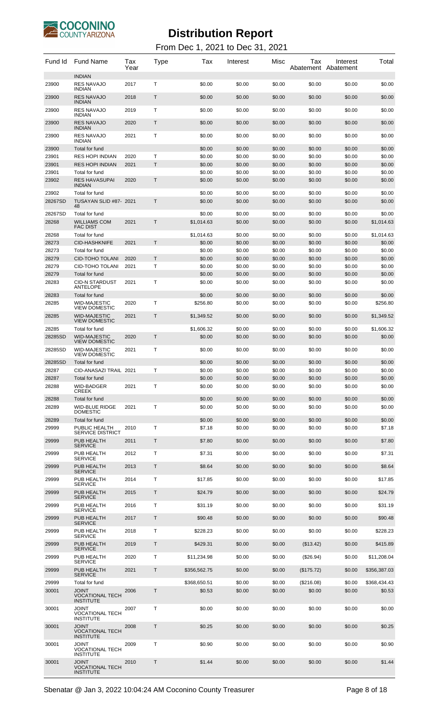

| Fund Id          | <b>Fund Name</b>                                           | Tax<br>Year | Type | Tax              | Interest         | Misc             | Тах<br>Abatement Abatement | Interest         | Total            |
|------------------|------------------------------------------------------------|-------------|------|------------------|------------------|------------------|----------------------------|------------------|------------------|
| 23900            | <b>INDIAN</b><br><b>RES NAVAJO</b><br><b>INDIAN</b>        | 2017        | T    | \$0.00           | \$0.00           | \$0.00           | \$0.00                     | \$0.00           | \$0.00           |
| 23900            | <b>RES NAVAJO</b><br><b>INDIAN</b>                         | 2018        | T    | \$0.00           | \$0.00           | \$0.00           | \$0.00                     | \$0.00           | \$0.00           |
| 23900            | <b>RES NAVAJO</b><br><b>INDIAN</b>                         | 2019        | Т    | \$0.00           | \$0.00           | \$0.00           | \$0.00                     | \$0.00           | \$0.00           |
| 23900            | <b>RES NAVAJO</b><br><b>INDIAN</b>                         | 2020        | T    | \$0.00           | \$0.00           | \$0.00           | \$0.00                     | \$0.00           | \$0.00           |
| 23900            | <b>RES NAVAJO</b><br><b>INDIAN</b>                         | 2021        | T    | \$0.00           | \$0.00           | \$0.00           | \$0.00                     | \$0.00           | \$0.00           |
| 23900            | Total for fund                                             |             |      | \$0.00           | \$0.00           | \$0.00           | \$0.00                     | \$0.00           | \$0.00           |
| 23901            | <b>RES HOPI INDIAN</b>                                     | 2020        | Т    | \$0.00           | \$0.00           | \$0.00           | \$0.00                     | \$0.00           | \$0.00           |
| 23901            | <b>RES HOPI INDIAN</b>                                     | 2021        | T.   | \$0.00           | \$0.00           | \$0.00           | \$0.00                     | \$0.00           | \$0.00           |
| 23901            | Total for fund                                             |             |      | \$0.00           | \$0.00           | \$0.00           | \$0.00                     | \$0.00           | \$0.00           |
| 23902            | <b>RES HAVASUPAI</b><br><b>INDIAN</b>                      | 2020        | Т    | \$0.00           | \$0.00           | \$0.00           | \$0.00                     | \$0.00           | \$0.00           |
| 23902<br>28267SD | Total for fund<br>TUSAYAN SLID #87- 2021<br>48             |             | T    | \$0.00<br>\$0.00 | \$0.00<br>\$0.00 | \$0.00<br>\$0.00 | \$0.00<br>\$0.00           | \$0.00<br>\$0.00 | \$0.00<br>\$0.00 |
| 28267SD          | Total for fund                                             |             |      | \$0.00           | \$0.00           | \$0.00           | \$0.00                     | \$0.00           | \$0.00           |
| 28268            | <b>WILLIAMS COM</b><br><b>FAC DIST</b>                     | 2021        | T.   | \$1,014.63       | \$0.00           | \$0.00           | \$0.00                     | \$0.00           | \$1,014.63       |
| 28268            | Total for fund                                             |             |      | \$1,014.63       | \$0.00           | \$0.00           | \$0.00                     | \$0.00           | \$1,014.63       |
| 28273            | <b>CID-HASHKNIFE</b>                                       | 2021        | T.   | \$0.00           | \$0.00           | \$0.00           | \$0.00                     | \$0.00           | \$0.00           |
| 28273            | Total for fund                                             |             |      | \$0.00           | \$0.00           | \$0.00           | \$0.00                     | \$0.00           | \$0.00           |
| 28279            | <b>CID-TOHO TOLANI</b>                                     | 2020        | T    | \$0.00           | \$0.00           | \$0.00           | \$0.00                     | \$0.00           | \$0.00           |
| 28279            | CID-TOHO TOLANI                                            | 2021        | т    | \$0.00           | \$0.00           | \$0.00           | \$0.00                     | \$0.00           | \$0.00           |
| 28279            | Total for fund                                             |             |      | \$0.00           | \$0.00           | \$0.00           | \$0.00                     | \$0.00           | \$0.00           |
| 28283            | <b>CID-N STARDUST</b><br>ANTELOPE                          | 2021        | т    | \$0.00           | \$0.00           | \$0.00           | \$0.00                     | \$0.00           | \$0.00           |
| 28283            | Total for fund                                             |             |      | \$0.00           | \$0.00           | \$0.00           | \$0.00                     | \$0.00           | \$0.00           |
| 28285            | <b>WID-MAJESTIC</b><br><b>VIEW DOMESTIC</b>                | 2020        | т    | \$256.80         | \$0.00           | \$0.00           | \$0.00                     | \$0.00           | \$256.80         |
| 28285            | <b>WID-MAJESTIC</b><br><b>VIEW DOMESTIC</b>                | 2021        | Τ    | \$1,349.52       | \$0.00           | \$0.00           | \$0.00                     | \$0.00           | \$1,349.52       |
| 28285            | Total for fund                                             |             |      | \$1,606.32       | \$0.00           | \$0.00           | \$0.00                     | \$0.00           | \$1,606.32       |
| 28285SD          | <b>WID-MAJESTIC</b><br><b>VIEW DOMESTIC</b>                | 2020        | T.   | \$0.00           | \$0.00           | \$0.00           | \$0.00                     | \$0.00           | \$0.00           |
| 28285SD          | <b>WID-MAJESTIC</b><br><b>VIEW DOMESTIC</b>                | 2021        | т    | \$0.00           | \$0.00           | \$0.00           | \$0.00                     | \$0.00           | \$0.00           |
| 28285SD          | Total for fund                                             |             |      | \$0.00           | \$0.00           | \$0.00           | \$0.00                     | \$0.00           | \$0.00           |
| 28287            | CID-ANASAZI TRAIL 2021                                     |             | т    | \$0.00           | \$0.00           | \$0.00           | \$0.00                     | \$0.00           | \$0.00           |
| 28287            | Total for fund                                             |             |      | \$0.00           | \$0.00           | \$0.00           | \$0.00                     | \$0.00           | \$0.00           |
| 28288            | WID-BADGER<br><b>CREEK</b>                                 | 2021        | т    | \$0.00           | \$0.00           | \$0.00           | \$0.00                     | \$0.00           | \$0.00           |
| 28288            | Total for fund                                             |             |      | \$0.00           | \$0.00           | \$0.00           | \$0.00                     | \$0.00           | \$0.00           |
| 28289            | <b>WID-BLUE RIDGE</b><br><b>DOMESTIC</b>                   | 2021        | T    | \$0.00           | \$0.00           | \$0.00           | \$0.00                     | \$0.00           | \$0.00           |
| 28289            | Total for fund                                             |             |      | \$0.00           | \$0.00           | \$0.00           | \$0.00                     | \$0.00           | \$0.00           |
| 29999            | PUBLIC HEALTH<br><b>SERVICE DISTRICT</b>                   | 2010        | Т    | \$7.18           | \$0.00           | \$0.00           | \$0.00                     | \$0.00           | \$7.18           |
| 29999            | PUB HEALTH                                                 | 2011        | Τ    | \$7.80           | \$0.00           | \$0.00           | \$0.00                     | \$0.00           | \$7.80           |
| 29999            | <b>SERVICE</b><br>PUB HEALTH<br><b>SERVICE</b>             | 2012        | Τ    | \$7.31           | \$0.00           | \$0.00           | \$0.00                     | \$0.00           | \$7.31           |
| 29999            | PUB HEALTH                                                 | 2013        | T    | \$8.64           | \$0.00           | \$0.00           | \$0.00                     | \$0.00           | \$8.64           |
| 29999            | <b>SERVICE</b><br>PUB HEALTH                               | 2014        | Т    | \$17.85          | \$0.00           | \$0.00           | \$0.00                     | \$0.00           | \$17.85          |
| 29999            | <b>SERVICE</b><br>PUB HEALTH                               | 2015        | T    | \$24.79          | \$0.00           | \$0.00           | \$0.00                     | \$0.00           | \$24.79          |
| 29999            | <b>SERVICE</b><br>PUB HEALTH                               | 2016        | Т    | \$31.19          | \$0.00           | \$0.00           | \$0.00                     | \$0.00           | \$31.19          |
|                  | <b>SERVICE</b>                                             |             |      |                  |                  |                  |                            |                  |                  |
| 29999            | PUB HEALTH<br><b>SERVICE</b>                               | 2017        | Τ    | \$90.48          | \$0.00           | \$0.00           | \$0.00                     | \$0.00           | \$90.48          |
| 29999            | PUB HEALTH<br><b>SERVICE</b>                               | 2018        | Т    | \$228.23         | \$0.00           | \$0.00           | \$0.00                     | \$0.00           | \$228.23         |
| 29999            | PUB HEALTH<br><b>SERVICE</b>                               | 2019        | T    | \$429.31         | \$0.00           | \$0.00           | (\$13.42)                  | \$0.00           | \$415.89         |
| 29999            | PUB HEALTH<br><b>SERVICE</b>                               | 2020        | т    | \$11,234.98      | \$0.00           | \$0.00           | $(\$26.94)$                | \$0.00           | \$11,208.04      |
| 29999            | PUB HEALTH<br><b>SERVICE</b>                               | 2021        | Τ    | \$356,562.75     | \$0.00           | \$0.00           | (\$175.72)                 | \$0.00           | \$356,387.03     |
| 29999            | Total for fund                                             |             |      | \$368,650.51     | \$0.00           | \$0.00           | (\$216.08)                 | \$0.00           | \$368,434.43     |
| 30001            | <b>JOINT</b><br><b>VOCATIONAL TECH</b><br><b>INSTITUTE</b> | 2006        | T    | \$0.53           | \$0.00           | \$0.00           | \$0.00                     | \$0.00           | \$0.53           |
| 30001            | JOINT<br><b>VOCATIONAL TECH</b><br><b>INSTITUTE</b>        | 2007        | Т    | \$0.00           | \$0.00           | \$0.00           | \$0.00                     | \$0.00           | \$0.00           |
| 30001            | <b>JOINT</b><br><b>VOCATIONAL TECH</b><br><b>INSTITUTE</b> | 2008        | T    | \$0.25           | \$0.00           | \$0.00           | \$0.00                     | \$0.00           | \$0.25           |
| 30001            | JOINT<br><b>VOCATIONAL TECH</b><br><b>INSTITUTE</b>        | 2009        | Т    | \$0.90           | \$0.00           | \$0.00           | \$0.00                     | \$0.00           | \$0.90           |
| 30001            | JOINT<br><b>VOCATIONAL TECH</b><br><b>INSTITUTE</b>        | 2010        | Т    | \$1.44           | \$0.00           | \$0.00           | \$0.00                     | \$0.00           | \$1.44           |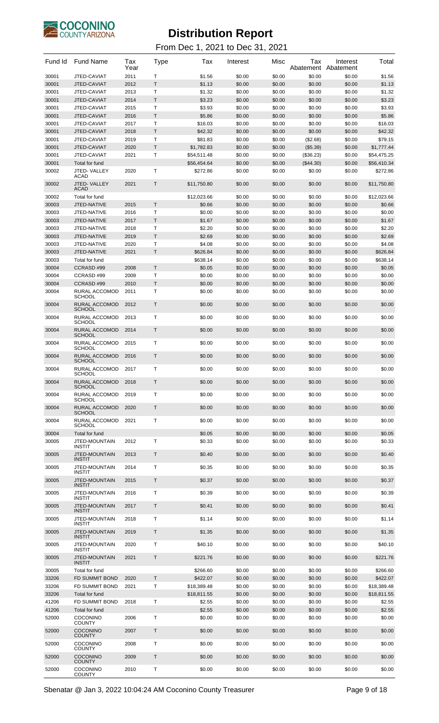

| Fund Id        | <b>Fund Name</b>                                  | Tax<br>Year  | Type   | Tax                     | Interest         | Misc             | Tax<br>Abatement      | Interest<br>Abatement | Total                   |
|----------------|---------------------------------------------------|--------------|--------|-------------------------|------------------|------------------|-----------------------|-----------------------|-------------------------|
| 30001          | JTED-CAVIAT                                       | 2011         | т      | \$1.56                  | \$0.00           | \$0.00           | \$0.00                | \$0.00                | \$1.56                  |
| 30001          | JTED-CAVIAT                                       | 2012         | Τ      | \$1.13                  | \$0.00           | \$0.00           | \$0.00                | \$0.00                | \$1.13                  |
| 30001<br>30001 | JTED-CAVIAT<br>JTED-CAVIAT                        | 2013<br>2014 | Т<br>Т | \$1.32<br>\$3.23        | \$0.00<br>\$0.00 | \$0.00<br>\$0.00 | \$0.00<br>\$0.00      | \$0.00<br>\$0.00      | \$1.32<br>\$3.23        |
| 30001          | JTED-CAVIAT                                       | 2015         | т      | \$3.93                  | \$0.00           | \$0.00           | \$0.00                | \$0.00                | \$3.93                  |
| 30001          | JTED-CAVIAT                                       | 2016         | Τ      | \$5.86                  | \$0.00           | \$0.00           | \$0.00                | \$0.00                | \$5.86                  |
| 30001          | JTED-CAVIAT                                       | 2017         | Т      | \$16.03                 | \$0.00           | \$0.00           | \$0.00                | \$0.00                | \$16.03                 |
| 30001          | JTED-CAVIAT                                       | 2018         | Τ      | \$42.32                 | \$0.00           | \$0.00           | \$0.00                | \$0.00                | \$42.32                 |
| 30001          | JTED-CAVIAT                                       | 2019         | Т      | \$81.83                 | \$0.00           | \$0.00           | (\$2.68)              | \$0.00                | \$79.15                 |
| 30001          | JTED-CAVIAT                                       | 2020         | Т      | \$1,782.83              | \$0.00           | \$0.00           | (\$5.39)              | \$0.00                | \$1,777.44              |
| 30001          | JTED-CAVIAT                                       | 2021         | т      | \$54,511.48             | \$0.00           | \$0.00           | (\$36.23)             | \$0.00                | \$54,475.25             |
| 30001<br>30002 | Total for fund<br>JTED-VALLEY                     | 2020         | т      | \$56,454.64<br>\$272.86 | \$0.00<br>\$0.00 | \$0.00<br>\$0.00 | $(\$44.30)$<br>\$0.00 | \$0.00<br>\$0.00      | \$56,410.34<br>\$272.86 |
|                | <b>ACAD</b>                                       |              |        |                         |                  |                  |                       |                       |                         |
| 30002          | JTED-VALLEY<br><b>ACAD</b>                        | 2021         | Т      | \$11,750.80             | \$0.00           | \$0.00           | \$0.00                | \$0.00                | \$11,750.80             |
| 30002          | Total for fund                                    |              |        | \$12,023.66             | \$0.00           | \$0.00           | \$0.00                | \$0.00                | \$12,023.66             |
| 30003<br>30003 | JTED-NATIVE<br>JTED-NATIVE                        | 2015<br>2016 | Τ<br>Т | \$0.66<br>\$0.00        | \$0.00<br>\$0.00 | \$0.00<br>\$0.00 | \$0.00<br>\$0.00      | \$0.00<br>\$0.00      | \$0.66<br>\$0.00        |
| 30003          | JTED-NATIVE                                       | 2017         | Т      | \$1.67                  | \$0.00           | \$0.00           | \$0.00                | \$0.00                | \$1.67                  |
| 30003          | JTED-NATIVE                                       | 2018         | т      | \$2.20                  | \$0.00           | \$0.00           | \$0.00                | \$0.00                | \$2.20                  |
| 30003          | JTED-NATIVE                                       | 2019         | Τ      | \$2.69                  | \$0.00           | \$0.00           | \$0.00                | \$0.00                | \$2.69                  |
| 30003          | JTED-NATIVE                                       | 2020         | Т      | \$4.08                  | \$0.00           | \$0.00           | \$0.00                | \$0.00                | \$4.08                  |
| 30003          | JTED-NATIVE                                       | 2021         | Τ      | \$626.84                | \$0.00           | \$0.00           | \$0.00                | \$0.00                | \$626.84                |
| 30003          | Total for fund                                    |              |        | \$638.14                | \$0.00           | \$0.00           | \$0.00                | \$0.00                | \$638.14                |
| 30004          | CCRASD#99                                         | 2008         | T      | \$0.05                  | \$0.00           | \$0.00           | \$0.00                | \$0.00                | \$0.05                  |
| 30004          | CCRASD #99                                        | 2009         | Т      | \$0.00                  | \$0.00           | \$0.00           | \$0.00                | \$0.00                | \$0.00                  |
| 30004          | CCRASD#99                                         | 2010         | Τ      | \$0.00                  | \$0.00           | \$0.00           | \$0.00                | \$0.00                | \$0.00                  |
| 30004<br>30004 | RURAL ACCOMOD<br>SCHOOL<br>RURAL ACCOMOD          | 2011<br>2012 | т<br>Т | \$0.00<br>\$0.00        | \$0.00<br>\$0.00 | \$0.00<br>\$0.00 | \$0.00<br>\$0.00      | \$0.00<br>\$0.00      | \$0.00                  |
| 30004          | <b>SCHOOL</b><br>RURAL ACCOMOD                    | 2013         | т      | \$0.00                  | \$0.00           | \$0.00           | \$0.00                | \$0.00                | \$0.00<br>\$0.00        |
| 30004          | SCHOOL<br>RURAL ACCOMOD                           | 2014         | Т      | \$0.00                  | \$0.00           | \$0.00           | \$0.00                | \$0.00                | \$0.00                  |
| 30004          | <b>SCHOOL</b><br>RURAL ACCOMOD                    | 2015         | т      | \$0.00                  | \$0.00           | \$0.00           | \$0.00                | \$0.00                | \$0.00                  |
| 30004          | SCHOOL<br>RURAL ACCOMOD                           | 2016         | Т      | \$0.00                  | \$0.00           | \$0.00           | \$0.00                | \$0.00                | \$0.00                  |
| 30004          | <b>SCHOOL</b><br>RURAL ACCOMOD                    | 2017         | т      | \$0.00                  | \$0.00           | \$0.00           | \$0.00                | \$0.00                | \$0.00                  |
| 30004          | SCHOOL<br><b>RURAL ACCOMOD</b><br><b>SCHOOL</b>   | 2018         | T      | \$0.00                  | \$0.00           | \$0.00           | \$0.00                | \$0.00                | \$0.00                  |
| 30004          | RURAL ACCOMOD<br>SCHOOL                           | 2019         | т      | \$0.00                  | \$0.00           | \$0.00           | \$0.00                | \$0.00                | \$0.00                  |
| 30004          | RURAL ACCOMOD<br><b>SCHOOL</b>                    | 2020         | T      | \$0.00                  | \$0.00           | \$0.00           | \$0.00                | \$0.00                | \$0.00                  |
| 30004          | RURAL ACCOMOD<br><b>SCHOOL</b>                    | 2021         | т      | \$0.00                  | \$0.00           | \$0.00           | \$0.00                | \$0.00                | \$0.00                  |
| 30004<br>30005 | Total for fund<br><b>JTED-MOUNTAIN</b>            | 2012         | т      | \$0.05<br>\$0.33        | \$0.00<br>\$0.00 | \$0.00<br>\$0.00 | \$0.00<br>\$0.00      | \$0.00<br>\$0.00      | \$0.05<br>\$0.33        |
| 30005          | <b>INSTIT</b><br>JTED-MOUNTAIN                    | 2013         | Т      | \$0.40                  | \$0.00           | \$0.00           | \$0.00                | \$0.00                | \$0.40                  |
| 30005          | <b>INSTIT</b><br>JTED-MOUNTAIN                    | 2014         | T      | \$0.35                  | \$0.00           | \$0.00           | \$0.00                | \$0.00                | \$0.35                  |
| 30005          | <b>INSTIT</b><br>JTED-MOUNTAIN                    | 2015         | Τ      | \$0.37                  | \$0.00           | \$0.00           | \$0.00                | \$0.00                | \$0.37                  |
| 30005          | <b>INSTIT</b><br>JTED-MOUNTAIN                    | 2016         | T      | \$0.39                  | \$0.00           | \$0.00           | \$0.00                | \$0.00                | \$0.39                  |
| 30005          | <b>INSTIT</b><br>JTED-MOUNTAIN                    | 2017         | Τ      | \$0.41                  | \$0.00           | \$0.00           | \$0.00                | \$0.00                | \$0.41                  |
| 30005          | <b>INSTIT</b><br>JTED-MOUNTAIN                    | 2018         | т      | \$1.14                  | \$0.00           | \$0.00           | \$0.00                | \$0.00                | \$1.14                  |
| 30005          | <b>INSTIT</b><br>JTED-MOUNTAIN                    | 2019         | Τ      | \$1.35                  | \$0.00           | \$0.00           | \$0.00                | \$0.00                | \$1.35                  |
| 30005          | <b>INSTIT</b><br>JTED-MOUNTAIN                    | 2020         | т      | \$40.10                 | \$0.00           | \$0.00           | \$0.00                | \$0.00                | \$40.10                 |
| 30005          | <b>INSTIT</b><br>JTED-MOUNTAIN                    | 2021         | Τ      | \$221.76                | \$0.00           | \$0.00           | \$0.00                | \$0.00                | \$221.76                |
| 30005          | <b>INSTIT</b><br>Total for fund                   |              |        | \$266.60                | \$0.00           | \$0.00           | \$0.00                | \$0.00                | \$266.60                |
| 33206          | FD SUMMIT BOND                                    | 2020         | T.     | \$422.07                | \$0.00           | \$0.00           | \$0.00                | \$0.00                | \$422.07                |
| 33206          | <b>FD SUMMIT BOND</b>                             | 2021         | т      | \$18,389.48             | \$0.00           | \$0.00           | \$0.00                | \$0.00                | \$18,389.48             |
| 33206          | Total for fund                                    |              |        | \$18,811.55             | \$0.00           | \$0.00           | \$0.00                | \$0.00                | \$18,811.55             |
| 41206          | FD SUMMIT BOND<br>Total for fund                  | 2018         | Т      | \$2.55<br>\$2.55        | \$0.00           | \$0.00<br>\$0.00 | \$0.00                | \$0.00                | \$2.55                  |
| 41206<br>52000 | <b>COCONINO</b>                                   | 2006         | T      | \$0.00                  | \$0.00<br>\$0.00 | \$0.00           | \$0.00<br>\$0.00      | \$0.00<br>\$0.00      | \$2.55<br>\$0.00        |
| 52000          | <b>COUNTY</b><br><b>COCONINO</b>                  | 2007         | Т      | \$0.00                  | \$0.00           | \$0.00           | \$0.00                | \$0.00                | \$0.00                  |
| 52000          | <b>COUNTY</b><br>COCONINO                         | 2008         | T      | \$0.00                  | \$0.00           | \$0.00           | \$0.00                | \$0.00                | \$0.00                  |
| 52000          | <b>COUNTY</b><br><b>COCONINO</b>                  | 2009         | Т      | \$0.00                  | \$0.00           | \$0.00           | \$0.00                | \$0.00                | \$0.00                  |
| 52000          | <b>COUNTY</b><br><b>COCONINO</b><br><b>COUNTY</b> | 2010         | т      | \$0.00                  | \$0.00           | \$0.00           | \$0.00                | \$0.00                | \$0.00                  |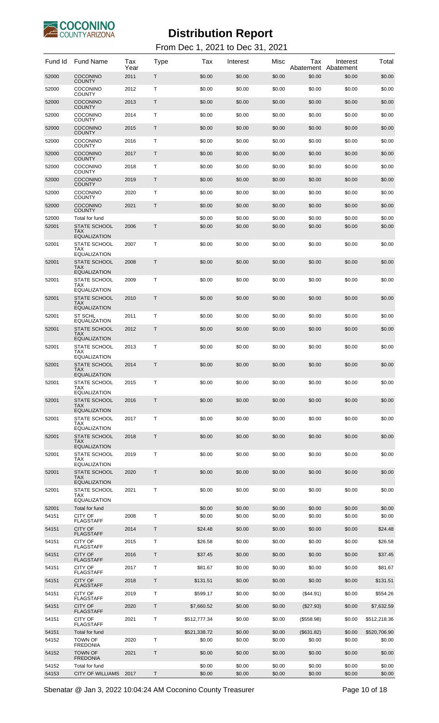

From Dec 1, 2021 to Dec 31, 2021

| Fund Id        | <b>Fund Name</b>                                         | Tax<br>Year | Type | Tax                    | Interest         | Misc             | Tax<br>Abatement     | Interest<br>Abatement | Total                  |
|----------------|----------------------------------------------------------|-------------|------|------------------------|------------------|------------------|----------------------|-----------------------|------------------------|
| 52000          | <b>COCONINO</b><br><b>COUNTY</b>                         | 2011        | Τ    | \$0.00                 | \$0.00           | \$0.00           | \$0.00               | \$0.00                | \$0.00                 |
| 52000          | <b>COCONINO</b><br><b>COUNTY</b>                         | 2012        | т    | \$0.00                 | \$0.00           | \$0.00           | \$0.00               | \$0.00                | \$0.00                 |
| 52000          | <b>COCONINO</b><br><b>COUNTY</b>                         | 2013        | Τ    | \$0.00                 | \$0.00           | \$0.00           | \$0.00               | \$0.00                | \$0.00                 |
| 52000          | <b>COCONINO</b><br><b>COUNTY</b>                         | 2014        | т    | \$0.00                 | \$0.00           | \$0.00           | \$0.00               | \$0.00                | \$0.00                 |
| 52000          | <b>COCONINO</b><br><b>COUNTY</b>                         | 2015        | Τ    | \$0.00                 | \$0.00           | \$0.00           | \$0.00               | \$0.00                | \$0.00                 |
| 52000          | <b>COCONINO</b>                                          | 2016        | т    | \$0.00                 | \$0.00           | \$0.00           | \$0.00               | \$0.00                | \$0.00                 |
| 52000          | <b>COUNTY</b><br><b>COCONINO</b>                         | 2017        | Τ    | \$0.00                 | \$0.00           | \$0.00           | \$0.00               | \$0.00                | \$0.00                 |
| 52000          | <b>COUNTY</b><br><b>COCONINO</b>                         | 2018        | т    | \$0.00                 | \$0.00           | \$0.00           | \$0.00               | \$0.00                | \$0.00                 |
| 52000          | <b>COUNTY</b><br><b>COCONINO</b>                         | 2019        | Τ    | \$0.00                 | \$0.00           | \$0.00           | \$0.00               | \$0.00                | \$0.00                 |
| 52000          | <b>COUNTY</b><br><b>COCONINO</b>                         | 2020        | т    | \$0.00                 | \$0.00           | \$0.00           | \$0.00               | \$0.00                | \$0.00                 |
| 52000          | <b>COUNTY</b><br><b>COCONINO</b>                         | 2021        | Τ    | \$0.00                 | \$0.00           | \$0.00           | \$0.00               | \$0.00                | \$0.00                 |
| 52000          | <b>COUNTY</b><br>Total for fund                          |             |      | \$0.00                 | \$0.00           | \$0.00           | \$0.00               | \$0.00                | \$0.00                 |
| 52001          | <b>STATE SCHOOL</b><br>TAX<br><b>EQUALIZATION</b>        | 2006        | T    | \$0.00                 | \$0.00           | \$0.00           | \$0.00               | \$0.00                | \$0.00                 |
| 52001          | <b>STATE SCHOOL</b><br>TAX<br><b>EQUALIZATION</b>        | 2007        | т    | \$0.00                 | \$0.00           | \$0.00           | \$0.00               | \$0.00                | \$0.00                 |
| 52001          | <b>STATE SCHOOL</b><br><b>TAX</b><br><b>EQUALIZATION</b> | 2008        | Т    | \$0.00                 | \$0.00           | \$0.00           | \$0.00               | \$0.00                | \$0.00                 |
| 52001          | STATE SCHOOL<br>TAX<br>EQUALIZATION                      | 2009        | т    | \$0.00                 | \$0.00           | \$0.00           | \$0.00               | \$0.00                | \$0.00                 |
| 52001          | <b>STATE SCHOOL</b><br>TAX.<br><b>EQUALIZATION</b>       | 2010        | Т    | \$0.00                 | \$0.00           | \$0.00           | \$0.00               | \$0.00                | \$0.00                 |
| 52001          | ST SCHL<br><b>EQUALIZATION</b>                           | 2011        | т    | \$0.00                 | \$0.00           | \$0.00           | \$0.00               | \$0.00                | \$0.00                 |
| 52001          | <b>STATE SCHOOL</b><br><b>TAX</b><br><b>EQUALIZATION</b> | 2012        | Τ    | \$0.00                 | \$0.00           | \$0.00           | \$0.00               | \$0.00                | \$0.00                 |
| 52001          | STATE SCHOOL<br>TAX<br>EQUALIZATION                      | 2013        | Т    | \$0.00                 | \$0.00           | \$0.00           | \$0.00               | \$0.00                | \$0.00                 |
| 52001          | <b>STATE SCHOOL</b><br>TAX<br><b>EQUALIZATION</b>        | 2014        | Т    | \$0.00                 | \$0.00           | \$0.00           | \$0.00               | \$0.00                | \$0.00                 |
| 52001          | <b>STATE SCHOOL</b><br>TAX<br><b>EQUALIZATION</b>        | 2015        | т    | \$0.00                 | \$0.00           | \$0.00           | \$0.00               | \$0.00                | \$0.00                 |
| 52001          | <b>STATE SCHOOL</b><br><b>TAX</b><br><b>EQUALIZATION</b> | 2016        | T    | \$0.00                 | \$0.00           | \$0.00           | \$0.00               | \$0.00                | \$0.00                 |
| 52001          | <b>STATE SCHOOL</b><br>TAX<br><b>EQUALIZATION</b>        | 2017        | т    | \$0.00                 | \$0.00           | \$0.00           | \$0.00               | \$0.00                | \$0.00                 |
| 52001          | <b>STATE SCHOOL</b><br><b>TAX</b><br><b>EQUALIZATION</b> | 2018        | T    | \$0.00                 | \$0.00           | \$0.00           | \$0.00               | \$0.00                | \$0.00                 |
| 52001          | STATE SCHOOL<br>TAX<br>EQUALIZATION                      | 2019        | Т    | \$0.00                 | \$0.00           | \$0.00           | \$0.00               | \$0.00                | \$0.00                 |
| 52001          | <b>STATE SCHOOL</b><br>TAX.<br><b>EQUALIZATION</b>       | 2020        | Т    | \$0.00                 | \$0.00           | \$0.00           | \$0.00               | \$0.00                | \$0.00                 |
| 52001          | STATE SCHOOL<br>TAX<br><b>EQUALIZATION</b>               | 2021        | т    | \$0.00                 | \$0.00           | \$0.00           | \$0.00               | \$0.00                | \$0.00                 |
| 52001<br>54151 | Total for fund<br><b>CITY OF</b>                         | 2008        | т    | \$0.00<br>\$0.00       | \$0.00<br>\$0.00 | \$0.00<br>\$0.00 | \$0.00<br>\$0.00     | \$0.00<br>\$0.00      | \$0.00<br>\$0.00       |
| 54151          | <b>FLAGSTAFF</b><br><b>CITY OF</b>                       | 2014        | Τ    | \$24.48                | \$0.00           | \$0.00           | \$0.00               | \$0.00                | \$24.48                |
| 54151          | <b>FLAGSTAFF</b><br>CITY OF                              | 2015        | т    | \$26.58                | \$0.00           | \$0.00           | \$0.00               | \$0.00                | \$26.58                |
| 54151          | <b>FLAGSTAFF</b><br><b>CITY OF</b>                       | 2016        | Τ    | \$37.45                | \$0.00           | \$0.00           | \$0.00               | \$0.00                | \$37.45                |
| 54151          | <b>FLAGSTAFF</b><br>CITY OF                              | 2017        | т    |                        |                  | \$0.00           |                      |                       |                        |
|                | <b>FLAGSTAFF</b>                                         |             |      | \$81.67                | \$0.00           |                  | \$0.00               | \$0.00                | \$81.67                |
| 54151          | <b>CITY OF</b><br><b>FLAGSTAFF</b>                       | 2018        | Τ    | \$131.51               | \$0.00           | \$0.00           | \$0.00               | \$0.00                | \$131.51               |
| 54151          | CITY OF<br><b>FLAGSTAFF</b>                              | 2019        | т    | \$599.17               | \$0.00           | \$0.00           | $(\$44.91)$          | \$0.00                | \$554.26               |
| 54151          | <b>CITY OF</b><br><b>FLAGSTAFF</b>                       | 2020        | Τ    | \$7,660.52             | \$0.00           | \$0.00           | $(\$27.93)$          | \$0.00                | \$7,632.59             |
| 54151          | CITY OF<br><b>FLAGSTAFF</b>                              | 2021        | т    | \$512,777.34           | \$0.00           | \$0.00           | (\$558.98)           | \$0.00                | \$512,218.36           |
| 54151<br>54152 | <b>Total for fund</b><br><b>TOWN OF</b>                  | 2020        | т    | \$521,338.72<br>\$0.00 | \$0.00<br>\$0.00 | \$0.00<br>\$0.00 | (\$631.82)<br>\$0.00 | \$0.00<br>\$0.00      | \$520,706.90<br>\$0.00 |
| 54152          | <b>FREDONIA</b><br><b>TOWN OF</b>                        | 2021        | Τ    | \$0.00                 | \$0.00           | \$0.00           | \$0.00               | \$0.00                | \$0.00                 |
| 54152          | <b>FREDONIA</b><br>Total for fund                        |             |      | \$0.00                 | \$0.00           | \$0.00           | \$0.00               | \$0.00                | \$0.00                 |
| 54153          | <b>CITY OF WILLIAMS</b>                                  | 2017        | T    | \$0.00                 | \$0.00           | \$0.00           | \$0.00               | \$0.00                | \$0.00                 |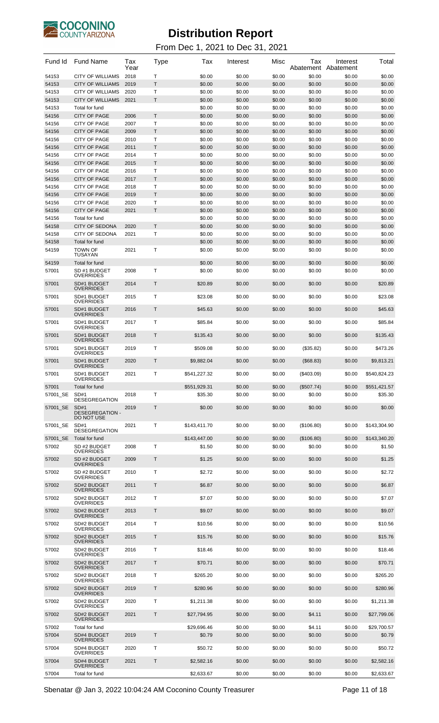

| Fund Id        | <b>Fund Name</b>                                       | Tax<br>Year  | Type   | Тах                | Interest         | Misc             | Tax<br>Abatement | Interest<br>Abatement | Total              |
|----------------|--------------------------------------------------------|--------------|--------|--------------------|------------------|------------------|------------------|-----------------------|--------------------|
| 54153          | CITY OF WILLIAMS                                       | 2018         | т      | \$0.00             | \$0.00           | \$0.00           | \$0.00           | \$0.00                | \$0.00             |
| 54153<br>54153 | <b>CITY OF WILLIAMS</b><br><b>CITY OF WILLIAMS</b>     | 2019<br>2020 | Τ<br>Τ | \$0.00<br>\$0.00   | \$0.00<br>\$0.00 | \$0.00<br>\$0.00 | \$0.00<br>\$0.00 | \$0.00<br>\$0.00      | \$0.00<br>\$0.00   |
| 54153          | <b>CITY OF WILLIAMS</b>                                | 2021         | Т      | \$0.00             | \$0.00           | \$0.00           | \$0.00           | \$0.00                | \$0.00             |
| 54153          | Total for fund                                         |              |        | \$0.00             | \$0.00           | \$0.00           | \$0.00           | \$0.00                | \$0.00             |
| 54156          | <b>CITY OF PAGE</b>                                    | 2006         | T      | \$0.00             | \$0.00           | \$0.00           | \$0.00           | \$0.00                | \$0.00             |
| 54156<br>54156 | <b>CITY OF PAGE</b><br><b>CITY OF PAGE</b>             | 2007<br>2009 | Τ<br>Τ | \$0.00<br>\$0.00   | \$0.00<br>\$0.00 | \$0.00<br>\$0.00 | \$0.00<br>\$0.00 | \$0.00<br>\$0.00      | \$0.00<br>\$0.00   |
| 54156          | <b>CITY OF PAGE</b>                                    | 2010         | Τ      | \$0.00             | \$0.00           | \$0.00           | \$0.00           | \$0.00                | \$0.00             |
| 54156          | <b>CITY OF PAGE</b>                                    | 2011         | Т      | \$0.00             | \$0.00           | \$0.00           | \$0.00           | \$0.00                | \$0.00             |
| 54156          | <b>CITY OF PAGE</b>                                    | 2014         | т      | \$0.00             | \$0.00           | \$0.00           | \$0.00           | \$0.00                | \$0.00             |
| 54156          | <b>CITY OF PAGE</b>                                    | 2015         | Τ      | \$0.00             | \$0.00           | \$0.00           | \$0.00           | \$0.00                | \$0.00             |
| 54156<br>54156 | <b>CITY OF PAGE</b><br><b>CITY OF PAGE</b>             | 2016<br>2017 | т<br>Τ | \$0.00<br>\$0.00   | \$0.00<br>\$0.00 | \$0.00<br>\$0.00 | \$0.00<br>\$0.00 | \$0.00<br>\$0.00      | \$0.00<br>\$0.00   |
| 54156          | <b>CITY OF PAGE</b>                                    | 2018         | Τ      | \$0.00             | \$0.00           | \$0.00           | \$0.00           | \$0.00                | \$0.00             |
| 54156          | <b>CITY OF PAGE</b>                                    | 2019         | Т      | \$0.00             | \$0.00           | \$0.00           | \$0.00           | \$0.00                | \$0.00             |
| 54156          | <b>CITY OF PAGE</b>                                    | 2020         | Τ      | \$0.00             | \$0.00           | \$0.00           | \$0.00           | \$0.00                | \$0.00             |
| 54156          | <b>CITY OF PAGE</b>                                    | 2021         | Τ      | \$0.00             | \$0.00           | \$0.00           | \$0.00           | \$0.00                | \$0.00             |
| 54156<br>54158 | Total for fund<br><b>CITY OF SEDONA</b>                | 2020         | Τ      | \$0.00<br>\$0.00   | \$0.00<br>\$0.00 | \$0.00<br>\$0.00 | \$0.00<br>\$0.00 | \$0.00<br>\$0.00      | \$0.00<br>\$0.00   |
| 54158          | <b>CITY OF SEDONA</b>                                  | 2021         | Τ      | \$0.00             | \$0.00           | \$0.00           | \$0.00           | \$0.00                | \$0.00             |
| 54158          | Total for fund                                         |              |        | \$0.00             | \$0.00           | \$0.00           | \$0.00           | \$0.00                | \$0.00             |
| 54159          | <b>TOWN OF</b>                                         | 2021         | Τ      | \$0.00             | \$0.00           | \$0.00           | \$0.00           | \$0.00                | \$0.00             |
| 54159          | <b>TUSAYAN</b><br>Total for fund                       |              |        | \$0.00             | \$0.00           | \$0.00           | \$0.00           | \$0.00                | \$0.00             |
| 57001          | SD #1 BUDGET                                           | 2008         | T      | \$0.00             | \$0.00           | \$0.00           | \$0.00           | \$0.00                | \$0.00             |
|                | <b>OVERRIDES</b>                                       |              |        |                    |                  |                  |                  |                       |                    |
| 57001<br>57001 | SD#1 BUDGET<br><b>OVERRIDES</b><br>SD#1 BUDGET         | 2014<br>2015 | T<br>т | \$20.89<br>\$23.08 | \$0.00<br>\$0.00 | \$0.00<br>\$0.00 | \$0.00<br>\$0.00 | \$0.00<br>\$0.00      | \$20.89<br>\$23.08 |
|                | <b>OVERRIDES</b>                                       |              |        |                    |                  |                  |                  |                       |                    |
| 57001          | SD#1 BUDGET<br><b>OVERRIDES</b>                        | 2016         | T      | \$45.63            | \$0.00           | \$0.00           | \$0.00           | \$0.00                | \$45.63            |
| 57001          | SD#1 BUDGET<br>OVERRIDES                               | 2017         | т      | \$85.84            | \$0.00           | \$0.00           | \$0.00           | \$0.00                | \$85.84            |
| 57001          | SD#1 BUDGET<br><b>OVERRIDES</b>                        | 2018         | T      | \$135.43           | \$0.00           | \$0.00           | \$0.00           | \$0.00                | \$135.43           |
| 57001          | SD#1 BUDGET<br><b>OVERRIDES</b>                        | 2019         | т      | \$509.08           | \$0.00           | \$0.00           | (\$35.82)        | \$0.00                | \$473.26           |
| 57001          | SD#1 BUDGET<br><b>OVERRIDES</b>                        | 2020         | T      | \$9,882.04         | \$0.00           | \$0.00           | $($ \$68.83)     | \$0.00                | \$9,813.21         |
| 57001          | SD#1 BUDGET<br>OVERRIDES                               | 2021         | т      | \$541,227.32       | \$0.00           | \$0.00           | (\$403.09)       | \$0.00                | \$540.824.23       |
| 57001          | Total for fund                                         |              |        | \$551,929.31       | \$0.00           | \$0.00           | (\$507.74)       | \$0.00                | \$551,421.57       |
| 57001 SE       | SD#1                                                   | 2018         | т      | \$35.30            | \$0.00           | \$0.00           | \$0.00           | \$0.00                | \$35.30            |
| 57001 SE       | <b>DESEGREGATION</b><br>SD#1<br><b>DESEGREGATION -</b> | 2019         | Τ      | \$0.00             | \$0.00           | \$0.00           | \$0.00           | \$0.00                | \$0.00             |
| 57001 SE       | DO NOT USE<br>SD#1<br><b>DESEGREGATION</b>             | 2021         | т      | \$143,411.70       | \$0.00           | \$0.00           | (\$106.80)       | \$0.00                | \$143,304.90       |
| 57001 SE       | Total for fund                                         |              |        | \$143,447.00       | \$0.00           | \$0.00           | (\$106.80)       | \$0.00                | \$143,340.20       |
| 57002          | SD #2 BUDGET                                           | 2008         | т      | \$1.50             | \$0.00           | \$0.00           | \$0.00           | \$0.00                | \$1.50             |
| 57002          | <b>OVERRIDES</b><br>SD #2 BUDGET<br><b>OVERRIDES</b>   | 2009         | Т      | \$1.25             | \$0.00           | \$0.00           | \$0.00           | \$0.00                | \$1.25             |
| 57002          | SD #2 BUDGET                                           | 2010         | т      | \$2.72             | \$0.00           | \$0.00           | \$0.00           | \$0.00                | \$2.72             |
|                | <b>OVERRIDES</b>                                       |              |        |                    |                  |                  |                  |                       |                    |
| 57002          | SD#2 BUDGET<br><b>OVERRIDES</b>                        | 2011         | Т      | \$6.87             | \$0.00           | \$0.00           | \$0.00           | \$0.00                | \$6.87             |
| 57002          | SD#2 BUDGET<br><b>OVERRIDES</b>                        | 2012         | т      | \$7.07             | \$0.00           | \$0.00           | \$0.00           | \$0.00                | \$7.07             |
| 57002          | SD#2 BUDGET                                            | 2013         | Т      | \$9.07             | \$0.00           | \$0.00           | \$0.00           | \$0.00                | \$9.07             |
|                | <b>OVERRIDES</b><br>SD#2 BUDGET                        |              | т      |                    |                  |                  |                  |                       |                    |
| 57002          | <b>OVERRIDES</b>                                       | 2014         |        | \$10.56            | \$0.00           | \$0.00           | \$0.00           | \$0.00                | \$10.56            |
| 57002          | SD#2 BUDGET<br><b>OVERRIDES</b>                        | 2015         | Т      | \$15.76            | \$0.00           | \$0.00           | \$0.00           | \$0.00                | \$15.76            |
| 57002          | SD#2 BUDGET                                            | 2016         | т      | \$18.46            | \$0.00           | \$0.00           | \$0.00           | \$0.00                | \$18.46            |
| 57002          | <b>OVERRIDES</b><br>SD#2 BUDGET                        | 2017         | Т      | \$70.71            | \$0.00           | \$0.00           | \$0.00           | \$0.00                | \$70.71            |
| 57002          | <b>OVERRIDES</b><br>SD#2 BUDGET                        | 2018         | т      | \$265.20           | \$0.00           | \$0.00           | \$0.00           | \$0.00                | \$265.20           |
|                | <b>OVERRIDES</b>                                       |              |        |                    |                  |                  |                  |                       |                    |
| 57002          | SD#2 BUDGET<br><b>OVERRIDES</b>                        | 2019         | Т      | \$280.96           | \$0.00           | \$0.00           | \$0.00           | \$0.00                | \$280.96           |
| 57002          | SD#2 BUDGET<br><b>OVERRIDES</b>                        | 2020         | т      | \$1,211.38         | \$0.00           | \$0.00           | \$0.00           | \$0.00                | \$1,211.38         |
| 57002          | SD#2 BUDGET                                            | 2021         | Т      | \$27,794.95        | \$0.00           | \$0.00           | \$4.11           | \$0.00                | \$27,799.06        |
| 57002          | <b>OVERRIDES</b><br>Total for fund                     |              |        | \$29,696.46        | \$0.00           | \$0.00           | \$4.11           | \$0.00                | \$29,700.57        |
| 57004          | SD#4 BUDGET                                            | 2019         | Т      | \$0.79             | \$0.00           | \$0.00           | \$0.00           | \$0.00                | \$0.79             |
| 57004          | <b>OVERRIDES</b><br>SD#4 BUDGET                        | 2020         | т      | \$50.72            | \$0.00           | \$0.00           | \$0.00           | \$0.00                | \$50.72            |
| 57004          | <b>OVERRIDES</b><br>SD#4 BUDGET                        | 2021         | Τ      | \$2,582.16         | \$0.00           | \$0.00           | \$0.00           | \$0.00                | \$2,582.16         |
|                | <b>OVERRIDES</b>                                       |              |        |                    |                  |                  |                  |                       |                    |
| 57004          | Total for fund                                         |              |        | \$2,633.67         | \$0.00           | \$0.00           | \$0.00           | \$0.00                | \$2,633.67         |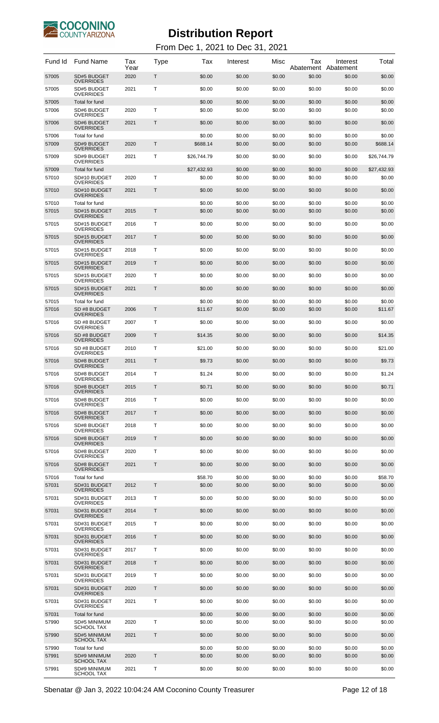

| Fund Id        | <b>Fund Name</b>                         | Tax<br>Year | Type | Тах                | Interest         | Misc             | Tax<br>Abatement | Interest<br>Abatement | Total              |
|----------------|------------------------------------------|-------------|------|--------------------|------------------|------------------|------------------|-----------------------|--------------------|
| 57005          | SD#5 BUDGET<br><b>OVERRIDES</b>          | 2020        | Т    | \$0.00             | \$0.00           | \$0.00           | \$0.00           | \$0.00                | \$0.00             |
| 57005          | SD#5 BUDGET<br><b>OVERRIDES</b>          | 2021        | т    | \$0.00             | \$0.00           | \$0.00           | \$0.00           | \$0.00                | \$0.00             |
| 57005<br>57006 | Total for fund<br>SD#6 BUDGET            | 2020        | т    | \$0.00<br>\$0.00   | \$0.00<br>\$0.00 | \$0.00<br>\$0.00 | \$0.00<br>\$0.00 | \$0.00<br>\$0.00      | \$0.00<br>\$0.00   |
| 57006          | <b>OVERRIDES</b><br>SD#6 BUDGET          | 2021        | Т    | \$0.00             | \$0.00           | \$0.00           | \$0.00           | \$0.00                | \$0.00             |
|                | <b>OVERRIDES</b>                         |             |      |                    |                  |                  |                  |                       |                    |
| 57006<br>57009 | Total for fund<br>SD#9 BUDGET            | 2020        | Τ    | \$0.00<br>\$688.14 | \$0.00<br>\$0.00 | \$0.00<br>\$0.00 | \$0.00<br>\$0.00 | \$0.00<br>\$0.00      | \$0.00<br>\$688.14 |
| 57009          | <b>OVERRIDES</b><br>SD#9 BUDGET          | 2021        | Т    | \$26.744.79        | \$0.00           | \$0.00           | \$0.00           | \$0.00                | \$26.744.79        |
| 57009          | OVERRIDES<br>Total for fund              |             |      | \$27,432.93        | \$0.00           | \$0.00           | \$0.00           | \$0.00                | \$27,432.93        |
| 57010          | SD#10 BUDGET<br>OVERRIDES                | 2020        | т    | \$0.00             | \$0.00           | \$0.00           | \$0.00           | \$0.00                | \$0.00             |
| 57010          | SD#10 BUDGET<br><b>OVERRIDES</b>         | 2021        | Т    | \$0.00             | \$0.00           | \$0.00           | \$0.00           | \$0.00                | \$0.00             |
| 57010<br>57015 | Total for fund<br>SD#15 BUDGET           | 2015        | Τ    | \$0.00<br>\$0.00   | \$0.00           | \$0.00<br>\$0.00 | \$0.00<br>\$0.00 | \$0.00                | \$0.00<br>\$0.00   |
|                | <b>OVERRIDES</b>                         |             |      |                    | \$0.00           |                  |                  | \$0.00                |                    |
| 57015          | SD#15 BUDGET<br><b>OVERRIDES</b>         | 2016        | т    | \$0.00             | \$0.00           | \$0.00           | \$0.00           | \$0.00                | \$0.00             |
| 57015          | SD#15 BUDGET<br><b>OVERRIDES</b>         | 2017        | Т    | \$0.00             | \$0.00           | \$0.00           | \$0.00           | \$0.00                | \$0.00             |
| 57015          | SD#15 BUDGET<br><b>OVERRIDES</b>         | 2018        | т    | \$0.00             | \$0.00           | \$0.00           | \$0.00           | \$0.00                | \$0.00             |
| 57015          | SD#15 BUDGET<br><b>OVERRIDES</b>         | 2019        | Т    | \$0.00             | \$0.00           | \$0.00           | \$0.00           | \$0.00                | \$0.00             |
| 57015          | SD#15 BUDGET<br><b>OVERRIDES</b>         | 2020        | т    | \$0.00             | \$0.00           | \$0.00           | \$0.00           | \$0.00                | \$0.00             |
| 57015          | SD#15 BUDGET<br><b>OVERRIDES</b>         | 2021        | Т    | \$0.00             | \$0.00           | \$0.00           | \$0.00           | \$0.00                | \$0.00             |
| 57015<br>57016 | Total for fund<br>SD #8 BUDGET           | 2006        | Τ    | \$0.00<br>\$11.67  | \$0.00<br>\$0.00 | \$0.00<br>\$0.00 | \$0.00<br>\$0.00 | \$0.00<br>\$0.00      | \$0.00<br>\$11.67  |
|                | <b>OVERRIDES</b>                         |             |      |                    |                  |                  |                  |                       |                    |
| 57016          | SD #8 BUDGET<br><b>OVERRIDES</b>         | 2007        | т    | \$0.00             | \$0.00           | \$0.00           | \$0.00           | \$0.00                | \$0.00             |
| 57016          | SD #8 BUDGET<br><b>OVERRIDES</b>         | 2009        | T    | \$14.35            | \$0.00           | \$0.00           | \$0.00           | \$0.00                | \$14.35            |
| 57016          | SD #8 BUDGET<br><b>OVERRIDES</b>         | 2010        | т    | \$21.00            | \$0.00           | \$0.00           | \$0.00           | \$0.00                | \$21.00            |
| 57016          | SD#8 BUDGET<br><b>OVERRIDES</b>          | 2011        | T    | \$9.73             | \$0.00           | \$0.00           | \$0.00           | \$0.00                | \$9.73             |
| 57016          | SD#8 BUDGET<br><b>OVERRIDES</b>          | 2014        | т    | \$1.24             | \$0.00           | \$0.00           | \$0.00           | \$0.00                | \$1.24             |
| 57016          | SD#8 BUDGET<br><b>OVERRIDES</b>          | 2015        | Τ    | \$0.71             | \$0.00           | \$0.00           | \$0.00           | \$0.00                | \$0.71             |
| 57016          | SD#8 BUDGET<br><b>OVERRIDES</b>          | 2016        | т    | \$0.00             | \$0.00           | \$0.00           | \$0.00           | \$0.00                | \$0.00             |
| 57016          | SD#8 BUDGET<br><b>OVERRIDES</b>          | 2017        | Т    | \$0.00             | \$0.00           | \$0.00           | \$0.00           | \$0.00                | \$0.00             |
| 57016          | SD#8 BUDGET<br><b>OVERRIDES</b>          | 2018        | т    | \$0.00             | \$0.00           | \$0.00           | \$0.00           | \$0.00                | \$0.00             |
| 57016          | SD#8 BUDGET<br><b>OVERRIDES</b>          | 2019        | Т    | \$0.00             | \$0.00           | \$0.00           | \$0.00           | \$0.00                | \$0.00             |
| 57016          | SD#8 BUDGET<br><b>OVERRIDES</b>          | 2020        | т    | \$0.00             | \$0.00           | \$0.00           | \$0.00           | \$0.00                | \$0.00             |
| 57016          | SD#8 BUDGET<br><b>OVERRIDES</b>          | 2021        | Т    | \$0.00             | \$0.00           | \$0.00           | \$0.00           | \$0.00                | \$0.00             |
| 57016          | Total for fund                           |             |      | \$58.70            | \$0.00           | \$0.00           | \$0.00           | \$0.00                | \$58.70            |
| 57031          | SD#31 BUDGET<br><b>OVERRIDES</b>         | 2012        | Т    | \$0.00             | \$0.00           | \$0.00           | \$0.00           | \$0.00                | \$0.00             |
| 57031          | SD#31 BUDGET<br><b>OVERRIDES</b>         | 2013        | т    | \$0.00             | \$0.00           | \$0.00           | \$0.00           | \$0.00                | \$0.00             |
| 57031          | SD#31 BUDGET<br><b>OVERRIDES</b>         | 2014        | Т    | \$0.00             | \$0.00           | \$0.00           | \$0.00           | \$0.00                | \$0.00             |
| 57031          | SD#31 BUDGET<br><b>OVERRIDES</b>         | 2015        | т    | \$0.00             | \$0.00           | \$0.00           | \$0.00           | \$0.00                | \$0.00             |
| 57031          | SD#31 BUDGET<br><b>OVERRIDES</b>         | 2016        | Т    | \$0.00             | \$0.00           | \$0.00           | \$0.00           | \$0.00                | \$0.00             |
| 57031          | SD#31 BUDGET<br><b>OVERRIDES</b>         | 2017        | т    | \$0.00             | \$0.00           | \$0.00           | \$0.00           | \$0.00                | \$0.00             |
| 57031          | SD#31 BUDGET<br><b>OVERRIDES</b>         | 2018        | Т    | \$0.00             | \$0.00           | \$0.00           | \$0.00           | \$0.00                | \$0.00             |
| 57031          | SD#31 BUDGET<br><b>OVERRIDES</b>         | 2019        | т    | \$0.00             | \$0.00           | \$0.00           | \$0.00           | \$0.00                | \$0.00             |
| 57031          | SD#31 BUDGET<br><b>OVERRIDES</b>         | 2020        | Т    | \$0.00             | \$0.00           | \$0.00           | \$0.00           | \$0.00                | \$0.00             |
| 57031          | SD#31 BUDGET<br><b>OVERRIDES</b>         | 2021        | т    | \$0.00             | \$0.00           | \$0.00           | \$0.00           | \$0.00                | \$0.00             |
| 57031          | Total for fund                           |             |      | \$0.00             | \$0.00           | \$0.00           | \$0.00           | \$0.00                | \$0.00             |
| 57990          | <b>SD#5 MINIMUM</b><br><b>SCHOOL TAX</b> | 2020        | т    | \$0.00             | \$0.00           | \$0.00           | \$0.00           | \$0.00                | \$0.00             |
| 57990          | <b>SD#5 MINIMUM</b><br><b>SCHOOL TAX</b> | 2021        | Т    | \$0.00             | \$0.00           | \$0.00           | \$0.00           | \$0.00                | \$0.00             |
| 57990<br>57991 | Total for fund<br><b>SD#9 MINIMUM</b>    | 2020        | Τ    | \$0.00<br>\$0.00   | \$0.00<br>\$0.00 | \$0.00<br>\$0.00 | \$0.00<br>\$0.00 | \$0.00<br>\$0.00      | \$0.00<br>\$0.00   |
|                | <b>SCHOOL TAX</b>                        |             |      |                    |                  |                  |                  |                       |                    |
| 57991          | <b>SD#9 MINIMUM</b><br>SCHOOL TAX        | 2021        | т    | \$0.00             | \$0.00           | \$0.00           | \$0.00           | \$0.00                | \$0.00             |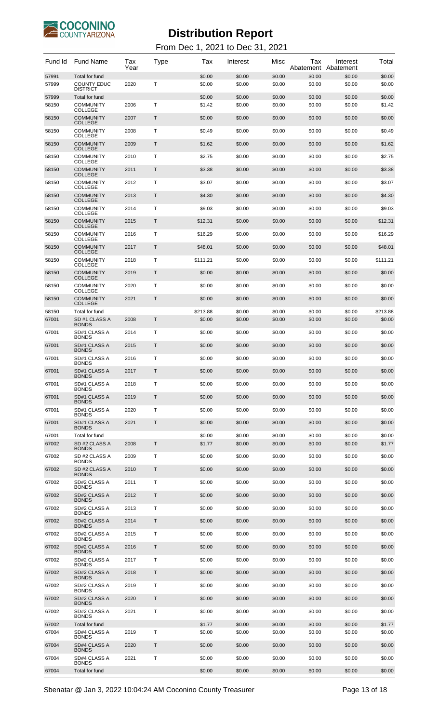

| Fund Id        | <b>Fund Name</b>                                        | Tax<br>Year | Type | Tax              | Interest         | Misc             | Тах<br>Abatement | Interest<br>Abatement | Total            |
|----------------|---------------------------------------------------------|-------------|------|------------------|------------------|------------------|------------------|-----------------------|------------------|
| 57991<br>57999 | Total for fund<br><b>COUNTY EDUC</b><br><b>DISTRICT</b> | 2020        | т    | \$0.00<br>\$0.00 | \$0.00<br>\$0.00 | \$0.00<br>\$0.00 | \$0.00<br>\$0.00 | \$0.00<br>\$0.00      | \$0.00<br>\$0.00 |
| 57999          | <b>Total for fund</b>                                   |             |      | \$0.00           | \$0.00           | \$0.00           | \$0.00           | \$0.00                | \$0.00           |
| 58150          | <b>COMMUNITY</b><br>COLLEGE                             | 2006        | т    | \$1.42           | \$0.00           | \$0.00           | \$0.00           | \$0.00                | \$1.42           |
| 58150          | <b>COMMUNITY</b><br><b>COLLEGE</b>                      | 2007        | T    | \$0.00           | \$0.00           | \$0.00           | \$0.00           | \$0.00                | \$0.00           |
| 58150          | <b>COMMUNITY</b><br><b>COLLEGE</b>                      | 2008        | Т    | \$0.49           | \$0.00           | \$0.00           | \$0.00           | \$0.00                | \$0.49           |
| 58150          | <b>COMMUNITY</b><br><b>COLLEGE</b>                      | 2009        | T    | \$1.62           | \$0.00           | \$0.00           | \$0.00           | \$0.00                | \$1.62           |
| 58150          | <b>COMMUNITY</b><br>COLLEGE                             | 2010        | Т    | \$2.75           | \$0.00           | \$0.00           | \$0.00           | \$0.00                | \$2.75           |
| 58150          | <b>COMMUNITY</b>                                        | 2011        | T    | \$3.38           | \$0.00           | \$0.00           | \$0.00           | \$0.00                | \$3.38           |
| 58150          | <b>COLLEGE</b><br><b>COMMUNITY</b>                      | 2012        | Т    | \$3.07           | \$0.00           | \$0.00           | \$0.00           | \$0.00                | \$3.07           |
| 58150          | COLLEGE<br><b>COMMUNITY</b>                             | 2013        | T    | \$4.30           | \$0.00           | \$0.00           | \$0.00           | \$0.00                | \$4.30           |
| 58150          | <b>COLLEGE</b><br><b>COMMUNITY</b>                      | 2014        | Т    | \$9.03           | \$0.00           | \$0.00           | \$0.00           | \$0.00                | \$9.03           |
| 58150          | COLLEGE<br><b>COMMUNITY</b>                             | 2015        | T    | \$12.31          | \$0.00           | \$0.00           | \$0.00           | \$0.00                | \$12.31          |
| 58150          | <b>COLLEGE</b><br><b>COMMUNITY</b>                      | 2016        | Т    | \$16.29          | \$0.00           | \$0.00           | \$0.00           | \$0.00                | \$16.29          |
|                | COLLEGE                                                 |             |      |                  |                  |                  |                  |                       |                  |
| 58150          | <b>COMMUNITY</b><br><b>COLLEGE</b>                      | 2017        | T    | \$48.01          | \$0.00           | \$0.00           | \$0.00           | \$0.00                | \$48.01          |
| 58150          | <b>COMMUNITY</b><br>COLLEGE                             | 2018        | Т    | \$111.21         | \$0.00           | \$0.00           | \$0.00           | \$0.00                | \$111.21         |
| 58150          | <b>COMMUNITY</b><br><b>COLLEGE</b>                      | 2019        | Τ    | \$0.00           | \$0.00           | \$0.00           | \$0.00           | \$0.00                | \$0.00           |
| 58150          | <b>COMMUNITY</b><br>COLLEGE                             | 2020        | Т    | \$0.00           | \$0.00           | \$0.00           | \$0.00           | \$0.00                | \$0.00           |
| 58150          | <b>COMMUNITY</b><br><b>COLLEGE</b>                      | 2021        | Τ    | \$0.00           | \$0.00           | \$0.00           | \$0.00           | \$0.00                | \$0.00           |
| 58150          | Total for fund                                          |             |      | \$213.88         | \$0.00           | \$0.00           | \$0.00           | \$0.00                | \$213.88         |
| 67001          | SD #1 CLASS A<br><b>BONDS</b>                           | 2008        | Τ    | \$0.00           | \$0.00           | \$0.00           | \$0.00           | \$0.00                | \$0.00           |
| 67001          | SD#1 CLASS A<br><b>BONDS</b>                            | 2014        | т    | \$0.00           | \$0.00           | \$0.00           | \$0.00           | \$0.00                | \$0.00           |
| 67001          | SD#1 CLASS A<br><b>BONDS</b>                            | 2015        | Т    | \$0.00           | \$0.00           | \$0.00           | \$0.00           | \$0.00                | \$0.00           |
| 67001          | SD#1 CLASS A<br><b>BONDS</b>                            | 2016        | т    | \$0.00           | \$0.00           | \$0.00           | \$0.00           | \$0.00                | \$0.00           |
| 67001          | SD#1 CLASS A<br>BONDS                                   | 2017        | Т    | \$0.00           | \$0.00           | \$0.00           | \$0.00           | \$0.00                | \$0.00           |
| 67001          | SD#1 CLASS A<br><b>BONDS</b>                            | 2018        | т    | \$0.00           | \$0.00           | \$0.00           | \$0.00           | \$0.00                | \$0.00           |
| 67001          | SD#1 CLASS A                                            | 2019        | Τ    | \$0.00           | \$0.00           | \$0.00           | \$0.00           | \$0.00                | \$0.00           |
| 67001          | <b>BONDS</b><br>SD#1 CLASS A                            | 2020        | Т    | \$0.00           | \$0.00           | \$0.00           | \$0.00           | \$0.00                | \$0.00           |
| 67001          | <b>BONDS</b><br>SD#1 CLASS A                            | 2021        | T    | \$0.00           | \$0.00           | \$0.00           | \$0.00           | \$0.00                | \$0.00           |
| 67001          | <b>BONDS</b><br>Total for fund                          |             |      | \$0.00           | \$0.00           | \$0.00           | \$0.00           | \$0.00                | \$0.00           |
| 67002          | SD #2 CLASS A<br><b>BONDS</b>                           | 2008        | Т    | \$1.77           | \$0.00           | \$0.00           | \$0.00           | \$0.00                | \$1.77           |
| 67002          | SD #2 CLASS A<br><b>BONDS</b>                           | 2009        | т    | \$0.00           | \$0.00           | \$0.00           | \$0.00           | \$0.00                | \$0.00           |
| 67002          | SD #2 CLASS A<br><b>BONDS</b>                           | 2010        | Т    | \$0.00           | \$0.00           | \$0.00           | \$0.00           | \$0.00                | \$0.00           |
| 67002          | SD#2 CLASS A                                            | 2011        | т    | \$0.00           | \$0.00           | \$0.00           | \$0.00           | \$0.00                | \$0.00           |
| 67002          | <b>BONDS</b><br>SD#2 CLASS A                            | 2012        | Т    | \$0.00           | \$0.00           | \$0.00           | \$0.00           | \$0.00                | \$0.00           |
| 67002          | <b>BONDS</b><br>SD#2 CLASS A                            | 2013        | т    | \$0.00           | \$0.00           | \$0.00           | \$0.00           | \$0.00                | \$0.00           |
| 67002          | <b>BONDS</b><br>SD#2 CLASS A                            | 2014        | Т    | \$0.00           | \$0.00           | \$0.00           | \$0.00           | \$0.00                | \$0.00           |
| 67002          | <b>BONDS</b><br>SD#2 CLASS A                            | 2015        | т    | \$0.00           | \$0.00           | \$0.00           | \$0.00           | \$0.00                | \$0.00           |
| 67002          | <b>BONDS</b><br>SD#2 CLASS A                            | 2016        | Т    | \$0.00           | \$0.00           | \$0.00           | \$0.00           | \$0.00                | \$0.00           |
|                | <b>BONDS</b>                                            |             |      |                  |                  |                  |                  |                       |                  |
| 67002          | SD#2 CLASS A<br><b>BONDS</b>                            | 2017        | т    | \$0.00           | \$0.00           | \$0.00           | \$0.00           | \$0.00                | \$0.00           |
| 67002          | SD#2 CLASS A<br><b>BONDS</b>                            | 2018        | Т    | \$0.00           | \$0.00           | \$0.00           | \$0.00           | \$0.00                | \$0.00           |
| 67002          | SD#2 CLASS A<br><b>BONDS</b>                            | 2019        | т    | \$0.00           | \$0.00           | \$0.00           | \$0.00           | \$0.00                | \$0.00           |
| 67002          | SD#2 CLASS A<br><b>BONDS</b>                            | 2020        | Т    | \$0.00           | \$0.00           | \$0.00           | \$0.00           | \$0.00                | \$0.00           |
| 67002          | SD#2 CLASS A<br><b>BONDS</b>                            | 2021        | т    | \$0.00           | \$0.00           | \$0.00           | \$0.00           | \$0.00                | \$0.00           |
| 67002          | Total for fund                                          |             |      | \$1.77           | \$0.00           | \$0.00           | \$0.00           | \$0.00                | \$1.77           |
| 67004          | SD#4 CLASS A<br><b>BONDS</b>                            | 2019        | т    | \$0.00           | \$0.00           | \$0.00           | \$0.00           | \$0.00                | \$0.00           |
| 67004          | SD#4 CLASS A<br><b>BONDS</b>                            | 2020        | Т    | \$0.00           | \$0.00           | \$0.00           | \$0.00           | \$0.00                | \$0.00           |
| 67004          | SD#4 CLASS A<br><b>BONDS</b>                            | 2021        | Т    | \$0.00           | \$0.00           | \$0.00           | \$0.00           | \$0.00                | \$0.00           |
| 67004          | <b>Total for fund</b>                                   |             |      | \$0.00           | \$0.00           | \$0.00           | \$0.00           | \$0.00                | \$0.00           |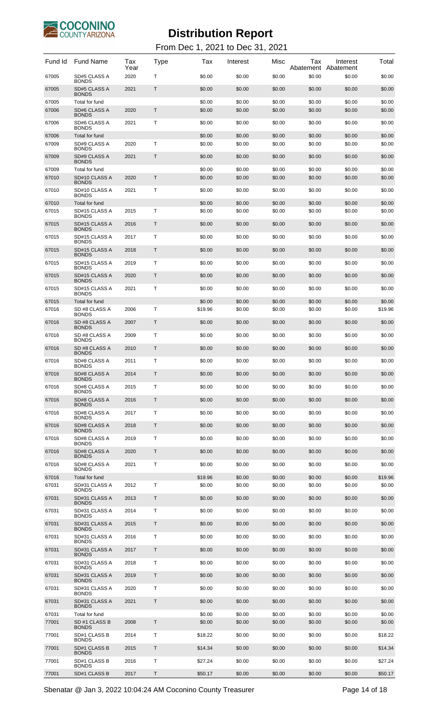

| Fund Id        | <b>Fund Name</b>                | Tax<br>Year | <b>Type</b> | Tax               | Interest         | Misc             | Tax              | Interest<br>Abatement Abatement | Total             |
|----------------|---------------------------------|-------------|-------------|-------------------|------------------|------------------|------------------|---------------------------------|-------------------|
| 67005          | SD#5 CLASS A<br><b>BONDS</b>    | 2020        | Т           | \$0.00            | \$0.00           | \$0.00           | \$0.00           | \$0.00                          | \$0.00            |
| 67005          | SD#5 CLASS A<br><b>BONDS</b>    | 2021        | Τ           | \$0.00            | \$0.00           | \$0.00           | \$0.00           | \$0.00                          | \$0.00            |
| 67005<br>67006 | Total for fund<br>SD#6 CLASS A  | 2020        | Τ           | \$0.00<br>\$0.00  | \$0.00<br>\$0.00 | \$0.00<br>\$0.00 | \$0.00<br>\$0.00 | \$0.00<br>\$0.00                | \$0.00<br>\$0.00  |
| 67006          | <b>BONDS</b><br>SD#6 CLASS A    | 2021        | т           | \$0.00            | \$0.00           | \$0.00           | \$0.00           | \$0.00                          | \$0.00            |
| 67006          | <b>BONDS</b><br>Total for fund  |             |             | \$0.00            | \$0.00           | \$0.00           | \$0.00           | \$0.00                          | \$0.00            |
| 67009          | SD#9 CLASS A<br><b>BONDS</b>    | 2020        | T           | \$0.00            | \$0.00           | \$0.00           | \$0.00           | \$0.00                          | \$0.00            |
| 67009          | SD#9 CLASS A<br><b>BONDS</b>    | 2021        | T           | \$0.00            | \$0.00           | \$0.00           | \$0.00           | \$0.00                          | \$0.00            |
| 67009<br>67010 | Total for fund<br>SD#10 CLASS A | 2020        | T.          | \$0.00<br>\$0.00  | \$0.00<br>\$0.00 | \$0.00<br>\$0.00 | \$0.00<br>\$0.00 | \$0.00<br>\$0.00                | \$0.00<br>\$0.00  |
|                | <b>BONDS</b>                    |             |             |                   |                  |                  |                  |                                 |                   |
| 67010          | SD#10 CLASS A<br><b>BONDS</b>   | 2021        | Т           | \$0.00            | \$0.00           | \$0.00           | \$0.00           | \$0.00                          | \$0.00            |
| 67010<br>67015 | Total for fund<br>SD#15 CLASS A | 2015        | T.          | \$0.00<br>\$0.00  | \$0.00<br>\$0.00 | \$0.00<br>\$0.00 | \$0.00<br>\$0.00 | \$0.00<br>\$0.00                | \$0.00<br>\$0.00  |
| 67015          | <b>BONDS</b><br>SD#15 CLASS A   | 2016        | Τ           | \$0.00            | \$0.00           | \$0.00           | \$0.00           | \$0.00                          | \$0.00            |
| 67015          | <b>BONDS</b><br>SD#15 CLASS A   | 2017        | т           | \$0.00            | \$0.00           | \$0.00           | \$0.00           | \$0.00                          | \$0.00            |
| 67015          | <b>BONDS</b><br>SD#15 CLASS A   | 2018        | T           | \$0.00            | \$0.00           | \$0.00           | \$0.00           | \$0.00                          | \$0.00            |
| 67015          | <b>BONDS</b><br>SD#15 CLASS A   | 2019        | т           | \$0.00            | \$0.00           | \$0.00           | \$0.00           | \$0.00                          | \$0.00            |
| 67015          | <b>BONDS</b><br>SD#15 CLASS A   | 2020        | T           | \$0.00            | \$0.00           | \$0.00           | \$0.00           | \$0.00                          | \$0.00            |
| 67015          | <b>BONDS</b><br>SD#15 CLASS A   | 2021        | т           | \$0.00            | \$0.00           | \$0.00           | \$0.00           | \$0.00                          | \$0.00            |
| 67015          | <b>BONDS</b><br>Total for fund  |             |             | \$0.00            | \$0.00           | \$0.00           | \$0.00           | \$0.00                          | \$0.00            |
| 67016          | SD #8 CLASS A                   | 2006        | T           | \$19.96           | \$0.00           | \$0.00           | \$0.00           | \$0.00                          | \$19.96           |
| 67016          | <b>BONDS</b><br>SD #8 CLASS A   | 2007        | T           | \$0.00            | \$0.00           | \$0.00           | \$0.00           | \$0.00                          | \$0.00            |
| 67016          | <b>BONDS</b><br>SD #8 CLASS A   | 2009        | т           | \$0.00            | \$0.00           | \$0.00           | \$0.00           | \$0.00                          | \$0.00            |
| 67016          | <b>BONDS</b><br>SD #8 CLASS A   | 2010        | Т           | \$0.00            | \$0.00           | \$0.00           | \$0.00           | \$0.00                          | \$0.00            |
| 67016          | <b>BONDS</b><br>SD#8 CLASS A    | 2011        | T           | \$0.00            | \$0.00           | \$0.00           | \$0.00           | \$0.00                          | \$0.00            |
| 67016          | <b>BONDS</b><br>SD#8 CLASS A    | 2014        | Τ           | \$0.00            | \$0.00           | \$0.00           | \$0.00           | \$0.00                          | \$0.00            |
| 67016          | <b>BONDS</b><br>SD#8 CLASS A    | 2015        | Т           | \$0.00            | \$0.00           | \$0.00           | \$0.00           | \$0.00                          | \$0.00            |
| 67016          | <b>BONDS</b><br>SD#8 CLASS A    | 2016        | T           | \$0.00            | \$0.00           | \$0.00           | \$0.00           | \$0.00                          | \$0.00            |
|                | <b>BONDS</b><br>SD#8 CLASS A    |             |             |                   |                  |                  |                  |                                 |                   |
| 67016          | <b>BONDS</b>                    | 2017        | т           | \$0.00            | \$0.00           | \$0.00           | \$0.00           | \$0.00                          | \$0.00            |
| 67016          | SD#8 CLASS A<br><b>BONDS</b>    | 2018        | T           | \$0.00            | \$0.00           | \$0.00           | \$0.00           | \$0.00                          | \$0.00            |
| 67016          | SD#8 CLASS A<br><b>BONDS</b>    | 2019        | т           | \$0.00            | \$0.00           | \$0.00           | \$0.00           | \$0.00                          | \$0.00            |
| 67016          | SD#8 CLASS A<br><b>BONDS</b>    | 2020        | T           | \$0.00            | \$0.00           | \$0.00           | \$0.00           | \$0.00                          | \$0.00            |
| 67016          | SD#8 CLASS A<br><b>BONDS</b>    | 2021        | т           | \$0.00            | \$0.00           | \$0.00           | \$0.00           | \$0.00                          | \$0.00            |
| 67016<br>67031 | Total for fund<br>SD#31 CLASS A | 2012        | т           | \$19.96<br>\$0.00 | \$0.00<br>\$0.00 | \$0.00<br>\$0.00 | \$0.00<br>\$0.00 | \$0.00<br>\$0.00                | \$19.96<br>\$0.00 |
| 67031          | <b>BONDS</b><br>SD#31 CLASS A   | 2013        | Τ           | \$0.00            | \$0.00           | \$0.00           | \$0.00           | \$0.00                          | \$0.00            |
| 67031          | <b>BONDS</b><br>SD#31 CLASS A   | 2014        | т           | \$0.00            | \$0.00           | \$0.00           | \$0.00           | \$0.00                          | \$0.00            |
|                | <b>BONDS</b>                    |             |             |                   |                  |                  |                  |                                 |                   |
| 67031          | SD#31 CLASS A<br><b>BONDS</b>   | 2015        | Τ           | \$0.00            | \$0.00           | \$0.00           | \$0.00           | \$0.00                          | \$0.00            |
| 67031          | SD#31 CLASS A<br><b>BONDS</b>   | 2016        | т           | \$0.00            | \$0.00           | \$0.00           | \$0.00           | \$0.00                          | \$0.00            |
| 67031          | SD#31 CLASS A<br><b>BONDS</b>   | 2017        | Τ           | \$0.00            | \$0.00           | \$0.00           | \$0.00           | \$0.00                          | \$0.00            |
| 67031          | SD#31 CLASS A<br><b>BONDS</b>   | 2018        | т           | \$0.00            | \$0.00           | \$0.00           | \$0.00           | \$0.00                          | \$0.00            |
| 67031          | SD#31 CLASS A<br><b>BONDS</b>   | 2019        | Τ           | \$0.00            | \$0.00           | \$0.00           | \$0.00           | \$0.00                          | \$0.00            |
| 67031          | SD#31 CLASS A<br><b>BONDS</b>   | 2020        | т           | \$0.00            | \$0.00           | \$0.00           | \$0.00           | \$0.00                          | \$0.00            |
| 67031          | SD#31 CLASS A<br><b>BONDS</b>   | 2021        | Τ           | \$0.00            | \$0.00           | \$0.00           | \$0.00           | \$0.00                          | \$0.00            |
| 67031<br>77001 | Total for fund<br>SD #1 CLASS B | 2008        | Τ           | \$0.00<br>\$0.00  | \$0.00<br>\$0.00 | \$0.00<br>\$0.00 | \$0.00           | \$0.00<br>\$0.00                | \$0.00            |
|                | <b>BONDS</b>                    |             |             |                   |                  |                  | \$0.00           |                                 | \$0.00            |
| 77001          | SD#1 CLASS B<br><b>BONDS</b>    | 2014        | Т           | \$18.22           | \$0.00           | \$0.00           | \$0.00           | \$0.00                          | \$18.22           |
| 77001          | SD#1 CLASS B<br><b>BONDS</b>    | 2015        | Τ           | \$14.34           | \$0.00           | \$0.00           | \$0.00           | \$0.00                          | \$14.34           |
| 77001          | SD#1 CLASS B<br><b>BONDS</b>    | 2016        | Т           | \$27.24           | \$0.00           | \$0.00           | \$0.00           | \$0.00                          | \$27.24           |
| 77001          | SD#1 CLASS B                    | 2017        | Τ           | \$50.17           | \$0.00           | \$0.00           | \$0.00           | \$0.00                          | \$50.17           |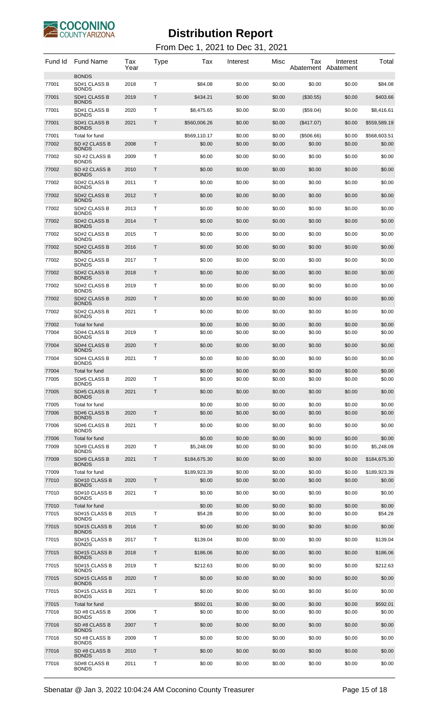

| Fund Id        | <b>Fund Name</b>                                | Tax<br>Year | Type         | Tax                    | Interest         | Misc             | Tax                  | Interest<br>Abatement Abatement | Total                  |
|----------------|-------------------------------------------------|-------------|--------------|------------------------|------------------|------------------|----------------------|---------------------------------|------------------------|
| 77001          | <b>BONDS</b><br>SD#1 CLASS B                    | 2018        | т            | \$84.08                | \$0.00           | \$0.00           | \$0.00               | \$0.00                          | \$84.08                |
| 77001          | <b>BONDS</b><br>SD#1 CLASS B<br><b>BONDS</b>    | 2019        | $\mathsf{T}$ | \$434.21               | \$0.00           | \$0.00           | $(\$30.55)$          | \$0.00                          | \$403.66               |
| 77001          | SD#1 CLASS B<br><b>BONDS</b>                    | 2020        | т            | \$8,475.65             | \$0.00           | \$0.00           | (\$59.04)            | \$0.00                          | \$8,416.61             |
| 77001          | SD#1 CLASS B<br><b>BONDS</b>                    | 2021        | Τ            | \$560,006.26           | \$0.00           | \$0.00           | $(\$417.07)$         | \$0.00                          | \$559,589.19           |
| 77001<br>77002 | Total for fund<br>SD #2 CLASS B<br><b>BONDS</b> | 2008        | T            | \$569,110.17<br>\$0.00 | \$0.00<br>\$0.00 | \$0.00<br>\$0.00 | (\$506.66)<br>\$0.00 | \$0.00<br>\$0.00                | \$568,603.51<br>\$0.00 |
| 77002          | SD #2 CLASS B<br><b>BONDS</b>                   | 2009        | T            | \$0.00                 | \$0.00           | \$0.00           | \$0.00               | \$0.00                          | \$0.00                 |
| 77002          | SD #2 CLASS B<br><b>BONDS</b>                   | 2010        | T            | \$0.00                 | \$0.00           | \$0.00           | \$0.00               | \$0.00                          | \$0.00                 |
| 77002          | SD#2 CLASS B<br><b>BONDS</b>                    | 2011        | Τ            | \$0.00                 | \$0.00           | \$0.00           | \$0.00               | \$0.00                          | \$0.00                 |
| 77002          | SD#2 CLASS B<br><b>BONDS</b>                    | 2012        | Τ            | \$0.00                 | \$0.00           | \$0.00           | \$0.00               | \$0.00                          | \$0.00                 |
| 77002          | SD#2 CLASS B<br><b>BONDS</b>                    | 2013        | T            | \$0.00                 | \$0.00           | \$0.00           | \$0.00               | \$0.00                          | \$0.00                 |
| 77002          | SD#2 CLASS B                                    | 2014        | T            | \$0.00                 | \$0.00           | \$0.00           | \$0.00               | \$0.00                          | \$0.00                 |
| 77002          | <b>BONDS</b><br>SD#2 CLASS B                    | 2015        | T            | \$0.00                 | \$0.00           | \$0.00           | \$0.00               | \$0.00                          | \$0.00                 |
| 77002          | <b>BONDS</b><br>SD#2 CLASS B                    | 2016        | T            | \$0.00                 | \$0.00           | \$0.00           | \$0.00               | \$0.00                          | \$0.00                 |
| 77002          | <b>BONDS</b><br>SD#2 CLASS B                    | 2017        | T            | \$0.00                 | \$0.00           | \$0.00           | \$0.00               | \$0.00                          | \$0.00                 |
| 77002          | <b>BONDS</b><br>SD#2 CLASS B                    | 2018        | Τ            | \$0.00                 | \$0.00           | \$0.00           | \$0.00               | \$0.00                          | \$0.00                 |
| 77002          | <b>BONDS</b><br>SD#2 CLASS B                    | 2019        | T            | \$0.00                 | \$0.00           | \$0.00           | \$0.00               | \$0.00                          | \$0.00                 |
| 77002          | <b>BONDS</b><br>SD#2 CLASS B                    | 2020        | T            | \$0.00                 | \$0.00           | \$0.00           | \$0.00               | \$0.00                          | \$0.00                 |
| 77002          | <b>BONDS</b><br>SD#2 CLASS B                    | 2021        | т            | \$0.00                 | \$0.00           | \$0.00           | \$0.00               | \$0.00                          | \$0.00                 |
| 77002          | <b>BONDS</b><br>Total for fund                  |             |              | \$0.00                 | \$0.00           | \$0.00           | \$0.00               | \$0.00                          | \$0.00                 |
| 77004          | SD#4 CLASS B<br><b>BONDS</b>                    | 2019        | Т            | \$0.00                 | \$0.00           | \$0.00           | \$0.00               | \$0.00                          | \$0.00                 |
| 77004          | SD#4 CLASS B<br><b>BONDS</b>                    | 2020        | Τ            | \$0.00                 | \$0.00           | \$0.00           | \$0.00               | \$0.00                          | \$0.00                 |
| 77004          | SD#4 CLASS B<br><b>BONDS</b>                    | 2021        | T            | \$0.00                 | \$0.00           | \$0.00           | \$0.00               | \$0.00                          | \$0.00                 |
| 77004          | Total for fund                                  |             |              | \$0.00                 | \$0.00           | \$0.00           | \$0.00               | \$0.00                          | \$0.00                 |
| 77005          | SD#5 CLASS B<br><b>BONDS</b>                    | 2020        | Т            | \$0.00                 | \$0.00           | \$0.00           | \$0.00               | \$0.00                          | \$0.00                 |
| 77005          | SD#5 CLASS B<br><b>BONDS</b>                    | 2021        | T.           | \$0.00                 | \$0.00           | \$0.00           | \$0.00               | \$0.00                          | \$0.00                 |
| 77005<br>77006 | Total for fund<br>SD#6 CLASS B                  | 2020        | T.           | \$0.00<br>\$0.00       | \$0.00<br>\$0.00 | \$0.00<br>\$0.00 | \$0.00<br>\$0.00     | \$0.00<br>\$0.00                | \$0.00<br>\$0.00       |
| 77006          | <b>BONDS</b><br>SD#6 CLASS B                    | 2021        | T            | \$0.00                 | \$0.00           | \$0.00           | \$0.00               | \$0.00                          | \$0.00                 |
| 77006          | <b>BONDS</b><br>Total for fund                  |             |              | \$0.00                 | \$0.00           | \$0.00           | \$0.00               | \$0.00                          | \$0.00                 |
| 77009          | SD#9 CLASS B<br><b>BONDS</b>                    | 2020        | Τ            | \$5,248.09             | \$0.00           | \$0.00           | \$0.00               | \$0.00                          | \$5,248.09             |
| 77009          | SD#9 CLASS B<br><b>BONDS</b>                    | 2021        | Τ            | \$184,675.30           | \$0.00           | \$0.00           | \$0.00               | \$0.00                          | \$184.675.30           |
| 77009          | Total for fund                                  |             |              | \$189,923.39           | \$0.00           | \$0.00           | \$0.00               | \$0.00                          | \$189,923.39           |
| 77010          | SD#10 CLASS B<br><b>BONDS</b>                   | 2020        | $\mathsf{T}$ | \$0.00                 | \$0.00           | \$0.00           | \$0.00               | \$0.00                          | \$0.00                 |
| 77010          | SD#10 CLASS B<br><b>BONDS</b>                   | 2021        | т            | \$0.00                 | \$0.00           | \$0.00           | \$0.00               | \$0.00                          | \$0.00                 |
| 77010<br>77015 | Total for fund<br>SD#15 CLASS B                 | 2015        | T            | \$0.00<br>\$54.28      | \$0.00<br>\$0.00 | \$0.00<br>\$0.00 | \$0.00<br>\$0.00     | \$0.00<br>\$0.00                | \$0.00<br>\$54.28      |
| 77015          | <b>BONDS</b><br>SD#15 CLASS B                   | 2016        | $\mathsf T$  | \$0.00                 | \$0.00           | \$0.00           | \$0.00               | \$0.00                          | \$0.00                 |
| 77015          | <b>BONDS</b><br>SD#15 CLASS B                   | 2017        | T            | \$139.04               | \$0.00           | \$0.00           | \$0.00               | \$0.00                          | \$139.04               |
| 77015          | <b>BONDS</b><br>SD#15 CLASS B                   | 2018        | T            | \$186.06               | \$0.00           | \$0.00           | \$0.00               | \$0.00                          | \$186.06               |
| 77015          | <b>BONDS</b><br>SD#15 CLASS B                   | 2019        | T            | \$212.63               | \$0.00           | \$0.00           | \$0.00               | \$0.00                          | \$212.63               |
|                | <b>BONDS</b>                                    |             |              |                        |                  |                  |                      |                                 |                        |
| 77015          | SD#15 CLASS B<br><b>BONDS</b>                   | 2020        | T            | \$0.00                 | \$0.00           | \$0.00           | \$0.00               | \$0.00                          | \$0.00                 |
| 77015          | SD#15 CLASS B<br><b>BONDS</b>                   | 2021        | T            | \$0.00                 | \$0.00           | \$0.00           | \$0.00               | \$0.00                          | \$0.00                 |
| 77015<br>77016 | Total for fund<br>SD #8 CLASS B<br><b>BONDS</b> | 2006        | T            | \$592.01<br>\$0.00     | \$0.00<br>\$0.00 | \$0.00<br>\$0.00 | \$0.00<br>\$0.00     | \$0.00<br>\$0.00                | \$592.01<br>\$0.00     |
| 77016          | SD #8 CLASS B<br><b>BONDS</b>                   | 2007        | $\mathsf T$  | \$0.00                 | \$0.00           | \$0.00           | \$0.00               | \$0.00                          | \$0.00                 |
| 77016          | SD #8 CLASS B<br><b>BONDS</b>                   | 2009        | Τ            | \$0.00                 | \$0.00           | \$0.00           | \$0.00               | \$0.00                          | \$0.00                 |
| 77016          | SD #8 CLASS B<br><b>BONDS</b>                   | 2010        | $\mathsf T$  | \$0.00                 | \$0.00           | \$0.00           | \$0.00               | \$0.00                          | \$0.00                 |
| 77016          | SD#8 CLASS B<br><b>BONDS</b>                    | 2011        | Τ            | \$0.00                 | \$0.00           | \$0.00           | \$0.00               | \$0.00                          | \$0.00                 |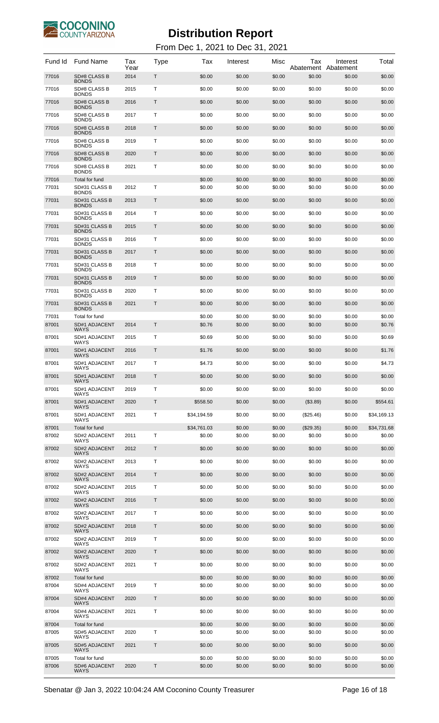

| Fund Id        | Fund Name                            | Tax<br>Year | Type | Tax                   | Interest         | Misc             | Tax<br>Abatement      | Interest<br>Abatement | Total                 |
|----------------|--------------------------------------|-------------|------|-----------------------|------------------|------------------|-----------------------|-----------------------|-----------------------|
| 77016          | SD#8 CLASS B<br><b>BONDS</b>         | 2014        | Τ    | \$0.00                | \$0.00           | \$0.00           | \$0.00                | \$0.00                | \$0.00                |
| 77016          | SD#8 CLASS B<br><b>BONDS</b>         | 2015        | т    | \$0.00                | \$0.00           | \$0.00           | \$0.00                | \$0.00                | \$0.00                |
| 77016          | SD#8 CLASS B<br><b>BONDS</b>         | 2016        | Т    | \$0.00                | \$0.00           | \$0.00           | \$0.00                | \$0.00                | \$0.00                |
| 77016          | SD#8 CLASS B<br><b>BONDS</b>         | 2017        | т    | \$0.00                | \$0.00           | \$0.00           | \$0.00                | \$0.00                | \$0.00                |
| 77016          | SD#8 CLASS B<br><b>BONDS</b>         | 2018        | Т    | \$0.00                | \$0.00           | \$0.00           | \$0.00                | \$0.00                | \$0.00                |
| 77016          | SD#8 CLASS B<br><b>BONDS</b>         | 2019        | т    | \$0.00                | \$0.00           | \$0.00           | \$0.00                | \$0.00                | \$0.00                |
| 77016          | SD#8 CLASS B<br><b>BONDS</b>         | 2020        | Т    | \$0.00                | \$0.00           | \$0.00           | \$0.00                | \$0.00                | \$0.00                |
| 77016          | SD#8 CLASS B<br><b>BONDS</b>         | 2021        | т    | \$0.00                | \$0.00           | \$0.00           | \$0.00                | \$0.00                | \$0.00                |
| 77016          | Total for fund                       |             |      | \$0.00                | \$0.00           | \$0.00           | \$0.00                | \$0.00                | \$0.00                |
| 77031          | SD#31 CLASS B<br><b>BONDS</b>        | 2012        | т    | \$0.00                | \$0.00           | \$0.00           | \$0.00                | \$0.00                | \$0.00                |
| 77031          | SD#31 CLASS B<br><b>BONDS</b>        | 2013        | T    | \$0.00                | \$0.00           | \$0.00           | \$0.00                | \$0.00                | \$0.00                |
| 77031          | SD#31 CLASS B<br><b>BONDS</b>        | 2014        | Т    | \$0.00                | \$0.00           | \$0.00           | \$0.00                | \$0.00                | \$0.00                |
| 77031          | SD#31 CLASS B<br><b>BONDS</b>        | 2015        | T    | \$0.00                | \$0.00           | \$0.00           | \$0.00                | \$0.00                | \$0.00                |
| 77031          | SD#31 CLASS B<br><b>BONDS</b>        | 2016        | т    | \$0.00                | \$0.00           | \$0.00           | \$0.00                | \$0.00                | \$0.00                |
| 77031          | SD#31 CLASS B<br><b>BONDS</b>        | 2017        | T    | \$0.00                | \$0.00           | \$0.00           | \$0.00                | \$0.00                | \$0.00                |
| 77031          | SD#31 CLASS B<br><b>BONDS</b>        | 2018        | т    | \$0.00                | \$0.00           | \$0.00           | \$0.00                | \$0.00                | \$0.00                |
| 77031          | SD#31 CLASS B<br><b>BONDS</b>        | 2019        | T    | \$0.00                | \$0.00           | \$0.00           | \$0.00                | \$0.00                | \$0.00                |
| 77031          | SD#31 CLASS B<br><b>BONDS</b>        | 2020        | т    | \$0.00                | \$0.00           | \$0.00           | \$0.00                | \$0.00                | \$0.00                |
| 77031          | SD#31 CLASS B<br><b>BONDS</b>        | 2021        | T    | \$0.00                | \$0.00           | \$0.00           | \$0.00                | \$0.00                | \$0.00                |
| 77031          | Total for fund                       |             |      | \$0.00                | \$0.00           | \$0.00           | \$0.00                | \$0.00                | \$0.00                |
| 87001          | SD#1 ADJACENT<br><b>WAYS</b>         | 2014        | T    | \$0.76                | \$0.00           | \$0.00           | \$0.00                | \$0.00                | \$0.76                |
| 87001          | SD#1 ADJACENT<br>WAYS                | 2015        | Т    | \$0.69                | \$0.00           | \$0.00           | \$0.00                | \$0.00                | \$0.69                |
| 87001          | SD#1 ADJACENT<br>WAYS                | 2016        | Τ    | \$1.76                | \$0.00           | \$0.00           | \$0.00                | \$0.00                | \$1.76                |
| 87001          | SD#1 ADJACENT<br><b>WAYS</b>         | 2017        | т    | \$4.73                | \$0.00           | \$0.00           | \$0.00                | \$0.00                | \$4.73                |
| 87001          | SD#1 ADJACENT<br>WAYS                | 2018        | T.   | \$0.00                | \$0.00           | \$0.00           | \$0.00                | \$0.00                | \$0.00                |
| 87001          | SD#1 ADJACENT<br><b>WAYS</b>         | 2019        | Т    | \$0.00                | \$0.00           | \$0.00           | \$0.00                | \$0.00                | \$0.00                |
| 87001          | SD#1 ADJACENT<br><b>WAYS</b>         | 2020        | T    | \$558.50              | \$0.00           | \$0.00           | (\$3.89)              | \$0.00                | \$554.61              |
| 87001          | SD#1 ADJACENT<br><b>WAYS</b>         | 2021        | Т    | \$34,194.59           | \$0.00           | \$0.00           | (\$25.46)             | \$0.00                | \$34,169.13           |
| 87001<br>87002 | Total for fund<br>SD#2 ADJACENT      | 2011        | Т    | \$34,761.03<br>\$0.00 | \$0.00<br>\$0.00 | \$0.00<br>\$0.00 | $(\$29.35)$<br>\$0.00 | \$0.00<br>\$0.00      | \$34,731.68<br>\$0.00 |
| 87002          | WAYS<br><b>SD#2 ADJACENT</b>         | 2012        | Τ    | \$0.00                | \$0.00           | \$0.00           | \$0.00                | \$0.00                | \$0.00                |
| 87002          | WAYS<br><b>SD#2 ADJACENT</b>         | 2013        | Т    | \$0.00                | \$0.00           | \$0.00           | \$0.00                | \$0.00                | \$0.00                |
| 87002          | WAYS<br><b>SD#2 ADJACENT</b>         | 2014        | T    | \$0.00                | \$0.00           | \$0.00           | \$0.00                | \$0.00                | \$0.00                |
| 87002          | WAYS<br>SD#2 ADJACENT                | 2015        | Т    | \$0.00                | \$0.00           | \$0.00           | \$0.00                | \$0.00                | \$0.00                |
| 87002          | WAYS<br><b>SD#2 ADJACENT</b>         | 2016        | T    | \$0.00                | \$0.00           | \$0.00           | \$0.00                | \$0.00                | \$0.00                |
| 87002          | WAYS<br>SD#2 ADJACENT                | 2017        | Т    | \$0.00                | \$0.00           | \$0.00           | \$0.00                | \$0.00                | \$0.00                |
| 87002          | WAYS<br><b>SD#2 ADJACENT</b>         | 2018        | T    | \$0.00                | \$0.00           | \$0.00           | \$0.00                | \$0.00                | \$0.00                |
| 87002          | WAYS<br>SD#2 ADJACENT                | 2019        | Т    | \$0.00                | \$0.00           | \$0.00           | \$0.00                | \$0.00                | \$0.00                |
| 87002          | WAYS<br><b>SD#2 ADJACENT</b>         | 2020        | T    | \$0.00                | \$0.00           | \$0.00           | \$0.00                | \$0.00                | \$0.00                |
| 87002          | WAYS<br>SD#2 ADJACENT                | 2021        | Т    | \$0.00                | \$0.00           | \$0.00           | \$0.00                | \$0.00                | \$0.00                |
|                | WAYS                                 |             |      |                       |                  |                  |                       |                       |                       |
| 87002<br>87004 | Total for fund<br>SD#4 ADJACENT      | 2019        | Т    | \$0.00<br>\$0.00      | \$0.00<br>\$0.00 | \$0.00<br>\$0.00 | \$0.00<br>\$0.00      | \$0.00<br>\$0.00      | \$0.00<br>\$0.00      |
| 87004          | <b>WAYS</b><br><b>SD#4 ADJACENT</b>  | 2020        | T    | \$0.00                | \$0.00           | \$0.00           | \$0.00                | \$0.00                | \$0.00                |
| 87004          | <b>WAYS</b><br>SD#4 ADJACENT         | 2021        | Т    | \$0.00                | \$0.00           | \$0.00           | \$0.00                | \$0.00                | \$0.00                |
| 87004          | <b>WAYS</b><br><b>Total for fund</b> |             |      | \$0.00                | \$0.00           | \$0.00           | \$0.00                | \$0.00                | \$0.00                |
| 87005          | SD#5 ADJACENT<br><b>WAYS</b>         | 2020        | Т    | \$0.00                | \$0.00           | \$0.00           | \$0.00                | \$0.00                | \$0.00                |
| 87005          | <b>SD#5 ADJACENT</b><br><b>WAYS</b>  | 2021        | Τ    | \$0.00                | \$0.00           | \$0.00           | \$0.00                | \$0.00                | \$0.00                |
| 87005<br>87006 | Total for fund<br>SD#6 ADJACENT      | 2020        | Τ    | \$0.00<br>\$0.00      | \$0.00<br>\$0.00 | \$0.00<br>\$0.00 | \$0.00<br>\$0.00      | \$0.00<br>\$0.00      | \$0.00<br>\$0.00      |
|                | <b>WAYS</b>                          |             |      |                       |                  |                  |                       |                       |                       |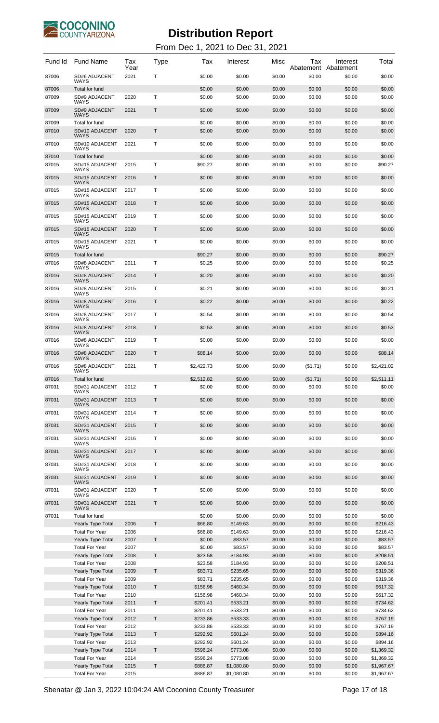

From Dec 1, 2021 to Dec 31, 2021

| 2021<br>T<br>87006<br>SD#6 ADJACENT<br>\$0.00<br>\$0.00<br>\$0.00<br>\$0.00<br>\$0.00<br>\$0.00<br><b>WAYS</b><br>87006<br>Total for fund<br>\$0.00<br>\$0.00<br>\$0.00<br>\$0.00<br>\$0.00<br>\$0.00<br>T<br>87009<br>SD#9 ADJACENT<br>2020<br>\$0.00<br>\$0.00<br>\$0.00<br>\$0.00<br>\$0.00<br>\$0.00<br><b>WAYS</b><br>SD#9 ADJACENT<br>2021<br>Τ<br>\$0.00<br>\$0.00<br>\$0.00<br>\$0.00<br>87009<br>\$0.00<br>\$0.00<br><b>WAYS</b><br>87009<br>Total for fund<br>\$0.00<br>\$0.00<br>\$0.00<br>\$0.00<br>\$0.00<br>\$0.00<br>T<br>87010<br>SD#10 ADJACENT<br>2020<br>\$0.00<br>\$0.00<br>\$0.00<br>\$0.00<br>\$0.00<br>\$0.00<br><b>WAYS</b><br>Т<br>87010<br>SD#10 ADJACENT<br>2021<br>\$0.00<br>\$0.00<br>\$0.00<br>\$0.00<br>\$0.00<br>\$0.00<br>WAYS<br>87010<br>Total for fund<br>\$0.00<br>\$0.00<br>\$0.00<br>\$0.00<br>\$0.00<br>\$0.00<br>Т<br>87015<br>SD#15 ADJACENT<br>\$0.00<br>\$0.00<br>\$0.00<br>\$90.27<br>2015<br>\$90.27<br>\$0.00<br><b>WAYS</b><br>T<br>SD#15 ADJACENT<br>2016<br>\$0.00<br>87015<br>\$0.00<br>\$0.00<br>\$0.00<br>\$0.00<br>\$0.00<br><b>WAYS</b><br>Τ<br>SD#15 ADJACENT<br>\$0.00<br>\$0.00<br>87015<br>2017<br>\$0.00<br>\$0.00<br>\$0.00<br>\$0.00<br><b>WAYS</b><br>T<br>87015<br>SD#15 ADJACENT<br>2018<br>\$0.00<br>\$0.00<br>\$0.00<br>\$0.00<br>\$0.00<br>\$0.00<br><b>WAYS</b><br>Τ<br>SD#15 ADJACENT<br>\$0.00<br>\$0.00<br>87015<br>2019<br>\$0.00<br>\$0.00<br>\$0.00<br>\$0.00<br><b>WAYS</b><br>T<br>87015<br>SD#15 ADJACENT<br>2020<br>\$0.00<br>\$0.00<br>\$0.00<br>\$0.00<br>\$0.00<br>\$0.00<br><b>WAYS</b><br>Τ<br>SD#15 ADJACENT<br>\$0.00<br>87015<br>2021<br>\$0.00<br>\$0.00<br>\$0.00<br>\$0.00<br>\$0.00<br><b>WAYS</b><br>87015<br>Total for fund<br>\$90.27<br>\$0.00<br>\$0.00<br>\$0.00<br>\$0.00<br>\$90.27<br>SD#8 ADJACENT<br>Т<br>87016<br>2011<br>\$0.25<br>\$0.00<br>\$0.00<br>\$0.00<br>\$0.00<br>\$0.25<br><b>WAYS</b><br>87016<br><b>SD#8 ADJACENT</b><br>2014<br>Т<br>\$0.20<br>\$0.00<br>\$0.00<br>\$0.00<br>\$0.20<br>\$0.00<br><b>WAYS</b><br>87016<br>SD#8 ADJACENT<br>2015<br>т<br>\$0.21<br>\$0.00<br>\$0.00<br>\$0.00<br>\$0.00<br>\$0.21<br><b>WAYS</b><br>87016<br><b>SD#8 ADJACENT</b><br>2016<br>Т<br>\$0.22<br>\$0.00<br>\$0.00<br>\$0.00<br>\$0.00<br>\$0.22<br><b>WAYS</b><br>87016<br>SD#8 ADJACENT<br>2017<br>Т<br>\$0.54<br>\$0.00<br>\$0.00<br>\$0.00<br>\$0.00<br>\$0.54<br><b>WAYS</b><br>87016<br><b>SD#8 ADJACENT</b><br>2018<br>Т<br>\$0.53<br>\$0.00<br>\$0.00<br>\$0.00<br>\$0.00<br>\$0.53<br><b>WAYS</b><br>Т<br>87016<br>SD#8 ADJACENT<br>2019<br>\$0.00<br>\$0.00<br>\$0.00<br>\$0.00<br>\$0.00<br>\$0.00<br>WAYS<br>87016<br><b>SD#8 ADJACENT</b><br>2020<br>Т<br>\$88.14<br>\$0.00<br>\$0.00<br>\$0.00<br>\$88.14<br>\$0.00<br><b>WAYS</b><br>Т<br>87016<br>SD#8 ADJACENT<br>2021<br>\$2,422.73<br>\$0.00<br>\$0.00<br>\$0.00<br>\$2,421.02<br>(\$1.71)<br>WAYS<br>87016<br>\$2,512.82<br>\$0.00<br>\$0.00<br>(\$1.71)<br>\$0.00<br>\$2,511.11<br><b>Total for fund</b><br>Т<br>87031<br>SD#31 ADJACENT<br>2012<br>\$0.00<br>\$0.00<br>\$0.00<br>\$0.00<br>\$0.00<br>\$0.00<br><b>WAYS</b><br>SD#31 ADJACENT<br>T<br>\$0.00<br>87031<br>2013<br>\$0.00<br>\$0.00<br>\$0.00<br>\$0.00<br>\$0.00<br><b>WAYS</b><br>SD#31 ADJACENT<br>Τ<br>\$0.00<br>\$0.00<br>\$0.00<br>87031<br>2014<br>\$0.00<br>\$0.00<br>\$0.00<br><b>WAYS</b><br>SD#31 ADJACENT<br>T<br>87031<br>2015<br>\$0.00<br>\$0.00<br>\$0.00<br>\$0.00<br>\$0.00<br>\$0.00<br><b>WAYS</b><br>SD#31 ADJACENT<br>Т<br>87031<br>2016<br>\$0.00<br>\$0.00<br>\$0.00<br>\$0.00<br>\$0.00<br>\$0.00<br><b>WAYS</b><br>SD#31 ADJACENT<br>T<br>87031<br>2017<br>\$0.00<br>\$0.00<br>\$0.00<br>\$0.00<br>\$0.00<br>\$0.00<br><b>WAYS</b><br>SD#31 ADJACENT<br>Τ<br>\$0.00<br>87031<br>2018<br>\$0.00<br>\$0.00<br>\$0.00<br>\$0.00<br>\$0.00<br><b>WAYS</b><br>SD#31 ADJACENT<br>T<br>87031<br>2019<br>\$0.00<br>\$0.00<br>\$0.00<br>\$0.00<br>\$0.00<br>\$0.00<br><b>WAYS</b><br>SD#31 ADJACENT<br>Т<br>87031<br>2020<br>\$0.00<br>\$0.00<br>\$0.00<br>\$0.00<br>\$0.00<br>\$0.00<br><b>WAYS</b><br>SD#31 ADJACENT<br>T<br>87031<br>2021<br>\$0.00<br>\$0.00<br>\$0.00<br>\$0.00<br>\$0.00<br>\$0.00<br><b>WAYS</b><br>87031<br>Total for fund<br>\$0.00<br>\$0.00<br>\$0.00<br>\$0.00<br>\$0.00<br>\$0.00<br>$\mathsf{T}$<br>Yearly Type Total<br>2006<br>\$66.80<br>\$149.63<br>\$0.00<br>\$0.00<br>\$0.00<br>\$216.43<br><b>Total For Year</b><br>2006<br>\$66.80<br>\$149.63<br>\$0.00<br>\$0.00<br>\$0.00<br>\$216.43<br>T<br>\$0.00<br>\$83.57<br>Yearly Type Total<br>2007<br>\$0.00<br>\$83.57<br>\$0.00<br>\$0.00<br>\$0.00<br>\$83.57<br>\$0.00<br>\$0.00<br>\$0.00<br>\$83.57<br><b>Total For Year</b><br>2007<br>T.<br>\$23.58<br>\$184.93<br>\$0.00<br>\$208.51<br>Yearly Type Total<br>2008<br>\$0.00<br>\$0.00<br>\$23.58<br>\$0.00<br>\$0.00<br>\$0.00<br>\$208.51<br><b>Total For Year</b><br>2008<br>\$184.93<br>$\mathsf{T}$<br>\$83.71<br>\$0.00<br>\$319.36<br>Yearly Type Total<br>2009<br>\$235.65<br>\$0.00<br>\$0.00<br>\$83.71<br>\$235.65<br>\$0.00<br>\$0.00<br>\$0.00<br><b>Total For Year</b><br>2009<br>\$319.36<br>T<br>\$156.98<br>\$460.34<br>\$0.00<br>\$0.00<br>\$0.00<br>\$617.32<br>Yearly Type Total<br>2010<br>\$156.98<br>\$460.34<br>\$0.00<br>\$0.00<br>\$0.00<br>\$617.32<br><b>Total For Year</b><br>2010<br>2011<br>T.<br>\$201.41<br>\$533.21<br>\$0.00<br>\$0.00<br>\$0.00<br>\$734.62<br>Yearly Type Total<br><b>Total For Year</b><br>\$201.41<br>\$0.00<br>\$0.00<br>\$0.00<br>\$734.62<br>2011<br>\$533.21<br>T<br>\$0.00<br>\$767.19<br>Yearly Type Total<br>2012<br>\$233.86<br>\$533.33<br>\$0.00<br>\$0.00<br>\$767.19<br><b>Total For Year</b><br>2012<br>\$233.86<br>\$533.33<br>\$0.00<br>\$0.00<br>\$0.00<br>T<br>\$292.92<br>\$601.24<br>\$0.00<br>\$894.16<br>Yearly Type Total<br>2013<br>\$0.00<br>\$0.00<br>\$292.92<br>\$601.24<br>\$0.00<br>\$0.00<br>\$0.00<br>\$894.16<br><b>Total For Year</b><br>2013<br>T<br>\$596.24<br>\$773.08<br>\$0.00<br>\$1,369.32<br>Yearly Type Total<br>2014<br>\$0.00<br>\$0.00<br>\$596.24<br>\$0.00<br>\$0.00<br>\$1,369.32<br><b>Total For Year</b><br>2014<br>\$773.08<br>\$0.00<br>Τ<br>\$0.00<br>\$0.00<br><b>Yearly Type Total</b><br>2015<br>\$886.87<br>\$1,080.80<br>\$0.00<br>\$1,967.67<br><b>Total For Year</b><br>2015<br>\$886.87<br>\$1,080.80<br>\$0.00<br>\$0.00<br>\$0.00<br>\$1,967.67 | Fund Id | <b>Fund Name</b> | Tax<br>Year | Type | Tax | Interest | Misc | Tax<br>Abatement | Interest<br>Abatement | Total |
|------------------------------------------------------------------------------------------------------------------------------------------------------------------------------------------------------------------------------------------------------------------------------------------------------------------------------------------------------------------------------------------------------------------------------------------------------------------------------------------------------------------------------------------------------------------------------------------------------------------------------------------------------------------------------------------------------------------------------------------------------------------------------------------------------------------------------------------------------------------------------------------------------------------------------------------------------------------------------------------------------------------------------------------------------------------------------------------------------------------------------------------------------------------------------------------------------------------------------------------------------------------------------------------------------------------------------------------------------------------------------------------------------------------------------------------------------------------------------------------------------------------------------------------------------------------------------------------------------------------------------------------------------------------------------------------------------------------------------------------------------------------------------------------------------------------------------------------------------------------------------------------------------------------------------------------------------------------------------------------------------------------------------------------------------------------------------------------------------------------------------------------------------------------------------------------------------------------------------------------------------------------------------------------------------------------------------------------------------------------------------------------------------------------------------------------------------------------------------------------------------------------------------------------------------------------------------------------------------------------------------------------------------------------------------------------------------------------------------------------------------------------------------------------------------------------------------------------------------------------------------------------------------------------------------------------------------------------------------------------------------------------------------------------------------------------------------------------------------------------------------------------------------------------------------------------------------------------------------------------------------------------------------------------------------------------------------------------------------------------------------------------------------------------------------------------------------------------------------------------------------------------------------------------------------------------------------------------------------------------------------------------------------------------------------------------------------------------------------------------------------------------------------------------------------------------------------------------------------------------------------------------------------------------------------------------------------------------------------------------------------------------------------------------------------------------------------------------------------------------------------------------------------------------------------------------------------------------------------------------------------------------------------------------------------------------------------------------------------------------------------------------------------------------------------------------------------------------------------------------------------------------------------------------------------------------------------------------------------------------------------------------------------------------------------------------------------------------------------------------------------------------------------------------------------------------------------------------------------------------------------------------------------------------------------------------------------------------------------------------------------------------------------------------------------------------------------------------------------------------------------------------------------------------------------------------------------------------------------------------------------------------------------------------------------------------------------------------------------------------------------------------------------------------------------------------------------------------------------------------------------------------------------------------------------------------------------------------------------------------------------------------------------------------------------------------------------------------------------------------------------------------------------------------------------------------------------------------------------------------------------------------------------------------------------------------------------------------------------------------------------------------------------------------------------------------------------------------------------------------------------------------------------------------------------------------------------------------------------------------------------------------------------------------------------------------------------------------------------------------------------------|---------|------------------|-------------|------|-----|----------|------|------------------|-----------------------|-------|
|                                                                                                                                                                                                                                                                                                                                                                                                                                                                                                                                                                                                                                                                                                                                                                                                                                                                                                                                                                                                                                                                                                                                                                                                                                                                                                                                                                                                                                                                                                                                                                                                                                                                                                                                                                                                                                                                                                                                                                                                                                                                                                                                                                                                                                                                                                                                                                                                                                                                                                                                                                                                                                                                                                                                                                                                                                                                                                                                                                                                                                                                                                                                                                                                                                                                                                                                                                                                                                                                                                                                                                                                                                                                                                                                                                                                                                                                                                                                                                                                                                                                                                                                                                                                                                                                                                                                                                                                                                                                                                                                                                                                                                                                                                                                                                                                                                                                                                                                                                                                                                                                                                                                                                                                                                                                                                                                                                                                                                                                                                                                                                                                                                                                                                                                                                                                                                                                                                                                                                                                                                                                                                                                                                                                                                                                                                                                                                                    |         |                  |             |      |     |          |      |                  |                       |       |
|                                                                                                                                                                                                                                                                                                                                                                                                                                                                                                                                                                                                                                                                                                                                                                                                                                                                                                                                                                                                                                                                                                                                                                                                                                                                                                                                                                                                                                                                                                                                                                                                                                                                                                                                                                                                                                                                                                                                                                                                                                                                                                                                                                                                                                                                                                                                                                                                                                                                                                                                                                                                                                                                                                                                                                                                                                                                                                                                                                                                                                                                                                                                                                                                                                                                                                                                                                                                                                                                                                                                                                                                                                                                                                                                                                                                                                                                                                                                                                                                                                                                                                                                                                                                                                                                                                                                                                                                                                                                                                                                                                                                                                                                                                                                                                                                                                                                                                                                                                                                                                                                                                                                                                                                                                                                                                                                                                                                                                                                                                                                                                                                                                                                                                                                                                                                                                                                                                                                                                                                                                                                                                                                                                                                                                                                                                                                                                                    |         |                  |             |      |     |          |      |                  |                       |       |
|                                                                                                                                                                                                                                                                                                                                                                                                                                                                                                                                                                                                                                                                                                                                                                                                                                                                                                                                                                                                                                                                                                                                                                                                                                                                                                                                                                                                                                                                                                                                                                                                                                                                                                                                                                                                                                                                                                                                                                                                                                                                                                                                                                                                                                                                                                                                                                                                                                                                                                                                                                                                                                                                                                                                                                                                                                                                                                                                                                                                                                                                                                                                                                                                                                                                                                                                                                                                                                                                                                                                                                                                                                                                                                                                                                                                                                                                                                                                                                                                                                                                                                                                                                                                                                                                                                                                                                                                                                                                                                                                                                                                                                                                                                                                                                                                                                                                                                                                                                                                                                                                                                                                                                                                                                                                                                                                                                                                                                                                                                                                                                                                                                                                                                                                                                                                                                                                                                                                                                                                                                                                                                                                                                                                                                                                                                                                                                                    |         |                  |             |      |     |          |      |                  |                       |       |
|                                                                                                                                                                                                                                                                                                                                                                                                                                                                                                                                                                                                                                                                                                                                                                                                                                                                                                                                                                                                                                                                                                                                                                                                                                                                                                                                                                                                                                                                                                                                                                                                                                                                                                                                                                                                                                                                                                                                                                                                                                                                                                                                                                                                                                                                                                                                                                                                                                                                                                                                                                                                                                                                                                                                                                                                                                                                                                                                                                                                                                                                                                                                                                                                                                                                                                                                                                                                                                                                                                                                                                                                                                                                                                                                                                                                                                                                                                                                                                                                                                                                                                                                                                                                                                                                                                                                                                                                                                                                                                                                                                                                                                                                                                                                                                                                                                                                                                                                                                                                                                                                                                                                                                                                                                                                                                                                                                                                                                                                                                                                                                                                                                                                                                                                                                                                                                                                                                                                                                                                                                                                                                                                                                                                                                                                                                                                                                                    |         |                  |             |      |     |          |      |                  |                       |       |
|                                                                                                                                                                                                                                                                                                                                                                                                                                                                                                                                                                                                                                                                                                                                                                                                                                                                                                                                                                                                                                                                                                                                                                                                                                                                                                                                                                                                                                                                                                                                                                                                                                                                                                                                                                                                                                                                                                                                                                                                                                                                                                                                                                                                                                                                                                                                                                                                                                                                                                                                                                                                                                                                                                                                                                                                                                                                                                                                                                                                                                                                                                                                                                                                                                                                                                                                                                                                                                                                                                                                                                                                                                                                                                                                                                                                                                                                                                                                                                                                                                                                                                                                                                                                                                                                                                                                                                                                                                                                                                                                                                                                                                                                                                                                                                                                                                                                                                                                                                                                                                                                                                                                                                                                                                                                                                                                                                                                                                                                                                                                                                                                                                                                                                                                                                                                                                                                                                                                                                                                                                                                                                                                                                                                                                                                                                                                                                                    |         |                  |             |      |     |          |      |                  |                       |       |
|                                                                                                                                                                                                                                                                                                                                                                                                                                                                                                                                                                                                                                                                                                                                                                                                                                                                                                                                                                                                                                                                                                                                                                                                                                                                                                                                                                                                                                                                                                                                                                                                                                                                                                                                                                                                                                                                                                                                                                                                                                                                                                                                                                                                                                                                                                                                                                                                                                                                                                                                                                                                                                                                                                                                                                                                                                                                                                                                                                                                                                                                                                                                                                                                                                                                                                                                                                                                                                                                                                                                                                                                                                                                                                                                                                                                                                                                                                                                                                                                                                                                                                                                                                                                                                                                                                                                                                                                                                                                                                                                                                                                                                                                                                                                                                                                                                                                                                                                                                                                                                                                                                                                                                                                                                                                                                                                                                                                                                                                                                                                                                                                                                                                                                                                                                                                                                                                                                                                                                                                                                                                                                                                                                                                                                                                                                                                                                                    |         |                  |             |      |     |          |      |                  |                       |       |
|                                                                                                                                                                                                                                                                                                                                                                                                                                                                                                                                                                                                                                                                                                                                                                                                                                                                                                                                                                                                                                                                                                                                                                                                                                                                                                                                                                                                                                                                                                                                                                                                                                                                                                                                                                                                                                                                                                                                                                                                                                                                                                                                                                                                                                                                                                                                                                                                                                                                                                                                                                                                                                                                                                                                                                                                                                                                                                                                                                                                                                                                                                                                                                                                                                                                                                                                                                                                                                                                                                                                                                                                                                                                                                                                                                                                                                                                                                                                                                                                                                                                                                                                                                                                                                                                                                                                                                                                                                                                                                                                                                                                                                                                                                                                                                                                                                                                                                                                                                                                                                                                                                                                                                                                                                                                                                                                                                                                                                                                                                                                                                                                                                                                                                                                                                                                                                                                                                                                                                                                                                                                                                                                                                                                                                                                                                                                                                                    |         |                  |             |      |     |          |      |                  |                       |       |
|                                                                                                                                                                                                                                                                                                                                                                                                                                                                                                                                                                                                                                                                                                                                                                                                                                                                                                                                                                                                                                                                                                                                                                                                                                                                                                                                                                                                                                                                                                                                                                                                                                                                                                                                                                                                                                                                                                                                                                                                                                                                                                                                                                                                                                                                                                                                                                                                                                                                                                                                                                                                                                                                                                                                                                                                                                                                                                                                                                                                                                                                                                                                                                                                                                                                                                                                                                                                                                                                                                                                                                                                                                                                                                                                                                                                                                                                                                                                                                                                                                                                                                                                                                                                                                                                                                                                                                                                                                                                                                                                                                                                                                                                                                                                                                                                                                                                                                                                                                                                                                                                                                                                                                                                                                                                                                                                                                                                                                                                                                                                                                                                                                                                                                                                                                                                                                                                                                                                                                                                                                                                                                                                                                                                                                                                                                                                                                                    |         |                  |             |      |     |          |      |                  |                       |       |
|                                                                                                                                                                                                                                                                                                                                                                                                                                                                                                                                                                                                                                                                                                                                                                                                                                                                                                                                                                                                                                                                                                                                                                                                                                                                                                                                                                                                                                                                                                                                                                                                                                                                                                                                                                                                                                                                                                                                                                                                                                                                                                                                                                                                                                                                                                                                                                                                                                                                                                                                                                                                                                                                                                                                                                                                                                                                                                                                                                                                                                                                                                                                                                                                                                                                                                                                                                                                                                                                                                                                                                                                                                                                                                                                                                                                                                                                                                                                                                                                                                                                                                                                                                                                                                                                                                                                                                                                                                                                                                                                                                                                                                                                                                                                                                                                                                                                                                                                                                                                                                                                                                                                                                                                                                                                                                                                                                                                                                                                                                                                                                                                                                                                                                                                                                                                                                                                                                                                                                                                                                                                                                                                                                                                                                                                                                                                                                                    |         |                  |             |      |     |          |      |                  |                       |       |
|                                                                                                                                                                                                                                                                                                                                                                                                                                                                                                                                                                                                                                                                                                                                                                                                                                                                                                                                                                                                                                                                                                                                                                                                                                                                                                                                                                                                                                                                                                                                                                                                                                                                                                                                                                                                                                                                                                                                                                                                                                                                                                                                                                                                                                                                                                                                                                                                                                                                                                                                                                                                                                                                                                                                                                                                                                                                                                                                                                                                                                                                                                                                                                                                                                                                                                                                                                                                                                                                                                                                                                                                                                                                                                                                                                                                                                                                                                                                                                                                                                                                                                                                                                                                                                                                                                                                                                                                                                                                                                                                                                                                                                                                                                                                                                                                                                                                                                                                                                                                                                                                                                                                                                                                                                                                                                                                                                                                                                                                                                                                                                                                                                                                                                                                                                                                                                                                                                                                                                                                                                                                                                                                                                                                                                                                                                                                                                                    |         |                  |             |      |     |          |      |                  |                       |       |
|                                                                                                                                                                                                                                                                                                                                                                                                                                                                                                                                                                                                                                                                                                                                                                                                                                                                                                                                                                                                                                                                                                                                                                                                                                                                                                                                                                                                                                                                                                                                                                                                                                                                                                                                                                                                                                                                                                                                                                                                                                                                                                                                                                                                                                                                                                                                                                                                                                                                                                                                                                                                                                                                                                                                                                                                                                                                                                                                                                                                                                                                                                                                                                                                                                                                                                                                                                                                                                                                                                                                                                                                                                                                                                                                                                                                                                                                                                                                                                                                                                                                                                                                                                                                                                                                                                                                                                                                                                                                                                                                                                                                                                                                                                                                                                                                                                                                                                                                                                                                                                                                                                                                                                                                                                                                                                                                                                                                                                                                                                                                                                                                                                                                                                                                                                                                                                                                                                                                                                                                                                                                                                                                                                                                                                                                                                                                                                                    |         |                  |             |      |     |          |      |                  |                       |       |
|                                                                                                                                                                                                                                                                                                                                                                                                                                                                                                                                                                                                                                                                                                                                                                                                                                                                                                                                                                                                                                                                                                                                                                                                                                                                                                                                                                                                                                                                                                                                                                                                                                                                                                                                                                                                                                                                                                                                                                                                                                                                                                                                                                                                                                                                                                                                                                                                                                                                                                                                                                                                                                                                                                                                                                                                                                                                                                                                                                                                                                                                                                                                                                                                                                                                                                                                                                                                                                                                                                                                                                                                                                                                                                                                                                                                                                                                                                                                                                                                                                                                                                                                                                                                                                                                                                                                                                                                                                                                                                                                                                                                                                                                                                                                                                                                                                                                                                                                                                                                                                                                                                                                                                                                                                                                                                                                                                                                                                                                                                                                                                                                                                                                                                                                                                                                                                                                                                                                                                                                                                                                                                                                                                                                                                                                                                                                                                                    |         |                  |             |      |     |          |      |                  |                       |       |
|                                                                                                                                                                                                                                                                                                                                                                                                                                                                                                                                                                                                                                                                                                                                                                                                                                                                                                                                                                                                                                                                                                                                                                                                                                                                                                                                                                                                                                                                                                                                                                                                                                                                                                                                                                                                                                                                                                                                                                                                                                                                                                                                                                                                                                                                                                                                                                                                                                                                                                                                                                                                                                                                                                                                                                                                                                                                                                                                                                                                                                                                                                                                                                                                                                                                                                                                                                                                                                                                                                                                                                                                                                                                                                                                                                                                                                                                                                                                                                                                                                                                                                                                                                                                                                                                                                                                                                                                                                                                                                                                                                                                                                                                                                                                                                                                                                                                                                                                                                                                                                                                                                                                                                                                                                                                                                                                                                                                                                                                                                                                                                                                                                                                                                                                                                                                                                                                                                                                                                                                                                                                                                                                                                                                                                                                                                                                                                                    |         |                  |             |      |     |          |      |                  |                       |       |
|                                                                                                                                                                                                                                                                                                                                                                                                                                                                                                                                                                                                                                                                                                                                                                                                                                                                                                                                                                                                                                                                                                                                                                                                                                                                                                                                                                                                                                                                                                                                                                                                                                                                                                                                                                                                                                                                                                                                                                                                                                                                                                                                                                                                                                                                                                                                                                                                                                                                                                                                                                                                                                                                                                                                                                                                                                                                                                                                                                                                                                                                                                                                                                                                                                                                                                                                                                                                                                                                                                                                                                                                                                                                                                                                                                                                                                                                                                                                                                                                                                                                                                                                                                                                                                                                                                                                                                                                                                                                                                                                                                                                                                                                                                                                                                                                                                                                                                                                                                                                                                                                                                                                                                                                                                                                                                                                                                                                                                                                                                                                                                                                                                                                                                                                                                                                                                                                                                                                                                                                                                                                                                                                                                                                                                                                                                                                                                                    |         |                  |             |      |     |          |      |                  |                       |       |
|                                                                                                                                                                                                                                                                                                                                                                                                                                                                                                                                                                                                                                                                                                                                                                                                                                                                                                                                                                                                                                                                                                                                                                                                                                                                                                                                                                                                                                                                                                                                                                                                                                                                                                                                                                                                                                                                                                                                                                                                                                                                                                                                                                                                                                                                                                                                                                                                                                                                                                                                                                                                                                                                                                                                                                                                                                                                                                                                                                                                                                                                                                                                                                                                                                                                                                                                                                                                                                                                                                                                                                                                                                                                                                                                                                                                                                                                                                                                                                                                                                                                                                                                                                                                                                                                                                                                                                                                                                                                                                                                                                                                                                                                                                                                                                                                                                                                                                                                                                                                                                                                                                                                                                                                                                                                                                                                                                                                                                                                                                                                                                                                                                                                                                                                                                                                                                                                                                                                                                                                                                                                                                                                                                                                                                                                                                                                                                                    |         |                  |             |      |     |          |      |                  |                       |       |
|                                                                                                                                                                                                                                                                                                                                                                                                                                                                                                                                                                                                                                                                                                                                                                                                                                                                                                                                                                                                                                                                                                                                                                                                                                                                                                                                                                                                                                                                                                                                                                                                                                                                                                                                                                                                                                                                                                                                                                                                                                                                                                                                                                                                                                                                                                                                                                                                                                                                                                                                                                                                                                                                                                                                                                                                                                                                                                                                                                                                                                                                                                                                                                                                                                                                                                                                                                                                                                                                                                                                                                                                                                                                                                                                                                                                                                                                                                                                                                                                                                                                                                                                                                                                                                                                                                                                                                                                                                                                                                                                                                                                                                                                                                                                                                                                                                                                                                                                                                                                                                                                                                                                                                                                                                                                                                                                                                                                                                                                                                                                                                                                                                                                                                                                                                                                                                                                                                                                                                                                                                                                                                                                                                                                                                                                                                                                                                                    |         |                  |             |      |     |          |      |                  |                       |       |
|                                                                                                                                                                                                                                                                                                                                                                                                                                                                                                                                                                                                                                                                                                                                                                                                                                                                                                                                                                                                                                                                                                                                                                                                                                                                                                                                                                                                                                                                                                                                                                                                                                                                                                                                                                                                                                                                                                                                                                                                                                                                                                                                                                                                                                                                                                                                                                                                                                                                                                                                                                                                                                                                                                                                                                                                                                                                                                                                                                                                                                                                                                                                                                                                                                                                                                                                                                                                                                                                                                                                                                                                                                                                                                                                                                                                                                                                                                                                                                                                                                                                                                                                                                                                                                                                                                                                                                                                                                                                                                                                                                                                                                                                                                                                                                                                                                                                                                                                                                                                                                                                                                                                                                                                                                                                                                                                                                                                                                                                                                                                                                                                                                                                                                                                                                                                                                                                                                                                                                                                                                                                                                                                                                                                                                                                                                                                                                                    |         |                  |             |      |     |          |      |                  |                       |       |
|                                                                                                                                                                                                                                                                                                                                                                                                                                                                                                                                                                                                                                                                                                                                                                                                                                                                                                                                                                                                                                                                                                                                                                                                                                                                                                                                                                                                                                                                                                                                                                                                                                                                                                                                                                                                                                                                                                                                                                                                                                                                                                                                                                                                                                                                                                                                                                                                                                                                                                                                                                                                                                                                                                                                                                                                                                                                                                                                                                                                                                                                                                                                                                                                                                                                                                                                                                                                                                                                                                                                                                                                                                                                                                                                                                                                                                                                                                                                                                                                                                                                                                                                                                                                                                                                                                                                                                                                                                                                                                                                                                                                                                                                                                                                                                                                                                                                                                                                                                                                                                                                                                                                                                                                                                                                                                                                                                                                                                                                                                                                                                                                                                                                                                                                                                                                                                                                                                                                                                                                                                                                                                                                                                                                                                                                                                                                                                                    |         |                  |             |      |     |          |      |                  |                       |       |
|                                                                                                                                                                                                                                                                                                                                                                                                                                                                                                                                                                                                                                                                                                                                                                                                                                                                                                                                                                                                                                                                                                                                                                                                                                                                                                                                                                                                                                                                                                                                                                                                                                                                                                                                                                                                                                                                                                                                                                                                                                                                                                                                                                                                                                                                                                                                                                                                                                                                                                                                                                                                                                                                                                                                                                                                                                                                                                                                                                                                                                                                                                                                                                                                                                                                                                                                                                                                                                                                                                                                                                                                                                                                                                                                                                                                                                                                                                                                                                                                                                                                                                                                                                                                                                                                                                                                                                                                                                                                                                                                                                                                                                                                                                                                                                                                                                                                                                                                                                                                                                                                                                                                                                                                                                                                                                                                                                                                                                                                                                                                                                                                                                                                                                                                                                                                                                                                                                                                                                                                                                                                                                                                                                                                                                                                                                                                                                                    |         |                  |             |      |     |          |      |                  |                       |       |
|                                                                                                                                                                                                                                                                                                                                                                                                                                                                                                                                                                                                                                                                                                                                                                                                                                                                                                                                                                                                                                                                                                                                                                                                                                                                                                                                                                                                                                                                                                                                                                                                                                                                                                                                                                                                                                                                                                                                                                                                                                                                                                                                                                                                                                                                                                                                                                                                                                                                                                                                                                                                                                                                                                                                                                                                                                                                                                                                                                                                                                                                                                                                                                                                                                                                                                                                                                                                                                                                                                                                                                                                                                                                                                                                                                                                                                                                                                                                                                                                                                                                                                                                                                                                                                                                                                                                                                                                                                                                                                                                                                                                                                                                                                                                                                                                                                                                                                                                                                                                                                                                                                                                                                                                                                                                                                                                                                                                                                                                                                                                                                                                                                                                                                                                                                                                                                                                                                                                                                                                                                                                                                                                                                                                                                                                                                                                                                                    |         |                  |             |      |     |          |      |                  |                       |       |
|                                                                                                                                                                                                                                                                                                                                                                                                                                                                                                                                                                                                                                                                                                                                                                                                                                                                                                                                                                                                                                                                                                                                                                                                                                                                                                                                                                                                                                                                                                                                                                                                                                                                                                                                                                                                                                                                                                                                                                                                                                                                                                                                                                                                                                                                                                                                                                                                                                                                                                                                                                                                                                                                                                                                                                                                                                                                                                                                                                                                                                                                                                                                                                                                                                                                                                                                                                                                                                                                                                                                                                                                                                                                                                                                                                                                                                                                                                                                                                                                                                                                                                                                                                                                                                                                                                                                                                                                                                                                                                                                                                                                                                                                                                                                                                                                                                                                                                                                                                                                                                                                                                                                                                                                                                                                                                                                                                                                                                                                                                                                                                                                                                                                                                                                                                                                                                                                                                                                                                                                                                                                                                                                                                                                                                                                                                                                                                                    |         |                  |             |      |     |          |      |                  |                       |       |
|                                                                                                                                                                                                                                                                                                                                                                                                                                                                                                                                                                                                                                                                                                                                                                                                                                                                                                                                                                                                                                                                                                                                                                                                                                                                                                                                                                                                                                                                                                                                                                                                                                                                                                                                                                                                                                                                                                                                                                                                                                                                                                                                                                                                                                                                                                                                                                                                                                                                                                                                                                                                                                                                                                                                                                                                                                                                                                                                                                                                                                                                                                                                                                                                                                                                                                                                                                                                                                                                                                                                                                                                                                                                                                                                                                                                                                                                                                                                                                                                                                                                                                                                                                                                                                                                                                                                                                                                                                                                                                                                                                                                                                                                                                                                                                                                                                                                                                                                                                                                                                                                                                                                                                                                                                                                                                                                                                                                                                                                                                                                                                                                                                                                                                                                                                                                                                                                                                                                                                                                                                                                                                                                                                                                                                                                                                                                                                                    |         |                  |             |      |     |          |      |                  |                       |       |
|                                                                                                                                                                                                                                                                                                                                                                                                                                                                                                                                                                                                                                                                                                                                                                                                                                                                                                                                                                                                                                                                                                                                                                                                                                                                                                                                                                                                                                                                                                                                                                                                                                                                                                                                                                                                                                                                                                                                                                                                                                                                                                                                                                                                                                                                                                                                                                                                                                                                                                                                                                                                                                                                                                                                                                                                                                                                                                                                                                                                                                                                                                                                                                                                                                                                                                                                                                                                                                                                                                                                                                                                                                                                                                                                                                                                                                                                                                                                                                                                                                                                                                                                                                                                                                                                                                                                                                                                                                                                                                                                                                                                                                                                                                                                                                                                                                                                                                                                                                                                                                                                                                                                                                                                                                                                                                                                                                                                                                                                                                                                                                                                                                                                                                                                                                                                                                                                                                                                                                                                                                                                                                                                                                                                                                                                                                                                                                                    |         |                  |             |      |     |          |      |                  |                       |       |
|                                                                                                                                                                                                                                                                                                                                                                                                                                                                                                                                                                                                                                                                                                                                                                                                                                                                                                                                                                                                                                                                                                                                                                                                                                                                                                                                                                                                                                                                                                                                                                                                                                                                                                                                                                                                                                                                                                                                                                                                                                                                                                                                                                                                                                                                                                                                                                                                                                                                                                                                                                                                                                                                                                                                                                                                                                                                                                                                                                                                                                                                                                                                                                                                                                                                                                                                                                                                                                                                                                                                                                                                                                                                                                                                                                                                                                                                                                                                                                                                                                                                                                                                                                                                                                                                                                                                                                                                                                                                                                                                                                                                                                                                                                                                                                                                                                                                                                                                                                                                                                                                                                                                                                                                                                                                                                                                                                                                                                                                                                                                                                                                                                                                                                                                                                                                                                                                                                                                                                                                                                                                                                                                                                                                                                                                                                                                                                                    |         |                  |             |      |     |          |      |                  |                       |       |
|                                                                                                                                                                                                                                                                                                                                                                                                                                                                                                                                                                                                                                                                                                                                                                                                                                                                                                                                                                                                                                                                                                                                                                                                                                                                                                                                                                                                                                                                                                                                                                                                                                                                                                                                                                                                                                                                                                                                                                                                                                                                                                                                                                                                                                                                                                                                                                                                                                                                                                                                                                                                                                                                                                                                                                                                                                                                                                                                                                                                                                                                                                                                                                                                                                                                                                                                                                                                                                                                                                                                                                                                                                                                                                                                                                                                                                                                                                                                                                                                                                                                                                                                                                                                                                                                                                                                                                                                                                                                                                                                                                                                                                                                                                                                                                                                                                                                                                                                                                                                                                                                                                                                                                                                                                                                                                                                                                                                                                                                                                                                                                                                                                                                                                                                                                                                                                                                                                                                                                                                                                                                                                                                                                                                                                                                                                                                                                                    |         |                  |             |      |     |          |      |                  |                       |       |
|                                                                                                                                                                                                                                                                                                                                                                                                                                                                                                                                                                                                                                                                                                                                                                                                                                                                                                                                                                                                                                                                                                                                                                                                                                                                                                                                                                                                                                                                                                                                                                                                                                                                                                                                                                                                                                                                                                                                                                                                                                                                                                                                                                                                                                                                                                                                                                                                                                                                                                                                                                                                                                                                                                                                                                                                                                                                                                                                                                                                                                                                                                                                                                                                                                                                                                                                                                                                                                                                                                                                                                                                                                                                                                                                                                                                                                                                                                                                                                                                                                                                                                                                                                                                                                                                                                                                                                                                                                                                                                                                                                                                                                                                                                                                                                                                                                                                                                                                                                                                                                                                                                                                                                                                                                                                                                                                                                                                                                                                                                                                                                                                                                                                                                                                                                                                                                                                                                                                                                                                                                                                                                                                                                                                                                                                                                                                                                                    |         |                  |             |      |     |          |      |                  |                       |       |
|                                                                                                                                                                                                                                                                                                                                                                                                                                                                                                                                                                                                                                                                                                                                                                                                                                                                                                                                                                                                                                                                                                                                                                                                                                                                                                                                                                                                                                                                                                                                                                                                                                                                                                                                                                                                                                                                                                                                                                                                                                                                                                                                                                                                                                                                                                                                                                                                                                                                                                                                                                                                                                                                                                                                                                                                                                                                                                                                                                                                                                                                                                                                                                                                                                                                                                                                                                                                                                                                                                                                                                                                                                                                                                                                                                                                                                                                                                                                                                                                                                                                                                                                                                                                                                                                                                                                                                                                                                                                                                                                                                                                                                                                                                                                                                                                                                                                                                                                                                                                                                                                                                                                                                                                                                                                                                                                                                                                                                                                                                                                                                                                                                                                                                                                                                                                                                                                                                                                                                                                                                                                                                                                                                                                                                                                                                                                                                                    |         |                  |             |      |     |          |      |                  |                       |       |
|                                                                                                                                                                                                                                                                                                                                                                                                                                                                                                                                                                                                                                                                                                                                                                                                                                                                                                                                                                                                                                                                                                                                                                                                                                                                                                                                                                                                                                                                                                                                                                                                                                                                                                                                                                                                                                                                                                                                                                                                                                                                                                                                                                                                                                                                                                                                                                                                                                                                                                                                                                                                                                                                                                                                                                                                                                                                                                                                                                                                                                                                                                                                                                                                                                                                                                                                                                                                                                                                                                                                                                                                                                                                                                                                                                                                                                                                                                                                                                                                                                                                                                                                                                                                                                                                                                                                                                                                                                                                                                                                                                                                                                                                                                                                                                                                                                                                                                                                                                                                                                                                                                                                                                                                                                                                                                                                                                                                                                                                                                                                                                                                                                                                                                                                                                                                                                                                                                                                                                                                                                                                                                                                                                                                                                                                                                                                                                                    |         |                  |             |      |     |          |      |                  |                       |       |
|                                                                                                                                                                                                                                                                                                                                                                                                                                                                                                                                                                                                                                                                                                                                                                                                                                                                                                                                                                                                                                                                                                                                                                                                                                                                                                                                                                                                                                                                                                                                                                                                                                                                                                                                                                                                                                                                                                                                                                                                                                                                                                                                                                                                                                                                                                                                                                                                                                                                                                                                                                                                                                                                                                                                                                                                                                                                                                                                                                                                                                                                                                                                                                                                                                                                                                                                                                                                                                                                                                                                                                                                                                                                                                                                                                                                                                                                                                                                                                                                                                                                                                                                                                                                                                                                                                                                                                                                                                                                                                                                                                                                                                                                                                                                                                                                                                                                                                                                                                                                                                                                                                                                                                                                                                                                                                                                                                                                                                                                                                                                                                                                                                                                                                                                                                                                                                                                                                                                                                                                                                                                                                                                                                                                                                                                                                                                                                                    |         |                  |             |      |     |          |      |                  |                       |       |
|                                                                                                                                                                                                                                                                                                                                                                                                                                                                                                                                                                                                                                                                                                                                                                                                                                                                                                                                                                                                                                                                                                                                                                                                                                                                                                                                                                                                                                                                                                                                                                                                                                                                                                                                                                                                                                                                                                                                                                                                                                                                                                                                                                                                                                                                                                                                                                                                                                                                                                                                                                                                                                                                                                                                                                                                                                                                                                                                                                                                                                                                                                                                                                                                                                                                                                                                                                                                                                                                                                                                                                                                                                                                                                                                                                                                                                                                                                                                                                                                                                                                                                                                                                                                                                                                                                                                                                                                                                                                                                                                                                                                                                                                                                                                                                                                                                                                                                                                                                                                                                                                                                                                                                                                                                                                                                                                                                                                                                                                                                                                                                                                                                                                                                                                                                                                                                                                                                                                                                                                                                                                                                                                                                                                                                                                                                                                                                                    |         |                  |             |      |     |          |      |                  |                       |       |
|                                                                                                                                                                                                                                                                                                                                                                                                                                                                                                                                                                                                                                                                                                                                                                                                                                                                                                                                                                                                                                                                                                                                                                                                                                                                                                                                                                                                                                                                                                                                                                                                                                                                                                                                                                                                                                                                                                                                                                                                                                                                                                                                                                                                                                                                                                                                                                                                                                                                                                                                                                                                                                                                                                                                                                                                                                                                                                                                                                                                                                                                                                                                                                                                                                                                                                                                                                                                                                                                                                                                                                                                                                                                                                                                                                                                                                                                                                                                                                                                                                                                                                                                                                                                                                                                                                                                                                                                                                                                                                                                                                                                                                                                                                                                                                                                                                                                                                                                                                                                                                                                                                                                                                                                                                                                                                                                                                                                                                                                                                                                                                                                                                                                                                                                                                                                                                                                                                                                                                                                                                                                                                                                                                                                                                                                                                                                                                                    |         |                  |             |      |     |          |      |                  |                       |       |
|                                                                                                                                                                                                                                                                                                                                                                                                                                                                                                                                                                                                                                                                                                                                                                                                                                                                                                                                                                                                                                                                                                                                                                                                                                                                                                                                                                                                                                                                                                                                                                                                                                                                                                                                                                                                                                                                                                                                                                                                                                                                                                                                                                                                                                                                                                                                                                                                                                                                                                                                                                                                                                                                                                                                                                                                                                                                                                                                                                                                                                                                                                                                                                                                                                                                                                                                                                                                                                                                                                                                                                                                                                                                                                                                                                                                                                                                                                                                                                                                                                                                                                                                                                                                                                                                                                                                                                                                                                                                                                                                                                                                                                                                                                                                                                                                                                                                                                                                                                                                                                                                                                                                                                                                                                                                                                                                                                                                                                                                                                                                                                                                                                                                                                                                                                                                                                                                                                                                                                                                                                                                                                                                                                                                                                                                                                                                                                                    |         |                  |             |      |     |          |      |                  |                       |       |
|                                                                                                                                                                                                                                                                                                                                                                                                                                                                                                                                                                                                                                                                                                                                                                                                                                                                                                                                                                                                                                                                                                                                                                                                                                                                                                                                                                                                                                                                                                                                                                                                                                                                                                                                                                                                                                                                                                                                                                                                                                                                                                                                                                                                                                                                                                                                                                                                                                                                                                                                                                                                                                                                                                                                                                                                                                                                                                                                                                                                                                                                                                                                                                                                                                                                                                                                                                                                                                                                                                                                                                                                                                                                                                                                                                                                                                                                                                                                                                                                                                                                                                                                                                                                                                                                                                                                                                                                                                                                                                                                                                                                                                                                                                                                                                                                                                                                                                                                                                                                                                                                                                                                                                                                                                                                                                                                                                                                                                                                                                                                                                                                                                                                                                                                                                                                                                                                                                                                                                                                                                                                                                                                                                                                                                                                                                                                                                                    |         |                  |             |      |     |          |      |                  |                       |       |
|                                                                                                                                                                                                                                                                                                                                                                                                                                                                                                                                                                                                                                                                                                                                                                                                                                                                                                                                                                                                                                                                                                                                                                                                                                                                                                                                                                                                                                                                                                                                                                                                                                                                                                                                                                                                                                                                                                                                                                                                                                                                                                                                                                                                                                                                                                                                                                                                                                                                                                                                                                                                                                                                                                                                                                                                                                                                                                                                                                                                                                                                                                                                                                                                                                                                                                                                                                                                                                                                                                                                                                                                                                                                                                                                                                                                                                                                                                                                                                                                                                                                                                                                                                                                                                                                                                                                                                                                                                                                                                                                                                                                                                                                                                                                                                                                                                                                                                                                                                                                                                                                                                                                                                                                                                                                                                                                                                                                                                                                                                                                                                                                                                                                                                                                                                                                                                                                                                                                                                                                                                                                                                                                                                                                                                                                                                                                                                                    |         |                  |             |      |     |          |      |                  |                       |       |
|                                                                                                                                                                                                                                                                                                                                                                                                                                                                                                                                                                                                                                                                                                                                                                                                                                                                                                                                                                                                                                                                                                                                                                                                                                                                                                                                                                                                                                                                                                                                                                                                                                                                                                                                                                                                                                                                                                                                                                                                                                                                                                                                                                                                                                                                                                                                                                                                                                                                                                                                                                                                                                                                                                                                                                                                                                                                                                                                                                                                                                                                                                                                                                                                                                                                                                                                                                                                                                                                                                                                                                                                                                                                                                                                                                                                                                                                                                                                                                                                                                                                                                                                                                                                                                                                                                                                                                                                                                                                                                                                                                                                                                                                                                                                                                                                                                                                                                                                                                                                                                                                                                                                                                                                                                                                                                                                                                                                                                                                                                                                                                                                                                                                                                                                                                                                                                                                                                                                                                                                                                                                                                                                                                                                                                                                                                                                                                                    |         |                  |             |      |     |          |      |                  |                       |       |
|                                                                                                                                                                                                                                                                                                                                                                                                                                                                                                                                                                                                                                                                                                                                                                                                                                                                                                                                                                                                                                                                                                                                                                                                                                                                                                                                                                                                                                                                                                                                                                                                                                                                                                                                                                                                                                                                                                                                                                                                                                                                                                                                                                                                                                                                                                                                                                                                                                                                                                                                                                                                                                                                                                                                                                                                                                                                                                                                                                                                                                                                                                                                                                                                                                                                                                                                                                                                                                                                                                                                                                                                                                                                                                                                                                                                                                                                                                                                                                                                                                                                                                                                                                                                                                                                                                                                                                                                                                                                                                                                                                                                                                                                                                                                                                                                                                                                                                                                                                                                                                                                                                                                                                                                                                                                                                                                                                                                                                                                                                                                                                                                                                                                                                                                                                                                                                                                                                                                                                                                                                                                                                                                                                                                                                                                                                                                                                                    |         |                  |             |      |     |          |      |                  |                       |       |
|                                                                                                                                                                                                                                                                                                                                                                                                                                                                                                                                                                                                                                                                                                                                                                                                                                                                                                                                                                                                                                                                                                                                                                                                                                                                                                                                                                                                                                                                                                                                                                                                                                                                                                                                                                                                                                                                                                                                                                                                                                                                                                                                                                                                                                                                                                                                                                                                                                                                                                                                                                                                                                                                                                                                                                                                                                                                                                                                                                                                                                                                                                                                                                                                                                                                                                                                                                                                                                                                                                                                                                                                                                                                                                                                                                                                                                                                                                                                                                                                                                                                                                                                                                                                                                                                                                                                                                                                                                                                                                                                                                                                                                                                                                                                                                                                                                                                                                                                                                                                                                                                                                                                                                                                                                                                                                                                                                                                                                                                                                                                                                                                                                                                                                                                                                                                                                                                                                                                                                                                                                                                                                                                                                                                                                                                                                                                                                                    |         |                  |             |      |     |          |      |                  |                       |       |
|                                                                                                                                                                                                                                                                                                                                                                                                                                                                                                                                                                                                                                                                                                                                                                                                                                                                                                                                                                                                                                                                                                                                                                                                                                                                                                                                                                                                                                                                                                                                                                                                                                                                                                                                                                                                                                                                                                                                                                                                                                                                                                                                                                                                                                                                                                                                                                                                                                                                                                                                                                                                                                                                                                                                                                                                                                                                                                                                                                                                                                                                                                                                                                                                                                                                                                                                                                                                                                                                                                                                                                                                                                                                                                                                                                                                                                                                                                                                                                                                                                                                                                                                                                                                                                                                                                                                                                                                                                                                                                                                                                                                                                                                                                                                                                                                                                                                                                                                                                                                                                                                                                                                                                                                                                                                                                                                                                                                                                                                                                                                                                                                                                                                                                                                                                                                                                                                                                                                                                                                                                                                                                                                                                                                                                                                                                                                                                                    |         |                  |             |      |     |          |      |                  |                       |       |
|                                                                                                                                                                                                                                                                                                                                                                                                                                                                                                                                                                                                                                                                                                                                                                                                                                                                                                                                                                                                                                                                                                                                                                                                                                                                                                                                                                                                                                                                                                                                                                                                                                                                                                                                                                                                                                                                                                                                                                                                                                                                                                                                                                                                                                                                                                                                                                                                                                                                                                                                                                                                                                                                                                                                                                                                                                                                                                                                                                                                                                                                                                                                                                                                                                                                                                                                                                                                                                                                                                                                                                                                                                                                                                                                                                                                                                                                                                                                                                                                                                                                                                                                                                                                                                                                                                                                                                                                                                                                                                                                                                                                                                                                                                                                                                                                                                                                                                                                                                                                                                                                                                                                                                                                                                                                                                                                                                                                                                                                                                                                                                                                                                                                                                                                                                                                                                                                                                                                                                                                                                                                                                                                                                                                                                                                                                                                                                                    |         |                  |             |      |     |          |      |                  |                       |       |
|                                                                                                                                                                                                                                                                                                                                                                                                                                                                                                                                                                                                                                                                                                                                                                                                                                                                                                                                                                                                                                                                                                                                                                                                                                                                                                                                                                                                                                                                                                                                                                                                                                                                                                                                                                                                                                                                                                                                                                                                                                                                                                                                                                                                                                                                                                                                                                                                                                                                                                                                                                                                                                                                                                                                                                                                                                                                                                                                                                                                                                                                                                                                                                                                                                                                                                                                                                                                                                                                                                                                                                                                                                                                                                                                                                                                                                                                                                                                                                                                                                                                                                                                                                                                                                                                                                                                                                                                                                                                                                                                                                                                                                                                                                                                                                                                                                                                                                                                                                                                                                                                                                                                                                                                                                                                                                                                                                                                                                                                                                                                                                                                                                                                                                                                                                                                                                                                                                                                                                                                                                                                                                                                                                                                                                                                                                                                                                                    |         |                  |             |      |     |          |      |                  |                       |       |
|                                                                                                                                                                                                                                                                                                                                                                                                                                                                                                                                                                                                                                                                                                                                                                                                                                                                                                                                                                                                                                                                                                                                                                                                                                                                                                                                                                                                                                                                                                                                                                                                                                                                                                                                                                                                                                                                                                                                                                                                                                                                                                                                                                                                                                                                                                                                                                                                                                                                                                                                                                                                                                                                                                                                                                                                                                                                                                                                                                                                                                                                                                                                                                                                                                                                                                                                                                                                                                                                                                                                                                                                                                                                                                                                                                                                                                                                                                                                                                                                                                                                                                                                                                                                                                                                                                                                                                                                                                                                                                                                                                                                                                                                                                                                                                                                                                                                                                                                                                                                                                                                                                                                                                                                                                                                                                                                                                                                                                                                                                                                                                                                                                                                                                                                                                                                                                                                                                                                                                                                                                                                                                                                                                                                                                                                                                                                                                                    |         |                  |             |      |     |          |      |                  |                       |       |
|                                                                                                                                                                                                                                                                                                                                                                                                                                                                                                                                                                                                                                                                                                                                                                                                                                                                                                                                                                                                                                                                                                                                                                                                                                                                                                                                                                                                                                                                                                                                                                                                                                                                                                                                                                                                                                                                                                                                                                                                                                                                                                                                                                                                                                                                                                                                                                                                                                                                                                                                                                                                                                                                                                                                                                                                                                                                                                                                                                                                                                                                                                                                                                                                                                                                                                                                                                                                                                                                                                                                                                                                                                                                                                                                                                                                                                                                                                                                                                                                                                                                                                                                                                                                                                                                                                                                                                                                                                                                                                                                                                                                                                                                                                                                                                                                                                                                                                                                                                                                                                                                                                                                                                                                                                                                                                                                                                                                                                                                                                                                                                                                                                                                                                                                                                                                                                                                                                                                                                                                                                                                                                                                                                                                                                                                                                                                                                                    |         |                  |             |      |     |          |      |                  |                       |       |
|                                                                                                                                                                                                                                                                                                                                                                                                                                                                                                                                                                                                                                                                                                                                                                                                                                                                                                                                                                                                                                                                                                                                                                                                                                                                                                                                                                                                                                                                                                                                                                                                                                                                                                                                                                                                                                                                                                                                                                                                                                                                                                                                                                                                                                                                                                                                                                                                                                                                                                                                                                                                                                                                                                                                                                                                                                                                                                                                                                                                                                                                                                                                                                                                                                                                                                                                                                                                                                                                                                                                                                                                                                                                                                                                                                                                                                                                                                                                                                                                                                                                                                                                                                                                                                                                                                                                                                                                                                                                                                                                                                                                                                                                                                                                                                                                                                                                                                                                                                                                                                                                                                                                                                                                                                                                                                                                                                                                                                                                                                                                                                                                                                                                                                                                                                                                                                                                                                                                                                                                                                                                                                                                                                                                                                                                                                                                                                                    |         |                  |             |      |     |          |      |                  |                       |       |
|                                                                                                                                                                                                                                                                                                                                                                                                                                                                                                                                                                                                                                                                                                                                                                                                                                                                                                                                                                                                                                                                                                                                                                                                                                                                                                                                                                                                                                                                                                                                                                                                                                                                                                                                                                                                                                                                                                                                                                                                                                                                                                                                                                                                                                                                                                                                                                                                                                                                                                                                                                                                                                                                                                                                                                                                                                                                                                                                                                                                                                                                                                                                                                                                                                                                                                                                                                                                                                                                                                                                                                                                                                                                                                                                                                                                                                                                                                                                                                                                                                                                                                                                                                                                                                                                                                                                                                                                                                                                                                                                                                                                                                                                                                                                                                                                                                                                                                                                                                                                                                                                                                                                                                                                                                                                                                                                                                                                                                                                                                                                                                                                                                                                                                                                                                                                                                                                                                                                                                                                                                                                                                                                                                                                                                                                                                                                                                                    |         |                  |             |      |     |          |      |                  |                       |       |
|                                                                                                                                                                                                                                                                                                                                                                                                                                                                                                                                                                                                                                                                                                                                                                                                                                                                                                                                                                                                                                                                                                                                                                                                                                                                                                                                                                                                                                                                                                                                                                                                                                                                                                                                                                                                                                                                                                                                                                                                                                                                                                                                                                                                                                                                                                                                                                                                                                                                                                                                                                                                                                                                                                                                                                                                                                                                                                                                                                                                                                                                                                                                                                                                                                                                                                                                                                                                                                                                                                                                                                                                                                                                                                                                                                                                                                                                                                                                                                                                                                                                                                                                                                                                                                                                                                                                                                                                                                                                                                                                                                                                                                                                                                                                                                                                                                                                                                                                                                                                                                                                                                                                                                                                                                                                                                                                                                                                                                                                                                                                                                                                                                                                                                                                                                                                                                                                                                                                                                                                                                                                                                                                                                                                                                                                                                                                                                                    |         |                  |             |      |     |          |      |                  |                       |       |
|                                                                                                                                                                                                                                                                                                                                                                                                                                                                                                                                                                                                                                                                                                                                                                                                                                                                                                                                                                                                                                                                                                                                                                                                                                                                                                                                                                                                                                                                                                                                                                                                                                                                                                                                                                                                                                                                                                                                                                                                                                                                                                                                                                                                                                                                                                                                                                                                                                                                                                                                                                                                                                                                                                                                                                                                                                                                                                                                                                                                                                                                                                                                                                                                                                                                                                                                                                                                                                                                                                                                                                                                                                                                                                                                                                                                                                                                                                                                                                                                                                                                                                                                                                                                                                                                                                                                                                                                                                                                                                                                                                                                                                                                                                                                                                                                                                                                                                                                                                                                                                                                                                                                                                                                                                                                                                                                                                                                                                                                                                                                                                                                                                                                                                                                                                                                                                                                                                                                                                                                                                                                                                                                                                                                                                                                                                                                                                                    |         |                  |             |      |     |          |      |                  |                       |       |
|                                                                                                                                                                                                                                                                                                                                                                                                                                                                                                                                                                                                                                                                                                                                                                                                                                                                                                                                                                                                                                                                                                                                                                                                                                                                                                                                                                                                                                                                                                                                                                                                                                                                                                                                                                                                                                                                                                                                                                                                                                                                                                                                                                                                                                                                                                                                                                                                                                                                                                                                                                                                                                                                                                                                                                                                                                                                                                                                                                                                                                                                                                                                                                                                                                                                                                                                                                                                                                                                                                                                                                                                                                                                                                                                                                                                                                                                                                                                                                                                                                                                                                                                                                                                                                                                                                                                                                                                                                                                                                                                                                                                                                                                                                                                                                                                                                                                                                                                                                                                                                                                                                                                                                                                                                                                                                                                                                                                                                                                                                                                                                                                                                                                                                                                                                                                                                                                                                                                                                                                                                                                                                                                                                                                                                                                                                                                                                                    |         |                  |             |      |     |          |      |                  |                       |       |
|                                                                                                                                                                                                                                                                                                                                                                                                                                                                                                                                                                                                                                                                                                                                                                                                                                                                                                                                                                                                                                                                                                                                                                                                                                                                                                                                                                                                                                                                                                                                                                                                                                                                                                                                                                                                                                                                                                                                                                                                                                                                                                                                                                                                                                                                                                                                                                                                                                                                                                                                                                                                                                                                                                                                                                                                                                                                                                                                                                                                                                                                                                                                                                                                                                                                                                                                                                                                                                                                                                                                                                                                                                                                                                                                                                                                                                                                                                                                                                                                                                                                                                                                                                                                                                                                                                                                                                                                                                                                                                                                                                                                                                                                                                                                                                                                                                                                                                                                                                                                                                                                                                                                                                                                                                                                                                                                                                                                                                                                                                                                                                                                                                                                                                                                                                                                                                                                                                                                                                                                                                                                                                                                                                                                                                                                                                                                                                                    |         |                  |             |      |     |          |      |                  |                       |       |
|                                                                                                                                                                                                                                                                                                                                                                                                                                                                                                                                                                                                                                                                                                                                                                                                                                                                                                                                                                                                                                                                                                                                                                                                                                                                                                                                                                                                                                                                                                                                                                                                                                                                                                                                                                                                                                                                                                                                                                                                                                                                                                                                                                                                                                                                                                                                                                                                                                                                                                                                                                                                                                                                                                                                                                                                                                                                                                                                                                                                                                                                                                                                                                                                                                                                                                                                                                                                                                                                                                                                                                                                                                                                                                                                                                                                                                                                                                                                                                                                                                                                                                                                                                                                                                                                                                                                                                                                                                                                                                                                                                                                                                                                                                                                                                                                                                                                                                                                                                                                                                                                                                                                                                                                                                                                                                                                                                                                                                                                                                                                                                                                                                                                                                                                                                                                                                                                                                                                                                                                                                                                                                                                                                                                                                                                                                                                                                                    |         |                  |             |      |     |          |      |                  |                       |       |
|                                                                                                                                                                                                                                                                                                                                                                                                                                                                                                                                                                                                                                                                                                                                                                                                                                                                                                                                                                                                                                                                                                                                                                                                                                                                                                                                                                                                                                                                                                                                                                                                                                                                                                                                                                                                                                                                                                                                                                                                                                                                                                                                                                                                                                                                                                                                                                                                                                                                                                                                                                                                                                                                                                                                                                                                                                                                                                                                                                                                                                                                                                                                                                                                                                                                                                                                                                                                                                                                                                                                                                                                                                                                                                                                                                                                                                                                                                                                                                                                                                                                                                                                                                                                                                                                                                                                                                                                                                                                                                                                                                                                                                                                                                                                                                                                                                                                                                                                                                                                                                                                                                                                                                                                                                                                                                                                                                                                                                                                                                                                                                                                                                                                                                                                                                                                                                                                                                                                                                                                                                                                                                                                                                                                                                                                                                                                                                                    |         |                  |             |      |     |          |      |                  |                       |       |
|                                                                                                                                                                                                                                                                                                                                                                                                                                                                                                                                                                                                                                                                                                                                                                                                                                                                                                                                                                                                                                                                                                                                                                                                                                                                                                                                                                                                                                                                                                                                                                                                                                                                                                                                                                                                                                                                                                                                                                                                                                                                                                                                                                                                                                                                                                                                                                                                                                                                                                                                                                                                                                                                                                                                                                                                                                                                                                                                                                                                                                                                                                                                                                                                                                                                                                                                                                                                                                                                                                                                                                                                                                                                                                                                                                                                                                                                                                                                                                                                                                                                                                                                                                                                                                                                                                                                                                                                                                                                                                                                                                                                                                                                                                                                                                                                                                                                                                                                                                                                                                                                                                                                                                                                                                                                                                                                                                                                                                                                                                                                                                                                                                                                                                                                                                                                                                                                                                                                                                                                                                                                                                                                                                                                                                                                                                                                                                                    |         |                  |             |      |     |          |      |                  |                       |       |
|                                                                                                                                                                                                                                                                                                                                                                                                                                                                                                                                                                                                                                                                                                                                                                                                                                                                                                                                                                                                                                                                                                                                                                                                                                                                                                                                                                                                                                                                                                                                                                                                                                                                                                                                                                                                                                                                                                                                                                                                                                                                                                                                                                                                                                                                                                                                                                                                                                                                                                                                                                                                                                                                                                                                                                                                                                                                                                                                                                                                                                                                                                                                                                                                                                                                                                                                                                                                                                                                                                                                                                                                                                                                                                                                                                                                                                                                                                                                                                                                                                                                                                                                                                                                                                                                                                                                                                                                                                                                                                                                                                                                                                                                                                                                                                                                                                                                                                                                                                                                                                                                                                                                                                                                                                                                                                                                                                                                                                                                                                                                                                                                                                                                                                                                                                                                                                                                                                                                                                                                                                                                                                                                                                                                                                                                                                                                                                                    |         |                  |             |      |     |          |      |                  |                       |       |
|                                                                                                                                                                                                                                                                                                                                                                                                                                                                                                                                                                                                                                                                                                                                                                                                                                                                                                                                                                                                                                                                                                                                                                                                                                                                                                                                                                                                                                                                                                                                                                                                                                                                                                                                                                                                                                                                                                                                                                                                                                                                                                                                                                                                                                                                                                                                                                                                                                                                                                                                                                                                                                                                                                                                                                                                                                                                                                                                                                                                                                                                                                                                                                                                                                                                                                                                                                                                                                                                                                                                                                                                                                                                                                                                                                                                                                                                                                                                                                                                                                                                                                                                                                                                                                                                                                                                                                                                                                                                                                                                                                                                                                                                                                                                                                                                                                                                                                                                                                                                                                                                                                                                                                                                                                                                                                                                                                                                                                                                                                                                                                                                                                                                                                                                                                                                                                                                                                                                                                                                                                                                                                                                                                                                                                                                                                                                                                                    |         |                  |             |      |     |          |      |                  |                       |       |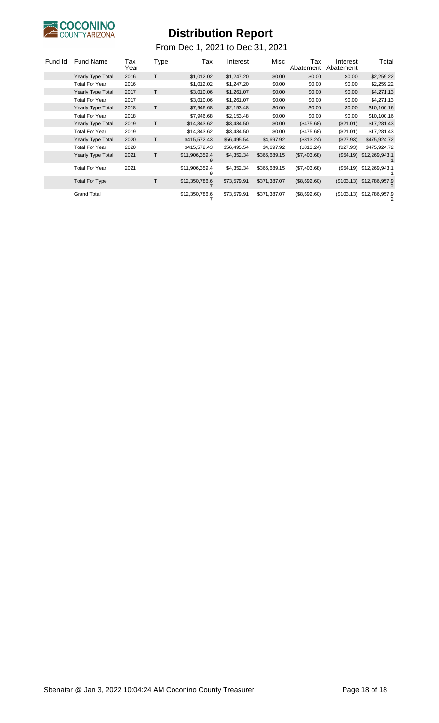

| Fund Id | <b>Fund Name</b>         | Tax<br>Year | Type | Tax                 | Interest    | Misc         | Tax<br>Abatement | Interest<br>Abatement | Total          |
|---------|--------------------------|-------------|------|---------------------|-------------|--------------|------------------|-----------------------|----------------|
|         | <b>Yearly Type Total</b> | 2016        | T    | \$1,012.02          | \$1,247.20  | \$0.00       | \$0.00           | \$0.00                | \$2,259.22     |
|         | <b>Total For Year</b>    | 2016        |      | \$1,012.02          | \$1,247.20  | \$0.00       | \$0.00           | \$0.00                | \$2,259.22     |
|         | Yearly Type Total        | 2017        | T    | \$3,010.06          | \$1,261.07  | \$0.00       | \$0.00           | \$0.00                | \$4,271.13     |
|         | <b>Total For Year</b>    | 2017        |      | \$3,010.06          | \$1,261.07  | \$0.00       | \$0.00           | \$0.00                | \$4,271.13     |
|         | Yearly Type Total        | 2018        | T    | \$7,946.68          | \$2,153.48  | \$0.00       | \$0.00           | \$0.00                | \$10,100.16    |
|         | <b>Total For Year</b>    | 2018        |      | \$7,946.68          | \$2,153.48  | \$0.00       | \$0.00           | \$0.00                | \$10,100.16    |
|         | Yearly Type Total        | 2019        | T    | \$14,343.62         | \$3,434.50  | \$0.00       | (\$475.68)       | (\$21.01)             | \$17,281.43    |
|         | <b>Total For Year</b>    | 2019        |      | \$14,343.62         | \$3,434.50  | \$0.00       | (\$475.68)       | (\$21.01)             | \$17,281.43    |
|         | Yearly Type Total        | 2020        | T    | \$415,572.43        | \$56,495.54 | \$4,697.92   | (\$813.24)       | (\$27.93)             | \$475,924.72   |
|         | <b>Total For Year</b>    | 2020        |      | \$415,572.43        | \$56,495.54 | \$4,697.92   | (\$813.24)       | (\$27.93)             | \$475,924.72   |
|         | <b>Yearly Type Total</b> | 2021        | T    | \$11,906,359.4<br>9 | \$4,352.34  | \$366,689.15 | (\$7,403.68)     | (\$54.19)             | \$12,269,943.1 |
|         | <b>Total For Year</b>    | 2021        |      | \$11,906,359.4<br>9 | \$4,352.34  | \$366,689.15 | (\$7,403.68)     | (\$54.19)             | \$12,269,943.1 |
|         | <b>Total For Type</b>    |             | Т    | \$12,350,786.6      | \$73,579.91 | \$371,387.07 | (\$8,692.60)     | (\$103.13)            | \$12,786,957.9 |
|         | <b>Grand Total</b>       |             |      | \$12,350,786.6      | \$73,579.91 | \$371,387.07 | (\$8,692.60)     | (\$103.13)            | \$12,786,957.9 |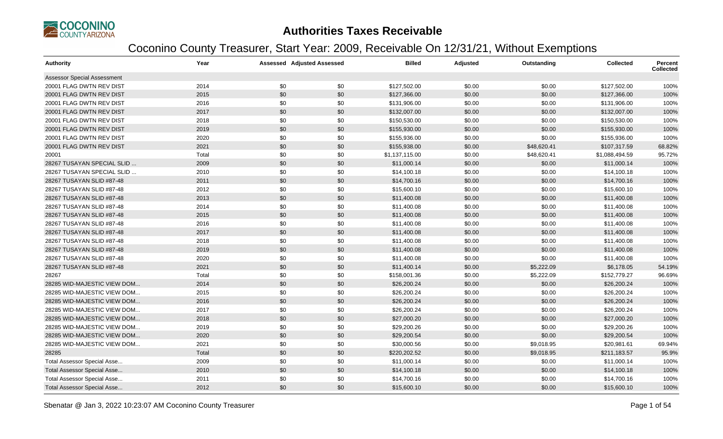

### **Authorities Taxes Receivable**

### Coconino County Treasurer, Start Year: 2009, Receivable On 12/31/21, Without Exemptions

| <b>Authority</b>                   | Year  |     | <b>Assessed Adjusted Assessed</b> | <b>Billed</b>  | <b>Adjusted</b> | Outstanding | <b>Collected</b> | <b>Percent</b><br><b>Collected</b> |
|------------------------------------|-------|-----|-----------------------------------|----------------|-----------------|-------------|------------------|------------------------------------|
| <b>Assessor Special Assessment</b> |       |     |                                   |                |                 |             |                  |                                    |
| 20001 FLAG DWTN REV DIST           | 2014  | \$0 | \$0                               | \$127,502.00   | \$0.00          | \$0.00      | \$127,502.00     | 100%                               |
| 20001 FLAG DWTN REV DIST           | 2015  | \$0 | \$0                               | \$127,366.00   | \$0.00          | \$0.00      | \$127,366.00     | 100%                               |
| 20001 FLAG DWTN REV DIST           | 2016  | \$0 | \$0                               | \$131,906.00   | \$0.00          | \$0.00      | \$131,906.00     | 100%                               |
| 20001 FLAG DWTN REV DIST           | 2017  | \$0 | \$0                               | \$132,007.00   | \$0.00          | \$0.00      | \$132,007.00     | 100%                               |
| 20001 FLAG DWTN REV DIST           | 2018  | \$0 | \$0                               | \$150,530.00   | \$0.00          | \$0.00      | \$150,530.00     | 100%                               |
| 20001 FLAG DWTN REV DIST           | 2019  | \$0 | \$0                               | \$155,930.00   | \$0.00          | \$0.00      | \$155,930.00     | 100%                               |
| 20001 FLAG DWTN REV DIST           | 2020  | \$0 | \$0                               | \$155,936.00   | \$0.00          | \$0.00      | \$155,936.00     | 100%                               |
| 20001 FLAG DWTN REV DIST           | 2021  | \$0 | \$0                               | \$155,938.00   | \$0.00          | \$48,620.41 | \$107,317.59     | 68.82%                             |
| 20001                              | Total | \$0 | \$0                               | \$1,137,115.00 | \$0.00          | \$48,620.41 | \$1,088,494.59   | 95.72%                             |
| 28267 TUSAYAN SPECIAL SLID.        | 2009  | \$0 | \$0                               | \$11,000.14    | \$0.00          | \$0.00      | \$11,000.14      | 100%                               |
| 28267 TUSAYAN SPECIAL SLID         | 2010  | \$0 | \$0                               | \$14,100.18    | \$0.00          | \$0.00      | \$14,100.18      | 100%                               |
| 28267 TUSAYAN SLID #87-48          | 2011  | \$0 | \$0                               | \$14,700.16    | \$0.00          | \$0.00      | \$14,700.16      | 100%                               |
| 28267 TUSAYAN SLID #87-48          | 2012  | \$0 | \$0                               | \$15,600.10    | \$0.00          | \$0.00      | \$15,600.10      | 100%                               |
| 28267 TUSAYAN SLID #87-48          | 2013  | \$0 | \$0                               | \$11,400.08    | \$0.00          | \$0.00      | \$11,400.08      | 100%                               |
| 28267 TUSAYAN SLID #87-48          | 2014  | \$0 | \$0                               | \$11,400.08    | \$0.00          | \$0.00      | \$11,400.08      | 100%                               |
| 28267 TUSAYAN SLID #87-48          | 2015  | \$0 | \$0                               | \$11,400.08    | \$0.00          | \$0.00      | \$11,400.08      | 100%                               |
| 28267 TUSAYAN SLID #87-48          | 2016  | \$0 | \$0                               | \$11,400.08    | \$0.00          | \$0.00      | \$11,400.08      | 100%                               |
| 28267 TUSAYAN SLID #87-48          | 2017  | \$0 | \$0                               | \$11,400.08    | \$0.00          | \$0.00      | \$11,400.08      | 100%                               |
| 28267 TUSAYAN SLID #87-48          | 2018  | \$0 | \$0                               | \$11,400.08    | \$0.00          | \$0.00      | \$11,400.08      | 100%                               |
| 28267 TUSAYAN SLID #87-48          | 2019  | \$0 | \$0                               | \$11,400.08    | \$0.00          | \$0.00      | \$11,400.08      | 100%                               |
| 28267 TUSAYAN SLID #87-48          | 2020  | \$0 | \$0                               | \$11,400.08    | \$0.00          | \$0.00      | \$11,400.08      | 100%                               |
| 28267 TUSAYAN SLID #87-48          | 2021  | \$0 | \$0                               | \$11,400.14    | \$0.00          | \$5,222.09  | \$6,178.05       | 54.19%                             |
| 28267                              | Total | \$0 | \$0                               | \$158,001.36   | \$0.00          | \$5,222.09  | \$152,779.27     | 96.69%                             |
| 28285 WID-MAJESTIC VIEW DOM        | 2014  | \$0 | \$0                               | \$26,200.24    | \$0.00          | \$0.00      | \$26,200.24      | 100%                               |
| 28285 WID-MAJESTIC VIEW DOM        | 2015  | \$0 | \$0                               | \$26,200.24    | \$0.00          | \$0.00      | \$26,200.24      | 100%                               |
| 28285 WID-MAJESTIC VIEW DOM        | 2016  | \$0 | \$0                               | \$26,200.24    | \$0.00          | \$0.00      | \$26,200.24      | 100%                               |
| 28285 WID-MAJESTIC VIEW DOM        | 2017  | \$0 | \$0                               | \$26,200.24    | \$0.00          | \$0.00      | \$26,200.24      | 100%                               |
| 28285 WID-MAJESTIC VIEW DOM        | 2018  | \$0 | \$0                               | \$27,000.20    | \$0.00          | \$0.00      | \$27,000.20      | 100%                               |
| 28285 WID-MAJESTIC VIEW DOM        | 2019  | \$0 | \$0                               | \$29,200.26    | \$0.00          | \$0.00      | \$29,200.26      | 100%                               |
| 28285 WID-MAJESTIC VIEW DOM        | 2020  | \$0 | \$0                               | \$29,200.54    | \$0.00          | \$0.00      | \$29,200.54      | 100%                               |
| 28285 WID-MAJESTIC VIEW DOM        | 2021  | \$0 | \$0                               | \$30,000.56    | \$0.00          | \$9,018.95  | \$20,981.61      | 69.94%                             |
| 28285                              | Total | \$0 | \$0                               | \$220,202.52   | \$0.00          | \$9,018.95  | \$211,183.57     | 95.9%                              |
| Total Assessor Special Asse        | 2009  | \$0 | \$0                               | \$11,000.14    | \$0.00          | \$0.00      | \$11,000.14      | 100%                               |
| Total Assessor Special Asse        | 2010  | \$0 | \$0                               | \$14,100.18    | \$0.00          | \$0.00      | \$14,100.18      | 100%                               |
| Total Assessor Special Asse        | 2011  | \$0 | \$0                               | \$14,700.16    | \$0.00          | \$0.00      | \$14,700.16      | 100%                               |
| Total Assessor Special Asse        | 2012  | \$0 | \$0                               | \$15,600.10    | \$0.00          | \$0.00      | \$15,600.10      | 100%                               |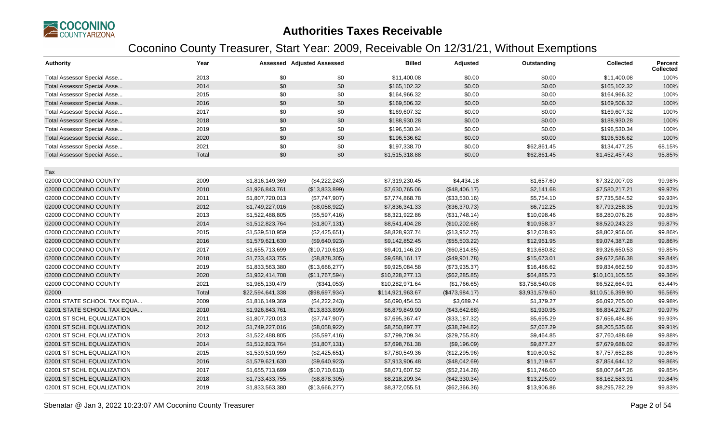

### **Authorities Taxes Receivable**

### Coconino County Treasurer, Start Year: 2009, Receivable On 12/31/21, Without Exemptions

| <b>Authority</b>                   | Year  |                  | Assessed Adjusted Assessed | <b>Billed</b>    | Adjusted       | Outstanding    | <b>Collected</b> | Percent<br><b>Collected</b> |
|------------------------------------|-------|------------------|----------------------------|------------------|----------------|----------------|------------------|-----------------------------|
| Total Assessor Special Asse        | 2013  | \$0              | \$0                        | \$11,400.08      | \$0.00         | \$0.00         | \$11,400.08      | 100%                        |
| Total Assessor Special Asse        | 2014  | \$0              | \$0                        | \$165,102.32     | \$0.00         | \$0.00         | \$165,102.32     | 100%                        |
| Total Assessor Special Asse        | 2015  | \$0              | \$0                        | \$164,966.32     | \$0.00         | \$0.00         | \$164,966.32     | 100%                        |
| Total Assessor Special Asse        | 2016  | \$0              | \$0                        | \$169,506.32     | \$0.00         | \$0.00         | \$169,506.32     | 100%                        |
| Total Assessor Special Asse        | 2017  | \$0              | \$0                        | \$169,607.32     | \$0.00         | \$0.00         | \$169,607.32     | 100%                        |
| <b>Total Assessor Special Asse</b> | 2018  | \$0              | \$0                        | \$188,930.28     | \$0.00         | \$0.00         | \$188,930.28     | 100%                        |
| Total Assessor Special Asse        | 2019  | \$0              | \$0                        | \$196,530.34     | \$0.00         | \$0.00         | \$196,530.34     | 100%                        |
| <b>Total Assessor Special Asse</b> | 2020  | \$0              | \$0                        | \$196,536.62     | \$0.00         | \$0.00         | \$196,536.62     | 100%                        |
| Total Assessor Special Asse        | 2021  | \$0              | \$0                        | \$197,338.70     | \$0.00         | \$62,861.45    | \$134,477.25     | 68.15%                      |
| <b>Total Assessor Special Asse</b> | Total | \$0              | \$0                        | \$1,515,318.88   | \$0.00         | \$62,861.45    | \$1,452,457.43   | 95.85%                      |
| Tax                                |       |                  |                            |                  |                |                |                  |                             |
| 02000 COCONINO COUNTY              | 2009  | \$1,816,149,369  | (\$4,222,243)              | \$7,319,230.45   | \$4,434.18     | \$1,657.60     | \$7,322,007.03   | 99.98%                      |
| 02000 COCONINO COUNTY              | 2010  | \$1,926,843,761  | (\$13,833,899)             | \$7,630,765.06   | (\$48,406.17)  | \$2,141.68     | \$7,580,217.21   | 99.97%                      |
| 02000 COCONINO COUNTY              | 2011  | \$1,807,720,013  | (\$7,747,907)              | \$7,774,868.78   | (\$33,530.16)  | \$5,754.10     | \$7,735,584.52   | 99.93%                      |
| 02000 COCONINO COUNTY              | 2012  | \$1,749,227,016  | (\$8,058,922)              | \$7,836,341.33   | (\$36,370.73)  | \$6,712.25     | \$7,793,258.35   | 99.91%                      |
| 02000 COCONINO COUNTY              | 2013  | \$1,522,488,805  | (\$5,597,416)              | \$8,321,922.86   | (\$31,748.14)  | \$10,098.46    | \$8,280,076.26   | 99.88%                      |
| 02000 COCONINO COUNTY              | 2014  | \$1,512,823,764  | (\$1,807,131)              | \$8,541,404.28   | (\$10,202.68)  | \$10,958.37    | \$8,520,243.23   | 99.87%                      |
| 02000 COCONINO COUNTY              | 2015  | \$1,539,510,959  | (\$2,425,651)              | \$8,828,937.74   | (\$13,952.75)  | \$12,028.93    | \$8,802,956.06   | 99.86%                      |
| 02000 COCONINO COUNTY              | 2016  | \$1,579,621,630  | (\$9,640,923)              | \$9,142,852.45   | (\$55,503.22)  | \$12,961.95    | \$9,074,387.28   | 99.86%                      |
| 02000 COCONINO COUNTY              | 2017  | \$1,655,713,699  | (\$10,710,613)             | \$9,401,146.20   | (\$60, 814.85) | \$13,680.82    | \$9,326,650.53   | 99.85%                      |
| 02000 COCONINO COUNTY              | 2018  | \$1,733,433,755  | (\$8,878,305)              | \$9,688,161.17   | (\$49,901.78)  | \$15,673.01    | \$9,622,586.38   | 99.84%                      |
| 02000 COCONINO COUNTY              | 2019  | \$1,833,563,380  | (\$13,666,277)             | \$9,925,084.58   | (\$73,935.37)  | \$16,486.62    | \$9,834,662.59   | 99.83%                      |
| 02000 COCONINO COUNTY              | 2020  | \$1,932,414,708  | (\$11,767,594)             | \$10,228,277.13  | (\$62, 285.85) | \$64,885.73    | \$10,101,105.55  | 99.36%                      |
| 02000 COCONINO COUNTY              | 2021  | \$1,985,130,479  | (\$341,053)                | \$10,282,971.64  | (\$1,766.65)   | \$3,758,540.08 | \$6,522,664.91   | 63.44%                      |
| 02000                              | Total | \$22,594,641,338 | (\$98,697,934)             | \$114,921,963.67 | (\$473,984.17) | \$3,931,579.60 | \$110,516,399.90 | 96.56%                      |
| 02001 STATE SCHOOL TAX EQUA        | 2009  | \$1,816,149,369  | (\$4,222,243)              | \$6,090,454.53   | \$3,689.74     | \$1,379.27     | \$6,092,765.00   | 99.98%                      |
| 02001 STATE SCHOOL TAX EQUA        | 2010  | \$1,926,843,761  | (\$13,833,899)             | \$6,879,849.90   | (\$43,642.68)  | \$1,930.95     | \$6,834,276.27   | 99.97%                      |
| 02001 ST SCHL EQUALIZATION         | 2011  | \$1,807,720,013  | (\$7,747,907)              | \$7,695,367.47   | (\$33,187.32)  | \$5,695.29     | \$7,656,484.86   | 99.93%                      |
| 02001 ST SCHL EQUALIZATION         | 2012  | \$1,749,227,016  | (\$8,058,922)              | \$8,250,897.77   | (\$38,294.82)  | \$7,067.29     | \$8,205,535.66   | 99.91%                      |
| 02001 ST SCHL EQUALIZATION         | 2013  | \$1,522,488,805  | (\$5,597,416)              | \$7,799,709.34   | (\$29,755.80)  | \$9,464.85     | \$7,760,488.69   | 99.88%                      |
| 02001 ST SCHL EQUALIZATION         | 2014  | \$1,512,823,764  | (\$1,807,131)              | \$7,698,761.38   | (\$9,196.09)   | \$9,877.27     | \$7,679,688.02   | 99.87%                      |
| 02001 ST SCHL EQUALIZATION         | 2015  | \$1,539,510,959  | (\$2,425,651)              | \$7,780,549.36   | (\$12,295.96)  | \$10,600.52    | \$7,757,652.88   | 99.86%                      |
| 02001 ST SCHL EQUALIZATION         | 2016  | \$1,579,621,630  | (\$9,640,923)              | \$7,913,906.48   | (\$48,042.69)  | \$11,219.67    | \$7,854,644.12   | 99.86%                      |
| 02001 ST SCHL EQUALIZATION         | 2017  | \$1,655,713,699  | (\$10,710,613)             | \$8,071,607.52   | (\$52,214.26)  | \$11,746.00    | \$8,007,647.26   | 99.85%                      |
| 02001 ST SCHL EQUALIZATION         | 2018  | \$1,733,433,755  | (\$8,878,305)              | \$8,218,209.34   | (\$42,330.34)  | \$13,295.09    | \$8,162,583.91   | 99.84%                      |
| 02001 ST SCHL EQUALIZATION         | 2019  | \$1,833,563,380  | (\$13,666,277)             | \$8,372,055.51   | (\$62,366.36)  | \$13,906.86    | \$8,295,782.29   | 99.83%                      |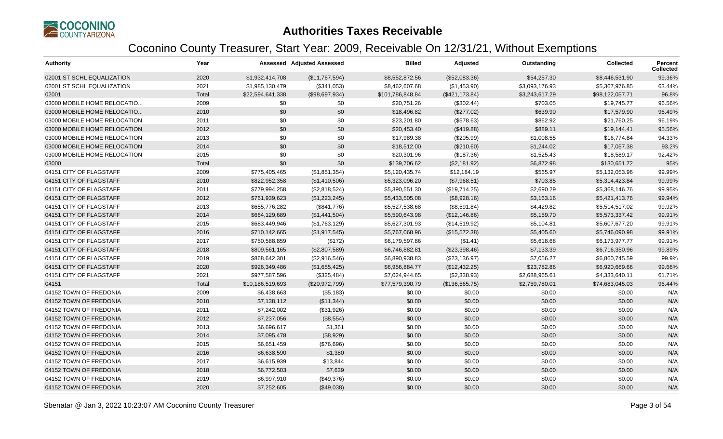

### **Authorities Taxes Receivable**

### Coconino County Treasurer, Start Year: 2009, Receivable On 12/31/21, Without Exemptions

| <b>Authority</b>             | Year  |                  | <b>Assessed Adjusted Assessed</b> | <b>Billed</b>    | Adjusted        | Outstanding    | <b>Collected</b> | <b>Percent</b><br><b>Collected</b> |
|------------------------------|-------|------------------|-----------------------------------|------------------|-----------------|----------------|------------------|------------------------------------|
| 02001 ST SCHL EQUALIZATION   | 2020  | \$1,932,414,708  | (\$11,767,594)                    | \$8,552,872.56   | (\$52,083.36)   | \$54,257.30    | \$8,446,531.90   | 99.36%                             |
| 02001 ST SCHL EQUALIZATION   | 2021  | \$1,985,130,479  | (\$341,053)                       | \$8,462,607.68   | (\$1,453.90)    | \$3,093,176.93 | \$5,367,976.85   | 63.44%                             |
| 02001                        | Total | \$22,594,641,338 | (\$98,697,934)                    | \$101,786,848.84 | (\$421, 173.84) | \$3,243,617.29 | \$98,122,057.71  | 96.8%                              |
| 03000 MOBILE HOME RELOCATIO  | 2009  | \$0              | \$0                               | \$20,751.26      | (\$302.44)      | \$703.05       | \$19,745.77      | 96.56%                             |
| 03000 MOBILE HOME RELOCATIO  | 2010  | \$0              | \$0                               | \$18,496.82      | (\$277.02)      | \$639.90       | \$17,579.90      | 96.49%                             |
| 03000 MOBILE HOME RELOCATION | 2011  | \$0              | \$0                               | \$23,201.80      | (\$578.63)      | \$862.92       | \$21,760.25      | 96.19%                             |
| 03000 MOBILE HOME RELOCATION | 2012  | \$0              | \$0                               | \$20,453.40      | (\$419.88)      | \$889.11       | \$19,144.41      | 95.56%                             |
| 03000 MOBILE HOME RELOCATION | 2013  | \$0              | \$0                               | \$17,989.38      | (\$205.99)      | \$1,008.55     | \$16,774.84      | 94.33%                             |
| 03000 MOBILE HOME RELOCATION | 2014  | \$0              | \$0                               | \$18,512.00      | (\$210.60)      | \$1,244.02     | \$17,057.38      | 93.2%                              |
| 03000 MOBILE HOME RELOCATION | 2015  | \$0              | \$0                               | \$20,301.96      | (\$187.36)      | \$1,525.43     | \$18,589.17      | 92.42%                             |
| 03000                        | Total | \$0              | \$0                               | \$139,706.62     | (\$2,181.92)    | \$6,872.98     | \$130,651.72     | 95%                                |
| 04151 CITY OF FLAGSTAFF      | 2009  | \$775,405,465    | (\$1,851,354)                     | \$5,120,435.74   | \$12,184.19     | \$565.97       | \$5,132,053.96   | 99.99%                             |
| 04151 CITY OF FLAGSTAFF      | 2010  | \$822,952,358    | (\$1,410,506)                     | \$5,323,096.20   | (\$7,968.51)    | \$703.85       | \$5,314,423.84   | 99.99%                             |
| 04151 CITY OF FLAGSTAFF      | 2011  | \$779,994,258    | (\$2,818,524)                     | \$5,390,551.30   | (\$19,714.25)   | \$2,690.29     | \$5,368,146.76   | 99.95%                             |
| 04151 CITY OF FLAGSTAFF      | 2012  | \$761,939,623    | (\$1,223,245)                     | \$5,433,505.08   | (\$8,928.16)    | \$3,163.16     | \$5,421,413.76   | 99.94%                             |
| 04151 CITY OF FLAGSTAFF      | 2013  | \$655,776,282    | (\$841,776)                       | \$5,527,538.68   | (\$8,591.84)    | \$4,429.82     | \$5,514,517.02   | 99.92%                             |
| 04151 CITY OF FLAGSTAFF      | 2014  | \$664,129,689    | (\$1,441,504)                     | \$5,590,643.98   | (\$12,146.86)   | \$5,159.70     | \$5,573,337.42   | 99.91%                             |
| 04151 CITY OF FLAGSTAFF      | 2015  | \$683,449,946    | (\$1,763,129)                     | \$5,627,301.93   | (\$14,519.92)   | \$5,104.81     | \$5,607,677.20   | 99.91%                             |
| 04151 CITY OF FLAGSTAFF      | 2016  | \$710,142,665    | (\$1,917,545)                     | \$5,767,068.96   | (\$15,572.38)   | \$5,405.60     | \$5,746,090.98   | 99.91%                             |
| 04151 CITY OF FLAGSTAFF      | 2017  | \$750,588,859    | (\$172)                           | \$6,179,597.86   | (\$1.41)        | \$5,618.68     | \$6,173,977.77   | 99.91%                             |
| 04151 CITY OF FLAGSTAFF      | 2018  | \$809,561,165    | (\$2,807,589)                     | \$6,746,882.81   | (\$23,398.46)   | \$7,133.39     | \$6,716,350.96   | 99.89%                             |
| 04151 CITY OF FLAGSTAFF      | 2019  | \$868,642,301    | (\$2,916,546)                     | \$6,890,938.83   | (\$23,136.97)   | \$7,056.27     | \$6,860,745.59   | 99.9%                              |
| 04151 CITY OF FLAGSTAFF      | 2020  | \$926,349,486    | (\$1,655,425)                     | \$6,956,884.77   | (\$12,432.25)   | \$23,782.86    | \$6,920,669.66   | 99.66%                             |
| 04151 CITY OF FLAGSTAFF      | 2021  | \$977,587,596    | (\$325,484)                       | \$7,024,944.65   | (\$2,338.93)    | \$2,688,965.61 | \$4,333,640.11   | 61.71%                             |
| 04151                        | Total | \$10,186,519,693 | (\$20,972,799)                    | \$77,579,390.79  | (\$136,565.75)  | \$2,759,780.01 | \$74,683,045.03  | 96.44%                             |
| 04152 TOWN OF FREDONIA       | 2009  | \$6,438,663      | (\$5,183)                         | \$0.00           | \$0.00          | \$0.00         | \$0.00           | N/A                                |
| 04152 TOWN OF FREDONIA       | 2010  | \$7,138,112      | (\$11,344)                        | \$0.00           | \$0.00          | \$0.00         | \$0.00           | N/A                                |
| 04152 TOWN OF FREDONIA       | 2011  | \$7,242,002      | (\$31,926)                        | \$0.00           | \$0.00          | \$0.00         | \$0.00           | N/A                                |
| 04152 TOWN OF FREDONIA       | 2012  | \$7,237,056      | (\$8,554)                         | \$0.00           | \$0.00          | \$0.00         | \$0.00           | N/A                                |
| 04152 TOWN OF FREDONIA       | 2013  | \$6,696,617      | \$1,361                           | \$0.00           | \$0.00          | \$0.00         | \$0.00           | N/A                                |
| 04152 TOWN OF FREDONIA       | 2014  | \$7,095,478      | (\$8,929)                         | \$0.00           | \$0.00          | \$0.00         | \$0.00           | N/A                                |
| 04152 TOWN OF FREDONIA       | 2015  | \$6,651,459      | (\$76,696)                        | \$0.00           | \$0.00          | \$0.00         | \$0.00           | N/A                                |
| 04152 TOWN OF FREDONIA       | 2016  | \$6,638,590      | \$1,380                           | \$0.00           | \$0.00          | \$0.00         | \$0.00           | N/A                                |
| 04152 TOWN OF FREDONIA       | 2017  | \$6,615,939      | \$13,844                          | \$0.00           | \$0.00          | \$0.00         | \$0.00           | N/A                                |
| 04152 TOWN OF FREDONIA       | 2018  | \$6,772,503      | \$7,639                           | \$0.00           | \$0.00          | \$0.00         | \$0.00           | N/A                                |
| 04152 TOWN OF FREDONIA       | 2019  | \$6,997,910      | (\$49,376)                        | \$0.00           | \$0.00          | \$0.00         | \$0.00           | N/A                                |
| 04152 TOWN OF FREDONIA       | 2020  | \$7,252,605      | (\$49,038)                        | \$0.00           | \$0.00          | \$0.00         | \$0.00           | N/A                                |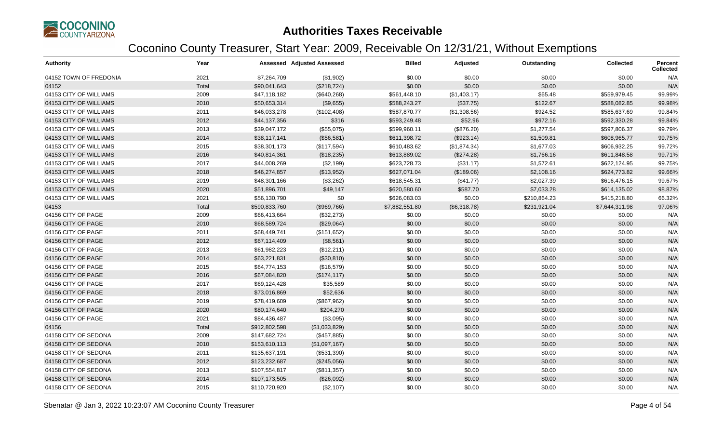

| <b>Authority</b>       | Year  |               | <b>Assessed Adjusted Assessed</b> | <b>Billed</b>  | Adjusted     | Outstanding  | <b>Collected</b> | Percent<br><b>Collected</b> |
|------------------------|-------|---------------|-----------------------------------|----------------|--------------|--------------|------------------|-----------------------------|
| 04152 TOWN OF FREDONIA | 2021  | \$7,264,709   | (\$1,902)                         | \$0.00         | \$0.00       | \$0.00       | \$0.00           | N/A                         |
| 04152                  | Total | \$90,041,643  | (\$218,724)                       | \$0.00         | \$0.00       | \$0.00       | \$0.00           | N/A                         |
| 04153 CITY OF WILLIAMS | 2009  | \$47,118,182  | (\$640,268)                       | \$561,448.10   | (\$1,403.17) | \$65.48      | \$559,979.45     | 99.99%                      |
| 04153 CITY OF WILLIAMS | 2010  | \$50,653,314  | (\$9,655)                         | \$588,243.27   | (\$37.75)    | \$122.67     | \$588,082.85     | 99.98%                      |
| 04153 CITY OF WILLIAMS | 2011  | \$46,033,278  | (\$102,408)                       | \$587,870.77   | (\$1,308.56) | \$924.52     | \$585,637.69     | 99.84%                      |
| 04153 CITY OF WILLIAMS | 2012  | \$44,137,356  | \$316                             | \$593,249.48   | \$52.96      | \$972.16     | \$592,330.28     | 99.84%                      |
| 04153 CITY OF WILLIAMS | 2013  | \$39,047,172  | (\$55,075)                        | \$599,960.11   | (\$876.20)   | \$1,277.54   | \$597,806.37     | 99.79%                      |
| 04153 CITY OF WILLIAMS | 2014  | \$38,117,141  | (\$56,581)                        | \$611,398.72   | (\$923.14)   | \$1,509.81   | \$608,965.77     | 99.75%                      |
| 04153 CITY OF WILLIAMS | 2015  | \$38,301,173  | (\$117,594)                       | \$610,483.62   | (\$1,874.34) | \$1,677.03   | \$606,932.25     | 99.72%                      |
| 04153 CITY OF WILLIAMS | 2016  | \$40,814,361  | (\$18,235)                        | \$613,889.02   | (\$274.28)   | \$1,766.16   | \$611,848.58     | 99.71%                      |
| 04153 CITY OF WILLIAMS | 2017  | \$44,008,269  | (\$2,199)                         | \$623,728.73   | (\$31.17)    | \$1,572.61   | \$622,124.95     | 99.75%                      |
| 04153 CITY OF WILLIAMS | 2018  | \$46,274,857  | (\$13,952)                        | \$627,071.04   | (\$189.06)   | \$2,108.16   | \$624,773.82     | 99.66%                      |
| 04153 CITY OF WILLIAMS | 2019  | \$48,301,166  | (\$3,262)                         | \$618,545.31   | (\$41.77)    | \$2,027.39   | \$616,476.15     | 99.67%                      |
| 04153 CITY OF WILLIAMS | 2020  | \$51,896,701  | \$49,147                          | \$620,580.60   | \$587.70     | \$7,033.28   | \$614,135.02     | 98.87%                      |
| 04153 CITY OF WILLIAMS | 2021  | \$56,130,790  | \$0                               | \$626,083.03   | \$0.00       | \$210,864.23 | \$415,218.80     | 66.32%                      |
| 04153                  | Total | \$590,833,760 | (\$969,766)                       | \$7,882,551.80 | (\$6,318.78) | \$231,921.04 | \$7,644,311.98   | 97.06%                      |
| 04156 CITY OF PAGE     | 2009  | \$66,413,664  | (\$32,273)                        | \$0.00         | \$0.00       | \$0.00       | \$0.00           | N/A                         |
| 04156 CITY OF PAGE     | 2010  | \$68,589,724  | (\$29,064)                        | \$0.00         | \$0.00       | \$0.00       | \$0.00           | N/A                         |
| 04156 CITY OF PAGE     | 2011  | \$68,449,741  | (\$151,652)                       | \$0.00         | \$0.00       | \$0.00       | \$0.00           | N/A                         |
| 04156 CITY OF PAGE     | 2012  | \$67,114,409  | (\$8,561)                         | \$0.00         | \$0.00       | \$0.00       | \$0.00           | N/A                         |
| 04156 CITY OF PAGE     | 2013  | \$61,982,223  | (\$12,211)                        | \$0.00         | \$0.00       | \$0.00       | \$0.00           | N/A                         |
| 04156 CITY OF PAGE     | 2014  | \$63,221,831  | (\$30, 810)                       | \$0.00         | \$0.00       | \$0.00       | \$0.00           | N/A                         |
| 04156 CITY OF PAGE     | 2015  | \$64,774,153  | (\$16,579)                        | \$0.00         | \$0.00       | \$0.00       | \$0.00           | N/A                         |
| 04156 CITY OF PAGE     | 2016  | \$67,084,820  | (\$174, 117)                      | \$0.00         | \$0.00       | \$0.00       | \$0.00           | N/A                         |
| 04156 CITY OF PAGE     | 2017  | \$69,124,428  | \$35,589                          | \$0.00         | \$0.00       | \$0.00       | \$0.00           | N/A                         |
| 04156 CITY OF PAGE     | 2018  | \$73,016,869  | \$52,636                          | \$0.00         | \$0.00       | \$0.00       | \$0.00           | N/A                         |
| 04156 CITY OF PAGE     | 2019  | \$78,419,609  | (\$867,962)                       | \$0.00         | \$0.00       | \$0.00       | \$0.00           | N/A                         |
| 04156 CITY OF PAGE     | 2020  | \$80,174,640  | \$204,270                         | \$0.00         | \$0.00       | \$0.00       | \$0.00           | N/A                         |
| 04156 CITY OF PAGE     | 2021  | \$84,436,487  | (\$3,095)                         | \$0.00         | \$0.00       | \$0.00       | \$0.00           | N/A                         |
| 04156                  | Total | \$912,802,598 | (\$1,033,829)                     | \$0.00         | \$0.00       | \$0.00       | \$0.00           | N/A                         |
| 04158 CITY OF SEDONA   | 2009  | \$147,682,724 | (\$457,885)                       | \$0.00         | \$0.00       | \$0.00       | \$0.00           | N/A                         |
| 04158 CITY OF SEDONA   | 2010  | \$153,610,113 | (\$1,097,167)                     | \$0.00         | \$0.00       | \$0.00       | \$0.00           | N/A                         |
| 04158 CITY OF SEDONA   | 2011  | \$135,637,191 | (\$531,390)                       | \$0.00         | \$0.00       | \$0.00       | \$0.00           | N/A                         |
| 04158 CITY OF SEDONA   | 2012  | \$123,232,687 | (\$245,056)                       | \$0.00         | \$0.00       | \$0.00       | \$0.00           | N/A                         |
| 04158 CITY OF SEDONA   | 2013  | \$107,554,817 | (\$811,357)                       | \$0.00         | \$0.00       | \$0.00       | \$0.00           | N/A                         |
| 04158 CITY OF SEDONA   | 2014  | \$107,173,505 | (\$26,092)                        | \$0.00         | \$0.00       | \$0.00       | \$0.00           | N/A                         |
| 04158 CITY OF SEDONA   | 2015  | \$110,720,920 | (\$2,107)                         | \$0.00         | \$0.00       | \$0.00       | \$0.00           | N/A                         |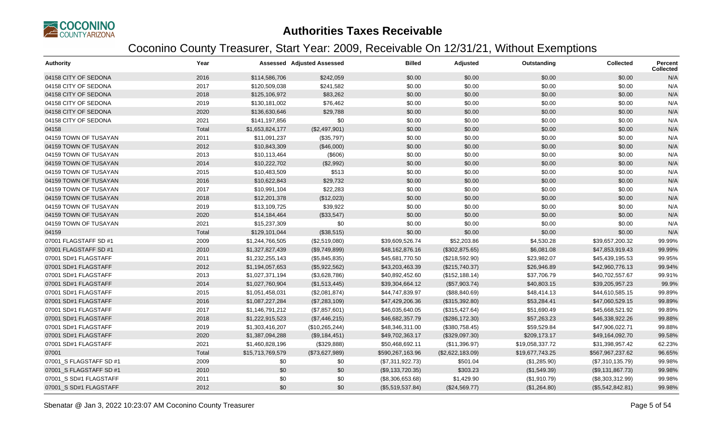

| <b>Authority</b>        | Year  |                  | <b>Assessed Adjusted Assessed</b> | <b>Billed</b>    | Adjusted         | Outstanding     | <b>Collected</b> | <b>Percent</b><br><b>Collected</b> |
|-------------------------|-------|------------------|-----------------------------------|------------------|------------------|-----------------|------------------|------------------------------------|
| 04158 CITY OF SEDONA    | 2016  | \$114,586,706    | \$242,059                         | \$0.00           | \$0.00           | \$0.00          | \$0.00           | N/A                                |
| 04158 CITY OF SEDONA    | 2017  | \$120,509,038    | \$241,582                         | \$0.00           | \$0.00           | \$0.00          | \$0.00           | N/A                                |
| 04158 CITY OF SEDONA    | 2018  | \$125,106,972    | \$83,262                          | \$0.00           | \$0.00           | \$0.00          | \$0.00           | N/A                                |
| 04158 CITY OF SEDONA    | 2019  | \$130,181,002    | \$76,462                          | \$0.00           | \$0.00           | \$0.00          | \$0.00           | N/A                                |
| 04158 CITY OF SEDONA    | 2020  | \$136,630,646    | \$29,788                          | \$0.00           | \$0.00           | \$0.00          | \$0.00           | N/A                                |
| 04158 CITY OF SEDONA    | 2021  | \$141,197,856    | \$0                               | \$0.00           | \$0.00           | \$0.00          | \$0.00           | N/A                                |
| 04158                   | Total | \$1,653,824,177  | (\$2,497,901)                     | \$0.00           | \$0.00           | \$0.00          | \$0.00           | N/A                                |
| 04159 TOWN OF TUSAYAN   | 2011  | \$11,091,237     | (\$35,797)                        | \$0.00           | \$0.00           | \$0.00          | \$0.00           | N/A                                |
| 04159 TOWN OF TUSAYAN   | 2012  | \$10,843,309     | (\$46,000)                        | \$0.00           | \$0.00           | \$0.00          | \$0.00           | N/A                                |
| 04159 TOWN OF TUSAYAN   | 2013  | \$10,113,464     | (\$606)                           | \$0.00           | \$0.00           | \$0.00          | \$0.00           | N/A                                |
| 04159 TOWN OF TUSAYAN   | 2014  | \$10,222,702     | (\$2,992)                         | \$0.00           | \$0.00           | \$0.00          | \$0.00           | N/A                                |
| 04159 TOWN OF TUSAYAN   | 2015  | \$10,483,509     | \$513                             | \$0.00           | \$0.00           | \$0.00          | \$0.00           | N/A                                |
| 04159 TOWN OF TUSAYAN   | 2016  | \$10,622,843     | \$29,732                          | \$0.00           | \$0.00           | \$0.00          | \$0.00           | N/A                                |
| 04159 TOWN OF TUSAYAN   | 2017  | \$10,991,104     | \$22,283                          | \$0.00           | \$0.00           | \$0.00          | \$0.00           | N/A                                |
| 04159 TOWN OF TUSAYAN   | 2018  | \$12,201,378     | (\$12,023)                        | \$0.00           | \$0.00           | \$0.00          | \$0.00           | N/A                                |
| 04159 TOWN OF TUSAYAN   | 2019  | \$13,109,725     | \$39,922                          | \$0.00           | \$0.00           | \$0.00          | \$0.00           | N/A                                |
| 04159 TOWN OF TUSAYAN   | 2020  | \$14,184,464     | (\$33,547)                        | \$0.00           | \$0.00           | \$0.00          | \$0.00           | N/A                                |
| 04159 TOWN OF TUSAYAN   | 2021  | \$15,237,309     | \$0                               | \$0.00           | \$0.00           | \$0.00          | \$0.00           | N/A                                |
| 04159                   | Total | \$129,101,044    | (\$38,515)                        | \$0.00           | \$0.00           | \$0.00          | \$0.00           | N/A                                |
| 07001 FLAGSTAFF SD #1   | 2009  | \$1,244,766,505  | (\$2,519,080)                     | \$39,609,526.74  | \$52,203.86      | \$4,530.28      | \$39,657,200.32  | 99.99%                             |
| 07001 FLAGSTAFF SD #1   | 2010  | \$1,327,827,439  | (\$9,749,899)                     | \$48,162,876.16  | (\$302,875.65)   | \$6,081.08      | \$47,853,919.43  | 99.99%                             |
| 07001 SD#1 FLAGSTAFF    | 2011  | \$1,232,255,143  | (\$5,845,835)                     | \$45,681,770.50  | (\$218,592.90)   | \$23,982.07     | \$45,439,195.53  | 99.95%                             |
| 07001 SD#1 FLAGSTAFF    | 2012  | \$1,194,057,653  | (\$5,922,562)                     | \$43,203,463.39  | (\$215,740.37)   | \$26,946.89     | \$42,960,776.13  | 99.94%                             |
| 07001 SD#1 FLAGSTAFF    | 2013  | \$1,027,371,194  | (\$3,628,786)                     | \$40,892,452.60  | (\$152, 188.14)  | \$37,706.79     | \$40,702,557.67  | 99.91%                             |
| 07001 SD#1 FLAGSTAFF    | 2014  | \$1,027,760,904  | (\$1,513,445)                     | \$39,304,664.12  | (\$57,903.74)    | \$40,803.15     | \$39,205,957.23  | 99.9%                              |
| 07001 SD#1 FLAGSTAFF    | 2015  | \$1,051,458,031  | (\$2,081,874)                     | \$44,747,839.97  | (\$88, 840.69)   | \$48,414.13     | \$44,610,585.15  | 99.89%                             |
| 07001 SD#1 FLAGSTAFF    | 2016  | \$1,087,227,284  | (\$7,283,109)                     | \$47,429,206.36  | (\$315,392.80)   | \$53,284.41     | \$47,060,529.15  | 99.89%                             |
| 07001 SD#1 FLAGSTAFF    | 2017  | \$1,146,791,212  | (\$7,857,601)                     | \$46,035,640.05  | (\$315,427.64)   | \$51,690.49     | \$45,668,521.92  | 99.89%                             |
| 07001 SD#1 FLAGSTAFF    | 2018  | \$1,222,915,523  | (\$7,446,215)                     | \$46,682,357.79  | (\$286,172.30)   | \$57,263.23     | \$46,338,922.26  | 99.88%                             |
| 07001 SD#1 FLAGSTAFF    | 2019  | \$1,303,416,207  | (\$10,265,244)                    | \$48,346,311.00  | (\$380,758.45)   | \$59,529.84     | \$47,906,022.71  | 99.88%                             |
| 07001 SD#1 FLAGSTAFF    | 2020  | \$1,387,094,288  | (\$9,184,451)                     | \$49,702,363.17  | (\$329,097.30)   | \$209,173.17    | \$49,164,092.70  | 99.58%                             |
| 07001 SD#1 FLAGSTAFF    | 2021  | \$1,460,828,196  | (\$329,888)                       | \$50,468,692.11  | (\$11,396.97)    | \$19,058,337.72 | \$31,398,957.42  | 62.23%                             |
| 07001                   | Total | \$15,713,769,579 | (\$73,627,989)                    | \$590,267,163.96 | (\$2,622,183.09) | \$19,677,743.25 | \$567,967,237.62 | 96.65%                             |
| 07001_S FLAGSTAFF SD #1 | 2009  | \$0              | \$0                               | (\$7,311,922.73) | \$501.04         | (\$1,285.90)    | (\$7,310,135.79) | 99.98%                             |
| 07001 S FLAGSTAFF SD #1 | 2010  | \$0              | \$0                               | (\$9,133,720.35) | \$303.23         | (\$1,549.39)    | (\$9,131,867.73) | 99.98%                             |
| 07001_S SD#1 FLAGSTAFF  | 2011  | \$0              | \$0                               | (\$8,306,653.68) | \$1,429.90       | (\$1,910.79)    | (\$8,303,312.99) | 99.98%                             |
| 07001_S SD#1 FLAGSTAFF  | 2012  | \$0              | \$0                               | (\$5,519,537.84) | (\$24,569.77)    | (\$1,264.80)    | (\$5,542,842.81) | 99.98%                             |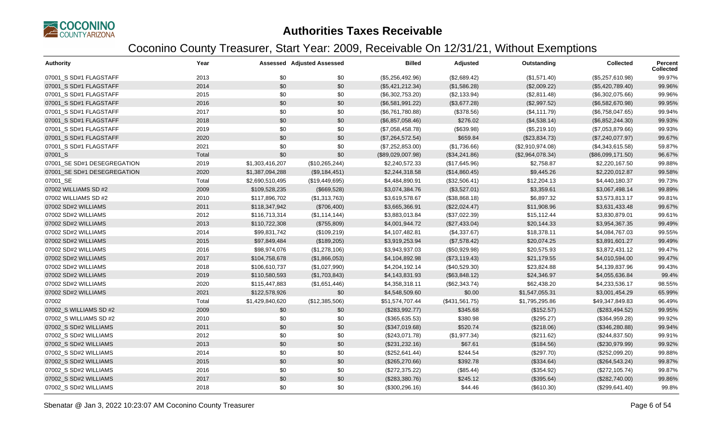

| <b>Authority</b>            | Year  |                 | <b>Assessed Adjusted Assessed</b> | <b>Billed</b>     | Adjusted       | Outstanding      | <b>Collected</b>  | <b>Percent</b><br><b>Collected</b> |
|-----------------------------|-------|-----------------|-----------------------------------|-------------------|----------------|------------------|-------------------|------------------------------------|
| 07001_S SD#1 FLAGSTAFF      | 2013  | \$0             | \$0                               | (\$5,256,492.96)  | (\$2,689.42)   | (\$1,571.40)     | (\$5,257,610.98)  | 99.97%                             |
| 07001 S SD#1 FLAGSTAFF      | 2014  | \$0             | \$0                               | (\$5,421,212.34)  | (\$1,586.28)   | (\$2,009.22)     | (\$5,420,789.40)  | 99.96%                             |
| 07001_S SD#1 FLAGSTAFF      | 2015  | \$0             | \$0                               | (\$6,302,753.20)  | (\$2,133.94)   | (\$2,811.48)     | (\$6,302,075.66)  | 99.96%                             |
| 07001 S SD#1 FLAGSTAFF      | 2016  | \$0             | \$0                               | (\$6,581,991.22)  | (\$3,677.28)   | (\$2,997.52)     | (\$6,582,670.98)  | 99.95%                             |
| 07001_S SD#1 FLAGSTAFF      | 2017  | \$0             | \$0                               | (\$6,761,780.88)  | (\$378.56)     | (\$4,111.79)     | (\$6,758,047.65)  | 99.94%                             |
| 07001 S SD#1 FLAGSTAFF      | 2018  | \$0             | \$0                               | (\$6,857,058.46)  | \$276.02       | (\$4,538.14)     | (\$6,852,244.30)  | 99.93%                             |
| 07001_S SD#1 FLAGSTAFF      | 2019  | \$0             | \$0                               | (\$7,058,458.78)  | (\$639.98)     | (\$5,219.10)     | (\$7,053,879.66)  | 99.93%                             |
| 07001 S SD#1 FLAGSTAFF      | 2020  | \$0             | \$0                               | (\$7,264,572.54)  | \$659.84       | (\$23,834.73)    | (\$7,240,077.97)  | 99.67%                             |
| 07001_S SD#1 FLAGSTAFF      | 2021  | \$0             | \$0                               | (\$7,252,853.00)  | (\$1,736.66)   | (\$2,910,974.08) | (\$4,343,615.58)  | 59.87%                             |
| 07001_S                     | Total | \$0             | \$0                               | (\$89,029,007.98) | (\$34,241.86)  | (\$2,964,078.34) | (\$86,099,171.50) | 96.67%                             |
| 07001_SE SD#1 DESEGREGATION | 2019  | \$1,303,416,207 | (\$10,265,244)                    | \$2,240,572.33    | (\$17,645.96)  | \$2,758.87       | \$2,220,167.50    | 99.88%                             |
| 07001 SE SD#1 DESEGREGATION | 2020  | \$1,387,094,288 | (\$9,184,451)                     | \$2,244,318.58    | (\$14,860.45)  | \$9,445.26       | \$2,220,012.87    | 99.58%                             |
| 07001_SE                    | Total | \$2,690,510,495 | (\$19,449,695)                    | \$4,484,890.91    | (\$32,506.41)  | \$12,204.13      | \$4,440,180.37    | 99.73%                             |
| 07002 WILLIAMS SD #2        | 2009  | \$109,528,235   | (\$669,528)                       | \$3,074,384.76    | (\$3,527.01)   | \$3,359.61       | \$3,067,498.14    | 99.89%                             |
| 07002 WILLIAMS SD #2        | 2010  | \$117,896,702   | (\$1,313,763)                     | \$3,619,578.67    | (\$38,868.18)  | \$6,897.32       | \$3,573,813.17    | 99.81%                             |
| 07002 SD#2 WILLIAMS         | 2011  | \$118,347,942   | (\$706,400)                       | \$3,665,366.91    | (\$22,024.47)  | \$11,908.96      | \$3,631,433.48    | 99.67%                             |
| 07002 SD#2 WILLIAMS         | 2012  | \$116,713,314   | (\$1,114,144)                     | \$3,883,013.84    | (\$37,022.39)  | \$15,112.44      | \$3,830,879.01    | 99.61%                             |
| 07002 SD#2 WILLIAMS         | 2013  | \$110,722,308   | (\$755,809)                       | \$4,001,944.72    | (\$27,433.04)  | \$20,144.33      | \$3,954,367.35    | 99.49%                             |
| 07002 SD#2 WILLIAMS         | 2014  | \$99,831,742    | (\$109,219)                       | \$4,107,482.81    | (\$4,337.67)   | \$18,378.11      | \$4,084,767.03    | 99.55%                             |
| 07002 SD#2 WILLIAMS         | 2015  | \$97,849,484    | (\$189,205)                       | \$3,919,253.94    | (\$7,578.42)   | \$20,074.25      | \$3,891,601.27    | 99.49%                             |
| 07002 SD#2 WILLIAMS         | 2016  | \$98,974,076    | (\$1,278,106)                     | \$3,943,937.03    | (\$50,929.98)  | \$20,575.93      | \$3,872,431.12    | 99.47%                             |
| 07002 SD#2 WILLIAMS         | 2017  | \$104,758,678   | (\$1,866,053)                     | \$4,104,892.98    | (\$73,119.43)  | \$21,179.55      | \$4,010,594.00    | 99.47%                             |
| 07002 SD#2 WILLIAMS         | 2018  | \$106,610,737   | (\$1,027,990)                     | \$4,204,192.14    | (\$40,529.30)  | \$23,824.88      | \$4,139,837.96    | 99.43%                             |
| 07002 SD#2 WILLIAMS         | 2019  | \$110,580,593   | (\$1,703,843)                     | \$4,143,831.93    | (\$63,848.12)  | \$24,346.97      | \$4,055,636.84    | 99.4%                              |
| 07002 SD#2 WILLIAMS         | 2020  | \$115,447,883   | (\$1,651,446)                     | \$4,358,318.11    | (\$62,343.74)  | \$62,438.20      | \$4,233,536.17    | 98.55%                             |
| 07002 SD#2 WILLIAMS         | 2021  | \$122,578,926   | \$0                               | \$4,548,509.60    | \$0.00         | \$1,547,055.31   | \$3,001,454.29    | 65.99%                             |
| 07002                       | Total | \$1,429,840,620 | (\$12,385,506)                    | \$51,574,707.44   | (\$431,561.75) | \$1,795,295.86   | \$49,347,849.83   | 96.49%                             |
| 07002 S WILLIAMS SD #2      | 2009  | \$0             | \$0                               | (\$283,992.77)    | \$345.68       | (\$152.57)       | (\$283,494.52)    | 99.95%                             |
| 07002_S WILLIAMS SD #2      | 2010  | \$0             | \$0                               | (\$365,635.53)    | \$380.98       | (\$295.27)       | (\$364,959.28)    | 99.92%                             |
| 07002 S SD#2 WILLIAMS       | 2011  | \$0             | \$0                               | (\$347,019.68)    | \$520.74       | (\$218.06)       | (\$346,280.88)    | 99.94%                             |
| 07002_S SD#2 WILLIAMS       | 2012  | \$0             | \$0                               | (\$243,071.78)    | (\$1,977.34)   | (\$211.62)       | (\$244, 837.50)   | 99.91%                             |
| 07002 S SD#2 WILLIAMS       | 2013  | \$0             | \$0                               | (\$231, 232.16)   | \$67.61        | (\$184.56)       | (\$230,979.99)    | 99.92%                             |
| 07002 S SD#2 WILLIAMS       | 2014  | \$0             | \$0                               | (\$252,641.44)    | \$244.54       | (\$297.70)       | (\$252,099.20)    | 99.88%                             |
| 07002_S SD#2 WILLIAMS       | 2015  | \$0             | \$0                               | (\$265,270.66)    | \$392.78       | (\$334.64)       | (\$264,543.24)    | 99.87%                             |
| 07002 S SD#2 WILLIAMS       | 2016  | \$0             | \$0                               | (\$272,375.22)    | (\$85.44)      | (\$354.92)       | (\$272,105.74)    | 99.87%                             |
| 07002 S SD#2 WILLIAMS       | 2017  | \$0             | \$0                               | (\$283,380.76)    | \$245.12       | (\$395.64)       | (\$282,740.00)    | 99.86%                             |
| 07002_S SD#2 WILLIAMS       | 2018  | \$0             | \$0                               | (\$300, 296.16)   | \$44.46        | (\$610.30)       | (\$299,641.40)    | 99.8%                              |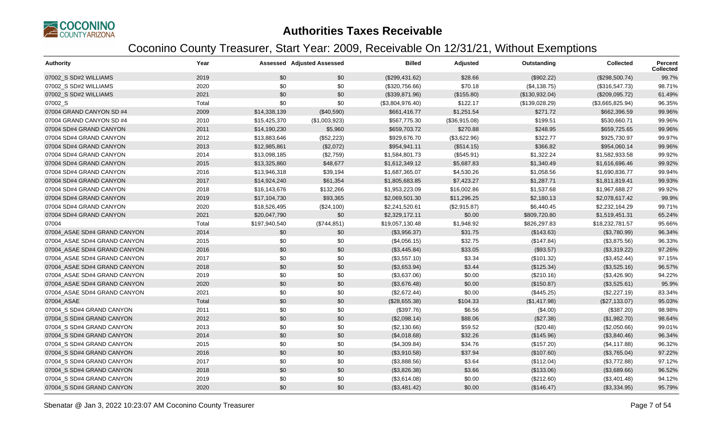

| Authority                    | Year  |               | <b>Assessed Adjusted Assessed</b> | <b>Billed</b>    | Adjusted      | Outstanding    | <b>Collected</b> | Percent<br><b>Collected</b> |
|------------------------------|-------|---------------|-----------------------------------|------------------|---------------|----------------|------------------|-----------------------------|
| 07002 S SD#2 WILLIAMS        | 2019  | \$0           | \$0                               | (\$299,431.62)   | \$28.66       | (\$902.22)     | (\$298,500.74)   | 99.7%                       |
| 07002 S SD#2 WILLIAMS        | 2020  | \$0           | \$0                               | (\$320,756.66)   | \$70.18       | (\$4,138.75)   | (\$316,547.73)   | 98.71%                      |
| 07002_S SD#2 WILLIAMS        | 2021  | \$0           | \$0                               | (\$339,871.96)   | (\$155.80)    | (\$130,932.04) | (\$209,095.72)   | 61.49%                      |
| 07002_S                      | Total | \$0           | \$0                               | (\$3,804,976.40) | \$122.17      | (\$139,028.29) | (\$3,665,825.94) | 96.35%                      |
| 07004 GRAND CANYON SD #4     | 2009  | \$14,338,139  | (\$40,590)                        | \$661,416.77     | \$1,251.54    | \$271.72       | \$662,396.59     | 99.96%                      |
| 07004 GRAND CANYON SD #4     | 2010  | \$15,425,370  | (\$1,003,923)                     | \$567,775.30     | (\$36,915.08) | \$199.51       | \$530,660.71     | 99.96%                      |
| 07004 SD#4 GRAND CANYON      | 2011  | \$14,190,230  | \$5,960                           | \$659,703.72     | \$270.88      | \$248.95       | \$659,725.65     | 99.96%                      |
| 07004 SD#4 GRAND CANYON      | 2012  | \$13,883,646  | (\$52,223)                        | \$929,676.70     | (\$3,622.96)  | \$322.77       | \$925,730.97     | 99.97%                      |
| 07004 SD#4 GRAND CANYON      | 2013  | \$12,985,861  | (\$2,072)                         | \$954,941.11     | (\$514.15)    | \$366.82       | \$954,060.14     | 99.96%                      |
| 07004 SD#4 GRAND CANYON      | 2014  | \$13,098,185  | (\$2,759)                         | \$1,584,801.73   | (\$545.91)    | \$1,322.24     | \$1,582,933.58   | 99.92%                      |
| 07004 SD#4 GRAND CANYON      | 2015  | \$13,325,860  | \$48,677                          | \$1,612,349.12   | \$5,687.83    | \$1,340.49     | \$1,616,696.46   | 99.92%                      |
| 07004 SD#4 GRAND CANYON      | 2016  | \$13,946,318  | \$39,194                          | \$1,687,365.07   | \$4,530.26    | \$1,058.56     | \$1,690,836.77   | 99.94%                      |
| 07004 SD#4 GRAND CANYON      | 2017  | \$14,924,240  | \$61,354                          | \$1,805,683.85   | \$7,423.27    | \$1,287.71     | \$1,811,819.41   | 99.93%                      |
| 07004 SD#4 GRAND CANYON      | 2018  | \$16,143,676  | \$132,266                         | \$1,953,223.09   | \$16,002.86   | \$1,537.68     | \$1,967,688.27   | 99.92%                      |
| 07004 SD#4 GRAND CANYON      | 2019  | \$17,104,730  | \$93,365                          | \$2,069,501.30   | \$11,296.25   | \$2,180.13     | \$2,078,617.42   | 99.9%                       |
| 07004 SD#4 GRAND CANYON      | 2020  | \$18,526,495  | (\$24,100)                        | \$2,241,520.61   | (\$2,915.87)  | \$6,440.45     | \$2,232,164.29   | 99.71%                      |
| 07004 SD#4 GRAND CANYON      | 2021  | \$20,047,790  | \$0                               | \$2,329,172.11   | \$0.00        | \$809,720.80   | \$1,519,451.31   | 65.24%                      |
| 07004                        | Total | \$197,940,540 | (\$744,851)                       | \$19,057,130.48  | \$1,948.92    | \$826,297.83   | \$18,232,781.57  | 95.66%                      |
| 07004 ASAE SD#4 GRAND CANYON | 2014  | \$0           | \$0                               | (\$3,956.37)     | \$31.75       | (\$143.63)     | (\$3,780.99)     | 96.34%                      |
| 07004_ASAE SD#4 GRAND CANYON | 2015  | \$0           | \$0                               | (\$4,056.15)     | \$32.75       | (\$147.84)     | (\$3,875.56)     | 96.33%                      |
| 07004 ASAE SD#4 GRAND CANYON | 2016  | \$0           | \$0                               | (\$3,445.84)     | \$33.05       | (\$93.57)      | (\$3,319.22)     | 97.26%                      |
| 07004 ASAE SD#4 GRAND CANYON | 2017  | \$0           | \$0                               | (\$3,557.10)     | \$3.34        | (\$101.32)     | (\$3,452.44)     | 97.15%                      |
| 07004_ASAE SD#4 GRAND CANYON | 2018  | \$0           | \$0                               | (\$3,653.94)     | \$3.44        | (\$125.34)     | (\$3,525.16)     | 96.57%                      |
| 07004 ASAE SD#4 GRAND CANYON | 2019  | \$0           | \$0                               | (\$3,637.06)     | \$0.00        | (\$210.16)     | (\$3,426.90)     | 94.22%                      |
| 07004 ASAE SD#4 GRAND CANYON | 2020  | \$0           | \$0                               | (\$3,676.48)     | \$0.00        | (\$150.87)     | (\$3,525.61)     | 95.9%                       |
| 07004_ASAE SD#4 GRAND CANYON | 2021  | \$0           | \$0                               | (\$2,672.44)     | \$0.00        | (\$445.25)     | (\$2,227.19)     | 83.34%                      |
| 07004 ASAE                   | Total | \$0           | \$0                               | (\$28,655.38)    | \$104.33      | (\$1,417.98)   | (\$27,133.07)    | 95.03%                      |
| 07004 S SD#4 GRAND CANYON    | 2011  | \$0           | \$0                               | (\$397.76)       | \$6.56        | (\$4.00)       | (\$387.20)       | 98.98%                      |
| 07004 S SD#4 GRAND CANYON    | 2012  | \$0           | \$0                               | (\$2,098.14)     | \$88.06       | (\$27.38)      | (\$1,982.70)     | 98.64%                      |
| 07004_S SD#4 GRAND CANYON    | 2013  | \$0           | \$0                               | (\$2,130.66)     | \$59.52       | (\$20.48)      | (\$2,050.66)     | 99.01%                      |
| 07004 S SD#4 GRAND CANYON    | 2014  | \$0           | \$0                               | (\$4,018.68)     | \$32.26       | (\$145.96)     | (\$3,840.46)     | 96.34%                      |
| 07004_S SD#4 GRAND CANYON    | 2015  | \$0           | \$0                               | (\$4,309.84)     | \$34.76       | (\$157.20)     | (\$4,117.88)     | 96.32%                      |
| 07004 S SD#4 GRAND CANYON    | 2016  | \$0           | \$0                               | (\$3,910.58)     | \$37.94       | (\$107.60)     | (\$3,765.04)     | 97.22%                      |
| 07004_S SD#4 GRAND CANYON    | 2017  | \$0           | \$0                               | (\$3,888.56)     | \$3.64        | (\$112.04)     | (\$3,772.88)     | 97.12%                      |
| 07004 S SD#4 GRAND CANYON    | 2018  | \$0           | \$0                               | (\$3,826.38)     | \$3.66        | (\$133.06)     | (\$3,689.66)     | 96.52%                      |
| 07004 S SD#4 GRAND CANYON    | 2019  | \$0           | \$0                               | (\$3,614.08)     | \$0.00        | (\$212.60)     | (\$3,401.48)     | 94.12%                      |
| 07004 S SD#4 GRAND CANYON    | 2020  | \$0           | \$0                               | (\$3,481.42)     | \$0.00        | (\$146.47)     | (\$3,334.95)     | 95.79%                      |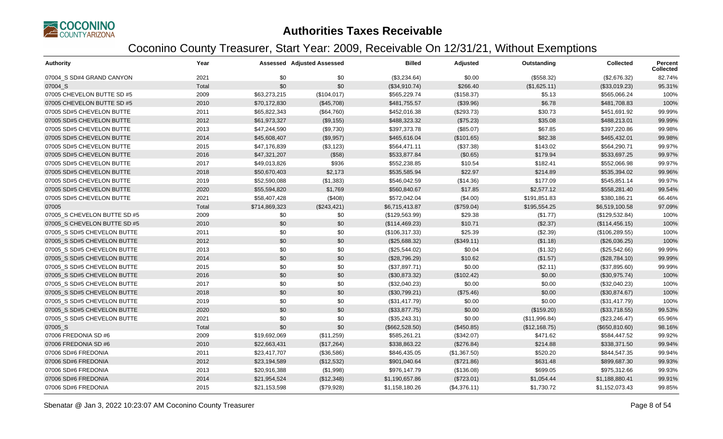

| <b>Authority</b>             | Year  |               | Assessed Adjusted Assessed | <b>Billed</b>  | Adjusted     | Outstanding   | <b>Collected</b> | Percent<br><b>Collected</b> |
|------------------------------|-------|---------------|----------------------------|----------------|--------------|---------------|------------------|-----------------------------|
| 07004 S SD#4 GRAND CANYON    | 2021  | \$0           | \$0                        | (\$3,234.64)   | \$0.00       | (\$558.32)    | (\$2,676.32)     | 82.74%                      |
| 07004 S                      | Total | \$0           | \$0                        | (\$34,910.74)  | \$266.40     | (\$1,625.11)  | (\$33,019.23)    | 95.31%                      |
| 07005 CHEVELON BUTTE SD #5   | 2009  | \$63,273,215  | (\$104,017)                | \$565,229.74   | (\$158.37)   | \$5.13        | \$565,066.24     | 100%                        |
| 07005 CHEVELON BUTTE SD #5   | 2010  | \$70,172,830  | (\$45,708)                 | \$481,755.57   | (\$39.96)    | \$6.78        | \$481,708.83     | 100%                        |
| 07005 SD#5 CHEVELON BUTTE    | 2011  | \$65,822,343  | (\$64,760)                 | \$452,016.38   | (\$293.73)   | \$30.73       | \$451,691.92     | 99.99%                      |
| 07005 SD#5 CHEVELON BUTTE    | 2012  | \$61,973,327  | (\$9,155)                  | \$488,323.32   | (\$75.23)    | \$35.08       | \$488,213.01     | 99.99%                      |
| 07005 SD#5 CHEVELON BUTTE    | 2013  | \$47,244,590  | (\$9,730)                  | \$397,373.78   | (\$85.07)    | \$67.85       | \$397,220.86     | 99.98%                      |
| 07005 SD#5 CHEVELON BUTTE    | 2014  | \$45,608,407  | (\$9,957)                  | \$465,616.04   | (\$101.65)   | \$82.38       | \$465,432.01     | 99.98%                      |
| 07005 SD#5 CHEVELON BUTTE    | 2015  | \$47,176,839  | (\$3,123)                  | \$564,471.11   | (\$37.38)    | \$143.02      | \$564,290.71     | 99.97%                      |
| 07005 SD#5 CHEVELON BUTTE    | 2016  | \$47,321,207  | (\$58)                     | \$533,877.84   | (\$0.65)     | \$179.94      | \$533,697.25     | 99.97%                      |
| 07005 SD#5 CHEVELON BUTTE    | 2017  | \$49,013,826  | \$936                      | \$552,238.85   | \$10.54      | \$182.41      | \$552,066.98     | 99.97%                      |
| 07005 SD#5 CHEVELON BUTTE    | 2018  | \$50,670,403  | \$2,173                    | \$535,585.94   | \$22.97      | \$214.89      | \$535,394.02     | 99.96%                      |
| 07005 SD#5 CHEVELON BUTTE    | 2019  | \$52,590,088  | (\$1,383)                  | \$546,042.59   | (\$14.36)    | \$177.09      | \$545,851.14     | 99.97%                      |
| 07005 SD#5 CHEVELON BUTTE    | 2020  | \$55,594,820  | \$1,769                    | \$560,840.67   | \$17.85      | \$2,577.12    | \$558,281.40     | 99.54%                      |
| 07005 SD#5 CHEVELON BUTTE    | 2021  | \$58,407,428  | (\$408)                    | \$572,042.04   | (\$4.00)     | \$191,851.83  | \$380,186.21     | 66.46%                      |
| 07005                        | Total | \$714,869,323 | (\$243, 421)               | \$6,715,413.87 | (\$759.04)   | \$195,554.25  | \$6,519,100.58   | 97.09%                      |
| 07005 S CHEVELON BUTTE SD #5 | 2009  | \$0           | \$0                        | (\$129,563.99) | \$29.38      | (\$1.77)      | (\$129,532.84)   | 100%                        |
| 07005 S CHEVELON BUTTE SD #5 | 2010  | \$0           | \$0                        | (\$114,469.23) | \$10.71      | (\$2.37)      | (\$114,456.15)   | 100%                        |
| 07005_S SD#5 CHEVELON BUTTE  | 2011  | \$0           | \$0                        | (\$106,317.33) | \$25.39      | (\$2.39)      | (\$106, 289.55)  | 100%                        |
| 07005 S SD#5 CHEVELON BUTTE  | 2012  | \$0           | \$0                        | (\$25,688.32)  | (\$349.11)   | (\$1.18)      | (\$26,036.25)    | 100%                        |
| 07005 S SD#5 CHEVELON BUTTE  | 2013  | \$0           | \$0                        | (\$25,544.02)  | \$0.04       | (\$1.32)      | (\$25,542.66)    | 99.99%                      |
| 07005 S SD#5 CHEVELON BUTTE  | 2014  | \$0           | \$0                        | (\$28,796.29)  | \$10.62      | (\$1.57)      | (\$28,784.10)    | 99.99%                      |
| 07005 S SD#5 CHEVELON BUTTE  | 2015  | \$0           | \$0                        | (\$37,897.71)  | \$0.00       | (\$2.11)      | (\$37,895.60)    | 99.99%                      |
| 07005_S SD#5 CHEVELON BUTTE  | 2016  | \$0           | \$0                        | (\$30,873.32)  | (\$102.42)   | \$0.00        | (\$30,975.74)    | 100%                        |
| 07005 S SD#5 CHEVELON BUTTE  | 2017  | \$0           | \$0                        | (\$32,040.23)  | \$0.00       | \$0.00        | (\$32,040.23)    | 100%                        |
| 07005 S SD#5 CHEVELON BUTTE  | 2018  | \$0           | \$0                        | (\$30,799.21)  | (\$75.46)    | \$0.00        | (\$30,874.67)    | 100%                        |
| 07005 S SD#5 CHEVELON BUTTE  | 2019  | \$0           | \$0                        | (\$31,417.79)  | \$0.00       | \$0.00        | (\$31,417.79)    | 100%                        |
| 07005 S SD#5 CHEVELON BUTTE  | 2020  | \$0           | \$0                        | (\$33,877.75)  | \$0.00       | (\$159.20)    | (\$33,718.55)    | 99.53%                      |
| 07005_S SD#5 CHEVELON BUTTE  | 2021  | \$0           | \$0                        | (\$35,243.31)  | \$0.00       | (\$11,996.84) | (\$23,246.47)    | 65.96%                      |
| 07005_S                      | Total | \$0           | \$0                        | (\$662,528.50) | (\$450.85)   | (\$12,168.75) | (\$650, 810.60)  | 98.16%                      |
| 07006 FREDONIA SD #6         | 2009  | \$19,692,069  | (\$11,259)                 | \$585,261.21   | (\$342.07)   | \$471.62      | \$584,447.52     | 99.92%                      |
| 07006 FREDONIA SD #6         | 2010  | \$22,663,431  | (\$17,264)                 | \$338,863.22   | (\$276.84)   | \$214.88      | \$338,371.50     | 99.94%                      |
| 07006 SD#6 FREDONIA          | 2011  | \$23,417,707  | (\$36,586)                 | \$846,435.05   | (\$1,367.50) | \$520.20      | \$844,547.35     | 99.94%                      |
| 07006 SD#6 FREDONIA          | 2012  | \$23,194,589  | (\$12,532)                 | \$901,040.64   | (\$721.86)   | \$631.48      | \$899,687.30     | 99.93%                      |
| 07006 SD#6 FREDONIA          | 2013  | \$20,916,388  | (\$1,998)                  | \$976,147.79   | (\$136.08)   | \$699.05      | \$975,312.66     | 99.93%                      |
| 07006 SD#6 FREDONIA          | 2014  | \$21,954,524  | (\$12,348)                 | \$1,190,657.86 | (\$723.01)   | \$1,054.44    | \$1,188,880.41   | 99.91%                      |
| 07006 SD#6 FREDONIA          | 2015  | \$21,153,598  | (\$79,928)                 | \$1,158,180.26 | (\$4,376.11) | \$1,730.72    | \$1,152,073.43   | 99.85%                      |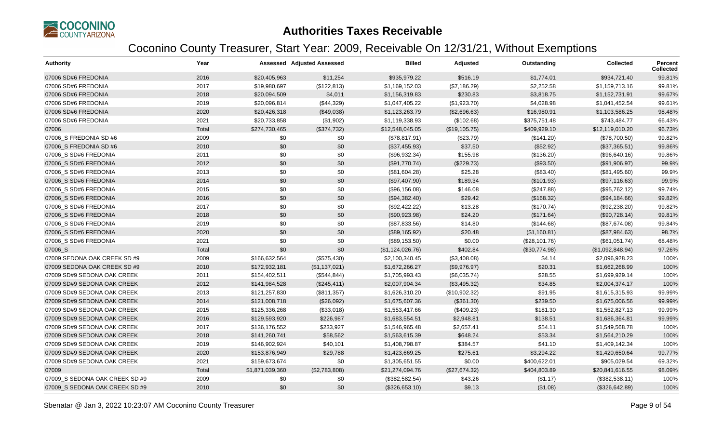

| <b>Authority</b>               | Year  |                 | <b>Assessed Adjusted Assessed</b> | <b>Billed</b>    | Adjusted       | Outstanding   | <b>Collected</b> | Percent<br><b>Collected</b> |
|--------------------------------|-------|-----------------|-----------------------------------|------------------|----------------|---------------|------------------|-----------------------------|
| 07006 SD#6 FREDONIA            | 2016  | \$20,405,963    | \$11,254                          | \$935,979.22     | \$516.19       | \$1,774.01    | \$934,721.40     | 99.81%                      |
| 07006 SD#6 FREDONIA            | 2017  | \$19,980,697    | (\$122,813)                       | \$1,169,152.03   | (\$7,186.29)   | \$2,252.58    | \$1,159,713.16   | 99.81%                      |
| 07006 SD#6 FREDONIA            | 2018  | \$20,094,509    | \$4,011                           | \$1,156,319.83   | \$230.83       | \$3,818.75    | \$1,152,731.91   | 99.67%                      |
| 07006 SD#6 FREDONIA            | 2019  | \$20,096,814    | (\$44,329)                        | \$1,047,405.22   | (\$1,923.70)   | \$4,028.98    | \$1,041,452.54   | 99.61%                      |
| 07006 SD#6 FREDONIA            | 2020  | \$20,426,318    | (\$49,038)                        | \$1,123,263.79   | (\$2,696.63)   | \$16,980.91   | \$1,103,586.25   | 98.48%                      |
| 07006 SD#6 FREDONIA            | 2021  | \$20,733,858    | (\$1,902)                         | \$1,119,338.93   | (\$102.68)     | \$375,751.48  | \$743,484.77     | 66.43%                      |
| 07006                          | Total | \$274,730,465   | (\$374,732)                       | \$12,548,045.05  | (\$19, 105.75) | \$409,929.10  | \$12,119,010.20  | 96.73%                      |
| 07006_S FREDONIA SD #6         | 2009  | \$0             | \$0                               | (\$78,817.91)    | (\$23.79)      | (\$141.20)    | (\$78,700.50)    | 99.82%                      |
| 07006 S FREDONIA SD #6         | 2010  | \$0             | \$0                               | (\$37,455.93)    | \$37.50        | (\$52.92)     | (\$37,365.51)    | 99.86%                      |
| 07006 S SD#6 FREDONIA          | 2011  | \$0             | \$0                               | (\$96,932.34)    | \$155.98       | (\$136.20)    | (\$96,640.16)    | 99.86%                      |
| 07006 S SD#6 FREDONIA          | 2012  | \$0             | \$0                               | (\$91,770.74)    | (\$229.73)     | (\$93.50)     | (\$91,906.97)    | 99.9%                       |
| 07006_S SD#6 FREDONIA          | 2013  | \$0             | \$0                               | (\$81,604.28)    | \$25.28        | (\$83.40)     | (\$81,495.60)    | 99.9%                       |
| 07006 S SD#6 FREDONIA          | 2014  | \$0             | \$0                               | (\$97,407.90)    | \$189.34       | (\$101.93)    | (\$97,116.63)    | 99.9%                       |
| 07006_S SD#6 FREDONIA          | 2015  | \$0             | \$0                               | (\$96,156.08)    | \$146.08       | (\$247.88)    | (\$95,762.12)    | 99.74%                      |
| 07006 S SD#6 FREDONIA          | 2016  | \$0             | \$0                               | (\$94,382.40)    | \$29.42        | (\$168.32)    | (\$94,184.66)    | 99.82%                      |
| 07006_S SD#6 FREDONIA          | 2017  | \$0             | \$0                               | (\$92,422.22)    | \$13.28        | (\$170.74)    | (\$92,238.20)    | 99.82%                      |
| 07006_S SD#6 FREDONIA          | 2018  | \$0             | \$0                               | (\$90,923.98)    | \$24.20        | (\$171.64)    | (\$90,728.14)    | 99.81%                      |
| 07006_S SD#6 FREDONIA          | 2019  | \$0             | \$0                               | (\$87,833.56)    | \$14.80        | (\$144.68)    | (\$87,674.08)    | 99.84%                      |
| 07006_S SD#6 FREDONIA          | 2020  | \$0             | \$0                               | (\$89,165.92)    | \$20.48        | (\$1,160.81)  | (\$87,984.63)    | 98.7%                       |
| 07006_S SD#6 FREDONIA          | 2021  | \$0             | \$0                               | (\$89,153.50)    | \$0.00         | (\$28,101.76) | (\$61,051.74)    | 68.48%                      |
| 07006_S                        | Total | \$0             | \$0                               | (\$1,124,026.76) | \$402.84       | (\$30,774.98) | (\$1,092,848.94) | 97.26%                      |
| 07009 SEDONA OAK CREEK SD #9   | 2009  | \$166,632,564   | (\$575,430)                       | \$2,100,340.45   | (\$3,408.08)   | \$4.14        | \$2,096,928.23   | 100%                        |
| 07009 SEDONA OAK CREEK SD #9   | 2010  | \$172,932,181   | (\$1,137,021)                     | \$1,672,266.27   | (\$9,976.97)   | \$20.31       | \$1,662,268.99   | 100%                        |
| 07009 SD#9 SEDONA OAK CREEK    | 2011  | \$154,402,511   | (\$544, 844)                      | \$1,705,993.43   | (\$6,035.74)   | \$28.55       | \$1,699,929.14   | 100%                        |
| 07009 SD#9 SEDONA OAK CREEK    | 2012  | \$141,984,528   | (\$245,411)                       | \$2,007,904.34   | (\$3,495.32)   | \$34.85       | \$2,004,374.17   | 100%                        |
| 07009 SD#9 SEDONA OAK CREEK    | 2013  | \$121,257,830   | (\$811,357)                       | \$1,626,310.20   | (\$10,902.32)  | \$91.95       | \$1,615,315.93   | 99.99%                      |
| 07009 SD#9 SEDONA OAK CREEK    | 2014  | \$121,008,718   | (\$26,092)                        | \$1,675,607.36   | (\$361.30)     | \$239.50      | \$1,675,006.56   | 99.99%                      |
| 07009 SD#9 SEDONA OAK CREEK    | 2015  | \$125,336,268   | (\$33,018)                        | \$1,553,417.66   | (\$409.23)     | \$181.30      | \$1,552,827.13   | 99.99%                      |
| 07009 SD#9 SEDONA OAK CREEK    | 2016  | \$129,593,920   | \$226,987                         | \$1,683,554.51   | \$2,948.81     | \$138.51      | \$1,686,364.81   | 99.99%                      |
| 07009 SD#9 SEDONA OAK CREEK    | 2017  | \$136,176,552   | \$233,927                         | \$1,546,965.48   | \$2,657.41     | \$54.11       | \$1,549,568.78   | 100%                        |
| 07009 SD#9 SEDONA OAK CREEK    | 2018  | \$141,260,741   | \$58,562                          | \$1,563,615.39   | \$648.24       | \$53.34       | \$1,564,210.29   | 100%                        |
| 07009 SD#9 SEDONA OAK CREEK    | 2019  | \$146,902,924   | \$40,101                          | \$1,408,798.87   | \$384.57       | \$41.10       | \$1,409,142.34   | 100%                        |
| 07009 SD#9 SEDONA OAK CREEK    | 2020  | \$153,876,949   | \$29,788                          | \$1,423,669.25   | \$275.61       | \$3,294.22    | \$1,420,650.64   | 99.77%                      |
| 07009 SD#9 SEDONA OAK CREEK    | 2021  | \$159,673,674   | \$0                               | \$1,305,651.55   | \$0.00         | \$400,622.01  | \$905,029.54     | 69.32%                      |
| 07009                          | Total | \$1,871,039,360 | (\$2,783,808)                     | \$21,274,094.76  | (\$27,674.32)  | \$404,803.89  | \$20,841,616.55  | 98.09%                      |
| 07009_S SEDONA OAK CREEK SD #9 | 2009  | \$0             | \$0                               | (\$382,582.54)   | \$43.26        | (\$1.17)      | (\$382,538.11)   | 100%                        |
| 07009 S SEDONA OAK CREEK SD #9 | 2010  | \$0             | \$0                               | (\$326,653.10)   | \$9.13         | (\$1.08)      | (\$326,642.89)   | 100%                        |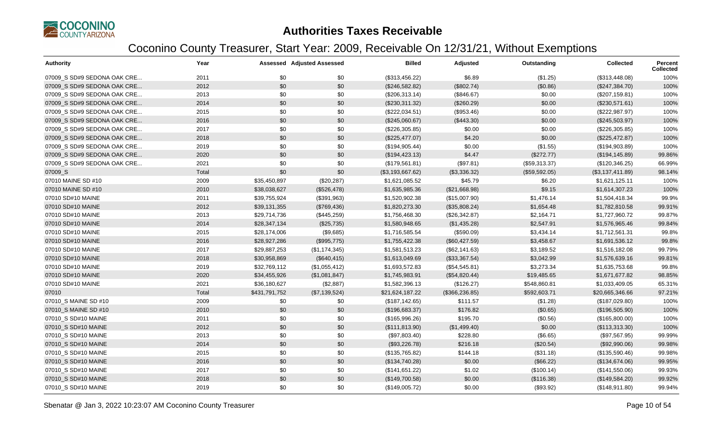

| <b>Authority</b>            | Year  |               | <b>Assessed Adjusted Assessed</b> | <b>Billed</b>    | Adjusted        | Outstanding   | <b>Collected</b> | <b>Percent</b><br><b>Collected</b> |
|-----------------------------|-------|---------------|-----------------------------------|------------------|-----------------|---------------|------------------|------------------------------------|
| 07009 S SD#9 SEDONA OAK CRE | 2011  | \$0           | \$0                               | (\$313,456.22)   | \$6.89          | (\$1.25)      | (\$313,448.08)   | 100%                               |
| 07009 S SD#9 SEDONA OAK CRE | 2012  | \$0           | \$0                               | (\$246,582.82)   | (\$802.74)      | (\$0.86)      | (\$247,384.70)   | 100%                               |
| 07009 S SD#9 SEDONA OAK CRE | 2013  | \$0           | \$0                               | (\$206,313.14)   | (\$846.67)      | \$0.00        | (\$207, 159.81)  | 100%                               |
| 07009_S SD#9 SEDONA OAK CRE | 2014  | \$0           | \$0                               | (\$230,311.32)   | (\$260.29)      | \$0.00        | (\$230,571.61)   | 100%                               |
| 07009_S SD#9 SEDONA OAK CRE | 2015  | \$0           | \$0                               | (\$222,034.51)   | (\$953.46)      | \$0.00        | (\$222,987.97)   | 100%                               |
| 07009 S SD#9 SEDONA OAK CRE | 2016  | \$0           | \$0                               | (\$245,060.67)   | (\$443.30)      | \$0.00        | (\$245,503.97)   | 100%                               |
| 07009_S SD#9 SEDONA OAK CRE | 2017  | \$0           | \$0                               | (\$226,305.85)   | \$0.00          | \$0.00        | (\$226,305.85)   | 100%                               |
| 07009 S SD#9 SEDONA OAK CRE | 2018  | \$0           | \$0                               | (\$225,477.07)   | \$4.20          | \$0.00        | (\$225,472.87)   | 100%                               |
| 07009_S SD#9 SEDONA OAK CRE | 2019  | \$0           | \$0                               | (\$194,905.44)   | \$0.00          | (\$1.55)      | (\$194,903.89)   | 100%                               |
| 07009 S SD#9 SEDONA OAK CRE | 2020  | \$0           | \$0                               | (\$194, 423.13)  | \$4.47          | (\$272.77)    | (\$194, 145.89)  | 99.86%                             |
| 07009_S SD#9 SEDONA OAK CRE | 2021  | \$0           | \$0                               | (\$179,561.81)   | (\$97.81)       | (\$59,313.37) | (\$120,346.25)   | 66.99%                             |
| 07009_S                     | Total | \$0           | \$0                               | (\$3,193,667.62) | (\$3,336.32)    | (\$59,592.05) | (\$3,137,411.89) | 98.14%                             |
| 07010 MAINE SD #10          | 2009  | \$35,450,897  | (\$20,287)                        | \$1,621,085.52   | \$45.79         | \$6.20        | \$1,621,125.11   | 100%                               |
| 07010 MAINE SD #10          | 2010  | \$38,038,627  | (\$526,478)                       | \$1,635,985.36   | (\$21,668.98)   | \$9.15        | \$1,614,307.23   | 100%                               |
| 07010 SD#10 MAINE           | 2011  | \$39,755,924  | (\$391,963)                       | \$1,520,902.38   | (\$15,007.90)   | \$1,476.14    | \$1,504,418.34   | 99.9%                              |
| 07010 SD#10 MAINE           | 2012  | \$39,131,355  | (\$769,436)                       | \$1,820,273.30   | (\$35,808.24)   | \$1,654.48    | \$1,782,810.58   | 99.91%                             |
| 07010 SD#10 MAINE           | 2013  | \$29,714,736  | (\$445,259)                       | \$1,756,468.30   | (\$26,342.87)   | \$2,164.71    | \$1,727,960.72   | 99.87%                             |
| 07010 SD#10 MAINE           | 2014  | \$28,347,134  | (\$25,735)                        | \$1,580,948.65   | (\$1,435.28)    | \$2,547.91    | \$1,576,965.46   | 99.84%                             |
| 07010 SD#10 MAINE           | 2015  | \$28,174,006  | (\$9,685)                         | \$1,716,585.54   | (\$590.09)      | \$3,434.14    | \$1,712,561.31   | 99.8%                              |
| 07010 SD#10 MAINE           | 2016  | \$28,927,286  | (\$995,775)                       | \$1,755,422.38   | (\$60,427.59)   | \$3,458.67    | \$1,691,536.12   | 99.8%                              |
| 07010 SD#10 MAINE           | 2017  | \$29,887,253  | (\$1,174,345)                     | \$1,581,513.23   | (\$62,141.63)   | \$3,189.52    | \$1,516,182.08   | 99.79%                             |
| 07010 SD#10 MAINE           | 2018  | \$30,958,869  | (\$640, 415)                      | \$1,613,049.69   | (\$33,367.54)   | \$3,042.99    | \$1,576,639.16   | 99.81%                             |
| 07010 SD#10 MAINE           | 2019  | \$32,769,112  | (\$1,055,412)                     | \$1,693,572.83   | (\$54,545.81)   | \$3,273.34    | \$1,635,753.68   | 99.8%                              |
| 07010 SD#10 MAINE           | 2020  | \$34,455,926  | (\$1,081,847)                     | \$1,745,983.91   | (\$54,820.44)   | \$19,485.65   | \$1,671,677.82   | 98.85%                             |
| 07010 SD#10 MAINE           | 2021  | \$36,180,627  | (\$2,887)                         | \$1,582,396.13   | (\$126.27)      | \$548,860.81  | \$1,033,409.05   | 65.31%                             |
| 07010                       | Total | \$431,791,752 | (\$7,139,524)                     | \$21,624,187.22  | (\$366, 236.85) | \$592,603.71  | \$20,665,346.66  | 97.21%                             |
| 07010_S MAINE SD #10        | 2009  | \$0           | \$0                               | (\$187, 142.65)  | \$111.57        | (\$1.28)      | (\$187,029.80)   | 100%                               |
| 07010_S MAINE SD #10        | 2010  | \$0           | \$0                               | (\$196,683.37)   | \$176.82        | (\$0.65)      | (\$196,505.90)   | 100%                               |
| 07010_S SD#10 MAINE         | 2011  | \$0           | \$0                               | (\$165,996.26)   | \$195.70        | (\$0.56)      | (\$165,800.00)   | 100%                               |
| 07010 S SD#10 MAINE         | 2012  | \$0           | \$0                               | (\$111, 813.90)  | (\$1,499.40)    | \$0.00        | (\$113,313.30)   | 100%                               |
| 07010 S SD#10 MAINE         | 2013  | \$0           | \$0                               | (\$97,803.40)    | \$228.80        | (\$6.65)      | (\$97,567.95)    | 99.99%                             |
| 07010_S SD#10 MAINE         | 2014  | \$0           | \$0                               | (\$93,226.78)    | \$216.18        | (\$20.54)     | (\$92,990.06)    | 99.98%                             |
| 07010 S SD#10 MAINE         | 2015  | \$0           | \$0                               | (\$135,765.82)   | \$144.18        | (\$31.18)     | (\$135,590.46)   | 99.98%                             |
| 07010_S SD#10 MAINE         | 2016  | \$0           | \$0                               | (\$134,740.28)   | \$0.00          | (\$66.22)     | (\$134,674.06)   | 99.95%                             |
| 07010 S SD#10 MAINE         | 2017  | \$0           | \$0                               | (\$141,651.22)   | \$1.02          | (\$100.14)    | (\$141,550.06)   | 99.93%                             |
| 07010 S SD#10 MAINE         | 2018  | \$0           | \$0                               | (\$149,700.58)   | \$0.00          | (\$116.38)    | (\$149,584.20)   | 99.92%                             |
| 07010_S SD#10 MAINE         | 2019  | \$0           | \$0                               | (\$149,005.72)   | \$0.00          | (\$93.92)     | (\$148,911.80)   | 99.94%                             |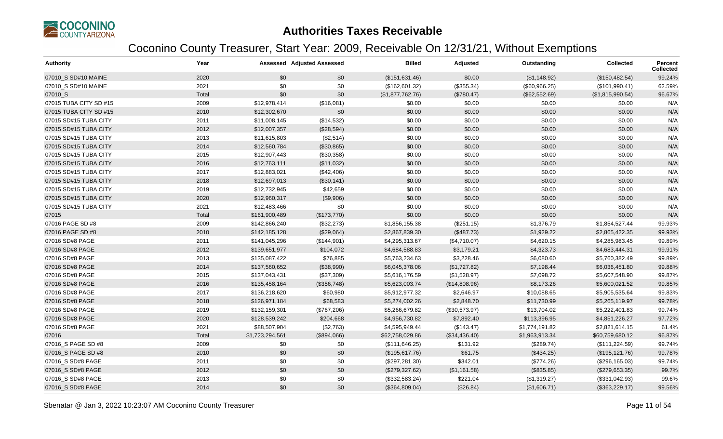

| <b>Authority</b>       | Year  |                 | <b>Assessed Adjusted Assessed</b> | <b>Billed</b>    | Adjusted      | Outstanding    | <b>Collected</b> | <b>Percent</b><br>Collected |
|------------------------|-------|-----------------|-----------------------------------|------------------|---------------|----------------|------------------|-----------------------------|
| 07010_S SD#10 MAINE    | 2020  | \$0             | \$0                               | (\$151,631.46)   | \$0.00        | (\$1,148.92)   | (\$150,482.54)   | 99.24%                      |
| 07010 S SD#10 MAINE    | 2021  | \$0             | \$0                               | (\$162,601.32)   | (\$355.34)    | (\$60,966.25)  | (\$101,990.41)   | 62.59%                      |
| 07010 S                | Total | \$0             | \$0                               | (\$1,877,762.76) | (\$780.47)    | (\$62,552.69)  | (\$1,815,990.54) | 96.67%                      |
| 07015 TUBA CITY SD #15 | 2009  | \$12,978,414    | (\$16,081)                        | \$0.00           | \$0.00        | \$0.00         | \$0.00           | N/A                         |
| 07015 TUBA CITY SD #15 | 2010  | \$12,302,670    | \$0                               | \$0.00           | \$0.00        | \$0.00         | \$0.00           | N/A                         |
| 07015 SD#15 TUBA CITY  | 2011  | \$11,008,145    | (\$14,532)                        | \$0.00           | \$0.00        | \$0.00         | \$0.00           | N/A                         |
| 07015 SD#15 TUBA CITY  | 2012  | \$12,007,357    | (\$28,594)                        | \$0.00           | \$0.00        | \$0.00         | \$0.00           | N/A                         |
| 07015 SD#15 TUBA CITY  | 2013  | \$11,615,803    | (\$2,514)                         | \$0.00           | \$0.00        | \$0.00         | \$0.00           | N/A                         |
| 07015 SD#15 TUBA CITY  | 2014  | \$12,560,784    | (\$30,865)                        | \$0.00           | \$0.00        | \$0.00         | \$0.00           | N/A                         |
| 07015 SD#15 TUBA CITY  | 2015  | \$12,907,443    | (\$30,358)                        | \$0.00           | \$0.00        | \$0.00         | \$0.00           | N/A                         |
| 07015 SD#15 TUBA CITY  | 2016  | \$12,763,111    | (\$11,032)                        | \$0.00           | \$0.00        | \$0.00         | \$0.00           | N/A                         |
| 07015 SD#15 TUBA CITY  | 2017  | \$12,883,021    | (\$42,406)                        | \$0.00           | \$0.00        | \$0.00         | \$0.00           | N/A                         |
| 07015 SD#15 TUBA CITY  | 2018  | \$12,697,013    | (\$30,141)                        | \$0.00           | \$0.00        | \$0.00         | \$0.00           | N/A                         |
| 07015 SD#15 TUBA CITY  | 2019  | \$12,732,945    | \$42,659                          | \$0.00           | \$0.00        | \$0.00         | \$0.00           | N/A                         |
| 07015 SD#15 TUBA CITY  | 2020  | \$12,960,317    | (\$9,906)                         | \$0.00           | \$0.00        | \$0.00         | \$0.00           | N/A                         |
| 07015 SD#15 TUBA CITY  | 2021  | \$12,483,466    | \$0                               | \$0.00           | \$0.00        | \$0.00         | \$0.00           | N/A                         |
| 07015                  | Total | \$161,900,489   | (\$173,770)                       | \$0.00           | \$0.00        | \$0.00         | \$0.00           | N/A                         |
| 07016 PAGE SD #8       | 2009  | \$142,866,240   | (\$32,273)                        | \$1,856,155.38   | (\$251.15)    | \$1,376.79     | \$1,854,527.44   | 99.93%                      |
| 07016 PAGE SD #8       | 2010  | \$142,185,128   | (\$29,064)                        | \$2,867,839.30   | (\$487.73)    | \$1,929.22     | \$2,865,422.35   | 99.93%                      |
| 07016 SD#8 PAGE        | 2011  | \$141,045,296   | (\$144,901)                       | \$4,295,313.67   | (\$4,710.07)  | \$4,620.15     | \$4,285,983.45   | 99.89%                      |
| 07016 SD#8 PAGE        | 2012  | \$139,651,977   | \$104,072                         | \$4,684,588.83   | \$3,179.21    | \$4,323.73     | \$4,683,444.31   | 99.91%                      |
| 07016 SD#8 PAGE        | 2013  | \$135,087,422   | \$76,885                          | \$5,763,234.63   | \$3,228.46    | \$6,080.60     | \$5,760,382.49   | 99.89%                      |
| 07016 SD#8 PAGE        | 2014  | \$137,560,652   | (\$38,990)                        | \$6,045,378.06   | (\$1,727.82)  | \$7,198.44     | \$6,036,451.80   | 99.88%                      |
| 07016 SD#8 PAGE        | 2015  | \$137,043,431   | (\$37,309)                        | \$5,616,176.59   | (\$1,528.97)  | \$7,098.72     | \$5,607,548.90   | 99.87%                      |
| 07016 SD#8 PAGE        | 2016  | \$135,458,164   | (\$356,748)                       | \$5,623,003.74   | (\$14,808.96) | \$8,173.26     | \$5,600,021.52   | 99.85%                      |
| 07016 SD#8 PAGE        | 2017  | \$136,218,620   | \$60,980                          | \$5,912,977.32   | \$2,646.97    | \$10,088.65    | \$5,905,535.64   | 99.83%                      |
| 07016 SD#8 PAGE        | 2018  | \$126,971,184   | \$68,583                          | \$5,274,002.26   | \$2,848.70    | \$11,730.99    | \$5,265,119.97   | 99.78%                      |
| 07016 SD#8 PAGE        | 2019  | \$132,159,301   | (\$767,206)                       | \$5,266,679.82   | (\$30,573.97) | \$13,704.02    | \$5,222,401.83   | 99.74%                      |
| 07016 SD#8 PAGE        | 2020  | \$128,539,242   | \$204,668                         | \$4,956,730.82   | \$7,892.40    | \$113,396.95   | \$4,851,226.27   | 97.72%                      |
| 07016 SD#8 PAGE        | 2021  | \$88,507,904    | (\$2,763)                         | \$4,595,949.44   | (\$143.47)    | \$1,774,191.82 | \$2,821,614.15   | 61.4%                       |
| 07016                  | Total | \$1,723,294,561 | (\$894,066)                       | \$62,758,029.86  | (\$34,436.40) | \$1,963,913.34 | \$60,759,680.12  | 96.87%                      |
| 07016_S PAGE SD #8     | 2009  | \$0             | \$0                               | (\$111, 646.25)  | \$131.92      | (\$289.74)     | (\$111, 224.59)  | 99.74%                      |
| 07016 S PAGE SD #8     | 2010  | \$0             | \$0                               | (\$195,617.76)   | \$61.75       | (\$434.25)     | (\$195, 121.76)  | 99.78%                      |
| 07016 S SD#8 PAGE      | 2011  | \$0             | \$0                               | (\$297, 281.30)  | \$342.01      | (\$774.26)     | (\$296,165.03)   | 99.74%                      |
| 07016_S SD#8 PAGE      | 2012  | \$0             | \$0                               | (\$279,327.62)   | (\$1,161.58)  | (\$835.85)     | (\$279,653.35)   | 99.7%                       |
| 07016_S SD#8 PAGE      | 2013  | \$0             | \$0                               | (\$332,583.24)   | \$221.04      | (\$1,319.27)   | (\$331,042.93)   | 99.6%                       |
| 07016_S SD#8 PAGE      | 2014  | \$0             | \$0                               | (\$364,809.04)   | (\$26.84)     | (\$1,606.71)   | (\$363,229.17)   | 99.56%                      |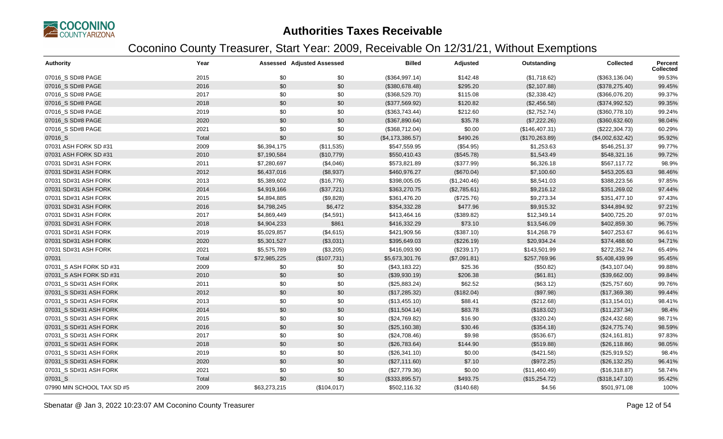

| <b>Authority</b>           | Year  |              | <b>Assessed Adjusted Assessed</b> | <b>Billed</b>    | Adjusted     | Outstanding     | Collected        | Percent<br><b>Collected</b> |
|----------------------------|-------|--------------|-----------------------------------|------------------|--------------|-----------------|------------------|-----------------------------|
| 07016_S SD#8 PAGE          | 2015  | \$0          | \$0                               | (\$364,997.14)   | \$142.48     | (\$1,718.62)    | (\$363,136.04)   | 99.53%                      |
| 07016 S SD#8 PAGE          | 2016  | \$0          | \$0                               | (\$380,678.48)   | \$295.20     | (\$2,107.88)    | (\$378, 275.40)  | 99.45%                      |
| 07016_S SD#8 PAGE          | 2017  | \$0          | \$0                               | (\$368,529.70)   | \$115.08     | (\$2,338.42)    | (\$366,076.20)   | 99.37%                      |
| 07016_S SD#8 PAGE          | 2018  | \$0          | \$0                               | (\$377,569.92)   | \$120.82     | (\$2,456.58)    | (\$374,992.52)   | 99.35%                      |
| 07016_S SD#8 PAGE          | 2019  | \$0          | \$0                               | (\$363,743.44)   | \$212.60     | (\$2,752.74)    | (\$360,778.10)   | 99.24%                      |
| 07016_S SD#8 PAGE          | 2020  | \$0          | \$0                               | (\$367,890.64)   | \$35.78      | (\$7,222.26)    | (\$360,632.60)   | 98.04%                      |
| 07016_S SD#8 PAGE          | 2021  | \$0          | \$0                               | (\$368,712.04)   | \$0.00       | (\$146,407.31)  | (\$222,304.73)   | 60.29%                      |
| 07016_S                    | Total | \$0          | \$0                               | (\$4,173,386.57) | \$490.26     | (\$170, 263.89) | (\$4,002,632.42) | 95.92%                      |
| 07031 ASH FORK SD #31      | 2009  | \$6,394,175  | (\$11,535)                        | \$547,559.95     | (\$54.95)    | \$1,253.63      | \$546,251.37     | 99.77%                      |
| 07031 ASH FORK SD #31      | 2010  | \$7,190,584  | (\$10,779)                        | \$550,410.43     | (\$545.78)   | \$1,543.49      | \$548,321.16     | 99.72%                      |
| 07031 SD#31 ASH FORK       | 2011  | \$7,280,697  | (\$4,046)                         | \$573,821.89     | (\$377.99)   | \$6,326.18      | \$567,117.72     | 98.9%                       |
| 07031 SD#31 ASH FORK       | 2012  | \$6,437,016  | (\$8,937)                         | \$460,976.27     | (\$670.04)   | \$7,100.60      | \$453,205.63     | 98.46%                      |
| 07031 SD#31 ASH FORK       | 2013  | \$5,389,602  | (\$16,776)                        | \$398,005.05     | (\$1,240.46) | \$8,541.03      | \$388,223.56     | 97.85%                      |
| 07031 SD#31 ASH FORK       | 2014  | \$4,919,166  | (\$37,721)                        | \$363,270.75     | (\$2,785.61) | \$9,216.12      | \$351,269.02     | 97.44%                      |
| 07031 SD#31 ASH FORK       | 2015  | \$4,894,885  | (\$9,828)                         | \$361,476.20     | (\$725.76)   | \$9,273.34      | \$351,477.10     | 97.43%                      |
| 07031 SD#31 ASH FORK       | 2016  | \$4,798,245  | \$6,472                           | \$354,332.28     | \$477.96     | \$9,915.32      | \$344,894.92     | 97.21%                      |
| 07031 SD#31 ASH FORK       | 2017  | \$4,869,449  | (\$4,591)                         | \$413,464.16     | (\$389.82)   | \$12,349.14     | \$400,725.20     | 97.01%                      |
| 07031 SD#31 ASH FORK       | 2018  | \$4,904,233  | \$861                             | \$416,332.29     | \$73.10      | \$13,546.09     | \$402,859.30     | 96.75%                      |
| 07031 SD#31 ASH FORK       | 2019  | \$5,029,857  | (\$4,615)                         | \$421,909.56     | (\$387.10)   | \$14,268.79     | \$407,253.67     | 96.61%                      |
| 07031 SD#31 ASH FORK       | 2020  | \$5,301,527  | (\$3,031)                         | \$395,649.03     | (\$226.19)   | \$20,934.24     | \$374,488.60     | 94.71%                      |
| 07031 SD#31 ASH FORK       | 2021  | \$5,575,789  | (\$3,205)                         | \$416,093.90     | (\$239.17)   | \$143,501.99    | \$272,352.74     | 65.49%                      |
| 07031                      | Total | \$72,985,225 | (\$107,731)                       | \$5,673,301.76   | (\$7,091.81) | \$257,769.96    | \$5,408,439.99   | 95.45%                      |
| 07031_S ASH FORK SD #31    | 2009  | \$0          | \$0                               | (\$43,183.22)    | \$25.36      | (\$50.82)       | (\$43,107.04)    | 99.88%                      |
| 07031_S ASH FORK SD #31    | 2010  | \$0          | \$0                               | (\$39,930.19)    | \$206.38     | (\$61.81)       | (\$39,662.00)    | 99.84%                      |
| 07031 S SD#31 ASH FORK     | 2011  | \$0          | \$0                               | (\$25,883.24)    | \$62.52      | (\$63.12)       | (\$25,757.60)    | 99.76%                      |
| 07031 S SD#31 ASH FORK     | 2012  | \$0          | \$0                               | (\$17,285.32)    | (\$182.04)   | (\$97.98)       | (\$17,369.38)    | 99.44%                      |
| 07031 S SD#31 ASH FORK     | 2013  | \$0          | \$0                               | (\$13,455.10)    | \$88.41      | (\$212.68)      | (\$13,154.01)    | 98.41%                      |
| 07031 S SD#31 ASH FORK     | 2014  | \$0          | \$0                               | (\$11,504.14)    | \$83.78      | (\$183.02)      | (\$11,237.34)    | 98.4%                       |
| 07031_S SD#31 ASH FORK     | 2015  | \$0          | \$0                               | (\$24,769.82)    | \$16.90      | (\$320.24)      | (\$24,432.68)    | 98.71%                      |
| 07031_S SD#31 ASH FORK     | 2016  | \$0          | \$0                               | (\$25,160.38)    | \$30.46      | (\$354.18)      | (\$24,775.74)    | 98.59%                      |
| 07031 S SD#31 ASH FORK     | 2017  | \$0          | \$0                               | (\$24,708.46)    | \$9.98       | (\$536.67)      | (\$24,161.81)    | 97.83%                      |
| 07031_S SD#31 ASH FORK     | 2018  | \$0          | \$0                               | (\$26,783.64)    | \$144.90     | (\$519.88)      | (\$26,118.86)    | 98.05%                      |
| 07031 S SD#31 ASH FORK     | 2019  | \$0          | \$0                               | (\$26,341.10)    | \$0.00       | (\$421.58)      | (\$25,919.52)    | 98.4%                       |
| 07031_S SD#31 ASH FORK     | 2020  | \$0          | \$0                               | (\$27,111.60)    | \$7.10       | (\$972.25)      | (\$26,132.25)    | 96.41%                      |
| 07031_S SD#31 ASH FORK     | 2021  | \$0          | \$0                               | (\$27,779.36)    | \$0.00       | (\$11,460.49)   | (\$16,318.87)    | 58.74%                      |
| 07031 S                    | Total | \$0          | \$0                               | (\$333,895.57)   | \$493.75     | (\$15,254.72)   | (\$318,147.10)   | 95.42%                      |
| 07990 MIN SCHOOL TAX SD #5 | 2009  | \$63,273,215 | (\$104,017)                       | \$502,116.32     | (\$140.68)   | \$4.56          | \$501,971.08     | 100%                        |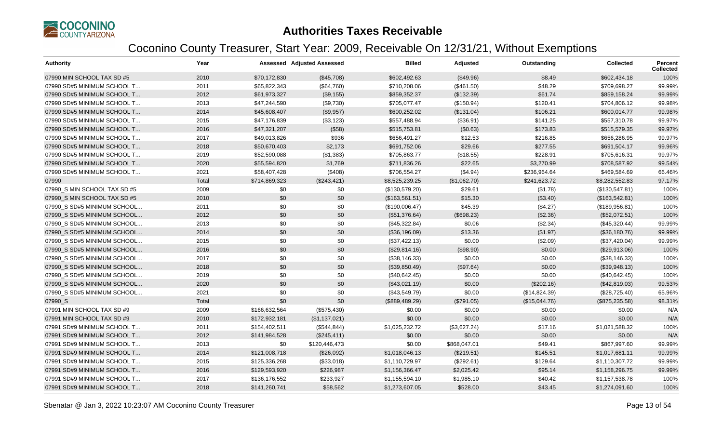

| <b>Authority</b>             | Year  |               | <b>Assessed Adjusted Assessed</b> | <b>Billed</b>   | Adjusted     | Outstanding   | Collected      | <b>Percent</b><br><b>Collected</b> |
|------------------------------|-------|---------------|-----------------------------------|-----------------|--------------|---------------|----------------|------------------------------------|
| 07990 MIN SCHOOL TAX SD #5   | 2010  | \$70,172,830  | (\$45,708)                        | \$602,492.63    | (\$49.96)    | \$8.49        | \$602,434.18   | 100%                               |
| 07990 SD#5 MINIMUM SCHOOL T  | 2011  | \$65,822,343  | (\$64,760)                        | \$710,208.06    | (\$461.50)   | \$48.29       | \$709,698.27   | 99.99%                             |
| 07990 SD#5 MINIMUM SCHOOL T  | 2012  | \$61,973,327  | (\$9,155)                         | \$859,352.37    | (\$132.39)   | \$61.74       | \$859,158.24   | 99.99%                             |
| 07990 SD#5 MINIMUM SCHOOL T  | 2013  | \$47,244,590  | (\$9,730)                         | \$705,077.47    | (\$150.94)   | \$120.41      | \$704,806.12   | 99.98%                             |
| 07990 SD#5 MINIMUM SCHOOL T  | 2014  | \$45,608,407  | (\$9,957)                         | \$600,252.02    | (\$131.04)   | \$106.21      | \$600,014.77   | 99.98%                             |
| 07990 SD#5 MINIMUM SCHOOL T  | 2015  | \$47,176,839  | (\$3,123)                         | \$557,488.94    | (\$36.91)    | \$141.25      | \$557,310.78   | 99.97%                             |
| 07990 SD#5 MINIMUM SCHOOL T  | 2016  | \$47,321,207  | (\$58)                            | \$515,753.81    | (\$0.63)     | \$173.83      | \$515,579.35   | 99.97%                             |
| 07990 SD#5 MINIMUM SCHOOL T  | 2017  | \$49,013,826  | \$936                             | \$656,491.27    | \$12.53      | \$216.85      | \$656,286.95   | 99.97%                             |
| 07990 SD#5 MINIMUM SCHOOL T  | 2018  | \$50,670,403  | \$2,173                           | \$691,752.06    | \$29.66      | \$277.55      | \$691,504.17   | 99.96%                             |
| 07990 SD#5 MINIMUM SCHOOL T  | 2019  | \$52,590,088  | (\$1,383)                         | \$705,863.77    | (\$18.55)    | \$228.91      | \$705,616.31   | 99.97%                             |
| 07990 SD#5 MINIMUM SCHOOL T  | 2020  | \$55,594,820  | \$1,769                           | \$711,836.26    | \$22.65      | \$3,270.99    | \$708,587.92   | 99.54%                             |
| 07990 SD#5 MINIMUM SCHOOL T  | 2021  | \$58,407,428  | (\$408)                           | \$706,554.27    | (\$4.94)     | \$236,964.64  | \$469,584.69   | 66.46%                             |
| 07990                        | Total | \$714,869,323 | (\$243,421)                       | \$8,525,239.25  | (\$1,062.70) | \$241,623.72  | \$8,282,552.83 | 97.17%                             |
| 07990_S MIN SCHOOL TAX SD #5 | 2009  | \$0           | \$0                               | (\$130,579.20)  | \$29.61      | (\$1.78)      | (\$130,547.81) | 100%                               |
| 07990 S MIN SCHOOL TAX SD #5 | 2010  | \$0           | \$0                               | (\$163,561.51)  | \$15.30      | (\$3.40)      | (\$163,542.81) | 100%                               |
| 07990 S SD#5 MINIMUM SCHOOL  | 2011  | \$0           | \$0                               | (\$190,006.47)  | \$45.39      | (\$4.27)      | (\$189,956.81) | 100%                               |
| 07990_S SD#5 MINIMUM SCHOOL  | 2012  | \$0           | \$0                               | (\$51,376.64)   | (\$698.23)   | (\$2.36)      | (\$52,072.51)  | 100%                               |
| 07990_S SD#5 MINIMUM SCHOOL  | 2013  | \$0           | \$0                               | (\$45,322.84)   | \$0.06       | (\$2.34)      | (\$45,320.44)  | 99.99%                             |
| 07990 S SD#5 MINIMUM SCHOOL  | 2014  | \$0           | \$0                               | (\$36,196.09)   | \$13.36      | (\$1.97)      | (\$36,180.76)  | 99.99%                             |
| 07990_S SD#5 MINIMUM SCHOOL  | 2015  | \$0           | \$0                               | (\$37,422.13)   | \$0.00       | (\$2.09)      | (\$37,420.04)  | 99.99%                             |
| 07990 S SD#5 MINIMUM SCHOOL  | 2016  | \$0           | \$0                               | (\$29,814.16)   | (\$98.90)    | \$0.00        | (\$29,913.06)  | 100%                               |
| 07990 S SD#5 MINIMUM SCHOOL  | 2017  | \$0           | \$0                               | (\$38,146.33)   | \$0.00       | \$0.00        | (\$38,146.33)  | 100%                               |
| 07990_S SD#5 MINIMUM SCHOOL  | 2018  | \$0           | \$0                               | (\$39,850.49)   | (\$97.64)    | \$0.00        | (\$39,948.13)  | 100%                               |
| 07990_S SD#5 MINIMUM SCHOOL  | 2019  | \$0           | \$0                               | (\$40,642.45)   | \$0.00       | \$0.00        | (\$40,642.45)  | 100%                               |
| 07990 S SD#5 MINIMUM SCHOOL  | 2020  | \$0           | \$0                               | (\$43,021.19)   | \$0.00       | (\$202.16)    | (\$42,819.03)  | 99.53%                             |
| 07990 S SD#5 MINIMUM SCHOOL  | 2021  | \$0           | \$0                               | $(\$43,549.79)$ | \$0.00       | (\$14,824.39) | (\$28,725.40)  | 65.96%                             |
| 07990 S                      | Total | \$0           | \$0                               | (\$889,489.29)  | (\$791.05)   | (\$15,044.76) | (\$875,235.58) | 98.31%                             |
| 07991 MIN SCHOOL TAX SD #9   | 2009  | \$166,632,564 | (\$575,430)                       | \$0.00          | \$0.00       | \$0.00        | \$0.00         | N/A                                |
| 07991 MIN SCHOOL TAX SD #9   | 2010  | \$172,932,181 | (\$1,137,021)                     | \$0.00          | \$0.00       | \$0.00        | \$0.00         | N/A                                |
| 07991 SD#9 MINIMUM SCHOOL T  | 2011  | \$154,402,511 | (\$544, 844)                      | \$1,025,232.72  | (\$3,627.24) | \$17.16       | \$1,021,588.32 | 100%                               |
| 07991 SD#9 MINIMUM SCHOOL T  | 2012  | \$141,984,528 | (\$245,411)                       | \$0.00          | \$0.00       | \$0.00        | \$0.00         | N/A                                |
| 07991 SD#9 MINIMUM SCHOOL T  | 2013  | \$0           | \$120,446,473                     | \$0.00          | \$868,047.01 | \$49.41       | \$867,997.60   | 99.99%                             |
| 07991 SD#9 MINIMUM SCHOOL T  | 2014  | \$121,008,718 | (\$26,092)                        | \$1,018,046.13  | (\$219.51)   | \$145.51      | \$1,017,681.11 | 99.99%                             |
| 07991 SD#9 MINIMUM SCHOOL T  | 2015  | \$125,336,268 | (\$33,018)                        | \$1,110,729.97  | (\$292.61)   | \$129.64      | \$1,110,307.72 | 99.99%                             |
| 07991 SD#9 MINIMUM SCHOOL T  | 2016  | \$129,593,920 | \$226,987                         | \$1,156,366.47  | \$2,025.42   | \$95.14       | \$1,158,296.75 | 99.99%                             |
| 07991 SD#9 MINIMUM SCHOOL T  | 2017  | \$136,176,552 | \$233,927                         | \$1,155,594.10  | \$1,985.10   | \$40.42       | \$1,157,538.78 | 100%                               |
| 07991 SD#9 MINIMUM SCHOOL T  | 2018  | \$141,260,741 | \$58,562                          | \$1,273,607.05  | \$528.00     | \$43.45       | \$1,274,091.60 | 100%                               |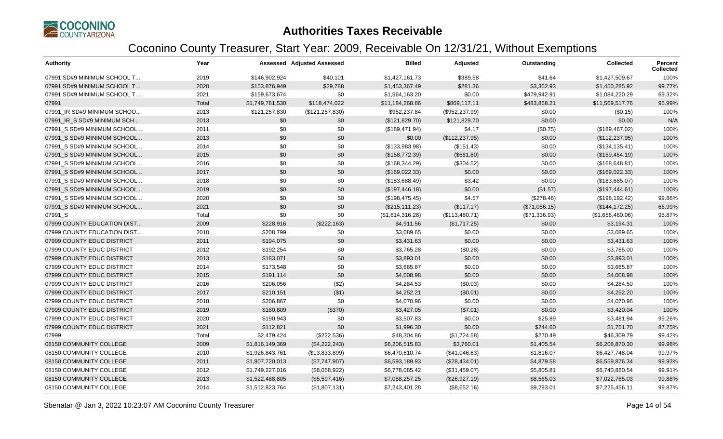

| <b>Authority</b>            | Year  |                 | <b>Assessed Adjusted Assessed</b> | <b>Billed</b>    | Adjusted        | Outstanding   | <b>Collected</b> | Percent<br><b>Collected</b> |
|-----------------------------|-------|-----------------|-----------------------------------|------------------|-----------------|---------------|------------------|-----------------------------|
| 07991 SD#9 MINIMUM SCHOOL T | 2019  | \$146,902,924   | \$40,101                          | \$1,427,161.73   | \$389.58        | \$41.64       | \$1,427,509.67   | 100%                        |
| 07991 SD#9 MINIMUM SCHOOL T | 2020  | \$153,876,949   | \$29,788                          | \$1,453,367.49   | \$281.36        | \$3,362.93    | \$1,450,285.92   | 99.77%                      |
| 07991 SD#9 MINIMUM SCHOOL T | 2021  | \$159,673,674   | \$0                               | \$1,564,163.20   | \$0.00          | \$479,942.91  | \$1,084,220.29   | 69.32%                      |
| 07991                       | Total | \$1,749,781,530 | \$118,474,022                     | \$11,184,268.86  | \$869,117.11    | \$483,868.21  | \$11,569,517.76  | 95.99%                      |
| 07991_IR SD#9 MINIMUM SCHOO | 2013  | \$121,257,830   | (\$121, 257, 830)                 | \$952,237.84     | (\$952,237.99)  | \$0.00        | (\$0.15)         | 100%                        |
| 07991 IR S SD#9 MINIMUM SCH | 2013  | \$0             | \$0                               | (\$121,829.70)   | \$121,829.70    | \$0.00        | \$0.00           | N/A                         |
| 07991 S SD#9 MINIMUM SCHOOL | 2011  | \$0             | \$0                               | (\$189,471.94)   | \$4.17          | (\$0.75)      | (\$189,467.02)   | 100%                        |
| 07991 S SD#9 MINIMUM SCHOOL | 2013  | \$0             | \$0                               | \$0.00           | (\$112, 237.95) | \$0.00        | (\$112, 237.95)  | 100%                        |
| 07991 S SD#9 MINIMUM SCHOOL | 2014  | \$0             | \$0                               | (\$133,983.98)   | (\$151.43)      | \$0.00        | (\$134, 135.41)  | 100%                        |
| 07991 S SD#9 MINIMUM SCHOOL | 2015  | \$0             | \$0                               | (\$158,772.39)   | (\$681.80)      | \$0.00        | (\$159,454.19)   | 100%                        |
| 07991_S SD#9 MINIMUM SCHOOL | 2016  | \$0             | \$0                               | (\$168,344.29)   | (\$304.52)      | \$0.00        | (\$168, 648.81)  | 100%                        |
| 07991 S SD#9 MINIMUM SCHOOL | 2017  | \$0             | \$0                               | (\$169,022.33)   | \$0.00          | \$0.00        | (\$169,022.33)   | 100%                        |
| 07991 S SD#9 MINIMUM SCHOOL | 2018  | \$0             | \$0                               | (\$183,688.49)   | \$3.42          | \$0.00        | (\$183,685.07)   | 100%                        |
| 07991 S SD#9 MINIMUM SCHOOL | 2019  | \$0             | \$0                               | (\$197,446.18)   | \$0.00          | (\$1.57)      | (\$197,444.61)   | 100%                        |
| 07991 S SD#9 MINIMUM SCHOOL | 2020  | \$0             | \$0                               | (\$198,475.45)   | \$4.57          | (\$278.46)    | (\$198, 192.42)  | 99.86%                      |
| 07991 S SD#9 MINIMUM SCHOOL | 2021  | \$0             | \$0                               | (\$215, 111.23)  | (\$117.17)      | (\$71,056.15) | (\$144, 172.25)  | 66.99%                      |
| 07991_S                     | Total | \$0             | \$0                               | (\$1,614,316.28) | (\$113,480.71)  | (\$71,336.93) | (\$1,656,460.06) | 95.87%                      |
| 07999 COUNTY EDUCATION DIST | 2009  | \$228,916       | (\$222,163)                       | \$4,911.56       | (\$1,717.25)    | \$0.00        | \$3,194.31       | 100%                        |
| 07999 COUNTY EDUCATION DIST | 2010  | \$208,799       | \$0                               | \$3,089.65       | \$0.00          | \$0.00        | \$3,089.65       | 100%                        |
| 07999 COUNTY EDUC DISTRICT  | 2011  | \$194,075       | \$0                               | \$3,431.63       | \$0.00          | \$0.00        | \$3,431.63       | 100%                        |
| 07999 COUNTY EDUC DISTRICT  | 2012  | \$192,254       | \$0                               | \$3,765.28       | (\$0.28)        | \$0.00        | \$3,765.00       | 100%                        |
| 07999 COUNTY EDUC DISTRICT  | 2013  | \$183,071       | \$0                               | \$3,893.01       | \$0.00          | \$0.00        | \$3,893.01       | 100%                        |
| 07999 COUNTY EDUC DISTRICT  | 2014  | \$173,548       | \$0                               | \$3,665.87       | \$0.00          | \$0.00        | \$3,665.87       | 100%                        |
| 07999 COUNTY EDUC DISTRICT  | 2015  | \$191,114       | \$0                               | \$4,008.98       | \$0.00          | \$0.00        | \$4,008.98       | 100%                        |
| 07999 COUNTY EDUC DISTRICT  | 2016  | \$206,056       | (\$2)                             | \$4,284.53       | (\$0.03)        | \$0.00        | \$4,284.50       | 100%                        |
| 07999 COUNTY EDUC DISTRICT  | 2017  | \$210,151       | ( \$1)                            | \$4,252.21       | (\$0.01)        | \$0.00        | \$4,252.20       | 100%                        |
| 07999 COUNTY EDUC DISTRICT  | 2018  | \$206,867       | \$0                               | \$4,070.96       | \$0.00          | \$0.00        | \$4,070.96       | 100%                        |
| 07999 COUNTY EDUC DISTRICT  | 2019  | \$180,809       | (\$370)                           | \$3,427.05       | (\$7.01)        | \$0.00        | \$3,420.04       | 100%                        |
| 07999 COUNTY EDUC DISTRICT  | 2020  | \$190,943       | \$0                               | \$3,507.83       | \$0.00          | \$25.89       | \$3,481.94       | 99.26%                      |
| 07999 COUNTY EDUC DISTRICT  | 2021  | \$112,821       | \$0                               | \$1,996.30       | \$0.00          | \$244.60      | \$1,751.70       | 87.75%                      |
| 07999                       | Total | \$2,479,424     | (\$222,536)                       | \$48,304.86      | (\$1,724.58)    | \$270.49      | \$46,309.79      | 99.42%                      |
| 08150 COMMUNITY COLLEGE     | 2009  | \$1,816,149,369 | (\$4,222,243)                     | \$6,206,515.83   | \$3,760.01      | \$1,405.54    | \$6,208,870.30   | 99.98%                      |
| 08150 COMMUNITY COLLEGE     | 2010  | \$1,926,843,761 | (\$13,833,899)                    | \$6,470,610.74   | (\$41,046.63)   | \$1,816.07    | \$6,427,748.04   | 99.97%                      |
| 08150 COMMUNITY COLLEGE     | 2011  | \$1,807,720,013 | (\$7,747,907)                     | \$6,593,189.93   | (\$28,434.01)   | \$4,879.58    | \$6,559,876.34   | 99.93%                      |
| 08150 COMMUNITY COLLEGE     | 2012  | \$1,749,227,016 | (\$8,058,922)                     | \$6,778,085.42   | (\$31,459.07)   | \$5,805.81    | \$6,740,820.54   | 99.91%                      |
| 08150 COMMUNITY COLLEGE     | 2013  | \$1,522,488,805 | (\$5,597,416)                     | \$7,058,257.25   | (\$26,927.19)   | \$8,565.03    | \$7,022,765.03   | 99.88%                      |
| 08150 COMMUNITY COLLEGE     | 2014  | \$1,512,823,764 | (\$1,807,131)                     | \$7,243,401.28   | (\$8,652.16)    | \$9,293.01    | \$7,225,456.11   | 99.87%                      |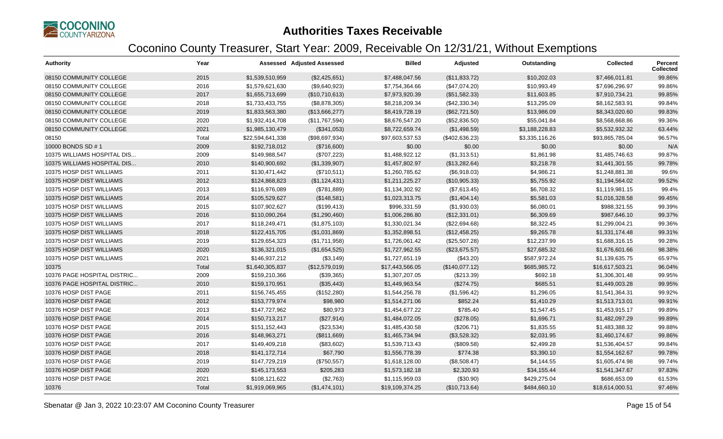

| <b>Authority</b>            | Year  |                  | <b>Assessed Adjusted Assessed</b> | <b>Billed</b>   | Adjusted       | Outstanding    | <b>Collected</b> | <b>Percent</b><br><b>Collected</b> |
|-----------------------------|-------|------------------|-----------------------------------|-----------------|----------------|----------------|------------------|------------------------------------|
| 08150 COMMUNITY COLLEGE     | 2015  | \$1,539,510,959  | (\$2,425,651)                     | \$7,488,047.56  | (\$11,833.72)  | \$10,202.03    | \$7,466,011.81   | 99.86%                             |
| 08150 COMMUNITY COLLEGE     | 2016  | \$1,579,621,630  | (\$9,640,923)                     | \$7,754,364.66  | (\$47,074.20)  | \$10,993.49    | \$7,696,296.97   | 99.86%                             |
| 08150 COMMUNITY COLLEGE     | 2017  | \$1,655,713,699  | (\$10,710,613)                    | \$7,973,920.39  | (\$51,582.33)  | \$11,603.85    | \$7,910,734.21   | 99.85%                             |
| 08150 COMMUNITY COLLEGE     | 2018  | \$1,733,433,755  | (\$8,878,305)                     | \$8,218,209.34  | (\$42,330.34)  | \$13,295.09    | \$8,162,583.91   | 99.84%                             |
| 08150 COMMUNITY COLLEGE     | 2019  | \$1,833,563,380  | (\$13,666,277)                    | \$8,419,728.19  | (\$62,721.50)  | \$13,986.09    | \$8,343,020.60   | 99.83%                             |
| 08150 COMMUNITY COLLEGE     | 2020  | \$1,932,414,708  | (\$11,767,594)                    | \$8,676,547.20  | (\$52,836.50)  | \$55,041.84    | \$8,568,668.86   | 99.36%                             |
| 08150 COMMUNITY COLLEGE     | 2021  | \$1,985,130,479  | (\$341,053)                       | \$8,722,659.74  | (\$1,498.59)   | \$3,188,228.83 | \$5,532,932.32   | 63.44%                             |
| 08150                       | Total | \$22,594,641,338 | (\$98,697,934)                    | \$97,603,537.53 | (\$402,636.23) | \$3,335,116.26 | \$93,865,785.04  | 96.57%                             |
| 10000 BONDS SD #1           | 2009  | \$192,718,012    | (\$716,600)                       | \$0.00          | \$0.00         | \$0.00         | \$0.00           | N/A                                |
| 10375 WILLIAMS HOSPITAL DIS | 2009  | \$149,988,547    | (\$707,223)                       | \$1,488,922.12  | (\$1,313.51)   | \$1,861.98     | \$1,485,746.63   | 99.87%                             |
| 10375 WILLIAMS HOSPITAL DIS | 2010  | \$140,900,692    | (\$1,339,907)                     | \$1,457,802.97  | (\$13,282.64)  | \$3,218.78     | \$1,441,301.55   | 99.78%                             |
| 10375 HOSP DIST WILLIAMS    | 2011  | \$130,471,442    | (\$710,511)                       | \$1,260,785.62  | (\$6,918.03)   | \$4,986.21     | \$1,248,881.38   | 99.6%                              |
| 10375 HOSP DIST WILLIAMS    | 2012  | \$124,868,823    | (\$1,124,431)                     | \$1,211,225.27  | (\$10,905.33)  | \$5,755.92     | \$1,194,564.02   | 99.52%                             |
| 10375 HOSP DIST WILLIAMS    | 2013  | \$116,976,089    | (\$781,889)                       | \$1,134,302.92  | (\$7,613.45)   | \$6,708.32     | \$1,119,981.15   | 99.4%                              |
| 10375 HOSP DIST WILLIAMS    | 2014  | \$105,529,627    | (\$148,581)                       | \$1,023,313.75  | (\$1,404.14)   | \$5,581.03     | \$1,016,328.58   | 99.45%                             |
| 10375 HOSP DIST WILLIAMS    | 2015  | \$107,902,627    | (\$199,413)                       | \$996,331.59    | (\$1,930.03)   | \$6,080.01     | \$988,321.55     | 99.39%                             |
| 10375 HOSP DIST WILLIAMS    | 2016  | \$110,090,264    | (\$1,290,460)                     | \$1,006,286.80  | (\$12,331.01)  | \$6,309.69     | \$987,646.10     | 99.37%                             |
| 10375 HOSP DIST WILLIAMS    | 2017  | \$118,249,471    | (\$1,875,103)                     | \$1,330,021.34  | (\$22,694.68)  | \$8,322.45     | \$1,299,004.21   | 99.36%                             |
| 10375 HOSP DIST WILLIAMS    | 2018  | \$122,415,705    | (\$1,031,869)                     | \$1,352,898.51  | (\$12,458.25)  | \$9,265.78     | \$1,331,174.48   | 99.31%                             |
| 10375 HOSP DIST WILLIAMS    | 2019  | \$129,654,323    | (\$1,711,958)                     | \$1,726,061.42  | (\$25,507.28)  | \$12,237.99    | \$1,688,316.15   | 99.28%                             |
| 10375 HOSP DIST WILLIAMS    | 2020  | \$136,321,015    | (\$1,654,525)                     | \$1,727,962.55  | (\$23,675.57)  | \$27,685.32    | \$1,676,601.66   | 98.38%                             |
| 10375 HOSP DIST WILLIAMS    | 2021  | \$146,937,212    | (\$3,149)                         | \$1,727,651.19  | (\$43.20)      | \$587,972.24   | \$1,139,635.75   | 65.97%                             |
| 10375                       | Total | \$1,640,305,837  | (\$12,579,019)                    | \$17,443,566.05 | (\$140,077.12) | \$685,985.72   | \$16,617,503.21  | 96.04%                             |
| 10376 PAGE HOSPITAL DISTRIC | 2009  | \$159,210,366    | (\$39,365)                        | \$1,307,207.05  | (\$213.39)     | \$692.18       | \$1,306,301.48   | 99.95%                             |
| 10376 PAGE HOSPITAL DISTRIC | 2010  | \$159,170,951    | (\$35,443)                        | \$1,449,963.54  | (\$274.75)     | \$685.51       | \$1,449,003.28   | 99.95%                             |
| 10376 HOSP DIST PAGE        | 2011  | \$156,745,455    | (\$152,280)                       | \$1,544,256.78  | (\$1,596.42)   | \$1,296.05     | \$1,541,364.31   | 99.92%                             |
| 10376 HOSP DIST PAGE        | 2012  | \$153,779,974    | \$98,980                          | \$1,514,271.06  | \$852.24       | \$1,410.29     | \$1,513,713.01   | 99.91%                             |
| 10376 HOSP DIST PAGE        | 2013  | \$147,727,962    | \$80,973                          | \$1,454,677.22  | \$785.40       | \$1,547.45     | \$1,453,915.17   | 99.89%                             |
| 10376 HOSP DIST PAGE        | 2014  | \$150,713,217    | (\$27,914)                        | \$1,484,072.05  | (\$278.05)     | \$1,696.71     | \$1,482,097.29   | 99.89%                             |
| 10376 HOSP DIST PAGE        | 2015  | \$151,152,443    | (\$23,534)                        | \$1,485,430.58  | (\$206.71)     | \$1,835.55     | \$1,483,388.32   | 99.88%                             |
| 10376 HOSP DIST PAGE        | 2016  | \$148,963,271    | (\$811,669)                       | \$1,465,734.94  | (\$3,528.32)   | \$2,031.95     | \$1,460,174.67   | 99.86%                             |
| 10376 HOSP DIST PAGE        | 2017  | \$149,409,218    | (\$83,602)                        | \$1,539,713.43  | (\$809.58)     | \$2,499.28     | \$1,536,404.57   | 99.84%                             |
| 10376 HOSP DIST PAGE        | 2018  | \$141,172,714    | \$67,790                          | \$1,556,778.39  | \$774.38       | \$3,390.10     | \$1,554,162.67   | 99.78%                             |
| 10376 HOSP DIST PAGE        | 2019  | \$147,729,219    | (\$750,557)                       | \$1,618,128.00  | (\$8,508.47)   | \$4,144.55     | \$1,605,474.98   | 99.74%                             |
| 10376 HOSP DIST PAGE        | 2020  | \$145,173,553    | \$205,283                         | \$1,573,182.18  | \$2,320.93     | \$34,155.44    | \$1,541,347.67   | 97.83%                             |
| 10376 HOSP DIST PAGE        | 2021  | \$108,121,622    | (\$2,763)                         | \$1,115,959.03  | (\$30.90)      | \$429,275.04   | \$686,653.09     | 61.53%                             |
| 10376                       | Total | \$1,919,069,965  | (\$1,474,101)                     | \$19,109,374.25 | (\$10,713.64)  | \$484,660.10   | \$18,614,000.51  | 97.46%                             |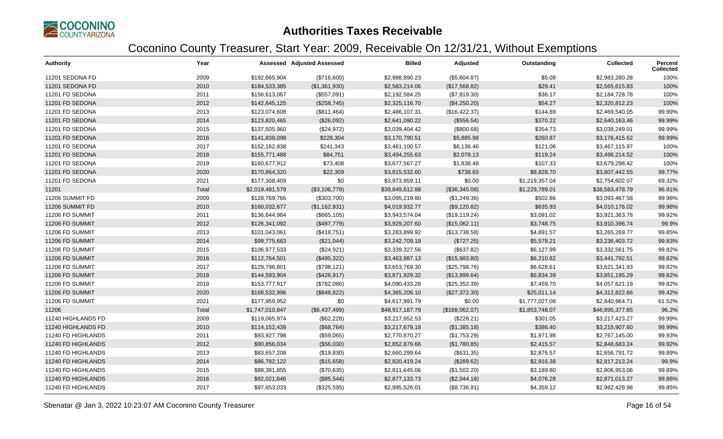

| <b>Authority</b>   | Year  |                 | <b>Assessed Adjusted Assessed</b> | <b>Billed</b>   | Adjusted       | Outstanding    | <b>Collected</b> | Percent<br><b>Collected</b> |
|--------------------|-------|-----------------|-----------------------------------|-----------------|----------------|----------------|------------------|-----------------------------|
| 11201 SEDONA FD    | 2009  | \$192,665,904   | (\$716,600)                       | \$2,988,890.23  | (\$5,604.87)   | \$5.08         | \$2,983,280.28   | 100%                        |
| 11201 SEDONA FD    | 2010  | \$184,533,385   | (\$1,361,930)                     | \$2,583,214.06  | (\$17,568.82)  | \$29.41        | \$2,565,615.83   | 100%                        |
| 11201 FD SEDONA    | 2011  | \$156,613,067   | (\$557,091)                       | \$2,192,584.25  | (\$7,819.30)   | \$36.17        | \$2,184,728.78   | 100%                        |
| 11201 FD SEDONA    | 2012  | \$142,645,125   | (\$258,745)                       | \$2,325,116.70  | (\$4,250.20)   | \$54.27        | \$2,320,812.23   | 100%                        |
| 11201 FD SEDONA    | 2013  | \$123,074,608   | (\$811,464)                       | \$2,486,107.31  | (\$16,422.37)  | \$144.89       | \$2,469,540.05   | 99.99%                      |
| 11201 FD SEDONA    | 2014  | \$123,820,465   | (\$26,092)                        | \$2,641,090.22  | (\$556.54)     | \$370.22       | \$2,640,163.46   | 99.99%                      |
| 11201 FD SEDONA    | 2015  | \$137,505,960   | (\$24,972)                        | \$3,039,404.42  | (\$800.68)     | \$354.73       | \$3,038,249.01   | 99.99%                      |
| 11201 FD SEDONA    | 2016  | \$141,838,098   | \$228,304                         | \$3,170,790.51  | \$5,885.98     | \$260.87       | \$3,176,415.62   | 99.99%                      |
| 11201 FD SEDONA    | 2017  | \$152,162,838   | \$241,343                         | \$3,461,100.57  | \$6,136.46     | \$121.06       | \$3,467,115.97   | 100%                        |
| 11201 FD SEDONA    | 2018  | \$155,771,488   | \$84,751                          | \$3,494,255.63  | \$2,078.13     | \$119.24       | \$3,496,214.52   | 100%                        |
| 11201 FD SEDONA    | 2019  | \$160,677,912   | \$73,408                          | \$3,677,567.27  | \$1,838.48     | \$107.33       | \$3,679,298.42   | 100%                        |
| 11201 FD SEDONA    | 2020  | \$170,864,320   | \$22,309                          | \$3,815,532.60  | \$738.65       | \$8,828.70     | \$3,807,442.55   | 99.77%                      |
| 11201 FD SEDONA    | 2021  | \$177,308,409   | \$0                               | \$3,973,959.11  | \$0.00         | \$1,219,357.04 | \$2,754,602.07   | 69.32%                      |
| 11201              | Total | \$2,019,481,579 | (\$3,106,779)                     | \$39,849,612.88 | (\$36,345.08)  | \$1,229,789.01 | \$38,583,478.79  | 96.91%                      |
| 11206 SUMMIT FD    | 2009  | \$128,769,766   | (\$303,700)                       | \$3,095,219.80  | (\$1,249.36)   | \$502.86       | \$3,093,467.58   | 99.98%                      |
| 11206 SUMMIT FD    | 2010  | \$160,032,677   | (\$1,162,931)                     | \$4,019,932.77  | (\$9,120.82)   | \$635.93       | \$4,010,176.02   | 99.98%                      |
| 11206 FD SUMMIT    | 2011  | \$136,644,984   | (\$665, 105)                      | \$3,943,574.04  | (\$19, 119.24) | \$3,091.02     | \$3,921,363.78   | 99.92%                      |
| 11206 FD SUMMIT    | 2012  | \$126,341,092   | (\$487,779)                       | \$3,929,207.60  | (\$15,062.11)  | \$3,748.75     | \$3,910,396.74   | 99.9%                       |
| 11206 FD SUMMIT    | 2013  | \$101,043,061   | (\$418,751)                       | \$3,283,899.92  | (\$13,738.58)  | \$4,891.57     | \$3,265,269.77   | 99.85%                      |
| 11206 FD SUMMIT    | 2014  | \$99,775,663    | (\$21,044)                        | \$3,242,709.18  | (\$727.25)     | \$5,578.21     | \$3,236,403.72   | 99.83%                      |
| 11206 FD SUMMIT    | 2015  | \$106,977,533   | (\$24,921)                        | \$3,339,327.56  | (\$637.82)     | \$6,127.99     | \$3,332,561.75   | 99.82%                      |
| 11206 FD SUMMIT    | 2016  | \$112,764,501   | (\$495,322)                       | \$3,463,987.13  | (\$15,983.80)  | \$6,210.82     | \$3,441,792.51   | 99.82%                      |
| 11206 FD SUMMIT    | 2017  | \$129,796,801   | (\$798, 121)                      | \$3,653,769.30  | (\$25,798.76)  | \$6,628.61     | \$3,621,341.93   | 99.82%                      |
| 11206 FD SUMMIT    | 2018  | \$144,593,904   | (\$428,917)                       | \$3,871,929.32  | (\$13,899.64)  | \$6,834.39     | \$3,851,195.29   | 99.82%                      |
| 11206 FD SUMMIT    | 2019  | \$153,777,917   | (\$782,086)                       | \$4,090,433.28  | (\$25,352.39)  | \$7,459.70     | \$4,057,621.19   | 99.82%                      |
| 11206 FD SUMMIT    | 2020  | \$168,532,996   | (\$848, 822)                      | \$4,365,206.10  | (\$27,372.30)  | \$25,011.14    | \$4,312,822.66   | 99.42%                      |
| 11206 FD SUMMIT    | 2021  | \$177,959,952   | \$0                               | \$4,617,991.79  | \$0.00         | \$1,777,027.08 | \$2,840,964.71   | 61.52%                      |
| 11206              | Total | \$1,747,010,847 | (\$6,437,499)                     | \$48,917,187.79 | (\$168,062.07) | \$1,853,748.07 | \$46,895,377.65  | 96.2%                       |
| 11240 HIGHLANDS FD | 2009  | \$119,065,974   | (\$62,228)                        | \$3,217,952.53  | (\$228.21)     | \$301.05       | \$3,217,423.27   | 99.99%                      |
| 11240 HIGHLANDS FD | 2010  | \$114,152,439   | (\$68,764)                        | \$3,217,679.18  | (\$1,385.18)   | \$386.40       | \$3,215,907.60   | 99.99%                      |
| 11240 FD HIGHLANDS | 2011  | \$93,927,798    | (\$59,065)                        | \$2,770,870.27  | (\$1,753.29)   | \$1,971.98     | \$2,767,145.00   | 99.93%                      |
| 11240 FD HIGHLANDS | 2012  | \$90,856,034    | (\$56,030)                        | \$2,852,879.66  | (\$1,780.85)   | \$2,415.57     | \$2,848,683.24   | 99.92%                      |
| 11240 FD HIGHLANDS | 2013  | \$83,657,208    | (\$19,830)                        | \$2,660,299.64  | (\$631.35)     | \$2,876.57     | \$2,656,791.72   | 99.89%                      |
| 11240 FD HIGHLANDS | 2014  | \$86,782,122    | (\$15,658)                        | \$2,820,419.24  | (\$289.62)     | \$2,916.38     | \$2,817,213.24   | 99.9%                       |
| 11240 FD HIGHLANDS | 2015  | \$88,381,855    | (\$70,635)                        | \$2,811,645.06  | (\$1,502.20)   | \$3,189.80     | \$2,806,953.06   | 99.89%                      |
| 11240 FD HIGHLANDS | 2016  | \$92,021,646    | (\$85,544)                        | \$2,877,133.73  | (\$2,044.18)   | \$4,076.28     | \$2,871,013.27   | 99.86%                      |
| 11240 FD HIGHLANDS | 2017  | \$97,653,033    | (\$325,595)                       | \$2,995,526.01  | (\$8,736.91)   | \$4,359.12     | \$2,982,429.98   | 99.85%                      |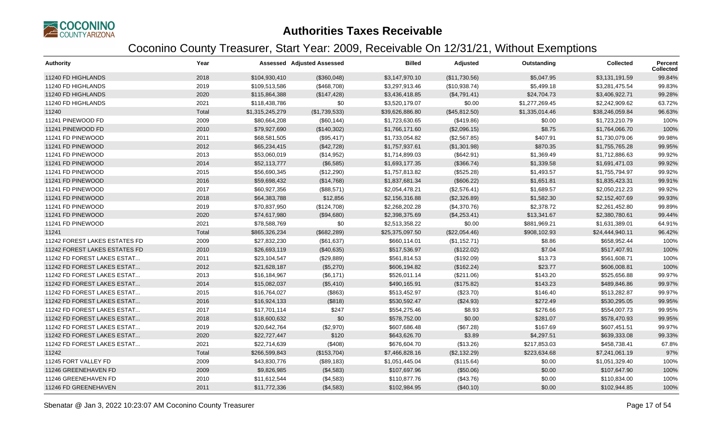

| <b>Authority</b>              | Year  |                 | <b>Assessed Adjusted Assessed</b> | <b>Billed</b>   | Adjusted      | Outstanding    | <b>Collected</b> | Percent<br><b>Collected</b> |
|-------------------------------|-------|-----------------|-----------------------------------|-----------------|---------------|----------------|------------------|-----------------------------|
| 11240 FD HIGHLANDS            | 2018  | \$104,930,410   | (\$360,048)                       | \$3,147,970.10  | (\$11,730.56) | \$5,047.95     | \$3,131,191.59   | 99.84%                      |
| 11240 FD HIGHLANDS            | 2019  | \$109,513,586   | (\$468,708)                       | \$3,297,913.46  | (\$10,938.74) | \$5,499.18     | \$3,281,475.54   | 99.83%                      |
| 11240 FD HIGHLANDS            | 2020  | \$115,864,388   | (\$147,428)                       | \$3,436,418.85  | (\$4,791.41)  | \$24,704.73    | \$3,406,922.71   | 99.28%                      |
| 11240 FD HIGHLANDS            | 2021  | \$118,438,786   | \$0                               | \$3,520,179.07  | \$0.00        | \$1,277,269.45 | \$2,242,909.62   | 63.72%                      |
| 11240                         | Total | \$1,315,245,279 | (\$1,739,533)                     | \$39,626,886.80 | (\$45,812.50) | \$1,335,014.46 | \$38,246,059.84  | 96.63%                      |
| 11241 PINEWOOD FD             | 2009  | \$80,664,208    | (\$60,144)                        | \$1,723,630.65  | (\$419.86)    | \$0.00         | \$1,723,210.79   | 100%                        |
| 11241 PINEWOOD FD             | 2010  | \$79,927,690    | (\$140,302)                       | \$1,766,171.60  | (\$2,096.15)  | \$8.75         | \$1,764,066.70   | 100%                        |
| 11241 FD PINEWOOD             | 2011  | \$68,581,505    | (\$95,417)                        | \$1,733,054.82  | (\$2,567.85)  | \$407.91       | \$1,730,079.06   | 99.98%                      |
| 11241 FD PINEWOOD             | 2012  | \$65,234,415    | (\$42,728)                        | \$1,757,937.61  | (\$1,301.98)  | \$870.35       | \$1,755,765.28   | 99.95%                      |
| 11241 FD PINEWOOD             | 2013  | \$53,060,019    | (\$14,952)                        | \$1,714,899.03  | (\$642.91)    | \$1,369.49     | \$1,712,886.63   | 99.92%                      |
| 11241 FD PINEWOOD             | 2014  | \$52,113,777    | (\$6,585)                         | \$1,693,177.35  | (\$366.74)    | \$1,339.58     | \$1,691,471.03   | 99.92%                      |
| 11241 FD PINEWOOD             | 2015  | \$56,690,345    | (\$12,290)                        | \$1,757,813.82  | (\$525.28)    | \$1,493.57     | \$1,755,794.97   | 99.92%                      |
| 11241 FD PINEWOOD             | 2016  | \$59,698,432    | (\$14,768)                        | \$1,837,681.34  | (\$606.22)    | \$1,651.81     | \$1,835,423.31   | 99.91%                      |
| 11241 FD PINEWOOD             | 2017  | \$60,927,356    | (\$88,571)                        | \$2,054,478.21  | (\$2,576.41)  | \$1,689.57     | \$2,050,212.23   | 99.92%                      |
| 11241 FD PINEWOOD             | 2018  | \$64,383,788    | \$12,856                          | \$2,156,316.88  | (\$2,326.89)  | \$1,582.30     | \$2,152,407.69   | 99.93%                      |
| 11241 FD PINEWOOD             | 2019  | \$70,837,950    | (\$124,708)                       | \$2,268,202.28  | (\$4,370.76)  | \$2,378.72     | \$2,261,452.80   | 99.89%                      |
| 11241 FD PINEWOOD             | 2020  | \$74,617,980    | (\$94,680)                        | \$2,398,375.69  | (\$4,253.41)  | \$13,341.67    | \$2,380,780.61   | 99.44%                      |
| 11241 FD PINEWOOD             | 2021  | \$78,588,769    | \$0                               | \$2,513,358.22  | \$0.00        | \$881,969.21   | \$1,631,389.01   | 64.91%                      |
| 11241                         | Total | \$865,326,234   | (\$682,289)                       | \$25,375,097.50 | (\$22,054.46) | \$908,102.93   | \$24,444,940.11  | 96.42%                      |
| 11242 FOREST LAKES ESTATES FD | 2009  | \$27,832,230    | (\$61,637)                        | \$660,114.01    | (\$1,152.71)  | \$8.86         | \$658,952.44     | 100%                        |
| 11242 FOREST LAKES ESTATES FD | 2010  | \$26,693,119    | (\$40,635)                        | \$517,536.97    | (\$122.02)    | \$7.04         | \$517,407.91     | 100%                        |
| 11242 FD FOREST LAKES ESTAT   | 2011  | \$23,104,547    | (\$29,889)                        | \$561,814.53    | (\$192.09)    | \$13.73        | \$561,608.71     | 100%                        |
| 11242 FD FOREST LAKES ESTAT   | 2012  | \$21,628,187    | (\$5,270)                         | \$606,194.82    | (\$162.24)    | \$23.77        | \$606,008.81     | 100%                        |
| 11242 FD FOREST LAKES ESTAT   | 2013  | \$16,184,967    | (\$6,171)                         | \$526,011.14    | (\$211.06)    | \$143.20       | \$525,656.88     | 99.97%                      |
| 11242 FD FOREST LAKES ESTAT   | 2014  | \$15,082,037    | (\$5,410)                         | \$490,165.91    | (\$175.82)    | \$143.23       | \$489,846.86     | 99.97%                      |
| 11242 FD FOREST LAKES ESTAT   | 2015  | \$16,764,027    | (\$863)                           | \$513,452.97    | (\$23.70)     | \$146.40       | \$513,282.87     | 99.97%                      |
| 11242 FD FOREST LAKES ESTAT   | 2016  | \$16,924,133    | (\$818)                           | \$530,592.47    | (\$24.93)     | \$272.49       | \$530,295.05     | 99.95%                      |
| 11242 FD FOREST LAKES ESTAT   | 2017  | \$17,701,114    | \$247                             | \$554,275.46    | \$8.93        | \$276.66       | \$554,007.73     | 99.95%                      |
| 11242 FD FOREST LAKES ESTAT   | 2018  | \$18,600,632    | \$0                               | \$578,752.00    | \$0.00        | \$281.07       | \$578,470.93     | 99.95%                      |
| 11242 FD FOREST LAKES ESTAT   | 2019  | \$20,642,764    | (\$2,970)                         | \$607,686.48    | (\$67.28)     | \$167.69       | \$607,451.51     | 99.97%                      |
| 11242 FD FOREST LAKES ESTAT   | 2020  | \$22,727,447    | \$120                             | \$643,626.70    | \$3.89        | \$4,297.51     | \$639,333.08     | 99.33%                      |
| 11242 FD FOREST LAKES ESTAT   | 2021  | \$22,714,639    | (\$408)                           | \$676,604.70    | (\$13.26)     | \$217,853.03   | \$458,738.41     | 67.8%                       |
| 11242                         | Total | \$266,599,843   | (\$153,704)                       | \$7,466,828.16  | (\$2,132.29)  | \$223,634.68   | \$7,241,061.19   | 97%                         |
| 11245 FORT VALLEY FD          | 2009  | \$43,830,776    | (\$89,183)                        | \$1,051,445.04  | (\$115.64)    | \$0.00         | \$1,051,329.40   | 100%                        |
| 11246 GREENEHAVEN FD          | 2009  | \$9,826,985     | (\$4,583)                         | \$107,697.96    | (\$50.06)     | \$0.00         | \$107,647.90     | 100%                        |
| 11246 GREENEHAVEN FD          | 2010  | \$11,612,544    | (\$4,583)                         | \$110,877.76    | (\$43.76)     | \$0.00         | \$110,834.00     | 100%                        |
| 11246 FD GREENEHAVEN          | 2011  | \$11,772,336    | (\$4,583)                         | \$102,984.95    | (\$40.10)     | \$0.00         | \$102,944.85     | 100%                        |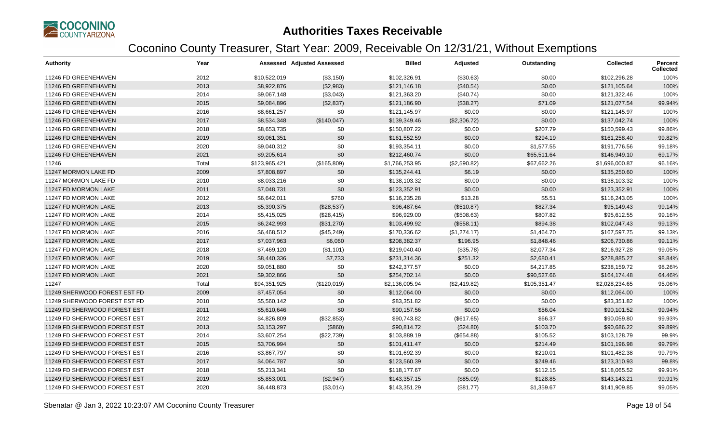

| <b>Authority</b>             | Year  |               | <b>Assessed Adjusted Assessed</b> | <b>Billed</b>  | Adjusted     | Outstanding  | <b>Collected</b> | Percent<br><b>Collected</b> |
|------------------------------|-------|---------------|-----------------------------------|----------------|--------------|--------------|------------------|-----------------------------|
| 11246 FD GREENEHAVEN         | 2012  | \$10,522,019  | (\$3,150)                         | \$102,326.91   | (\$30.63)    | \$0.00       | \$102,296.28     | 100%                        |
| 11246 FD GREENEHAVEN         | 2013  | \$8,922,876   | (\$2,983)                         | \$121,146.18   | (\$40.54)    | \$0.00       | \$121,105.64     | 100%                        |
| 11246 FD GREENEHAVEN         | 2014  | \$9,067,148   | (\$3,043)                         | \$121,363.20   | (\$40.74)    | \$0.00       | \$121,322.46     | 100%                        |
| 11246 FD GREENEHAVEN         | 2015  | \$9,084,896   | (\$2,837)                         | \$121,186.90   | (\$38.27)    | \$71.09      | \$121,077.54     | 99.94%                      |
| 11246 FD GREENEHAVEN         | 2016  | \$8,661,257   | \$0                               | \$121,145.97   | \$0.00       | \$0.00       | \$121,145.97     | 100%                        |
| 11246 FD GREENEHAVEN         | 2017  | \$8,534,348   | (\$140,047)                       | \$139,349.46   | (\$2,306.72) | \$0.00       | \$137,042.74     | 100%                        |
| 11246 FD GREENEHAVEN         | 2018  | \$8,653,735   | \$0                               | \$150,807.22   | \$0.00       | \$207.79     | \$150,599.43     | 99.86%                      |
| 11246 FD GREENEHAVEN         | 2019  | \$9,061,351   | \$0                               | \$161,552.59   | \$0.00       | \$294.19     | \$161,258.40     | 99.82%                      |
| 11246 FD GREENEHAVEN         | 2020  | \$9,040,312   | \$0                               | \$193,354.11   | \$0.00       | \$1,577.55   | \$191,776.56     | 99.18%                      |
| 11246 FD GREENEHAVEN         | 2021  | \$9,205,614   | \$0                               | \$212,460.74   | \$0.00       | \$65,511.64  | \$146,949.10     | 69.17%                      |
| 11246                        | Total | \$123,965,421 | (\$165,809)                       | \$1,766,253.95 | (\$2,590.82) | \$67,662.26  | \$1,696,000.87   | 96.16%                      |
| 11247 MORMON LAKE FD         | 2009  | \$7,808,897   | \$0                               | \$135,244.41   | \$6.19       | \$0.00       | \$135,250.60     | 100%                        |
| 11247 MORMON LAKE FD         | 2010  | \$8,033,216   | \$0                               | \$138,103.32   | \$0.00       | \$0.00       | \$138,103.32     | 100%                        |
| 11247 FD MORMON LAKE         | 2011  | \$7,048,731   | \$0                               | \$123,352.91   | \$0.00       | \$0.00       | \$123,352.91     | 100%                        |
| 11247 FD MORMON LAKE         | 2012  | \$6,642,011   | \$760                             | \$116,235.28   | \$13.28      | \$5.51       | \$116,243.05     | 100%                        |
| 11247 FD MORMON LAKE         | 2013  | \$5,390,375   | (\$28,537)                        | \$96,487.64    | (\$510.87)   | \$827.34     | \$95,149.43      | 99.14%                      |
| 11247 FD MORMON LAKE         | 2014  | \$5,415,025   | (\$28,415)                        | \$96,929.00    | (\$508.63)   | \$807.82     | \$95,612.55      | 99.16%                      |
| 11247 FD MORMON LAKE         | 2015  | \$6,242,993   | (\$31,270)                        | \$103,499.92   | (\$558.11)   | \$894.38     | \$102,047.43     | 99.13%                      |
| 11247 FD MORMON LAKE         | 2016  | \$6,468,512   | (\$45,249)                        | \$170,336.62   | (\$1,274.17) | \$1,464.70   | \$167,597.75     | 99.13%                      |
| 11247 FD MORMON LAKE         | 2017  | \$7,037,963   | \$6,060                           | \$208,382.37   | \$196.95     | \$1,848.46   | \$206,730.86     | 99.11%                      |
| 11247 FD MORMON LAKE         | 2018  | \$7,469,120   | (\$1,101)                         | \$219,040.40   | (\$35.78)    | \$2,077.34   | \$216,927.28     | 99.05%                      |
| 11247 FD MORMON LAKE         | 2019  | \$8,440,336   | \$7,733                           | \$231,314.36   | \$251.32     | \$2,680.41   | \$228,885.27     | 98.84%                      |
| 11247 FD MORMON LAKE         | 2020  | \$9,051,880   | \$0                               | \$242,377.57   | \$0.00       | \$4,217.85   | \$238,159.72     | 98.26%                      |
| 11247 FD MORMON LAKE         | 2021  | \$9,302,866   | \$0                               | \$254,702.14   | \$0.00       | \$90,527.66  | \$164,174.48     | 64.46%                      |
| 11247                        | Total | \$94,351,925  | (\$120,019)                       | \$2,136,005.94 | (\$2,419.82) | \$105,351.47 | \$2,028,234.65   | 95.06%                      |
| 11249 SHERWOOD FOREST EST FD | 2009  | \$7,457,054   | \$0                               | \$112,064.00   | \$0.00       | \$0.00       | \$112,064.00     | 100%                        |
| 11249 SHERWOOD FOREST EST FD | 2010  | \$5,560,142   | \$0                               | \$83,351.82    | \$0.00       | \$0.00       | \$83,351.82      | 100%                        |
| 11249 FD SHERWOOD FOREST EST | 2011  | \$5,610,646   | \$0                               | \$90,157.56    | \$0.00       | \$56.04      | \$90,101.52      | 99.94%                      |
| 11249 FD SHERWOOD FOREST EST | 2012  | \$4,826,809   | (\$32,853)                        | \$90,743.82    | (\$617.65)   | \$66.37      | \$90,059.80      | 99.93%                      |
| 11249 FD SHERWOOD FOREST EST | 2013  | \$3,153,297   | (\$860)                           | \$90,814.72    | (\$24.80)    | \$103.70     | \$90,686.22      | 99.89%                      |
| 11249 FD SHERWOOD FOREST EST | 2014  | \$3,607,254   | (\$22,739)                        | \$103,889.19   | (\$654.88)   | \$105.52     | \$103,128.79     | 99.9%                       |
| 11249 FD SHERWOOD FOREST EST | 2015  | \$3,706,994   | \$0                               | \$101,411.47   | \$0.00       | \$214.49     | \$101,196.98     | 99.79%                      |
| 11249 FD SHERWOOD FOREST EST | 2016  | \$3,867,797   | \$0                               | \$101,692.39   | \$0.00       | \$210.01     | \$101,482.38     | 99.79%                      |
| 11249 FD SHERWOOD FOREST EST | 2017  | \$4,064,787   | \$0                               | \$123,560.39   | \$0.00       | \$249.46     | \$123,310.93     | 99.8%                       |
| 11249 FD SHERWOOD FOREST EST | 2018  | \$5,213,341   | \$0                               | \$118,177.67   | \$0.00       | \$112.15     | \$118,065.52     | 99.91%                      |
| 11249 FD SHERWOOD FOREST EST | 2019  | \$5,853,001   | (\$2,947)                         | \$143,357.15   | (\$85.09)    | \$128.85     | \$143,143.21     | 99.91%                      |
| 11249 FD SHERWOOD FOREST EST | 2020  | \$6,448,873   | (\$3,014)                         | \$143,351.29   | (\$81.77)    | \$1,359.67   | \$141,909.85     | 99.05%                      |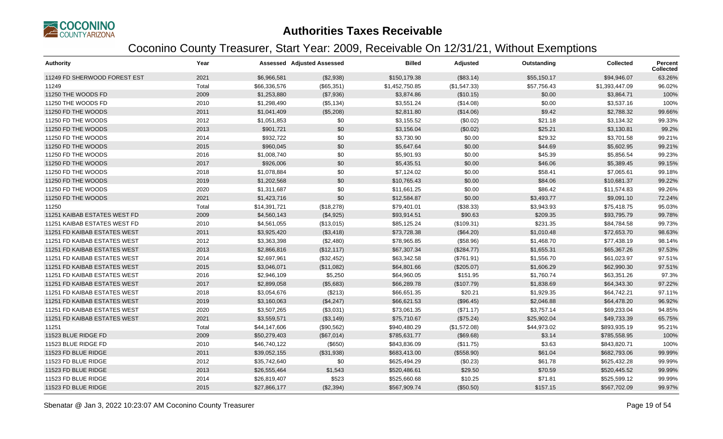

| <b>Authority</b>             | Year  |              | Assessed Adjusted Assessed | <b>Billed</b>  | Adjusted     | Outstanding | <b>Collected</b> | <b>Percent</b><br><b>Collected</b> |
|------------------------------|-------|--------------|----------------------------|----------------|--------------|-------------|------------------|------------------------------------|
| 11249 FD SHERWOOD FOREST EST | 2021  | \$6,966,581  | (\$2,938)                  | \$150,179.38   | (\$83.14)    | \$55,150.17 | \$94,946.07      | 63.26%                             |
| 11249                        | Total | \$66,336,576 | (\$65,351)                 | \$1,452,750.85 | (\$1,547.33) | \$57,756.43 | \$1,393,447.09   | 96.02%                             |
| 11250 THE WOODS FD           | 2009  | \$1,253,880  | (\$7,936)                  | \$3,874.86     | (\$10.15)    | \$0.00      | \$3,864.71       | 100%                               |
| 11250 THE WOODS FD           | 2010  | \$1,298,490  | (\$5,134)                  | \$3,551.24     | (\$14.08)    | \$0.00      | \$3,537.16       | 100%                               |
| 11250 FD THE WOODS           | 2011  | \$1,041,409  | (\$5,208)                  | \$2,811.80     | (\$14.06)    | \$9.42      | \$2,788.32       | 99.66%                             |
| 11250 FD THE WOODS           | 2012  | \$1,051,853  | \$0                        | \$3,155.52     | (\$0.02)     | \$21.18     | \$3,134.32       | 99.33%                             |
| 11250 FD THE WOODS           | 2013  | \$901,721    | \$0                        | \$3,156.04     | (\$0.02)     | \$25.21     | \$3,130.81       | 99.2%                              |
| 11250 FD THE WOODS           | 2014  | \$932,722    | \$0                        | \$3,730.90     | \$0.00       | \$29.32     | \$3,701.58       | 99.21%                             |
| 11250 FD THE WOODS           | 2015  | \$960,045    | \$0                        | \$5,647.64     | \$0.00       | \$44.69     | \$5,602.95       | 99.21%                             |
| 11250 FD THE WOODS           | 2016  | \$1,008,740  | \$0                        | \$5,901.93     | \$0.00       | \$45.39     | \$5,856.54       | 99.23%                             |
| 11250 FD THE WOODS           | 2017  | \$926,006    | \$0                        | \$5,435.51     | \$0.00       | \$46.06     | \$5,389.45       | 99.15%                             |
| 11250 FD THE WOODS           | 2018  | \$1,078,884  | \$0                        | \$7,124.02     | \$0.00       | \$58.41     | \$7,065.61       | 99.18%                             |
| 11250 FD THE WOODS           | 2019  | \$1,202,568  | \$0                        | \$10,765.43    | \$0.00       | \$84.06     | \$10,681.37      | 99.22%                             |
| 11250 FD THE WOODS           | 2020  | \$1,311,687  | \$0                        | \$11,661.25    | \$0.00       | \$86.42     | \$11,574.83      | 99.26%                             |
| 11250 FD THE WOODS           | 2021  | \$1,423,716  | \$0                        | \$12,584.87    | \$0.00       | \$3,493.77  | \$9,091.10       | 72.24%                             |
| 11250                        | Total | \$14,391,721 | (\$18,278)                 | \$79,401.01    | (\$38.33)    | \$3,943.93  | \$75,418.75      | 95.03%                             |
| 11251 KAIBAB ESTATES WEST FD | 2009  | \$4,560,143  | (\$4,925)                  | \$93,914.51    | \$90.63      | \$209.35    | \$93,795.79      | 99.78%                             |
| 11251 KAIBAB ESTATES WEST FD | 2010  | \$4,561,055  | (\$13,015)                 | \$85,125.24    | (\$109.31)   | \$231.35    | \$84,784.58      | 99.73%                             |
| 11251 FD KAIBAB ESTATES WEST | 2011  | \$3,925,420  | (\$3,418)                  | \$73,728.38    | (\$64.20)    | \$1,010.48  | \$72,653.70      | 98.63%                             |
| 11251 FD KAIBAB ESTATES WEST | 2012  | \$3,363,398  | (\$2,480)                  | \$78,965.85    | (\$58.96)    | \$1,468.70  | \$77,438.19      | 98.14%                             |
| 11251 FD KAIBAB ESTATES WEST | 2013  | \$2,866,816  | (\$12,117)                 | \$67,307.34    | (\$284.77)   | \$1,655.31  | \$65,367.26      | 97.53%                             |
| 11251 FD KAIBAB ESTATES WEST | 2014  | \$2,697,961  | (\$32,452)                 | \$63,342.58    | (\$761.91)   | \$1,556.70  | \$61,023.97      | 97.51%                             |
| 11251 FD KAIBAB ESTATES WEST | 2015  | \$3,046,071  | (\$11,082)                 | \$64,801.66    | (\$205.07)   | \$1,606.29  | \$62,990.30      | 97.51%                             |
| 11251 FD KAIBAB ESTATES WEST | 2016  | \$2,946,109  | \$5,250                    | \$64,960.05    | \$151.95     | \$1,760.74  | \$63,351.26      | 97.3%                              |
| 11251 FD KAIBAB ESTATES WEST | 2017  | \$2,899,058  | (\$5,683)                  | \$66,289.78    | (\$107.79)   | \$1,838.69  | \$64,343.30      | 97.22%                             |
| 11251 FD KAIBAB ESTATES WEST | 2018  | \$3,054,676  | (\$213)                    | \$66,651.35    | \$20.21      | \$1,929.35  | \$64,742.21      | 97.11%                             |
| 11251 FD KAIBAB ESTATES WEST | 2019  | \$3,160,063  | (\$4,247)                  | \$66,621.53    | (\$96.45)    | \$2,046.88  | \$64,478.20      | 96.92%                             |
| 11251 FD KAIBAB ESTATES WEST | 2020  | \$3,507,265  | (\$3,031)                  | \$73,061.35    | (\$71.17)    | \$3,757.14  | \$69,233.04      | 94.85%                             |
| 11251 FD KAIBAB ESTATES WEST | 2021  | \$3,559,571  | (\$3,149)                  | \$75,710.67    | (\$75.24)    | \$25,902.04 | \$49,733.39      | 65.75%                             |
| 11251                        | Total | \$44,147,606 | (\$90,562)                 | \$940,480.29   | (\$1,572.08) | \$44,973.02 | \$893,935.19     | 95.21%                             |
| 11523 BLUE RIDGE FD          | 2009  | \$50,279,403 | (\$67,014)                 | \$785,631.77   | (\$69.68)    | \$3.14      | \$785,558.95     | 100%                               |
| 11523 BLUE RIDGE FD          | 2010  | \$46,740,122 | (\$650)                    | \$843,836.09   | (\$11.75)    | \$3.63      | \$843,820.71     | 100%                               |
| 11523 FD BLUE RIDGE          | 2011  | \$39,052,155 | (\$31,938)                 | \$683,413.00   | (\$558.90)   | \$61.04     | \$682,793.06     | 99.99%                             |
| 11523 FD BLUE RIDGE          | 2012  | \$35,742,640 | \$0                        | \$625,494.29   | (\$0.23)     | \$61.78     | \$625,432.28     | 99.99%                             |
| 11523 FD BLUE RIDGE          | 2013  | \$26,555,464 | \$1,543                    | \$520,486.61   | \$29.50      | \$70.59     | \$520,445.52     | 99.99%                             |
| 11523 FD BLUE RIDGE          | 2014  | \$26,819,407 | \$523                      | \$525,660.68   | \$10.25      | \$71.81     | \$525,599.12     | 99.99%                             |
| 11523 FD BLUE RIDGE          | 2015  | \$27,866,177 | (\$2,394)                  | \$567,909.74   | (\$50.50)    | \$157.15    | \$567,702.09     | 99.97%                             |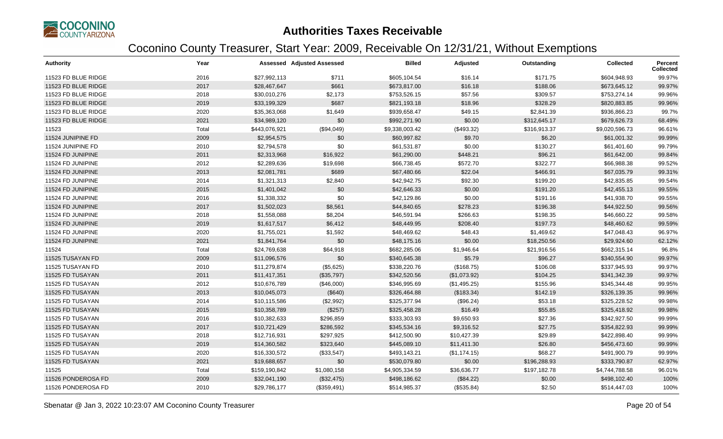

| Authority           | Year  |               | <b>Assessed Adjusted Assessed</b> | <b>Billed</b>  | Adjusted     | Outstanding  | <b>Collected</b> | Percent<br><b>Collected</b> |
|---------------------|-------|---------------|-----------------------------------|----------------|--------------|--------------|------------------|-----------------------------|
| 11523 FD BLUE RIDGE | 2016  | \$27,992,113  | \$711                             | \$605,104.54   | \$16.14      | \$171.75     | \$604,948.93     | 99.97%                      |
| 11523 FD BLUE RIDGE | 2017  | \$28,467,647  | \$661                             | \$673,817.00   | \$16.18      | \$188.06     | \$673,645.12     | 99.97%                      |
| 11523 FD BLUE RIDGE | 2018  | \$30,010,276  | \$2,173                           | \$753,526.15   | \$57.56      | \$309.57     | \$753,274.14     | 99.96%                      |
| 11523 FD BLUE RIDGE | 2019  | \$33,199,329  | \$687                             | \$821,193.18   | \$18.96      | \$328.29     | \$820,883.85     | 99.96%                      |
| 11523 FD BLUE RIDGE | 2020  | \$35,363,068  | \$1,649                           | \$939,658.47   | \$49.15      | \$2,841.39   | \$936,866.23     | 99.7%                       |
| 11523 FD BLUE RIDGE | 2021  | \$34,989,120  | \$0                               | \$992,271.90   | \$0.00       | \$312,645.17 | \$679,626.73     | 68.49%                      |
| 11523               | Total | \$443,076,921 | (\$94,049)                        | \$9,338,003.42 | (\$493.32)   | \$316,913.37 | \$9,020,596.73   | 96.61%                      |
| 11524 JUNIPINE FD   | 2009  | \$2,954,575   | \$0                               | \$60,997.82    | \$9.70       | \$6.20       | \$61,001.32      | 99.99%                      |
| 11524 JUNIPINE FD   | 2010  | \$2,794,578   | \$0                               | \$61,531.87    | \$0.00       | \$130.27     | \$61,401.60      | 99.79%                      |
| 11524 FD JUNIPINE   | 2011  | \$2,313,968   | \$16,922                          | \$61,290.00    | \$448.21     | \$96.21      | \$61,642.00      | 99.84%                      |
| 11524 FD JUNIPINE   | 2012  | \$2,289,636   | \$19,698                          | \$66,738.45    | \$572.70     | \$322.77     | \$66,988.38      | 99.52%                      |
| 11524 FD JUNIPINE   | 2013  | \$2,081,781   | \$689                             | \$67,480.66    | \$22.04      | \$466.91     | \$67,035.79      | 99.31%                      |
| 11524 FD JUNIPINE   | 2014  | \$1,321,313   | \$2,840                           | \$42,942.75    | \$92.30      | \$199.20     | \$42,835.85      | 99.54%                      |
| 11524 FD JUNIPINE   | 2015  | \$1,401,042   | \$0                               | \$42,646.33    | \$0.00       | \$191.20     | \$42,455.13      | 99.55%                      |
| 11524 FD JUNIPINE   | 2016  | \$1,338,332   | \$0                               | \$42,129.86    | \$0.00       | \$191.16     | \$41,938.70      | 99.55%                      |
| 11524 FD JUNIPINE   | 2017  | \$1,502,023   | \$8,561                           | \$44,840.65    | \$278.23     | \$196.38     | \$44,922.50      | 99.56%                      |
| 11524 FD JUNIPINE   | 2018  | \$1,558,088   | \$8,204                           | \$46,591.94    | \$266.63     | \$198.35     | \$46,660.22      | 99.58%                      |
| 11524 FD JUNIPINE   | 2019  | \$1,617,517   | \$6,412                           | \$48,449.95    | \$208.40     | \$197.73     | \$48,460.62      | 99.59%                      |
| 11524 FD JUNIPINE   | 2020  | \$1,755,021   | \$1,592                           | \$48,469.62    | \$48.43      | \$1,469.62   | \$47,048.43      | 96.97%                      |
| 11524 FD JUNIPINE   | 2021  | \$1,841,764   | \$0                               | \$48,175.16    | \$0.00       | \$18,250.56  | \$29,924.60      | 62.12%                      |
| 11524               | Total | \$24,769,638  | \$64,918                          | \$682,285.06   | \$1,946.64   | \$21,916.56  | \$662,315.14     | 96.8%                       |
| 11525 TUSAYAN FD    | 2009  | \$11,096,576  | \$0                               | \$340,645.38   | \$5.79       | \$96.27      | \$340,554.90     | 99.97%                      |
| 11525 TUSAYAN FD    | 2010  | \$11,279,874  | (\$5,625)                         | \$338,220.76   | (\$168.75)   | \$106.08     | \$337,945.93     | 99.97%                      |
| 11525 FD TUSAYAN    | 2011  | \$11,417,351  | (\$35,797)                        | \$342,520.56   | (\$1,073.92) | \$104.25     | \$341,342.39     | 99.97%                      |
| 11525 FD TUSAYAN    | 2012  | \$10,676,789  | (\$46,000)                        | \$346,995.69   | (\$1,495.25) | \$155.96     | \$345,344.48     | 99.95%                      |
| 11525 FD TUSAYAN    | 2013  | \$10,045,073  | (\$640)                           | \$326,464.88   | (\$183.34)   | \$142.19     | \$326,139.35     | 99.96%                      |
| 11525 FD TUSAYAN    | 2014  | \$10,115,586  | (\$2,992)                         | \$325,377.94   | (\$96.24)    | \$53.18      | \$325,228.52     | 99.98%                      |
| 11525 FD TUSAYAN    | 2015  | \$10,358,789  | (\$257)                           | \$325,458.28   | \$16.49      | \$55.85      | \$325,418.92     | 99.98%                      |
| 11525 FD TUSAYAN    | 2016  | \$10,382,633  | \$296,859                         | \$333,303.93   | \$9,650.93   | \$27.36      | \$342,927.50     | 99.99%                      |
| 11525 FD TUSAYAN    | 2017  | \$10,721,429  | \$286,592                         | \$345,534.16   | \$9,316.52   | \$27.75      | \$354,822.93     | 99.99%                      |
| 11525 FD TUSAYAN    | 2018  | \$12,716,931  | \$297,925                         | \$412,500.90   | \$10,427.39  | \$29.89      | \$422,898.40     | 99.99%                      |
| 11525 FD TUSAYAN    | 2019  | \$14,360,582  | \$323,640                         | \$445,089.10   | \$11,411.30  | \$26.80      | \$456,473.60     | 99.99%                      |
| 11525 FD TUSAYAN    | 2020  | \$16,330,572  | (\$33,547)                        | \$493,143.21   | (\$1,174.15) | \$68.27      | \$491,900.79     | 99.99%                      |
| 11525 FD TUSAYAN    | 2021  | \$19,688,657  | \$0                               | \$530,079.80   | \$0.00       | \$196,288.93 | \$333,790.87     | 62.97%                      |
| 11525               | Total | \$159,190,842 | \$1,080,158                       | \$4,905,334.59 | \$36,636.77  | \$197,182.78 | \$4,744,788.58   | 96.01%                      |
| 11526 PONDEROSA FD  | 2009  | \$32,041,190  | (\$32,475)                        | \$498,186.62   | (\$84.22)    | \$0.00       | \$498,102.40     | 100%                        |
| 11526 PONDEROSA FD  | 2010  | \$29,786,177  | (\$359,491)                       | \$514,985.37   | (\$535.84)   | \$2.50       | \$514,447.03     | 100%                        |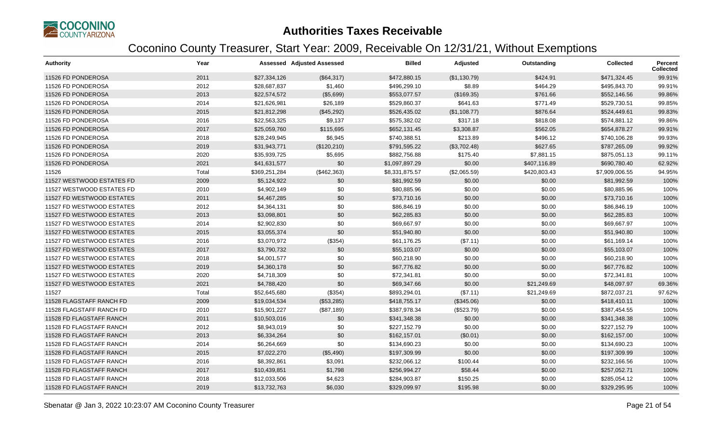

| <b>Authority</b>          | Year  |               | <b>Assessed Adjusted Assessed</b> | <b>Billed</b>  | Adjusted     | Outstanding  | <b>Collected</b> | Percent<br><b>Collected</b> |
|---------------------------|-------|---------------|-----------------------------------|----------------|--------------|--------------|------------------|-----------------------------|
| 11526 FD PONDEROSA        | 2011  | \$27,334,126  | (\$64,317)                        | \$472,880.15   | (\$1,130.79) | \$424.91     | \$471,324.45     | 99.91%                      |
| 11526 FD PONDEROSA        | 2012  | \$28,687,837  | \$1,460                           | \$496,299.10   | \$8.89       | \$464.29     | \$495,843.70     | 99.91%                      |
| 11526 FD PONDEROSA        | 2013  | \$22,574,572  | (\$5,699)                         | \$553,077.57   | (\$169.35)   | \$761.66     | \$552,146.56     | 99.86%                      |
| 11526 FD PONDEROSA        | 2014  | \$21,626,981  | \$26,189                          | \$529,860.37   | \$641.63     | \$771.49     | \$529,730.51     | 99.85%                      |
| 11526 FD PONDEROSA        | 2015  | \$21,812,298  | (\$45,292)                        | \$526,435.02   | (\$1,108.77) | \$876.64     | \$524,449.61     | 99.83%                      |
| 11526 FD PONDEROSA        | 2016  | \$22,563,325  | \$9,137                           | \$575,382.02   | \$317.18     | \$818.08     | \$574,881.12     | 99.86%                      |
| 11526 FD PONDEROSA        | 2017  | \$25,059,760  | \$115,695                         | \$652,131.45   | \$3,308.87   | \$562.05     | \$654,878.27     | 99.91%                      |
| 11526 FD PONDEROSA        | 2018  | \$28,249,945  | \$6,945                           | \$740,388.51   | \$213.89     | \$496.12     | \$740,106.28     | 99.93%                      |
| 11526 FD PONDEROSA        | 2019  | \$31,943,771  | (\$120,210)                       | \$791,595.22   | (\$3,702.48) | \$627.65     | \$787,265.09     | 99.92%                      |
| 11526 FD PONDEROSA        | 2020  | \$35,939,725  | \$5,695                           | \$882,756.88   | \$175.40     | \$7,881.15   | \$875,051.13     | 99.11%                      |
| 11526 FD PONDEROSA        | 2021  | \$41,631,577  | \$0                               | \$1,097,897.29 | \$0.00       | \$407,116.89 | \$690,780.40     | 62.92%                      |
| 11526                     | Total | \$369,251,284 | (\$462,363)                       | \$8,331,875.57 | (\$2,065.59) | \$420,803.43 | \$7,909,006.55   | 94.95%                      |
| 11527 WESTWOOD ESTATES FD | 2009  | \$5,124,922   | \$0                               | \$81,992.59    | \$0.00       | \$0.00       | \$81,992.59      | 100%                        |
| 11527 WESTWOOD ESTATES FD | 2010  | \$4,902,149   | \$0                               | \$80,885.96    | \$0.00       | \$0.00       | \$80,885.96      | 100%                        |
| 11527 FD WESTWOOD ESTATES | 2011  | \$4,467,285   | \$0                               | \$73,710.16    | \$0.00       | \$0.00       | \$73,710.16      | 100%                        |
| 11527 FD WESTWOOD ESTATES | 2012  | \$4,364,131   | \$0                               | \$86,846.19    | \$0.00       | \$0.00       | \$86,846.19      | 100%                        |
| 11527 FD WESTWOOD ESTATES | 2013  | \$3,098,801   | \$0                               | \$62,285.83    | \$0.00       | \$0.00       | \$62,285.83      | 100%                        |
| 11527 FD WESTWOOD ESTATES | 2014  | \$2,902,830   | \$0                               | \$69,667.97    | \$0.00       | \$0.00       | \$69,667.97      | 100%                        |
| 11527 FD WESTWOOD ESTATES | 2015  | \$3,055,374   | \$0                               | \$51,940.80    | \$0.00       | \$0.00       | \$51,940.80      | 100%                        |
| 11527 FD WESTWOOD ESTATES | 2016  | \$3,070,972   | (\$354)                           | \$61,176.25    | (\$7.11)     | \$0.00       | \$61,169.14      | 100%                        |
| 11527 FD WESTWOOD ESTATES | 2017  | \$3,790,732   | \$0                               | \$55,103.07    | \$0.00       | \$0.00       | \$55,103.07      | 100%                        |
| 11527 FD WESTWOOD ESTATES | 2018  | \$4,001,577   | \$0                               | \$60,218.90    | \$0.00       | \$0.00       | \$60,218.90      | 100%                        |
| 11527 FD WESTWOOD ESTATES | 2019  | \$4,360,178   | \$0                               | \$67,776.82    | \$0.00       | \$0.00       | \$67,776.82      | 100%                        |
| 11527 FD WESTWOOD ESTATES | 2020  | \$4,718,309   | \$0                               | \$72,341.81    | \$0.00       | \$0.00       | \$72,341.81      | 100%                        |
| 11527 FD WESTWOOD ESTATES | 2021  | \$4,788,420   | \$0                               | \$69,347.66    | \$0.00       | \$21,249.69  | \$48,097.97      | 69.36%                      |
| 11527                     | Total | \$52,645,680  | (\$354)                           | \$893,294.01   | (\$7.11)     | \$21,249.69  | \$872,037.21     | 97.62%                      |
| 11528 FLAGSTAFF RANCH FD  | 2009  | \$19,034,534  | (\$53,285)                        | \$418,755.17   | (\$345.06)   | \$0.00       | \$418,410.11     | 100%                        |
| 11528 FLAGSTAFF RANCH FD  | 2010  | \$15,901,227  | (\$87,189)                        | \$387,978.34   | (\$523.79)   | \$0.00       | \$387,454.55     | 100%                        |
| 11528 FD FLAGSTAFF RANCH  | 2011  | \$10,503,016  | \$0                               | \$341,348.38   | \$0.00       | \$0.00       | \$341,348.38     | 100%                        |
| 11528 FD FLAGSTAFF RANCH  | 2012  | \$8,943,019   | \$0                               | \$227,152.79   | \$0.00       | \$0.00       | \$227,152.79     | 100%                        |
| 11528 FD FLAGSTAFF RANCH  | 2013  | \$6,334,264   | \$0                               | \$162,157.01   | (\$0.01)     | \$0.00       | \$162,157.00     | 100%                        |
| 11528 FD FLAGSTAFF RANCH  | 2014  | \$6,264,669   | \$0                               | \$134,690.23   | \$0.00       | \$0.00       | \$134,690.23     | 100%                        |
| 11528 FD FLAGSTAFF RANCH  | 2015  | \$7,022,270   | (\$5,490)                         | \$197,309.99   | \$0.00       | \$0.00       | \$197,309.99     | 100%                        |
| 11528 FD FLAGSTAFF RANCH  | 2016  | \$8,392,861   | \$3,091                           | \$232,066.12   | \$100.44     | \$0.00       | \$232,166.56     | 100%                        |
| 11528 FD FLAGSTAFF RANCH  | 2017  | \$10,439,851  | \$1,798                           | \$256,994.27   | \$58.44      | \$0.00       | \$257,052.71     | 100%                        |
| 11528 FD FLAGSTAFF RANCH  | 2018  | \$12,033,506  | \$4,623                           | \$284,903.87   | \$150.25     | \$0.00       | \$285,054.12     | 100%                        |
| 11528 FD FLAGSTAFF RANCH  | 2019  | \$13,732,763  | \$6,030                           | \$329,099.97   | \$195.98     | \$0.00       | \$329,295.95     | 100%                        |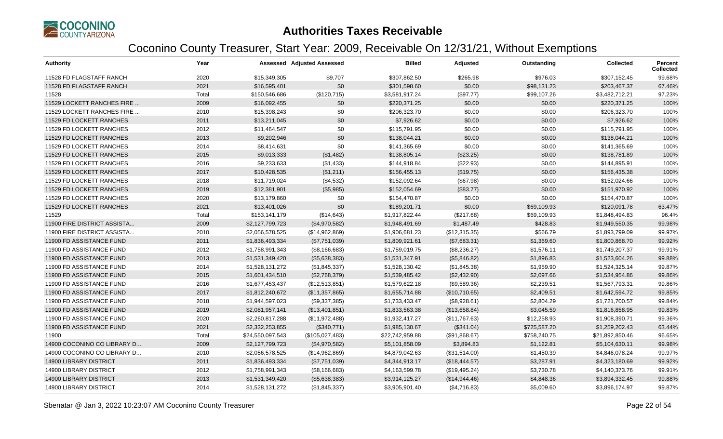

| <b>Authority</b>              | Year  |                  | Assessed Adjusted Assessed | <b>Billed</b>   | Adjusted      | Outstanding  | <b>Collected</b> | Percent<br><b>Collected</b> |
|-------------------------------|-------|------------------|----------------------------|-----------------|---------------|--------------|------------------|-----------------------------|
| 11528 FD FLAGSTAFF RANCH      | 2020  | \$15,349,305     | \$9,707                    | \$307,862.50    | \$265.98      | \$976.03     | \$307,152.45     | 99.68%                      |
| 11528 FD FLAGSTAFF RANCH      | 2021  | \$16,595,401     | \$0                        | \$301,598.60    | \$0.00        | \$98,131.23  | \$203,467.37     | 67.46%                      |
| 11528                         | Total | \$150,546,686    | (\$120,715)                | \$3,581,917.24  | (\$97.77)     | \$99,107.26  | \$3,482,712.21   | 97.23%                      |
| 11529 LOCKETT RANCHES FIRE    | 2009  | \$16,092,455     | \$0                        | \$220,371.25    | \$0.00        | \$0.00       | \$220,371.25     | 100%                        |
| 11529 LOCKETT RANCHES FIRE    | 2010  | \$15,398,243     | \$0                        | \$206,323.70    | \$0.00        | \$0.00       | \$206,323.70     | 100%                        |
| 11529 FD LOCKETT RANCHES      | 2011  | \$13,211,045     | \$0                        | \$7,926.62      | \$0.00        | \$0.00       | \$7,926.62       | 100%                        |
| 11529 FD LOCKETT RANCHES      | 2012  | \$11,464,547     | \$0                        | \$115,791.95    | \$0.00        | \$0.00       | \$115,791.95     | 100%                        |
| 11529 FD LOCKETT RANCHES      | 2013  | \$9,202,946      | \$0                        | \$138,044.21    | \$0.00        | \$0.00       | \$138,044.21     | 100%                        |
| 11529 FD LOCKETT RANCHES      | 2014  | \$8,414,631      | \$0                        | \$141,365.69    | \$0.00        | \$0.00       | \$141,365.69     | 100%                        |
| 11529 FD LOCKETT RANCHES      | 2015  | \$9,013,333      | (\$1,482)                  | \$138,805.14    | (\$23.25)     | \$0.00       | \$138,781.89     | 100%                        |
| 11529 FD LOCKETT RANCHES      | 2016  | \$9,233,633      | (\$1,433)                  | \$144,918.84    | (\$22.93)     | \$0.00       | \$144,895.91     | 100%                        |
| 11529 FD LOCKETT RANCHES      | 2017  | \$10,428,535     | (\$1,211)                  | \$156,455.13    | (\$19.75)     | \$0.00       | \$156,435.38     | 100%                        |
| 11529 FD LOCKETT RANCHES      | 2018  | \$11,719,024     | (\$4,532)                  | \$152,092.64    | (\$67.98)     | \$0.00       | \$152,024.66     | 100%                        |
| 11529 FD LOCKETT RANCHES      | 2019  | \$12,381,901     | (\$5,985)                  | \$152,054.69    | (\$83.77)     | \$0.00       | \$151,970.92     | 100%                        |
| 11529 FD LOCKETT RANCHES      | 2020  | \$13,179,860     | \$0                        | \$154,470.87    | \$0.00        | \$0.00       | \$154,470.87     | 100%                        |
| 11529 FD LOCKETT RANCHES      | 2021  | \$13,401,026     | \$0                        | \$189,201.71    | \$0.00        | \$69,109.93  | \$120,091.78     | 63.47%                      |
| 11529                         | Total | \$153,141,179    | (\$14,643)                 | \$1,917,822.44  | (\$217.68)    | \$69,109.93  | \$1,848,494.83   | 96.4%                       |
| 11900 FIRE DISTRICT ASSISTA   | 2009  | \$2,127,799,723  | (\$4,970,582)              | \$1,948,491.69  | \$1,487.49    | \$428.83     | \$1,949,550.35   | 99.98%                      |
| 11900 FIRE DISTRICT ASSISTA   | 2010  | \$2,056,578,525  | (\$14,962,869)             | \$1,906,681.23  | (\$12,315.35) | \$566.79     | \$1,893,799.09   | 99.97%                      |
| 11900 FD ASSISTANCE FUND      | 2011  | \$1,836,493,334  | (\$7,751,039)              | \$1,809,921.61  | (\$7,683.31)  | \$1,369.60   | \$1,800,868.70   | 99.92%                      |
| 11900 FD ASSISTANCE FUND      | 2012  | \$1,758,991,343  | (\$8,166,683)              | \$1,759,019.75  | (\$8,236.27)  | \$1,576.11   | \$1,749,207.37   | 99.91%                      |
| 11900 FD ASSISTANCE FUND      | 2013  | \$1,531,349,420  | (\$5,638,383)              | \$1,531,347.91  | (\$5,846.82)  | \$1,896.83   | \$1,523,604.26   | 99.88%                      |
| 11900 FD ASSISTANCE FUND      | 2014  | \$1,528,131,272  | (\$1,845,337)              | \$1,528,130.42  | (\$1,845.38)  | \$1,959.90   | \$1,524,325.14   | 99.87%                      |
| 11900 FD ASSISTANCE FUND      | 2015  | \$1,601,434,510  | (\$2,768,379)              | \$1,539,485.42  | (\$2,432.90)  | \$2,097.66   | \$1,534,954.86   | 99.86%                      |
| 11900 FD ASSISTANCE FUND      | 2016  | \$1,677,453,437  | (\$12,513,851)             | \$1,579,622.18  | (\$9,589.36)  | \$2,239.51   | \$1,567,793.31   | 99.86%                      |
| 11900 FD ASSISTANCE FUND      | 2017  | \$1,812,240,672  | (\$11,357,865)             | \$1,655,714.88  | (\$10,710.65) | \$2,409.51   | \$1,642,594.72   | 99.85%                      |
| 11900 FD ASSISTANCE FUND      | 2018  | \$1,944,597,023  | (\$9,337,385)              | \$1,733,433.47  | (\$8,928.61)  | \$2,804.29   | \$1,721,700.57   | 99.84%                      |
| 11900 FD ASSISTANCE FUND      | 2019  | \$2,081,957,141  | (\$13,401,851)             | \$1,833,563.38  | (\$13,658.84) | \$3,045.59   | \$1,816,858.95   | 99.83%                      |
| 11900 FD ASSISTANCE FUND      | 2020  | \$2,260,817,288  | (\$11,972,488)             | \$1,932,417.27  | (\$11,767.63) | \$12,258.93  | \$1,908,390.71   | 99.36%                      |
| 11900 FD ASSISTANCE FUND      | 2021  | \$2,332,253,855  | (\$340,771)                | \$1,985,130.67  | (\$341.04)    | \$725,587.20 | \$1,259,202.43   | 63.44%                      |
| 11900                         | Total | \$24,550,097,543 | (\$105,027,483)            | \$22,742,959.88 | (\$91,868.67) | \$758,240.75 | \$21,892,850.46  | 96.65%                      |
| 14900 COCONINO CO LIBRARY D   | 2009  | \$2,127,799,723  | (\$4,970,582)              | \$5,101,858.09  | \$3,894.83    | \$1,122.81   | \$5,104,630.11   | 99.98%                      |
| 14900 COCONINO CO LIBRARY D   | 2010  | \$2,056,578,525  | (\$14,962,869)             | \$4,879,042.63  | (\$31,514.00) | \$1,450.39   | \$4,846,078.24   | 99.97%                      |
| <b>14900 LIBRARY DISTRICT</b> | 2011  | \$1,836,493,334  | (\$7,751,039)              | \$4,344,913.17  | (\$18,444.57) | \$3,287.91   | \$4,323,180.69   | 99.92%                      |
| <b>14900 LIBRARY DISTRICT</b> | 2012  | \$1,758,991,343  | (\$8,166,683)              | \$4,163,599.78  | (\$19,495.24) | \$3,730.78   | \$4,140,373.76   | 99.91%                      |
| <b>14900 LIBRARY DISTRICT</b> | 2013  | \$1,531,349,420  | (\$5,638,383)              | \$3,914,125.27  | (\$14,944.46) | \$4,848.36   | \$3,894,332.45   | 99.88%                      |
| <b>14900 LIBRARY DISTRICT</b> | 2014  | \$1,528,131,272  | (\$1,845,337)              | \$3,905,901.40  | (\$4,716.83)  | \$5,009.60   | \$3,896,174.97   | 99.87%                      |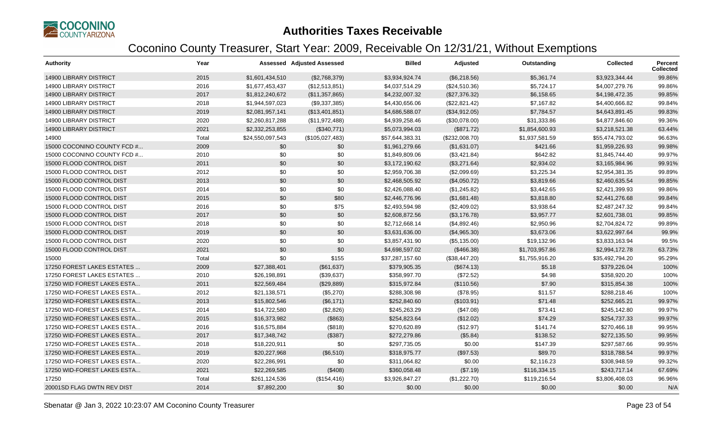

| <b>Authority</b>              | Year  |                  | <b>Assessed Adjusted Assessed</b> | <b>Billed</b>   | Adjusted       | Outstanding    | <b>Collected</b> | <b>Percent</b><br><b>Collected</b> |
|-------------------------------|-------|------------------|-----------------------------------|-----------------|----------------|----------------|------------------|------------------------------------|
| <b>14900 LIBRARY DISTRICT</b> | 2015  | \$1,601,434,510  | (\$2,768,379)                     | \$3,934,924.74  | (\$6,218.56)   | \$5,361.74     | \$3,923,344.44   | 99.86%                             |
| <b>14900 LIBRARY DISTRICT</b> | 2016  | \$1,677,453,437  | (\$12,513,851)                    | \$4,037,514.29  | (\$24,510.36)  | \$5,724.17     | \$4,007,279.76   | 99.86%                             |
| <b>14900 LIBRARY DISTRICT</b> | 2017  | \$1,812,240,672  | (\$11,357,865)                    | \$4,232,007.32  | (\$27,376.32)  | \$6,158.65     | \$4,198,472.35   | 99.85%                             |
| <b>14900 LIBRARY DISTRICT</b> | 2018  | \$1,944,597,023  | (\$9,337,385)                     | \$4,430,656.06  | (\$22,821.42)  | \$7,167.82     | \$4,400,666.82   | 99.84%                             |
| <b>14900 LIBRARY DISTRICT</b> | 2019  | \$2,081,957,141  | (\$13,401,851)                    | \$4,686,588.07  | (\$34,912.05)  | \$7,784.57     | \$4,643,891.45   | 99.83%                             |
| <b>14900 LIBRARY DISTRICT</b> | 2020  | \$2,260,817,288  | (\$11,972,488)                    | \$4,939,258.46  | (\$30,078.00)  | \$31,333.86    | \$4,877,846.60   | 99.36%                             |
| <b>14900 LIBRARY DISTRICT</b> | 2021  | \$2,332,253,855  | (\$340,771)                       | \$5,073,994.03  | (\$871.72)     | \$1,854,600.93 | \$3,218,521.38   | 63.44%                             |
| 14900                         | Total | \$24,550,097,543 | (\$105,027,483)                   | \$57,644,383.31 | (\$232,008.70) | \$1,937,581.59 | \$55,474,793.02  | 96.63%                             |
| 15000 COCONINO COUNTY FCD #   | 2009  | \$0              | \$0                               | \$1,961,279.66  | (\$1,631.07)   | \$421.66       | \$1,959,226.93   | 99.98%                             |
| 15000 COCONINO COUNTY FCD #   | 2010  | \$0              | \$0                               | \$1,849,809.06  | (\$3,421.84)   | \$642.82       | \$1,845,744.40   | 99.97%                             |
| 15000 FLOOD CONTROL DIST      | 2011  | \$0              | \$0                               | \$3,172,190.62  | (\$3,271.64)   | \$2,934.02     | \$3,165,984.96   | 99.91%                             |
| 15000 FLOOD CONTROL DIST      | 2012  | \$0              | \$0                               | \$2,959,706.38  | (\$2,099.69)   | \$3,225.34     | \$2,954,381.35   | 99.89%                             |
| 15000 FLOOD CONTROL DIST      | 2013  | \$0              | \$0                               | \$2,468,505.92  | (\$4,050.72)   | \$3,819.66     | \$2,460,635.54   | 99.85%                             |
| 15000 FLOOD CONTROL DIST      | 2014  | \$0              | \$0                               | \$2,426,088.40  | (\$1,245.82)   | \$3,442.65     | \$2,421,399.93   | 99.86%                             |
| 15000 FLOOD CONTROL DIST      | 2015  | \$0              | \$80                              | \$2,446,776.96  | (\$1,681.48)   | \$3,818.80     | \$2,441,276.68   | 99.84%                             |
| 15000 FLOOD CONTROL DIST      | 2016  | \$0              | \$75                              | \$2,493,594.98  | (\$2,409.02)   | \$3,938.64     | \$2,487,247.32   | 99.84%                             |
| 15000 FLOOD CONTROL DIST      | 2017  | \$0              | \$0                               | \$2,608,872.56  | (\$3,176.78)   | \$3,957.77     | \$2,601,738.01   | 99.85%                             |
| 15000 FLOOD CONTROL DIST      | 2018  | \$0              | \$0                               | \$2,712,668.14  | (\$4,892.46)   | \$2,950.96     | \$2,704,824.72   | 99.89%                             |
| 15000 FLOOD CONTROL DIST      | 2019  | \$0              | \$0                               | \$3,631,636.00  | (\$4,965.30)   | \$3,673.06     | \$3,622,997.64   | 99.9%                              |
| 15000 FLOOD CONTROL DIST      | 2020  | \$0              | \$0                               | \$3,857,431.90  | (\$5,135.00)   | \$19,132.96    | \$3,833,163.94   | 99.5%                              |
| 15000 FLOOD CONTROL DIST      | 2021  | \$0              | \$0                               | \$4,698,597.02  | (\$466.38)     | \$1,703,957.86 | \$2,994,172.78   | 63.73%                             |
| 15000                         | Total | \$0              | \$155                             | \$37,287,157.60 | (\$38,447.20)  | \$1,755,916.20 | \$35,492,794.20  | 95.29%                             |
| 17250 FOREST LAKES ESTATES    | 2009  | \$27,388,401     | (\$61,637)                        | \$379,905.35    | (\$674.13)     | \$5.18         | \$379,226.04     | 100%                               |
| 17250 FOREST LAKES ESTATES    | 2010  | \$26,198,891     | (\$39,637)                        | \$358,997.70    | (\$72.52)      | \$4.98         | \$358,920.20     | 100%                               |
| 17250 WID FOREST LAKES ESTA   | 2011  | \$22,569,484     | (\$29,889)                        | \$315,972.84    | (\$110.56)     | \$7.90         | \$315,854.38     | 100%                               |
| 17250 WID-FOREST LAKES ESTA   | 2012  | \$21,138,571     | (\$5,270)                         | \$288,308.98    | (\$78.95)      | \$11.57        | \$288,218.46     | 100%                               |
| 17250 WID-FOREST LAKES ESTA   | 2013  | \$15,802,546     | (\$6,171)                         | \$252,840.60    | (\$103.91)     | \$71.48        | \$252.665.21     | 99.97%                             |
| 17250 WID-FOREST LAKES ESTA   | 2014  | \$14,722,580     | (\$2,826)                         | \$245,263.29    | (\$47.08)      | \$73.41        | \$245,142.80     | 99.97%                             |
| 17250 WID-FOREST LAKES ESTA   | 2015  | \$16,373,982     | (\$863)                           | \$254,823.64    | (\$12.02)      | \$74.29        | \$254,737.33     | 99.97%                             |
| 17250 WID-FOREST LAKES ESTA   | 2016  | \$16,575,884     | (\$818)                           | \$270,620.89    | (\$12.97)      | \$141.74       | \$270,466.18     | 99.95%                             |
| 17250 WID-FOREST LAKES ESTA   | 2017  | \$17,348,742     | (\$387)                           | \$272,279.86    | (\$5.84)       | \$138.52       | \$272,135.50     | 99.95%                             |
| 17250 WID-FOREST LAKES ESTA   | 2018  | \$18,220,911     | \$0                               | \$297,735.05    | \$0.00         | \$147.39       | \$297,587.66     | 99.95%                             |
| 17250 WID-FOREST LAKES ESTA   | 2019  | \$20,227,968     | (\$6,510)                         | \$318,975.77    | (\$97.53)      | \$89.70        | \$318,788.54     | 99.97%                             |
| 17250 WID-FOREST LAKES ESTA   | 2020  | \$22,286,991     | \$0                               | \$311,064.82    | \$0.00         | \$2,116.23     | \$308,948.59     | 99.32%                             |
| 17250 WID-FOREST LAKES ESTA   | 2021  | \$22,269,585     | (\$408)                           | \$360,058.48    | (\$7.19)       | \$116,334.15   | \$243,717.14     | 67.69%                             |
| 17250                         | Total | \$261,124,536    | (\$154, 416)                      | \$3,926,847.27  | (\$1,222.70)   | \$119,216.54   | \$3,806,408.03   | 96.96%                             |
| 20001SD FLAG DWTN REV DIST    | 2014  | \$7,892,200      | \$0                               | \$0.00          | \$0.00         | \$0.00         | \$0.00           | N/A                                |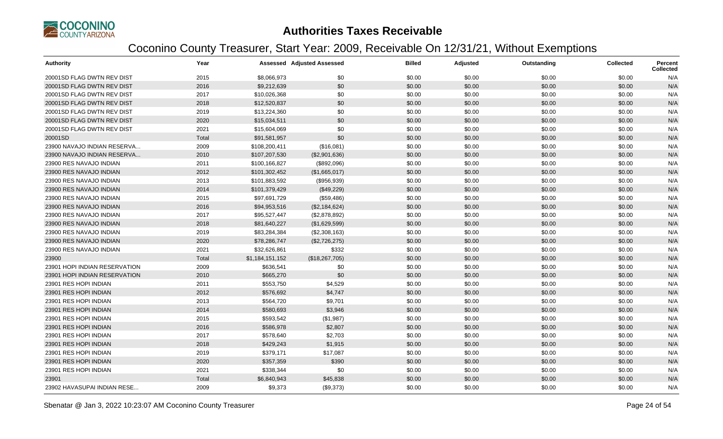

| <b>Authority</b>              | Year  |                 | <b>Assessed Adjusted Assessed</b> | <b>Billed</b> | Adjusted | Outstanding | <b>Collected</b> | <b>Percent</b><br><b>Collected</b> |
|-------------------------------|-------|-----------------|-----------------------------------|---------------|----------|-------------|------------------|------------------------------------|
| 20001SD FLAG DWTN REV DIST    | 2015  | \$8,066,973     | \$0                               | \$0.00        | \$0.00   | \$0.00      | \$0.00           | N/A                                |
| 20001SD FLAG DWTN REV DIST    | 2016  | \$9,212,639     | \$0                               | \$0.00        | \$0.00   | \$0.00      | \$0.00           | N/A                                |
| 20001SD FLAG DWTN REV DIST    | 2017  | \$10,026,368    | \$0                               | \$0.00        | \$0.00   | \$0.00      | \$0.00           | N/A                                |
| 20001SD FLAG DWTN REV DIST    | 2018  | \$12,520,837    | \$0                               | \$0.00        | \$0.00   | \$0.00      | \$0.00           | N/A                                |
| 20001SD FLAG DWTN REV DIST    | 2019  | \$13,224,360    | \$0                               | \$0.00        | \$0.00   | \$0.00      | \$0.00           | N/A                                |
| 20001SD FLAG DWTN REV DIST    | 2020  | \$15,034,511    | \$0                               | \$0.00        | \$0.00   | \$0.00      | \$0.00           | N/A                                |
| 20001SD FLAG DWTN REV DIST    | 2021  | \$15,604,069    | \$0                               | \$0.00        | \$0.00   | \$0.00      | \$0.00           | N/A                                |
| 20001SD                       | Total | \$91,581,957    | \$0                               | \$0.00        | \$0.00   | \$0.00      | \$0.00           | N/A                                |
| 23900 NAVAJO INDIAN RESERVA   | 2009  | \$108,200,411   | (\$16,081)                        | \$0.00        | \$0.00   | \$0.00      | \$0.00           | N/A                                |
| 23900 NAVAJO INDIAN RESERVA   | 2010  | \$107,207,530   | (\$2,901,636)                     | \$0.00        | \$0.00   | \$0.00      | \$0.00           | N/A                                |
| 23900 RES NAVAJO INDIAN       | 2011  | \$100,166,827   | (\$892,096)                       | \$0.00        | \$0.00   | \$0.00      | \$0.00           | N/A                                |
| 23900 RES NAVAJO INDIAN       | 2012  | \$101,302,452   | (\$1,665,017)                     | \$0.00        | \$0.00   | \$0.00      | \$0.00           | N/A                                |
| 23900 RES NAVAJO INDIAN       | 2013  | \$101,883,592   | (\$956,939)                       | \$0.00        | \$0.00   | \$0.00      | \$0.00           | N/A                                |
| 23900 RES NAVAJO INDIAN       | 2014  | \$101,379,429   | (\$49,229)                        | \$0.00        | \$0.00   | \$0.00      | \$0.00           | N/A                                |
| 23900 RES NAVAJO INDIAN       | 2015  | \$97,691,729    | (\$59,486)                        | \$0.00        | \$0.00   | \$0.00      | \$0.00           | N/A                                |
| 23900 RES NAVAJO INDIAN       | 2016  | \$94,953,516    | (\$2,184,624)                     | \$0.00        | \$0.00   | \$0.00      | \$0.00           | N/A                                |
| 23900 RES NAVAJO INDIAN       | 2017  | \$95,527,447    | (\$2,878,892)                     | \$0.00        | \$0.00   | \$0.00      | \$0.00           | N/A                                |
| 23900 RES NAVAJO INDIAN       | 2018  | \$81,640,227    | (\$1,629,599)                     | \$0.00        | \$0.00   | \$0.00      | \$0.00           | N/A                                |
| 23900 RES NAVAJO INDIAN       | 2019  | \$83,284,384    | (\$2,308,163)                     | \$0.00        | \$0.00   | \$0.00      | \$0.00           | N/A                                |
| 23900 RES NAVAJO INDIAN       | 2020  | \$78,286,747    | (\$2,726,275)                     | \$0.00        | \$0.00   | \$0.00      | \$0.00           | N/A                                |
| 23900 RES NAVAJO INDIAN       | 2021  | \$32,626,861    | \$332                             | \$0.00        | \$0.00   | \$0.00      | \$0.00           | N/A                                |
| 23900                         | Total | \$1,184,151,152 | (\$18,267,705)                    | \$0.00        | \$0.00   | \$0.00      | \$0.00           | N/A                                |
| 23901 HOPI INDIAN RESERVATION | 2009  | \$636,541       | \$0                               | \$0.00        | \$0.00   | \$0.00      | \$0.00           | N/A                                |
| 23901 HOPI INDIAN RESERVATION | 2010  | \$665,270       | \$0                               | \$0.00        | \$0.00   | \$0.00      | \$0.00           | N/A                                |
| 23901 RES HOPI INDIAN         | 2011  | \$553,750       | \$4,529                           | \$0.00        | \$0.00   | \$0.00      | \$0.00           | N/A                                |
| 23901 RES HOPI INDIAN         | 2012  | \$576,692       | \$4,747                           | \$0.00        | \$0.00   | \$0.00      | \$0.00           | N/A                                |
| 23901 RES HOPI INDIAN         | 2013  | \$564,720       | \$9,701                           | \$0.00        | \$0.00   | \$0.00      | \$0.00           | N/A                                |
| 23901 RES HOPI INDIAN         | 2014  | \$580,693       | \$3,946                           | \$0.00        | \$0.00   | \$0.00      | \$0.00           | N/A                                |
| 23901 RES HOPI INDIAN         | 2015  | \$593,542       | (\$1,987)                         | \$0.00        | \$0.00   | \$0.00      | \$0.00           | N/A                                |
| 23901 RES HOPI INDIAN         | 2016  | \$586,978       | \$2,807                           | \$0.00        | \$0.00   | \$0.00      | \$0.00           | N/A                                |
| 23901 RES HOPI INDIAN         | 2017  | \$578,640       | \$2,703                           | \$0.00        | \$0.00   | \$0.00      | \$0.00           | N/A                                |
| 23901 RES HOPI INDIAN         | 2018  | \$429,243       | \$1,915                           | \$0.00        | \$0.00   | \$0.00      | \$0.00           | N/A                                |
| 23901 RES HOPI INDIAN         | 2019  | \$379,171       | \$17,087                          | \$0.00        | \$0.00   | \$0.00      | \$0.00           | N/A                                |
| 23901 RES HOPI INDIAN         | 2020  | \$357,359       | \$390                             | \$0.00        | \$0.00   | \$0.00      | \$0.00           | N/A                                |
| 23901 RES HOPI INDIAN         | 2021  | \$338,344       | \$0                               | \$0.00        | \$0.00   | \$0.00      | \$0.00           | N/A                                |
| 23901                         | Total | \$6,840,943     | \$45,838                          | \$0.00        | \$0.00   | \$0.00      | \$0.00           | N/A                                |
| 23902 HAVASUPAI INDIAN RESE   | 2009  | \$9,373         | (\$9,373)                         | \$0.00        | \$0.00   | \$0.00      | \$0.00           | N/A                                |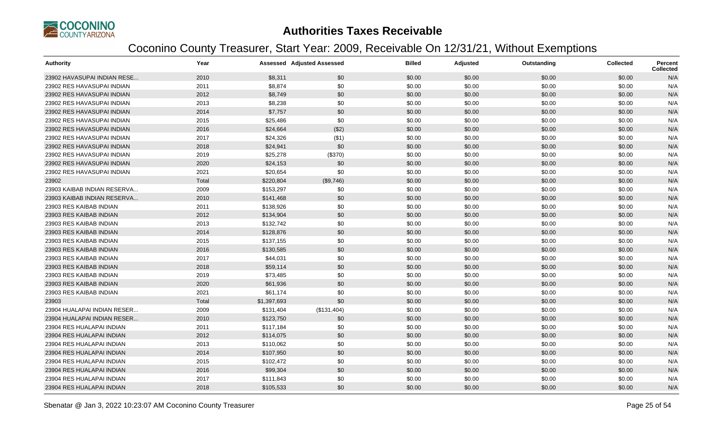

| <b>Authority</b>            | Year  |             | <b>Assessed Adjusted Assessed</b> | <b>Billed</b> | Adjusted | Outstanding | Collected | Percent<br><b>Collected</b> |
|-----------------------------|-------|-------------|-----------------------------------|---------------|----------|-------------|-----------|-----------------------------|
| 23902 HAVASUPAI INDIAN RESE | 2010  | \$8,311     | \$0                               | \$0.00        | \$0.00   | \$0.00      | \$0.00    | N/A                         |
| 23902 RES HAVASUPAI INDIAN  | 2011  | \$8,874     | \$0                               | \$0.00        | \$0.00   | \$0.00      | \$0.00    | N/A                         |
| 23902 RES HAVASUPAI INDIAN  | 2012  | \$8,749     | \$0                               | \$0.00        | \$0.00   | \$0.00      | \$0.00    | N/A                         |
| 23902 RES HAVASUPAI INDIAN  | 2013  | \$8,238     | \$0                               | \$0.00        | \$0.00   | \$0.00      | \$0.00    | N/A                         |
| 23902 RES HAVASUPAI INDIAN  | 2014  | \$7,757     | \$0                               | \$0.00        | \$0.00   | \$0.00      | \$0.00    | N/A                         |
| 23902 RES HAVASUPAI INDIAN  | 2015  | \$25,486    | \$0                               | \$0.00        | \$0.00   | \$0.00      | \$0.00    | N/A                         |
| 23902 RES HAVASUPAI INDIAN  | 2016  | \$24,664    | (\$2)                             | \$0.00        | \$0.00   | \$0.00      | \$0.00    | N/A                         |
| 23902 RES HAVASUPAI INDIAN  | 2017  | \$24,326    | (\$1)                             | \$0.00        | \$0.00   | \$0.00      | \$0.00    | N/A                         |
| 23902 RES HAVASUPAI INDIAN  | 2018  | \$24,941    | \$0                               | \$0.00        | \$0.00   | \$0.00      | \$0.00    | N/A                         |
| 23902 RES HAVASUPAI INDIAN  | 2019  | \$25,278    | (\$370)                           | \$0.00        | \$0.00   | \$0.00      | \$0.00    | N/A                         |
| 23902 RES HAVASUPAI INDIAN  | 2020  | \$24,153    | \$0                               | \$0.00        | \$0.00   | \$0.00      | \$0.00    | N/A                         |
| 23902 RES HAVASUPAI INDIAN  | 2021  | \$20,654    | \$0                               | \$0.00        | \$0.00   | \$0.00      | \$0.00    | N/A                         |
| 23902                       | Total | \$220,804   | (\$9,746)                         | \$0.00        | \$0.00   | \$0.00      | \$0.00    | N/A                         |
| 23903 KAIBAB INDIAN RESERVA | 2009  | \$153,297   | \$0                               | \$0.00        | \$0.00   | \$0.00      | \$0.00    | N/A                         |
| 23903 KAIBAB INDIAN RESERVA | 2010  | \$141,468   | \$0                               | \$0.00        | \$0.00   | \$0.00      | \$0.00    | N/A                         |
| 23903 RES KAIBAB INDIAN     | 2011  | \$138,926   | \$0                               | \$0.00        | \$0.00   | \$0.00      | \$0.00    | N/A                         |
| 23903 RES KAIBAB INDIAN     | 2012  | \$134,904   | \$0                               | \$0.00        | \$0.00   | \$0.00      | \$0.00    | N/A                         |
| 23903 RES KAIBAB INDIAN     | 2013  | \$132,742   | \$0                               | \$0.00        | \$0.00   | \$0.00      | \$0.00    | N/A                         |
| 23903 RES KAIBAB INDIAN     | 2014  | \$128,876   | \$0                               | \$0.00        | \$0.00   | \$0.00      | \$0.00    | N/A                         |
| 23903 RES KAIBAB INDIAN     | 2015  | \$137,155   | \$0                               | \$0.00        | \$0.00   | \$0.00      | \$0.00    | N/A                         |
| 23903 RES KAIBAB INDIAN     | 2016  | \$130,585   | \$0                               | \$0.00        | \$0.00   | \$0.00      | \$0.00    | N/A                         |
| 23903 RES KAIBAB INDIAN     | 2017  | \$44,031    | \$0                               | \$0.00        | \$0.00   | \$0.00      | \$0.00    | N/A                         |
| 23903 RES KAIBAB INDIAN     | 2018  | \$59,114    | \$0                               | \$0.00        | \$0.00   | \$0.00      | \$0.00    | N/A                         |
| 23903 RES KAIBAB INDIAN     | 2019  | \$73,485    | \$0                               | \$0.00        | \$0.00   | \$0.00      | \$0.00    | N/A                         |
| 23903 RES KAIBAB INDIAN     | 2020  | \$61,936    | \$0                               | \$0.00        | \$0.00   | \$0.00      | \$0.00    | N/A                         |
| 23903 RES KAIBAB INDIAN     | 2021  | \$61,174    | \$0                               | \$0.00        | \$0.00   | \$0.00      | \$0.00    | N/A                         |
| 23903                       | Total | \$1,397,693 | \$0                               | \$0.00        | \$0.00   | \$0.00      | \$0.00    | N/A                         |
| 23904 HUALAPAI INDIAN RESER | 2009  | \$131,404   | (\$131,404)                       | \$0.00        | \$0.00   | \$0.00      | \$0.00    | N/A                         |
| 23904 HUALAPAI INDIAN RESER | 2010  | \$123,750   | \$0                               | \$0.00        | \$0.00   | \$0.00      | \$0.00    | N/A                         |
| 23904 RES HUALAPAI INDIAN   | 2011  | \$117,184   | \$0                               | \$0.00        | \$0.00   | \$0.00      | \$0.00    | N/A                         |
| 23904 RES HUALAPAI INDIAN   | 2012  | \$114,075   | \$0                               | \$0.00        | \$0.00   | \$0.00      | \$0.00    | N/A                         |
| 23904 RES HUALAPAI INDIAN   | 2013  | \$110,062   | \$0                               | \$0.00        | \$0.00   | \$0.00      | \$0.00    | N/A                         |
| 23904 RES HUALAPAI INDIAN   | 2014  | \$107,950   | \$0                               | \$0.00        | \$0.00   | \$0.00      | \$0.00    | N/A                         |
| 23904 RES HUALAPAI INDIAN   | 2015  | \$102,472   | \$0                               | \$0.00        | \$0.00   | \$0.00      | \$0.00    | N/A                         |
| 23904 RES HUALAPAI INDIAN   | 2016  | \$99,304    | \$0                               | \$0.00        | \$0.00   | \$0.00      | \$0.00    | N/A                         |
| 23904 RES HUALAPAI INDIAN   | 2017  | \$111,843   | \$0                               | \$0.00        | \$0.00   | \$0.00      | \$0.00    | N/A                         |
| 23904 RES HUALAPAI INDIAN   | 2018  | \$105,533   | \$0                               | \$0.00        | \$0.00   | \$0.00      | \$0.00    | N/A                         |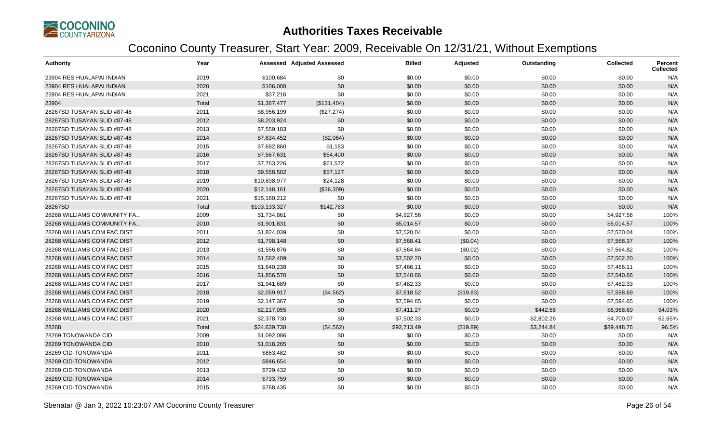

| <b>Authority</b>            | Year  |               | <b>Assessed Adjusted Assessed</b> | <b>Billed</b> | Adjusted  | Outstanding | <b>Collected</b> | <b>Percent</b><br><b>Collected</b> |
|-----------------------------|-------|---------------|-----------------------------------|---------------|-----------|-------------|------------------|------------------------------------|
| 23904 RES HUALAPAI INDIAN   | 2019  | \$100,684     | \$0                               | \$0.00        | \$0.00    | \$0.00      | \$0.00           | N/A                                |
| 23904 RES HUALAPAI INDIAN   | 2020  | \$106,000     | \$0                               | \$0.00        | \$0.00    | \$0.00      | \$0.00           | N/A                                |
| 23904 RES HUALAPAI INDIAN   | 2021  | \$37,216      | \$0                               | \$0.00        | \$0.00    | \$0.00      | \$0.00           | N/A                                |
| 23904                       | Total | \$1,367,477   | (\$131,404)                       | \$0.00        | \$0.00    | \$0.00      | \$0.00           | N/A                                |
| 28267SD TUSAYAN SLID #87-48 | 2011  | \$8,956,199   | (\$27,274)                        | \$0.00        | \$0.00    | \$0.00      | \$0.00           | N/A                                |
| 28267SD TUSAYAN SLID #87-48 | 2012  | \$8,203,924   | \$0                               | \$0.00        | \$0.00    | \$0.00      | \$0.00           | N/A                                |
| 28267SD TUSAYAN SLID #87-48 | 2013  | \$7,559,183   | \$0                               | \$0.00        | \$0.00    | \$0.00      | \$0.00           | N/A                                |
| 28267SD TUSAYAN SLID #87-48 | 2014  | \$7,634,452   | (\$2,064)                         | \$0.00        | \$0.00    | \$0.00      | \$0.00           | N/A                                |
| 28267SD TUSAYAN SLID #87-48 | 2015  | \$7,682,860   | \$1,183                           | \$0.00        | \$0.00    | \$0.00      | \$0.00           | N/A                                |
| 28267SD TUSAYAN SLID #87-48 | 2016  | \$7,567,631   | \$64,400                          | \$0.00        | \$0.00    | \$0.00      | \$0.00           | N/A                                |
| 28267SD TUSAYAN SLID #87-48 | 2017  | \$7,763,226   | \$61,572                          | \$0.00        | \$0.00    | \$0.00      | \$0.00           | N/A                                |
| 28267SD TUSAYAN SLID #87-48 | 2018  | \$9,558,502   | \$57,127                          | \$0.00        | \$0.00    | \$0.00      | \$0.00           | N/A                                |
| 28267SD TUSAYAN SLID #87-48 | 2019  | \$10,898,977  | \$24,128                          | \$0.00        | \$0.00    | \$0.00      | \$0.00           | N/A                                |
| 28267SD TUSAYAN SLID #87-48 | 2020  | \$12,148,161  | (\$36,309)                        | \$0.00        | \$0.00    | \$0.00      | \$0.00           | N/A                                |
| 28267SD TUSAYAN SLID #87-48 | 2021  | \$15,160,212  | \$0                               | \$0.00        | \$0.00    | \$0.00      | \$0.00           | N/A                                |
| 28267SD                     | Total | \$103,133,327 | \$142,763                         | \$0.00        | \$0.00    | \$0.00      | \$0.00           | N/A                                |
| 28268 WILLIAMS COMMUNITY FA | 2009  | \$1,734,861   | \$0                               | \$4,927.56    | \$0.00    | \$0.00      | \$4,927.56       | 100%                               |
| 28268 WILLIAMS COMMUNITY FA | 2010  | \$1,901,831   | \$0                               | \$5,014.57    | \$0.00    | \$0.00      | \$5,014.57       | 100%                               |
| 28268 WILLIAMS COM FAC DIST | 2011  | \$1,824,039   | \$0                               | \$7,520.04    | \$0.00    | \$0.00      | \$7,520.04       | 100%                               |
| 28268 WILLIAMS COM FAC DIST | 2012  | \$1,798,148   | \$0                               | \$7,568.41    | (\$0.04)  | \$0.00      | \$7,568.37       | 100%                               |
| 28268 WILLIAMS COM FAC DIST | 2013  | \$1,556,876   | \$0                               | \$7,564.84    | (\$0.02)  | \$0.00      | \$7,564.82       | 100%                               |
| 28268 WILLIAMS COM FAC DIST | 2014  | \$1,582,409   | \$0                               | \$7,502.20    | \$0.00    | \$0.00      | \$7,502.20       | 100%                               |
| 28268 WILLIAMS COM FAC DIST | 2015  | \$1,640,238   | \$0                               | \$7,466.11    | \$0.00    | \$0.00      | \$7,466.11       | 100%                               |
| 28268 WILLIAMS COM FAC DIST | 2016  | \$1,856,570   | \$0                               | \$7,540.66    | \$0.00    | \$0.00      | \$7,540.66       | 100%                               |
| 28268 WILLIAMS COM FAC DIST | 2017  | \$1,941,689   | \$0                               | \$7,482.33    | \$0.00    | \$0.00      | \$7,482.33       | 100%                               |
| 28268 WILLIAMS COM FAC DIST | 2018  | \$2,059,917   | (\$4,562)                         | \$7,618.52    | (\$19.83) | \$0.00      | \$7,598.69       | 100%                               |
| 28268 WILLIAMS COM FAC DIST | 2019  | \$2,147,367   | \$0                               | \$7,594.65    | \$0.00    | \$0.00      | \$7,594.65       | 100%                               |
| 28268 WILLIAMS COM FAC DIST | 2020  | \$2,217,055   | \$0                               | \$7,411.27    | \$0.00    | \$442.58    | \$6,968.69       | 94.03%                             |
| 28268 WILLIAMS COM FAC DIST | 2021  | \$2,378,730   | \$0                               | \$7,502.33    | \$0.00    | \$2,802.26  | \$4,700.07       | 62.65%                             |
| 28268                       | Total | \$24,639,730  | (\$4,562)                         | \$92,713.49   | (\$19.89) | \$3,244.84  | \$89,448.76      | 96.5%                              |
| 28269 TONOWANDA CID         | 2009  | \$1,092,086   | \$0                               | \$0.00        | \$0.00    | \$0.00      | \$0.00           | N/A                                |
| 28269 TONOWANDA CID         | 2010  | \$1,018,265   | \$0                               | \$0.00        | \$0.00    | \$0.00      | \$0.00           | N/A                                |
| 28269 CID-TONOWANDA         | 2011  | \$853,482     | \$0                               | \$0.00        | \$0.00    | \$0.00      | \$0.00           | N/A                                |
| 28269 CID-TONOWANDA         | 2012  | \$846,654     | \$0                               | \$0.00        | \$0.00    | \$0.00      | \$0.00           | N/A                                |
| 28269 CID-TONOWANDA         | 2013  | \$729,432     | \$0                               | \$0.00        | \$0.00    | \$0.00      | \$0.00           | N/A                                |
| 28269 CID-TONOWANDA         | 2014  | \$733,759     | \$0                               | \$0.00        | \$0.00    | \$0.00      | \$0.00           | N/A                                |
| 28269 CID-TONOWANDA         | 2015  | \$768,435     | \$0                               | \$0.00        | \$0.00    | \$0.00      | \$0.00           | N/A                                |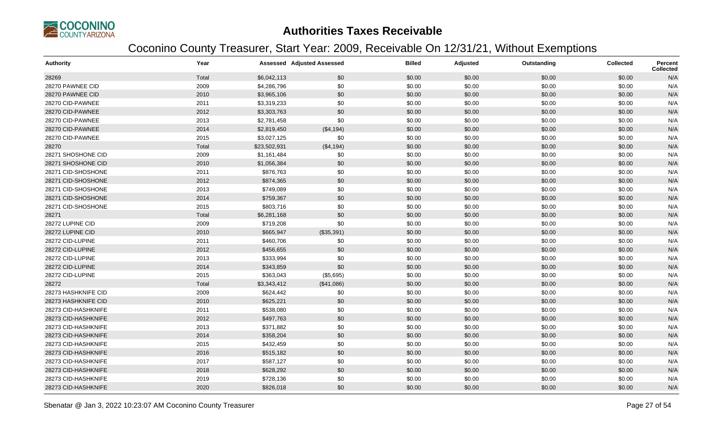

| <b>Authority</b>    | Year  |              | <b>Assessed Adjusted Assessed</b> | <b>Billed</b> | Adjusted | Outstanding | <b>Collected</b> | <b>Percent</b><br><b>Collected</b> |
|---------------------|-------|--------------|-----------------------------------|---------------|----------|-------------|------------------|------------------------------------|
| 28269               | Total | \$6,042,113  | \$0                               | \$0.00        | \$0.00   | \$0.00      | \$0.00           | N/A                                |
| 28270 PAWNEE CID    | 2009  | \$4,286,796  | \$0                               | \$0.00        | \$0.00   | \$0.00      | \$0.00           | N/A                                |
| 28270 PAWNEE CID    | 2010  | \$3,965,106  | \$0                               | \$0.00        | \$0.00   | \$0.00      | \$0.00           | N/A                                |
| 28270 CID-PAWNEE    | 2011  | \$3,319,233  | \$0                               | \$0.00        | \$0.00   | \$0.00      | \$0.00           | N/A                                |
| 28270 CID-PAWNEE    | 2012  | \$3,303,763  | \$0                               | \$0.00        | \$0.00   | \$0.00      | \$0.00           | N/A                                |
| 28270 CID-PAWNEE    | 2013  | \$2,781,458  | \$0                               | \$0.00        | \$0.00   | \$0.00      | \$0.00           | N/A                                |
| 28270 CID-PAWNEE    | 2014  | \$2,819,450  | (\$4,194)                         | \$0.00        | \$0.00   | \$0.00      | \$0.00           | N/A                                |
| 28270 CID-PAWNEE    | 2015  | \$3,027,125  | \$0                               | \$0.00        | \$0.00   | \$0.00      | \$0.00           | N/A                                |
| 28270               | Total | \$23,502,931 | (\$4,194)                         | \$0.00        | \$0.00   | \$0.00      | \$0.00           | N/A                                |
| 28271 SHOSHONE CID  | 2009  | \$1,161,484  | \$0                               | \$0.00        | \$0.00   | \$0.00      | \$0.00           | N/A                                |
| 28271 SHOSHONE CID  | 2010  | \$1,056,384  | \$0                               | \$0.00        | \$0.00   | \$0.00      | \$0.00           | N/A                                |
| 28271 CID-SHOSHONE  | 2011  | \$876,763    | \$0                               | \$0.00        | \$0.00   | \$0.00      | \$0.00           | N/A                                |
| 28271 CID-SHOSHONE  | 2012  | \$874,365    | \$0                               | \$0.00        | \$0.00   | \$0.00      | \$0.00           | N/A                                |
| 28271 CID-SHOSHONE  | 2013  | \$749,089    | \$0                               | \$0.00        | \$0.00   | \$0.00      | \$0.00           | N/A                                |
| 28271 CID-SHOSHONE  | 2014  | \$759,367    | \$0                               | \$0.00        | \$0.00   | \$0.00      | \$0.00           | N/A                                |
| 28271 CID-SHOSHONE  | 2015  | \$803,716    | \$0                               | \$0.00        | \$0.00   | \$0.00      | \$0.00           | N/A                                |
| 28271               | Total | \$6,281,168  | \$0                               | \$0.00        | \$0.00   | \$0.00      | \$0.00           | N/A                                |
| 28272 LUPINE CID    | 2009  | \$719,208    | \$0                               | \$0.00        | \$0.00   | \$0.00      | \$0.00           | N/A                                |
| 28272 LUPINE CID    | 2010  | \$665,947    | (\$35,391)                        | \$0.00        | \$0.00   | \$0.00      | \$0.00           | N/A                                |
| 28272 CID-LUPINE    | 2011  | \$460,706    | \$0                               | \$0.00        | \$0.00   | \$0.00      | \$0.00           | N/A                                |
| 28272 CID-LUPINE    | 2012  | \$456,655    | \$0                               | \$0.00        | \$0.00   | \$0.00      | \$0.00           | N/A                                |
| 28272 CID-LUPINE    | 2013  | \$333,994    | \$0                               | \$0.00        | \$0.00   | \$0.00      | \$0.00           | N/A                                |
| 28272 CID-LUPINE    | 2014  | \$343,859    | \$0                               | \$0.00        | \$0.00   | \$0.00      | \$0.00           | N/A                                |
| 28272 CID-LUPINE    | 2015  | \$363,043    | (\$5,695)                         | \$0.00        | \$0.00   | \$0.00      | \$0.00           | N/A                                |
| 28272               | Total | \$3,343,412  | (\$41,086)                        | \$0.00        | \$0.00   | \$0.00      | \$0.00           | N/A                                |
| 28273 HASHKNIFE CID | 2009  | \$624,442    | \$0                               | \$0.00        | \$0.00   | \$0.00      | \$0.00           | N/A                                |
| 28273 HASHKNIFE CID | 2010  | \$625,221    | \$0                               | \$0.00        | \$0.00   | \$0.00      | \$0.00           | N/A                                |
| 28273 CID-HASHKNIFE | 2011  | \$538,080    | \$0                               | \$0.00        | \$0.00   | \$0.00      | \$0.00           | N/A                                |
| 28273 CID-HASHKNIFE | 2012  | \$497,763    | \$0                               | \$0.00        | \$0.00   | \$0.00      | \$0.00           | N/A                                |
| 28273 CID-HASHKNIFE | 2013  | \$371,882    | \$0                               | \$0.00        | \$0.00   | \$0.00      | \$0.00           | N/A                                |
| 28273 CID-HASHKNIFE | 2014  | \$358,204    | \$0                               | \$0.00        | \$0.00   | \$0.00      | \$0.00           | N/A                                |
| 28273 CID-HASHKNIFE | 2015  | \$432,459    | \$0                               | \$0.00        | \$0.00   | \$0.00      | \$0.00           | N/A                                |
| 28273 CID-HASHKNIFE | 2016  | \$515,182    | \$0                               | \$0.00        | \$0.00   | \$0.00      | \$0.00           | N/A                                |
| 28273 CID-HASHKNIFE | 2017  | \$587,127    | \$0                               | \$0.00        | \$0.00   | \$0.00      | \$0.00           | N/A                                |
| 28273 CID-HASHKNIFE | 2018  | \$628,292    | \$0                               | \$0.00        | \$0.00   | \$0.00      | \$0.00           | N/A                                |
| 28273 CID-HASHKNIFE | 2019  | \$728,136    | \$0                               | \$0.00        | \$0.00   | \$0.00      | \$0.00           | N/A                                |
| 28273 CID-HASHKNIFE | 2020  | \$826,018    | \$0                               | \$0.00        | \$0.00   | \$0.00      | \$0.00           | N/A                                |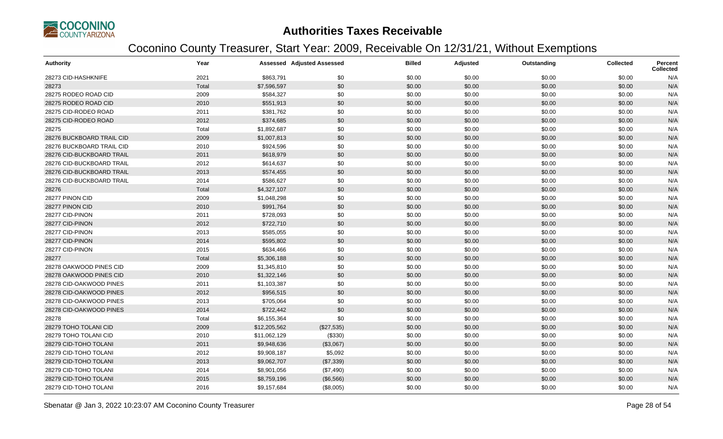

| <b>Authority</b>          | Year  |              | <b>Assessed Adjusted Assessed</b> | <b>Billed</b> | Adjusted | Outstanding | <b>Collected</b> | Percent<br><b>Collected</b> |
|---------------------------|-------|--------------|-----------------------------------|---------------|----------|-------------|------------------|-----------------------------|
| 28273 CID-HASHKNIFE       | 2021  | \$863,791    | \$0                               | \$0.00        | \$0.00   | \$0.00      | \$0.00           | N/A                         |
| 28273                     | Total | \$7,596,597  | \$0                               | \$0.00        | \$0.00   | \$0.00      | \$0.00           | N/A                         |
| 28275 RODEO ROAD CID      | 2009  | \$584,327    | \$0                               | \$0.00        | \$0.00   | \$0.00      | \$0.00           | N/A                         |
| 28275 RODEO ROAD CID      | 2010  | \$551,913    | \$0                               | \$0.00        | \$0.00   | \$0.00      | \$0.00           | N/A                         |
| 28275 CID-RODEO ROAD      | 2011  | \$381,762    | \$0                               | \$0.00        | \$0.00   | \$0.00      | \$0.00           | N/A                         |
| 28275 CID-RODEO ROAD      | 2012  | \$374,685    | \$0                               | \$0.00        | \$0.00   | \$0.00      | \$0.00           | N/A                         |
| 28275                     | Total | \$1,892,687  | \$0                               | \$0.00        | \$0.00   | \$0.00      | \$0.00           | N/A                         |
| 28276 BUCKBOARD TRAIL CID | 2009  | \$1,007,813  | \$0                               | \$0.00        | \$0.00   | \$0.00      | \$0.00           | N/A                         |
| 28276 BUCKBOARD TRAIL CID | 2010  | \$924,596    | \$0                               | \$0.00        | \$0.00   | \$0.00      | \$0.00           | N/A                         |
| 28276 CID-BUCKBOARD TRAIL | 2011  | \$618,979    | \$0                               | \$0.00        | \$0.00   | \$0.00      | \$0.00           | N/A                         |
| 28276 CID-BUCKBOARD TRAIL | 2012  | \$614,637    | \$0                               | \$0.00        | \$0.00   | \$0.00      | \$0.00           | N/A                         |
| 28276 CID-BUCKBOARD TRAIL | 2013  | \$574,455    | \$0                               | \$0.00        | \$0.00   | \$0.00      | \$0.00           | N/A                         |
| 28276 CID-BUCKBOARD TRAIL | 2014  | \$586,627    | \$0                               | \$0.00        | \$0.00   | \$0.00      | \$0.00           | N/A                         |
| 28276                     | Total | \$4,327,107  | \$0                               | \$0.00        | \$0.00   | \$0.00      | \$0.00           | N/A                         |
| 28277 PINON CID           | 2009  | \$1,048,298  | \$0                               | \$0.00        | \$0.00   | \$0.00      | \$0.00           | N/A                         |
| 28277 PINON CID           | 2010  | \$991,764    | \$0                               | \$0.00        | \$0.00   | \$0.00      | \$0.00           | N/A                         |
| 28277 CID-PINON           | 2011  | \$728,093    | \$0                               | \$0.00        | \$0.00   | \$0.00      | \$0.00           | N/A                         |
| 28277 CID-PINON           | 2012  | \$722,710    | \$0                               | \$0.00        | \$0.00   | \$0.00      | \$0.00           | N/A                         |
| 28277 CID-PINON           | 2013  | \$585,055    | \$0                               | \$0.00        | \$0.00   | \$0.00      | \$0.00           | N/A                         |
| 28277 CID-PINON           | 2014  | \$595,802    | \$0                               | \$0.00        | \$0.00   | \$0.00      | \$0.00           | N/A                         |
| 28277 CID-PINON           | 2015  | \$634,466    | \$0                               | \$0.00        | \$0.00   | \$0.00      | \$0.00           | N/A                         |
| 28277                     | Total | \$5,306,188  | \$0                               | \$0.00        | \$0.00   | \$0.00      | \$0.00           | N/A                         |
| 28278 OAKWOOD PINES CID   | 2009  | \$1,345,810  | \$0                               | \$0.00        | \$0.00   | \$0.00      | \$0.00           | N/A                         |
| 28278 OAKWOOD PINES CID   | 2010  | \$1,322,146  | \$0                               | \$0.00        | \$0.00   | \$0.00      | \$0.00           | N/A                         |
| 28278 CID-OAKWOOD PINES   | 2011  | \$1,103,387  | \$0                               | \$0.00        | \$0.00   | \$0.00      | \$0.00           | N/A                         |
| 28278 CID-OAKWOOD PINES   | 2012  | \$956,515    | \$0                               | \$0.00        | \$0.00   | \$0.00      | \$0.00           | N/A                         |
| 28278 CID-OAKWOOD PINES   | 2013  | \$705,064    | \$0                               | \$0.00        | \$0.00   | \$0.00      | \$0.00           | N/A                         |
| 28278 CID-OAKWOOD PINES   | 2014  | \$722,442    | \$0                               | \$0.00        | \$0.00   | \$0.00      | \$0.00           | N/A                         |
| 28278                     | Total | \$6,155,364  | \$0                               | \$0.00        | \$0.00   | \$0.00      | \$0.00           | N/A                         |
| 28279 TOHO TOLANI CID     | 2009  | \$12,205,562 | (\$27,535)                        | \$0.00        | \$0.00   | \$0.00      | \$0.00           | N/A                         |
| 28279 TOHO TOLANI CID     | 2010  | \$11,062,129 | (\$330)                           | \$0.00        | \$0.00   | \$0.00      | \$0.00           | N/A                         |
| 28279 CID-TOHO TOLANI     | 2011  | \$9,948,636  | (\$3,067)                         | \$0.00        | \$0.00   | \$0.00      | \$0.00           | N/A                         |
| 28279 CID-TOHO TOLANI     | 2012  | \$9,908,187  | \$5,092                           | \$0.00        | \$0.00   | \$0.00      | \$0.00           | N/A                         |
| 28279 CID-TOHO TOLANI     | 2013  | \$9,062,707  | (\$7,339)                         | \$0.00        | \$0.00   | \$0.00      | \$0.00           | N/A                         |
| 28279 CID-TOHO TOLANI     | 2014  | \$8,901,056  | (\$7,490)                         | \$0.00        | \$0.00   | \$0.00      | \$0.00           | N/A                         |
| 28279 CID-TOHO TOLANI     | 2015  | \$8,759,196  | (\$6,566)                         | \$0.00        | \$0.00   | \$0.00      | \$0.00           | N/A                         |
| 28279 CID-TOHO TOLANI     | 2016  | \$9,157,684  | (\$8,005)                         | \$0.00        | \$0.00   | \$0.00      | \$0.00           | N/A                         |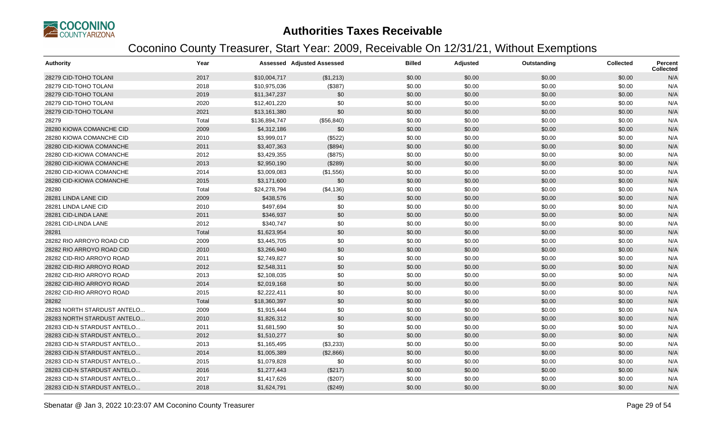

| <b>Authority</b>            | Year  |               | Assessed Adjusted Assessed | <b>Billed</b> | Adjusted | Outstanding | <b>Collected</b> | <b>Percent</b><br><b>Collected</b> |
|-----------------------------|-------|---------------|----------------------------|---------------|----------|-------------|------------------|------------------------------------|
| 28279 CID-TOHO TOLANI       | 2017  | \$10,004,717  | (\$1,213)                  | \$0.00        | \$0.00   | \$0.00      | \$0.00           | N/A                                |
| 28279 CID-TOHO TOLANI       | 2018  | \$10,975,036  | (\$387)                    | \$0.00        | \$0.00   | \$0.00      | \$0.00           | N/A                                |
| 28279 CID-TOHO TOLANI       | 2019  | \$11,347,237  | \$0                        | \$0.00        | \$0.00   | \$0.00      | \$0.00           | N/A                                |
| 28279 CID-TOHO TOLANI       | 2020  | \$12,401,220  | \$0                        | \$0.00        | \$0.00   | \$0.00      | \$0.00           | N/A                                |
| 28279 CID-TOHO TOLANI       | 2021  | \$13,161,380  | \$0                        | \$0.00        | \$0.00   | \$0.00      | \$0.00           | N/A                                |
| 28279                       | Total | \$136,894,747 | (\$56, 840)                | \$0.00        | \$0.00   | \$0.00      | \$0.00           | N/A                                |
| 28280 KIOWA COMANCHE CID    | 2009  | \$4,312,186   | \$0                        | \$0.00        | \$0.00   | \$0.00      | \$0.00           | N/A                                |
| 28280 KIOWA COMANCHE CID    | 2010  | \$3,999,017   | (\$522)                    | \$0.00        | \$0.00   | \$0.00      | \$0.00           | N/A                                |
| 28280 CID-KIOWA COMANCHE    | 2011  | \$3,407,363   | (\$894)                    | \$0.00        | \$0.00   | \$0.00      | \$0.00           | N/A                                |
| 28280 CID-KIOWA COMANCHE    | 2012  | \$3,429,355   | (\$875)                    | \$0.00        | \$0.00   | \$0.00      | \$0.00           | N/A                                |
| 28280 CID-KIOWA COMANCHE    | 2013  | \$2,950,190   | (\$289)                    | \$0.00        | \$0.00   | \$0.00      | \$0.00           | N/A                                |
| 28280 CID-KIOWA COMANCHE    | 2014  | \$3,009,083   | (\$1,556)                  | \$0.00        | \$0.00   | \$0.00      | \$0.00           | N/A                                |
| 28280 CID-KIOWA COMANCHE    | 2015  | \$3,171,600   | \$0                        | \$0.00        | \$0.00   | \$0.00      | \$0.00           | N/A                                |
| 28280                       | Total | \$24,278,794  | (\$4,136)                  | \$0.00        | \$0.00   | \$0.00      | \$0.00           | N/A                                |
| 28281 LINDA LANE CID        | 2009  | \$438,576     | \$0                        | \$0.00        | \$0.00   | \$0.00      | \$0.00           | N/A                                |
| 28281 LINDA LANE CID        | 2010  | \$497,694     | \$0                        | \$0.00        | \$0.00   | \$0.00      | \$0.00           | N/A                                |
| 28281 CID-LINDA LANE        | 2011  | \$346,937     | \$0                        | \$0.00        | \$0.00   | \$0.00      | \$0.00           | N/A                                |
| 28281 CID-LINDA LANE        | 2012  | \$340,747     | \$0                        | \$0.00        | \$0.00   | \$0.00      | \$0.00           | N/A                                |
| 28281                       | Total | \$1,623,954   | \$0                        | \$0.00        | \$0.00   | \$0.00      | \$0.00           | N/A                                |
| 28282 RIO ARROYO ROAD CID   | 2009  | \$3,445,705   | \$0                        | \$0.00        | \$0.00   | \$0.00      | \$0.00           | N/A                                |
| 28282 RIO ARROYO ROAD CID   | 2010  | \$3,266,940   | \$0                        | \$0.00        | \$0.00   | \$0.00      | \$0.00           | N/A                                |
| 28282 CID-RIO ARROYO ROAD   | 2011  | \$2,749,827   | \$0                        | \$0.00        | \$0.00   | \$0.00      | \$0.00           | N/A                                |
| 28282 CID-RIO ARROYO ROAD   | 2012  | \$2,548,311   | \$0                        | \$0.00        | \$0.00   | \$0.00      | \$0.00           | N/A                                |
| 28282 CID-RIO ARROYO ROAD   | 2013  | \$2,108,035   | \$0                        | \$0.00        | \$0.00   | \$0.00      | \$0.00           | N/A                                |
| 28282 CID-RIO ARROYO ROAD   | 2014  | \$2,019,168   | \$0                        | \$0.00        | \$0.00   | \$0.00      | \$0.00           | N/A                                |
| 28282 CID-RIO ARROYO ROAD   | 2015  | \$2,222,411   | \$0                        | \$0.00        | \$0.00   | \$0.00      | \$0.00           | N/A                                |
| 28282                       | Total | \$18,360,397  | \$0                        | \$0.00        | \$0.00   | \$0.00      | \$0.00           | N/A                                |
| 28283 NORTH STARDUST ANTELO | 2009  | \$1,915,444   | \$0                        | \$0.00        | \$0.00   | \$0.00      | \$0.00           | N/A                                |
| 28283 NORTH STARDUST ANTELO | 2010  | \$1,826,312   | \$0                        | \$0.00        | \$0.00   | \$0.00      | \$0.00           | N/A                                |
| 28283 CID-N STARDUST ANTELO | 2011  | \$1,681,590   | \$0                        | \$0.00        | \$0.00   | \$0.00      | \$0.00           | N/A                                |
| 28283 CID-N STARDUST ANTELO | 2012  | \$1,510,277   | \$0                        | \$0.00        | \$0.00   | \$0.00      | \$0.00           | N/A                                |
| 28283 CID-N STARDUST ANTELO | 2013  | \$1,165,495   | (\$3,233)                  | \$0.00        | \$0.00   | \$0.00      | \$0.00           | N/A                                |
| 28283 CID-N STARDUST ANTELO | 2014  | \$1,005,389   | (\$2,866)                  | \$0.00        | \$0.00   | \$0.00      | \$0.00           | N/A                                |
| 28283 CID-N STARDUST ANTELO | 2015  | \$1,079,828   | \$0                        | \$0.00        | \$0.00   | \$0.00      | \$0.00           | N/A                                |
| 28283 CID-N STARDUST ANTELO | 2016  | \$1,277,443   | (\$217)                    | \$0.00        | \$0.00   | \$0.00      | \$0.00           | N/A                                |
| 28283 CID-N STARDUST ANTELO | 2017  | \$1,417,626   | (\$207)                    | \$0.00        | \$0.00   | \$0.00      | \$0.00           | N/A                                |
| 28283 CID-N STARDUST ANTELO | 2018  | \$1,624,791   | (\$249)                    | \$0.00        | \$0.00   | \$0.00      | \$0.00           | N/A                                |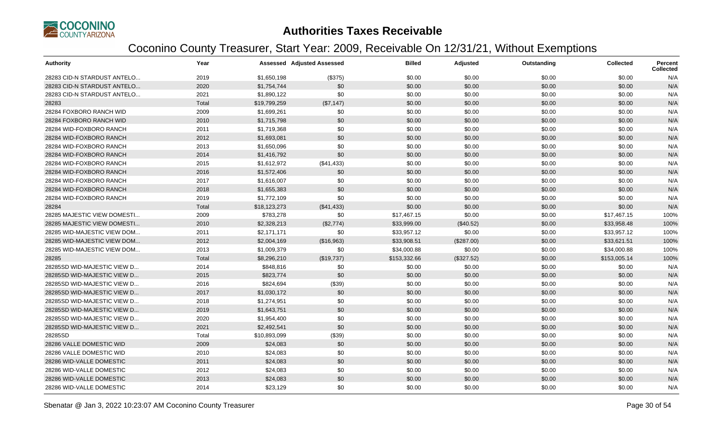

| <b>Authority</b>            | Year  |              | <b>Assessed Adjusted Assessed</b> | <b>Billed</b> | Adjusted   | Outstanding | <b>Collected</b> | Percent<br><b>Collected</b> |
|-----------------------------|-------|--------------|-----------------------------------|---------------|------------|-------------|------------------|-----------------------------|
| 28283 CID-N STARDUST ANTELO | 2019  | \$1,650,198  | (\$375)                           | \$0.00        | \$0.00     | \$0.00      | \$0.00           | N/A                         |
| 28283 CID-N STARDUST ANTELO | 2020  | \$1,754,744  | \$0                               | \$0.00        | \$0.00     | \$0.00      | \$0.00           | N/A                         |
| 28283 CID-N STARDUST ANTELO | 2021  | \$1,890,122  | \$0                               | \$0.00        | \$0.00     | \$0.00      | \$0.00           | N/A                         |
| 28283                       | Total | \$19,799,259 | (\$7,147)                         | \$0.00        | \$0.00     | \$0.00      | \$0.00           | N/A                         |
| 28284 FOXBORO RANCH WID     | 2009  | \$1,699,261  | \$0                               | \$0.00        | \$0.00     | \$0.00      | \$0.00           | N/A                         |
| 28284 FOXBORO RANCH WID     | 2010  | \$1,715,798  | \$0                               | \$0.00        | \$0.00     | \$0.00      | \$0.00           | N/A                         |
| 28284 WID-FOXBORO RANCH     | 2011  | \$1,719,368  | \$0                               | \$0.00        | \$0.00     | \$0.00      | \$0.00           | N/A                         |
| 28284 WID-FOXBORO RANCH     | 2012  | \$1,693,081  | \$0                               | \$0.00        | \$0.00     | \$0.00      | \$0.00           | N/A                         |
| 28284 WID-FOXBORO RANCH     | 2013  | \$1,650,096  | \$0                               | \$0.00        | \$0.00     | \$0.00      | \$0.00           | N/A                         |
| 28284 WID-FOXBORO RANCH     | 2014  | \$1,416,792  | \$0                               | \$0.00        | \$0.00     | \$0.00      | \$0.00           | N/A                         |
| 28284 WID-FOXBORO RANCH     | 2015  | \$1,612,972  | (\$41,433)                        | \$0.00        | \$0.00     | \$0.00      | \$0.00           | N/A                         |
| 28284 WID-FOXBORO RANCH     | 2016  | \$1,572,406  | \$0                               | \$0.00        | \$0.00     | \$0.00      | \$0.00           | N/A                         |
| 28284 WID-FOXBORO RANCH     | 2017  | \$1,616,007  | \$0                               | \$0.00        | \$0.00     | \$0.00      | \$0.00           | N/A                         |
| 28284 WID-FOXBORO RANCH     | 2018  | \$1,655,383  | \$0                               | \$0.00        | \$0.00     | \$0.00      | \$0.00           | N/A                         |
| 28284 WID-FOXBORO RANCH     | 2019  | \$1,772,109  | \$0                               | \$0.00        | \$0.00     | \$0.00      | \$0.00           | N/A                         |
| 28284                       | Total | \$18,123,273 | (\$41,433)                        | \$0.00        | \$0.00     | \$0.00      | \$0.00           | N/A                         |
| 28285 MAJESTIC VIEW DOMESTI | 2009  | \$783,278    | \$0                               | \$17,467.15   | \$0.00     | \$0.00      | \$17,467.15      | 100%                        |
| 28285 MAJESTIC VIEW DOMESTI | 2010  | \$2,328,213  | (\$2,774)                         | \$33,999.00   | (\$40.52)  | \$0.00      | \$33,958.48      | 100%                        |
| 28285 WID-MAJESTIC VIEW DOM | 2011  | \$2,171,171  | \$0                               | \$33,957.12   | \$0.00     | \$0.00      | \$33,957.12      | 100%                        |
| 28285 WID-MAJESTIC VIEW DOM | 2012  | \$2,004,169  | (\$16,963)                        | \$33,908.51   | (\$287.00) | \$0.00      | \$33,621.51      | 100%                        |
| 28285 WID-MAJESTIC VIEW DOM | 2013  | \$1,009,379  | \$0                               | \$34,000.88   | \$0.00     | \$0.00      | \$34,000.88      | 100%                        |
| 28285                       | Total | \$8,296,210  | (\$19,737)                        | \$153,332.66  | (\$327.52) | \$0.00      | \$153,005.14     | 100%                        |
| 28285SD WID-MAJESTIC VIEW D | 2014  | \$848,816    | \$0                               | \$0.00        | \$0.00     | \$0.00      | \$0.00           | N/A                         |
| 28285SD WID-MAJESTIC VIEW D | 2015  | \$823,774    | \$0                               | \$0.00        | \$0.00     | \$0.00      | \$0.00           | N/A                         |
| 28285SD WID-MAJESTIC VIEW D | 2016  | \$824,694    | (\$39)                            | \$0.00        | \$0.00     | \$0.00      | \$0.00           | N/A                         |
| 28285SD WID-MAJESTIC VIEW D | 2017  | \$1,030,172  | \$0                               | \$0.00        | \$0.00     | \$0.00      | \$0.00           | N/A                         |
| 28285SD WID-MAJESTIC VIEW D | 2018  | \$1,274,951  | \$0                               | \$0.00        | \$0.00     | \$0.00      | \$0.00           | N/A                         |
| 28285SD WID-MAJESTIC VIEW D | 2019  | \$1,643,751  | \$0                               | \$0.00        | \$0.00     | \$0.00      | \$0.00           | N/A                         |
| 28285SD WID-MAJESTIC VIEW D | 2020  | \$1,954,400  | \$0                               | \$0.00        | \$0.00     | \$0.00      | \$0.00           | N/A                         |
| 28285SD WID-MAJESTIC VIEW D | 2021  | \$2,492,541  | \$0                               | \$0.00        | \$0.00     | \$0.00      | \$0.00           | N/A                         |
| 28285SD                     | Total | \$10,893,099 | (\$39)                            | \$0.00        | \$0.00     | \$0.00      | \$0.00           | N/A                         |
| 28286 VALLE DOMESTIC WID    | 2009  | \$24,083     | \$0                               | \$0.00        | \$0.00     | \$0.00      | \$0.00           | N/A                         |
| 28286 VALLE DOMESTIC WID    | 2010  | \$24,083     | \$0                               | \$0.00        | \$0.00     | \$0.00      | \$0.00           | N/A                         |
| 28286 WID-VALLE DOMESTIC    | 2011  | \$24,083     | \$0                               | \$0.00        | \$0.00     | \$0.00      | \$0.00           | N/A                         |
| 28286 WID-VALLE DOMESTIC    | 2012  | \$24,083     | \$0                               | \$0.00        | \$0.00     | \$0.00      | \$0.00           | N/A                         |
| 28286 WID-VALLE DOMESTIC    | 2013  | \$24,083     | \$0                               | \$0.00        | \$0.00     | \$0.00      | \$0.00           | N/A                         |
| 28286 WID-VALLE DOMESTIC    | 2014  | \$23,129     | \$0                               | \$0.00        | \$0.00     | \$0.00      | \$0.00           | N/A                         |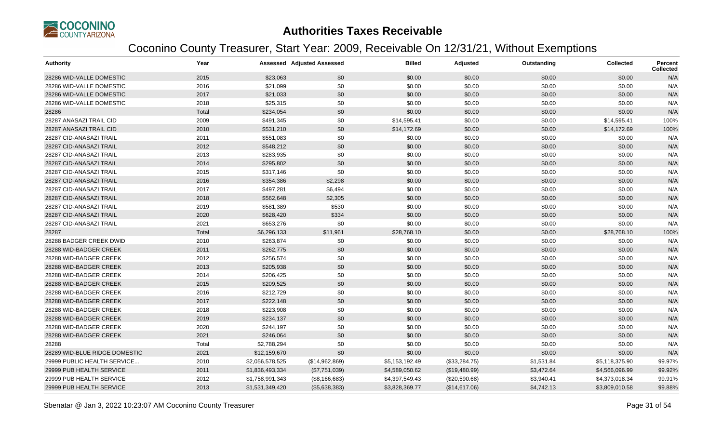

| <b>Authority</b>              | Year  |                 | <b>Assessed Adjusted Assessed</b> | <b>Billed</b>  | Adjusted        | Outstanding | <b>Collected</b> | <b>Percent</b><br><b>Collected</b> |
|-------------------------------|-------|-----------------|-----------------------------------|----------------|-----------------|-------------|------------------|------------------------------------|
| 28286 WID-VALLE DOMESTIC      | 2015  | \$23,063        | \$0                               | \$0.00         | \$0.00          | \$0.00      | \$0.00           | N/A                                |
| 28286 WID-VALLE DOMESTIC      | 2016  | \$21,099        | \$0                               | \$0.00         | \$0.00          | \$0.00      | \$0.00           | N/A                                |
| 28286 WID-VALLE DOMESTIC      | 2017  | \$21,033        | \$0                               | \$0.00         | \$0.00          | \$0.00      | \$0.00           | N/A                                |
| 28286 WID-VALLE DOMESTIC      | 2018  | \$25,315        | \$0                               | \$0.00         | \$0.00          | \$0.00      | \$0.00           | N/A                                |
| 28286                         | Total | \$234,054       | \$0                               | \$0.00         | \$0.00          | \$0.00      | \$0.00           | N/A                                |
| 28287 ANASAZI TRAIL CID       | 2009  | \$491,345       | \$0                               | \$14,595.41    | \$0.00          | \$0.00      | \$14,595.41      | 100%                               |
| 28287 ANASAZI TRAIL CID       | 2010  | \$531,210       | \$0                               | \$14,172.69    | \$0.00          | \$0.00      | \$14,172.69      | 100%                               |
| 28287 CID-ANASAZI TRAIL       | 2011  | \$551,083       | \$0                               | \$0.00         | \$0.00          | \$0.00      | \$0.00           | N/A                                |
| 28287 CID-ANASAZI TRAIL       | 2012  | \$548,212       | \$0                               | \$0.00         | \$0.00          | \$0.00      | \$0.00           | N/A                                |
| 28287 CID-ANASAZI TRAIL       | 2013  | \$283,935       | \$0                               | \$0.00         | \$0.00          | \$0.00      | \$0.00           | N/A                                |
| 28287 CID-ANASAZI TRAIL       | 2014  | \$295,802       | \$0                               | \$0.00         | \$0.00          | \$0.00      | \$0.00           | N/A                                |
| 28287 CID-ANASAZI TRAIL       | 2015  | \$317,146       | \$0                               | \$0.00         | \$0.00          | \$0.00      | \$0.00           | N/A                                |
| 28287 CID-ANASAZI TRAIL       | 2016  | \$354,386       | \$2,298                           | \$0.00         | \$0.00          | \$0.00      | \$0.00           | N/A                                |
| 28287 CID-ANASAZI TRAIL       | 2017  | \$497,281       | \$6,494                           | \$0.00         | \$0.00          | \$0.00      | \$0.00           | N/A                                |
| 28287 CID-ANASAZI TRAIL       | 2018  | \$562,648       | \$2,305                           | \$0.00         | \$0.00          | \$0.00      | \$0.00           | N/A                                |
| 28287 CID-ANASAZI TRAIL       | 2019  | \$581,389       | \$530                             | \$0.00         | \$0.00          | \$0.00      | \$0.00           | N/A                                |
| 28287 CID-ANASAZI TRAIL       | 2020  | \$628,420       | \$334                             | \$0.00         | \$0.00          | \$0.00      | \$0.00           | N/A                                |
| 28287 CID-ANASAZI TRAIL       | 2021  | \$653,276       | \$0                               | \$0.00         | \$0.00          | \$0.00      | \$0.00           | N/A                                |
| 28287                         | Total | \$6,296,133     | \$11,961                          | \$28,768.10    | \$0.00          | \$0.00      | \$28,768.10      | 100%                               |
| 28288 BADGER CREEK DWID       | 2010  | \$263,874       | \$0                               | \$0.00         | \$0.00          | \$0.00      | \$0.00           | N/A                                |
| 28288 WID-BADGER CREEK        | 2011  | \$262,775       | \$0                               | \$0.00         | \$0.00          | \$0.00      | \$0.00           | N/A                                |
| 28288 WID-BADGER CREEK        | 2012  | \$256,574       | \$0                               | \$0.00         | \$0.00          | \$0.00      | \$0.00           | N/A                                |
| 28288 WID-BADGER CREEK        | 2013  | \$205,938       | \$0                               | \$0.00         | \$0.00          | \$0.00      | \$0.00           | N/A                                |
| 28288 WID-BADGER CREEK        | 2014  | \$206,425       | \$0                               | \$0.00         | \$0.00          | \$0.00      | \$0.00           | N/A                                |
| 28288 WID-BADGER CREEK        | 2015  | \$209,525       | \$0                               | \$0.00         | \$0.00          | \$0.00      | \$0.00           | N/A                                |
| 28288 WID-BADGER CREEK        | 2016  | \$212,729       | \$0                               | \$0.00         | \$0.00          | \$0.00      | \$0.00           | N/A                                |
| 28288 WID-BADGER CREEK        | 2017  | \$222,148       | \$0                               | \$0.00         | \$0.00          | \$0.00      | \$0.00           | N/A                                |
| 28288 WID-BADGER CREEK        | 2018  | \$223,908       | \$0                               | \$0.00         | \$0.00          | \$0.00      | \$0.00           | N/A                                |
| 28288 WID-BADGER CREEK        | 2019  | \$234,137       | \$0                               | \$0.00         | \$0.00          | \$0.00      | \$0.00           | N/A                                |
| 28288 WID-BADGER CREEK        | 2020  | \$244,197       | \$0                               | \$0.00         | \$0.00          | \$0.00      | \$0.00           | N/A                                |
| 28288 WID-BADGER CREEK        | 2021  | \$246,064       | \$0                               | \$0.00         | \$0.00          | \$0.00      | \$0.00           | N/A                                |
| 28288                         | Total | \$2,788,294     | \$0                               | \$0.00         | \$0.00          | \$0.00      | \$0.00           | N/A                                |
| 28289 WID-BLUE RIDGE DOMESTIC | 2021  | \$12,159,670    | \$0                               | \$0.00         | \$0.00          | \$0.00      | \$0.00           | N/A                                |
| 29999 PUBLIC HEALTH SERVICE   | 2010  | \$2,056,578,525 | (\$14,962,869)                    | \$5,153,192.49 | (\$33,284.75)   | \$1,531.84  | \$5,118,375.90   | 99.97%                             |
| 29999 PUB HEALTH SERVICE      | 2011  | \$1,836,493,334 | (\$7,751,039)                     | \$4,589,050.62 | (\$19,480.99)   | \$3,472.64  | \$4,566,096.99   | 99.92%                             |
| 29999 PUB HEALTH SERVICE      | 2012  | \$1,758,991,343 | (\$8,166,683)                     | \$4,397,549.43 | $(\$20,590.68)$ | \$3,940.41  | \$4,373,018.34   | 99.91%                             |
| 29999 PUB HEALTH SERVICE      | 2013  | \$1,531,349,420 | (\$5,638,383)                     | \$3,828,369.77 | (\$14,617.06)   | \$4,742.13  | \$3,809,010.58   | 99.88%                             |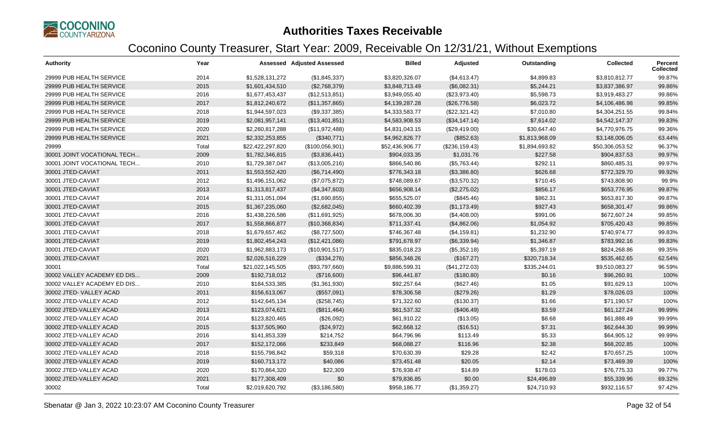

| <b>Authority</b>            | Year  |                  | <b>Assessed Adjusted Assessed</b> | <b>Billed</b>   | Adjusted       | Outstanding    | <b>Collected</b> | Percent<br><b>Collected</b> |
|-----------------------------|-------|------------------|-----------------------------------|-----------------|----------------|----------------|------------------|-----------------------------|
| 29999 PUB HEALTH SERVICE    | 2014  | \$1,528,131,272  | (\$1,845,337)                     | \$3,820,326.07  | (\$4,613.47)   | \$4,899.83     | \$3,810,812.77   | 99.87%                      |
| 29999 PUB HEALTH SERVICE    | 2015  | \$1,601,434,510  | (\$2,768,379)                     | \$3,848,713.49  | (\$6,082.31)   | \$5,244.21     | \$3,837,386.97   | 99.86%                      |
| 29999 PUB HEALTH SERVICE    | 2016  | \$1,677,453,437  | (\$12,513,851)                    | \$3,949,055.40  | (\$23,973.40)  | \$5,598.73     | \$3,919,483.27   | 99.86%                      |
| 29999 PUB HEALTH SERVICE    | 2017  | \$1,812,240,672  | (\$11,357,865)                    | \$4,139,287.28  | (\$26,776.58)  | \$6,023.72     | \$4,106,486.98   | 99.85%                      |
| 29999 PUB HEALTH SERVICE    | 2018  | \$1,944,597,023  | (\$9,337,385)                     | \$4,333,583.77  | (\$22,321.42)  | \$7,010.80     | \$4,304,251.55   | 99.84%                      |
| 29999 PUB HEALTH SERVICE    | 2019  | \$2,081,957,141  | (\$13,401,851)                    | \$4,583,908.53  | (\$34,147.14)  | \$7,614.02     | \$4,542,147.37   | 99.83%                      |
| 29999 PUB HEALTH SERVICE    | 2020  | \$2,260,817,288  | (\$11,972,488)                    | \$4,831,043.15  | (\$29,419.00)  | \$30,647.40    | \$4,770,976.75   | 99.36%                      |
| 29999 PUB HEALTH SERVICE    | 2021  | \$2,332,253,855  | (\$340,771)                       | \$4,962,826.77  | (\$852.63)     | \$1,813,968.09 | \$3,148,006.05   | 63.44%                      |
| 29999                       | Total | \$22,422,297,820 | (\$100,056,901)                   | \$52,436,906.77 | (\$236,159.43) | \$1,894,693.82 | \$50,306,053.52  | 96.37%                      |
| 30001 JOINT VOCATIONAL TECH | 2009  | \$1,782,346,815  | (\$3,836,441)                     | \$904,033.35    | \$1,031.76     | \$227.58       | \$904,837.53     | 99.97%                      |
| 30001 JOINT VOCATIONAL TECH | 2010  | \$1,729,387,047  | (\$13,005,216)                    | \$866,540.86    | (\$5,763.44)   | \$292.11       | \$860,485.31     | 99.97%                      |
| 30001 JTED-CAVIAT           | 2011  | \$1,553,552,420  | (\$6,714,490)                     | \$776,343.18    | (\$3,386.80)   | \$626.68       | \$772,329.70     | 99.92%                      |
| 30001 JTED-CAVIAT           | 2012  | \$1,496,151,062  | (\$7,075,872)                     | \$748,089.67    | (\$3,570.32)   | \$710.45       | \$743,808.90     | 99.9%                       |
| 30001 JTED-CAVIAT           | 2013  | \$1,313,817,437  | (\$4,347,603)                     | \$656,908.14    | (\$2,275.02)   | \$856.17       | \$653,776.95     | 99.87%                      |
| 30001 JTED-CAVIAT           | 2014  | \$1,311,051,094  | (\$1,690,855)                     | \$655,525.07    | (\$845.46)     | \$862.31       | \$653,817.30     | 99.87%                      |
| 30001 JTED-CAVIAT           | 2015  | \$1,367,235,060  | (\$2,682,045)                     | \$660,402.39    | (\$1,173.49)   | \$927.43       | \$658,301.47     | 99.86%                      |
| 30001 JTED-CAVIAT           | 2016  | \$1,438,226,586  | (\$11,691,925)                    | \$678,006.30    | (\$4,408.00)   | \$991.06       | \$672,607.24     | 99.85%                      |
| 30001 JTED-CAVIAT           | 2017  | \$1,558,866,877  | (\$10,368,834)                    | \$711,337.41    | (\$4,862.06)   | \$1,054.92     | \$705,420.43     | 99.85%                      |
| 30001 JTED-CAVIAT           | 2018  | \$1,679,657,462  | (\$8,727,500)                     | \$746,367.48    | (\$4,159.81)   | \$1,232.90     | \$740,974.77     | 99.83%                      |
| 30001 JTED-CAVIAT           | 2019  | \$1,802,454,243  | (\$12,421,086)                    | \$791,678.97    | (\$6,339.94)   | \$1,346.87     | \$783,992.16     | 99.83%                      |
| 30001 JTED-CAVIAT           | 2020  | \$1,962,883,173  | (\$10,901,517)                    | \$835,018.23    | (\$5,352.18)   | \$5,397.19     | \$824,268.86     | 99.35%                      |
| 30001 JTED-CAVIAT           | 2021  | \$2,026,516,229  | (\$334,276)                       | \$856,348.26    | (\$167.27)     | \$320,718.34   | \$535,462.65     | 62.54%                      |
| 30001                       | Total | \$21,022,145,505 | (\$93,797,660)                    | \$9,886,599.31  | (\$41,272.03)  | \$335,244.01   | \$9,510,083.27   | 96.59%                      |
| 30002 VALLEY ACADEMY ED DIS | 2009  | \$192,718,012    | (\$716,600)                       | \$96,441.87     | (\$180.80)     | \$0.16         | \$96,260.91      | 100%                        |
| 30002 VALLEY ACADEMY ED DIS | 2010  | \$184,533,385    | (\$1,361,930)                     | \$92,257.64     | (\$627.46)     | \$1.05         | \$91,629.13      | 100%                        |
| 30002 JTED- VALLEY ACAD     | 2011  | \$156,613,067    | (\$557,091)                       | \$78,306.58     | (\$279.26)     | \$1.29         | \$78,026.03      | 100%                        |
| 30002 JTED-VALLEY ACAD      | 2012  | \$142,645,134    | (\$258,745)                       | \$71,322.60     | (\$130.37)     | \$1.66         | \$71,190.57      | 100%                        |
| 30002 JTED-VALLEY ACAD      | 2013  | \$123,074,621    | (\$811,464)                       | \$61,537.32     | (\$406.49)     | \$3.59         | \$61,127.24      | 99.99%                      |
| 30002 JTED-VALLEY ACAD      | 2014  | \$123,820,465    | (\$26,092)                        | \$61,910.22     | (\$13.05)      | \$8.68         | \$61,888.49      | 99.99%                      |
| 30002 JTED-VALLEY ACAD      | 2015  | \$137,505,960    | (\$24,972)                        | \$62,668.12     | (\$16.51)      | \$7.31         | \$62,644.30      | 99.99%                      |
| 30002 JTED-VALLEY ACAD      | 2016  | \$141,853,339    | \$214,752                         | \$64,796.96     | \$113.49       | \$5.33         | \$64,905.12      | 99.99%                      |
| 30002 JTED-VALLEY ACAD      | 2017  | \$152,172,066    | \$233,849                         | \$68,088.27     | \$116.96       | \$2.38         | \$68,202.85      | 100%                        |
| 30002 JTED-VALLEY ACAD      | 2018  | \$155,798,842    | \$59,318                          | \$70,630.39     | \$29.28        | \$2.42         | \$70,657.25      | 100%                        |
| 30002 JTED-VALLEY ACAD      | 2019  | \$160,713,172    | \$40,086                          | \$73,451.48     | \$20.05        | \$2.14         | \$73,469.39      | 100%                        |
| 30002 JTED-VALLEY ACAD      | 2020  | \$170,864,320    | \$22,309                          | \$76,938.47     | \$14.89        | \$178.03       | \$76,775.33      | 99.77%                      |
| 30002 JTED-VALLEY ACAD      | 2021  | \$177,308,409    | \$0                               | \$79,836.85     | \$0.00         | \$24,496.89    | \$55,339.96      | 69.32%                      |
| 30002                       | Total | \$2,019,620,792  | (\$3,186,580)                     | \$958,186.77    | (\$1,359.27)   | \$24,710.93    | \$932,116.57     | 97.42%                      |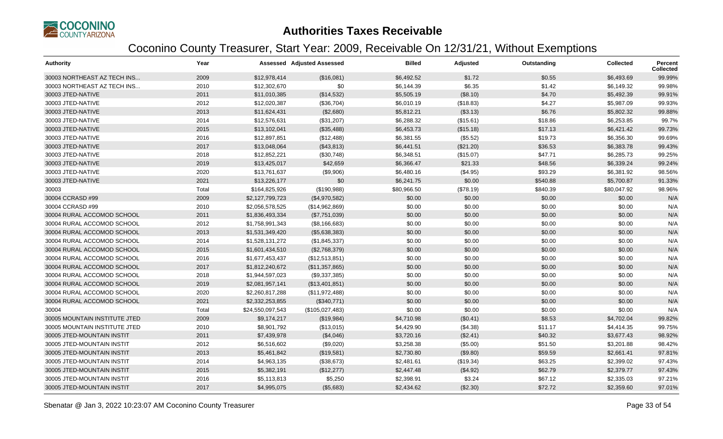

| <b>Authority</b>              | Year  |                  | Assessed Adjusted Assessed | <b>Billed</b> | Adjusted  | Outstanding | <b>Collected</b> | <b>Percent</b><br>Collected |
|-------------------------------|-------|------------------|----------------------------|---------------|-----------|-------------|------------------|-----------------------------|
| 30003 NORTHEAST AZ TECH INS   | 2009  | \$12,978,414     | (\$16,081)                 | \$6,492.52    | \$1.72    | \$0.55      | \$6,493.69       | 99.99%                      |
| 30003 NORTHEAST AZ TECH INS   | 2010  | \$12,302,670     | \$0                        | \$6,144.39    | \$6.35    | \$1.42      | \$6,149.32       | 99.98%                      |
| 30003 JTED-NATIVE             | 2011  | \$11,010,385     | (\$14,532)                 | \$5,505.19    | (\$8.10)  | \$4.70      | \$5,492.39       | 99.91%                      |
| 30003 JTED-NATIVE             | 2012  | \$12,020,387     | (\$36,704)                 | \$6,010.19    | (\$18.83) | \$4.27      | \$5,987.09       | 99.93%                      |
| 30003 JTED-NATIVE             | 2013  | \$11,624,431     | (\$2,680)                  | \$5,812.21    | (\$3.13)  | \$6.76      | \$5,802.32       | 99.88%                      |
| 30003 JTED-NATIVE             | 2014  | \$12,576,631     | (\$31,207)                 | \$6,288.32    | (\$15.61) | \$18.86     | \$6,253.85       | 99.7%                       |
| 30003 JTED-NATIVE             | 2015  | \$13,102,041     | (\$35,488)                 | \$6,453.73    | (\$15.18) | \$17.13     | \$6,421.42       | 99.73%                      |
| 30003 JTED-NATIVE             | 2016  | \$12,897,851     | (\$12,488)                 | \$6,381.55    | (\$5.52)  | \$19.73     | \$6,356.30       | 99.69%                      |
| 30003 JTED-NATIVE             | 2017  | \$13,048,064     | (\$43,813)                 | \$6,441.51    | (\$21.20) | \$36.53     | \$6,383.78       | 99.43%                      |
| 30003 JTED-NATIVE             | 2018  | \$12,852,221     | (\$30,748)                 | \$6,348.51    | (\$15.07) | \$47.71     | \$6,285.73       | 99.25%                      |
| 30003 JTED-NATIVE             | 2019  | \$13,425,017     | \$42,659                   | \$6,366.47    | \$21.33   | \$48.56     | \$6,339.24       | 99.24%                      |
| 30003 JTED-NATIVE             | 2020  | \$13,761,637     | (\$9,906)                  | \$6,480.16    | (\$4.95)  | \$93.29     | \$6,381.92       | 98.56%                      |
| 30003 JTED-NATIVE             | 2021  | \$13,226,177     | \$0                        | \$6,241.75    | \$0.00    | \$540.88    | \$5,700.87       | 91.33%                      |
| 30003                         | Total | \$164,825,926    | (\$190,988)                | \$80,966.50   | (\$78.19) | \$840.39    | \$80,047.92      | 98.96%                      |
| 30004 CCRASD #99              | 2009  | \$2,127,799,723  | (\$4,970,582)              | \$0.00        | \$0.00    | \$0.00      | \$0.00           | N/A                         |
| 30004 CCRASD #99              | 2010  | \$2,056,578,525  | (\$14,962,869)             | \$0.00        | \$0.00    | \$0.00      | \$0.00           | N/A                         |
| 30004 RURAL ACCOMOD SCHOOL    | 2011  | \$1,836,493,334  | (\$7,751,039)              | \$0.00        | \$0.00    | \$0.00      | \$0.00           | N/A                         |
| 30004 RURAL ACCOMOD SCHOOL    | 2012  | \$1,758,991,343  | (\$8,166,683)              | \$0.00        | \$0.00    | \$0.00      | \$0.00           | N/A                         |
| 30004 RURAL ACCOMOD SCHOOL    | 2013  | \$1,531,349,420  | (\$5,638,383)              | \$0.00        | \$0.00    | \$0.00      | \$0.00           | N/A                         |
| 30004 RURAL ACCOMOD SCHOOL    | 2014  | \$1,528,131,272  | (\$1,845,337)              | \$0.00        | \$0.00    | \$0.00      | \$0.00           | N/A                         |
| 30004 RURAL ACCOMOD SCHOOL    | 2015  | \$1,601,434,510  | (\$2,768,379)              | \$0.00        | \$0.00    | \$0.00      | \$0.00           | N/A                         |
| 30004 RURAL ACCOMOD SCHOOL    | 2016  | \$1,677,453,437  | (\$12,513,851)             | \$0.00        | \$0.00    | \$0.00      | \$0.00           | N/A                         |
| 30004 RURAL ACCOMOD SCHOOL    | 2017  | \$1,812,240,672  | (\$11,357,865)             | \$0.00        | \$0.00    | \$0.00      | \$0.00           | N/A                         |
| 30004 RURAL ACCOMOD SCHOOL    | 2018  | \$1,944,597,023  | (\$9,337,385)              | \$0.00        | \$0.00    | \$0.00      | \$0.00           | N/A                         |
| 30004 RURAL ACCOMOD SCHOOL    | 2019  | \$2,081,957,141  | (\$13,401,851)             | \$0.00        | \$0.00    | \$0.00      | \$0.00           | N/A                         |
| 30004 RURAL ACCOMOD SCHOOL    | 2020  | \$2,260,817,288  | (\$11,972,488)             | \$0.00        | \$0.00    | \$0.00      | \$0.00           | N/A                         |
| 30004 RURAL ACCOMOD SCHOOL    | 2021  | \$2,332,253,855  | (\$340,771)                | \$0.00        | \$0.00    | \$0.00      | \$0.00           | N/A                         |
| 30004                         | Total | \$24,550,097,543 | (\$105,027,483)            | \$0.00        | \$0.00    | \$0.00      | \$0.00           | N/A                         |
| 30005 MOUNTAIN INSTITUTE JTED | 2009  | \$9,174,217      | (\$19,984)                 | \$4,710.98    | (\$0.41)  | \$8.53      | \$4,702.04       | 99.82%                      |
| 30005 MOUNTAIN INSTITUTE JTED | 2010  | \$8,901,792      | (\$13,015)                 | \$4,429.90    | (\$4.38)  | \$11.17     | \$4,414.35       | 99.75%                      |
| 30005 JTED-MOUNTAIN INSTIT    | 2011  | \$7,439,978      | (\$4,046)                  | \$3,720.16    | (\$2.41)  | \$40.32     | \$3,677.43       | 98.92%                      |
| 30005 JTED-MOUNTAIN INSTIT    | 2012  | \$6,516,602      | (\$9,020)                  | \$3,258.38    | (\$5.00)  | \$51.50     | \$3,201.88       | 98.42%                      |
| 30005 JTED-MOUNTAIN INSTIT    | 2013  | \$5,461,842      | (\$19,581)                 | \$2,730.80    | (\$9.80)  | \$59.59     | \$2,661.41       | 97.81%                      |
| 30005 JTED-MOUNTAIN INSTIT    | 2014  | \$4,963,135      | (\$38,673)                 | \$2,481.61    | (\$19.34) | \$63.25     | \$2,399.02       | 97.43%                      |
| 30005 JTED-MOUNTAIN INSTIT    | 2015  | \$5,382,191      | (\$12,277)                 | \$2,447.48    | (\$4.92)  | \$62.79     | \$2,379.77       | 97.43%                      |
| 30005 JTED-MOUNTAIN INSTIT    | 2016  | \$5,113,813      | \$5,250                    | \$2,398.91    | \$3.24    | \$67.12     | \$2,335.03       | 97.21%                      |
| 30005 JTED-MOUNTAIN INSTIT    | 2017  | \$4,995,075      | (\$5,683)                  | \$2,434.62    | (\$2.30)  | \$72.72     | \$2,359.60       | 97.01%                      |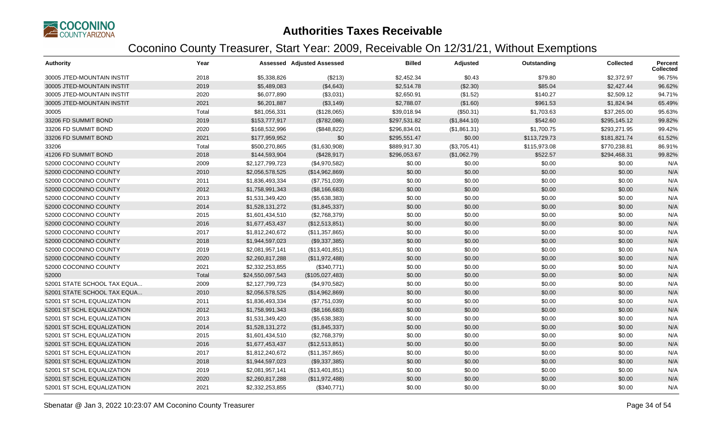

| <b>Authority</b>            | Year  |                  | <b>Assessed Adjusted Assessed</b> | <b>Billed</b> | Adjusted     | Outstanding  | <b>Collected</b> | Percent<br><b>Collected</b> |
|-----------------------------|-------|------------------|-----------------------------------|---------------|--------------|--------------|------------------|-----------------------------|
| 30005 JTED-MOUNTAIN INSTIT  | 2018  | \$5,338,826      | (\$213)                           | \$2,452.34    | \$0.43       | \$79.80      | \$2,372.97       | 96.75%                      |
| 30005 JTED-MOUNTAIN INSTIT  | 2019  | \$5,489,083      | (\$4,643)                         | \$2,514.78    | (\$2.30)     | \$85.04      | \$2,427.44       | 96.62%                      |
| 30005 JTED-MOUNTAIN INSTIT  | 2020  | \$6,077,890      | (\$3,031)                         | \$2,650.91    | (\$1.52)     | \$140.27     | \$2,509.12       | 94.71%                      |
| 30005 JTED-MOUNTAIN INSTIT  | 2021  | \$6,201,887      | (\$3,149)                         | \$2,788.07    | (\$1.60)     | \$961.53     | \$1,824.94       | 65.49%                      |
| 30005                       | Total | \$81,056,331     | (\$128,065)                       | \$39,018.94   | (\$50.31)    | \$1,703.63   | \$37,265.00      | 95.63%                      |
| 33206 FD SUMMIT BOND        | 2019  | \$153,777,917    | (\$782,086)                       | \$297,531.82  | (\$1,844.10) | \$542.60     | \$295,145.12     | 99.82%                      |
| 33206 FD SUMMIT BOND        | 2020  | \$168,532,996    | (\$848, 822)                      | \$296,834.01  | (\$1,861.31) | \$1,700.75   | \$293,271.95     | 99.42%                      |
| 33206 FD SUMMIT BOND        | 2021  | \$177,959,952    | \$0                               | \$295,551.47  | \$0.00       | \$113,729.73 | \$181,821.74     | 61.52%                      |
| 33206                       | Total | \$500,270,865    | (\$1,630,908)                     | \$889,917.30  | (\$3,705.41) | \$115,973.08 | \$770,238.81     | 86.91%                      |
| 41206 FD SUMMIT BOND        | 2018  | \$144,593,904    | (\$428,917)                       | \$296,053.67  | (\$1,062.79) | \$522.57     | \$294,468.31     | 99.82%                      |
| 52000 COCONINO COUNTY       | 2009  | \$2,127,799,723  | (\$4,970,582)                     | \$0.00        | \$0.00       | \$0.00       | \$0.00           | N/A                         |
| 52000 COCONINO COUNTY       | 2010  | \$2,056,578,525  | (\$14,962,869)                    | \$0.00        | \$0.00       | \$0.00       | \$0.00           | N/A                         |
| 52000 COCONINO COUNTY       | 2011  | \$1,836,493,334  | (\$7,751,039)                     | \$0.00        | \$0.00       | \$0.00       | \$0.00           | N/A                         |
| 52000 COCONINO COUNTY       | 2012  | \$1,758,991,343  | (\$8,166,683)                     | \$0.00        | \$0.00       | \$0.00       | \$0.00           | N/A                         |
| 52000 COCONINO COUNTY       | 2013  | \$1,531,349,420  | (\$5,638,383)                     | \$0.00        | \$0.00       | \$0.00       | \$0.00           | N/A                         |
| 52000 COCONINO COUNTY       | 2014  | \$1,528,131,272  | (\$1,845,337)                     | \$0.00        | \$0.00       | \$0.00       | \$0.00           | N/A                         |
| 52000 COCONINO COUNTY       | 2015  | \$1,601,434,510  | (\$2,768,379)                     | \$0.00        | \$0.00       | \$0.00       | \$0.00           | N/A                         |
| 52000 COCONINO COUNTY       | 2016  | \$1,677,453,437  | (\$12,513,851)                    | \$0.00        | \$0.00       | \$0.00       | \$0.00           | N/A                         |
| 52000 COCONINO COUNTY       | 2017  | \$1,812,240,672  | (\$11,357,865)                    | \$0.00        | \$0.00       | \$0.00       | \$0.00           | N/A                         |
| 52000 COCONINO COUNTY       | 2018  | \$1,944,597,023  | (\$9,337,385)                     | \$0.00        | \$0.00       | \$0.00       | \$0.00           | N/A                         |
| 52000 COCONINO COUNTY       | 2019  | \$2,081,957,141  | (\$13,401,851)                    | \$0.00        | \$0.00       | \$0.00       | \$0.00           | N/A                         |
| 52000 COCONINO COUNTY       | 2020  | \$2,260,817,288  | (\$11,972,488)                    | \$0.00        | \$0.00       | \$0.00       | \$0.00           | N/A                         |
| 52000 COCONINO COUNTY       | 2021  | \$2,332,253,855  | (\$340,771)                       | \$0.00        | \$0.00       | \$0.00       | \$0.00           | N/A                         |
| 52000                       | Total | \$24,550,097,543 | (\$105,027,483)                   | \$0.00        | \$0.00       | \$0.00       | \$0.00           | N/A                         |
| 52001 STATE SCHOOL TAX EQUA | 2009  | \$2,127,799,723  | (\$4,970,582)                     | \$0.00        | \$0.00       | \$0.00       | \$0.00           | N/A                         |
| 52001 STATE SCHOOL TAX EQUA | 2010  | \$2,056,578,525  | (\$14,962,869)                    | \$0.00        | \$0.00       | \$0.00       | \$0.00           | N/A                         |
| 52001 ST SCHL EQUALIZATION  | 2011  | \$1,836,493,334  | (\$7,751,039)                     | \$0.00        | \$0.00       | \$0.00       | \$0.00           | N/A                         |
| 52001 ST SCHL EQUALIZATION  | 2012  | \$1,758,991,343  | (\$8,166,683)                     | \$0.00        | \$0.00       | \$0.00       | \$0.00           | N/A                         |
| 52001 ST SCHL EQUALIZATION  | 2013  | \$1,531,349,420  | (\$5,638,383)                     | \$0.00        | \$0.00       | \$0.00       | \$0.00           | N/A                         |
| 52001 ST SCHL EQUALIZATION  | 2014  | \$1,528,131,272  | (\$1,845,337)                     | \$0.00        | \$0.00       | \$0.00       | \$0.00           | N/A                         |
| 52001 ST SCHL EQUALIZATION  | 2015  | \$1,601,434,510  | (\$2,768,379)                     | \$0.00        | \$0.00       | \$0.00       | \$0.00           | N/A                         |
| 52001 ST SCHL EQUALIZATION  | 2016  | \$1,677,453,437  | (\$12,513,851)                    | \$0.00        | \$0.00       | \$0.00       | \$0.00           | N/A                         |
| 52001 ST SCHL EQUALIZATION  | 2017  | \$1,812,240,672  | (\$11,357,865)                    | \$0.00        | \$0.00       | \$0.00       | \$0.00           | N/A                         |
| 52001 ST SCHL EQUALIZATION  | 2018  | \$1,944,597,023  | (\$9,337,385)                     | \$0.00        | \$0.00       | \$0.00       | \$0.00           | N/A                         |
| 52001 ST SCHL EQUALIZATION  | 2019  | \$2,081,957,141  | (\$13,401,851)                    | \$0.00        | \$0.00       | \$0.00       | \$0.00           | N/A                         |
| 52001 ST SCHL EQUALIZATION  | 2020  | \$2,260,817,288  | (\$11,972,488)                    | \$0.00        | \$0.00       | \$0.00       | \$0.00           | N/A                         |
| 52001 ST SCHL EQUALIZATION  | 2021  | \$2,332,253,855  | (\$340,771)                       | \$0.00        | \$0.00       | \$0.00       | \$0.00           | N/A                         |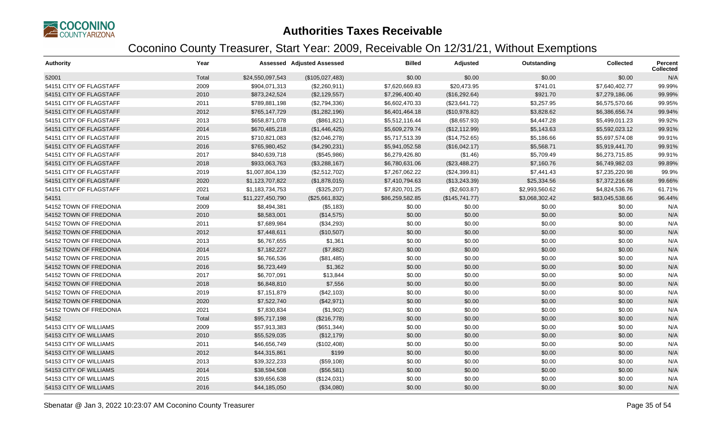

| <b>Authority</b>        | Year  |                  | Assessed Adjusted Assessed | <b>Billed</b>   | Adjusted       | Outstanding    | <b>Collected</b> | <b>Percent</b><br>Collected |
|-------------------------|-------|------------------|----------------------------|-----------------|----------------|----------------|------------------|-----------------------------|
| 52001                   | Total | \$24,550,097,543 | (\$105,027,483)            | \$0.00          | \$0.00         | \$0.00         | \$0.00           | N/A                         |
| 54151 CITY OF FLAGSTAFF | 2009  | \$904,071,313    | (\$2,260,911)              | \$7,620,669.83  | \$20,473.95    | \$741.01       | \$7,640,402.77   | 99.99%                      |
| 54151 CITY OF FLAGSTAFF | 2010  | \$873,242,524    | (\$2,129,557)              | \$7,296,400.40  | (\$16,292.64)  | \$921.70       | \$7,279,186.06   | 99.99%                      |
| 54151 CITY OF FLAGSTAFF | 2011  | \$789,881,198    | (\$2,794,336)              | \$6,602,470.33  | (\$23,641.72)  | \$3,257.95     | \$6,575,570.66   | 99.95%                      |
| 54151 CITY OF FLAGSTAFF | 2012  | \$765,147,729    | (\$1,282,196)              | \$6,401,464.18  | (\$10,978.82)  | \$3,828.62     | \$6,386,656.74   | 99.94%                      |
| 54151 CITY OF FLAGSTAFF | 2013  | \$658,871,078    | (\$861, 821)               | \$5,512,116.44  | (\$8,657.93)   | \$4,447.28     | \$5,499,011.23   | 99.92%                      |
| 54151 CITY OF FLAGSTAFF | 2014  | \$670,485,218    | (\$1,446,425)              | \$5,609,279.74  | (\$12,112.99)  | \$5,143.63     | \$5,592,023.12   | 99.91%                      |
| 54151 CITY OF FLAGSTAFF | 2015  | \$710,821,083    | (\$2,046,278)              | \$5,717,513.39  | (\$14,752.65)  | \$5,186.66     | \$5,697,574.08   | 99.91%                      |
| 54151 CITY OF FLAGSTAFF | 2016  | \$765,980,452    | (\$4,290,231)              | \$5,941,052.58  | (\$16,042.17)  | \$5,568.71     | \$5,919,441.70   | 99.91%                      |
| 54151 CITY OF FLAGSTAFF | 2017  | \$840,639,718    | (\$545,986)                | \$6,279,426.80  | (\$1.46)       | \$5,709.49     | \$6,273,715.85   | 99.91%                      |
| 54151 CITY OF FLAGSTAFF | 2018  | \$933,063,763    | (\$3,288,167)              | \$6,780,631.06  | (\$23,488.27)  | \$7,160.76     | \$6,749,982.03   | 99.89%                      |
| 54151 CITY OF FLAGSTAFF | 2019  | \$1,007,804,139  | (\$2,512,702)              | \$7,267,062.22  | (\$24,399.81)  | \$7,441.43     | \$7,235,220.98   | 99.9%                       |
| 54151 CITY OF FLAGSTAFF | 2020  | \$1,123,707,822  | (\$1,878,015)              | \$7,410,794.63  | (\$13,243.39)  | \$25,334.56    | \$7,372,216.68   | 99.66%                      |
| 54151 CITY OF FLAGSTAFF | 2021  | \$1,183,734,753  | (\$325,207)                | \$7,820,701.25  | (\$2,603.87)   | \$2,993,560.62 | \$4,824,536.76   | 61.71%                      |
| 54151                   | Total | \$11,227,450,790 | (\$25,661,832)             | \$86,259,582.85 | (\$145,741.77) | \$3,068,302.42 | \$83,045,538.66  | 96.44%                      |
| 54152 TOWN OF FREDONIA  | 2009  | \$8,494,381      | (\$5,183)                  | \$0.00          | \$0.00         | \$0.00         | \$0.00           | N/A                         |
| 54152 TOWN OF FREDONIA  | 2010  | \$8,583,001      | (\$14,575)                 | \$0.00          | \$0.00         | \$0.00         | \$0.00           | N/A                         |
| 54152 TOWN OF FREDONIA  | 2011  | \$7,689,984      | (\$34,293)                 | \$0.00          | \$0.00         | \$0.00         | \$0.00           | N/A                         |
| 54152 TOWN OF FREDONIA  | 2012  | \$7,448,611      | (\$10,507)                 | \$0.00          | \$0.00         | \$0.00         | \$0.00           | N/A                         |
| 54152 TOWN OF FREDONIA  | 2013  | \$6,767,655      | \$1,361                    | \$0.00          | \$0.00         | \$0.00         | \$0.00           | N/A                         |
| 54152 TOWN OF FREDONIA  | 2014  | \$7,182,227      | (\$7,882)                  | \$0.00          | \$0.00         | \$0.00         | \$0.00           | N/A                         |
| 54152 TOWN OF FREDONIA  | 2015  | \$6,766,536      | (\$81,485)                 | \$0.00          | \$0.00         | \$0.00         | \$0.00           | N/A                         |
| 54152 TOWN OF FREDONIA  | 2016  | \$6,723,449      | \$1,362                    | \$0.00          | \$0.00         | \$0.00         | \$0.00           | N/A                         |
| 54152 TOWN OF FREDONIA  | 2017  | \$6,707,091      | \$13,844                   | \$0.00          | \$0.00         | \$0.00         | \$0.00           | N/A                         |
| 54152 TOWN OF FREDONIA  | 2018  | \$6,848,810      | \$7,556                    | \$0.00          | \$0.00         | \$0.00         | \$0.00           | N/A                         |
| 54152 TOWN OF FREDONIA  | 2019  | \$7,151,879      | (\$42,103)                 | \$0.00          | \$0.00         | \$0.00         | \$0.00           | N/A                         |
| 54152 TOWN OF FREDONIA  | 2020  | \$7,522,740      | (\$42,971)                 | \$0.00          | \$0.00         | \$0.00         | \$0.00           | N/A                         |
| 54152 TOWN OF FREDONIA  | 2021  | \$7,830,834      | (\$1,902)                  | \$0.00          | \$0.00         | \$0.00         | \$0.00           | N/A                         |
| 54152                   | Total | \$95,717,198     | (\$216,778)                | \$0.00          | \$0.00         | \$0.00         | \$0.00           | N/A                         |
| 54153 CITY OF WILLIAMS  | 2009  | \$57,913,383     | (\$651,344)                | \$0.00          | \$0.00         | \$0.00         | \$0.00           | N/A                         |
| 54153 CITY OF WILLIAMS  | 2010  | \$55,529,035     | (\$12,179)                 | \$0.00          | \$0.00         | \$0.00         | \$0.00           | N/A                         |
| 54153 CITY OF WILLIAMS  | 2011  | \$46,656,749     | (\$102,408)                | \$0.00          | \$0.00         | \$0.00         | \$0.00           | N/A                         |
| 54153 CITY OF WILLIAMS  | 2012  | \$44,315,861     | \$199                      | \$0.00          | \$0.00         | \$0.00         | \$0.00           | N/A                         |
| 54153 CITY OF WILLIAMS  | 2013  | \$39,322,233     | (\$59,108)                 | \$0.00          | \$0.00         | \$0.00         | \$0.00           | N/A                         |
| 54153 CITY OF WILLIAMS  | 2014  | \$38,594,508     | (\$56,581)                 | \$0.00          | \$0.00         | \$0.00         | \$0.00           | N/A                         |
| 54153 CITY OF WILLIAMS  | 2015  | \$39,656,638     | (\$124,031)                | \$0.00          | \$0.00         | \$0.00         | \$0.00           | N/A                         |
| 54153 CITY OF WILLIAMS  | 2016  | \$44,185,050     | (\$34,080)                 | \$0.00          | \$0.00         | \$0.00         | \$0.00           | N/A                         |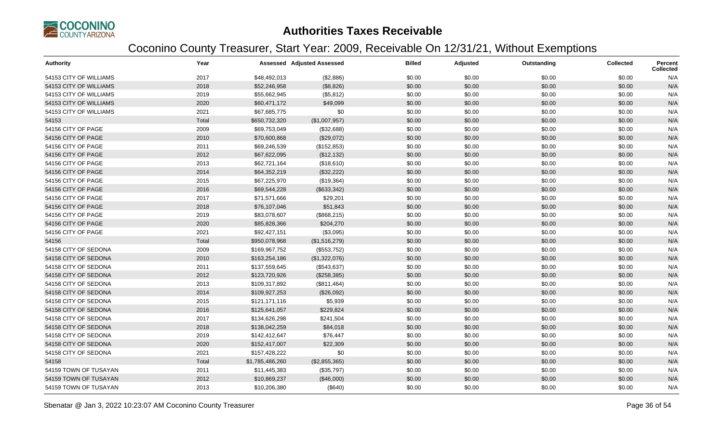

| <b>Authority</b>       | Year  |                 | <b>Assessed Adjusted Assessed</b> | <b>Billed</b> | Adjusted | Outstanding | <b>Collected</b> | Percent<br><b>Collected</b> |
|------------------------|-------|-----------------|-----------------------------------|---------------|----------|-------------|------------------|-----------------------------|
| 54153 CITY OF WILLIAMS | 2017  | \$48,492,013    | (\$2,886)                         | \$0.00        | \$0.00   | \$0.00      | \$0.00           | N/A                         |
| 54153 CITY OF WILLIAMS | 2018  | \$52,246,958    | (\$8,826)                         | \$0.00        | \$0.00   | \$0.00      | \$0.00           | N/A                         |
| 54153 CITY OF WILLIAMS | 2019  | \$55,662,945    | (\$5,812)                         | \$0.00        | \$0.00   | \$0.00      | \$0.00           | N/A                         |
| 54153 CITY OF WILLIAMS | 2020  | \$60,471,172    | \$49,099                          | \$0.00        | \$0.00   | \$0.00      | \$0.00           | N/A                         |
| 54153 CITY OF WILLIAMS | 2021  | \$67,685,775    | \$0                               | \$0.00        | \$0.00   | \$0.00      | \$0.00           | N/A                         |
| 54153                  | Total | \$650,732,320   | (\$1,007,957)                     | \$0.00        | \$0.00   | \$0.00      | \$0.00           | N/A                         |
| 54156 CITY OF PAGE     | 2009  | \$69,753,049    | (\$32,688)                        | \$0.00        | \$0.00   | \$0.00      | \$0.00           | N/A                         |
| 54156 CITY OF PAGE     | 2010  | \$70,600,868    | (\$29,072)                        | \$0.00        | \$0.00   | \$0.00      | \$0.00           | N/A                         |
| 54156 CITY OF PAGE     | 2011  | \$69,246,539    | (\$152,853)                       | \$0.00        | \$0.00   | \$0.00      | \$0.00           | N/A                         |
| 54156 CITY OF PAGE     | 2012  | \$67,622,095    | (\$12, 132)                       | \$0.00        | \$0.00   | \$0.00      | \$0.00           | N/A                         |
| 54156 CITY OF PAGE     | 2013  | \$62,721,164    | (\$18,610)                        | \$0.00        | \$0.00   | \$0.00      | \$0.00           | N/A                         |
| 54156 CITY OF PAGE     | 2014  | \$64,352,219    | (\$32,222)                        | \$0.00        | \$0.00   | \$0.00      | \$0.00           | N/A                         |
| 54156 CITY OF PAGE     | 2015  | \$67,225,970    | (\$19,364)                        | \$0.00        | \$0.00   | \$0.00      | \$0.00           | N/A                         |
| 54156 CITY OF PAGE     | 2016  | \$69,544,228    | (\$633,342)                       | \$0.00        | \$0.00   | \$0.00      | \$0.00           | N/A                         |
| 54156 CITY OF PAGE     | 2017  | \$71,571,666    | \$29,201                          | \$0.00        | \$0.00   | \$0.00      | \$0.00           | N/A                         |
| 54156 CITY OF PAGE     | 2018  | \$76,107,046    | \$51,843                          | \$0.00        | \$0.00   | \$0.00      | \$0.00           | N/A                         |
| 54156 CITY OF PAGE     | 2019  | \$83,078,607    | (\$868,215)                       | \$0.00        | \$0.00   | \$0.00      | \$0.00           | N/A                         |
| 54156 CITY OF PAGE     | 2020  | \$85,828,366    | \$204,270                         | \$0.00        | \$0.00   | \$0.00      | \$0.00           | N/A                         |
| 54156 CITY OF PAGE     | 2021  | \$92,427,151    | (\$3,095)                         | \$0.00        | \$0.00   | \$0.00      | \$0.00           | N/A                         |
| 54156                  | Total | \$950,078,968   | (\$1,516,279)                     | \$0.00        | \$0.00   | \$0.00      | \$0.00           | N/A                         |
| 54158 CITY OF SEDONA   | 2009  | \$169,967,752   | (\$553,752)                       | \$0.00        | \$0.00   | \$0.00      | \$0.00           | N/A                         |
| 54158 CITY OF SEDONA   | 2010  | \$163,254,186   | (\$1,322,076)                     | \$0.00        | \$0.00   | \$0.00      | \$0.00           | N/A                         |
| 54158 CITY OF SEDONA   | 2011  | \$137,559,645   | (\$543,637)                       | \$0.00        | \$0.00   | \$0.00      | \$0.00           | N/A                         |
| 54158 CITY OF SEDONA   | 2012  | \$123,720,926   | (\$258,385)                       | \$0.00        | \$0.00   | \$0.00      | \$0.00           | N/A                         |
| 54158 CITY OF SEDONA   | 2013  | \$109,317,892   | (\$811,464)                       | \$0.00        | \$0.00   | \$0.00      | \$0.00           | N/A                         |
| 54158 CITY OF SEDONA   | 2014  | \$109,927,253   | (\$26,092)                        | \$0.00        | \$0.00   | \$0.00      | \$0.00           | N/A                         |
| 54158 CITY OF SEDONA   | 2015  | \$121,171,116   | \$5,939                           | \$0.00        | \$0.00   | \$0.00      | \$0.00           | N/A                         |
| 54158 CITY OF SEDONA   | 2016  | \$125,641,057   | \$229,824                         | \$0.00        | \$0.00   | \$0.00      | \$0.00           | N/A                         |
| 54158 CITY OF SEDONA   | 2017  | \$134,626,298   | \$241,504                         | \$0.00        | \$0.00   | \$0.00      | \$0.00           | N/A                         |
| 54158 CITY OF SEDONA   | 2018  | \$138,042,259   | \$84,018                          | \$0.00        | \$0.00   | \$0.00      | \$0.00           | N/A                         |
| 54158 CITY OF SEDONA   | 2019  | \$142,412,647   | \$76,447                          | \$0.00        | \$0.00   | \$0.00      | \$0.00           | N/A                         |
| 54158 CITY OF SEDONA   | 2020  | \$152,417,007   | \$22,309                          | \$0.00        | \$0.00   | \$0.00      | \$0.00           | N/A                         |
| 54158 CITY OF SEDONA   | 2021  | \$157,428,222   | \$0                               | \$0.00        | \$0.00   | \$0.00      | \$0.00           | N/A                         |
| 54158                  | Total | \$1,785,486,260 | (\$2,855,365)                     | \$0.00        | \$0.00   | \$0.00      | \$0.00           | N/A                         |
| 54159 TOWN OF TUSAYAN  | 2011  | \$11,445,383    | (\$35,797)                        | \$0.00        | \$0.00   | \$0.00      | \$0.00           | N/A                         |
| 54159 TOWN OF TUSAYAN  | 2012  | \$10,869,237    | (\$46,000)                        | \$0.00        | \$0.00   | \$0.00      | \$0.00           | N/A                         |
| 54159 TOWN OF TUSAYAN  | 2013  | \$10,206,380    | (\$640)                           | \$0.00        | \$0.00   | \$0.00      | \$0.00           | N/A                         |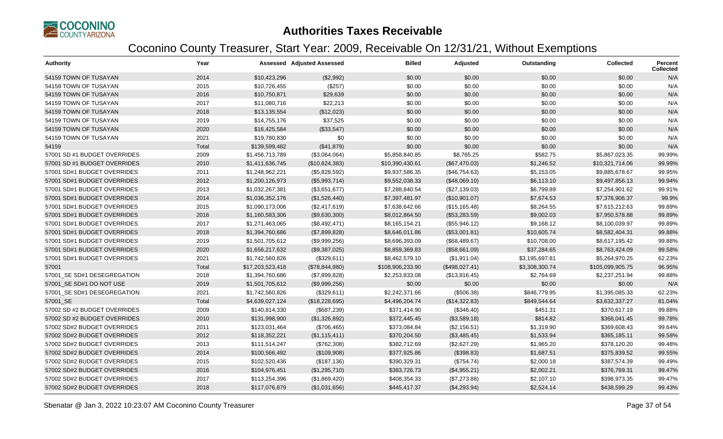

| <b>Authority</b>             | Year  |                  | <b>Assessed Adjusted Assessed</b> | <b>Billed</b>    | Adjusted       | Outstanding    | <b>Collected</b> | <b>Percent</b><br><b>Collected</b> |
|------------------------------|-------|------------------|-----------------------------------|------------------|----------------|----------------|------------------|------------------------------------|
| 54159 TOWN OF TUSAYAN        | 2014  | \$10,423,296     | (\$2,992)                         | \$0.00           | \$0.00         | \$0.00         | \$0.00           | N/A                                |
| 54159 TOWN OF TUSAYAN        | 2015  | \$10,726,455     | (\$257)                           | \$0.00           | \$0.00         | \$0.00         | \$0.00           | N/A                                |
| 54159 TOWN OF TUSAYAN        | 2016  | \$10,750,871     | \$29,639                          | \$0.00           | \$0.00         | \$0.00         | \$0.00           | N/A                                |
| 54159 TOWN OF TUSAYAN        | 2017  | \$11,080,716     | \$22,213                          | \$0.00           | \$0.00         | \$0.00         | \$0.00           | N/A                                |
| 54159 TOWN OF TUSAYAN        | 2018  | \$13,135,554     | (\$12,023)                        | \$0.00           | \$0.00         | \$0.00         | \$0.00           | N/A                                |
| 54159 TOWN OF TUSAYAN        | 2019  | \$14,755,176     | \$37,525                          | \$0.00           | \$0.00         | \$0.00         | \$0.00           | N/A                                |
| 54159 TOWN OF TUSAYAN        | 2020  | \$16,425,584     | (\$33,547)                        | \$0.00           | \$0.00         | \$0.00         | \$0.00           | N/A                                |
| 54159 TOWN OF TUSAYAN        | 2021  | \$19,780,830     | \$0                               | \$0.00           | \$0.00         | \$0.00         | \$0.00           | N/A                                |
| 54159                        | Total | \$139,599,482    | (\$41,879)                        | \$0.00           | \$0.00         | \$0.00         | \$0.00           | N/A                                |
| 57001 SD #1 BUDGET OVERRIDES | 2009  | \$1,456,713,789  | (\$3,064,064)                     | \$5,858,840.85   | \$8,765.25     | \$582.75       | \$5,867,023.35   | 99.99%                             |
| 57001 SD #1 BUDGET OVERRIDES | 2010  | \$1,411,636,745  | (\$10,624,383)                    | \$10,390,430.61  | (\$67,470.03)  | \$1,246.52     | \$10,321,714.06  | 99.99%                             |
| 57001 SD#1 BUDGET OVERRIDES  | 2011  | \$1,248,962,221  | (\$5,828,592)                     | \$9,937,586.35   | (\$46,754.63)  | \$5,153.05     | \$9,885,678.67   | 99.95%                             |
| 57001 SD#1 BUDGET OVERRIDES  | 2012  | \$1,200,126,973  | (\$5,993,714)                     | \$9,552,038.33   | (\$48,069.10)  | \$6,113.10     | \$9,497,856.13   | 99.94%                             |
| 57001 SD#1 BUDGET OVERRIDES  | 2013  | \$1,032,267,381  | (\$3,651,677)                     | \$7,288,840.54   | (\$27,139.03)  | \$6,799.89     | \$7,254,901.62   | 99.91%                             |
| 57001 SD#1 BUDGET OVERRIDES  | 2014  | \$1,036,352,176  | (\$1,526,440)                     | \$7,397,481.97   | (\$10,901.07)  | \$7,674.53     | \$7,378,906.37   | 99.9%                              |
| 57001 SD#1 BUDGET OVERRIDES  | 2015  | \$1,090,173,006  | (\$2,417,619)                     | \$7,638,642.66   | (\$15, 165.48) | \$8,264.55     | \$7,615,212.63   | 99.89%                             |
| 57001 SD#1 BUDGET OVERRIDES  | 2016  | \$1,160,583,306  | (\$9,630,300)                     | \$8,012,864.50   | (\$53,283.59)  | \$9,002.03     | \$7,950,578.88   | 99.89%                             |
| 57001 SD#1 BUDGET OVERRIDES  | 2017  | \$1,271,463,065  | (\$8,492,471)                     | \$8,165,154.21   | (\$55,946.12)  | \$9,168.12     | \$8,100,039.97   | 99.89%                             |
| 57001 SD#1 BUDGET OVERRIDES  | 2018  | \$1,394,760,686  | (\$7,899,828)                     | \$8,646,011.86   | (\$53,001.81)  | \$10,605.74    | \$8,582,404.31   | 99.88%                             |
| 57001 SD#1 BUDGET OVERRIDES  | 2019  | \$1,501,705,612  | (\$9,999,256)                     | \$8,696,393.09   | (\$68,489.67)  | \$10,708.00    | \$8,617,195.42   | 99.88%                             |
| 57001 SD#1 BUDGET OVERRIDES  | 2020  | \$1,656,217,632  | (\$9,387,025)                     | \$8,859,369.83   | (\$58,661.09)  | \$37,284.65    | \$8,763,424.09   | 99.58%                             |
| 57001 SD#1 BUDGET OVERRIDES  | 2021  | \$1,742,560,826  | (\$329,611)                       | \$8,462,579.10   | (\$1,911.04)   | \$3,195,697.81 | \$5,264,970.25   | 62.23%                             |
| 57001                        | Total | \$17,203,523,418 | (\$78,844,980)                    | \$108,906,233.90 | (\$498,027.41) | \$3,308,300.74 | \$105,099,905.75 | 96.95%                             |
| 57001_SE SD#1 DESEGREGATION  | 2018  | \$1,394,760,686  | (\$7,899,828)                     | \$2,253,833.08   | (\$13,816.45)  | \$2,764.69     | \$2,237,251.94   | 99.88%                             |
| 57001 SE SD#1 DO NOT USE     | 2019  | \$1,501,705,612  | (\$9,999,256)                     | \$0.00           | \$0.00         | \$0.00         | \$0.00           | N/A                                |
| 57001 SE SD#1 DESEGREGATION  | 2021  | \$1,742,560,826  | (\$329,611)                       | \$2,242,371.66   | (\$506.38)     | \$846,779.95   | \$1,395,085.33   | 62.23%                             |
| 57001 SE                     | Total | \$4,639,027,124  | (\$18,228,695)                    | \$4,496,204.74   | (\$14,322.83)  | \$849,544.64   | \$3,632,337.27   | 81.04%                             |
| 57002 SD #2 BUDGET OVERRIDES | 2009  | \$140,814,330    | (\$687,239)                       | \$371,414.90     | (\$346.40)     | \$451.31       | \$370,617.19     | 99.88%                             |
| 57002 SD #2 BUDGET OVERRIDES | 2010  | \$131,998,900    | (\$1,326,892)                     | \$372,445.45     | (\$3,589.18)   | \$814.82       | \$368,041.45     | 99.78%                             |
| 57002 SD#2 BUDGET OVERRIDES  | 2011  | \$123,031,464    | (\$706,465)                       | \$373,084.84     | (\$2,156.51)   | \$1,319.90     | \$369,608.43     | 99.64%                             |
| 57002 SD#2 BUDGET OVERRIDES  | 2012  | \$118,352,221    | (\$1,115,411)                     | \$370,204.50     | (\$3,485.45)   | \$1,533.94     | \$365,185.11     | 99.58%                             |
| 57002 SD#2 BUDGET OVERRIDES  | 2013  | \$111,514,247    | (\$762,308)                       | \$382,712.69     | (\$2,627.29)   | \$1,965.20     | \$378,120.20     | 99.48%                             |
| 57002 SD#2 BUDGET OVERRIDES  | 2014  | \$100,566,492    | (\$109,908)                       | \$377,925.86     | (\$398.83)     | \$1,687.51     | \$375,839.52     | 99.55%                             |
| 57002 SD#2 BUDGET OVERRIDES  | 2015  | \$102,520,436    | (\$187, 136)                      | \$390,329.31     | (\$754.74)     | \$2,000.18     | \$387,574.39     | 99.49%                             |
| 57002 SD#2 BUDGET OVERRIDES  | 2016  | \$104,976,451    | (\$1,295,710)                     | \$383,726.73     | (\$4,955.21)   | \$2,002.21     | \$376,769.31     | 99.47%                             |
| 57002 SD#2 BUDGET OVERRIDES  | 2017  | \$113,254,396    | (\$1,869,420)                     | \$408,354.33     | (\$7,273.88)   | \$2,107.10     | \$398,973.35     | 99.47%                             |
| 57002 SD#2 BUDGET OVERRIDES  | 2018  | \$117,076,879    | (\$1,031,656)                     | \$445,417.37     | (\$4,293.94)   | \$2,524.14     | \$438,599.29     | 99.43%                             |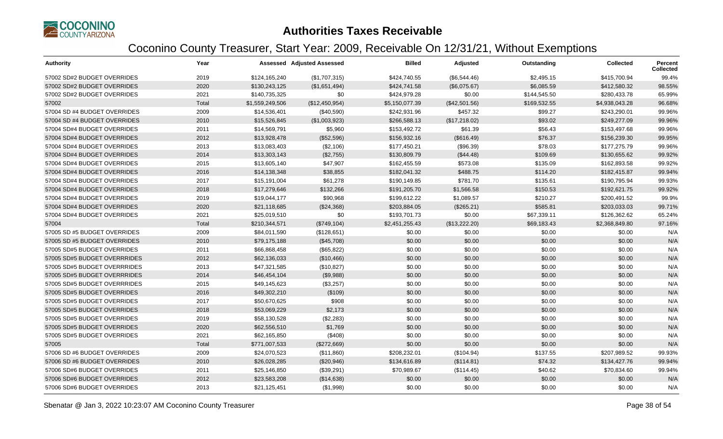

| <b>Authority</b>             | Year  |                 | <b>Assessed Adjusted Assessed</b> | <b>Billed</b>  | Adjusted      | Outstanding  | <b>Collected</b> | Percent<br><b>Collected</b> |
|------------------------------|-------|-----------------|-----------------------------------|----------------|---------------|--------------|------------------|-----------------------------|
| 57002 SD#2 BUDGET OVERRIDES  | 2019  | \$124,165,240   | (\$1,707,315)                     | \$424,740.55   | (\$6,544.46)  | \$2,495.15   | \$415,700.94     | 99.4%                       |
| 57002 SD#2 BUDGET OVERRIDES  | 2020  | \$130,243,125   | (\$1,651,494)                     | \$424,741.58   | (\$6,075.67)  | \$6,085.59   | \$412,580.32     | 98.55%                      |
| 57002 SD#2 BUDGET OVERRIDES  | 2021  | \$140,735,325   | \$0                               | \$424,979.28   | \$0.00        | \$144,545.50 | \$280,433.78     | 65.99%                      |
| 57002                        | Total | \$1,559,249,506 | (\$12,450,954)                    | \$5,150,077.39 | (\$42,501.56) | \$169,532.55 | \$4,938,043.28   | 96.68%                      |
| 57004 SD #4 BUDGET OVERRIDES | 2009  | \$14,536,401    | (\$40,590)                        | \$242,931.96   | \$457.32      | \$99.27      | \$243,290.01     | 99.96%                      |
| 57004 SD #4 BUDGET OVERRIDES | 2010  | \$15,526,845    | (\$1,003,923)                     | \$266,588.13   | (\$17,218.02) | \$93.02      | \$249,277.09     | 99.96%                      |
| 57004 SD#4 BUDGET OVERRIDES  | 2011  | \$14,569,791    | \$5,960                           | \$153,492.72   | \$61.39       | \$56.43      | \$153,497.68     | 99.96%                      |
| 57004 SD#4 BUDGET OVERRIDES  | 2012  | \$13,928,478    | (\$52,596)                        | \$156,932.16   | (\$616.49)    | \$76.37      | \$156,239.30     | 99.95%                      |
| 57004 SD#4 BUDGET OVERRIDES  | 2013  | \$13,083,403    | (\$2,106)                         | \$177,450.21   | (\$96.39)     | \$78.03      | \$177,275.79     | 99.96%                      |
| 57004 SD#4 BUDGET OVERRIDES  | 2014  | \$13,303,143    | (\$2,755)                         | \$130,809.79   | (\$44.48)     | \$109.69     | \$130,655.62     | 99.92%                      |
| 57004 SD#4 BUDGET OVERRIDES  | 2015  | \$13,605,140    | \$47,907                          | \$162,455.59   | \$573.08      | \$135.09     | \$162,893.58     | 99.92%                      |
| 57004 SD#4 BUDGET OVERRIDES  | 2016  | \$14,138,348    | \$38,855                          | \$182,041.32   | \$488.75      | \$114.20     | \$182,415.87     | 99.94%                      |
| 57004 SD#4 BUDGET OVERRIDES  | 2017  | \$15,191,004    | \$61,278                          | \$190,149.85   | \$781.70      | \$135.61     | \$190,795.94     | 99.93%                      |
| 57004 SD#4 BUDGET OVERRIDES  | 2018  | \$17,279,646    | \$132,266                         | \$191,205.70   | \$1,566.58    | \$150.53     | \$192,621.75     | 99.92%                      |
| 57004 SD#4 BUDGET OVERRIDES  | 2019  | \$19,044,177    | \$90,968                          | \$199,612.22   | \$1,089.57    | \$210.27     | \$200,491.52     | 99.9%                       |
| 57004 SD#4 BUDGET OVERRIDES  | 2020  | \$21,118,685    | (\$24,368)                        | \$203,884.05   | (\$265.21)    | \$585.81     | \$203,033.03     | 99.71%                      |
| 57004 SD#4 BUDGET OVERRIDES  | 2021  | \$25,019,510    | \$0                               | \$193,701.73   | \$0.00        | \$67,339.11  | \$126,362.62     | 65.24%                      |
| 57004                        | Total | \$210,344,571   | (\$749,104)                       | \$2,451,255.43 | (\$13,222.20) | \$69,183.43  | \$2,368,849.80   | 97.16%                      |
| 57005 SD #5 BUDGET OVERRIDES | 2009  | \$84,011,590    | (\$128,651)                       | \$0.00         | \$0.00        | \$0.00       | \$0.00           | N/A                         |
| 57005 SD #5 BUDGET OVERRIDES | 2010  | \$79,175,188    | (\$45,708)                        | \$0.00         | \$0.00        | \$0.00       | \$0.00           | N/A                         |
| 57005 SD#5 BUDGET OVERRIDES  | 2011  | \$66,868,458    | (\$65,822)                        | \$0.00         | \$0.00        | \$0.00       | \$0.00           | N/A                         |
| 57005 SD#5 BUDGET OVERRRIDES | 2012  | \$62,136,033    | (\$10,466)                        | \$0.00         | \$0.00        | \$0.00       | \$0.00           | N/A                         |
| 57005 SD#5 BUDGET OVERRRIDES | 2013  | \$47,321,585    | (\$10,827)                        | \$0.00         | \$0.00        | \$0.00       | \$0.00           | N/A                         |
| 57005 SD#5 BUDGET OVERRRIDES | 2014  | \$46,454,104    | (\$9,988)                         | \$0.00         | \$0.00        | \$0.00       | \$0.00           | N/A                         |
| 57005 SD#5 BUDGET OVERRRIDES | 2015  | \$49,145,623    | (\$3,257)                         | \$0.00         | \$0.00        | \$0.00       | \$0.00           | N/A                         |
| 57005 SD#5 BUDGET OVERRIDES  | 2016  | \$49,302,210    | (\$109)                           | \$0.00         | \$0.00        | \$0.00       | \$0.00           | N/A                         |
| 57005 SD#5 BUDGET OVERRIDES  | 2017  | \$50,670,625    | \$908                             | \$0.00         | \$0.00        | \$0.00       | \$0.00           | N/A                         |
| 57005 SD#5 BUDGET OVERRIDES  | 2018  | \$53,069,229    | \$2,173                           | \$0.00         | \$0.00        | \$0.00       | \$0.00           | N/A                         |
| 57005 SD#5 BUDGET OVERRIDES  | 2019  | \$58,130,528    | (\$2,283)                         | \$0.00         | \$0.00        | \$0.00       | \$0.00           | N/A                         |
| 57005 SD#5 BUDGET OVERRIDES  | 2020  | \$62,556,510    | \$1,769                           | \$0.00         | \$0.00        | \$0.00       | \$0.00           | N/A                         |
| 57005 SD#5 BUDGET OVERRIDES  | 2021  | \$62,165,850    | (\$408)                           | \$0.00         | \$0.00        | \$0.00       | \$0.00           | N/A                         |
| 57005                        | Total | \$771,007,533   | (\$272,669)                       | \$0.00         | \$0.00        | \$0.00       | \$0.00           | N/A                         |
| 57006 SD #6 BUDGET OVERRIDES | 2009  | \$24,070,523    | (\$11,860)                        | \$208,232.01   | (\$104.94)    | \$137.55     | \$207,989.52     | 99.93%                      |
| 57006 SD #6 BUDGET OVERRIDES | 2010  | \$26,028,285    | (\$20,946)                        | \$134,616.89   | (\$114.81)    | \$74.32      | \$134,427.76     | 99.94%                      |
| 57006 SD#6 BUDGET OVERRIDES  | 2011  | \$25,146,850    | (\$39,291)                        | \$70,989.67    | (\$114.45)    | \$40.62      | \$70,834.60      | 99.94%                      |
| 57006 SD#6 BUDGET OVERRIDES  | 2012  | \$23,583,208    | (\$14,638)                        | \$0.00         | \$0.00        | \$0.00       | \$0.00           | N/A                         |
| 57006 SD#6 BUDGET OVERRIDES  | 2013  | \$21,125,451    | (\$1,998)                         | \$0.00         | \$0.00        | \$0.00       | \$0.00           | N/A                         |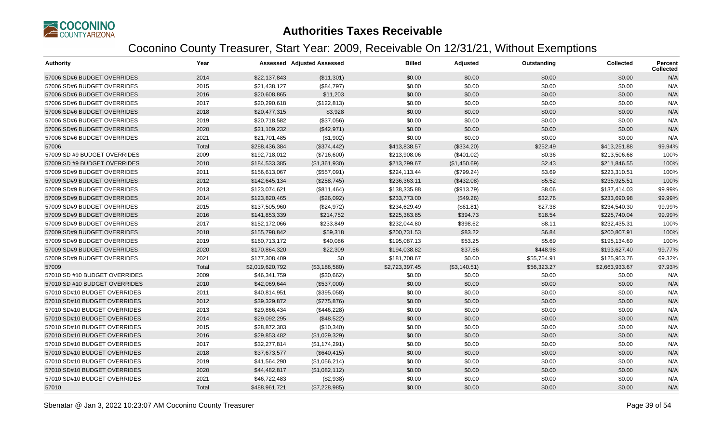

| <b>Authority</b>              | Year  |                 | <b>Assessed Adjusted Assessed</b> | <b>Billed</b>  | Adjusted     | Outstanding | <b>Collected</b> | <b>Percent</b><br><b>Collected</b> |
|-------------------------------|-------|-----------------|-----------------------------------|----------------|--------------|-------------|------------------|------------------------------------|
| 57006 SD#6 BUDGET OVERRIDES   | 2014  | \$22,137,843    | (\$11,301)                        | \$0.00         | \$0.00       | \$0.00      | \$0.00           | N/A                                |
| 57006 SD#6 BUDGET OVERRIDES   | 2015  | \$21,438,127    | (\$84,797)                        | \$0.00         | \$0.00       | \$0.00      | \$0.00           | N/A                                |
| 57006 SD#6 BUDGET OVERRIDES   | 2016  | \$20,608,865    | \$11,203                          | \$0.00         | \$0.00       | \$0.00      | \$0.00           | N/A                                |
| 57006 SD#6 BUDGET OVERRIDES   | 2017  | \$20,290,618    | (\$122,813)                       | \$0.00         | \$0.00       | \$0.00      | \$0.00           | N/A                                |
| 57006 SD#6 BUDGET OVERRIDES   | 2018  | \$20,477,315    | \$3,928                           | \$0.00         | \$0.00       | \$0.00      | \$0.00           | N/A                                |
| 57006 SD#6 BUDGET OVERRIDES   | 2019  | \$20,718,582    | (\$37,056)                        | \$0.00         | \$0.00       | \$0.00      | \$0.00           | N/A                                |
| 57006 SD#6 BUDGET OVERRIDES   | 2020  | \$21,109,232    | (\$42,971)                        | \$0.00         | \$0.00       | \$0.00      | \$0.00           | N/A                                |
| 57006 SD#6 BUDGET OVERRIDES   | 2021  | \$21,701,485    | (\$1,902)                         | \$0.00         | \$0.00       | \$0.00      | \$0.00           | N/A                                |
| 57006                         | Total | \$288,436,384   | (\$374,442)                       | \$413,838.57   | (\$334.20)   | \$252.49    | \$413,251.88     | 99.94%                             |
| 57009 SD #9 BUDGET OVERRIDES  | 2009  | \$192,718,012   | (\$716,600)                       | \$213,908.06   | (\$401.02)   | \$0.36      | \$213,506.68     | 100%                               |
| 57009 SD #9 BUDGET OVERRIDES  | 2010  | \$184,533,385   | (\$1,361,930)                     | \$213,299.67   | (\$1,450.69) | \$2.43      | \$211,846.55     | 100%                               |
| 57009 SD#9 BUDGET OVERRIDES   | 2011  | \$156,613,067   | (\$557,091)                       | \$224,113.44   | (\$799.24)   | \$3.69      | \$223,310.51     | 100%                               |
| 57009 SD#9 BUDGET OVERRIDES   | 2012  | \$142,645,134   | (\$258,745)                       | \$236,363.11   | (\$432.08)   | \$5.52      | \$235,925.51     | 100%                               |
| 57009 SD#9 BUDGET OVERRIDES   | 2013  | \$123,074,621   | (\$811,464)                       | \$138,335.88   | (\$913.79)   | \$8.06      | \$137,414.03     | 99.99%                             |
| 57009 SD#9 BUDGET OVERRIDES   | 2014  | \$123,820,465   | (\$26,092)                        | \$233,773.00   | (\$49.26)    | \$32.76     | \$233,690.98     | 99.99%                             |
| 57009 SD#9 BUDGET OVERRIDES   | 2015  | \$137,505,960   | (\$24,972)                        | \$234,629.49   | (\$61.81)    | \$27.38     | \$234,540.30     | 99.99%                             |
| 57009 SD#9 BUDGET OVERRIDES   | 2016  | \$141,853,339   | \$214,752                         | \$225,363.85   | \$394.73     | \$18.54     | \$225,740.04     | 99.99%                             |
| 57009 SD#9 BUDGET OVERRIDES   | 2017  | \$152,172,066   | \$233,849                         | \$232,044.80   | \$398.62     | \$8.11      | \$232,435.31     | 100%                               |
| 57009 SD#9 BUDGET OVERRIDES   | 2018  | \$155,798,842   | \$59,318                          | \$200,731.53   | \$83.22      | \$6.84      | \$200,807.91     | 100%                               |
| 57009 SD#9 BUDGET OVERRIDES   | 2019  | \$160,713,172   | \$40,086                          | \$195,087.13   | \$53.25      | \$5.69      | \$195,134.69     | 100%                               |
| 57009 SD#9 BUDGET OVERRIDES   | 2020  | \$170,864,320   | \$22,309                          | \$194,038.82   | \$37.56      | \$448.98    | \$193,627.40     | 99.77%                             |
| 57009 SD#9 BUDGET OVERRIDES   | 2021  | \$177,308,409   | \$0                               | \$181,708.67   | \$0.00       | \$55,754.91 | \$125,953.76     | 69.32%                             |
| 57009                         | Total | \$2,019,620,792 | (\$3,186,580)                     | \$2,723,397.45 | (\$3,140.51) | \$56,323.27 | \$2,663,933.67   | 97.93%                             |
| 57010 SD #10 BUDGET OVERRIDES | 2009  | \$46,341,759    | (\$30,662)                        | \$0.00         | \$0.00       | \$0.00      | \$0.00           | N/A                                |
| 57010 SD #10 BUDGET OVERRIDES | 2010  | \$42,069,644    | (\$537,000)                       | \$0.00         | \$0.00       | \$0.00      | \$0.00           | N/A                                |
| 57010 SD#10 BUDGET OVERRIDES  | 2011  | \$40,814,951    | (\$395,058)                       | \$0.00         | \$0.00       | \$0.00      | \$0.00           | N/A                                |
| 57010 SD#10 BUDGET OVERRIDES  | 2012  | \$39,329,872    | (\$775,876)                       | \$0.00         | \$0.00       | \$0.00      | \$0.00           | N/A                                |
| 57010 SD#10 BUDGET OVERRIDES  | 2013  | \$29,866,434    | (\$446,228)                       | \$0.00         | \$0.00       | \$0.00      | \$0.00           | N/A                                |
| 57010 SD#10 BUDGET OVERRIDES  | 2014  | \$29,092,295    | (\$48,522)                        | \$0.00         | \$0.00       | \$0.00      | \$0.00           | N/A                                |
| 57010 SD#10 BUDGET OVERRIDES  | 2015  | \$28,872,303    | (\$10,340)                        | \$0.00         | \$0.00       | \$0.00      | \$0.00           | N/A                                |
| 57010 SD#10 BUDGET OVERRIDES  | 2016  | \$29,853,482    | (\$1,029,329)                     | \$0.00         | \$0.00       | \$0.00      | \$0.00           | N/A                                |
| 57010 SD#10 BUDGET OVERRIDES  | 2017  | \$32,277,814    | (\$1,174,291)                     | \$0.00         | \$0.00       | \$0.00      | \$0.00           | N/A                                |
| 57010 SD#10 BUDGET OVERRIDES  | 2018  | \$37,673,577    | (\$640, 415)                      | \$0.00         | \$0.00       | \$0.00      | \$0.00           | N/A                                |
| 57010 SD#10 BUDGET OVERRIDES  | 2019  | \$41,564,290    | (\$1,056,214)                     | \$0.00         | \$0.00       | \$0.00      | \$0.00           | N/A                                |
| 57010 SD#10 BUDGET OVERRIDES  | 2020  | \$44,482,817    | (\$1,082,112)                     | \$0.00         | \$0.00       | \$0.00      | \$0.00           | N/A                                |
| 57010 SD#10 BUDGET OVERRIDES  | 2021  | \$46,722,483    | (\$2,938)                         | \$0.00         | \$0.00       | \$0.00      | \$0.00           | N/A                                |
| 57010                         | Total | \$488,961,721   | (\$7,228,985)                     | \$0.00         | \$0.00       | \$0.00      | \$0.00           | N/A                                |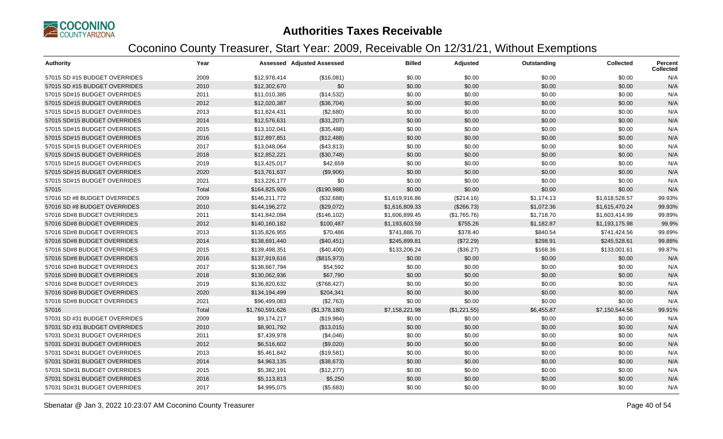

| <b>Authority</b>              | Year  |                 | <b>Assessed Adjusted Assessed</b> | <b>Billed</b>  | Adjusted     | Outstanding | <b>Collected</b> | Percent<br><b>Collected</b> |
|-------------------------------|-------|-----------------|-----------------------------------|----------------|--------------|-------------|------------------|-----------------------------|
| 57015 SD #15 BUDGET OVERRIDES | 2009  | \$12,978,414    | (\$16,081)                        | \$0.00         | \$0.00       | \$0.00      | \$0.00           | N/A                         |
| 57015 SD #15 BUDGET OVERRIDES | 2010  | \$12,302,670    | \$0                               | \$0.00         | \$0.00       | \$0.00      | \$0.00           | N/A                         |
| 57015 SD#15 BUDGET OVERRIDES  | 2011  | \$11,010,385    | (\$14,532)                        | \$0.00         | \$0.00       | \$0.00      | \$0.00           | N/A                         |
| 57015 SD#15 BUDGET OVERRIDES  | 2012  | \$12,020,387    | (\$36,704)                        | \$0.00         | \$0.00       | \$0.00      | \$0.00           | N/A                         |
| 57015 SD#15 BUDGET OVERRIDES  | 2013  | \$11,624,431    | (\$2,680)                         | \$0.00         | \$0.00       | \$0.00      | \$0.00           | N/A                         |
| 57015 SD#15 BUDGET OVERRIDES  | 2014  | \$12,576,631    | (\$31,207)                        | \$0.00         | \$0.00       | \$0.00      | \$0.00           | N/A                         |
| 57015 SD#15 BUDGET OVERRIDES  | 2015  | \$13,102,041    | (\$35,488)                        | \$0.00         | \$0.00       | \$0.00      | \$0.00           | N/A                         |
| 57015 SD#15 BUDGET OVERRIDES  | 2016  | \$12,897,851    | (\$12,488)                        | \$0.00         | \$0.00       | \$0.00      | \$0.00           | N/A                         |
| 57015 SD#15 BUDGET OVERRIDES  | 2017  | \$13,048,064    | (\$43,813)                        | \$0.00         | \$0.00       | \$0.00      | \$0.00           | N/A                         |
| 57015 SD#15 BUDGET OVERRIDES  | 2018  | \$12,852,221    | (\$30,748)                        | \$0.00         | \$0.00       | \$0.00      | \$0.00           | N/A                         |
| 57015 SD#15 BUDGET OVERRIDES  | 2019  | \$13,425,017    | \$42,659                          | \$0.00         | \$0.00       | \$0.00      | \$0.00           | N/A                         |
| 57015 SD#15 BUDGET OVERRIDES  | 2020  | \$13,761,637    | (\$9,906)                         | \$0.00         | \$0.00       | \$0.00      | \$0.00           | N/A                         |
| 57015 SD#15 BUDGET OVERRIDES  | 2021  | \$13,226,177    | \$0                               | \$0.00         | \$0.00       | \$0.00      | \$0.00           | N/A                         |
| 57015                         | Total | \$164,825,926   | (\$190,988)                       | \$0.00         | \$0.00       | \$0.00      | \$0.00           | N/A                         |
| 57016 SD #8 BUDGET OVERRIDES  | 2009  | \$146,211,772   | (\$32,688)                        | \$1,619,916.86 | (\$214.16)   | \$1,174.13  | \$1,618,528.57   | 99.93%                      |
| 57016 SD #8 BUDGET OVERRIDES  | 2010  | \$144,196,272   | (\$29,072)                        | \$1,616,809.33 | (\$266.73)   | \$1,072.36  | \$1,615,470.24   | 99.93%                      |
| 57016 SD#8 BUDGET OVERRIDES   | 2011  | \$141,842,094   | (\$146, 102)                      | \$1,606,899.45 | (\$1,765.76) | \$1,718.70  | \$1,603,414.99   | 99.89%                      |
| 57016 SD#8 BUDGET OVERRIDES   | 2012  | \$140,160,182   | \$100,487                         | \$1,193,603.59 | \$755.26     | \$1,182.87  | \$1,193,175.98   | 99.9%                       |
| 57016 SD#8 BUDGET OVERRIDES   | 2013  | \$135,826,955   | \$70,486                          | \$741,886.70   | \$378.40     | \$840.54    | \$741,424.56     | 99.89%                      |
| 57016 SD#8 BUDGET OVERRIDES   | 2014  | \$138,691,440   | (\$40,451)                        | \$245,899.81   | (\$72.29)    | \$298.91    | \$245,528.61     | 99.88%                      |
| 57016 SD#8 BUDGET OVERRIDES   | 2015  | \$139,498,351   | (\$40,400)                        | \$133,206.24   | (\$36.27)    | \$168.36    | \$133,001.61     | 99.87%                      |
| 57016 SD#8 BUDGET OVERRIDES   | 2016  | \$137,919,616   | (\$815,973)                       | \$0.00         | \$0.00       | \$0.00      | \$0.00           | N/A                         |
| 57016 SD#8 BUDGET OVERRIDES   | 2017  | \$138,667,794   | \$54,592                          | \$0.00         | \$0.00       | \$0.00      | \$0.00           | N/A                         |
| 57016 SD#8 BUDGET OVERRIDES   | 2018  | \$130,062,936   | \$67,790                          | \$0.00         | \$0.00       | \$0.00      | \$0.00           | N/A                         |
| 57016 SD#8 BUDGET OVERRIDES   | 2019  | \$136,820,632   | (\$768,427)                       | \$0.00         | \$0.00       | \$0.00      | \$0.00           | N/A                         |
| 57016 SD#8 BUDGET OVERRIDES   | 2020  | \$134,194,499   | \$204,341                         | \$0.00         | \$0.00       | \$0.00      | \$0.00           | N/A                         |
| 57016 SD#8 BUDGET OVERRIDES   | 2021  | \$96,499,083    | (\$2,763)                         | \$0.00         | \$0.00       | \$0.00      | \$0.00           | N/A                         |
| 57016                         | Total | \$1,760,591,626 | (\$1,378,180)                     | \$7,158,221.98 | (\$1,221.55) | \$6,455.87  | \$7,150,544.56   | 99.91%                      |
| 57031 SD #31 BUDGET OVERRIDES | 2009  | \$9,174,217     | (\$19,984)                        | \$0.00         | \$0.00       | \$0.00      | \$0.00           | N/A                         |
| 57031 SD #31 BUDGET OVERRIDES | 2010  | \$8,901,792     | (\$13,015)                        | \$0.00         | \$0.00       | \$0.00      | \$0.00           | N/A                         |
| 57031 SD#31 BUDGET OVERRIDES  | 2011  | \$7,439,978     | (\$4,046)                         | \$0.00         | \$0.00       | \$0.00      | \$0.00           | N/A                         |
| 57031 SD#31 BUDGET OVERRIDES  | 2012  | \$6,516,602     | (\$9,020)                         | \$0.00         | \$0.00       | \$0.00      | \$0.00           | N/A                         |
| 57031 SD#31 BUDGET OVERRIDES  | 2013  | \$5,461,842     | (\$19,581)                        | \$0.00         | \$0.00       | \$0.00      | \$0.00           | N/A                         |
| 57031 SD#31 BUDGET OVERRIDES  | 2014  | \$4,963,135     | (\$38,673)                        | \$0.00         | \$0.00       | \$0.00      | \$0.00           | N/A                         |
| 57031 SD#31 BUDGET OVERRIDES  | 2015  | \$5,382,191     | (\$12,277)                        | \$0.00         | \$0.00       | \$0.00      | \$0.00           | N/A                         |
| 57031 SD#31 BUDGET OVERRIDES  | 2016  | \$5,113,813     | \$5,250                           | \$0.00         | \$0.00       | \$0.00      | \$0.00           | N/A                         |
| 57031 SD#31 BUDGET OVERRIDES  | 2017  | \$4,995,075     | (\$5,683)                         | \$0.00         | \$0.00       | \$0.00      | \$0.00           | N/A                         |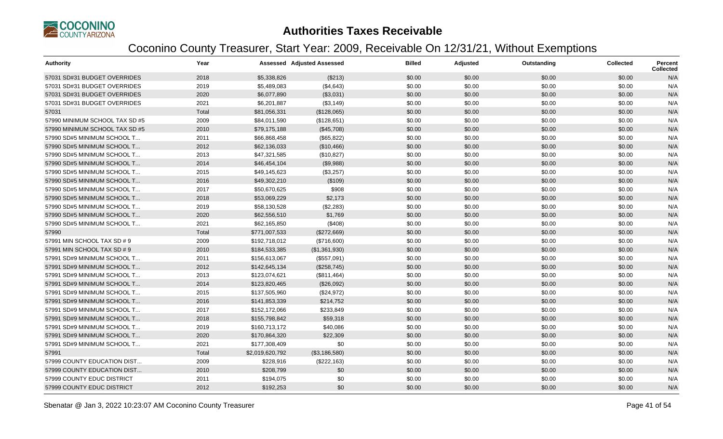

| Authority                      | Year  |                 | <b>Assessed Adjusted Assessed</b> | <b>Billed</b> | Adjusted | Outstanding | <b>Collected</b> | <b>Percent</b><br><b>Collected</b> |
|--------------------------------|-------|-----------------|-----------------------------------|---------------|----------|-------------|------------------|------------------------------------|
| 57031 SD#31 BUDGET OVERRIDES   | 2018  | \$5,338,826     | (\$213)                           | \$0.00        | \$0.00   | \$0.00      | \$0.00           | N/A                                |
| 57031 SD#31 BUDGET OVERRIDES   | 2019  | \$5,489,083     | (\$4,643)                         | \$0.00        | \$0.00   | \$0.00      | \$0.00           | N/A                                |
| 57031 SD#31 BUDGET OVERRIDES   | 2020  | \$6,077,890     | (\$3,031)                         | \$0.00        | \$0.00   | \$0.00      | \$0.00           | N/A                                |
| 57031 SD#31 BUDGET OVERRIDES   | 2021  | \$6,201,887     | (\$3,149)                         | \$0.00        | \$0.00   | \$0.00      | \$0.00           | N/A                                |
| 57031                          | Total | \$81,056,331    | (\$128,065)                       | \$0.00        | \$0.00   | \$0.00      | \$0.00           | N/A                                |
| 57990 MINIMUM SCHOOL TAX SD #5 | 2009  | \$84,011,590    | (\$128,651)                       | \$0.00        | \$0.00   | \$0.00      | \$0.00           | N/A                                |
| 57990 MINIMUM SCHOOL TAX SD #5 | 2010  | \$79,175,188    | (\$45,708)                        | \$0.00        | \$0.00   | \$0.00      | \$0.00           | N/A                                |
| 57990 SD#5 MINIMUM SCHOOL T    | 2011  | \$66,868,458    | (\$65,822)                        | \$0.00        | \$0.00   | \$0.00      | \$0.00           | N/A                                |
| 57990 SD#5 MINIMUM SCHOOL T    | 2012  | \$62,136,033    | (\$10,466)                        | \$0.00        | \$0.00   | \$0.00      | \$0.00           | N/A                                |
| 57990 SD#5 MINIMUM SCHOOL T    | 2013  | \$47,321,585    | (\$10,827)                        | \$0.00        | \$0.00   | \$0.00      | \$0.00           | N/A                                |
| 57990 SD#5 MINIMUM SCHOOL T    | 2014  | \$46,454,104    | (\$9,988)                         | \$0.00        | \$0.00   | \$0.00      | \$0.00           | N/A                                |
| 57990 SD#5 MINIMUM SCHOOL T    | 2015  | \$49,145,623    | (\$3,257)                         | \$0.00        | \$0.00   | \$0.00      | \$0.00           | N/A                                |
| 57990 SD#5 MINIMUM SCHOOL T    | 2016  | \$49,302,210    | (\$109)                           | \$0.00        | \$0.00   | \$0.00      | \$0.00           | N/A                                |
| 57990 SD#5 MINIMUM SCHOOL T    | 2017  | \$50,670,625    | \$908                             | \$0.00        | \$0.00   | \$0.00      | \$0.00           | N/A                                |
| 57990 SD#5 MINIMUM SCHOOL T    | 2018  | \$53,069,229    | \$2,173                           | \$0.00        | \$0.00   | \$0.00      | \$0.00           | N/A                                |
| 57990 SD#5 MINIMUM SCHOOL T    | 2019  | \$58,130,528    | (\$2,283)                         | \$0.00        | \$0.00   | \$0.00      | \$0.00           | N/A                                |
| 57990 SD#5 MINIMUM SCHOOL T    | 2020  | \$62,556,510    | \$1,769                           | \$0.00        | \$0.00   | \$0.00      | \$0.00           | N/A                                |
| 57990 SD#5 MINIMUM SCHOOL T    | 2021  | \$62,165,850    | (\$408)                           | \$0.00        | \$0.00   | \$0.00      | \$0.00           | N/A                                |
| 57990                          | Total | \$771,007,533   | (\$272,669)                       | \$0.00        | \$0.00   | \$0.00      | \$0.00           | N/A                                |
| 57991 MIN SCHOOL TAX SD # 9    | 2009  | \$192,718,012   | (\$716,600)                       | \$0.00        | \$0.00   | \$0.00      | \$0.00           | N/A                                |
| 57991 MIN SCHOOL TAX SD # 9    | 2010  | \$184,533,385   | (\$1,361,930)                     | \$0.00        | \$0.00   | \$0.00      | \$0.00           | N/A                                |
| 57991 SD#9 MINIMUM SCHOOL T    | 2011  | \$156,613,067   | (\$557,091)                       | \$0.00        | \$0.00   | \$0.00      | \$0.00           | N/A                                |
| 57991 SD#9 MINIMUM SCHOOL T    | 2012  | \$142,645,134   | (\$258,745)                       | \$0.00        | \$0.00   | \$0.00      | \$0.00           | N/A                                |
| 57991 SD#9 MINIMUM SCHOOL T    | 2013  | \$123,074,621   | (\$811,464)                       | \$0.00        | \$0.00   | \$0.00      | \$0.00           | N/A                                |
| 57991 SD#9 MINIMUM SCHOOL T    | 2014  | \$123,820,465   | (\$26,092)                        | \$0.00        | \$0.00   | \$0.00      | \$0.00           | N/A                                |
| 57991 SD#9 MINIMUM SCHOOL T    | 2015  | \$137,505,960   | (\$24,972)                        | \$0.00        | \$0.00   | \$0.00      | \$0.00           | N/A                                |
| 57991 SD#9 MINIMUM SCHOOL T    | 2016  | \$141,853,339   | \$214,752                         | \$0.00        | \$0.00   | \$0.00      | \$0.00           | N/A                                |
| 57991 SD#9 MINIMUM SCHOOL T    | 2017  | \$152,172,066   | \$233,849                         | \$0.00        | \$0.00   | \$0.00      | \$0.00           | N/A                                |
| 57991 SD#9 MINIMUM SCHOOL T    | 2018  | \$155,798,842   | \$59,318                          | \$0.00        | \$0.00   | \$0.00      | \$0.00           | N/A                                |
| 57991 SD#9 MINIMUM SCHOOL T    | 2019  | \$160,713,172   | \$40,086                          | \$0.00        | \$0.00   | \$0.00      | \$0.00           | N/A                                |
| 57991 SD#9 MINIMUM SCHOOL T    | 2020  | \$170,864,320   | \$22,309                          | \$0.00        | \$0.00   | \$0.00      | \$0.00           | N/A                                |
| 57991 SD#9 MINIMUM SCHOOL T    | 2021  | \$177,308,409   | \$0                               | \$0.00        | \$0.00   | \$0.00      | \$0.00           | N/A                                |
| 57991                          | Total | \$2,019,620,792 | (\$3,186,580)                     | \$0.00        | \$0.00   | \$0.00      | \$0.00           | N/A                                |
| 57999 COUNTY EDUCATION DIST    | 2009  | \$228,916       | (\$222,163)                       | \$0.00        | \$0.00   | \$0.00      | \$0.00           | N/A                                |
| 57999 COUNTY EDUCATION DIST    | 2010  | \$208,799       | \$0                               | \$0.00        | \$0.00   | \$0.00      | \$0.00           | N/A                                |
| 57999 COUNTY EDUC DISTRICT     | 2011  | \$194,075       | \$0                               | \$0.00        | \$0.00   | \$0.00      | \$0.00           | N/A                                |
| 57999 COUNTY EDUC DISTRICT     | 2012  | \$192,253       | \$0                               | \$0.00        | \$0.00   | \$0.00      | \$0.00           | N/A                                |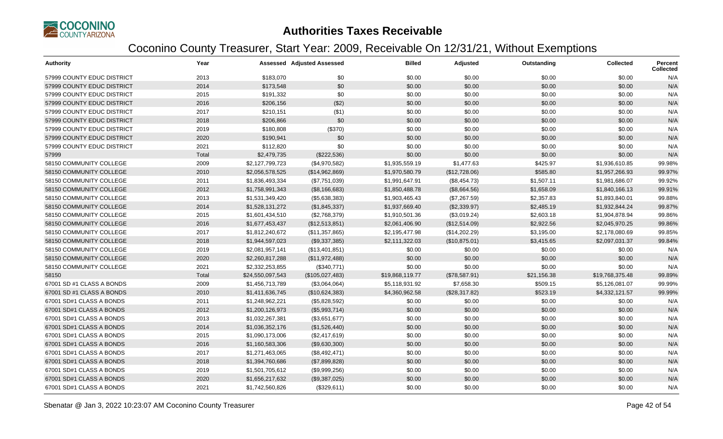

| <b>Authority</b>           | Year  |                  | <b>Assessed Adjusted Assessed</b> | <b>Billed</b>   | Adjusted      | Outstanding | <b>Collected</b> | Percent<br><b>Collected</b> |
|----------------------------|-------|------------------|-----------------------------------|-----------------|---------------|-------------|------------------|-----------------------------|
| 57999 COUNTY EDUC DISTRICT | 2013  | \$183,070        | \$0                               | \$0.00          | \$0.00        | \$0.00      | \$0.00           | N/A                         |
| 57999 COUNTY EDUC DISTRICT | 2014  | \$173,548        | \$0                               | \$0.00          | \$0.00        | \$0.00      | \$0.00           | N/A                         |
| 57999 COUNTY EDUC DISTRICT | 2015  | \$191,332        | \$0                               | \$0.00          | \$0.00        | \$0.00      | \$0.00           | N/A                         |
| 57999 COUNTY EDUC DISTRICT | 2016  | \$206,156        | (\$2)                             | \$0.00          | \$0.00        | \$0.00      | \$0.00           | N/A                         |
| 57999 COUNTY EDUC DISTRICT | 2017  | \$210,151        | (\$1)                             | \$0.00          | \$0.00        | \$0.00      | \$0.00           | N/A                         |
| 57999 COUNTY EDUC DISTRICT | 2018  | \$206,866        | \$0                               | \$0.00          | \$0.00        | \$0.00      | \$0.00           | N/A                         |
| 57999 COUNTY EDUC DISTRICT | 2019  | \$180,808        | (\$370)                           | \$0.00          | \$0.00        | \$0.00      | \$0.00           | N/A                         |
| 57999 COUNTY EDUC DISTRICT | 2020  | \$190,941        | \$0                               | \$0.00          | \$0.00        | \$0.00      | \$0.00           | N/A                         |
| 57999 COUNTY EDUC DISTRICT | 2021  | \$112,820        | \$0                               | \$0.00          | \$0.00        | \$0.00      | \$0.00           | N/A                         |
| 57999                      | Total | \$2,479,735      | (\$222,536)                       | \$0.00          | \$0.00        | \$0.00      | \$0.00           | N/A                         |
| 58150 COMMUNITY COLLEGE    | 2009  | \$2,127,799,723  | (\$4,970,582)                     | \$1,935,559.19  | \$1,477.63    | \$425.97    | \$1,936,610.85   | 99.98%                      |
| 58150 COMMUNITY COLLEGE    | 2010  | \$2,056,578,525  | (\$14,962,869)                    | \$1,970,580.79  | (\$12,728.06) | \$585.80    | \$1,957,266.93   | 99.97%                      |
| 58150 COMMUNITY COLLEGE    | 2011  | \$1,836,493,334  | (\$7,751,039)                     | \$1,991,647.91  | (\$8,454.73)  | \$1,507.11  | \$1,981,686.07   | 99.92%                      |
| 58150 COMMUNITY COLLEGE    | 2012  | \$1,758,991,343  | (\$8,166,683)                     | \$1,850,488.78  | (\$8,664.56)  | \$1,658.09  | \$1,840,166.13   | 99.91%                      |
| 58150 COMMUNITY COLLEGE    | 2013  | \$1,531,349,420  | (\$5,638,383)                     | \$1,903,465.43  | (\$7,267.59)  | \$2,357.83  | \$1,893,840.01   | 99.88%                      |
| 58150 COMMUNITY COLLEGE    | 2014  | \$1,528,131,272  | (\$1,845,337)                     | \$1,937,669.40  | (\$2,339.97)  | \$2,485.19  | \$1,932,844.24   | 99.87%                      |
| 58150 COMMUNITY COLLEGE    | 2015  | \$1,601,434,510  | (\$2,768,379)                     | \$1,910,501.36  | (\$3,019.24)  | \$2,603.18  | \$1,904,878.94   | 99.86%                      |
| 58150 COMMUNITY COLLEGE    | 2016  | \$1,677,453,437  | (\$12,513,851)                    | \$2,061,406.90  | (\$12,514.09) | \$2,922.56  | \$2,045,970.25   | 99.86%                      |
| 58150 COMMUNITY COLLEGE    | 2017  | \$1,812,240,672  | (\$11,357,865)                    | \$2,195,477.98  | (\$14,202.29) | \$3,195.00  | \$2,178,080.69   | 99.85%                      |
| 58150 COMMUNITY COLLEGE    | 2018  | \$1,944,597,023  | (\$9,337,385)                     | \$2,111,322.03  | (\$10,875.01) | \$3,415.65  | \$2,097,031.37   | 99.84%                      |
| 58150 COMMUNITY COLLEGE    | 2019  | \$2,081,957,141  | (\$13,401,851)                    | \$0.00          | \$0.00        | \$0.00      | \$0.00           | N/A                         |
| 58150 COMMUNITY COLLEGE    | 2020  | \$2,260,817,288  | (\$11,972,488)                    | \$0.00          | \$0.00        | \$0.00      | \$0.00           | N/A                         |
| 58150 COMMUNITY COLLEGE    | 2021  | \$2,332,253,855  | (\$340,771)                       | \$0.00          | \$0.00        | \$0.00      | \$0.00           | N/A                         |
| 58150                      | Total | \$24,550,097,543 | (\$105,027,483)                   | \$19,868,119.77 | (\$78,587.91) | \$21,156.38 | \$19,768,375.48  | 99.89%                      |
| 67001 SD #1 CLASS A BONDS  | 2009  | \$1,456,713,789  | (\$3,064,064)                     | \$5,118,931.92  | \$7,658.30    | \$509.15    | \$5,126,081.07   | 99.99%                      |
| 67001 SD #1 CLASS A BONDS  | 2010  | \$1,411,636,745  | (\$10,624,383)                    | \$4,360,962.58  | (\$28,317.82) | \$523.19    | \$4,332,121.57   | 99.99%                      |
| 67001 SD#1 CLASS A BONDS   | 2011  | \$1,248,962,221  | (\$5,828,592)                     | \$0.00          | \$0.00        | \$0.00      | \$0.00           | N/A                         |
| 67001 SD#1 CLASS A BONDS   | 2012  | \$1,200,126,973  | (\$5,993,714)                     | \$0.00          | \$0.00        | \$0.00      | \$0.00           | N/A                         |
| 67001 SD#1 CLASS A BONDS   | 2013  | \$1,032,267,381  | (\$3,651,677)                     | \$0.00          | \$0.00        | \$0.00      | \$0.00           | N/A                         |
| 67001 SD#1 CLASS A BONDS   | 2014  | \$1,036,352,176  | (\$1,526,440)                     | \$0.00          | \$0.00        | \$0.00      | \$0.00           | N/A                         |
| 67001 SD#1 CLASS A BONDS   | 2015  | \$1,090,173,006  | (\$2,417,619)                     | \$0.00          | \$0.00        | \$0.00      | \$0.00           | N/A                         |
| 67001 SD#1 CLASS A BONDS   | 2016  | \$1,160,583,306  | (\$9,630,300)                     | \$0.00          | \$0.00        | \$0.00      | \$0.00           | N/A                         |
| 67001 SD#1 CLASS A BONDS   | 2017  | \$1,271,463,065  | (\$8,492,471)                     | \$0.00          | \$0.00        | \$0.00      | \$0.00           | N/A                         |
| 67001 SD#1 CLASS A BONDS   | 2018  | \$1,394,760,686  | (\$7,899,828)                     | \$0.00          | \$0.00        | \$0.00      | \$0.00           | N/A                         |
| 67001 SD#1 CLASS A BONDS   | 2019  | \$1,501,705,612  | (\$9,999,256)                     | \$0.00          | \$0.00        | \$0.00      | \$0.00           | N/A                         |
| 67001 SD#1 CLASS A BONDS   | 2020  | \$1,656,217,632  | (\$9,387,025)                     | \$0.00          | \$0.00        | \$0.00      | \$0.00           | N/A                         |
| 67001 SD#1 CLASS A BONDS   | 2021  | \$1,742,560,826  | (\$329,611)                       | \$0.00          | \$0.00        | \$0.00      | \$0.00           | N/A                         |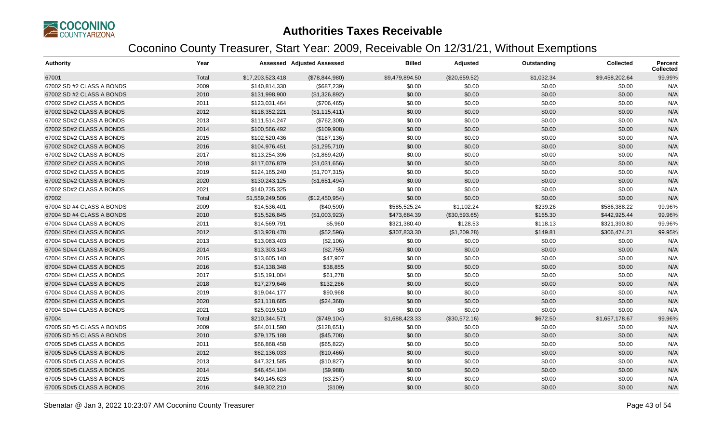

| <b>Authority</b>          | Year  |                  | <b>Assessed Adjusted Assessed</b> | <b>Billed</b>  | Adjusted      | Outstanding | <b>Collected</b> | <b>Percent</b><br><b>Collected</b> |
|---------------------------|-------|------------------|-----------------------------------|----------------|---------------|-------------|------------------|------------------------------------|
| 67001                     | Total | \$17,203,523,418 | (\$78,844,980)                    | \$9,479,894.50 | (\$20,659.52) | \$1,032.34  | \$9,458,202.64   | 99.99%                             |
| 67002 SD #2 CLASS A BONDS | 2009  | \$140,814,330    | (\$687,239)                       | \$0.00         | \$0.00        | \$0.00      | \$0.00           | N/A                                |
| 67002 SD #2 CLASS A BONDS | 2010  | \$131,998,900    | (\$1,326,892)                     | \$0.00         | \$0.00        | \$0.00      | \$0.00           | N/A                                |
| 67002 SD#2 CLASS A BONDS  | 2011  | \$123,031,464    | (\$706,465)                       | \$0.00         | \$0.00        | \$0.00      | \$0.00           | N/A                                |
| 67002 SD#2 CLASS A BONDS  | 2012  | \$118,352,221    | (\$1,115,411)                     | \$0.00         | \$0.00        | \$0.00      | \$0.00           | N/A                                |
| 67002 SD#2 CLASS A BONDS  | 2013  | \$111,514,247    | (\$762,308)                       | \$0.00         | \$0.00        | \$0.00      | \$0.00           | N/A                                |
| 67002 SD#2 CLASS A BONDS  | 2014  | \$100,566,492    | (\$109,908)                       | \$0.00         | \$0.00        | \$0.00      | \$0.00           | N/A                                |
| 67002 SD#2 CLASS A BONDS  | 2015  | \$102,520,436    | (\$187, 136)                      | \$0.00         | \$0.00        | \$0.00      | \$0.00           | N/A                                |
| 67002 SD#2 CLASS A BONDS  | 2016  | \$104,976,451    | (\$1,295,710)                     | \$0.00         | \$0.00        | \$0.00      | \$0.00           | N/A                                |
| 67002 SD#2 CLASS A BONDS  | 2017  | \$113,254,396    | (\$1,869,420)                     | \$0.00         | \$0.00        | \$0.00      | \$0.00           | N/A                                |
| 67002 SD#2 CLASS A BONDS  | 2018  | \$117,076,879    | (\$1,031,656)                     | \$0.00         | \$0.00        | \$0.00      | \$0.00           | N/A                                |
| 67002 SD#2 CLASS A BONDS  | 2019  | \$124,165,240    | (\$1,707,315)                     | \$0.00         | \$0.00        | \$0.00      | \$0.00           | N/A                                |
| 67002 SD#2 CLASS A BONDS  | 2020  | \$130,243,125    | (\$1,651,494)                     | \$0.00         | \$0.00        | \$0.00      | \$0.00           | N/A                                |
| 67002 SD#2 CLASS A BONDS  | 2021  | \$140,735,325    | \$0                               | \$0.00         | \$0.00        | \$0.00      | \$0.00           | N/A                                |
| 67002                     | Total | \$1,559,249,506  | (\$12,450,954)                    | \$0.00         | \$0.00        | \$0.00      | \$0.00           | N/A                                |
| 67004 SD #4 CLASS A BONDS | 2009  | \$14,536,401     | (\$40,590)                        | \$585,525.24   | \$1,102.24    | \$239.26    | \$586,388.22     | 99.96%                             |
| 67004 SD #4 CLASS A BONDS | 2010  | \$15,526,845     | (\$1,003,923)                     | \$473,684.39   | (\$30,593.65) | \$165.30    | \$442,925.44     | 99.96%                             |
| 67004 SD#4 CLASS A BONDS  | 2011  | \$14,569,791     | \$5,960                           | \$321,380.40   | \$128.53      | \$118.13    | \$321,390.80     | 99.96%                             |
| 67004 SD#4 CLASS A BONDS  | 2012  | \$13,928,478     | (\$52,596)                        | \$307,833.30   | (\$1,209.28)  | \$149.81    | \$306,474.21     | 99.95%                             |
| 67004 SD#4 CLASS A BONDS  | 2013  | \$13,083,403     | (\$2,106)                         | \$0.00         | \$0.00        | \$0.00      | \$0.00           | N/A                                |
| 67004 SD#4 CLASS A BONDS  | 2014  | \$13,303,143     | (\$2,755)                         | \$0.00         | \$0.00        | \$0.00      | \$0.00           | N/A                                |
| 67004 SD#4 CLASS A BONDS  | 2015  | \$13,605,140     | \$47,907                          | \$0.00         | \$0.00        | \$0.00      | \$0.00           | N/A                                |
| 67004 SD#4 CLASS A BONDS  | 2016  | \$14,138,348     | \$38,855                          | \$0.00         | \$0.00        | \$0.00      | \$0.00           | N/A                                |
| 67004 SD#4 CLASS A BONDS  | 2017  | \$15,191,004     | \$61,278                          | \$0.00         | \$0.00        | \$0.00      | \$0.00           | N/A                                |
| 67004 SD#4 CLASS A BONDS  | 2018  | \$17,279,646     | \$132,266                         | \$0.00         | \$0.00        | \$0.00      | \$0.00           | N/A                                |
| 67004 SD#4 CLASS A BONDS  | 2019  | \$19,044,177     | \$90,968                          | \$0.00         | \$0.00        | \$0.00      | \$0.00           | N/A                                |
| 67004 SD#4 CLASS A BONDS  | 2020  | \$21,118,685     | (\$24,368)                        | \$0.00         | \$0.00        | \$0.00      | \$0.00           | N/A                                |
| 67004 SD#4 CLASS A BONDS  | 2021  | \$25,019,510     | \$0                               | \$0.00         | \$0.00        | \$0.00      | \$0.00           | N/A                                |
| 67004                     | Total | \$210,344,571    | (\$749, 104)                      | \$1,688,423.33 | (\$30,572.16) | \$672.50    | \$1,657,178.67   | 99.96%                             |
| 67005 SD #5 CLASS A BONDS | 2009  | \$84,011,590     | (\$128,651)                       | \$0.00         | \$0.00        | \$0.00      | \$0.00           | N/A                                |
| 67005 SD #5 CLASS A BONDS | 2010  | \$79,175,188     | (\$45,708)                        | \$0.00         | \$0.00        | \$0.00      | \$0.00           | N/A                                |
| 67005 SD#5 CLASS A BONDS  | 2011  | \$66,868,458     | (\$65,822)                        | \$0.00         | \$0.00        | \$0.00      | \$0.00           | N/A                                |
| 67005 SD#5 CLASS A BONDS  | 2012  | \$62,136,033     | (\$10,466)                        | \$0.00         | \$0.00        | \$0.00      | \$0.00           | N/A                                |
| 67005 SD#5 CLASS A BONDS  | 2013  | \$47,321,585     | (\$10,827)                        | \$0.00         | \$0.00        | \$0.00      | \$0.00           | N/A                                |
| 67005 SD#5 CLASS A BONDS  | 2014  | \$46,454,104     | (\$9,988)                         | \$0.00         | \$0.00        | \$0.00      | \$0.00           | N/A                                |
| 67005 SD#5 CLASS A BONDS  | 2015  | \$49,145,623     | (\$3,257)                         | \$0.00         | \$0.00        | \$0.00      | \$0.00           | N/A                                |
| 67005 SD#5 CLASS A BONDS  | 2016  | \$49,302,210     | (\$109)                           | \$0.00         | \$0.00        | \$0.00      | \$0.00           | N/A                                |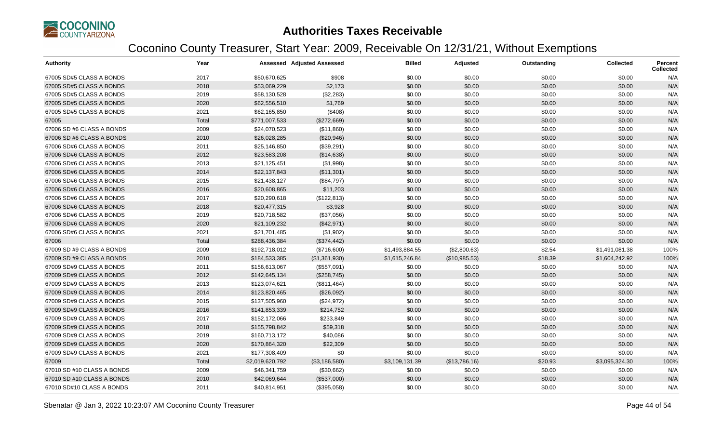

| <b>Authority</b>           | Year  |                 | <b>Assessed Adjusted Assessed</b> | <b>Billed</b>  | Adjusted      | Outstanding | <b>Collected</b> | Percent<br><b>Collected</b> |
|----------------------------|-------|-----------------|-----------------------------------|----------------|---------------|-------------|------------------|-----------------------------|
| 67005 SD#5 CLASS A BONDS   | 2017  | \$50,670,625    | \$908                             | \$0.00         | \$0.00        | \$0.00      | \$0.00           | N/A                         |
| 67005 SD#5 CLASS A BONDS   | 2018  | \$53,069,229    | \$2,173                           | \$0.00         | \$0.00        | \$0.00      | \$0.00           | N/A                         |
| 67005 SD#5 CLASS A BONDS   | 2019  | \$58,130,528    | (\$2,283)                         | \$0.00         | \$0.00        | \$0.00      | \$0.00           | N/A                         |
| 67005 SD#5 CLASS A BONDS   | 2020  | \$62,556,510    | \$1,769                           | \$0.00         | \$0.00        | \$0.00      | \$0.00           | N/A                         |
| 67005 SD#5 CLASS A BONDS   | 2021  | \$62,165,850    | (\$408)                           | \$0.00         | \$0.00        | \$0.00      | \$0.00           | N/A                         |
| 67005                      | Total | \$771,007,533   | (\$272,669)                       | \$0.00         | \$0.00        | \$0.00      | \$0.00           | N/A                         |
| 67006 SD #6 CLASS A BONDS  | 2009  | \$24,070,523    | (\$11,860)                        | \$0.00         | \$0.00        | \$0.00      | \$0.00           | N/A                         |
| 67006 SD #6 CLASS A BONDS  | 2010  | \$26,028,285    | (\$20,946)                        | \$0.00         | \$0.00        | \$0.00      | \$0.00           | N/A                         |
| 67006 SD#6 CLASS A BONDS   | 2011  | \$25,146,850    | (\$39,291)                        | \$0.00         | \$0.00        | \$0.00      | \$0.00           | N/A                         |
| 67006 SD#6 CLASS A BONDS   | 2012  | \$23,583,208    | (\$14,638)                        | \$0.00         | \$0.00        | \$0.00      | \$0.00           | N/A                         |
| 67006 SD#6 CLASS A BONDS   | 2013  | \$21,125,451    | (\$1,998)                         | \$0.00         | \$0.00        | \$0.00      | \$0.00           | N/A                         |
| 67006 SD#6 CLASS A BONDS   | 2014  | \$22,137,843    | (\$11,301)                        | \$0.00         | \$0.00        | \$0.00      | \$0.00           | N/A                         |
| 67006 SD#6 CLASS A BONDS   | 2015  | \$21,438,127    | (\$84,797)                        | \$0.00         | \$0.00        | \$0.00      | \$0.00           | N/A                         |
| 67006 SD#6 CLASS A BONDS   | 2016  | \$20,608,865    | \$11,203                          | \$0.00         | \$0.00        | \$0.00      | \$0.00           | N/A                         |
| 67006 SD#6 CLASS A BONDS   | 2017  | \$20,290,618    | (\$122,813)                       | \$0.00         | \$0.00        | \$0.00      | \$0.00           | N/A                         |
| 67006 SD#6 CLASS A BONDS   | 2018  | \$20,477,315    | \$3,928                           | \$0.00         | \$0.00        | \$0.00      | \$0.00           | N/A                         |
| 67006 SD#6 CLASS A BONDS   | 2019  | \$20,718,582    | (\$37,056)                        | \$0.00         | \$0.00        | \$0.00      | \$0.00           | N/A                         |
| 67006 SD#6 CLASS A BONDS   | 2020  | \$21,109,232    | (\$42,971)                        | \$0.00         | \$0.00        | \$0.00      | \$0.00           | N/A                         |
| 67006 SD#6 CLASS A BONDS   | 2021  | \$21,701,485    | (\$1,902)                         | \$0.00         | \$0.00        | \$0.00      | \$0.00           | N/A                         |
| 67006                      | Total | \$288,436,384   | (\$374,442)                       | \$0.00         | \$0.00        | \$0.00      | \$0.00           | N/A                         |
| 67009 SD #9 CLASS A BONDS  | 2009  | \$192,718,012   | (\$716,600)                       | \$1,493,884.55 | (\$2,800.63)  | \$2.54      | \$1,491,081.38   | 100%                        |
| 67009 SD #9 CLASS A BONDS  | 2010  | \$184,533,385   | (\$1,361,930)                     | \$1,615,246.84 | (\$10,985.53) | \$18.39     | \$1,604,242.92   | 100%                        |
| 67009 SD#9 CLASS A BONDS   | 2011  | \$156,613,067   | (\$557,091)                       | \$0.00         | \$0.00        | \$0.00      | \$0.00           | N/A                         |
| 67009 SD#9 CLASS A BONDS   | 2012  | \$142,645,134   | (\$258,745)                       | \$0.00         | \$0.00        | \$0.00      | \$0.00           | N/A                         |
| 67009 SD#9 CLASS A BONDS   | 2013  | \$123,074,621   | (\$811,464)                       | \$0.00         | \$0.00        | \$0.00      | \$0.00           | N/A                         |
| 67009 SD#9 CLASS A BONDS   | 2014  | \$123,820,465   | (\$26,092)                        | \$0.00         | \$0.00        | \$0.00      | \$0.00           | N/A                         |
| 67009 SD#9 CLASS A BONDS   | 2015  | \$137,505,960   | (\$24,972)                        | \$0.00         | \$0.00        | \$0.00      | \$0.00           | N/A                         |
| 67009 SD#9 CLASS A BONDS   | 2016  | \$141,853,339   | \$214,752                         | \$0.00         | \$0.00        | \$0.00      | \$0.00           | N/A                         |
| 67009 SD#9 CLASS A BONDS   | 2017  | \$152,172,066   | \$233,849                         | \$0.00         | \$0.00        | \$0.00      | \$0.00           | N/A                         |
| 67009 SD#9 CLASS A BONDS   | 2018  | \$155,798,842   | \$59,318                          | \$0.00         | \$0.00        | \$0.00      | \$0.00           | N/A                         |
| 67009 SD#9 CLASS A BONDS   | 2019  | \$160,713,172   | \$40,086                          | \$0.00         | \$0.00        | \$0.00      | \$0.00           | N/A                         |
| 67009 SD#9 CLASS A BONDS   | 2020  | \$170,864,320   | \$22,309                          | \$0.00         | \$0.00        | \$0.00      | \$0.00           | N/A                         |
| 67009 SD#9 CLASS A BONDS   | 2021  | \$177,308,409   | \$0                               | \$0.00         | \$0.00        | \$0.00      | \$0.00           | N/A                         |
| 67009                      | Total | \$2,019,620,792 | (\$3,186,580)                     | \$3,109,131.39 | (\$13,786.16) | \$20.93     | \$3,095,324.30   | 100%                        |
| 67010 SD #10 CLASS A BONDS | 2009  | \$46,341,759    | (\$30,662)                        | \$0.00         | \$0.00        | \$0.00      | \$0.00           | N/A                         |
| 67010 SD #10 CLASS A BONDS | 2010  | \$42,069,644    | (\$537,000)                       | \$0.00         | \$0.00        | \$0.00      | \$0.00           | N/A                         |
| 67010 SD#10 CLASS A BONDS  | 2011  | \$40,814,951    | (\$395,058)                       | \$0.00         | \$0.00        | \$0.00      | \$0.00           | N/A                         |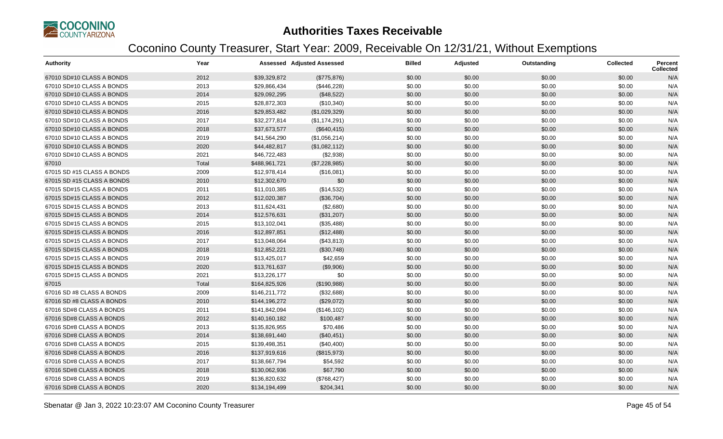

| <b>Authority</b>           | Year  |               | <b>Assessed Adjusted Assessed</b> | <b>Billed</b> | Adjusted | Outstanding | <b>Collected</b> | <b>Percent</b><br><b>Collected</b> |
|----------------------------|-------|---------------|-----------------------------------|---------------|----------|-------------|------------------|------------------------------------|
| 67010 SD#10 CLASS A BONDS  | 2012  | \$39,329,872  | (\$775,876)                       | \$0.00        | \$0.00   | \$0.00      | \$0.00           | N/A                                |
| 67010 SD#10 CLASS A BONDS  | 2013  | \$29,866,434  | (\$446,228)                       | \$0.00        | \$0.00   | \$0.00      | \$0.00           | N/A                                |
| 67010 SD#10 CLASS A BONDS  | 2014  | \$29,092,295  | (\$48,522)                        | \$0.00        | \$0.00   | \$0.00      | \$0.00           | N/A                                |
| 67010 SD#10 CLASS A BONDS  | 2015  | \$28,872,303  | (\$10,340)                        | \$0.00        | \$0.00   | \$0.00      | \$0.00           | N/A                                |
| 67010 SD#10 CLASS A BONDS  | 2016  | \$29,853,482  | (\$1,029,329)                     | \$0.00        | \$0.00   | \$0.00      | \$0.00           | N/A                                |
| 67010 SD#10 CLASS A BONDS  | 2017  | \$32,277,814  | (\$1,174,291)                     | \$0.00        | \$0.00   | \$0.00      | \$0.00           | N/A                                |
| 67010 SD#10 CLASS A BONDS  | 2018  | \$37,673,577  | (\$640, 415)                      | \$0.00        | \$0.00   | \$0.00      | \$0.00           | N/A                                |
| 67010 SD#10 CLASS A BONDS  | 2019  | \$41,564,290  | (\$1,056,214)                     | \$0.00        | \$0.00   | \$0.00      | \$0.00           | N/A                                |
| 67010 SD#10 CLASS A BONDS  | 2020  | \$44,482,817  | (\$1,082,112)                     | \$0.00        | \$0.00   | \$0.00      | \$0.00           | N/A                                |
| 67010 SD#10 CLASS A BONDS  | 2021  | \$46,722,483  | (\$2,938)                         | \$0.00        | \$0.00   | \$0.00      | \$0.00           | N/A                                |
| 67010                      | Total | \$488,961,721 | (\$7,228,985)                     | \$0.00        | \$0.00   | \$0.00      | \$0.00           | N/A                                |
| 67015 SD #15 CLASS A BONDS | 2009  | \$12,978,414  | (\$16,081)                        | \$0.00        | \$0.00   | \$0.00      | \$0.00           | N/A                                |
| 67015 SD #15 CLASS A BONDS | 2010  | \$12,302,670  | \$0                               | \$0.00        | \$0.00   | \$0.00      | \$0.00           | N/A                                |
| 67015 SD#15 CLASS A BONDS  | 2011  | \$11,010,385  | (\$14,532)                        | \$0.00        | \$0.00   | \$0.00      | \$0.00           | N/A                                |
| 67015 SD#15 CLASS A BONDS  | 2012  | \$12,020,387  | (\$36,704)                        | \$0.00        | \$0.00   | \$0.00      | \$0.00           | N/A                                |
| 67015 SD#15 CLASS A BONDS  | 2013  | \$11,624,431  | (\$2,680)                         | \$0.00        | \$0.00   | \$0.00      | \$0.00           | N/A                                |
| 67015 SD#15 CLASS A BONDS  | 2014  | \$12,576,631  | (\$31,207)                        | \$0.00        | \$0.00   | \$0.00      | \$0.00           | N/A                                |
| 67015 SD#15 CLASS A BONDS  | 2015  | \$13,102,041  | (\$35,488)                        | \$0.00        | \$0.00   | \$0.00      | \$0.00           | N/A                                |
| 67015 SD#15 CLASS A BONDS  | 2016  | \$12,897,851  | (\$12,488)                        | \$0.00        | \$0.00   | \$0.00      | \$0.00           | N/A                                |
| 67015 SD#15 CLASS A BONDS  | 2017  | \$13,048,064  | (\$43,813)                        | \$0.00        | \$0.00   | \$0.00      | \$0.00           | N/A                                |
| 67015 SD#15 CLASS A BONDS  | 2018  | \$12,852,221  | (\$30,748)                        | \$0.00        | \$0.00   | \$0.00      | \$0.00           | N/A                                |
| 67015 SD#15 CLASS A BONDS  | 2019  | \$13,425,017  | \$42,659                          | \$0.00        | \$0.00   | \$0.00      | \$0.00           | N/A                                |
| 67015 SD#15 CLASS A BONDS  | 2020  | \$13,761,637  | (\$9,906)                         | \$0.00        | \$0.00   | \$0.00      | \$0.00           | N/A                                |
| 67015 SD#15 CLASS A BONDS  | 2021  | \$13,226,177  | \$0                               | \$0.00        | \$0.00   | \$0.00      | \$0.00           | N/A                                |
| 67015                      | Total | \$164,825,926 | (\$190,988)                       | \$0.00        | \$0.00   | \$0.00      | \$0.00           | N/A                                |
| 67016 SD #8 CLASS A BONDS  | 2009  | \$146,211,772 | (\$32,688)                        | \$0.00        | \$0.00   | \$0.00      | \$0.00           | N/A                                |
| 67016 SD #8 CLASS A BONDS  | 2010  | \$144,196,272 | (\$29,072)                        | \$0.00        | \$0.00   | \$0.00      | \$0.00           | N/A                                |
| 67016 SD#8 CLASS A BONDS   | 2011  | \$141,842,094 | (\$146, 102)                      | \$0.00        | \$0.00   | \$0.00      | \$0.00           | N/A                                |
| 67016 SD#8 CLASS A BONDS   | 2012  | \$140,160,182 | \$100,487                         | \$0.00        | \$0.00   | \$0.00      | \$0.00           | N/A                                |
| 67016 SD#8 CLASS A BONDS   | 2013  | \$135,826,955 | \$70,486                          | \$0.00        | \$0.00   | \$0.00      | \$0.00           | N/A                                |
| 67016 SD#8 CLASS A BONDS   | 2014  | \$138,691,440 | (\$40,451)                        | \$0.00        | \$0.00   | \$0.00      | \$0.00           | N/A                                |
| 67016 SD#8 CLASS A BONDS   | 2015  | \$139,498,351 | (\$40,400)                        | \$0.00        | \$0.00   | \$0.00      | \$0.00           | N/A                                |
| 67016 SD#8 CLASS A BONDS   | 2016  | \$137,919,616 | (\$815,973)                       | \$0.00        | \$0.00   | \$0.00      | \$0.00           | N/A                                |
| 67016 SD#8 CLASS A BONDS   | 2017  | \$138,667,794 | \$54,592                          | \$0.00        | \$0.00   | \$0.00      | \$0.00           | N/A                                |
| 67016 SD#8 CLASS A BONDS   | 2018  | \$130,062,936 | \$67,790                          | \$0.00        | \$0.00   | \$0.00      | \$0.00           | N/A                                |
| 67016 SD#8 CLASS A BONDS   | 2019  | \$136,820,632 | (\$768,427)                       | \$0.00        | \$0.00   | \$0.00      | \$0.00           | N/A                                |
| 67016 SD#8 CLASS A BONDS   | 2020  | \$134,194,499 | \$204,341                         | \$0.00        | \$0.00   | \$0.00      | \$0.00           | N/A                                |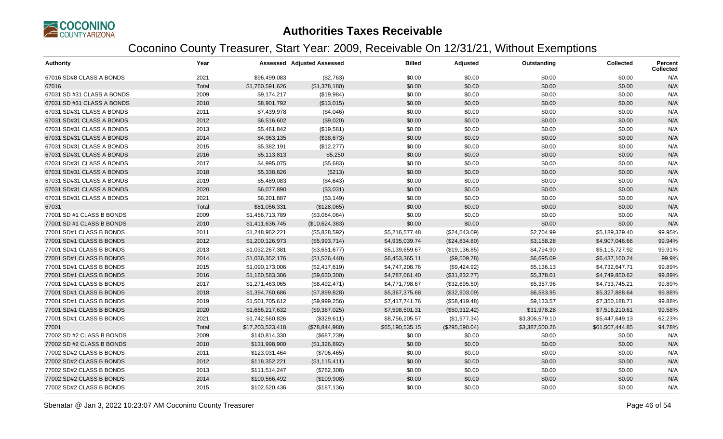

| <b>Authority</b>           | Year  |                  | <b>Assessed Adjusted Assessed</b> | <b>Billed</b>   | Adjusted       | Outstanding    | <b>Collected</b> | Percent<br><b>Collected</b> |
|----------------------------|-------|------------------|-----------------------------------|-----------------|----------------|----------------|------------------|-----------------------------|
| 67016 SD#8 CLASS A BONDS   | 2021  | \$96,499,083     | (\$2,763)                         | \$0.00          | \$0.00         | \$0.00         | \$0.00           | N/A                         |
| 67016                      | Total | \$1,760,591,626  | (\$1,378,180)                     | \$0.00          | \$0.00         | \$0.00         | \$0.00           | N/A                         |
| 67031 SD #31 CLASS A BONDS | 2009  | \$9,174,217      | (\$19,984)                        | \$0.00          | \$0.00         | \$0.00         | \$0.00           | N/A                         |
| 67031 SD #31 CLASS A BONDS | 2010  | \$8,901,792      | (\$13,015)                        | \$0.00          | \$0.00         | \$0.00         | \$0.00           | N/A                         |
| 67031 SD#31 CLASS A BONDS  | 2011  | \$7,439,978      | (\$4,046)                         | \$0.00          | \$0.00         | \$0.00         | \$0.00           | N/A                         |
| 67031 SD#31 CLASS A BONDS  | 2012  | \$6,516,602      | (\$9,020)                         | \$0.00          | \$0.00         | \$0.00         | \$0.00           | N/A                         |
| 67031 SD#31 CLASS A BONDS  | 2013  | \$5,461,842      | (\$19,581)                        | \$0.00          | \$0.00         | \$0.00         | \$0.00           | N/A                         |
| 67031 SD#31 CLASS A BONDS  | 2014  | \$4,963,135      | (\$38,673)                        | \$0.00          | \$0.00         | \$0.00         | \$0.00           | N/A                         |
| 67031 SD#31 CLASS A BONDS  | 2015  | \$5,382,191      | (\$12,277)                        | \$0.00          | \$0.00         | \$0.00         | \$0.00           | N/A                         |
| 67031 SD#31 CLASS A BONDS  | 2016  | \$5,113,813      | \$5,250                           | \$0.00          | \$0.00         | \$0.00         | \$0.00           | N/A                         |
| 67031 SD#31 CLASS A BONDS  | 2017  | \$4,995,075      | (\$5,683)                         | \$0.00          | \$0.00         | \$0.00         | \$0.00           | N/A                         |
| 67031 SD#31 CLASS A BONDS  | 2018  | \$5,338,826      | (\$213)                           | \$0.00          | \$0.00         | \$0.00         | \$0.00           | N/A                         |
| 67031 SD#31 CLASS A BONDS  | 2019  | \$5,489,083      | (\$4,643)                         | \$0.00          | \$0.00         | \$0.00         | \$0.00           | N/A                         |
| 67031 SD#31 CLASS A BONDS  | 2020  | \$6,077,890      | (\$3,031)                         | \$0.00          | \$0.00         | \$0.00         | \$0.00           | N/A                         |
| 67031 SD#31 CLASS A BONDS  | 2021  | \$6,201,887      | (\$3,149)                         | \$0.00          | \$0.00         | \$0.00         | \$0.00           | N/A                         |
| 67031                      | Total | \$81,056,331     | (\$128,065)                       | \$0.00          | \$0.00         | \$0.00         | \$0.00           | N/A                         |
| 77001 SD #1 CLASS B BONDS  | 2009  | \$1,456,713,789  | (\$3,064,064)                     | \$0.00          | \$0.00         | \$0.00         | \$0.00           | N/A                         |
| 77001 SD #1 CLASS B BONDS  | 2010  | \$1,411,636,745  | (\$10,624,383)                    | \$0.00          | \$0.00         | \$0.00         | \$0.00           | N/A                         |
| 77001 SD#1 CLASS B BONDS   | 2011  | \$1,248,962,221  | (\$5,828,592)                     | \$5,216,577.48  | (\$24,543.09)  | \$2,704.99     | \$5,189,329.40   | 99.95%                      |
| 77001 SD#1 CLASS B BONDS   | 2012  | \$1,200,126,973  | (\$5,993,714)                     | \$4,935,039.74  | (\$24,834.80)  | \$3,158.28     | \$4,907,046.66   | 99.94%                      |
| 77001 SD#1 CLASS B BONDS   | 2013  | \$1,032,267,381  | (\$3,651,677)                     | \$5,139,659.67  | (\$19,136.85)  | \$4,794.90     | \$5,115,727.92   | 99.91%                      |
| 77001 SD#1 CLASS B BONDS   | 2014  | \$1,036,352,176  | (\$1,526,440)                     | \$6,453,365.11  | (\$9,509.78)   | \$6,695.09     | \$6,437,160.24   | 99.9%                       |
| 77001 SD#1 CLASS B BONDS   | 2015  | \$1,090,173,006  | (\$2,417,619)                     | \$4,747,208.76  | (\$9,424.92)   | \$5,136.13     | \$4,732,647.71   | 99.89%                      |
| 77001 SD#1 CLASS B BONDS   | 2016  | \$1,160,583,306  | (\$9,630,300)                     | \$4,787,061.40  | (\$31,832.77)  | \$5,378.01     | \$4,749,850.62   | 99.89%                      |
| 77001 SD#1 CLASS B BONDS   | 2017  | \$1,271,463,065  | (\$8,492,471)                     | \$4,771,798.67  | (\$32,695.50)  | \$5,357.96     | \$4,733,745.21   | 99.89%                      |
| 77001 SD#1 CLASS B BONDS   | 2018  | \$1,394,760,686  | (\$7,899,828)                     | \$5,367,375.68  | (\$32,903.09)  | \$6,583.95     | \$5,327,888.64   | 99.88%                      |
| 77001 SD#1 CLASS B BONDS   | 2019  | \$1,501,705,612  | (\$9,999,256)                     | \$7,417,741.76  | (\$58,419.48)  | \$9,133.57     | \$7,350,188.71   | 99.88%                      |
| 77001 SD#1 CLASS B BONDS   | 2020  | \$1,656,217,632  | (\$9,387,025)                     | \$7,598,501.31  | (\$50,312.42)  | \$31,978.28    | \$7,516,210.61   | 99.58%                      |
| 77001 SD#1 CLASS B BONDS   | 2021  | \$1,742,560,826  | (\$329,611)                       | \$8,756,205.57  | (\$1,977.34)   | \$3,306,579.10 | \$5,447,649.13   | 62.23%                      |
| 77001                      | Total | \$17,203,523,418 | (\$78,844,980)                    | \$65,190,535.15 | (\$295,590.04) | \$3,387,500.26 | \$61,507,444.85  | 94.78%                      |
| 77002 SD #2 CLASS B BONDS  | 2009  | \$140,814,330    | (\$687,239)                       | \$0.00          | \$0.00         | \$0.00         | \$0.00           | N/A                         |
| 77002 SD #2 CLASS B BONDS  | 2010  | \$131,998,900    | (\$1,326,892)                     | \$0.00          | \$0.00         | \$0.00         | \$0.00           | N/A                         |
| 77002 SD#2 CLASS B BONDS   | 2011  | \$123,031,464    | (\$706,465)                       | \$0.00          | \$0.00         | \$0.00         | \$0.00           | N/A                         |
| 77002 SD#2 CLASS B BONDS   | 2012  | \$118,352,221    | (\$1,115,411)                     | \$0.00          | \$0.00         | \$0.00         | \$0.00           | N/A                         |
| 77002 SD#2 CLASS B BONDS   | 2013  | \$111,514,247    | (\$762,308)                       | \$0.00          | \$0.00         | \$0.00         | \$0.00           | N/A                         |
| 77002 SD#2 CLASS B BONDS   | 2014  | \$100,566,492    | (\$109,908)                       | \$0.00          | \$0.00         | \$0.00         | \$0.00           | N/A                         |
| 77002 SD#2 CLASS B BONDS   | 2015  | \$102,520,436    | (\$187, 136)                      | \$0.00          | \$0.00         | \$0.00         | \$0.00           | N/A                         |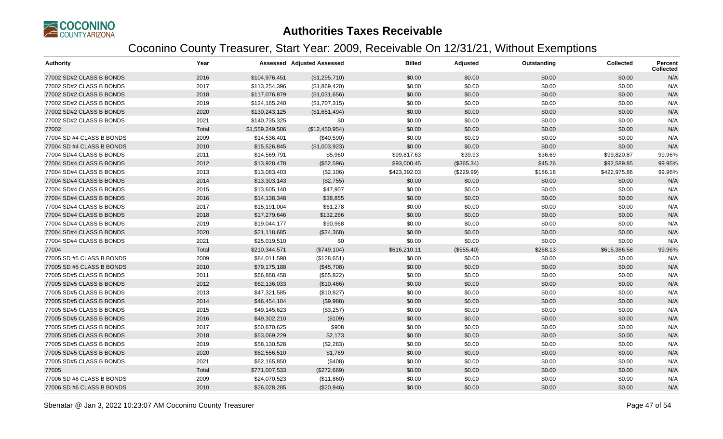

| <b>Authority</b>          | Year  |                 | <b>Assessed Adjusted Assessed</b> | <b>Billed</b> | Adjusted   | Outstanding | <b>Collected</b> | <b>Percent</b><br><b>Collected</b> |
|---------------------------|-------|-----------------|-----------------------------------|---------------|------------|-------------|------------------|------------------------------------|
| 77002 SD#2 CLASS B BONDS  | 2016  | \$104,976,451   | (\$1,295,710)                     | \$0.00        | \$0.00     | \$0.00      | \$0.00           | N/A                                |
| 77002 SD#2 CLASS B BONDS  | 2017  | \$113,254,396   | (\$1,869,420)                     | \$0.00        | \$0.00     | \$0.00      | \$0.00           | N/A                                |
| 77002 SD#2 CLASS B BONDS  | 2018  | \$117,076,879   | (\$1,031,656)                     | \$0.00        | \$0.00     | \$0.00      | \$0.00           | N/A                                |
| 77002 SD#2 CLASS B BONDS  | 2019  | \$124,165,240   | (\$1,707,315)                     | \$0.00        | \$0.00     | \$0.00      | \$0.00           | N/A                                |
| 77002 SD#2 CLASS B BONDS  | 2020  | \$130,243,125   | (\$1,651,494)                     | \$0.00        | \$0.00     | \$0.00      | \$0.00           | N/A                                |
| 77002 SD#2 CLASS B BONDS  | 2021  | \$140,735,325   | \$0                               | \$0.00        | \$0.00     | \$0.00      | \$0.00           | N/A                                |
| 77002                     | Total | \$1,559,249,506 | (\$12,450,954)                    | \$0.00        | \$0.00     | \$0.00      | \$0.00           | N/A                                |
| 77004 SD #4 CLASS B BONDS | 2009  | \$14,536,401    | (\$40,590)                        | \$0.00        | \$0.00     | \$0.00      | \$0.00           | N/A                                |
| 77004 SD #4 CLASS B BONDS | 2010  | \$15,526,845    | (\$1,003,923)                     | \$0.00        | \$0.00     | \$0.00      | \$0.00           | N/A                                |
| 77004 SD#4 CLASS B BONDS  | 2011  | \$14,569,791    | \$5,960                           | \$99,817.63   | \$39.93    | \$36.69     | \$99,820.87      | 99.96%                             |
| 77004 SD#4 CLASS B BONDS  | 2012  | \$13,928,478    | (\$52,596)                        | \$93,000.45   | (\$365.34) | \$45.26     | \$92,589.85      | 99.95%                             |
| 77004 SD#4 CLASS B BONDS  | 2013  | \$13,083,403    | (\$2,106)                         | \$423,392.03  | (\$229.99) | \$186.18    | \$422,975.86     | 99.96%                             |
| 77004 SD#4 CLASS B BONDS  | 2014  | \$13,303,143    | (\$2,755)                         | \$0.00        | \$0.00     | \$0.00      | \$0.00           | N/A                                |
| 77004 SD#4 CLASS B BONDS  | 2015  | \$13,605,140    | \$47,907                          | \$0.00        | \$0.00     | \$0.00      | \$0.00           | N/A                                |
| 77004 SD#4 CLASS B BONDS  | 2016  | \$14,138,348    | \$38,855                          | \$0.00        | \$0.00     | \$0.00      | \$0.00           | N/A                                |
| 77004 SD#4 CLASS B BONDS  | 2017  | \$15,191,004    | \$61,278                          | \$0.00        | \$0.00     | \$0.00      | \$0.00           | N/A                                |
| 77004 SD#4 CLASS B BONDS  | 2018  | \$17,279,646    | \$132,266                         | \$0.00        | \$0.00     | \$0.00      | \$0.00           | N/A                                |
| 77004 SD#4 CLASS B BONDS  | 2019  | \$19,044,177    | \$90,968                          | \$0.00        | \$0.00     | \$0.00      | \$0.00           | N/A                                |
| 77004 SD#4 CLASS B BONDS  | 2020  | \$21,118,685    | (\$24,368)                        | \$0.00        | \$0.00     | \$0.00      | \$0.00           | N/A                                |
| 77004 SD#4 CLASS B BONDS  | 2021  | \$25,019,510    | \$0                               | \$0.00        | \$0.00     | \$0.00      | \$0.00           | N/A                                |
| 77004                     | Total | \$210,344,571   | (\$749, 104)                      | \$616,210.11  | (\$555.40) | \$268.13    | \$615,386.58     | 99.96%                             |
| 77005 SD #5 CLASS B BONDS | 2009  | \$84,011,590    | (\$128,651)                       | \$0.00        | \$0.00     | \$0.00      | \$0.00           | N/A                                |
| 77005 SD #5 CLASS B BONDS | 2010  | \$79,175,188    | (\$45,708)                        | \$0.00        | \$0.00     | \$0.00      | \$0.00           | N/A                                |
| 77005 SD#5 CLASS B BONDS  | 2011  | \$66,868,458    | (\$65, 822)                       | \$0.00        | \$0.00     | \$0.00      | \$0.00           | N/A                                |
| 77005 SD#5 CLASS B BONDS  | 2012  | \$62,136,033    | (\$10,466)                        | \$0.00        | \$0.00     | \$0.00      | \$0.00           | N/A                                |
| 77005 SD#5 CLASS B BONDS  | 2013  | \$47,321,585    | (\$10,827)                        | \$0.00        | \$0.00     | \$0.00      | \$0.00           | N/A                                |
| 77005 SD#5 CLASS B BONDS  | 2014  | \$46,454,104    | (\$9,988)                         | \$0.00        | \$0.00     | \$0.00      | \$0.00           | N/A                                |
| 77005 SD#5 CLASS B BONDS  | 2015  | \$49,145,623    | (\$3,257)                         | \$0.00        | \$0.00     | \$0.00      | \$0.00           | N/A                                |
| 77005 SD#5 CLASS B BONDS  | 2016  | \$49,302,210    | (\$109)                           | \$0.00        | \$0.00     | \$0.00      | \$0.00           | N/A                                |
| 77005 SD#5 CLASS B BONDS  | 2017  | \$50,670,625    | \$908                             | \$0.00        | \$0.00     | \$0.00      | \$0.00           | N/A                                |
| 77005 SD#5 CLASS B BONDS  | 2018  | \$53,069,229    | \$2,173                           | \$0.00        | \$0.00     | \$0.00      | \$0.00           | N/A                                |
| 77005 SD#5 CLASS B BONDS  | 2019  | \$58,130,528    | (\$2,283)                         | \$0.00        | \$0.00     | \$0.00      | \$0.00           | N/A                                |
| 77005 SD#5 CLASS B BONDS  | 2020  | \$62,556,510    | \$1,769                           | \$0.00        | \$0.00     | \$0.00      | \$0.00           | N/A                                |
| 77005 SD#5 CLASS B BONDS  | 2021  | \$62,165,850    | (\$408)                           | \$0.00        | \$0.00     | \$0.00      | \$0.00           | N/A                                |
| 77005                     | Total | \$771,007,533   | (\$272,669)                       | \$0.00        | \$0.00     | \$0.00      | \$0.00           | N/A                                |
| 77006 SD #6 CLASS B BONDS | 2009  | \$24,070,523    | (\$11,860)                        | \$0.00        | \$0.00     | \$0.00      | \$0.00           | N/A                                |
| 77006 SD #6 CLASS B BONDS | 2010  | \$26,028,285    | (\$20,946)                        | \$0.00        | \$0.00     | \$0.00      | \$0.00           | N/A                                |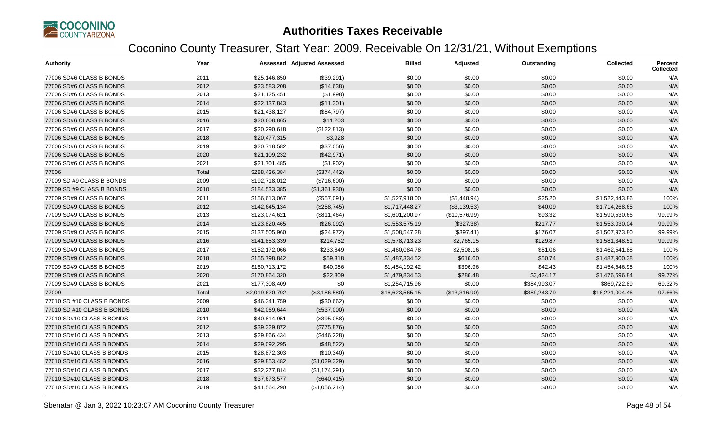

| <b>Authority</b>           | Year  |                 | <b>Assessed Adjusted Assessed</b> | <b>Billed</b>   | Adjusted      | Outstanding  | <b>Collected</b> | <b>Percent</b><br><b>Collected</b> |
|----------------------------|-------|-----------------|-----------------------------------|-----------------|---------------|--------------|------------------|------------------------------------|
| 77006 SD#6 CLASS B BONDS   | 2011  | \$25,146,850    | (\$39,291)                        | \$0.00          | \$0.00        | \$0.00       | \$0.00           | N/A                                |
| 77006 SD#6 CLASS B BONDS   | 2012  | \$23,583,208    | (\$14,638)                        | \$0.00          | \$0.00        | \$0.00       | \$0.00           | N/A                                |
| 77006 SD#6 CLASS B BONDS   | 2013  | \$21,125,451    | (\$1,998)                         | \$0.00          | \$0.00        | \$0.00       | \$0.00           | N/A                                |
| 77006 SD#6 CLASS B BONDS   | 2014  | \$22,137,843    | (\$11,301)                        | \$0.00          | \$0.00        | \$0.00       | \$0.00           | N/A                                |
| 77006 SD#6 CLASS B BONDS   | 2015  | \$21,438,127    | (\$84,797)                        | \$0.00          | \$0.00        | \$0.00       | \$0.00           | N/A                                |
| 77006 SD#6 CLASS B BONDS   | 2016  | \$20,608,865    | \$11,203                          | \$0.00          | \$0.00        | \$0.00       | \$0.00           | N/A                                |
| 77006 SD#6 CLASS B BONDS   | 2017  | \$20,290,618    | (\$122,813)                       | \$0.00          | \$0.00        | \$0.00       | \$0.00           | N/A                                |
| 77006 SD#6 CLASS B BONDS   | 2018  | \$20,477,315    | \$3,928                           | \$0.00          | \$0.00        | \$0.00       | \$0.00           | N/A                                |
| 77006 SD#6 CLASS B BONDS   | 2019  | \$20,718,582    | (\$37,056)                        | \$0.00          | \$0.00        | \$0.00       | \$0.00           | N/A                                |
| 77006 SD#6 CLASS B BONDS   | 2020  | \$21,109,232    | (\$42,971)                        | \$0.00          | \$0.00        | \$0.00       | \$0.00           | N/A                                |
| 77006 SD#6 CLASS B BONDS   | 2021  | \$21,701,485    | (\$1,902)                         | \$0.00          | \$0.00        | \$0.00       | \$0.00           | N/A                                |
| 77006                      | Total | \$288,436,384   | (\$374,442)                       | \$0.00          | \$0.00        | \$0.00       | \$0.00           | N/A                                |
| 77009 SD #9 CLASS B BONDS  | 2009  | \$192,718,012   | (\$716,600)                       | \$0.00          | \$0.00        | \$0.00       | \$0.00           | N/A                                |
| 77009 SD #9 CLASS B BONDS  | 2010  | \$184,533,385   | (\$1,361,930)                     | \$0.00          | \$0.00        | \$0.00       | \$0.00           | N/A                                |
| 77009 SD#9 CLASS B BONDS   | 2011  | \$156,613,067   | (\$557,091)                       | \$1,527,918.00  | (\$5,448.94)  | \$25.20      | \$1,522,443.86   | 100%                               |
| 77009 SD#9 CLASS B BONDS   | 2012  | \$142,645,134   | (\$258,745)                       | \$1,717,448.27  | (\$3,139.53)  | \$40.09      | \$1,714,268.65   | 100%                               |
| 77009 SD#9 CLASS B BONDS   | 2013  | \$123,074,621   | (\$811,464)                       | \$1,601,200.97  | (\$10,576.99) | \$93.32      | \$1,590,530.66   | 99.99%                             |
| 77009 SD#9 CLASS B BONDS   | 2014  | \$123,820,465   | (\$26,092)                        | \$1,553,575.19  | (\$327.38)    | \$217.77     | \$1,553,030.04   | 99.99%                             |
| 77009 SD#9 CLASS B BONDS   | 2015  | \$137,505,960   | (\$24,972)                        | \$1,508,547.28  | (\$397.41)    | \$176.07     | \$1,507,973.80   | 99.99%                             |
| 77009 SD#9 CLASS B BONDS   | 2016  | \$141,853,339   | \$214,752                         | \$1,578,713.23  | \$2,765.15    | \$129.87     | \$1,581,348.51   | 99.99%                             |
| 77009 SD#9 CLASS B BONDS   | 2017  | \$152,172,066   | \$233,849                         | \$1,460,084.78  | \$2,508.16    | \$51.06      | \$1,462,541.88   | 100%                               |
| 77009 SD#9 CLASS B BONDS   | 2018  | \$155,798,842   | \$59,318                          | \$1,487,334.52  | \$616.60      | \$50.74      | \$1,487,900.38   | 100%                               |
| 77009 SD#9 CLASS B BONDS   | 2019  | \$160,713,172   | \$40,086                          | \$1,454,192.42  | \$396.96      | \$42.43      | \$1,454,546.95   | 100%                               |
| 77009 SD#9 CLASS B BONDS   | 2020  | \$170,864,320   | \$22,309                          | \$1,479,834.53  | \$286.48      | \$3,424.17   | \$1,476,696.84   | 99.77%                             |
| 77009 SD#9 CLASS B BONDS   | 2021  | \$177,308,409   | \$0                               | \$1,254,715.96  | \$0.00        | \$384,993.07 | \$869,722.89     | 69.32%                             |
| 77009                      | Total | \$2,019,620,792 | (\$3,186,580)                     | \$16,623,565.15 | (\$13,316.90) | \$389,243.79 | \$16,221,004.46  | 97.66%                             |
| 77010 SD #10 CLASS B BONDS | 2009  | \$46,341,759    | (\$30,662)                        | \$0.00          | \$0.00        | \$0.00       | \$0.00           | N/A                                |
| 77010 SD #10 CLASS B BONDS | 2010  | \$42,069,644    | (\$537,000)                       | \$0.00          | \$0.00        | \$0.00       | \$0.00           | N/A                                |
| 77010 SD#10 CLASS B BONDS  | 2011  | \$40,814,951    | (\$395,058)                       | \$0.00          | \$0.00        | \$0.00       | \$0.00           | N/A                                |
| 77010 SD#10 CLASS B BONDS  | 2012  | \$39,329,872    | (\$775,876)                       | \$0.00          | \$0.00        | \$0.00       | \$0.00           | N/A                                |
| 77010 SD#10 CLASS B BONDS  | 2013  | \$29,866,434    | (\$446,228)                       | \$0.00          | \$0.00        | \$0.00       | \$0.00           | N/A                                |
| 77010 SD#10 CLASS B BONDS  | 2014  | \$29,092,295    | (\$48,522)                        | \$0.00          | \$0.00        | \$0.00       | \$0.00           | N/A                                |
| 77010 SD#10 CLASS B BONDS  | 2015  | \$28,872,303    | (\$10,340)                        | \$0.00          | \$0.00        | \$0.00       | \$0.00           | N/A                                |
| 77010 SD#10 CLASS B BONDS  | 2016  | \$29,853,482    | (\$1,029,329)                     | \$0.00          | \$0.00        | \$0.00       | \$0.00           | N/A                                |
| 77010 SD#10 CLASS B BONDS  | 2017  | \$32,277,814    | (\$1,174,291)                     | \$0.00          | \$0.00        | \$0.00       | \$0.00           | N/A                                |
| 77010 SD#10 CLASS B BONDS  | 2018  | \$37,673,577    | (\$640, 415)                      | \$0.00          | \$0.00        | \$0.00       | \$0.00           | N/A                                |
| 77010 SD#10 CLASS B BONDS  | 2019  | \$41,564,290    | (\$1,056,214)                     | \$0.00          | \$0.00        | \$0.00       | \$0.00           | N/A                                |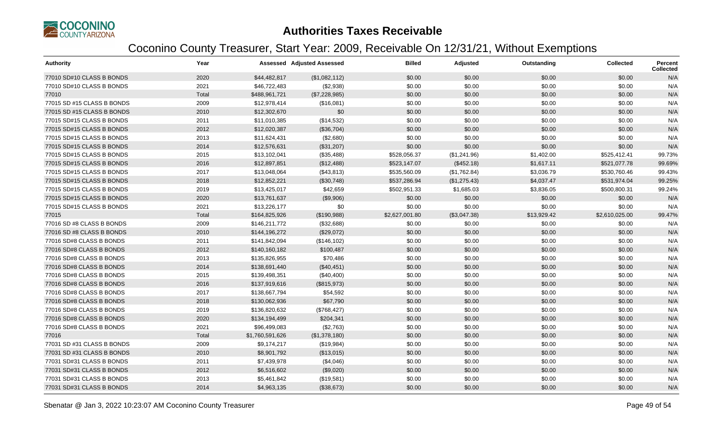

| <b>Authority</b>           | Year  |                 | <b>Assessed Adjusted Assessed</b> | <b>Billed</b>  | Adjusted     | Outstanding | <b>Collected</b> | <b>Percent</b><br><b>Collected</b> |
|----------------------------|-------|-----------------|-----------------------------------|----------------|--------------|-------------|------------------|------------------------------------|
| 77010 SD#10 CLASS B BONDS  | 2020  | \$44,482,817    | (\$1,082,112)                     | \$0.00         | \$0.00       | \$0.00      | \$0.00           | N/A                                |
| 77010 SD#10 CLASS B BONDS  | 2021  | \$46,722,483    | (\$2,938)                         | \$0.00         | \$0.00       | \$0.00      | \$0.00           | N/A                                |
| 77010                      | Total | \$488,961,721   | (\$7,228,985)                     | \$0.00         | \$0.00       | \$0.00      | \$0.00           | N/A                                |
| 77015 SD #15 CLASS B BONDS | 2009  | \$12,978,414    | (\$16,081)                        | \$0.00         | \$0.00       | \$0.00      | \$0.00           | N/A                                |
| 77015 SD #15 CLASS B BONDS | 2010  | \$12,302,670    | \$0                               | \$0.00         | \$0.00       | \$0.00      | \$0.00           | N/A                                |
| 77015 SD#15 CLASS B BONDS  | 2011  | \$11,010,385    | (\$14,532)                        | \$0.00         | \$0.00       | \$0.00      | \$0.00           | N/A                                |
| 77015 SD#15 CLASS B BONDS  | 2012  | \$12,020,387    | (\$36,704)                        | \$0.00         | \$0.00       | \$0.00      | \$0.00           | N/A                                |
| 77015 SD#15 CLASS B BONDS  | 2013  | \$11,624,431    | (\$2,680)                         | \$0.00         | \$0.00       | \$0.00      | \$0.00           | N/A                                |
| 77015 SD#15 CLASS B BONDS  | 2014  | \$12,576,631    | (\$31,207)                        | \$0.00         | \$0.00       | \$0.00      | \$0.00           | N/A                                |
| 77015 SD#15 CLASS B BONDS  | 2015  | \$13,102,041    | (\$35,488)                        | \$528,056.37   | (\$1,241.96) | \$1,402.00  | \$525,412.41     | 99.73%                             |
| 77015 SD#15 CLASS B BONDS  | 2016  | \$12,897,851    | (\$12,488)                        | \$523,147.07   | (\$452.18)   | \$1,617.11  | \$521,077.78     | 99.69%                             |
| 77015 SD#15 CLASS B BONDS  | 2017  | \$13,048,064    | (\$43,813)                        | \$535,560.09   | (\$1,762.84) | \$3,036.79  | \$530,760.46     | 99.43%                             |
| 77015 SD#15 CLASS B BONDS  | 2018  | \$12,852,221    | (\$30,748)                        | \$537,286.94   | (\$1,275.43) | \$4,037.47  | \$531,974.04     | 99.25%                             |
| 77015 SD#15 CLASS B BONDS  | 2019  | \$13,425,017    | \$42,659                          | \$502,951.33   | \$1,685.03   | \$3,836.05  | \$500,800.31     | 99.24%                             |
| 77015 SD#15 CLASS B BONDS  | 2020  | \$13,761,637    | (\$9,906)                         | \$0.00         | \$0.00       | \$0.00      | \$0.00           | N/A                                |
| 77015 SD#15 CLASS B BONDS  | 2021  | \$13,226,177    | \$0                               | \$0.00         | \$0.00       | \$0.00      | \$0.00           | N/A                                |
| 77015                      | Total | \$164,825,926   | (\$190,988)                       | \$2,627,001.80 | (\$3,047.38) | \$13,929.42 | \$2,610,025.00   | 99.47%                             |
| 77016 SD #8 CLASS B BONDS  | 2009  | \$146,211,772   | (\$32,688)                        | \$0.00         | \$0.00       | \$0.00      | \$0.00           | N/A                                |
| 77016 SD #8 CLASS B BONDS  | 2010  | \$144,196,272   | (\$29,072)                        | \$0.00         | \$0.00       | \$0.00      | \$0.00           | N/A                                |
| 77016 SD#8 CLASS B BONDS   | 2011  | \$141,842,094   | (\$146, 102)                      | \$0.00         | \$0.00       | \$0.00      | \$0.00           | N/A                                |
| 77016 SD#8 CLASS B BONDS   | 2012  | \$140,160,182   | \$100,487                         | \$0.00         | \$0.00       | \$0.00      | \$0.00           | N/A                                |
| 77016 SD#8 CLASS B BONDS   | 2013  | \$135,826,955   | \$70,486                          | \$0.00         | \$0.00       | \$0.00      | \$0.00           | N/A                                |
| 77016 SD#8 CLASS B BONDS   | 2014  | \$138,691,440   | (\$40,451)                        | \$0.00         | \$0.00       | \$0.00      | \$0.00           | N/A                                |
| 77016 SD#8 CLASS B BONDS   | 2015  | \$139,498,351   | (\$40,400)                        | \$0.00         | \$0.00       | \$0.00      | \$0.00           | N/A                                |
| 77016 SD#8 CLASS B BONDS   | 2016  | \$137,919,616   | (\$815,973)                       | \$0.00         | \$0.00       | \$0.00      | \$0.00           | N/A                                |
| 77016 SD#8 CLASS B BONDS   | 2017  | \$138,667,794   | \$54,592                          | \$0.00         | \$0.00       | \$0.00      | \$0.00           | N/A                                |
| 77016 SD#8 CLASS B BONDS   | 2018  | \$130,062,936   | \$67,790                          | \$0.00         | \$0.00       | \$0.00      | \$0.00           | N/A                                |
| 77016 SD#8 CLASS B BONDS   | 2019  | \$136,820,632   | (\$768,427)                       | \$0.00         | \$0.00       | \$0.00      | \$0.00           | N/A                                |
| 77016 SD#8 CLASS B BONDS   | 2020  | \$134,194,499   | \$204,341                         | \$0.00         | \$0.00       | \$0.00      | \$0.00           | N/A                                |
| 77016 SD#8 CLASS B BONDS   | 2021  | \$96,499,083    | (\$2,763)                         | \$0.00         | \$0.00       | \$0.00      | \$0.00           | N/A                                |
| 77016                      | Total | \$1,760,591,626 | (\$1,378,180)                     | \$0.00         | \$0.00       | \$0.00      | \$0.00           | N/A                                |
| 77031 SD #31 CLASS B BONDS | 2009  | \$9,174,217     | (\$19,984)                        | \$0.00         | \$0.00       | \$0.00      | \$0.00           | N/A                                |
| 77031 SD #31 CLASS B BONDS | 2010  | \$8,901,792     | (\$13,015)                        | \$0.00         | \$0.00       | \$0.00      | \$0.00           | N/A                                |
| 77031 SD#31 CLASS B BONDS  | 2011  | \$7,439,978     | (\$4,046)                         | \$0.00         | \$0.00       | \$0.00      | \$0.00           | N/A                                |
| 77031 SD#31 CLASS B BONDS  | 2012  | \$6,516,602     | (\$9,020)                         | \$0.00         | \$0.00       | \$0.00      | \$0.00           | N/A                                |
| 77031 SD#31 CLASS B BONDS  | 2013  | \$5,461,842     | (\$19,581)                        | \$0.00         | \$0.00       | \$0.00      | \$0.00           | N/A                                |
| 77031 SD#31 CLASS B BONDS  | 2014  | \$4,963,135     | (\$38,673)                        | \$0.00         | \$0.00       | \$0.00      | \$0.00           | N/A                                |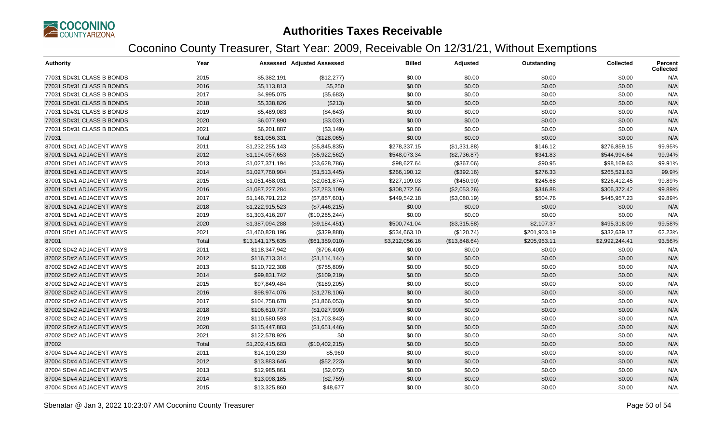

| <b>Authority</b>          | Year  |                  | <b>Assessed Adjusted Assessed</b> | <b>Billed</b>  | Adjusted      | Outstanding  | <b>Collected</b> | Percent<br><b>Collected</b> |
|---------------------------|-------|------------------|-----------------------------------|----------------|---------------|--------------|------------------|-----------------------------|
| 77031 SD#31 CLASS B BONDS | 2015  | \$5,382,191      | (\$12,277)                        | \$0.00         | \$0.00        | \$0.00       | \$0.00           | N/A                         |
| 77031 SD#31 CLASS B BONDS | 2016  | \$5,113,813      | \$5,250                           | \$0.00         | \$0.00        | \$0.00       | \$0.00           | N/A                         |
| 77031 SD#31 CLASS B BONDS | 2017  | \$4,995,075      | (\$5,683)                         | \$0.00         | \$0.00        | \$0.00       | \$0.00           | N/A                         |
| 77031 SD#31 CLASS B BONDS | 2018  | \$5,338,826      | (\$213)                           | \$0.00         | \$0.00        | \$0.00       | \$0.00           | N/A                         |
| 77031 SD#31 CLASS B BONDS | 2019  | \$5,489,083      | (\$4,643)                         | \$0.00         | \$0.00        | \$0.00       | \$0.00           | N/A                         |
| 77031 SD#31 CLASS B BONDS | 2020  | \$6,077,890      | (\$3,031)                         | \$0.00         | \$0.00        | \$0.00       | \$0.00           | N/A                         |
| 77031 SD#31 CLASS B BONDS | 2021  | \$6,201,887      | (\$3,149)                         | \$0.00         | \$0.00        | \$0.00       | \$0.00           | N/A                         |
| 77031                     | Total | \$81,056,331     | (\$128,065)                       | \$0.00         | \$0.00        | \$0.00       | \$0.00           | N/A                         |
| 87001 SD#1 ADJACENT WAYS  | 2011  | \$1,232,255,143  | (\$5,845,835)                     | \$278,337.15   | (\$1,331.88)  | \$146.12     | \$276,859.15     | 99.95%                      |
| 87001 SD#1 ADJACENT WAYS  | 2012  | \$1,194,057,653  | (\$5,922,562)                     | \$548,073.34   | (\$2,736.87)  | \$341.83     | \$544,994.64     | 99.94%                      |
| 87001 SD#1 ADJACENT WAYS  | 2013  | \$1,027,371,194  | (\$3,628,786)                     | \$98,627.64    | (\$367.06)    | \$90.95      | \$98,169.63      | 99.91%                      |
| 87001 SD#1 ADJACENT WAYS  | 2014  | \$1,027,760,904  | (\$1,513,445)                     | \$266,190.12   | (\$392.16)    | \$276.33     | \$265,521.63     | 99.9%                       |
| 87001 SD#1 ADJACENT WAYS  | 2015  | \$1,051,458,031  | (\$2,081,874)                     | \$227,109.03   | (\$450.90)    | \$245.68     | \$226,412.45     | 99.89%                      |
| 87001 SD#1 ADJACENT WAYS  | 2016  | \$1,087,227,284  | (\$7,283,109)                     | \$308,772.56   | (\$2,053.26)  | \$346.88     | \$306,372.42     | 99.89%                      |
| 87001 SD#1 ADJACENT WAYS  | 2017  | \$1,146,791,212  | (\$7,857,601)                     | \$449,542.18   | (\$3,080.19)  | \$504.76     | \$445,957.23     | 99.89%                      |
| 87001 SD#1 ADJACENT WAYS  | 2018  | \$1,222,915,523  | (\$7,446,215)                     | \$0.00         | \$0.00        | \$0.00       | \$0.00           | N/A                         |
| 87001 SD#1 ADJACENT WAYS  | 2019  | \$1,303,416,207  | (\$10,265,244)                    | \$0.00         | \$0.00        | \$0.00       | \$0.00           | N/A                         |
| 87001 SD#1 ADJACENT WAYS  | 2020  | \$1,387,094,288  | (\$9,184,451)                     | \$500,741.04   | (\$3,315.58)  | \$2,107.37   | \$495,318.09     | 99.58%                      |
| 87001 SD#1 ADJACENT WAYS  | 2021  | \$1,460,828,196  | (\$329,888)                       | \$534,663.10   | (\$120.74)    | \$201,903.19 | \$332,639.17     | 62.23%                      |
| 87001                     | Total | \$13,141,175,635 | (\$61,359,010)                    | \$3,212,056.16 | (\$13,848.64) | \$205,963.11 | \$2,992,244.41   | 93.56%                      |
| 87002 SD#2 ADJACENT WAYS  | 2011  | \$118,347,942    | (\$706,400)                       | \$0.00         | \$0.00        | \$0.00       | \$0.00           | N/A                         |
| 87002 SD#2 ADJACENT WAYS  | 2012  | \$116,713,314    | (\$1,114,144)                     | \$0.00         | \$0.00        | \$0.00       | \$0.00           | N/A                         |
| 87002 SD#2 ADJACENT WAYS  | 2013  | \$110,722,308    | (\$755,809)                       | \$0.00         | \$0.00        | \$0.00       | \$0.00           | N/A                         |
| 87002 SD#2 ADJACENT WAYS  | 2014  | \$99,831,742     | (\$109,219)                       | \$0.00         | \$0.00        | \$0.00       | \$0.00           | N/A                         |
| 87002 SD#2 ADJACENT WAYS  | 2015  | \$97,849,484     | (\$189,205)                       | \$0.00         | \$0.00        | \$0.00       | \$0.00           | N/A                         |
| 87002 SD#2 ADJACENT WAYS  | 2016  | \$98,974,076     | (\$1,278,106)                     | \$0.00         | \$0.00        | \$0.00       | \$0.00           | N/A                         |
| 87002 SD#2 ADJACENT WAYS  | 2017  | \$104,758,678    | (\$1,866,053)                     | \$0.00         | \$0.00        | \$0.00       | \$0.00           | N/A                         |
| 87002 SD#2 ADJACENT WAYS  | 2018  | \$106,610,737    | (\$1,027,990)                     | \$0.00         | \$0.00        | \$0.00       | \$0.00           | N/A                         |
| 87002 SD#2 ADJACENT WAYS  | 2019  | \$110,580,593    | (\$1,703,843)                     | \$0.00         | \$0.00        | \$0.00       | \$0.00           | N/A                         |
| 87002 SD#2 ADJACENT WAYS  | 2020  | \$115,447,883    | (\$1,651,446)                     | \$0.00         | \$0.00        | \$0.00       | \$0.00           | N/A                         |
| 87002 SD#2 ADJACENT WAYS  | 2021  | \$122,578,926    | \$0                               | \$0.00         | \$0.00        | \$0.00       | \$0.00           | N/A                         |
| 87002                     | Total | \$1,202,415,683  | (\$10,402,215)                    | \$0.00         | \$0.00        | \$0.00       | \$0.00           | N/A                         |
| 87004 SD#4 ADJACENT WAYS  | 2011  | \$14,190,230     | \$5,960                           | \$0.00         | \$0.00        | \$0.00       | \$0.00           | N/A                         |
| 87004 SD#4 ADJACENT WAYS  | 2012  | \$13,883,646     | (\$52,223)                        | \$0.00         | \$0.00        | \$0.00       | \$0.00           | N/A                         |
| 87004 SD#4 ADJACENT WAYS  | 2013  | \$12,985,861     | (\$2,072)                         | \$0.00         | \$0.00        | \$0.00       | \$0.00           | N/A                         |
| 87004 SD#4 ADJACENT WAYS  | 2014  | \$13,098,185     | (\$2,759)                         | \$0.00         | \$0.00        | \$0.00       | \$0.00           | N/A                         |
| 87004 SD#4 ADJACENT WAYS  | 2015  | \$13,325,860     | \$48,677                          | \$0.00         | \$0.00        | \$0.00       | \$0.00           | N/A                         |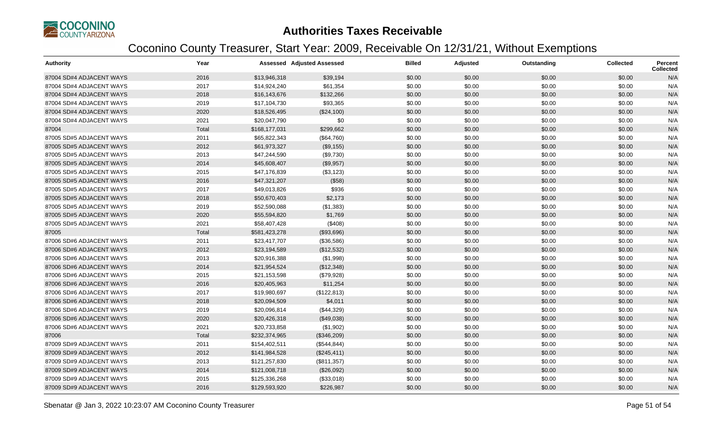

| <b>Authority</b>         | Year  |               | <b>Assessed Adjusted Assessed</b> | <b>Billed</b> | Adjusted | Outstanding | <b>Collected</b> | Percent<br><b>Collected</b> |
|--------------------------|-------|---------------|-----------------------------------|---------------|----------|-------------|------------------|-----------------------------|
| 87004 SD#4 ADJACENT WAYS | 2016  | \$13,946,318  | \$39,194                          | \$0.00        | \$0.00   | \$0.00      | \$0.00           | N/A                         |
| 87004 SD#4 ADJACENT WAYS | 2017  | \$14,924,240  | \$61,354                          | \$0.00        | \$0.00   | \$0.00      | \$0.00           | N/A                         |
| 87004 SD#4 ADJACENT WAYS | 2018  | \$16,143,676  | \$132,266                         | \$0.00        | \$0.00   | \$0.00      | \$0.00           | N/A                         |
| 87004 SD#4 ADJACENT WAYS | 2019  | \$17,104,730  | \$93,365                          | \$0.00        | \$0.00   | \$0.00      | \$0.00           | N/A                         |
| 87004 SD#4 ADJACENT WAYS | 2020  | \$18,526,495  | (\$24,100)                        | \$0.00        | \$0.00   | \$0.00      | \$0.00           | N/A                         |
| 87004 SD#4 ADJACENT WAYS | 2021  | \$20,047,790  | \$0                               | \$0.00        | \$0.00   | \$0.00      | \$0.00           | N/A                         |
| 87004                    | Total | \$168,177,031 | \$299,662                         | \$0.00        | \$0.00   | \$0.00      | \$0.00           | N/A                         |
| 87005 SD#5 ADJACENT WAYS | 2011  | \$65,822,343  | (\$64,760)                        | \$0.00        | \$0.00   | \$0.00      | \$0.00           | N/A                         |
| 87005 SD#5 ADJACENT WAYS | 2012  | \$61,973,327  | (\$9,155)                         | \$0.00        | \$0.00   | \$0.00      | \$0.00           | N/A                         |
| 87005 SD#5 ADJACENT WAYS | 2013  | \$47,244,590  | (\$9,730)                         | \$0.00        | \$0.00   | \$0.00      | \$0.00           | N/A                         |
| 87005 SD#5 ADJACENT WAYS | 2014  | \$45,608,407  | (\$9,957)                         | \$0.00        | \$0.00   | \$0.00      | \$0.00           | N/A                         |
| 87005 SD#5 ADJACENT WAYS | 2015  | \$47,176,839  | (\$3,123)                         | \$0.00        | \$0.00   | \$0.00      | \$0.00           | N/A                         |
| 87005 SD#5 ADJACENT WAYS | 2016  | \$47,321,207  | (\$58)                            | \$0.00        | \$0.00   | \$0.00      | \$0.00           | N/A                         |
| 87005 SD#5 ADJACENT WAYS | 2017  | \$49,013,826  | \$936                             | \$0.00        | \$0.00   | \$0.00      | \$0.00           | N/A                         |
| 87005 SD#5 ADJACENT WAYS | 2018  | \$50,670,403  | \$2,173                           | \$0.00        | \$0.00   | \$0.00      | \$0.00           | N/A                         |
| 87005 SD#5 ADJACENT WAYS | 2019  | \$52,590,088  | (\$1,383)                         | \$0.00        | \$0.00   | \$0.00      | \$0.00           | N/A                         |
| 87005 SD#5 ADJACENT WAYS | 2020  | \$55,594,820  | \$1,769                           | \$0.00        | \$0.00   | \$0.00      | \$0.00           | N/A                         |
| 87005 SD#5 ADJACENT WAYS | 2021  | \$58,407,428  | (\$408)                           | \$0.00        | \$0.00   | \$0.00      | \$0.00           | N/A                         |
| 87005                    | Total | \$581,423,278 | (\$93,696)                        | \$0.00        | \$0.00   | \$0.00      | \$0.00           | N/A                         |
| 87006 SD#6 ADJACENT WAYS | 2011  | \$23,417,707  | (\$36,586)                        | \$0.00        | \$0.00   | \$0.00      | \$0.00           | N/A                         |
| 87006 SD#6 ADJACENT WAYS | 2012  | \$23,194,589  | (\$12,532)                        | \$0.00        | \$0.00   | \$0.00      | \$0.00           | N/A                         |
| 87006 SD#6 ADJACENT WAYS | 2013  | \$20,916,388  | (\$1,998)                         | \$0.00        | \$0.00   | \$0.00      | \$0.00           | N/A                         |
| 87006 SD#6 ADJACENT WAYS | 2014  | \$21,954,524  | (\$12,348)                        | \$0.00        | \$0.00   | \$0.00      | \$0.00           | N/A                         |
| 87006 SD#6 ADJACENT WAYS | 2015  | \$21,153,598  | (\$79,928)                        | \$0.00        | \$0.00   | \$0.00      | \$0.00           | N/A                         |
| 87006 SD#6 ADJACENT WAYS | 2016  | \$20,405,963  | \$11,254                          | \$0.00        | \$0.00   | \$0.00      | \$0.00           | N/A                         |
| 87006 SD#6 ADJACENT WAYS | 2017  | \$19,980,697  | (\$122,813)                       | \$0.00        | \$0.00   | \$0.00      | \$0.00           | N/A                         |
| 87006 SD#6 ADJACENT WAYS | 2018  | \$20,094,509  | \$4,011                           | \$0.00        | \$0.00   | \$0.00      | \$0.00           | N/A                         |
| 87006 SD#6 ADJACENT WAYS | 2019  | \$20,096,814  | (\$44,329)                        | \$0.00        | \$0.00   | \$0.00      | \$0.00           | N/A                         |
| 87006 SD#6 ADJACENT WAYS | 2020  | \$20,426,318  | (\$49,038)                        | \$0.00        | \$0.00   | \$0.00      | \$0.00           | N/A                         |
| 87006 SD#6 ADJACENT WAYS | 2021  | \$20,733,858  | (\$1,902)                         | \$0.00        | \$0.00   | \$0.00      | \$0.00           | N/A                         |
| 87006                    | Total | \$232,374,965 | (\$346,209)                       | \$0.00        | \$0.00   | \$0.00      | \$0.00           | N/A                         |
| 87009 SD#9 ADJACENT WAYS | 2011  | \$154,402,511 | (\$544, 844)                      | \$0.00        | \$0.00   | \$0.00      | \$0.00           | N/A                         |
| 87009 SD#9 ADJACENT WAYS | 2012  | \$141,984,528 | (\$245,411)                       | \$0.00        | \$0.00   | \$0.00      | \$0.00           | N/A                         |
| 87009 SD#9 ADJACENT WAYS | 2013  | \$121,257,830 | (\$811,357)                       | \$0.00        | \$0.00   | \$0.00      | \$0.00           | N/A                         |
| 87009 SD#9 ADJACENT WAYS | 2014  | \$121,008,718 | (\$26,092)                        | \$0.00        | \$0.00   | \$0.00      | \$0.00           | N/A                         |
| 87009 SD#9 ADJACENT WAYS | 2015  | \$125,336,268 | (\$33,018)                        | \$0.00        | \$0.00   | \$0.00      | \$0.00           | N/A                         |
| 87009 SD#9 ADJACENT WAYS | 2016  | \$129,593,920 | \$226,987                         | \$0.00        | \$0.00   | \$0.00      | \$0.00           | N/A                         |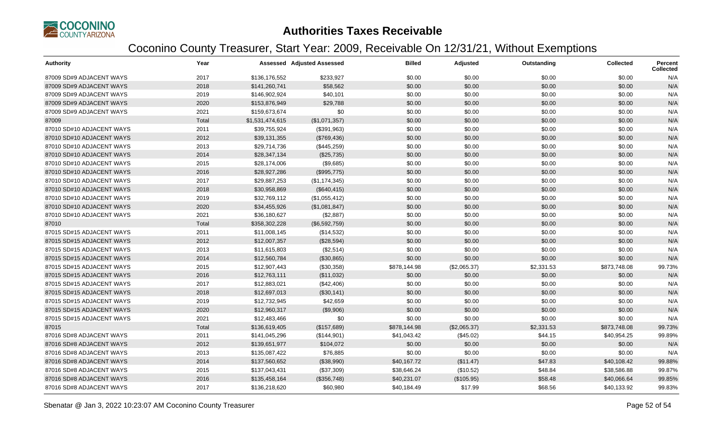

| <b>Authority</b>          | Year  |                 | <b>Assessed Adjusted Assessed</b> | <b>Billed</b> | Adjusted     | Outstanding | <b>Collected</b> | <b>Percent</b><br><b>Collected</b> |
|---------------------------|-------|-----------------|-----------------------------------|---------------|--------------|-------------|------------------|------------------------------------|
| 87009 SD#9 ADJACENT WAYS  | 2017  | \$136,176,552   | \$233,927                         | \$0.00        | \$0.00       | \$0.00      | \$0.00           | N/A                                |
| 87009 SD#9 ADJACENT WAYS  | 2018  | \$141,260,741   | \$58,562                          | \$0.00        | \$0.00       | \$0.00      | \$0.00           | N/A                                |
| 87009 SD#9 ADJACENT WAYS  | 2019  | \$146,902,924   | \$40,101                          | \$0.00        | \$0.00       | \$0.00      | \$0.00           | N/A                                |
| 87009 SD#9 ADJACENT WAYS  | 2020  | \$153,876,949   | \$29,788                          | \$0.00        | \$0.00       | \$0.00      | \$0.00           | N/A                                |
| 87009 SD#9 ADJACENT WAYS  | 2021  | \$159,673,674   | \$0                               | \$0.00        | \$0.00       | \$0.00      | \$0.00           | N/A                                |
| 87009                     | Total | \$1,531,474,615 | (\$1,071,357)                     | \$0.00        | \$0.00       | \$0.00      | \$0.00           | N/A                                |
| 87010 SD#10 ADJACENT WAYS | 2011  | \$39,755,924    | (\$391,963)                       | \$0.00        | \$0.00       | \$0.00      | \$0.00           | N/A                                |
| 87010 SD#10 ADJACENT WAYS | 2012  | \$39,131,355    | (\$769,436)                       | \$0.00        | \$0.00       | \$0.00      | \$0.00           | N/A                                |
| 87010 SD#10 ADJACENT WAYS | 2013  | \$29,714,736    | (\$445,259)                       | \$0.00        | \$0.00       | \$0.00      | \$0.00           | N/A                                |
| 87010 SD#10 ADJACENT WAYS | 2014  | \$28,347,134    | (\$25,735)                        | \$0.00        | \$0.00       | \$0.00      | \$0.00           | N/A                                |
| 87010 SD#10 ADJACENT WAYS | 2015  | \$28,174,006    | (\$9,685)                         | \$0.00        | \$0.00       | \$0.00      | \$0.00           | N/A                                |
| 87010 SD#10 ADJACENT WAYS | 2016  | \$28,927,286    | (\$995,775)                       | \$0.00        | \$0.00       | \$0.00      | \$0.00           | N/A                                |
| 87010 SD#10 ADJACENT WAYS | 2017  | \$29,887,253    | (\$1,174,345)                     | \$0.00        | \$0.00       | \$0.00      | \$0.00           | N/A                                |
| 87010 SD#10 ADJACENT WAYS | 2018  | \$30,958,869    | (\$640, 415)                      | \$0.00        | \$0.00       | \$0.00      | \$0.00           | N/A                                |
| 87010 SD#10 ADJACENT WAYS | 2019  | \$32,769,112    | (\$1,055,412)                     | \$0.00        | \$0.00       | \$0.00      | \$0.00           | N/A                                |
| 87010 SD#10 ADJACENT WAYS | 2020  | \$34,455,926    | (\$1,081,847)                     | \$0.00        | \$0.00       | \$0.00      | \$0.00           | N/A                                |
| 87010 SD#10 ADJACENT WAYS | 2021  | \$36,180,627    | (\$2,887)                         | \$0.00        | \$0.00       | \$0.00      | \$0.00           | N/A                                |
| 87010                     | Total | \$358,302,228   | (\$6,592,759)                     | \$0.00        | \$0.00       | \$0.00      | \$0.00           | N/A                                |
| 87015 SD#15 ADJACENT WAYS | 2011  | \$11,008,145    | (\$14,532)                        | \$0.00        | \$0.00       | \$0.00      | \$0.00           | N/A                                |
| 87015 SD#15 ADJACENT WAYS | 2012  | \$12,007,357    | (\$28,594)                        | \$0.00        | \$0.00       | \$0.00      | \$0.00           | N/A                                |
| 87015 SD#15 ADJACENT WAYS | 2013  | \$11,615,803    | (\$2,514)                         | \$0.00        | \$0.00       | \$0.00      | \$0.00           | N/A                                |
| 87015 SD#15 ADJACENT WAYS | 2014  | \$12,560,784    | (\$30,865)                        | \$0.00        | \$0.00       | \$0.00      | \$0.00           | N/A                                |
| 87015 SD#15 ADJACENT WAYS | 2015  | \$12,907,443    | (\$30,358)                        | \$878,144.98  | (\$2,065.37) | \$2,331.53  | \$873,748.08     | 99.73%                             |
| 87015 SD#15 ADJACENT WAYS | 2016  | \$12,763,111    | (\$11,032)                        | \$0.00        | \$0.00       | \$0.00      | \$0.00           | N/A                                |
| 87015 SD#15 ADJACENT WAYS | 2017  | \$12,883,021    | (\$42,406)                        | \$0.00        | \$0.00       | \$0.00      | \$0.00           | N/A                                |
| 87015 SD#15 ADJACENT WAYS | 2018  | \$12,697,013    | (\$30,141)                        | \$0.00        | \$0.00       | \$0.00      | \$0.00           | N/A                                |
| 87015 SD#15 ADJACENT WAYS | 2019  | \$12,732,945    | \$42,659                          | \$0.00        | \$0.00       | \$0.00      | \$0.00           | N/A                                |
| 87015 SD#15 ADJACENT WAYS | 2020  | \$12,960,317    | (\$9,906)                         | \$0.00        | \$0.00       | \$0.00      | \$0.00           | N/A                                |
| 87015 SD#15 ADJACENT WAYS | 2021  | \$12,483,466    | \$0                               | \$0.00        | \$0.00       | \$0.00      | \$0.00           | N/A                                |
| 87015                     | Total | \$136,619,405   | (\$157,689)                       | \$878,144.98  | (\$2,065.37) | \$2,331.53  | \$873,748.08     | 99.73%                             |
| 87016 SD#8 ADJACENT WAYS  | 2011  | \$141,045,296   | (\$144,901)                       | \$41,043.42   | (\$45.02)    | \$44.15     | \$40,954.25      | 99.89%                             |
| 87016 SD#8 ADJACENT WAYS  | 2012  | \$139,651,977   | \$104,072                         | \$0.00        | \$0.00       | \$0.00      | \$0.00           | N/A                                |
| 87016 SD#8 ADJACENT WAYS  | 2013  | \$135,087,422   | \$76,885                          | \$0.00        | \$0.00       | \$0.00      | \$0.00           | N/A                                |
| 87016 SD#8 ADJACENT WAYS  | 2014  | \$137,560,652   | (\$38,990)                        | \$40,167.72   | (\$11.47)    | \$47.83     | \$40,108.42      | 99.88%                             |
| 87016 SD#8 ADJACENT WAYS  | 2015  | \$137,043,431   | (\$37,309)                        | \$38,646.24   | (\$10.52)    | \$48.84     | \$38,586.88      | 99.87%                             |
| 87016 SD#8 ADJACENT WAYS  | 2016  | \$135,458,164   | (\$356,748)                       | \$40,231.07   | (\$105.95)   | \$58.48     | \$40,066.64      | 99.85%                             |
| 87016 SD#8 ADJACENT WAYS  | 2017  | \$136,218,620   | \$60,980                          | \$40,184.49   | \$17.99      | \$68.56     | \$40,133.92      | 99.83%                             |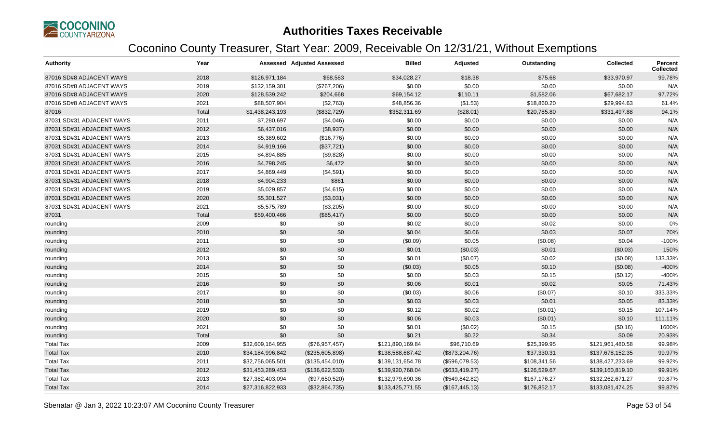

| <b>Authority</b>          | Year  |                  | <b>Assessed Adjusted Assessed</b> | <b>Billed</b>    | Adjusted        | Outstanding  | <b>Collected</b> | <b>Percent</b><br><b>Collected</b> |
|---------------------------|-------|------------------|-----------------------------------|------------------|-----------------|--------------|------------------|------------------------------------|
| 87016 SD#8 ADJACENT WAYS  | 2018  | \$126,971,184    | \$68,583                          | \$34,028.27      | \$18.38         | \$75.68      | \$33,970.97      | 99.78%                             |
| 87016 SD#8 ADJACENT WAYS  | 2019  | \$132,159,301    | (\$767,206)                       | \$0.00           | \$0.00          | \$0.00       | \$0.00           | N/A                                |
| 87016 SD#8 ADJACENT WAYS  | 2020  | \$128,539,242    | \$204,668                         | \$69,154.12      | \$110.11        | \$1,582.06   | \$67,682.17      | 97.72%                             |
| 87016 SD#8 ADJACENT WAYS  | 2021  | \$88,507,904     | (\$2,763)                         | \$48,856.36      | (\$1.53)        | \$18,860.20  | \$29,994.63      | 61.4%                              |
| 87016                     | Total | \$1,438,243,193  | (\$832,729)                       | \$352,311.69     | (\$28.01)       | \$20,785.80  | \$331,497.88     | 94.1%                              |
| 87031 SD#31 ADJACENT WAYS | 2011  | \$7,280,697      | (\$4,046)                         | \$0.00           | \$0.00          | \$0.00       | \$0.00           | N/A                                |
| 87031 SD#31 ADJACENT WAYS | 2012  | \$6,437,016      | (\$8,937)                         | \$0.00           | \$0.00          | \$0.00       | \$0.00           | N/A                                |
| 87031 SD#31 ADJACENT WAYS | 2013  | \$5,389,602      | (\$16,776)                        | \$0.00           | \$0.00          | \$0.00       | \$0.00           | N/A                                |
| 87031 SD#31 ADJACENT WAYS | 2014  | \$4,919,166      | (\$37,721)                        | \$0.00           | \$0.00          | \$0.00       | \$0.00           | N/A                                |
| 87031 SD#31 ADJACENT WAYS | 2015  | \$4,894,885      | (\$9,828)                         | \$0.00           | \$0.00          | \$0.00       | \$0.00           | N/A                                |
| 87031 SD#31 ADJACENT WAYS | 2016  | \$4,798,245      | \$6,472                           | \$0.00           | \$0.00          | \$0.00       | \$0.00           | N/A                                |
| 87031 SD#31 ADJACENT WAYS | 2017  | \$4,869,449      | (\$4,591)                         | \$0.00           | \$0.00          | \$0.00       | \$0.00           | N/A                                |
| 87031 SD#31 ADJACENT WAYS | 2018  | \$4,904,233      | \$861                             | \$0.00           | \$0.00          | \$0.00       | \$0.00           | N/A                                |
| 87031 SD#31 ADJACENT WAYS | 2019  | \$5,029,857      | (\$4,615)                         | \$0.00           | \$0.00          | \$0.00       | \$0.00           | N/A                                |
| 87031 SD#31 ADJACENT WAYS | 2020  | \$5,301,527      | (\$3,031)                         | \$0.00           | \$0.00          | \$0.00       | \$0.00           | N/A                                |
| 87031 SD#31 ADJACENT WAYS | 2021  | \$5,575,789      | (\$3,205)                         | \$0.00           | \$0.00          | \$0.00       | \$0.00           | N/A                                |
| 87031                     | Total | \$59,400,466     | (\$85,417)                        | \$0.00           | \$0.00          | \$0.00       | \$0.00           | N/A                                |
| rounding                  | 2009  | \$0              | \$0                               | \$0.02           | \$0.00          | \$0.02       | \$0.00           | 0%                                 |
| rounding                  | 2010  | \$0              | \$0                               | \$0.04           | \$0.06          | \$0.03       | \$0.07           | 70%                                |
| rounding                  | 2011  | \$0              | \$0                               | (\$0.09)         | \$0.05          | (\$0.08)     | \$0.04           | $-100%$                            |
| rounding                  | 2012  | \$0              | \$0                               | \$0.01           | (\$0.03)        | \$0.01       | (\$0.03)         | 150%                               |
| rounding                  | 2013  | \$0              | \$0                               | \$0.01           | (\$0.07)        | \$0.02       | (\$0.08)         | 133.33%                            |
| rounding                  | 2014  | \$0              | \$0                               | (\$0.03)         | \$0.05          | \$0.10       | (\$0.08)         | $-400%$                            |
| rounding                  | 2015  | \$0              | \$0                               | \$0.00           | \$0.03          | \$0.15       | (\$0.12)         | -400%                              |
| rounding                  | 2016  | \$0              | \$0                               | \$0.06           | \$0.01          | \$0.02       | \$0.05           | 71.43%                             |
| rounding                  | 2017  | \$0              | \$0                               | (\$0.03)         | \$0.06          | (\$0.07)     | \$0.10           | 333.33%                            |
| rounding                  | 2018  | \$0              | \$0                               | \$0.03           | \$0.03          | \$0.01       | \$0.05           | 83.33%                             |
| rounding                  | 2019  | \$0              | \$0                               | \$0.12           | \$0.02          | (\$0.01)     | \$0.15           | 107.14%                            |
| rounding                  | 2020  | \$0              | \$0                               | \$0.06           | \$0.03          | (\$0.01)     | \$0.10           | 111.11%                            |
| rounding                  | 2021  | \$0              | \$0                               | \$0.01           | (\$0.02)        | \$0.15       | (\$0.16)         | 1600%                              |
| rounding                  | Total | \$0              | \$0                               | \$0.21           | \$0.22          | \$0.34       | \$0.09           | 20.93%                             |
| <b>Total Tax</b>          | 2009  | \$32,609,164,955 | (\$76,957,457)                    | \$121,890,169.84 | \$96,710.69     | \$25,399.95  | \$121,961,480.58 | 99.98%                             |
| <b>Total Tax</b>          | 2010  | \$34,184,996,842 | (\$235,605,898)                   | \$138,588,687.42 | (\$873,204.76)  | \$37,330.31  | \$137,678,152.35 | 99.97%                             |
| <b>Total Tax</b>          | 2011  | \$32,756,065,501 | (\$135,454,010)                   | \$139,131,654.78 | (\$596,079.53)  | \$108,341.56 | \$138,427,233.69 | 99.92%                             |
| <b>Total Tax</b>          | 2012  | \$31,453,289,453 | (\$136,622,533)                   | \$139,920,768.04 | (\$633,419.27)  | \$126,529.67 | \$139,160,819.10 | 99.91%                             |
| <b>Total Tax</b>          | 2013  | \$27,382,403,094 | (\$97,650,520)                    | \$132,979,690.36 | (\$549, 842.82) | \$167,176.27 | \$132,262,671.27 | 99.87%                             |
| <b>Total Tax</b>          | 2014  | \$27,316,822,933 | (\$32,864,735)                    | \$133,425,771.55 | (\$167,445.13)  | \$176,852.17 | \$133,081,474.25 | 99.87%                             |